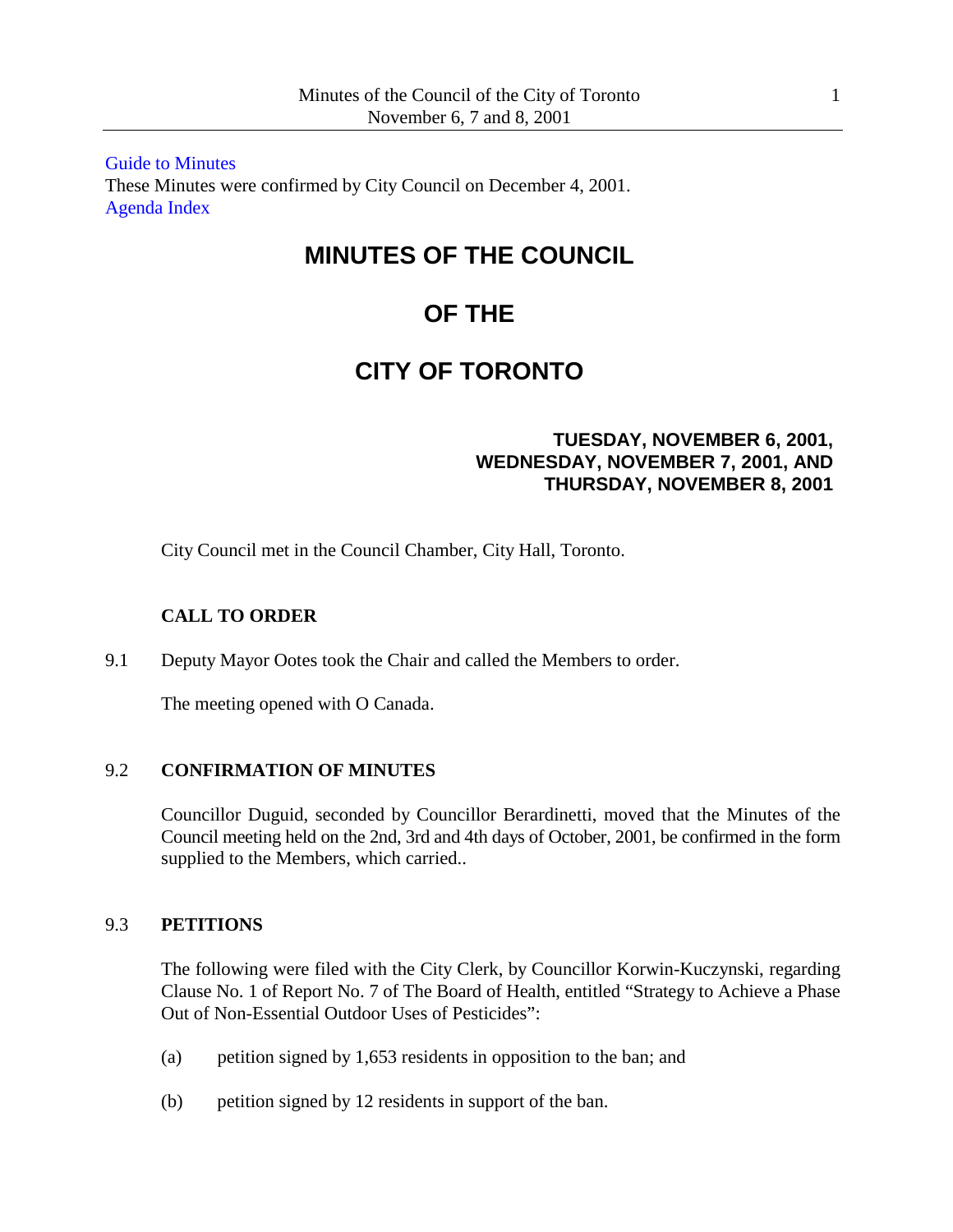[Guide to Minutes](http://www.toronto.ca/legdocs/2001/minutes/council/011106.pdf) These Minutes were confirmed by City Council on December 4, 2001. [Agenda](http://www.toronto.ca/legdocs/2001/agendas/council/cc011106/agendain.pdf) Index

# **MINUTES OF THE COUNCIL**

# **OF THE**

# **CITY OF TORONTO**

# **TUESDAY, NOVEMBER 6, 2001, WEDNESDAY, NOVEMBER 7, 2001, AND THURSDAY, NOVEMBER 8, 2001**

City Council met in the Council Chamber, City Hall, Toronto.

# **CALL TO ORDER**

9.1 Deputy Mayor Ootes took the Chair and called the Members to order.

The meeting opened with O Canada.

## 9.2 **CONFIRMATION OF MINUTES**

Councillor Duguid, seconded by Councillor Berardinetti, moved that the Minutes of the Council meeting held on the 2nd, 3rd and 4th days of October, 2001, be confirmed in the form supplied to the Members, which carried..

## 9.3 **PETITIONS**

The following were filed with the City Clerk, by Councillor Korwin-Kuczynski, regarding Clause No. 1 of Report No. 7 of The Board of Health, entitled "Strategy to Achieve a Phase Out of Non-Essential Outdoor Uses of Pesticides":

- (a) petition signed by 1,653 residents in opposition to the ban; and
- (b) petition signed by 12 residents in support of the ban.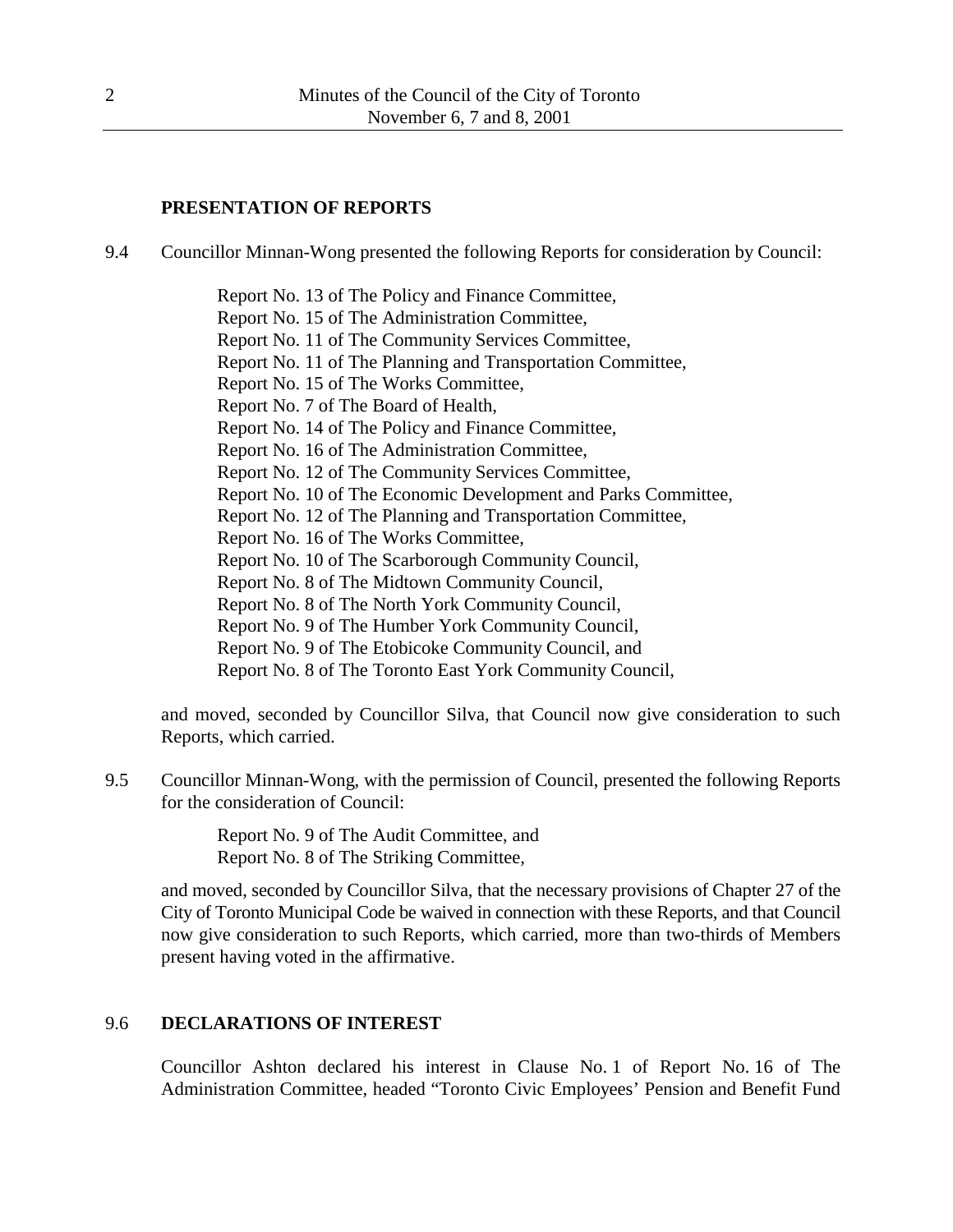## **PRESENTATION OF REPORTS**

9.4 Councillor Minnan-Wong presented the following Reports for consideration by Council:

Report No. 13 of The Policy and Finance Committee, Report No. 15 of The Administration Committee, Report No. 11 of The Community Services Committee, Report No. 11 of The Planning and Transportation Committee, Report No. 15 of The Works Committee, Report No. 7 of The Board of Health, Report No. 14 of The Policy and Finance Committee, Report No. 16 of The Administration Committee, Report No. 12 of The Community Services Committee, Report No. 10 of The Economic Development and Parks Committee, Report No. 12 of The Planning and Transportation Committee, Report No. 16 of The Works Committee, Report No. 10 of The Scarborough Community Council, Report No. 8 of The Midtown Community Council, Report No. 8 of The North York Community Council, Report No. 9 of The Humber York Community Council, Report No. 9 of The Etobicoke Community Council, and Report No. 8 of The Toronto East York Community Council,

and moved, seconded by Councillor Silva, that Council now give consideration to such Reports, which carried.

9.5 Councillor Minnan-Wong, with the permission of Council, presented the following Reports for the consideration of Council:

> Report No. 9 of The Audit Committee, and Report No. 8 of The Striking Committee,

and moved, seconded by Councillor Silva, that the necessary provisions of Chapter 27 of the City of Toronto Municipal Code be waived in connection with these Reports, and that Council now give consideration to such Reports, which carried, more than two-thirds of Members present having voted in the affirmative.

## 9.6 **DECLARATIONS OF INTEREST**

Councillor Ashton declared his interest in Clause No. 1 of Report No. 16 of The Administration Committee, headed "Toronto Civic Employees' Pension and Benefit Fund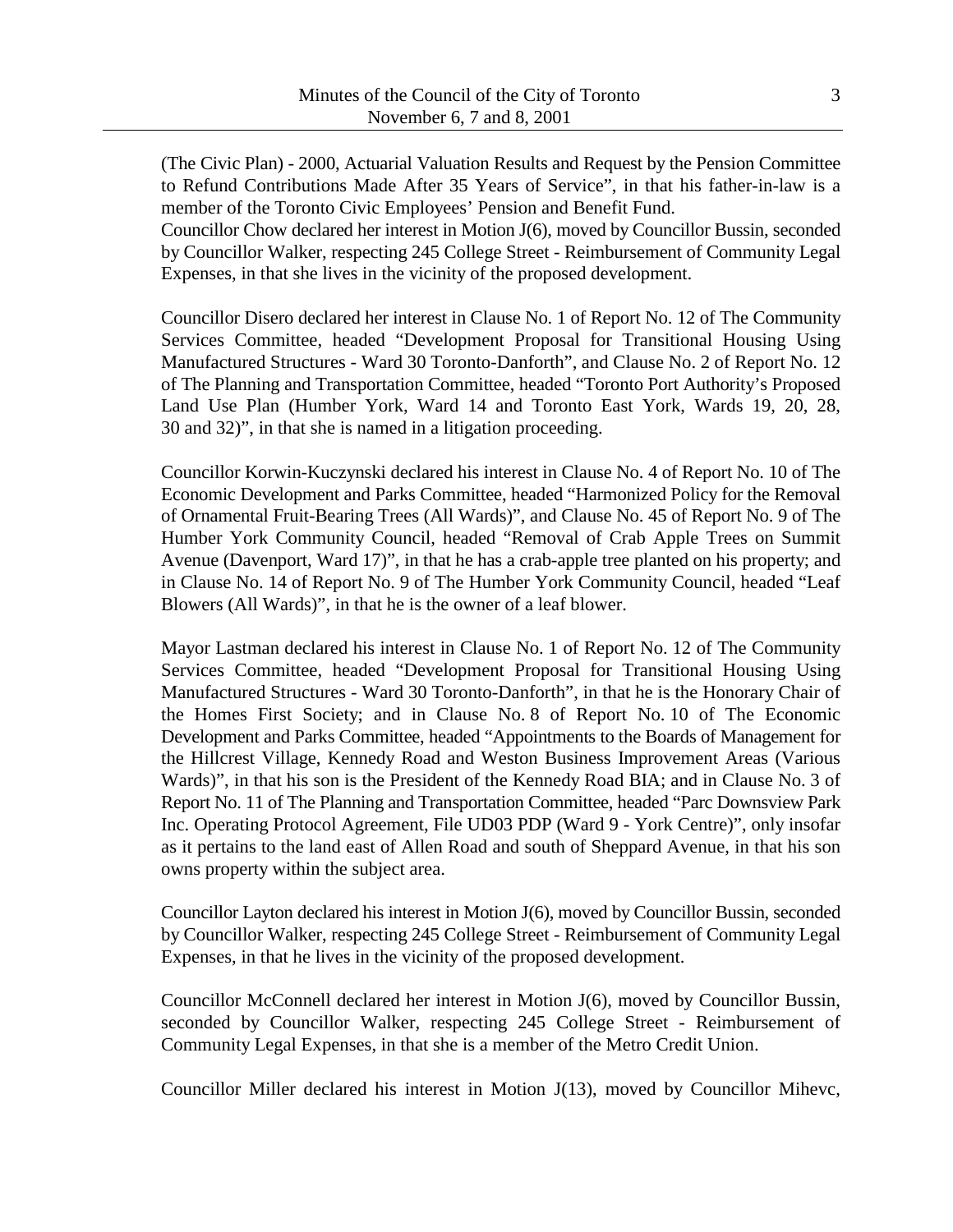(The Civic Plan) - 2000, Actuarial Valuation Results and Request by the Pension Committee to Refund Contributions Made After 35 Years of Service", in that his father-in-law is a member of the Toronto Civic Employees' Pension and Benefit Fund.

Councillor Chow declared her interest in Motion J(6), moved by Councillor Bussin, seconded by Councillor Walker, respecting 245 College Street - Reimbursement of Community Legal Expenses, in that she lives in the vicinity of the proposed development.

Councillor Disero declared her interest in Clause No. 1 of Report No. 12 of The Community Services Committee, headed "Development Proposal for Transitional Housing Using Manufactured Structures - Ward 30 Toronto-Danforth", and Clause No. 2 of Report No. 12 of The Planning and Transportation Committee, headed "Toronto Port Authority's Proposed Land Use Plan (Humber York, Ward 14 and Toronto East York, Wards 19, 20, 28, 30 and 32)", in that she is named in a litigation proceeding.

Councillor Korwin-Kuczynski declared his interest in Clause No. 4 of Report No. 10 of The Economic Development and Parks Committee, headed "Harmonized Policy for the Removal of Ornamental Fruit-Bearing Trees (All Wards)", and Clause No. 45 of Report No. 9 of The Humber York Community Council, headed "Removal of Crab Apple Trees on Summit Avenue (Davenport, Ward 17)", in that he has a crab-apple tree planted on his property; and in Clause No. 14 of Report No. 9 of The Humber York Community Council, headed "Leaf Blowers (All Wards)", in that he is the owner of a leaf blower.

Mayor Lastman declared his interest in Clause No. 1 of Report No. 12 of The Community Services Committee, headed "Development Proposal for Transitional Housing Using Manufactured Structures - Ward 30 Toronto-Danforth", in that he is the Honorary Chair of the Homes First Society; and in Clause No. 8 of Report No. 10 of The Economic Development and Parks Committee, headed "Appointments to the Boards of Management for the Hillcrest Village, Kennedy Road and Weston Business Improvement Areas (Various Wards)", in that his son is the President of the Kennedy Road BIA; and in Clause No. 3 of Report No. 11 of The Planning and Transportation Committee, headed "Parc Downsview Park Inc. Operating Protocol Agreement, File UD03 PDP (Ward 9 - York Centre)", only insofar as it pertains to the land east of Allen Road and south of Sheppard Avenue, in that his son owns property within the subject area.

Councillor Layton declared his interest in Motion J(6), moved by Councillor Bussin, seconded by Councillor Walker, respecting 245 College Street - Reimbursement of Community Legal Expenses, in that he lives in the vicinity of the proposed development.

Councillor McConnell declared her interest in Motion J(6), moved by Councillor Bussin, seconded by Councillor Walker, respecting 245 College Street - Reimbursement of Community Legal Expenses, in that she is a member of the Metro Credit Union.

Councillor Miller declared his interest in Motion J(13), moved by Councillor Mihevc,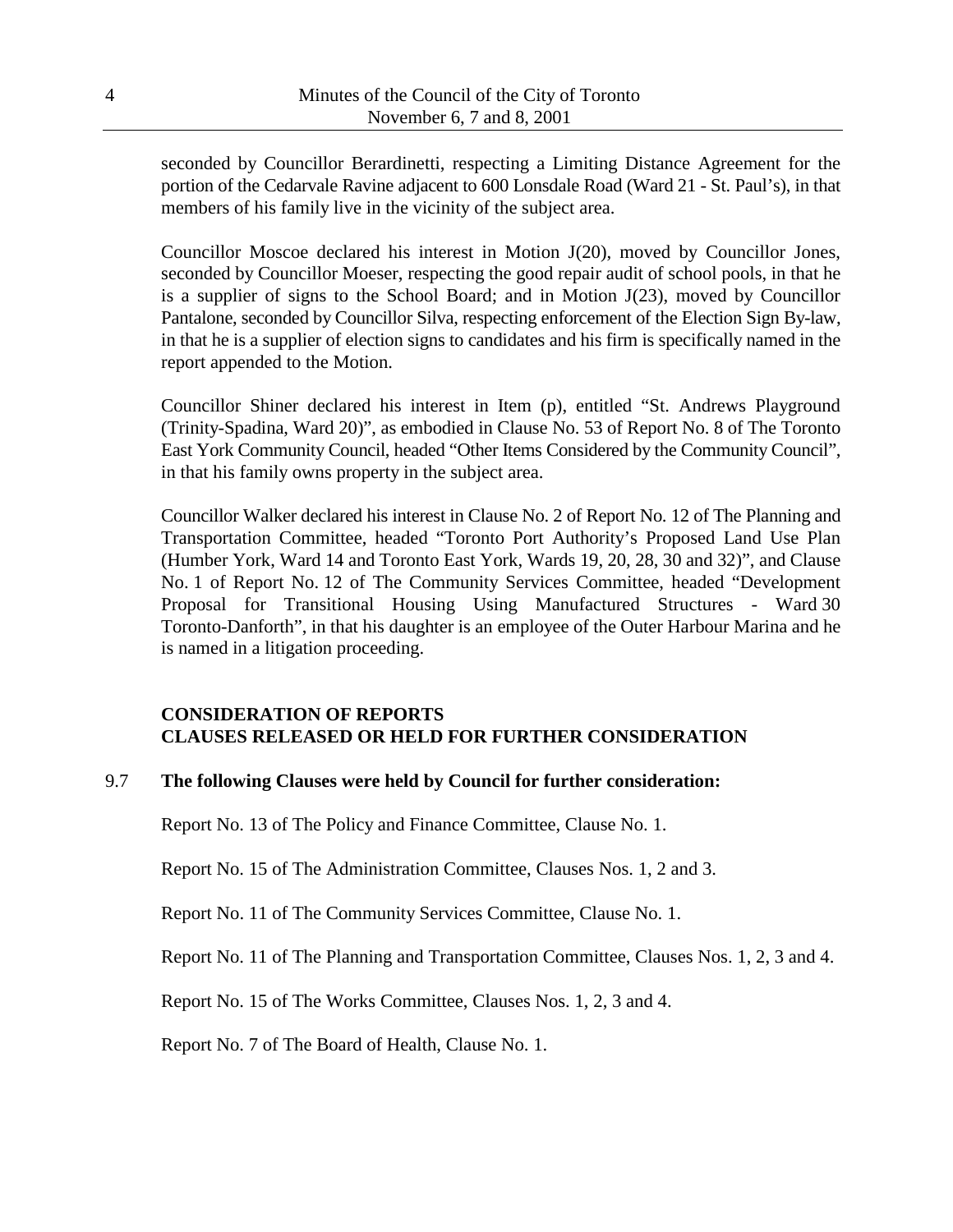seconded by Councillor Berardinetti, respecting a Limiting Distance Agreement for the portion of the Cedarvale Ravine adjacent to 600 Lonsdale Road (Ward 21 - St. Paul's), in that members of his family live in the vicinity of the subject area.

Councillor Moscoe declared his interest in Motion J(20), moved by Councillor Jones, seconded by Councillor Moeser, respecting the good repair audit of school pools, in that he is a supplier of signs to the School Board; and in Motion J(23), moved by Councillor Pantalone, seconded by Councillor Silva, respecting enforcement of the Election Sign By-law, in that he is a supplier of election signs to candidates and his firm is specifically named in the report appended to the Motion.

Councillor Shiner declared his interest in Item (p), entitled "St. Andrews Playground (Trinity-Spadina, Ward 20)", as embodied in Clause No. 53 of Report No. 8 of The Toronto East York Community Council, headed "Other Items Considered by the Community Council", in that his family owns property in the subject area.

Councillor Walker declared his interest in Clause No. 2 of Report No. 12 of The Planning and Transportation Committee, headed "Toronto Port Authority's Proposed Land Use Plan (Humber York, Ward 14 and Toronto East York, Wards 19, 20, 28, 30 and 32)", and Clause No. 1 of Report No. 12 of The Community Services Committee, headed "Development Proposal for Transitional Housing Using Manufactured Structures - Ward 30 Toronto-Danforth", in that his daughter is an employee of the Outer Harbour Marina and he is named in a litigation proceeding.

# **CONSIDERATION OF REPORTS CLAUSES RELEASED OR HELD FOR FURTHER CONSIDERATION**

# 9.7 **The following Clauses were held by Council for further consideration:**

Report No. 13 of The Policy and Finance Committee, Clause No. 1.

Report No. 15 of The Administration Committee, Clauses Nos. 1, 2 and 3.

Report No. 11 of The Community Services Committee, Clause No. 1.

Report No. 11 of The Planning and Transportation Committee, Clauses Nos. 1, 2, 3 and 4.

Report No. 15 of The Works Committee, Clauses Nos. 1, 2, 3 and 4.

Report No. 7 of The Board of Health, Clause No. 1.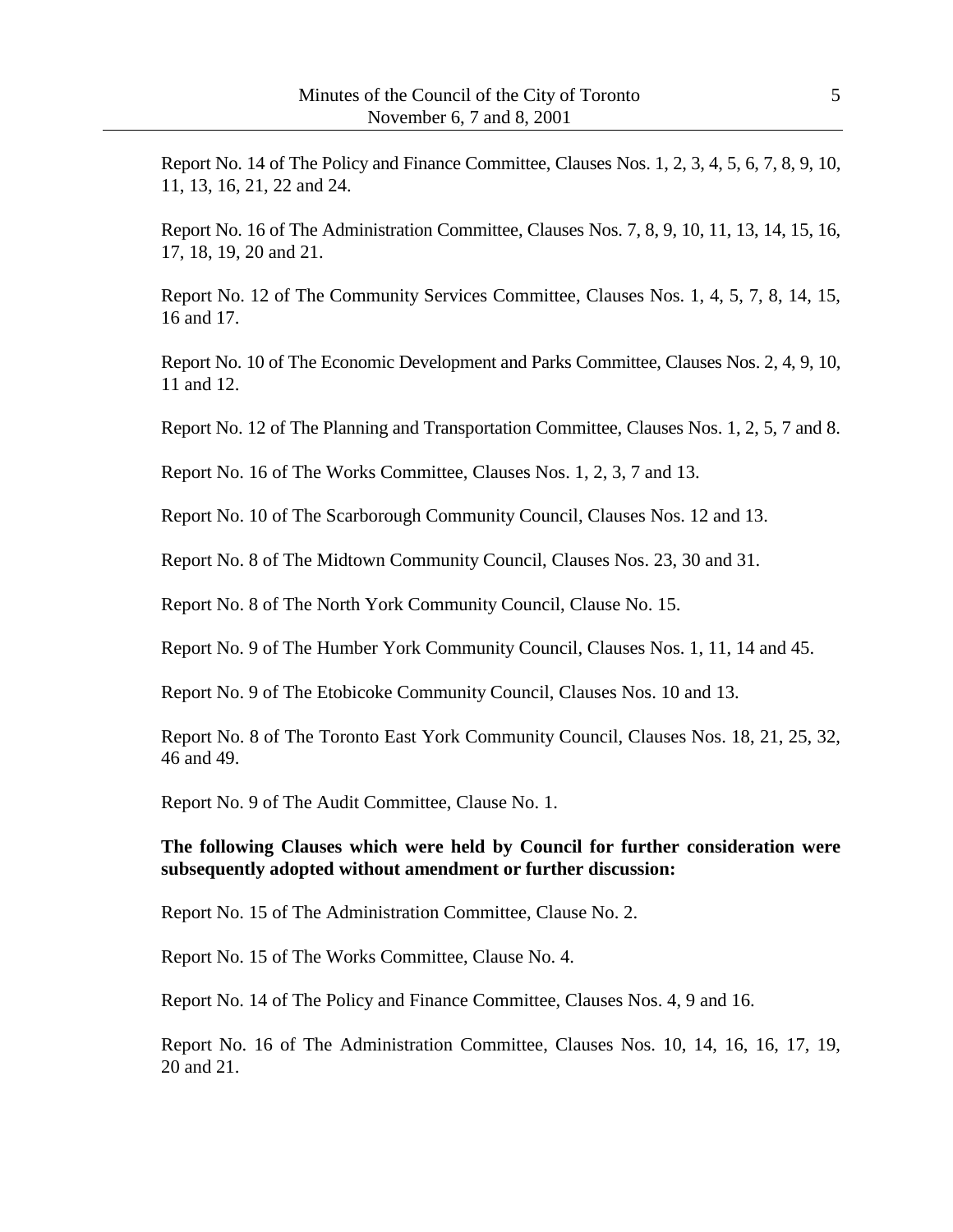Report No. 14 of The Policy and Finance Committee, Clauses Nos. 1, 2, 3, 4, 5, 6, 7, 8, 9, 10, 11, 13, 16, 21, 22 and 24.

Report No. 16 of The Administration Committee, Clauses Nos. 7, 8, 9, 10, 11, 13, 14, 15, 16, 17, 18, 19, 20 and 21.

Report No. 12 of The Community Services Committee, Clauses Nos. 1, 4, 5, 7, 8, 14, 15, 16 and 17.

Report No. 10 of The Economic Development and Parks Committee, Clauses Nos. 2, 4, 9, 10, 11 and 12.

Report No. 12 of The Planning and Transportation Committee, Clauses Nos. 1, 2, 5, 7 and 8.

Report No. 16 of The Works Committee, Clauses Nos. 1, 2, 3, 7 and 13.

Report No. 10 of The Scarborough Community Council, Clauses Nos. 12 and 13.

Report No. 8 of The Midtown Community Council, Clauses Nos. 23, 30 and 31.

Report No. 8 of The North York Community Council, Clause No. 15.

Report No. 9 of The Humber York Community Council, Clauses Nos. 1, 11, 14 and 45.

Report No. 9 of The Etobicoke Community Council, Clauses Nos. 10 and 13.

Report No. 8 of The Toronto East York Community Council, Clauses Nos. 18, 21, 25, 32, 46 and 49.

Report No. 9 of The Audit Committee, Clause No. 1.

# **The following Clauses which were held by Council for further consideration were subsequently adopted without amendment or further discussion:**

Report No. 15 of The Administration Committee, Clause No. 2.

Report No. 15 of The Works Committee, Clause No. 4.

Report No. 14 of The Policy and Finance Committee, Clauses Nos. 4, 9 and 16.

Report No. 16 of The Administration Committee, Clauses Nos. 10, 14, 16, 16, 17, 19, 20 and 21.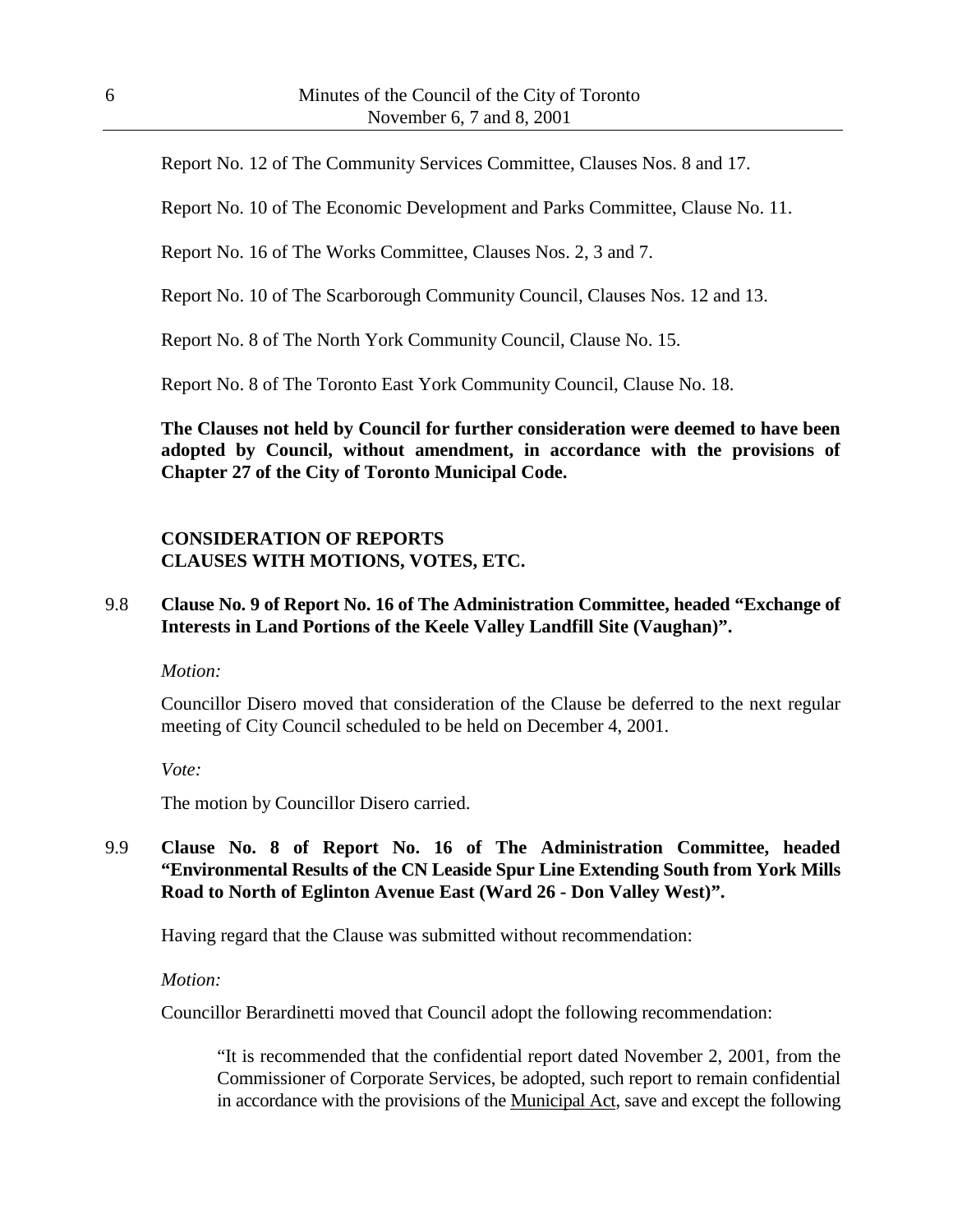Report No. 12 of The Community Services Committee, Clauses Nos. 8 and 17.

Report No. 10 of The Economic Development and Parks Committee, Clause No. 11.

Report No. 16 of The Works Committee, Clauses Nos. 2, 3 and 7.

Report No. 10 of The Scarborough Community Council, Clauses Nos. 12 and 13.

Report No. 8 of The North York Community Council, Clause No. 15.

Report No. 8 of The Toronto East York Community Council, Clause No. 18.

**The Clauses not held by Council for further consideration were deemed to have been adopted by Council, without amendment, in accordance with the provisions of Chapter 27 of the City of Toronto Municipal Code.**

## **CONSIDERATION OF REPORTS CLAUSES WITH MOTIONS, VOTES, ETC.**

#### 9.8 **Clause No. 9 of Report No. 16 of The Administration Committee, headed "Exchange of Interests in Land Portions of the Keele Valley Landfill Site (Vaughan)".**

*Motion:*

Councillor Disero moved that consideration of the Clause be deferred to the next regular meeting of City Council scheduled to be held on December 4, 2001.

*Vote:*

The motion by Councillor Disero carried.

# 9.9 **Clause No. 8 of Report No. 16 of The Administration Committee, headed "Environmental Results of the CN Leaside Spur Line Extending South from York Mills Road to North of Eglinton Avenue East (Ward 26 - Don Valley West)".**

Having regard that the Clause was submitted without recommendation:

#### *Motion:*

Councillor Berardinetti moved that Council adopt the following recommendation:

"It is recommended that the confidential report dated November 2, 2001, from the Commissioner of Corporate Services, be adopted, such report to remain confidential in accordance with the provisions of the Municipal Act, save and except the following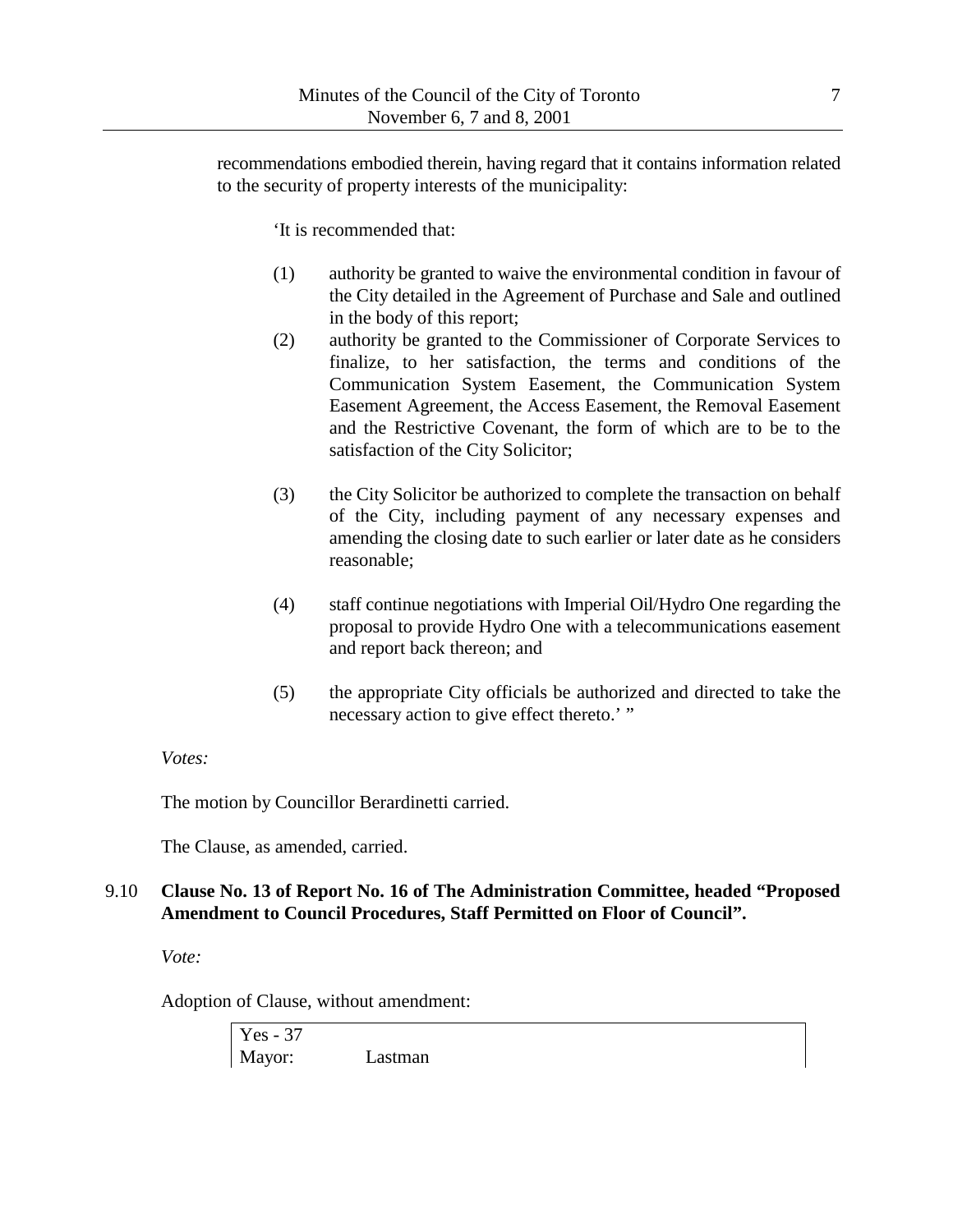recommendations embodied therein, having regard that it contains information related to the security of property interests of the municipality:

'It is recommended that:

- (1) authority be granted to waive the environmental condition in favour of the City detailed in the Agreement of Purchase and Sale and outlined in the body of this report;
- (2) authority be granted to the Commissioner of Corporate Services to finalize, to her satisfaction, the terms and conditions of the Communication System Easement, the Communication System Easement Agreement, the Access Easement, the Removal Easement and the Restrictive Covenant, the form of which are to be to the satisfaction of the City Solicitor;
- (3) the City Solicitor be authorized to complete the transaction on behalf of the City, including payment of any necessary expenses and amending the closing date to such earlier or later date as he considers reasonable;
- (4) staff continue negotiations with Imperial Oil/Hydro One regarding the proposal to provide Hydro One with a telecommunications easement and report back thereon; and
- (5) the appropriate City officials be authorized and directed to take the necessary action to give effect thereto.' "

## *Votes:*

The motion by Councillor Berardinetti carried.

The Clause, as amended, carried.

# 9.10 **Clause No. 13 of Report No. 16 of The Administration Committee, headed "Proposed Amendment to Council Procedures, Staff Permitted on Floor of Council".**

*Vote:*

Adoption of Clause, without amendment:

Yes - 37 Mayor: Lastman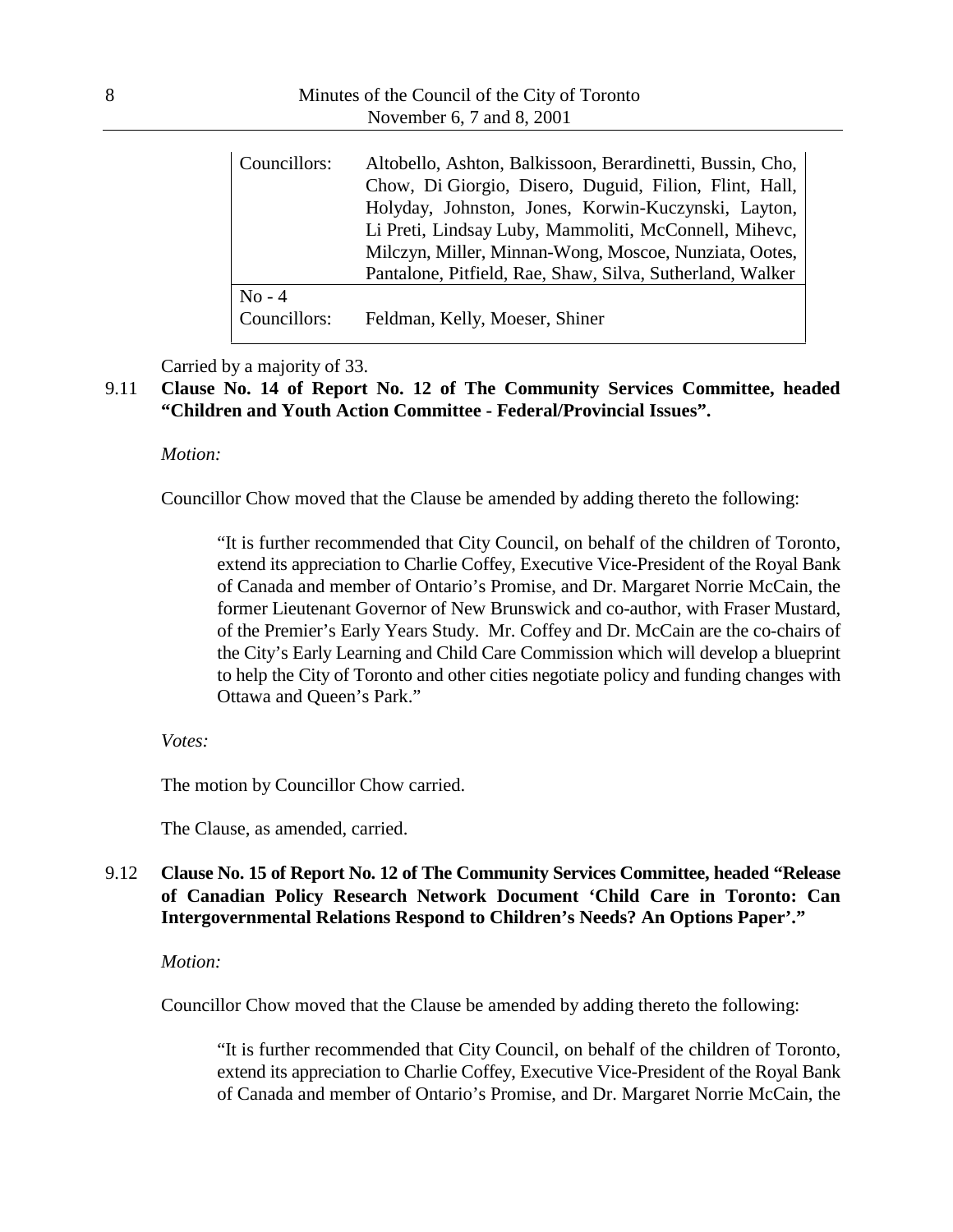| Councillors:             | Altobello, Ashton, Balkissoon, Berardinetti, Bussin, Cho,<br>Chow, Di Giorgio, Disero, Duguid, Filion, Flint, Hall,<br>Holyday, Johnston, Jones, Korwin-Kuczynski, Layton,<br>Li Preti, Lindsay Luby, Mammoliti, McConnell, Mihevc,<br>Milczyn, Miller, Minnan-Wong, Moscoe, Nunziata, Ootes,<br>Pantalone, Pitfield, Rae, Shaw, Silva, Sutherland, Walker |
|--------------------------|------------------------------------------------------------------------------------------------------------------------------------------------------------------------------------------------------------------------------------------------------------------------------------------------------------------------------------------------------------|
| $No - 4$<br>Councillors: | Feldman, Kelly, Moeser, Shiner                                                                                                                                                                                                                                                                                                                             |

Carried by a majority of 33.

# 9.11 **Clause No. 14 of Report No. 12 of The Community Services Committee, headed "Children and Youth Action Committee - Federal/Provincial Issues".**

#### *Motion:*

Councillor Chow moved that the Clause be amended by adding thereto the following:

"It is further recommended that City Council, on behalf of the children of Toronto, extend its appreciation to Charlie Coffey, Executive Vice-President of the Royal Bank of Canada and member of Ontario's Promise, and Dr. Margaret Norrie McCain, the former Lieutenant Governor of New Brunswick and co-author, with Fraser Mustard, of the Premier's Early Years Study. Mr. Coffey and Dr. McCain are the co-chairs of the City's Early Learning and Child Care Commission which will develop a blueprint to help the City of Toronto and other cities negotiate policy and funding changes with Ottawa and Queen's Park."

#### *Votes:*

The motion by Councillor Chow carried.

The Clause, as amended, carried.

# 9.12 **Clause No. 15 of Report No. 12 of The Community Services Committee, headed "Release of Canadian Policy Research Network Document 'Child Care in Toronto: Can Intergovernmental Relations Respond to Children's Needs? An Options Paper'."**

#### *Motion:*

Councillor Chow moved that the Clause be amended by adding thereto the following:

"It is further recommended that City Council, on behalf of the children of Toronto, extend its appreciation to Charlie Coffey, Executive Vice-President of the Royal Bank of Canada and member of Ontario's Promise, and Dr. Margaret Norrie McCain, the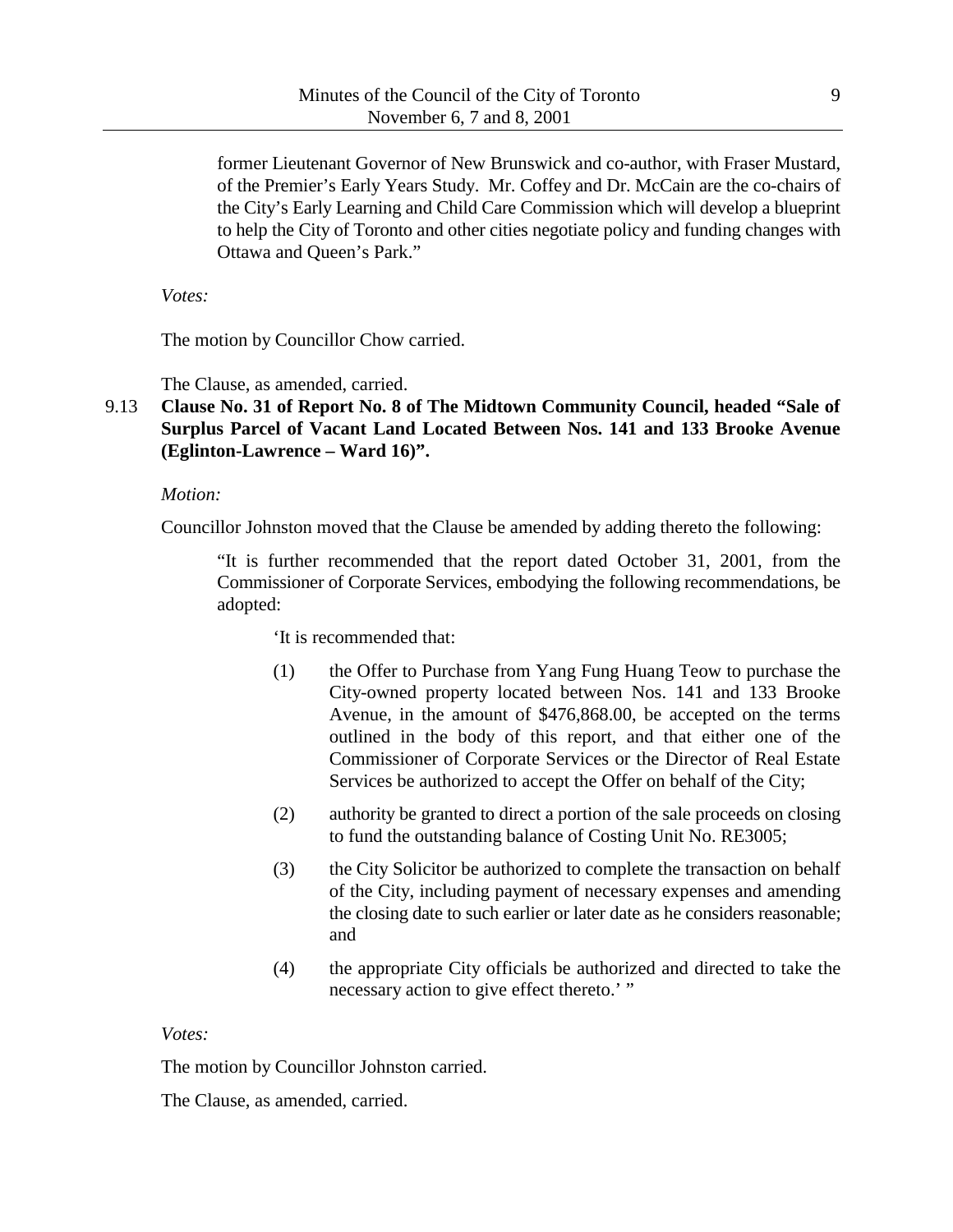former Lieutenant Governor of New Brunswick and co-author, with Fraser Mustard, of the Premier's Early Years Study. Mr. Coffey and Dr. McCain are the co-chairs of the City's Early Learning and Child Care Commission which will develop a blueprint to help the City of Toronto and other cities negotiate policy and funding changes with Ottawa and Queen's Park."

*Votes:*

The motion by Councillor Chow carried.

The Clause, as amended, carried.

# 9.13 **Clause No. 31 of Report No. 8 of The Midtown Community Council, headed "Sale of Surplus Parcel of Vacant Land Located Between Nos. 141 and 133 Brooke Avenue (Eglinton-Lawrence – Ward 16)".**

*Motion:*

Councillor Johnston moved that the Clause be amended by adding thereto the following:

"It is further recommended that the report dated October 31, 2001, from the Commissioner of Corporate Services, embodying the following recommendations, be adopted:

'It is recommended that:

- (1) the Offer to Purchase from Yang Fung Huang Teow to purchase the City-owned property located between Nos. 141 and 133 Brooke Avenue, in the amount of \$476,868.00, be accepted on the terms outlined in the body of this report, and that either one of the Commissioner of Corporate Services or the Director of Real Estate Services be authorized to accept the Offer on behalf of the City;
- (2) authority be granted to direct a portion of the sale proceeds on closing to fund the outstanding balance of Costing Unit No. RE3005;
- (3) the City Solicitor be authorized to complete the transaction on behalf of the City, including payment of necessary expenses and amending the closing date to such earlier or later date as he considers reasonable; and
- (4) the appropriate City officials be authorized and directed to take the necessary action to give effect thereto.' "

*Votes:*

The motion by Councillor Johnston carried.

The Clause, as amended, carried.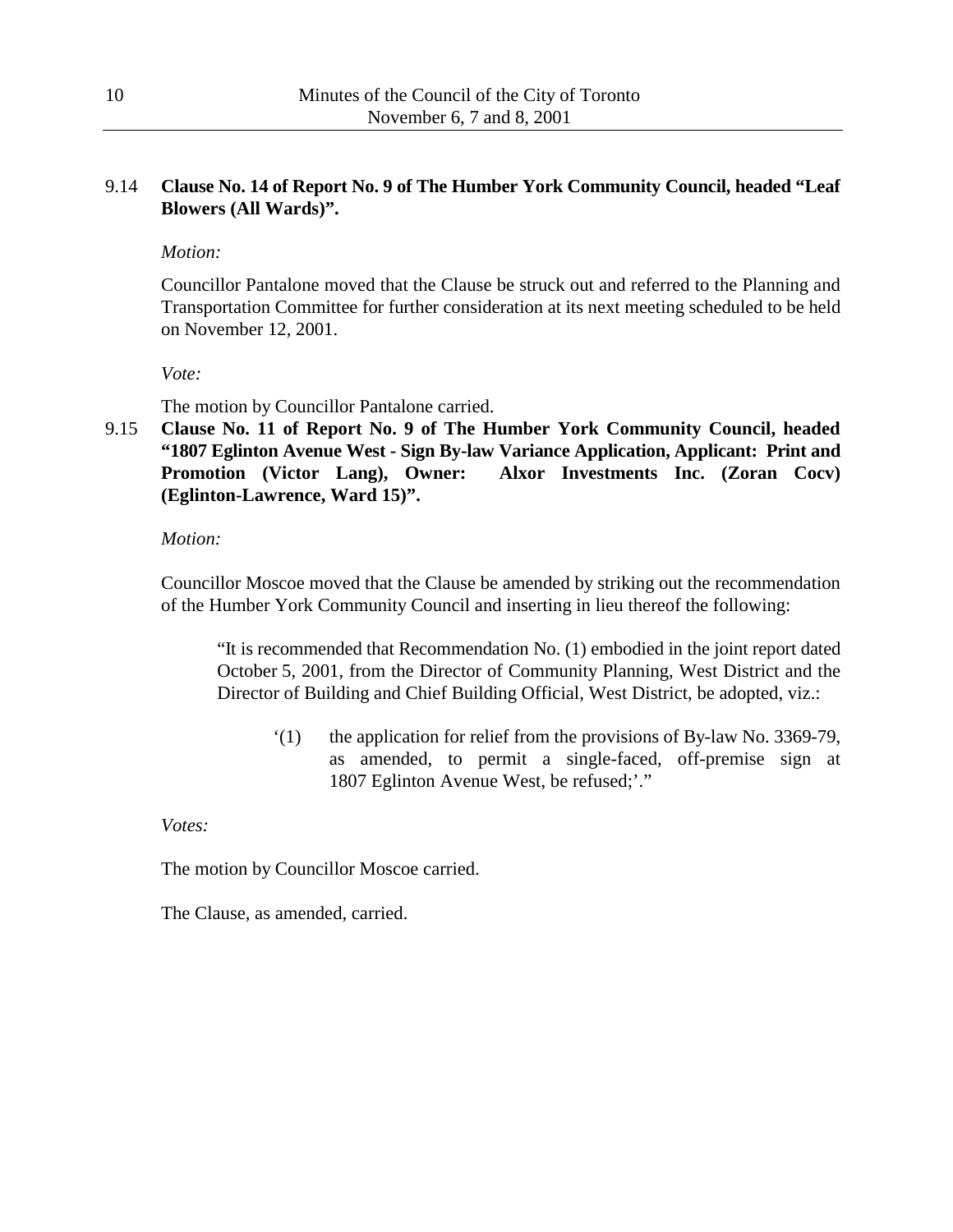# 9.14 **Clause No. 14 of Report No. 9 of The Humber York Community Council, headed "Leaf Blowers (All Wards)".**

*Motion:*

Councillor Pantalone moved that the Clause be struck out and referred to the Planning and Transportation Committee for further consideration at its next meeting scheduled to be held on November 12, 2001.

*Vote:*

The motion by Councillor Pantalone carried.

9.15 **Clause No. 11 of Report No. 9 of The Humber York Community Council, headed "1807 Eglinton Avenue West - Sign By-law Variance Application, Applicant: Print and Promotion (Victor Lang), Owner: Alxor Investments Inc. (Zoran Cocv) (Eglinton-Lawrence, Ward 15)".**

*Motion:*

Councillor Moscoe moved that the Clause be amended by striking out the recommendation of the Humber York Community Council and inserting in lieu thereof the following:

"It is recommended that Recommendation No. (1) embodied in the joint report dated October 5, 2001, from the Director of Community Planning, West District and the Director of Building and Chief Building Official, West District, be adopted, viz.:

'(1) the application for relief from the provisions of By-law No. 3369-79, as amended, to permit a single-faced, off-premise sign at 1807 Eglinton Avenue West, be refused;'."

*Votes:*

The motion by Councillor Moscoe carried.

The Clause, as amended, carried.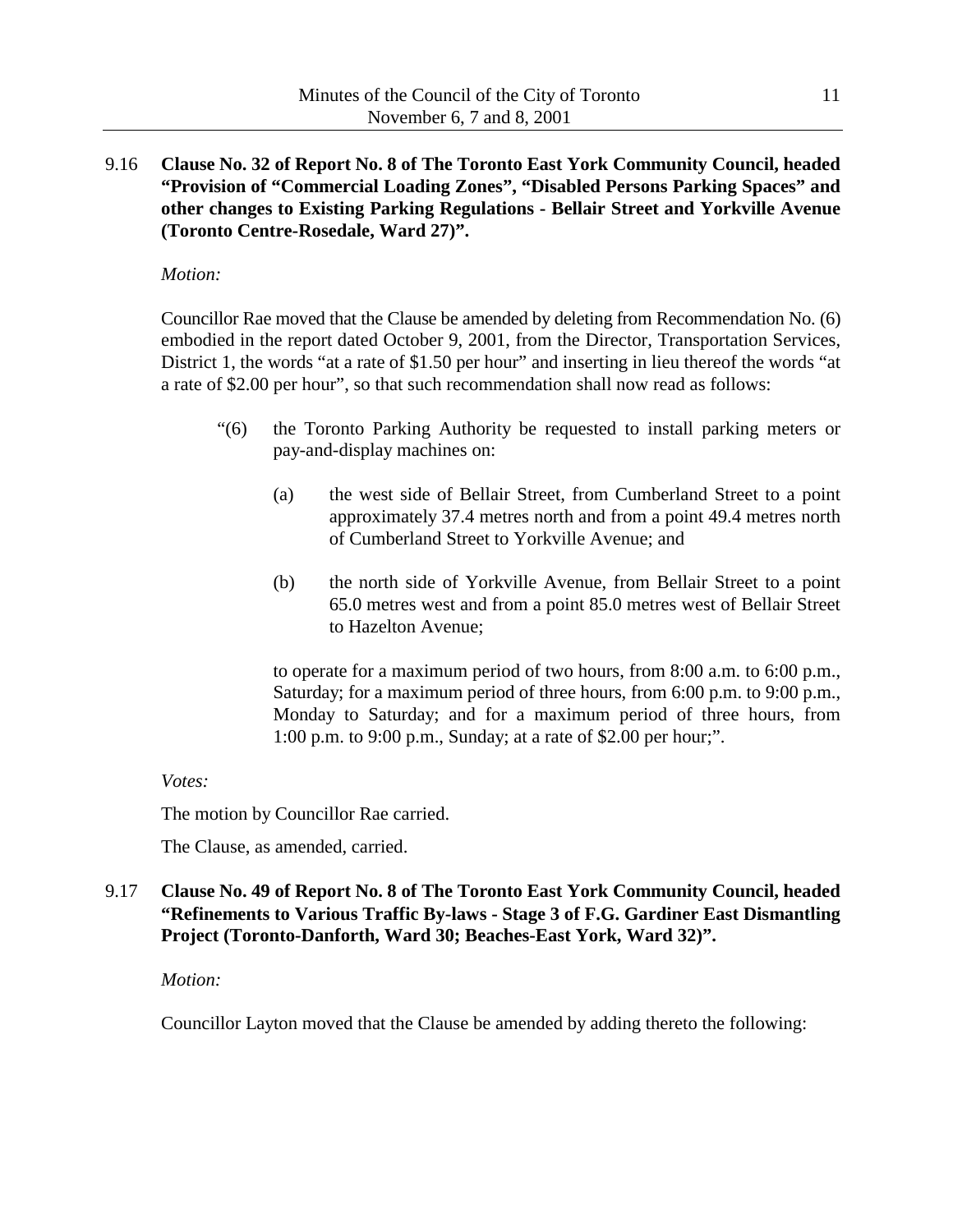9.16 **Clause No. 32 of Report No. 8 of The Toronto East York Community Council, headed "Provision of "Commercial Loading Zones", "Disabled Persons Parking Spaces" and other changes to Existing Parking Regulations - Bellair Street and Yorkville Avenue (Toronto Centre-Rosedale, Ward 27)".**

#### *Motion:*

Councillor Rae moved that the Clause be amended by deleting from Recommendation No. (6) embodied in the report dated October 9, 2001, from the Director, Transportation Services, District 1, the words "at a rate of \$1.50 per hour" and inserting in lieu thereof the words "at a rate of \$2.00 per hour", so that such recommendation shall now read as follows:

- "(6) the Toronto Parking Authority be requested to install parking meters or pay-and-display machines on:
	- (a) the west side of Bellair Street, from Cumberland Street to a point approximately 37.4 metres north and from a point 49.4 metres north of Cumberland Street to Yorkville Avenue; and
	- (b) the north side of Yorkville Avenue, from Bellair Street to a point 65.0 metres west and from a point 85.0 metres west of Bellair Street to Hazelton Avenue;

to operate for a maximum period of two hours, from 8:00 a.m. to 6:00 p.m., Saturday; for a maximum period of three hours, from 6:00 p.m. to 9:00 p.m., Monday to Saturday; and for a maximum period of three hours, from 1:00 p.m. to 9:00 p.m., Sunday; at a rate of \$2.00 per hour;".

## *Votes:*

The motion by Councillor Rae carried.

The Clause, as amended, carried.

# 9.17 **Clause No. 49 of Report No. 8 of The Toronto East York Community Council, headed "Refinements to Various Traffic By-laws - Stage 3 of F.G. Gardiner East Dismantling Project (Toronto-Danforth, Ward 30; Beaches-East York, Ward 32)".**

## *Motion:*

Councillor Layton moved that the Clause be amended by adding thereto the following: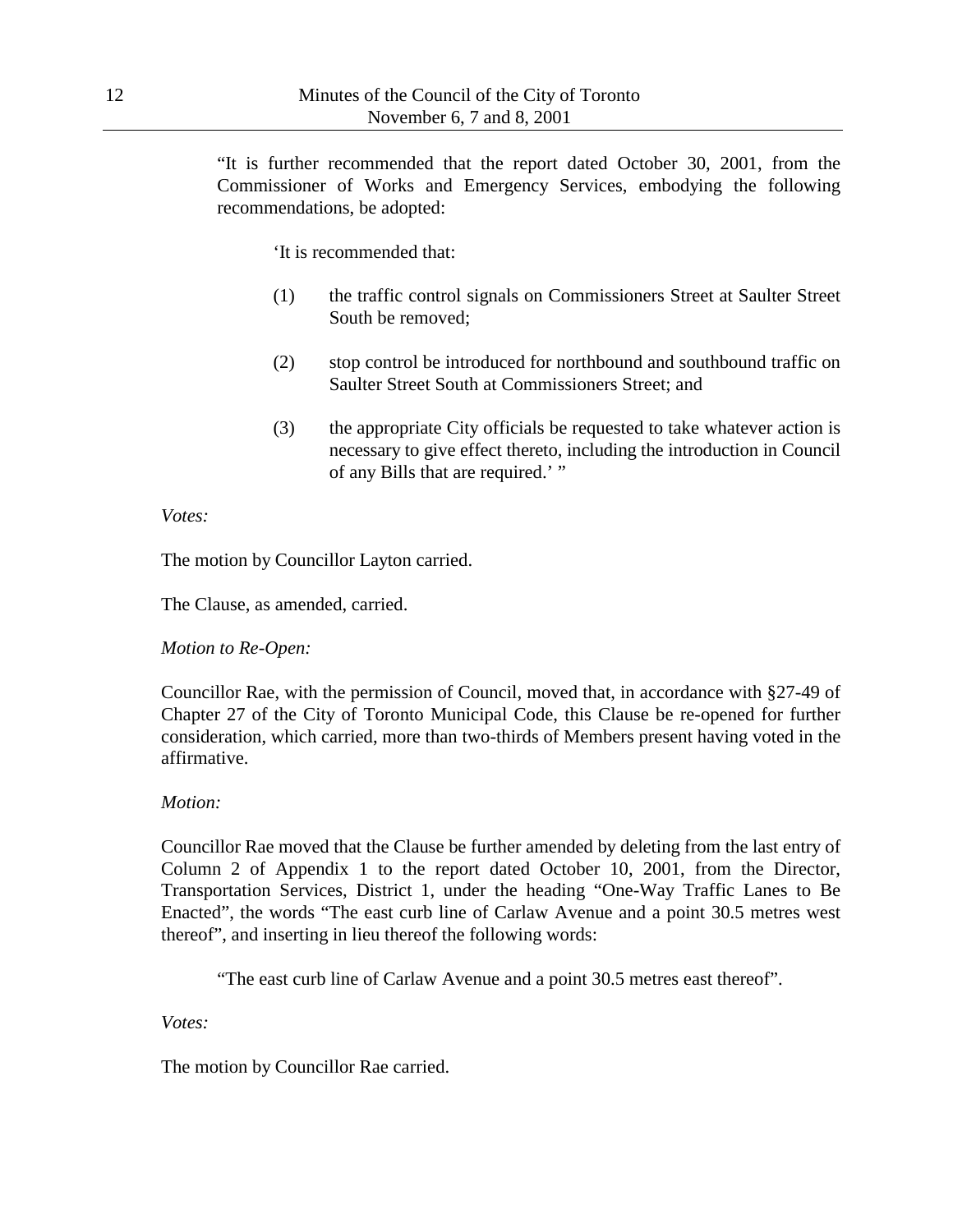"It is further recommended that the report dated October 30, 2001, from the Commissioner of Works and Emergency Services, embodying the following recommendations, be adopted:

'It is recommended that:

- (1) the traffic control signals on Commissioners Street at Saulter Street South be removed;
- (2) stop control be introduced for northbound and southbound traffic on Saulter Street South at Commissioners Street; and
- (3) the appropriate City officials be requested to take whatever action is necessary to give effect thereto, including the introduction in Council of any Bills that are required.' "

#### *Votes:*

The motion by Councillor Layton carried.

The Clause, as amended, carried.

*Motion to Re-Open:*

Councillor Rae, with the permission of Council, moved that, in accordance with §27-49 of Chapter 27 of the City of Toronto Municipal Code, this Clause be re-opened for further consideration, which carried, more than two-thirds of Members present having voted in the affirmative.

#### *Motion:*

Councillor Rae moved that the Clause be further amended by deleting from the last entry of Column 2 of Appendix 1 to the report dated October 10, 2001, from the Director, Transportation Services, District 1, under the heading "One-Way Traffic Lanes to Be Enacted", the words "The east curb line of Carlaw Avenue and a point 30.5 metres west thereof", and inserting in lieu thereof the following words:

"The east curb line of Carlaw Avenue and a point 30.5 metres east thereof".

*Votes:*

The motion by Councillor Rae carried.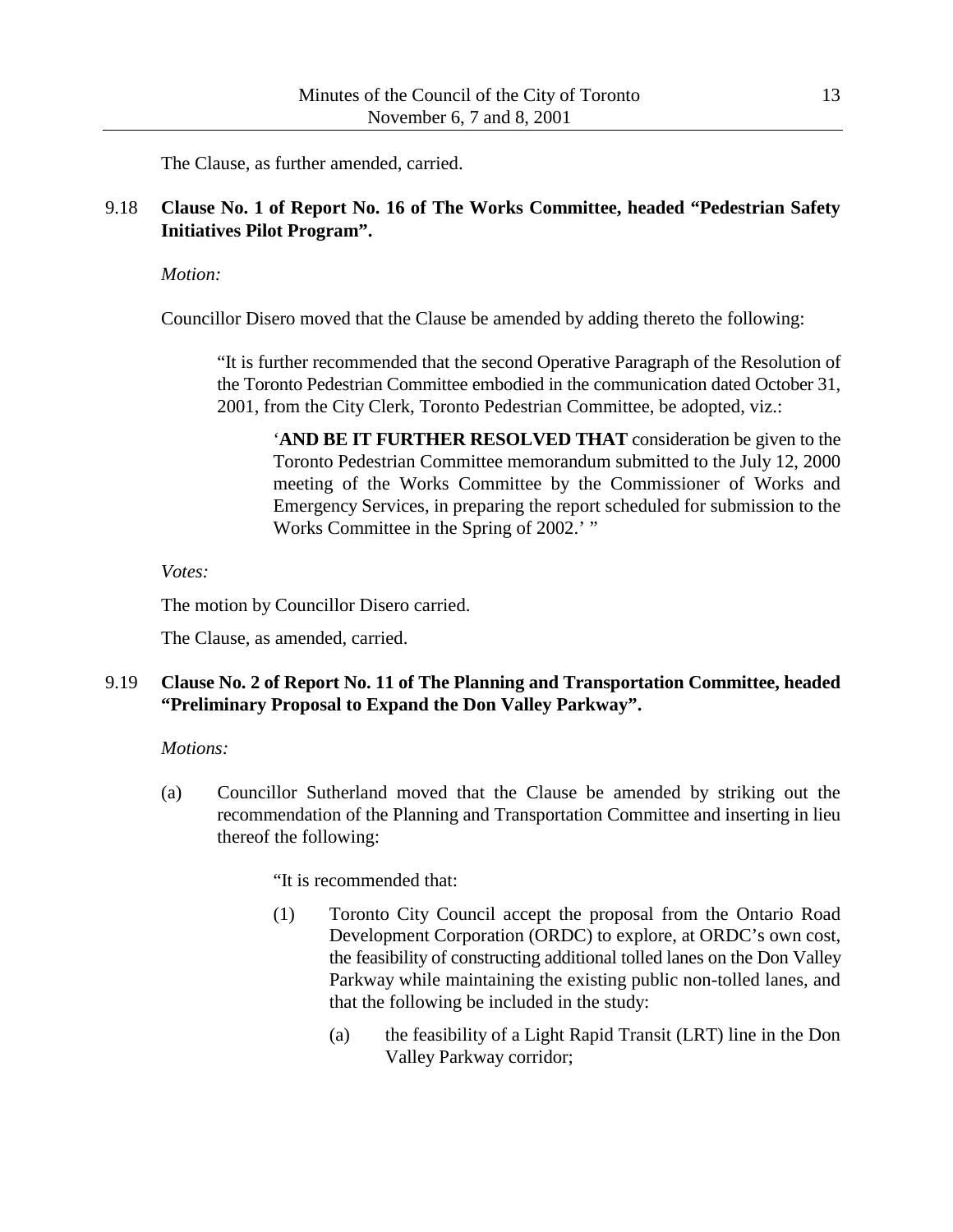The Clause, as further amended, carried.

# 9.18 **Clause No. 1 of Report No. 16 of The Works Committee, headed "Pedestrian Safety Initiatives Pilot Program".**

*Motion:*

Councillor Disero moved that the Clause be amended by adding thereto the following:

"It is further recommended that the second Operative Paragraph of the Resolution of the Toronto Pedestrian Committee embodied in the communication dated October 31, 2001, from the City Clerk, Toronto Pedestrian Committee, be adopted, viz.:

'**AND BE IT FURTHER RESOLVED THAT** consideration be given to the Toronto Pedestrian Committee memorandum submitted to the July 12, 2000 meeting of the Works Committee by the Commissioner of Works and Emergency Services, in preparing the report scheduled for submission to the Works Committee in the Spring of 2002.' "

*Votes:*

The motion by Councillor Disero carried.

The Clause, as amended, carried.

# 9.19 **Clause No. 2 of Report No. 11 of The Planning and Transportation Committee, headed "Preliminary Proposal to Expand the Don Valley Parkway".**

## *Motions:*

(a) Councillor Sutherland moved that the Clause be amended by striking out the recommendation of the Planning and Transportation Committee and inserting in lieu thereof the following:

"It is recommended that:

- (1) Toronto City Council accept the proposal from the Ontario Road Development Corporation (ORDC) to explore, at ORDC's own cost, the feasibility of constructing additional tolled lanes on the Don Valley Parkway while maintaining the existing public non-tolled lanes, and that the following be included in the study:
	- (a) the feasibility of a Light Rapid Transit (LRT) line in the Don Valley Parkway corridor;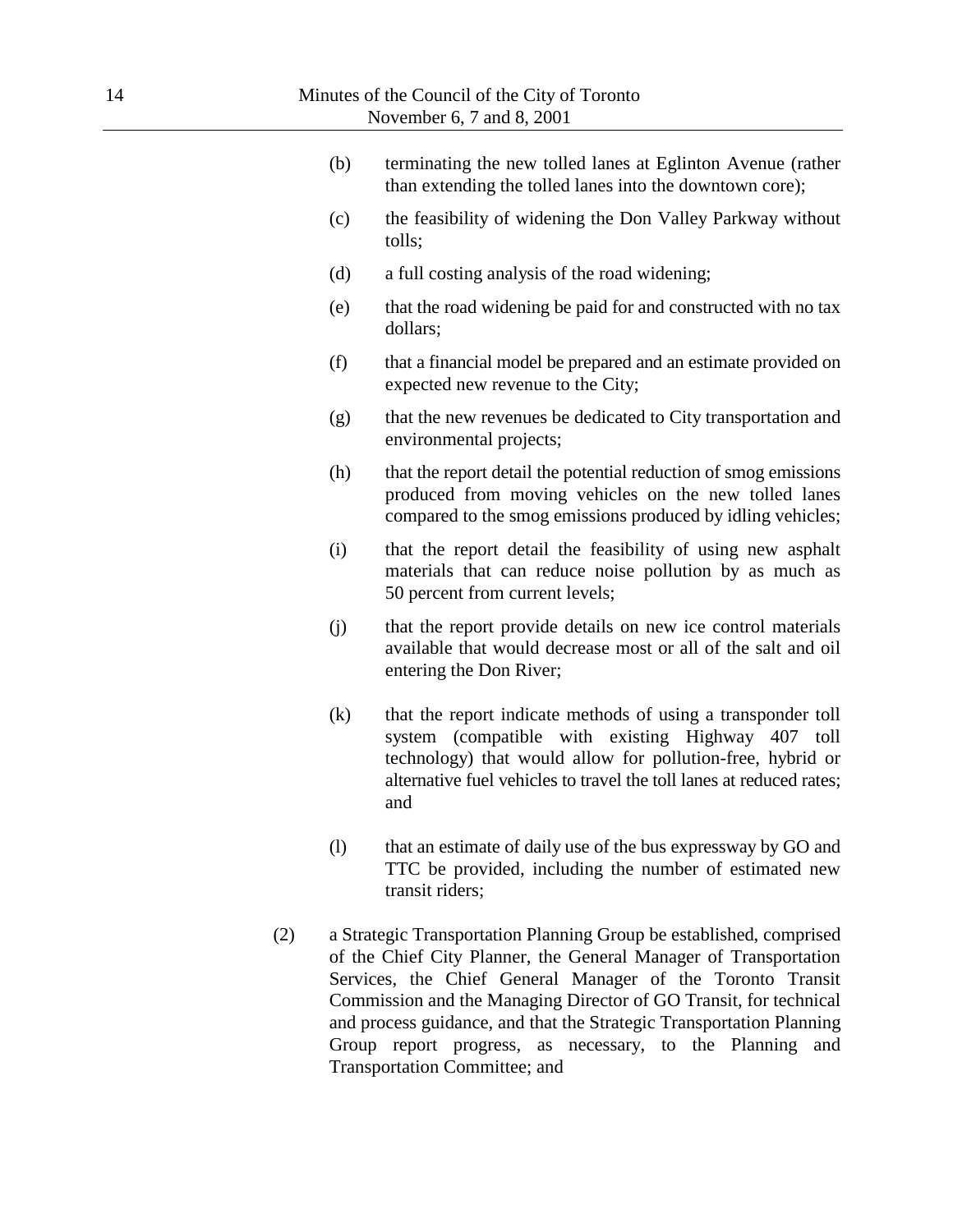| (b) | terminating the new tolled lanes at Eglinton Avenue (rather<br>than extending the tolled lanes into the downtown core);                                                                                                                                           |
|-----|-------------------------------------------------------------------------------------------------------------------------------------------------------------------------------------------------------------------------------------------------------------------|
| (c) | the feasibility of widening the Don Valley Parkway without<br>tolls;                                                                                                                                                                                              |
| (d) | a full costing analysis of the road widening;                                                                                                                                                                                                                     |
| (e) | that the road widening be paid for and constructed with no tax<br>dollars;                                                                                                                                                                                        |
| (f) | that a financial model be prepared and an estimate provided on<br>expected new revenue to the City;                                                                                                                                                               |
| (g) | that the new revenues be dedicated to City transportation and<br>environmental projects;                                                                                                                                                                          |
| (h) | that the report detail the potential reduction of smog emissions<br>produced from moving vehicles on the new tolled lanes<br>compared to the smog emissions produced by idling vehicles;                                                                          |
| (i) | that the report detail the feasibility of using new asphalt<br>materials that can reduce noise pollution by as much as<br>50 percent from current levels;                                                                                                         |
| (j) | that the report provide details on new ice control materials<br>available that would decrease most or all of the salt and oil<br>entering the Don River;                                                                                                          |
| (k) | that the report indicate methods of using a transponder toll<br>(compatible with existing Highway 407 toll<br>system<br>technology) that would allow for pollution-free, hybrid or<br>alternative fuel vehicles to travel the toll lanes at reduced rates;<br>and |
| (1) | that an estimate of daily use of the bus expressway by GO and<br>TTC be provided, including the number of estimated new                                                                                                                                           |

(2) a Strategic Transportation Planning Group be established, comprised of the Chief City Planner, the General Manager of Transportation Services, the Chief General Manager of the Toronto Transit Commission and the Managing Director of GO Transit, for technical and process guidance, and that the Strategic Transportation Planning Group report progress, as necessary, to the Planning and Transportation Committee; and

transit riders;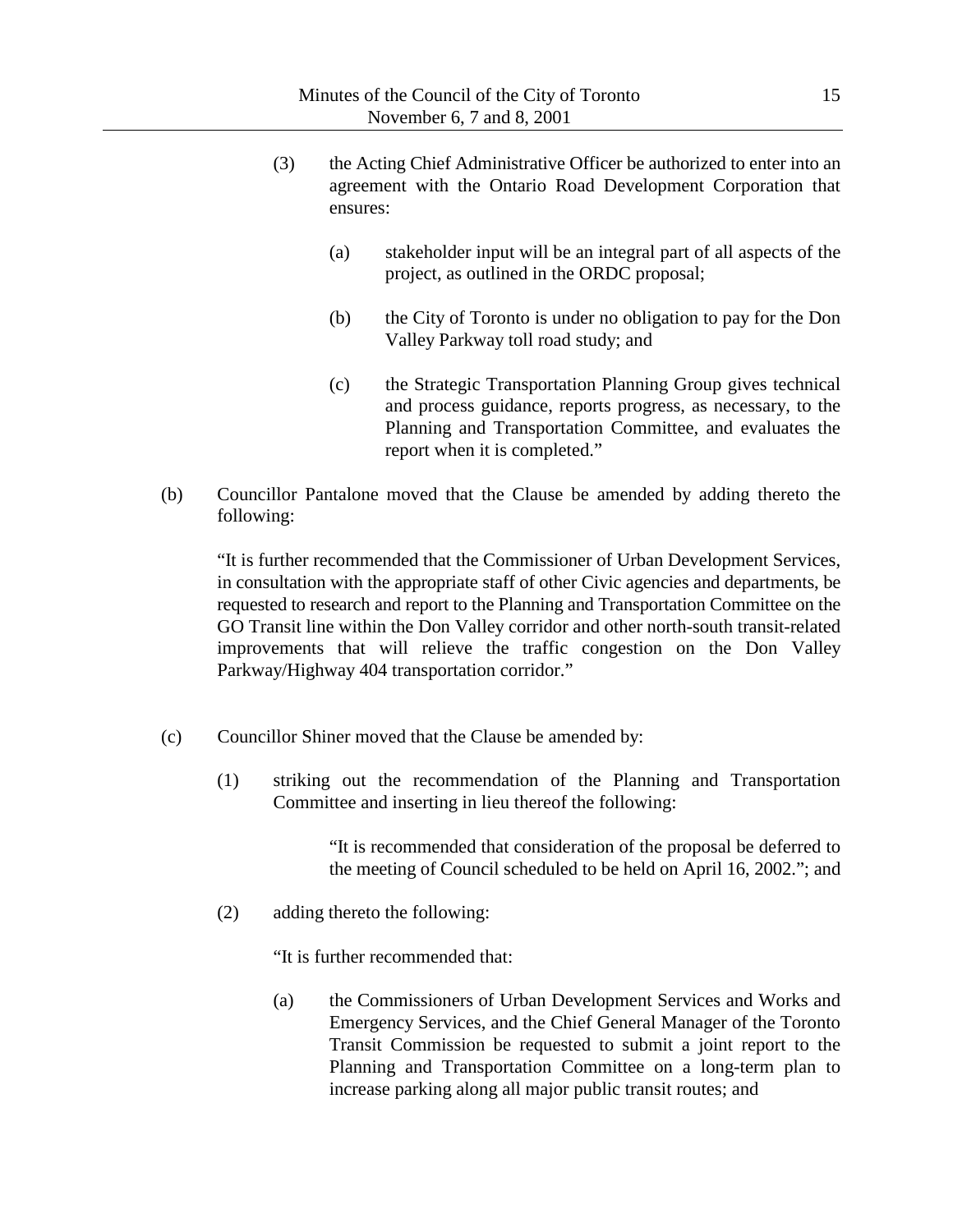- (3) the Acting Chief Administrative Officer be authorized to enter into an agreement with the Ontario Road Development Corporation that ensures:
	- (a) stakeholder input will be an integral part of all aspects of the project, as outlined in the ORDC proposal;
	- (b) the City of Toronto is under no obligation to pay for the Don Valley Parkway toll road study; and
	- (c) the Strategic Transportation Planning Group gives technical and process guidance, reports progress, as necessary, to the Planning and Transportation Committee, and evaluates the report when it is completed."
- (b) Councillor Pantalone moved that the Clause be amended by adding thereto the following:

"It is further recommended that the Commissioner of Urban Development Services, in consultation with the appropriate staff of other Civic agencies and departments, be requested to research and report to the Planning and Transportation Committee on the GO Transit line within the Don Valley corridor and other north-south transit-related improvements that will relieve the traffic congestion on the Don Valley Parkway/Highway 404 transportation corridor."

- (c) Councillor Shiner moved that the Clause be amended by:
	- (1) striking out the recommendation of the Planning and Transportation Committee and inserting in lieu thereof the following:

"It is recommended that consideration of the proposal be deferred to the meeting of Council scheduled to be held on April 16, 2002."; and

(2) adding thereto the following:

"It is further recommended that:

(a) the Commissioners of Urban Development Services and Works and Emergency Services, and the Chief General Manager of the Toronto Transit Commission be requested to submit a joint report to the Planning and Transportation Committee on a long-term plan to increase parking along all major public transit routes; and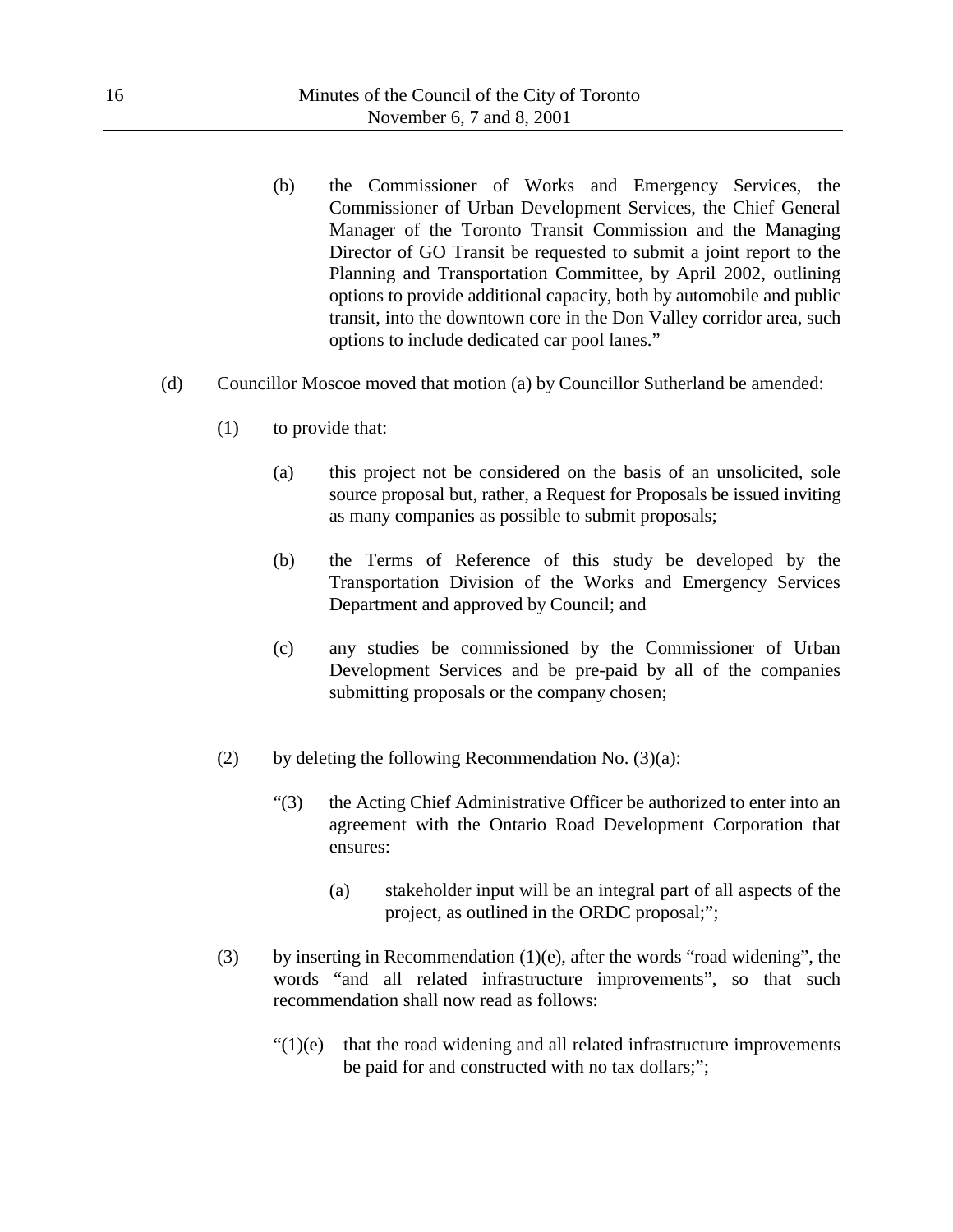- (b) the Commissioner of Works and Emergency Services, the Commissioner of Urban Development Services, the Chief General Manager of the Toronto Transit Commission and the Managing Director of GO Transit be requested to submit a joint report to the Planning and Transportation Committee, by April 2002, outlining options to provide additional capacity, both by automobile and public transit, into the downtown core in the Don Valley corridor area, such options to include dedicated car pool lanes."
- (d) Councillor Moscoe moved that motion (a) by Councillor Sutherland be amended:
	- (1) to provide that:
		- (a) this project not be considered on the basis of an unsolicited, sole source proposal but, rather, a Request for Proposals be issued inviting as many companies as possible to submit proposals;
		- (b) the Terms of Reference of this study be developed by the Transportation Division of the Works and Emergency Services Department and approved by Council; and
		- (c) any studies be commissioned by the Commissioner of Urban Development Services and be pre-paid by all of the companies submitting proposals or the company chosen;
	- (2) by deleting the following Recommendation No.  $(3)(a)$ :
		- "(3) the Acting Chief Administrative Officer be authorized to enter into an agreement with the Ontario Road Development Corporation that ensures:
			- (a) stakeholder input will be an integral part of all aspects of the project, as outlined in the ORDC proposal;";
	- (3) by inserting in Recommendation (1)(e), after the words "road widening", the words "and all related infrastructure improvements", so that such recommendation shall now read as follows:
		- $"(1)(e)$  that the road widening and all related infrastructure improvements be paid for and constructed with no tax dollars;";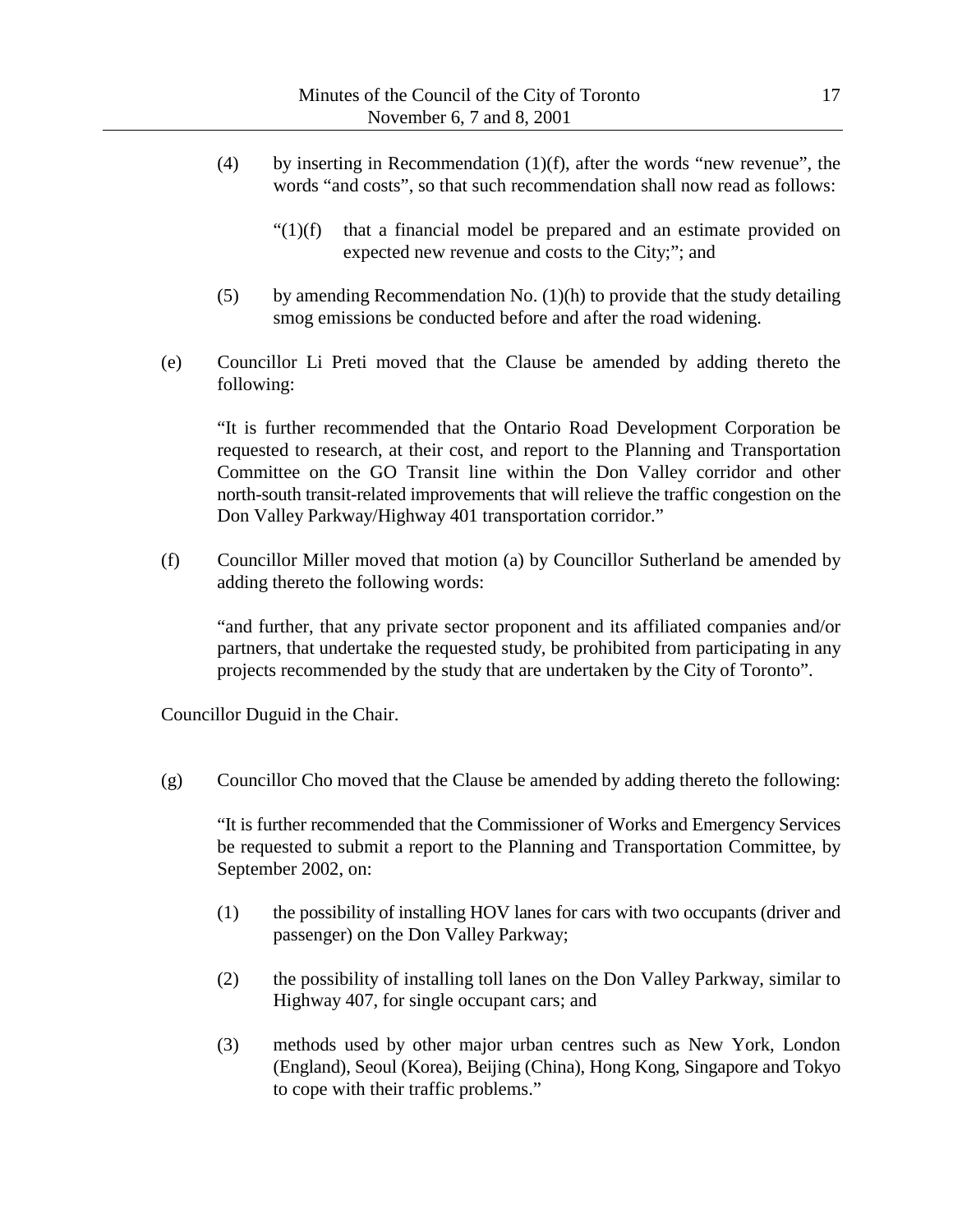- (4) by inserting in Recommendation (1)(f), after the words "new revenue", the words "and costs", so that such recommendation shall now read as follows:
	- $"(1)(f)$  that a financial model be prepared and an estimate provided on expected new revenue and costs to the City;"; and
- (5) by amending Recommendation No.  $(1)(h)$  to provide that the study detailing smog emissions be conducted before and after the road widening.
- (e) Councillor Li Preti moved that the Clause be amended by adding thereto the following:

"It is further recommended that the Ontario Road Development Corporation be requested to research, at their cost, and report to the Planning and Transportation Committee on the GO Transit line within the Don Valley corridor and other north-south transit-related improvements that will relieve the traffic congestion on the Don Valley Parkway/Highway 401 transportation corridor."

(f) Councillor Miller moved that motion (a) by Councillor Sutherland be amended by adding thereto the following words:

"and further, that any private sector proponent and its affiliated companies and/or partners, that undertake the requested study, be prohibited from participating in any projects recommended by the study that are undertaken by the City of Toronto".

Councillor Duguid in the Chair.

(g) Councillor Cho moved that the Clause be amended by adding thereto the following:

"It is further recommended that the Commissioner of Works and Emergency Services be requested to submit a report to the Planning and Transportation Committee, by September 2002, on:

- (1) the possibility of installing HOV lanes for cars with two occupants (driver and passenger) on the Don Valley Parkway;
- (2) the possibility of installing toll lanes on the Don Valley Parkway, similar to Highway 407, for single occupant cars; and
- (3) methods used by other major urban centres such as New York, London (England), Seoul (Korea), Beijing (China), Hong Kong, Singapore and Tokyo to cope with their traffic problems."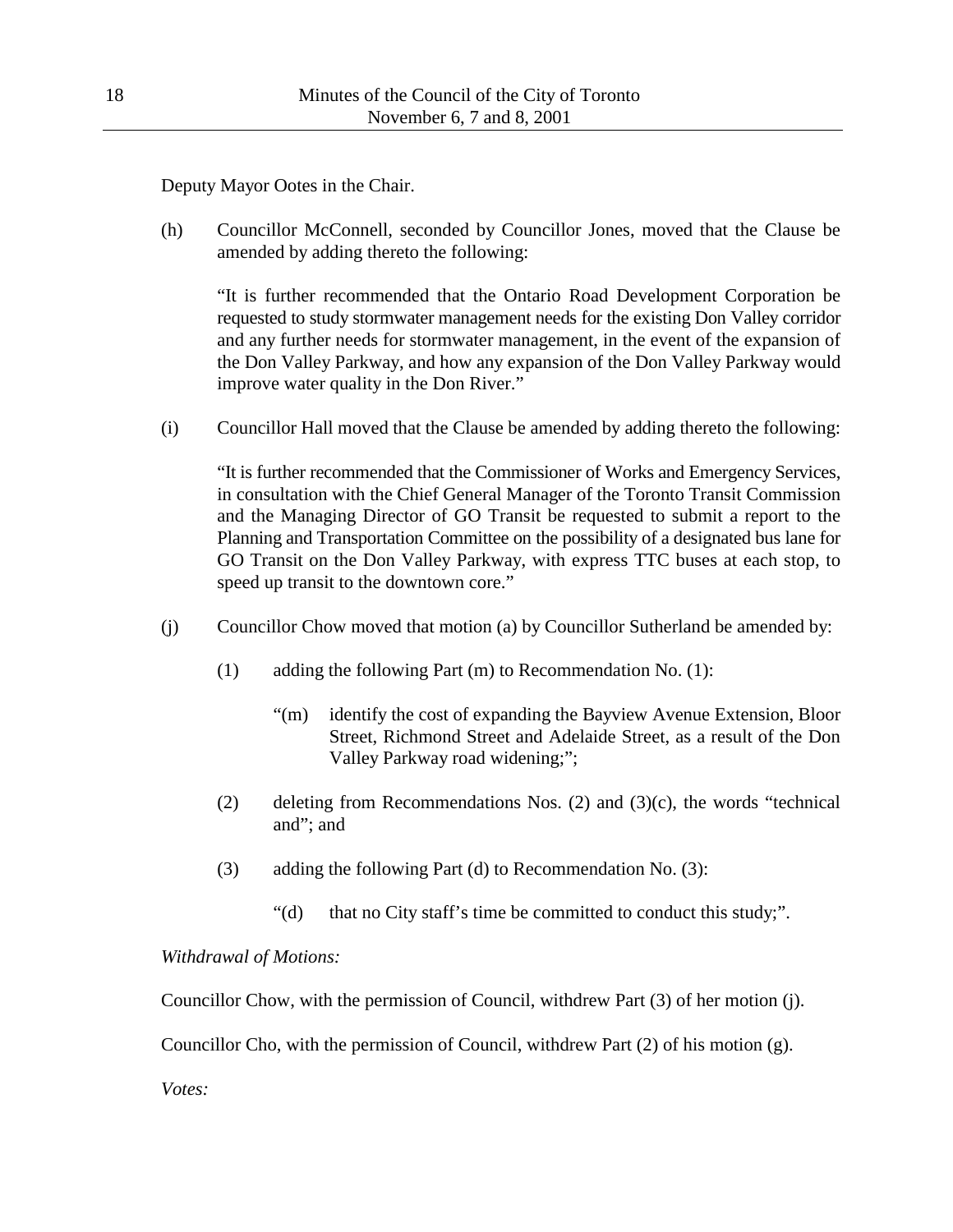Deputy Mayor Ootes in the Chair.

(h) Councillor McConnell, seconded by Councillor Jones, moved that the Clause be amended by adding thereto the following:

"It is further recommended that the Ontario Road Development Corporation be requested to study stormwater management needs for the existing Don Valley corridor and any further needs for stormwater management, in the event of the expansion of the Don Valley Parkway, and how any expansion of the Don Valley Parkway would improve water quality in the Don River."

(i) Councillor Hall moved that the Clause be amended by adding thereto the following:

"It is further recommended that the Commissioner of Works and Emergency Services, in consultation with the Chief General Manager of the Toronto Transit Commission and the Managing Director of GO Transit be requested to submit a report to the Planning and Transportation Committee on the possibility of a designated bus lane for GO Transit on the Don Valley Parkway, with express TTC buses at each stop, to speed up transit to the downtown core."

- (j) Councillor Chow moved that motion (a) by Councillor Sutherland be amended by:
	- (1) adding the following Part (m) to Recommendation No. (1):
		- "(m) identify the cost of expanding the Bayview Avenue Extension, Bloor Street, Richmond Street and Adelaide Street, as a result of the Don Valley Parkway road widening;";
	- (2) deleting from Recommendations Nos. (2) and (3)(c), the words "technical and"; and
	- (3) adding the following Part (d) to Recommendation No. (3):
		- "(d) that no City staff's time be committed to conduct this study;".

*Withdrawal of Motions:*

Councillor Chow, with the permission of Council, withdrew Part (3) of her motion (j).

Councillor Cho, with the permission of Council, withdrew Part  $(2)$  of his motion  $(g)$ .

*Votes:*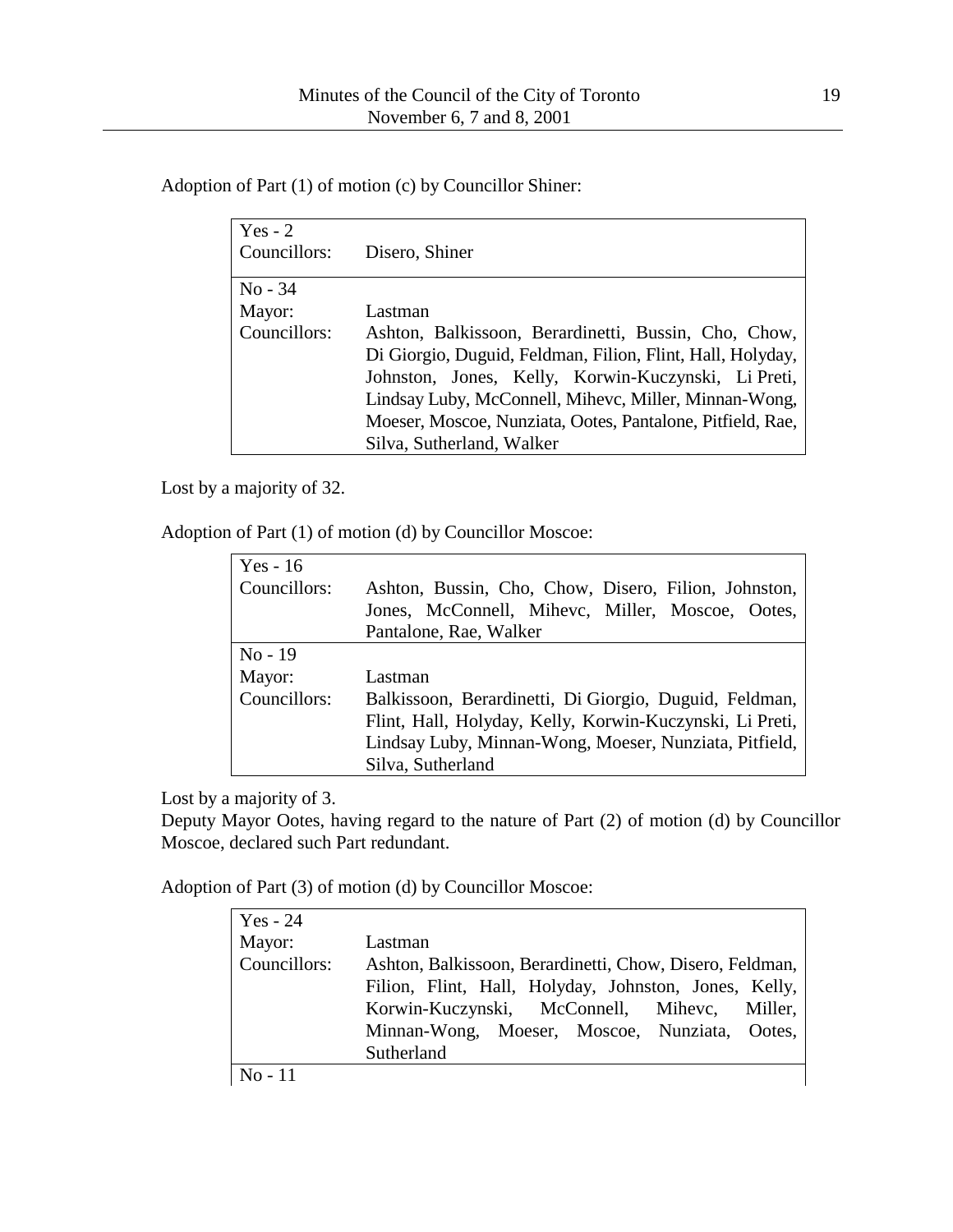Adoption of Part (1) of motion (c) by Councillor Shiner:

| Yes - $2$<br>Councillors: | Disero, Shiner                                             |
|---------------------------|------------------------------------------------------------|
|                           |                                                            |
| $No - 34$                 |                                                            |
| Mayor:                    | Lastman                                                    |
| Councillors:              | Ashton, Balkissoon, Berardinetti, Bussin, Cho, Chow,       |
|                           | Di Giorgio, Duguid, Feldman, Filion, Flint, Hall, Holyday, |
|                           | Johnston, Jones, Kelly, Korwin-Kuczynski, Li Preti,        |
|                           | Lindsay Luby, McConnell, Mihevc, Miller, Minnan-Wong,      |
|                           | Moeser, Moscoe, Nunziata, Ootes, Pantalone, Pitfield, Rae, |
|                           | Silva, Sutherland, Walker                                  |

Lost by a majority of 32.

Adoption of Part (1) of motion (d) by Councillor Moscoe:

| $Yes - 16$   |                                                          |
|--------------|----------------------------------------------------------|
| Councillors: | Ashton, Bussin, Cho, Chow, Disero, Filion, Johnston,     |
|              | Jones, McConnell, Mihevc, Miller, Moscoe, Ootes,         |
|              | Pantalone, Rae, Walker                                   |
| $No-19$      |                                                          |
| Mayor:       | Lastman                                                  |
| Councillors: | Balkissoon, Berardinetti, Di Giorgio, Duguid, Feldman,   |
|              | Flint, Hall, Holyday, Kelly, Korwin-Kuczynski, Li Preti, |
|              | Lindsay Luby, Minnan-Wong, Moeser, Nunziata, Pitfield,   |
|              | Silva, Sutherland                                        |

Lost by a majority of 3.

Deputy Mayor Ootes, having regard to the nature of Part (2) of motion (d) by Councillor Moscoe, declared such Part redundant.

Adoption of Part (3) of motion (d) by Councillor Moscoe:

| $Yes - 24$   |                                                          |
|--------------|----------------------------------------------------------|
| Mayor:       | Lastman                                                  |
| Councillors: | Ashton, Balkissoon, Berardinetti, Chow, Disero, Feldman, |
|              | Filion, Flint, Hall, Holyday, Johnston, Jones, Kelly,    |
|              | Korwin-Kuczynski, McConnell, Mihevc, Miller,             |
|              | Minnan-Wong, Moeser, Moscoe, Nunziata, Ootes,            |
|              | Sutherland                                               |
| $No-11$      |                                                          |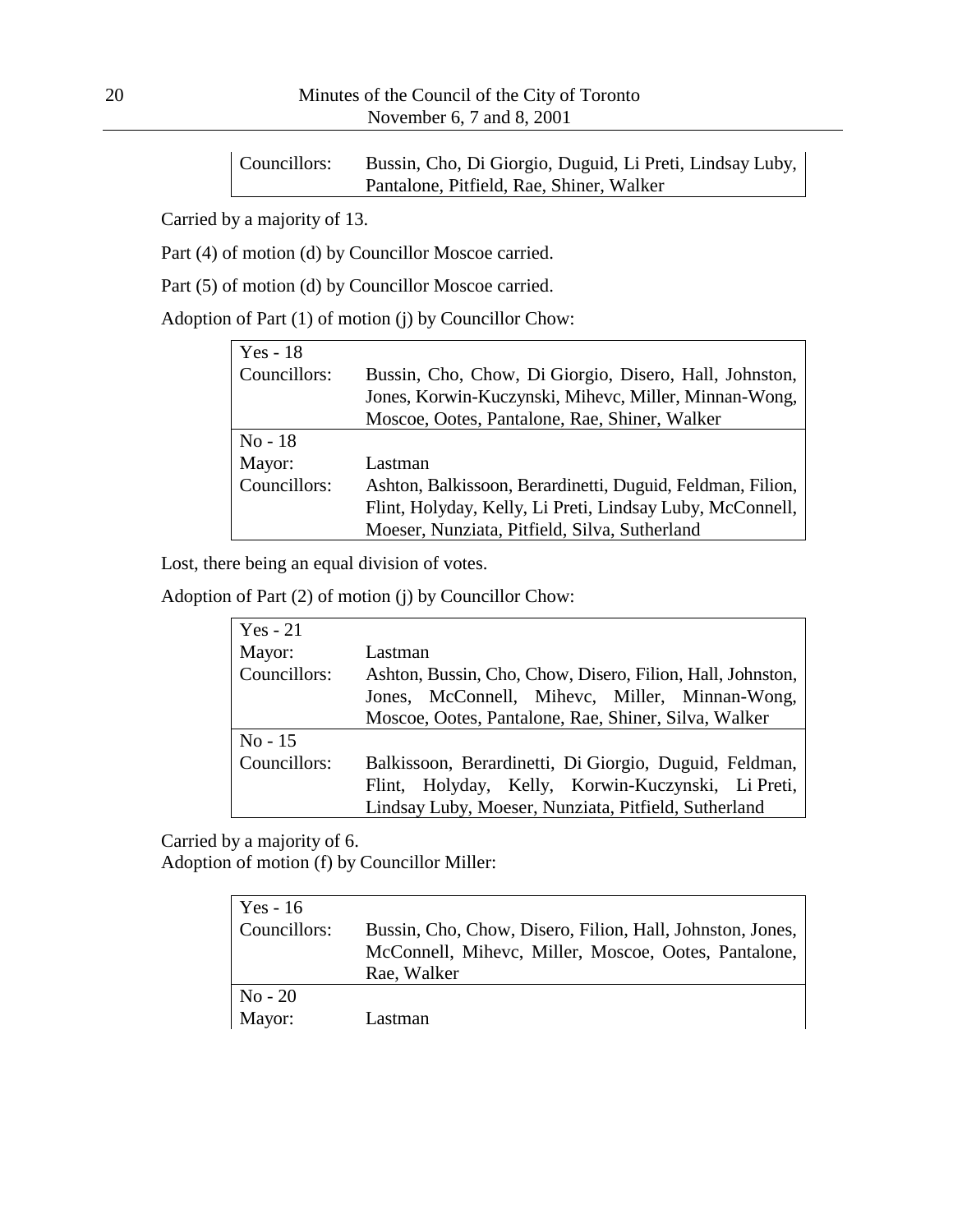Councillors: Bussin, Cho, Di Giorgio, Duguid, Li Preti, Lindsay Luby, Pantalone, Pitfield, Rae, Shiner, Walker

Carried by a majority of 13.

Part (4) of motion (d) by Councillor Moscoe carried.

Part (5) of motion (d) by Councillor Moscoe carried.

Adoption of Part (1) of motion (j) by Councillor Chow:

| $Yes - 18$   |                                                            |
|--------------|------------------------------------------------------------|
| Councillors: | Bussin, Cho, Chow, Di Giorgio, Disero, Hall, Johnston,     |
|              | Jones, Korwin-Kuczynski, Mihevc, Miller, Minnan-Wong,      |
|              | Moscoe, Ootes, Pantalone, Rae, Shiner, Walker              |
| $No-18$      |                                                            |
| Mayor:       | Lastman                                                    |
| Councillors: | Ashton, Balkissoon, Berardinetti, Duguid, Feldman, Filion, |
|              | Flint, Holyday, Kelly, Li Preti, Lindsay Luby, McConnell,  |
|              | Moeser, Nunziata, Pitfield, Silva, Sutherland              |

Lost, there being an equal division of votes.

Adoption of Part (2) of motion (j) by Councillor Chow:

| $Yes - 21$   |                                                            |
|--------------|------------------------------------------------------------|
| Mayor:       | Lastman                                                    |
| Councillors: | Ashton, Bussin, Cho, Chow, Disero, Filion, Hall, Johnston, |
|              | Jones, McConnell, Mihevc, Miller, Minnan-Wong,             |
|              | Moscoe, Ootes, Pantalone, Rae, Shiner, Silva, Walker       |
| $No - 15$    |                                                            |
| Councillors: | Balkissoon, Berardinetti, Di Giorgio, Duguid, Feldman,     |
|              | Flint, Holyday, Kelly, Korwin-Kuczynski, Li Preti,         |
|              | Lindsay Luby, Moeser, Nunziata, Pitfield, Sutherland       |

Carried by a majority of 6.

Adoption of motion (f) by Councillor Miller:

| Yes - $16$   |                                                           |
|--------------|-----------------------------------------------------------|
| Councillors: | Bussin, Cho, Chow, Disero, Filion, Hall, Johnston, Jones, |
|              | McConnell, Mihevc, Miller, Moscoe, Ootes, Pantalone,      |
|              | Rae, Walker                                               |
| $No - 20$    |                                                           |
| Mayor:       | Lastman                                                   |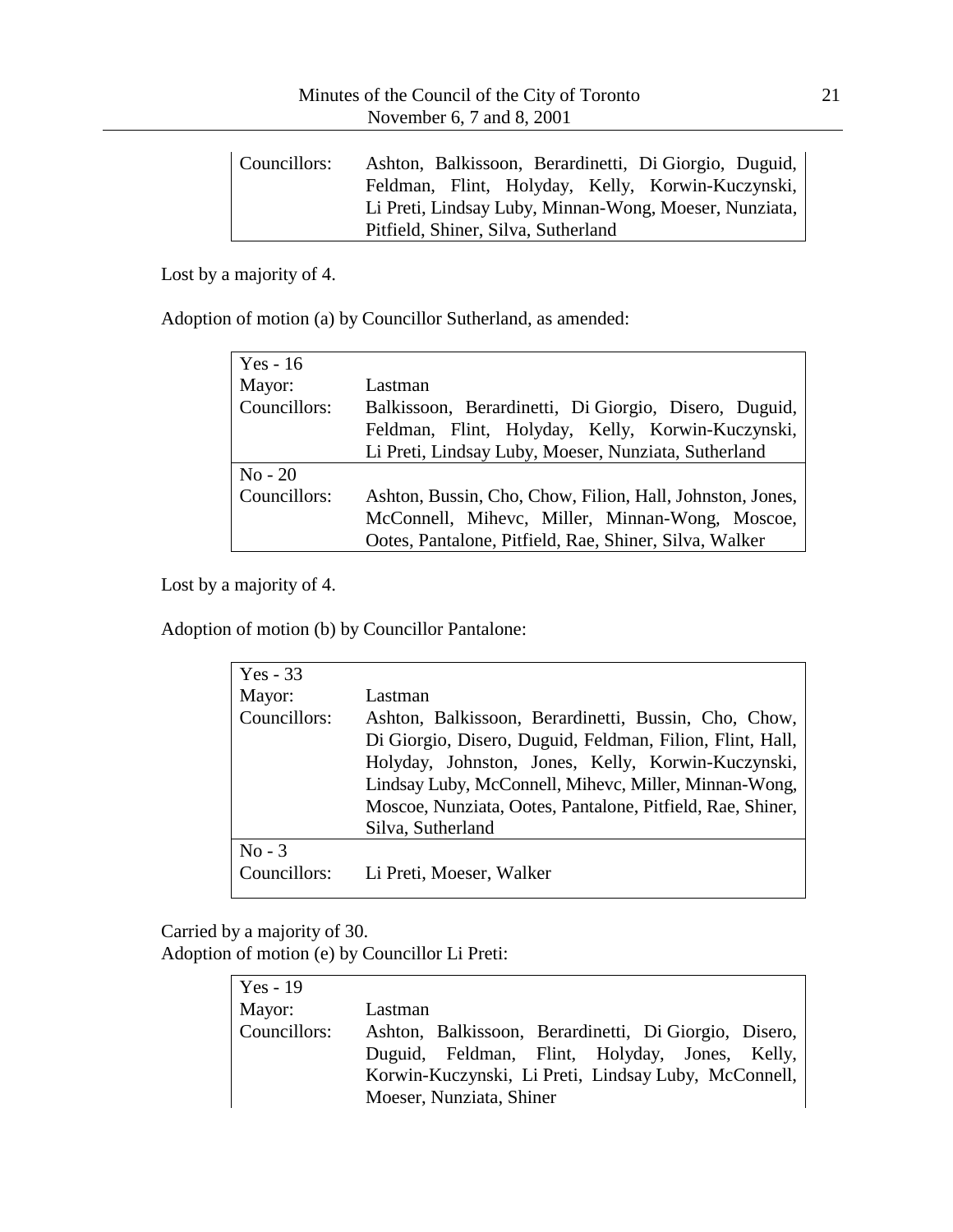| Councillors: | Ashton, Balkissoon, Berardinetti, Di Giorgio, Duguid,  |
|--------------|--------------------------------------------------------|
|              | Feldman, Flint, Holyday, Kelly, Korwin-Kuczynski,      |
|              | Li Preti, Lindsay Luby, Minnan-Wong, Moeser, Nunziata, |
|              | Pitfield, Shiner, Silva, Sutherland                    |

Lost by a majority of 4.

Adoption of motion (a) by Councillor Sutherland, as amended:

| Yes - $16$    |                                                           |
|---------------|-----------------------------------------------------------|
| Mayor:        | Lastman                                                   |
| Councillors:  | Balkissoon, Berardinetti, Di Giorgio, Disero, Duguid,     |
|               | Feldman, Flint, Holyday, Kelly, Korwin-Kuczynski,         |
|               | Li Preti, Lindsay Luby, Moeser, Nunziata, Sutherland      |
| $\rm No - 20$ |                                                           |
| Councillors:  | Ashton, Bussin, Cho, Chow, Filion, Hall, Johnston, Jones, |
|               | McConnell, Mihevc, Miller, Minnan-Wong, Moscoe,           |
|               | Ootes, Pantalone, Pitfield, Rae, Shiner, Silva, Walker    |

Lost by a majority of 4.

Adoption of motion (b) by Councillor Pantalone:

| $Yes - 33$   |                                                            |
|--------------|------------------------------------------------------------|
| Mayor:       | Lastman                                                    |
| Councillors: | Ashton, Balkissoon, Berardinetti, Bussin, Cho, Chow,       |
|              | Di Giorgio, Disero, Duguid, Feldman, Filion, Flint, Hall,  |
|              | Holyday, Johnston, Jones, Kelly, Korwin-Kuczynski,         |
|              | Lindsay Luby, McConnell, Mihevc, Miller, Minnan-Wong,      |
|              | Moscoe, Nunziata, Ootes, Pantalone, Pitfield, Rae, Shiner, |
|              | Silva, Sutherland                                          |
| $No - 3$     |                                                            |
| Councillors: | Li Preti, Moeser, Walker                                   |

Carried by a majority of 30.

Adoption of motion (e) by Councillor Li Preti:

| $Yes - 19$   |                                                       |
|--------------|-------------------------------------------------------|
| Mayor:       | Lastman                                               |
| Councillors: | Ashton, Balkissoon, Berardinetti, Di Giorgio, Disero, |
|              | Duguid, Feldman, Flint, Holyday, Jones, Kelly,        |
|              | Korwin-Kuczynski, Li Preti, Lindsay Luby, McConnell,  |
|              | Moeser, Nunziata, Shiner                              |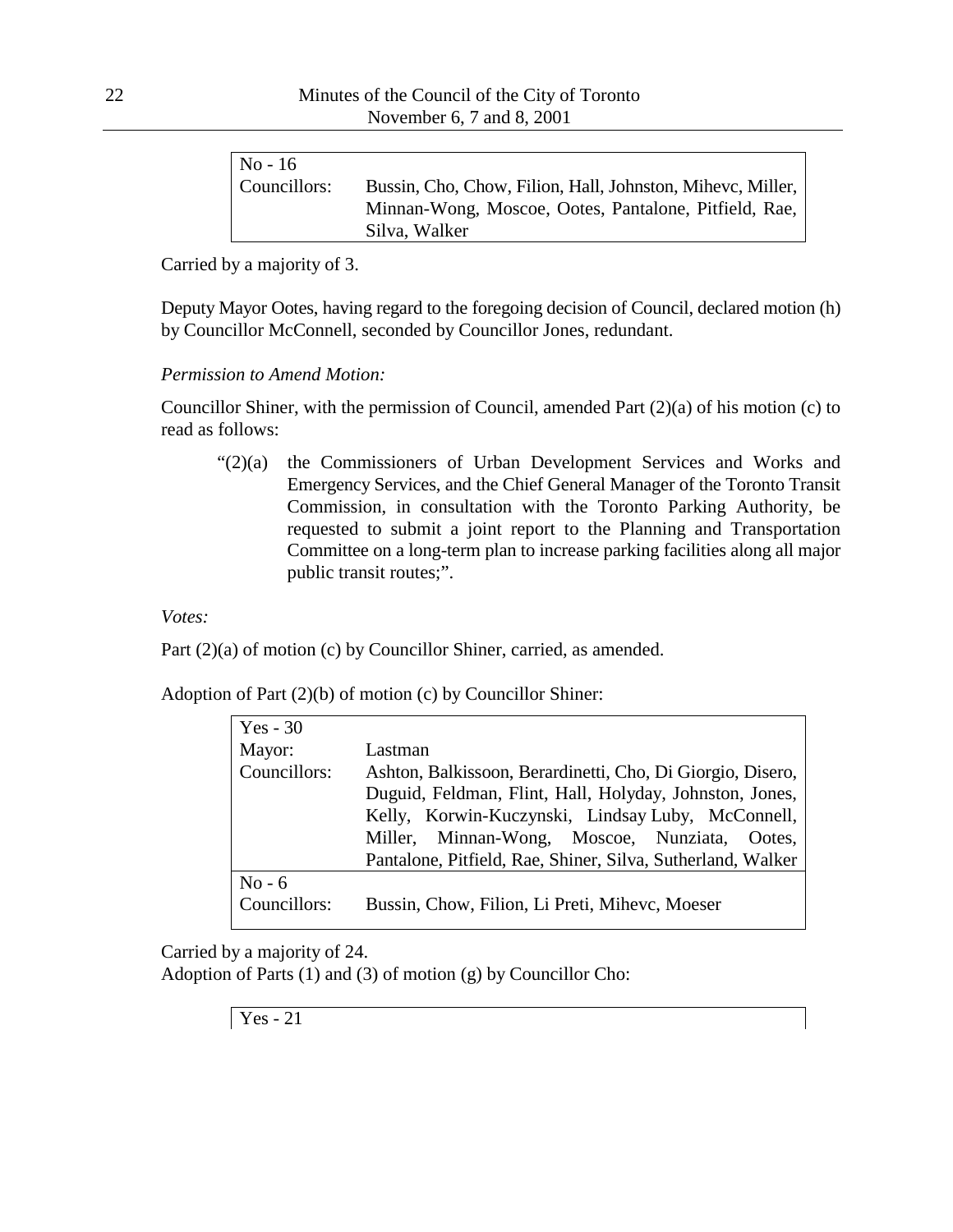| $No - 16$    |                                                            |
|--------------|------------------------------------------------------------|
| Councillors: | Bussin, Cho, Chow, Filion, Hall, Johnston, Mihevc, Miller, |
|              | Minnan-Wong, Moscoe, Ootes, Pantalone, Pitfield, Rae,      |
|              | Silva, Walker                                              |

Carried by a majority of 3.

Deputy Mayor Ootes, having regard to the foregoing decision of Council, declared motion (h) by Councillor McConnell, seconded by Councillor Jones, redundant.

#### *Permission to Amend Motion:*

Councillor Shiner, with the permission of Council, amended Part (2)(a) of his motion (c) to read as follows:

"(2)(a) the Commissioners of Urban Development Services and Works and Emergency Services, and the Chief General Manager of the Toronto Transit Commission, in consultation with the Toronto Parking Authority, be requested to submit a joint report to the Planning and Transportation Committee on a long-term plan to increase parking facilities along all major public transit routes;".

*Votes:*

Part (2)(a) of motion (c) by Councillor Shiner, carried, as amended.

Adoption of Part (2)(b) of motion (c) by Councillor Shiner:

| Lastman                                                     |
|-------------------------------------------------------------|
| Ashton, Balkissoon, Berardinetti, Cho, Di Giorgio, Disero,  |
| Duguid, Feldman, Flint, Hall, Holyday, Johnston, Jones,     |
| Kelly, Korwin-Kuczynski, Lindsay Luby, McConnell,           |
| Minnan-Wong, Moscoe, Nunziata, Ootes,<br>Miller,            |
| Pantalone, Pitfield, Rae, Shiner, Silva, Sutherland, Walker |
|                                                             |
| Bussin, Chow, Filion, Li Preti, Mihevc, Moeser              |
|                                                             |

Carried by a majority of 24.

Adoption of Parts (1) and (3) of motion (g) by Councillor Cho: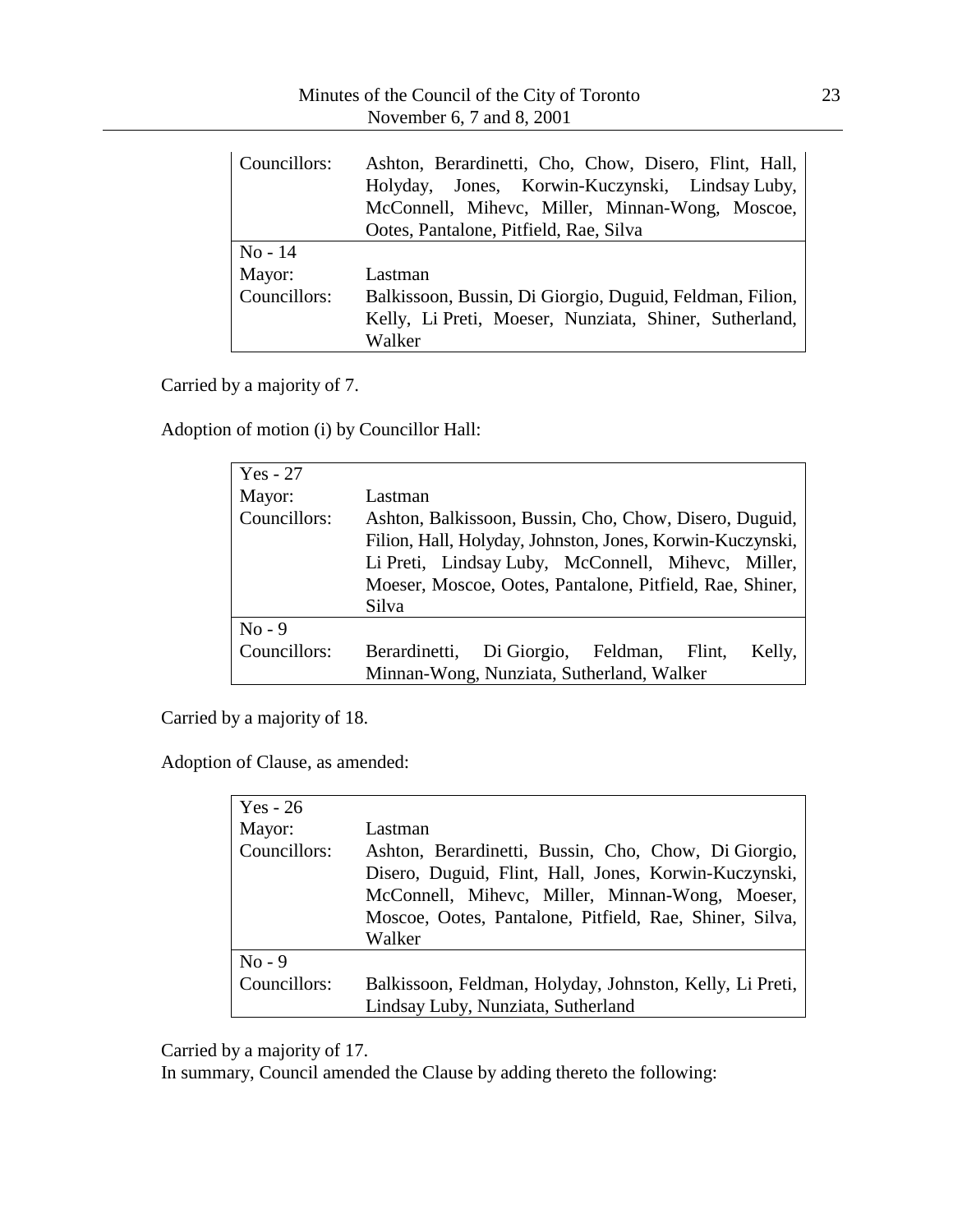| Councillors:                      | Ashton, Berardinetti, Cho, Chow, Disero, Flint, Hall,<br>Holyday, Jones, Korwin-Kuczynski, Lindsay Luby,<br>McConnell, Mihevc, Miller, Minnan-Wong, Moscoe,<br>Ootes, Pantalone, Pitfield, Rae, Silva |
|-----------------------------------|-------------------------------------------------------------------------------------------------------------------------------------------------------------------------------------------------------|
| $No-14$<br>Mayor:<br>Councillors: | Lastman<br>Balkissoon, Bussin, Di Giorgio, Duguid, Feldman, Filion,<br>Kelly, Li Preti, Moeser, Nunziata, Shiner, Sutherland,<br>Walker                                                               |

Carried by a majority of 7.

Adoption of motion (i) by Councillor Hall:

| $Yes - 27$   |                                                           |
|--------------|-----------------------------------------------------------|
| Mayor:       | Lastman                                                   |
| Councillors: | Ashton, Balkissoon, Bussin, Cho, Chow, Disero, Duguid,    |
|              | Filion, Hall, Holyday, Johnston, Jones, Korwin-Kuczynski, |
|              | Li Preti, Lindsay Luby, McConnell, Mihevc, Miller,        |
|              | Moeser, Moscoe, Ootes, Pantalone, Pitfield, Rae, Shiner,  |
|              | Silva                                                     |
| $No - 9$     |                                                           |
| Councillors: | Berardinetti, Di Giorgio, Feldman,<br>Kelly,<br>Flint,    |
|              | Minnan-Wong, Nunziata, Sutherland, Walker                 |

Carried by a majority of 18.

Adoption of Clause, as amended:

| $Yes - 26$   |                                                          |
|--------------|----------------------------------------------------------|
| Mayor:       | Lastman                                                  |
| Councillors: | Ashton, Berardinetti, Bussin, Cho, Chow, Di Giorgio,     |
|              | Disero, Duguid, Flint, Hall, Jones, Korwin-Kuczynski,    |
|              | McConnell, Mihevc, Miller, Minnan-Wong, Moeser,          |
|              | Moscoe, Ootes, Pantalone, Pitfield, Rae, Shiner, Silva,  |
|              | Walker                                                   |
| $No - 9$     |                                                          |
| Councillors: | Balkissoon, Feldman, Holyday, Johnston, Kelly, Li Preti, |
|              | Lindsay Luby, Nunziata, Sutherland                       |

Carried by a majority of 17.

In summary, Council amended the Clause by adding thereto the following: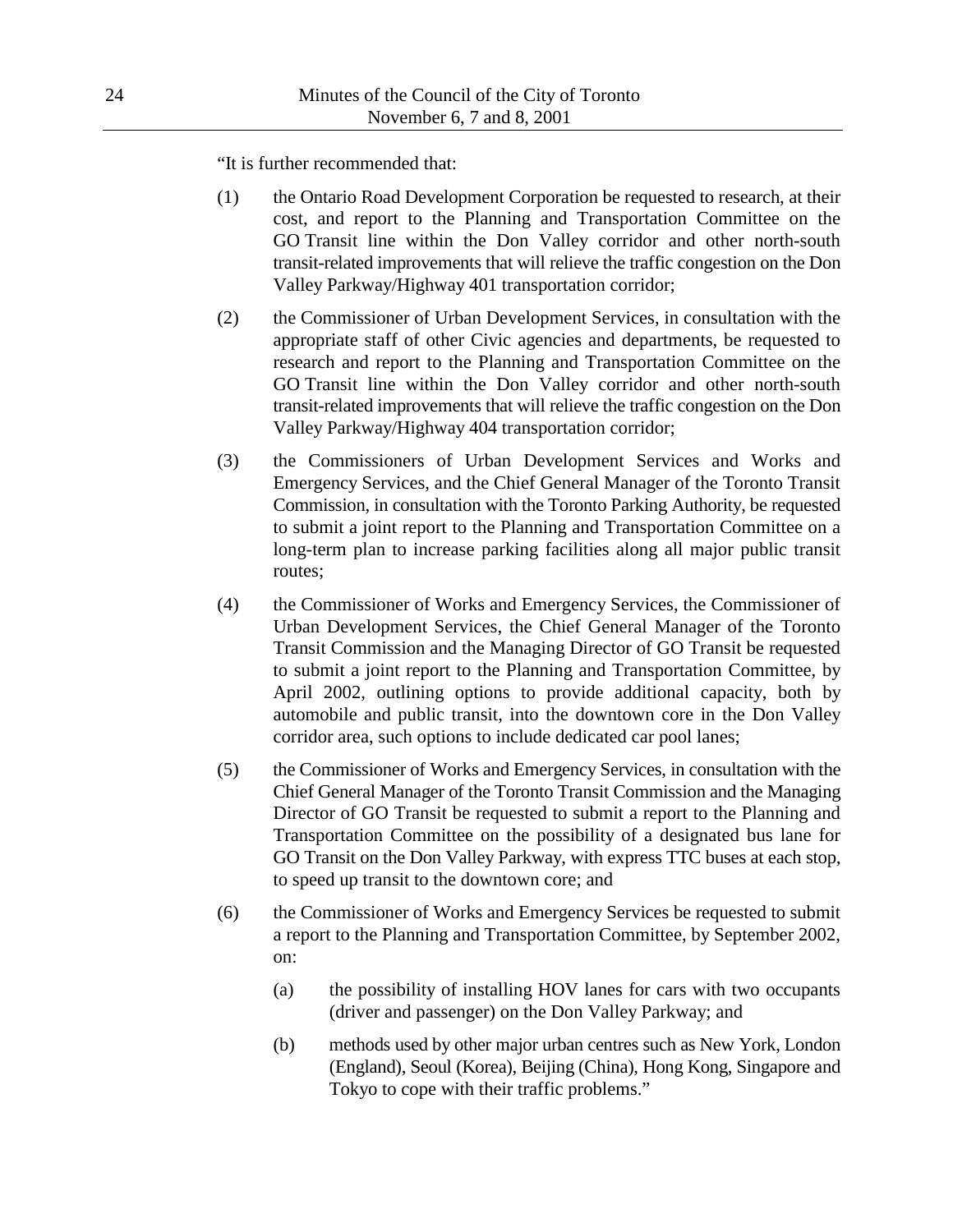"It is further recommended that:

- (1) the Ontario Road Development Corporation be requested to research, at their cost, and report to the Planning and Transportation Committee on the GO Transit line within the Don Valley corridor and other north-south transit-related improvements that will relieve the traffic congestion on the Don Valley Parkway/Highway 401 transportation corridor;
- (2) the Commissioner of Urban Development Services, in consultation with the appropriate staff of other Civic agencies and departments, be requested to research and report to the Planning and Transportation Committee on the GO Transit line within the Don Valley corridor and other north-south transit-related improvements that will relieve the traffic congestion on the Don Valley Parkway/Highway 404 transportation corridor;
- (3) the Commissioners of Urban Development Services and Works and Emergency Services, and the Chief General Manager of the Toronto Transit Commission, in consultation with the Toronto Parking Authority, be requested to submit a joint report to the Planning and Transportation Committee on a long-term plan to increase parking facilities along all major public transit routes;
- (4) the Commissioner of Works and Emergency Services, the Commissioner of Urban Development Services, the Chief General Manager of the Toronto Transit Commission and the Managing Director of GO Transit be requested to submit a joint report to the Planning and Transportation Committee, by April 2002, outlining options to provide additional capacity, both by automobile and public transit, into the downtown core in the Don Valley corridor area, such options to include dedicated car pool lanes;
- (5) the Commissioner of Works and Emergency Services, in consultation with the Chief General Manager of the Toronto Transit Commission and the Managing Director of GO Transit be requested to submit a report to the Planning and Transportation Committee on the possibility of a designated bus lane for GO Transit on the Don Valley Parkway, with express TTC buses at each stop, to speed up transit to the downtown core; and
- (6) the Commissioner of Works and Emergency Services be requested to submit a report to the Planning and Transportation Committee, by September 2002, on:
	- (a) the possibility of installing HOV lanes for cars with two occupants (driver and passenger) on the Don Valley Parkway; and
	- (b) methods used by other major urban centres such as New York, London (England), Seoul (Korea), Beijing (China), Hong Kong, Singapore and Tokyo to cope with their traffic problems."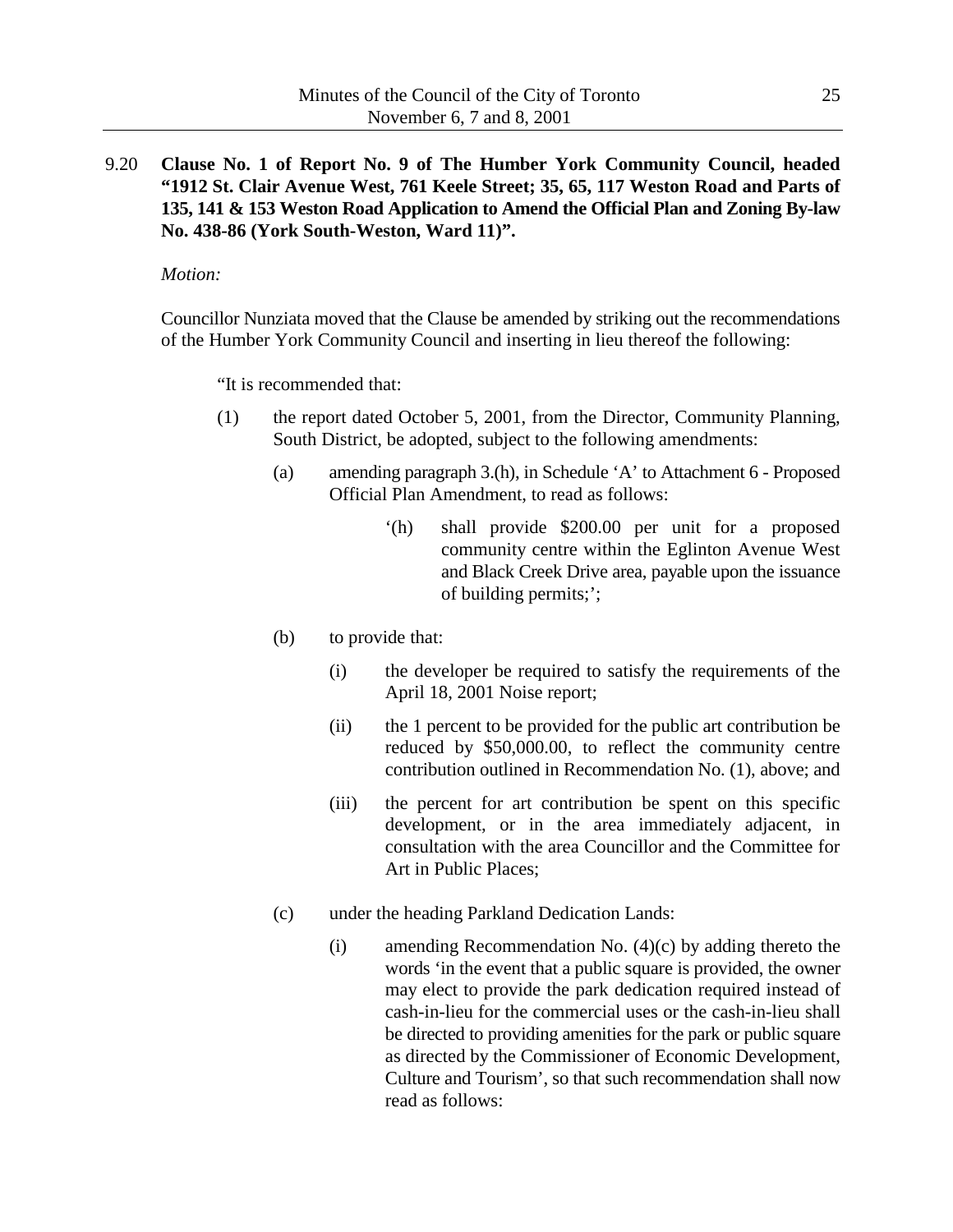9.20 **Clause No. 1 of Report No. 9 of The Humber York Community Council, headed "1912 St. Clair Avenue West, 761 Keele Street; 35, 65, 117 Weston Road and Parts of 135, 141 & 153 Weston Road Application to Amend the Official Plan and Zoning By-law No. 438-86 (York South-Weston, Ward 11)".**

#### *Motion:*

Councillor Nunziata moved that the Clause be amended by striking out the recommendations of the Humber York Community Council and inserting in lieu thereof the following:

"It is recommended that:

- (1) the report dated October 5, 2001, from the Director, Community Planning, South District, be adopted, subject to the following amendments:
	- (a) amending paragraph 3.(h), in Schedule 'A' to Attachment 6 Proposed Official Plan Amendment, to read as follows:
		- '(h) shall provide \$200.00 per unit for a proposed community centre within the Eglinton Avenue West and Black Creek Drive area, payable upon the issuance of building permits;';
	- (b) to provide that:
		- (i) the developer be required to satisfy the requirements of the April 18, 2001 Noise report;
		- (ii) the 1 percent to be provided for the public art contribution be reduced by \$50,000.00, to reflect the community centre contribution outlined in Recommendation No. (1), above; and
		- (iii) the percent for art contribution be spent on this specific development, or in the area immediately adjacent, in consultation with the area Councillor and the Committee for Art in Public Places;
	- (c) under the heading Parkland Dedication Lands:
		- (i) amending Recommendation No. (4)(c) by adding thereto the words 'in the event that a public square is provided, the owner may elect to provide the park dedication required instead of cash-in-lieu for the commercial uses or the cash-in-lieu shall be directed to providing amenities for the park or public square as directed by the Commissioner of Economic Development, Culture and Tourism', so that such recommendation shall now read as follows: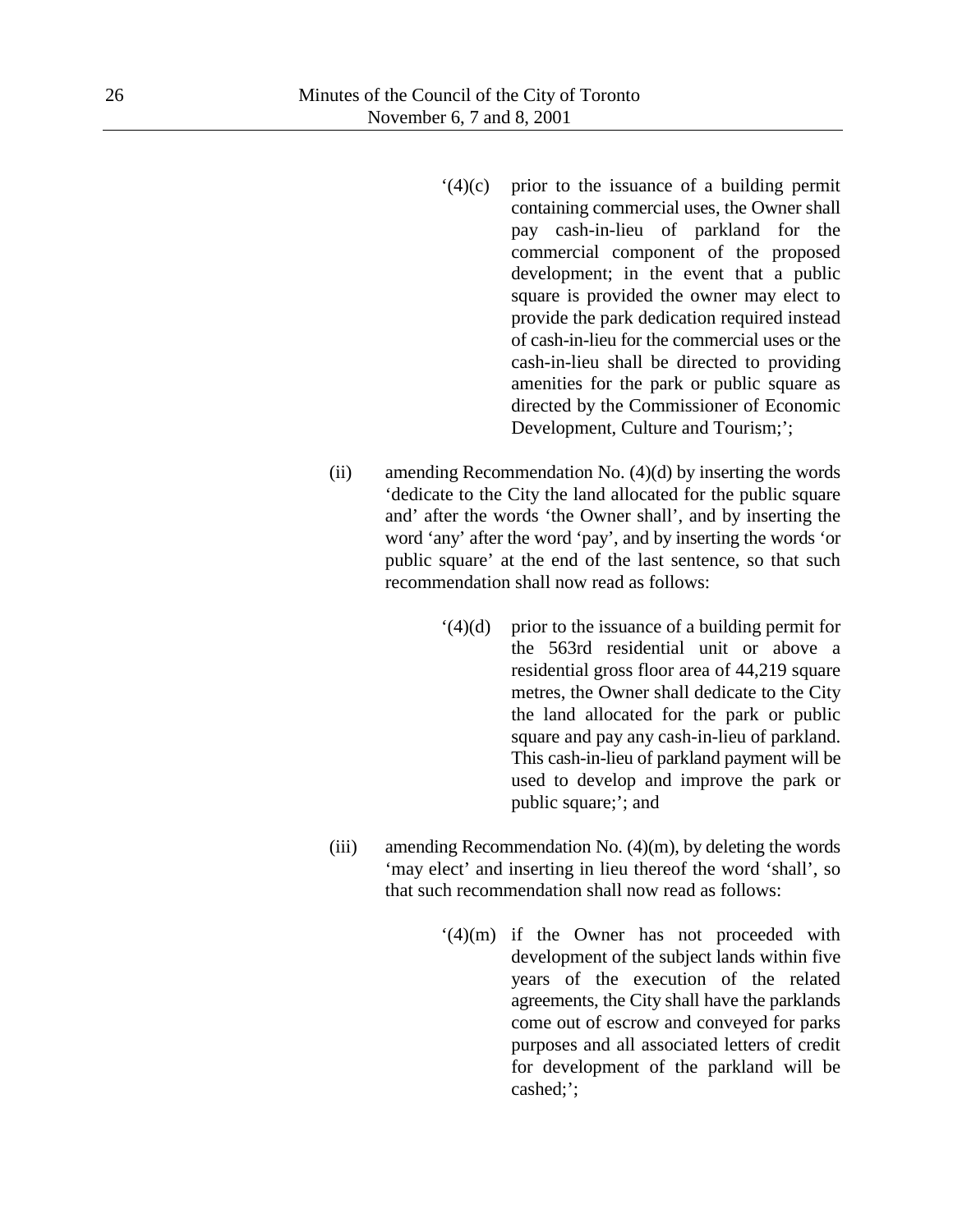- '(4)(c) prior to the issuance of a building permit containing commercial uses, the Owner shall pay cash-in-lieu of parkland for the commercial component of the proposed development; in the event that a public square is provided the owner may elect to provide the park dedication required instead of cash-in-lieu for the commercial uses or the cash-in-lieu shall be directed to providing amenities for the park or public square as directed by the Commissioner of Economic Development, Culture and Tourism;';
- (ii) amending Recommendation No. (4)(d) by inserting the words 'dedicate to the City the land allocated for the public square and' after the words 'the Owner shall', and by inserting the word 'any' after the word 'pay', and by inserting the words 'or public square' at the end of the last sentence, so that such recommendation shall now read as follows:
	- $(4)(d)$  prior to the issuance of a building permit for the 563rd residential unit or above a residential gross floor area of 44,219 square metres, the Owner shall dedicate to the City the land allocated for the park or public square and pay any cash-in-lieu of parkland. This cash-in-lieu of parkland payment will be used to develop and improve the park or public square;'; and
- (iii) amending Recommendation No.  $(4)(m)$ , by deleting the words 'may elect' and inserting in lieu thereof the word 'shall', so that such recommendation shall now read as follows:
	- '(4)(m) if the Owner has not proceeded with development of the subject lands within five years of the execution of the related agreements, the City shall have the parklands come out of escrow and conveyed for parks purposes and all associated letters of credit for development of the parkland will be cashed;';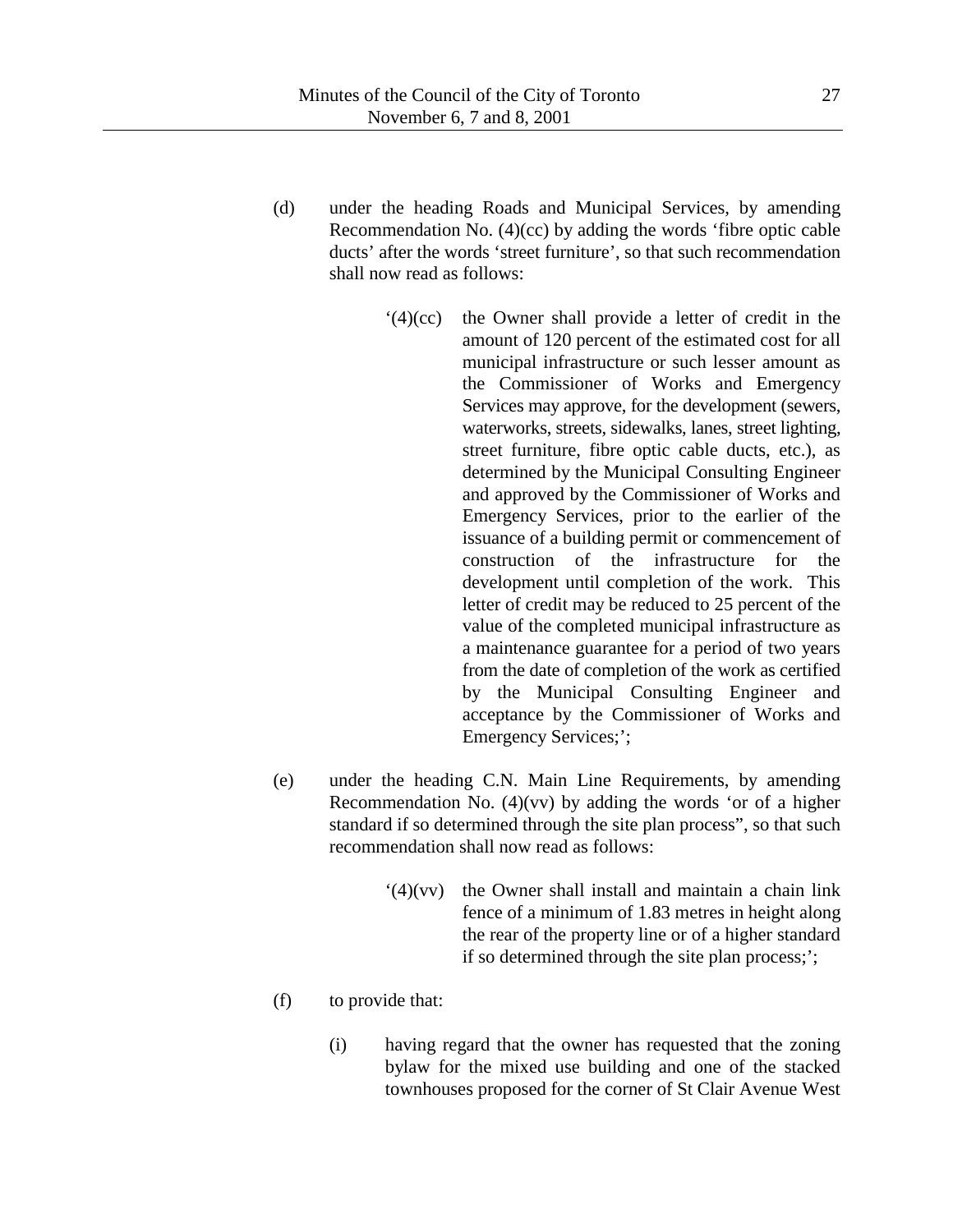- (d) under the heading Roads and Municipal Services, by amending Recommendation No. (4)(cc) by adding the words 'fibre optic cable ducts' after the words 'street furniture', so that such recommendation shall now read as follows:
	- '(4)(cc) the Owner shall provide a letter of credit in the amount of 120 percent of the estimated cost for all municipal infrastructure or such lesser amount as the Commissioner of Works and Emergency Services may approve, for the development (sewers, waterworks, streets, sidewalks, lanes, street lighting, street furniture, fibre optic cable ducts, etc.), as determined by the Municipal Consulting Engineer and approved by the Commissioner of Works and Emergency Services, prior to the earlier of the issuance of a building permit or commencement of construction of the infrastructure for the development until completion of the work. This letter of credit may be reduced to 25 percent of the value of the completed municipal infrastructure as a maintenance guarantee for a period of two years from the date of completion of the work as certified by the Municipal Consulting Engineer and acceptance by the Commissioner of Works and Emergency Services;';
- (e) under the heading C.N. Main Line Requirements, by amending Recommendation No.  $(4)(vv)$  by adding the words 'or of a higher standard if so determined through the site plan process", so that such recommendation shall now read as follows:
	- '(4)(vv) the Owner shall install and maintain a chain link fence of a minimum of 1.83 metres in height along the rear of the property line or of a higher standard if so determined through the site plan process;';
- (f) to provide that:
	- (i) having regard that the owner has requested that the zoning bylaw for the mixed use building and one of the stacked townhouses proposed for the corner of St Clair Avenue West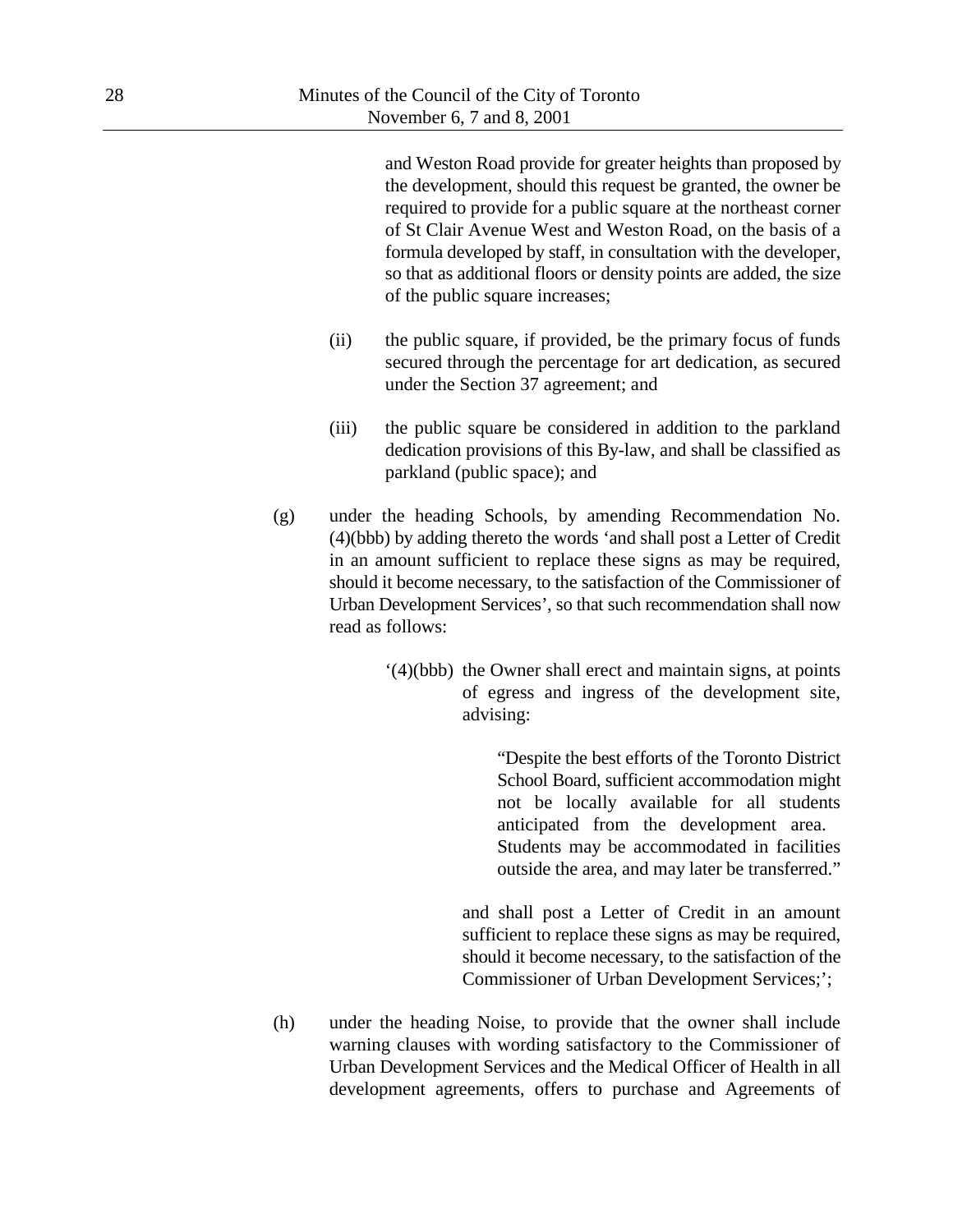and Weston Road provide for greater heights than proposed by the development, should this request be granted, the owner be required to provide for a public square at the northeast corner of St Clair Avenue West and Weston Road, on the basis of a formula developed by staff, in consultation with the developer, so that as additional floors or density points are added, the size of the public square increases;

- (ii) the public square, if provided, be the primary focus of funds secured through the percentage for art dedication, as secured under the Section 37 agreement; and
- (iii) the public square be considered in addition to the parkland dedication provisions of this By-law, and shall be classified as parkland (public space); and
- (g) under the heading Schools, by amending Recommendation No. (4)(bbb) by adding thereto the words 'and shall post a Letter of Credit in an amount sufficient to replace these signs as may be required, should it become necessary, to the satisfaction of the Commissioner of Urban Development Services', so that such recommendation shall now read as follows:
	- '(4)(bbb) the Owner shall erect and maintain signs, at points of egress and ingress of the development site, advising:

"Despite the best efforts of the Toronto District School Board, sufficient accommodation might not be locally available for all students anticipated from the development area. Students may be accommodated in facilities outside the area, and may later be transferred."

and shall post a Letter of Credit in an amount sufficient to replace these signs as may be required, should it become necessary, to the satisfaction of the Commissioner of Urban Development Services;';

(h) under the heading Noise, to provide that the owner shall include warning clauses with wording satisfactory to the Commissioner of Urban Development Services and the Medical Officer of Health in all development agreements, offers to purchase and Agreements of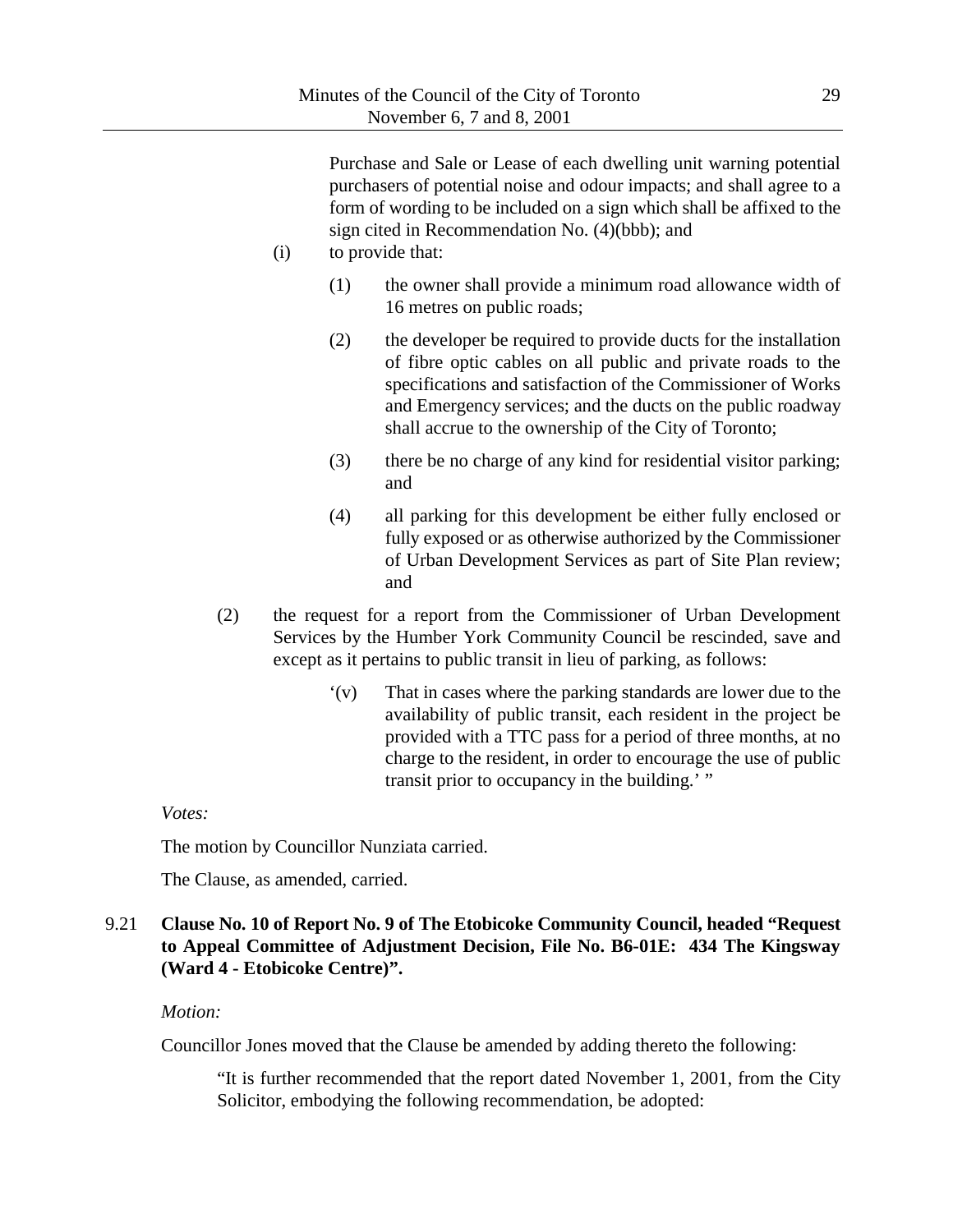Purchase and Sale or Lease of each dwelling unit warning potential purchasers of potential noise and odour impacts; and shall agree to a form of wording to be included on a sign which shall be affixed to the sign cited in Recommendation No. (4)(bbb); and

- (i) to provide that:
	- (1) the owner shall provide a minimum road allowance width of 16 metres on public roads;
	- (2) the developer be required to provide ducts for the installation of fibre optic cables on all public and private roads to the specifications and satisfaction of the Commissioner of Works and Emergency services; and the ducts on the public roadway shall accrue to the ownership of the City of Toronto;
	- (3) there be no charge of any kind for residential visitor parking; and
	- (4) all parking for this development be either fully enclosed or fully exposed or as otherwise authorized by the Commissioner of Urban Development Services as part of Site Plan review; and
- (2) the request for a report from the Commissioner of Urban Development Services by the Humber York Community Council be rescinded, save and except as it pertains to public transit in lieu of parking, as follows:
	- '(v) That in cases where the parking standards are lower due to the availability of public transit, each resident in the project be provided with a TTC pass for a period of three months, at no charge to the resident, in order to encourage the use of public transit prior to occupancy in the building.' "

## *Votes:*

The motion by Councillor Nunziata carried.

The Clause, as amended, carried.

# 9.21 **Clause No. 10 of Report No. 9 of The Etobicoke Community Council, headed "Request to Appeal Committee of Adjustment Decision, File No. B6-01E: 434 The Kingsway (Ward 4 - Etobicoke Centre)".**

## *Motion:*

Councillor Jones moved that the Clause be amended by adding thereto the following:

"It is further recommended that the report dated November 1, 2001, from the City Solicitor, embodying the following recommendation, be adopted: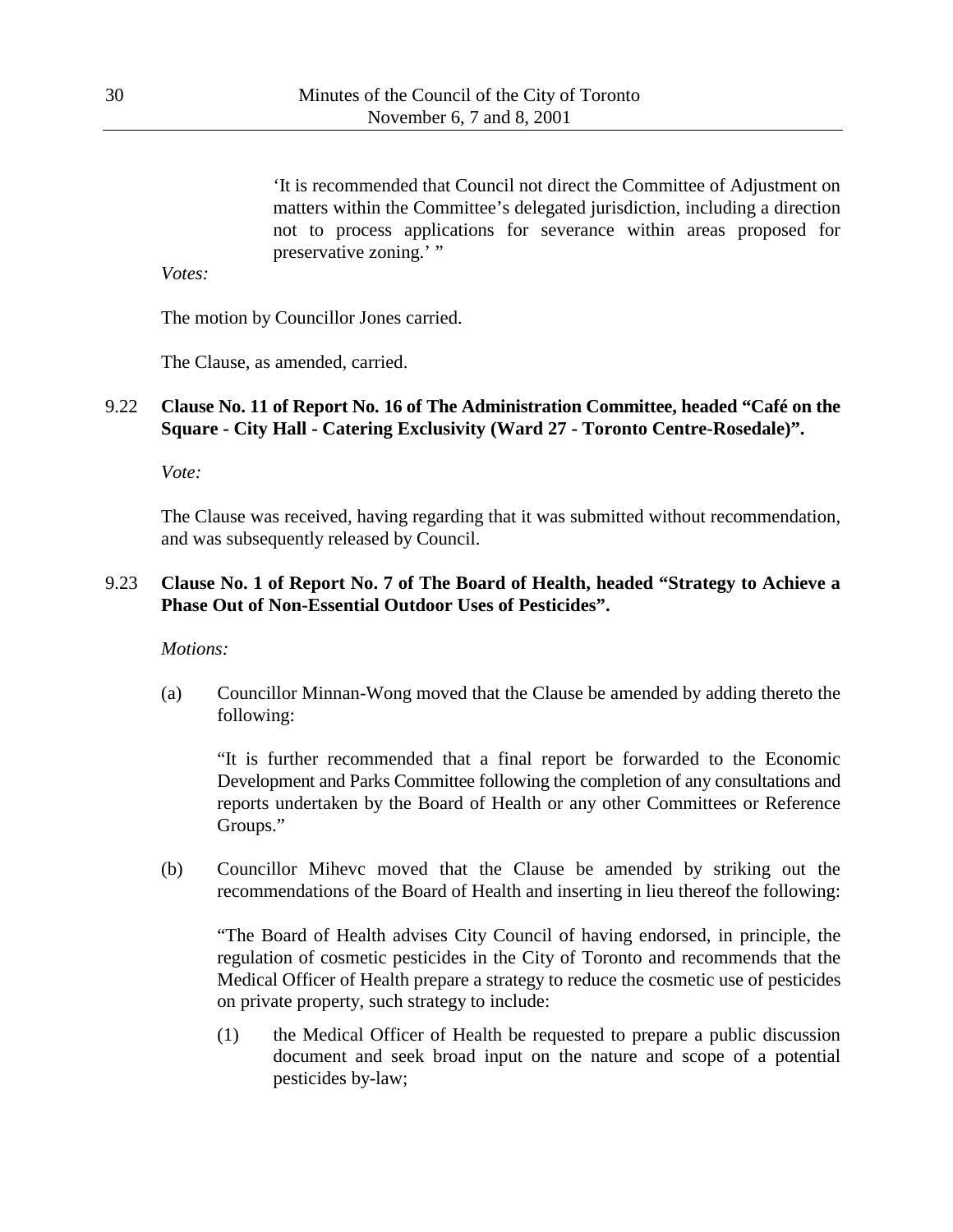'It is recommended that Council not direct the Committee of Adjustment on matters within the Committee's delegated jurisdiction, including a direction not to process applications for severance within areas proposed for preservative zoning.' "

*Votes:*

The motion by Councillor Jones carried.

The Clause, as amended, carried.

# 9.22 **Clause No. 11 of Report No. 16 of The Administration Committee, headed "Café on the Square - City Hall - Catering Exclusivity (Ward 27 - Toronto Centre-Rosedale)".**

*Vote:*

The Clause was received, having regarding that it was submitted without recommendation, and was subsequently released by Council.

# 9.23 **Clause No. 1 of Report No. 7 of The Board of Health, headed "Strategy to Achieve a Phase Out of Non-Essential Outdoor Uses of Pesticides".**

*Motions:*

(a) Councillor Minnan-Wong moved that the Clause be amended by adding thereto the following:

"It is further recommended that a final report be forwarded to the Economic Development and Parks Committee following the completion of any consultations and reports undertaken by the Board of Health or any other Committees or Reference Groups."

(b) Councillor Mihevc moved that the Clause be amended by striking out the recommendations of the Board of Health and inserting in lieu thereof the following:

"The Board of Health advises City Council of having endorsed, in principle, the regulation of cosmetic pesticides in the City of Toronto and recommends that the Medical Officer of Health prepare a strategy to reduce the cosmetic use of pesticides on private property, such strategy to include:

(1) the Medical Officer of Health be requested to prepare a public discussion document and seek broad input on the nature and scope of a potential pesticides by-law;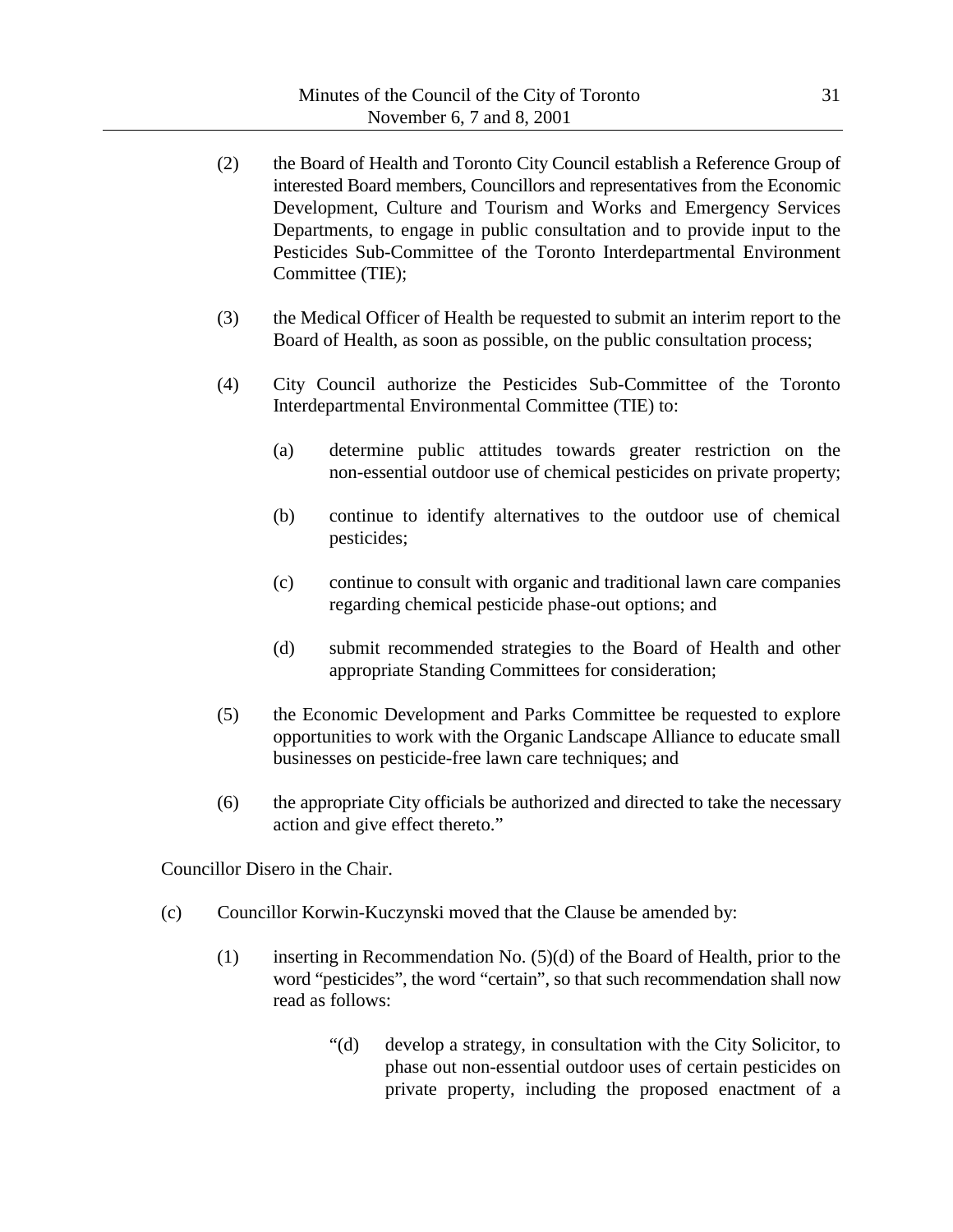- (2) the Board of Health and Toronto City Council establish a Reference Group of interested Board members, Councillors and representatives from the Economic Development, Culture and Tourism and Works and Emergency Services Departments, to engage in public consultation and to provide input to the Pesticides Sub-Committee of the Toronto Interdepartmental Environment Committee (TIE);
- (3) the Medical Officer of Health be requested to submit an interim report to the Board of Health, as soon as possible, on the public consultation process;
- (4) City Council authorize the Pesticides Sub-Committee of the Toronto Interdepartmental Environmental Committee (TIE) to:
	- (a) determine public attitudes towards greater restriction on the non-essential outdoor use of chemical pesticides on private property;
	- (b) continue to identify alternatives to the outdoor use of chemical pesticides;
	- (c) continue to consult with organic and traditional lawn care companies regarding chemical pesticide phase-out options; and
	- (d) submit recommended strategies to the Board of Health and other appropriate Standing Committees for consideration;
- (5) the Economic Development and Parks Committee be requested to explore opportunities to work with the Organic Landscape Alliance to educate small businesses on pesticide-free lawn care techniques; and
- (6) the appropriate City officials be authorized and directed to take the necessary action and give effect thereto."

Councillor Disero in the Chair.

- (c) Councillor Korwin-Kuczynski moved that the Clause be amended by:
	- (1) inserting in Recommendation No. (5)(d) of the Board of Health, prior to the word "pesticides", the word "certain", so that such recommendation shall now read as follows:
		- "(d) develop a strategy, in consultation with the City Solicitor, to phase out non-essential outdoor uses of certain pesticides on private property, including the proposed enactment of a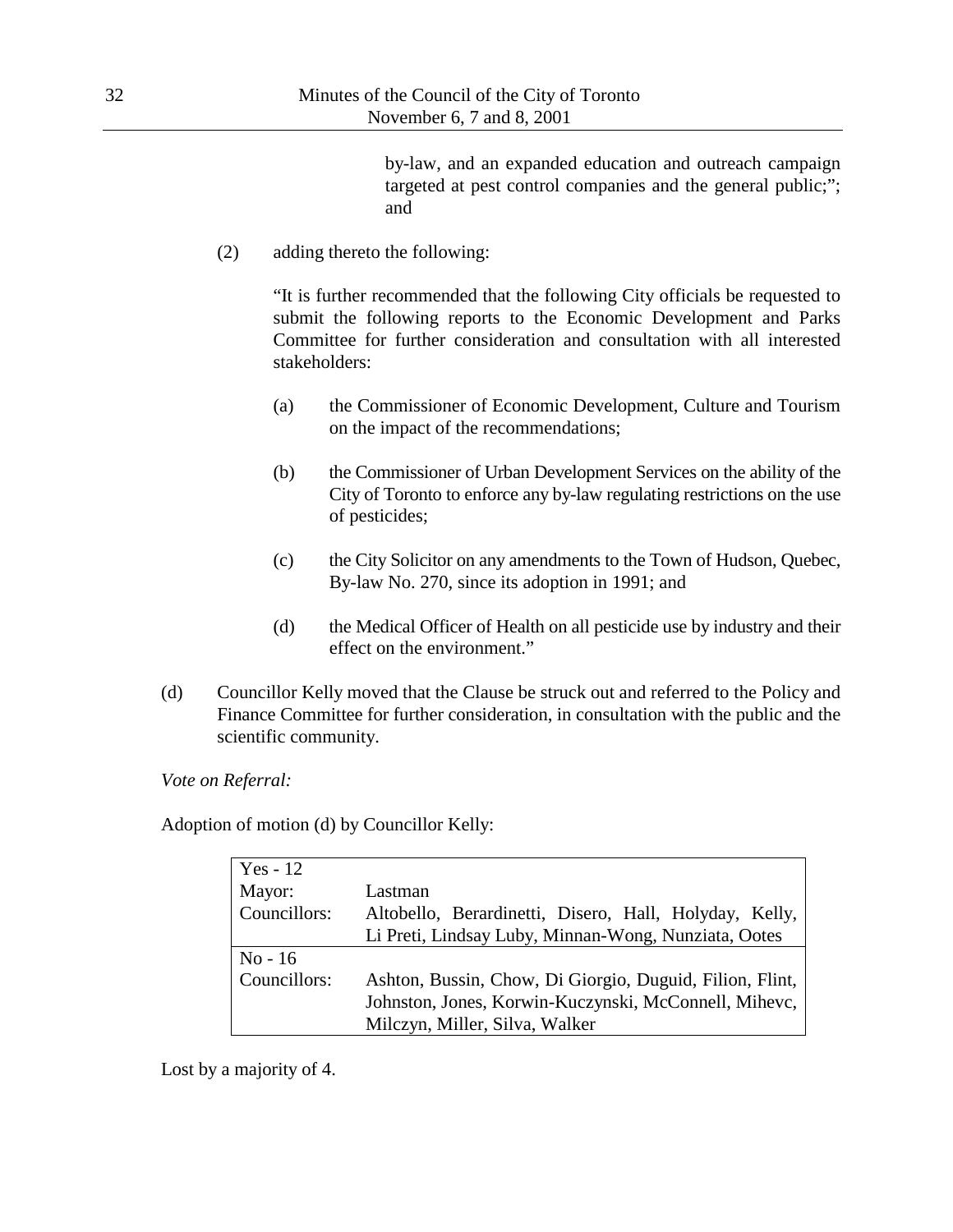by-law, and an expanded education and outreach campaign targeted at pest control companies and the general public;"; and

(2) adding thereto the following:

"It is further recommended that the following City officials be requested to submit the following reports to the Economic Development and Parks Committee for further consideration and consultation with all interested stakeholders:

- (a) the Commissioner of Economic Development, Culture and Tourism on the impact of the recommendations;
- (b) the Commissioner of Urban Development Services on the ability of the City of Toronto to enforce any by-law regulating restrictions on the use of pesticides;
- (c) the City Solicitor on any amendments to the Town of Hudson, Quebec, By-law No. 270, since its adoption in 1991; and
- (d) the Medical Officer of Health on all pesticide use by industry and their effect on the environment."
- (d) Councillor Kelly moved that the Clause be struck out and referred to the Policy and Finance Committee for further consideration, in consultation with the public and the scientific community.

*Vote on Referral:*

Adoption of motion (d) by Councillor Kelly:

| Yes - $12$   |                                                          |
|--------------|----------------------------------------------------------|
| Mayor:       | Lastman                                                  |
| Councillors: | Altobello, Berardinetti, Disero, Hall, Holyday, Kelly,   |
|              | Li Preti, Lindsay Luby, Minnan-Wong, Nunziata, Ootes     |
| $No-16$      |                                                          |
| Councillors: | Ashton, Bussin, Chow, Di Giorgio, Duguid, Filion, Flint, |
|              | Johnston, Jones, Korwin-Kuczynski, McConnell, Mihevc,    |
|              | Milczyn, Miller, Silva, Walker                           |

Lost by a majority of 4.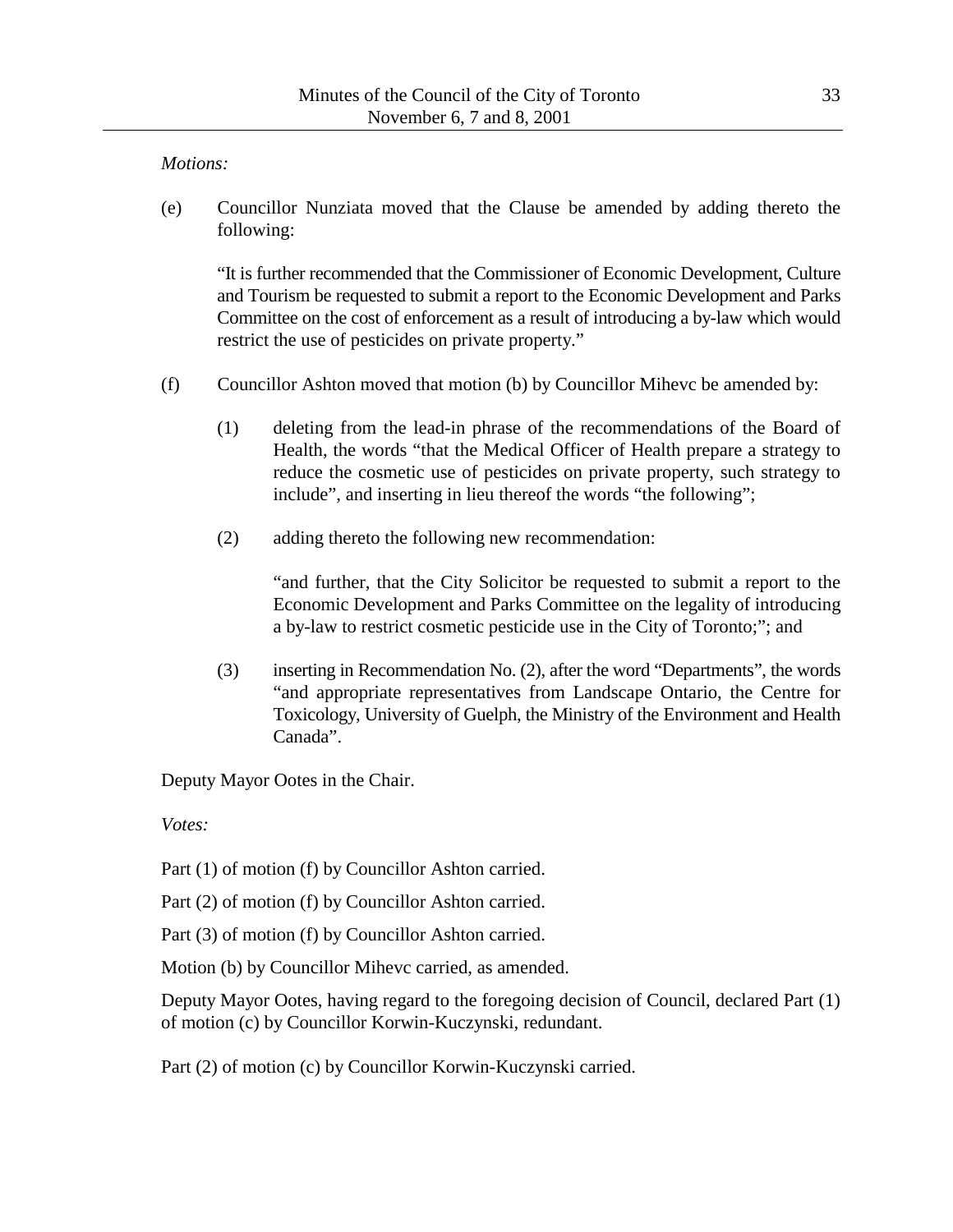#### *Motions:*

(e) Councillor Nunziata moved that the Clause be amended by adding thereto the following:

"It is further recommended that the Commissioner of Economic Development, Culture and Tourism be requested to submit a report to the Economic Development and Parks Committee on the cost of enforcement as a result of introducing a by-law which would restrict the use of pesticides on private property."

- (f) Councillor Ashton moved that motion (b) by Councillor Mihevc be amended by:
	- (1) deleting from the lead-in phrase of the recommendations of the Board of Health, the words "that the Medical Officer of Health prepare a strategy to reduce the cosmetic use of pesticides on private property, such strategy to include", and inserting in lieu thereof the words "the following";
	- (2) adding thereto the following new recommendation:

"and further, that the City Solicitor be requested to submit a report to the Economic Development and Parks Committee on the legality of introducing a by-law to restrict cosmetic pesticide use in the City of Toronto;"; and

(3) inserting in Recommendation No. (2), after the word "Departments", the words "and appropriate representatives from Landscape Ontario, the Centre for Toxicology, University of Guelph, the Ministry of the Environment and Health Canada".

Deputy Mayor Ootes in the Chair.

*Votes:*

Part (1) of motion (f) by Councillor Ashton carried.

Part (2) of motion (f) by Councillor Ashton carried.

Part (3) of motion (f) by Councillor Ashton carried.

Motion (b) by Councillor Mihevc carried, as amended.

Deputy Mayor Ootes, having regard to the foregoing decision of Council, declared Part (1) of motion (c) by Councillor Korwin-Kuczynski, redundant.

Part (2) of motion (c) by Councillor Korwin-Kuczynski carried.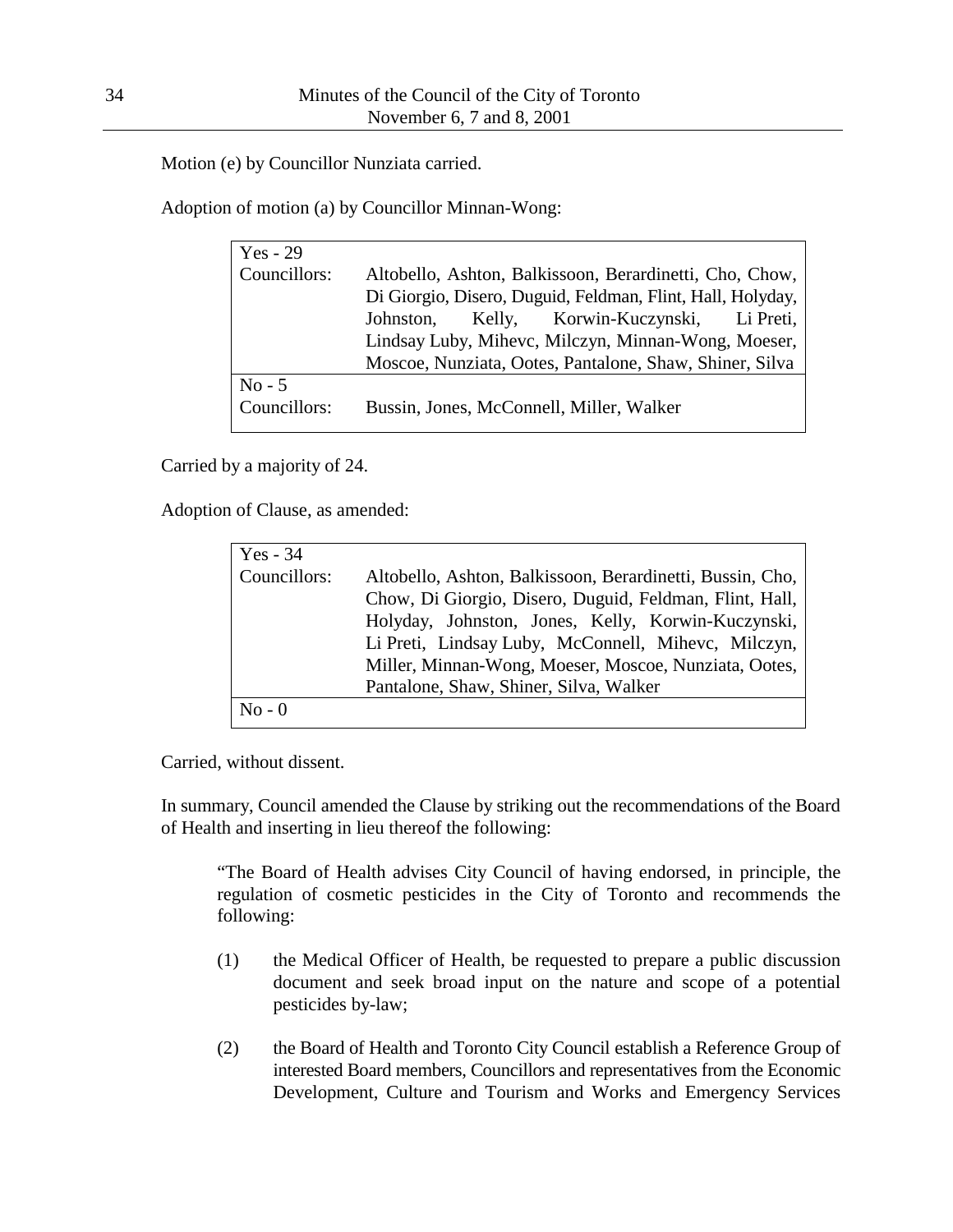Motion (e) by Councillor Nunziata carried.

Adoption of motion (a) by Councillor Minnan-Wong:

| $Yes - 29$   |                                                            |
|--------------|------------------------------------------------------------|
| Councillors: | Altobello, Ashton, Balkissoon, Berardinetti, Cho, Chow,    |
|              | Di Giorgio, Disero, Duguid, Feldman, Flint, Hall, Holyday, |
|              | Johnston, Kelly, Korwin-Kuczynski, Li Preti,               |
|              | Lindsay Luby, Mihevc, Milczyn, Minnan-Wong, Moeser,        |
|              | Moscoe, Nunziata, Ootes, Pantalone, Shaw, Shiner, Silva    |
| $No - 5$     |                                                            |
| Councillors: | Bussin, Jones, McConnell, Miller, Walker                   |

Carried by a majority of 24.

Adoption of Clause, as amended:

| Yes - $34$   |                                                                                                                                                                                                                                                                                                                                      |
|--------------|--------------------------------------------------------------------------------------------------------------------------------------------------------------------------------------------------------------------------------------------------------------------------------------------------------------------------------------|
| Councillors: | Altobello, Ashton, Balkissoon, Berardinetti, Bussin, Cho,<br>Chow, Di Giorgio, Disero, Duguid, Feldman, Flint, Hall,<br>Holyday, Johnston, Jones, Kelly, Korwin-Kuczynski,<br>Li Preti, Lindsay Luby, McConnell, Mihevc, Milczyn,<br>Miller, Minnan-Wong, Moeser, Moscoe, Nunziata, Ootes,<br>Pantalone, Shaw, Shiner, Silva, Walker |
| $No - 0$     |                                                                                                                                                                                                                                                                                                                                      |

Carried, without dissent.

In summary, Council amended the Clause by striking out the recommendations of the Board of Health and inserting in lieu thereof the following:

"The Board of Health advises City Council of having endorsed, in principle, the regulation of cosmetic pesticides in the City of Toronto and recommends the following:

- (1) the Medical Officer of Health, be requested to prepare a public discussion document and seek broad input on the nature and scope of a potential pesticides by-law;
- (2) the Board of Health and Toronto City Council establish a Reference Group of interested Board members, Councillors and representatives from the Economic Development, Culture and Tourism and Works and Emergency Services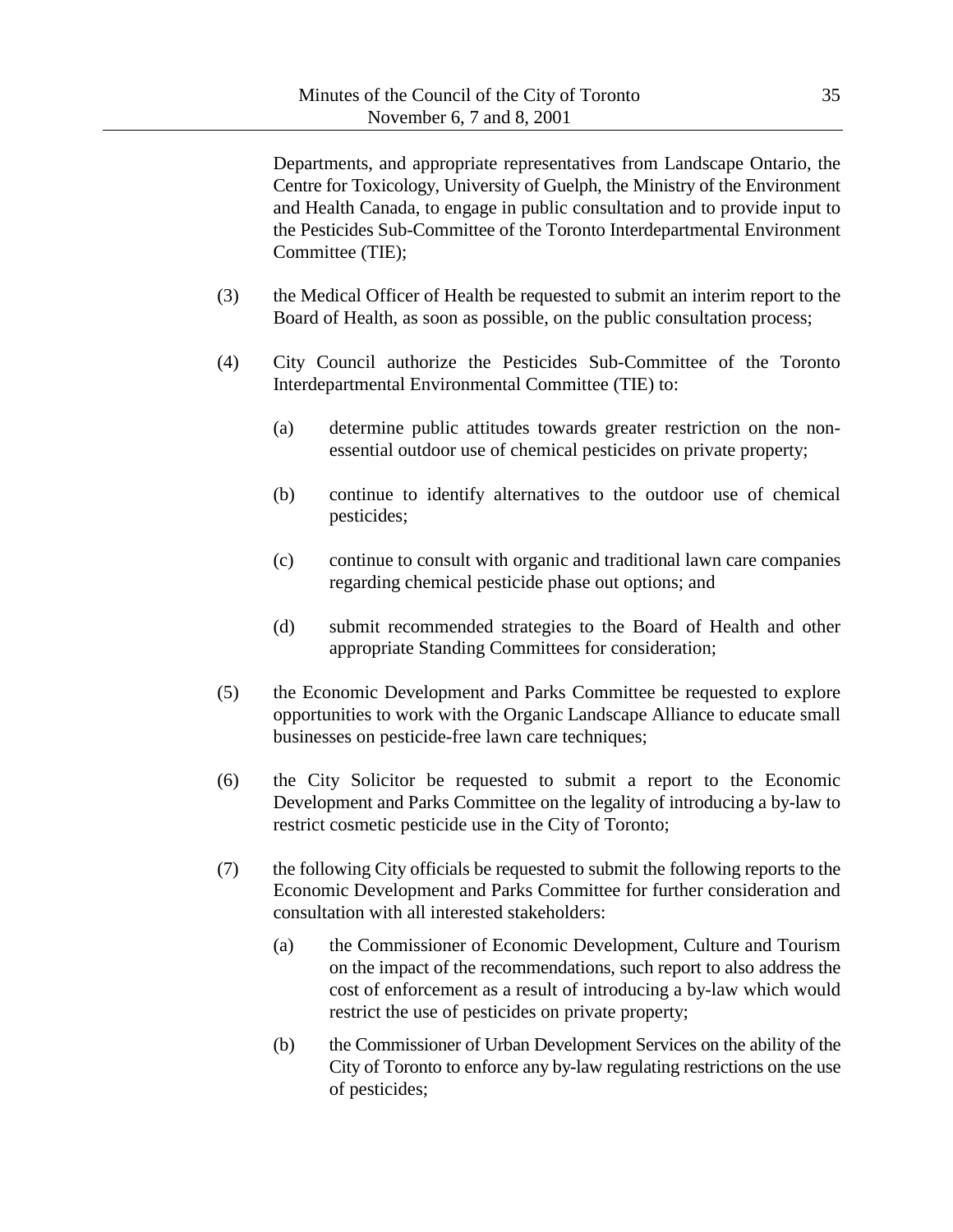Departments, and appropriate representatives from Landscape Ontario, the Centre for Toxicology, University of Guelph, the Ministry of the Environment and Health Canada, to engage in public consultation and to provide input to the Pesticides Sub-Committee of the Toronto Interdepartmental Environment Committee (TIE);

- (3) the Medical Officer of Health be requested to submit an interim report to the Board of Health, as soon as possible, on the public consultation process;
- (4) City Council authorize the Pesticides Sub-Committee of the Toronto Interdepartmental Environmental Committee (TIE) to:
	- (a) determine public attitudes towards greater restriction on the nonessential outdoor use of chemical pesticides on private property;
	- (b) continue to identify alternatives to the outdoor use of chemical pesticides;
	- (c) continue to consult with organic and traditional lawn care companies regarding chemical pesticide phase out options; and
	- (d) submit recommended strategies to the Board of Health and other appropriate Standing Committees for consideration;
- (5) the Economic Development and Parks Committee be requested to explore opportunities to work with the Organic Landscape Alliance to educate small businesses on pesticide-free lawn care techniques;
- (6) the City Solicitor be requested to submit a report to the Economic Development and Parks Committee on the legality of introducing a by-law to restrict cosmetic pesticide use in the City of Toronto;
- (7) the following City officials be requested to submit the following reports to the Economic Development and Parks Committee for further consideration and consultation with all interested stakeholders:
	- (a) the Commissioner of Economic Development, Culture and Tourism on the impact of the recommendations, such report to also address the cost of enforcement as a result of introducing a by-law which would restrict the use of pesticides on private property;
	- (b) the Commissioner of Urban Development Services on the ability of the City of Toronto to enforce any by-law regulating restrictions on the use of pesticides;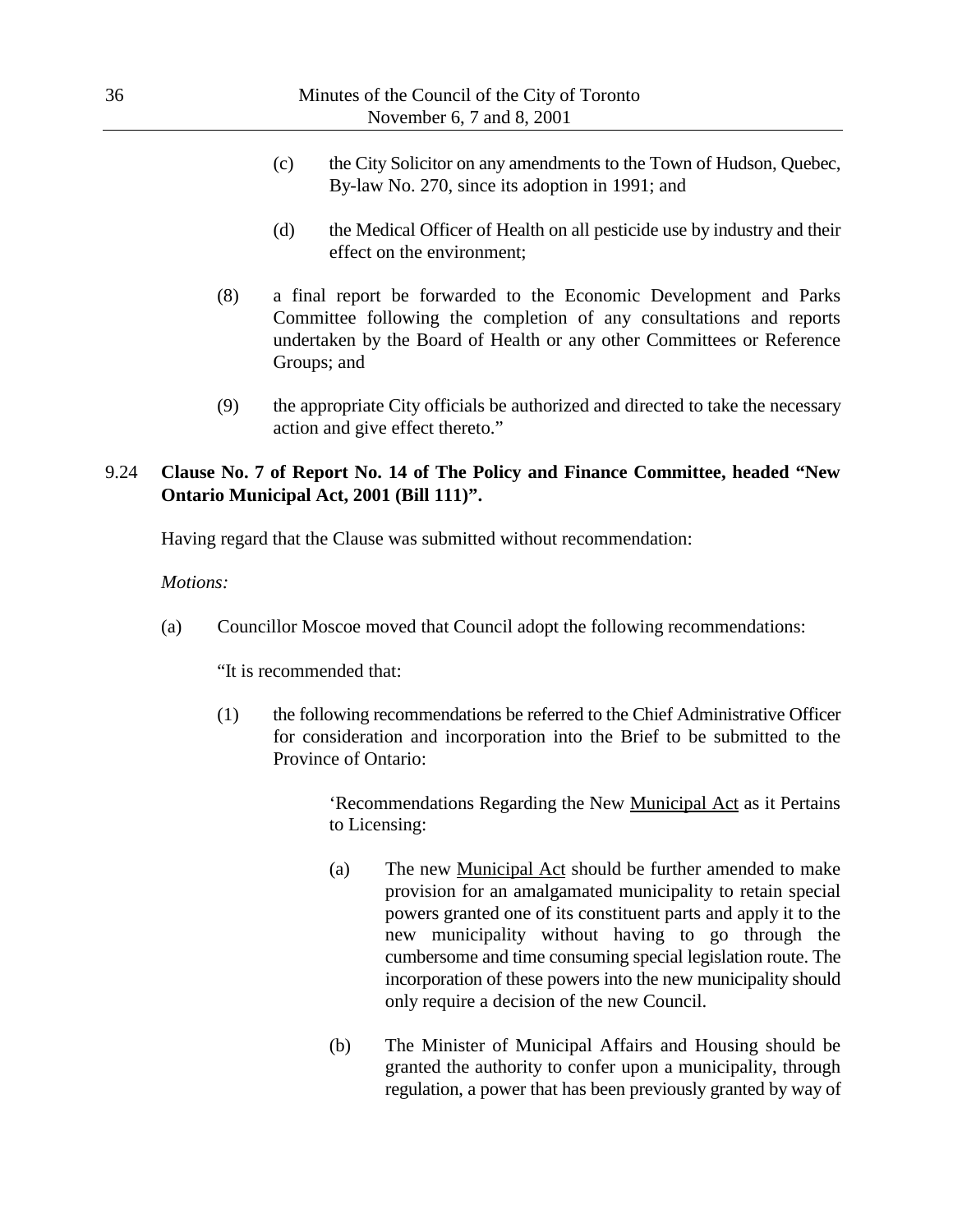- (c) the City Solicitor on any amendments to the Town of Hudson, Quebec, By-law No. 270, since its adoption in 1991; and
- (d) the Medical Officer of Health on all pesticide use by industry and their effect on the environment;
- (8) a final report be forwarded to the Economic Development and Parks Committee following the completion of any consultations and reports undertaken by the Board of Health or any other Committees or Reference Groups; and
- (9) the appropriate City officials be authorized and directed to take the necessary action and give effect thereto."

## 9.24 **Clause No. 7 of Report No. 14 of The Policy and Finance Committee, headed "New Ontario Municipal Act, 2001 (Bill 111)".**

Having regard that the Clause was submitted without recommendation:

#### *Motions:*

(a) Councillor Moscoe moved that Council adopt the following recommendations:

"It is recommended that:

(1) the following recommendations be referred to the Chief Administrative Officer for consideration and incorporation into the Brief to be submitted to the Province of Ontario:

> 'Recommendations Regarding the New Municipal Act as it Pertains to Licensing:

- (a) The new Municipal Act should be further amended to make provision for an amalgamated municipality to retain special powers granted one of its constituent parts and apply it to the new municipality without having to go through the cumbersome and time consuming special legislation route. The incorporation of these powers into the new municipality should only require a decision of the new Council.
- (b) The Minister of Municipal Affairs and Housing should be granted the authority to confer upon a municipality, through regulation, a power that has been previously granted by way of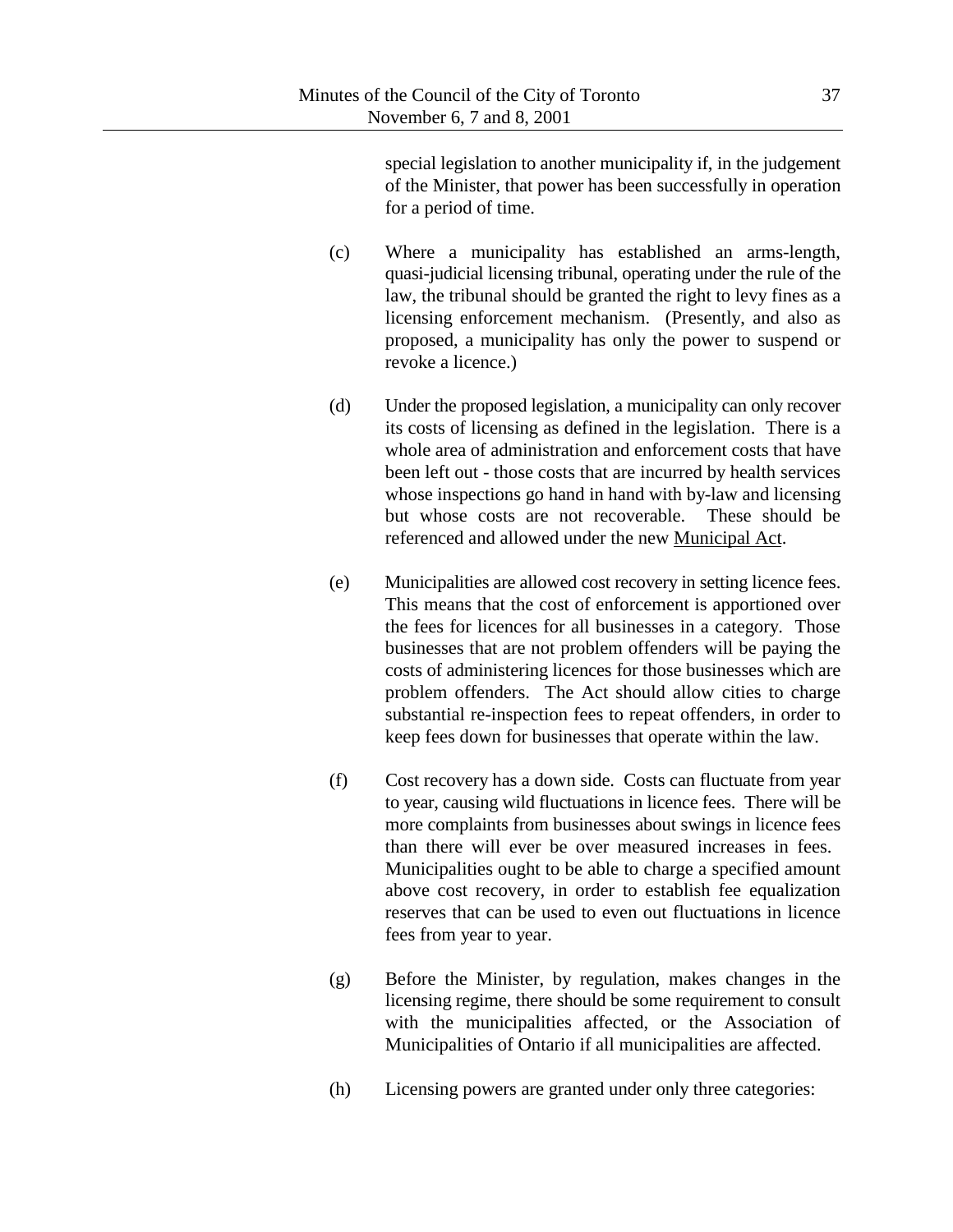special legislation to another municipality if, in the judgement of the Minister, that power has been successfully in operation for a period of time.

- (c) Where a municipality has established an arms-length, quasi-judicial licensing tribunal, operating under the rule of the law, the tribunal should be granted the right to levy fines as a licensing enforcement mechanism. (Presently, and also as proposed, a municipality has only the power to suspend or revoke a licence.)
- (d) Under the proposed legislation, a municipality can only recover its costs of licensing as defined in the legislation. There is a whole area of administration and enforcement costs that have been left out - those costs that are incurred by health services whose inspections go hand in hand with by-law and licensing but whose costs are not recoverable. These should be referenced and allowed under the new Municipal Act.
- (e) Municipalities are allowed cost recovery in setting licence fees. This means that the cost of enforcement is apportioned over the fees for licences for all businesses in a category. Those businesses that are not problem offenders will be paying the costs of administering licences for those businesses which are problem offenders. The Act should allow cities to charge substantial re-inspection fees to repeat offenders, in order to keep fees down for businesses that operate within the law.
- (f) Cost recovery has a down side. Costs can fluctuate from year to year, causing wild fluctuations in licence fees. There will be more complaints from businesses about swings in licence fees than there will ever be over measured increases in fees. Municipalities ought to be able to charge a specified amount above cost recovery, in order to establish fee equalization reserves that can be used to even out fluctuations in licence fees from year to year.
- (g) Before the Minister, by regulation, makes changes in the licensing regime, there should be some requirement to consult with the municipalities affected, or the Association of Municipalities of Ontario if all municipalities are affected.
- (h) Licensing powers are granted under only three categories: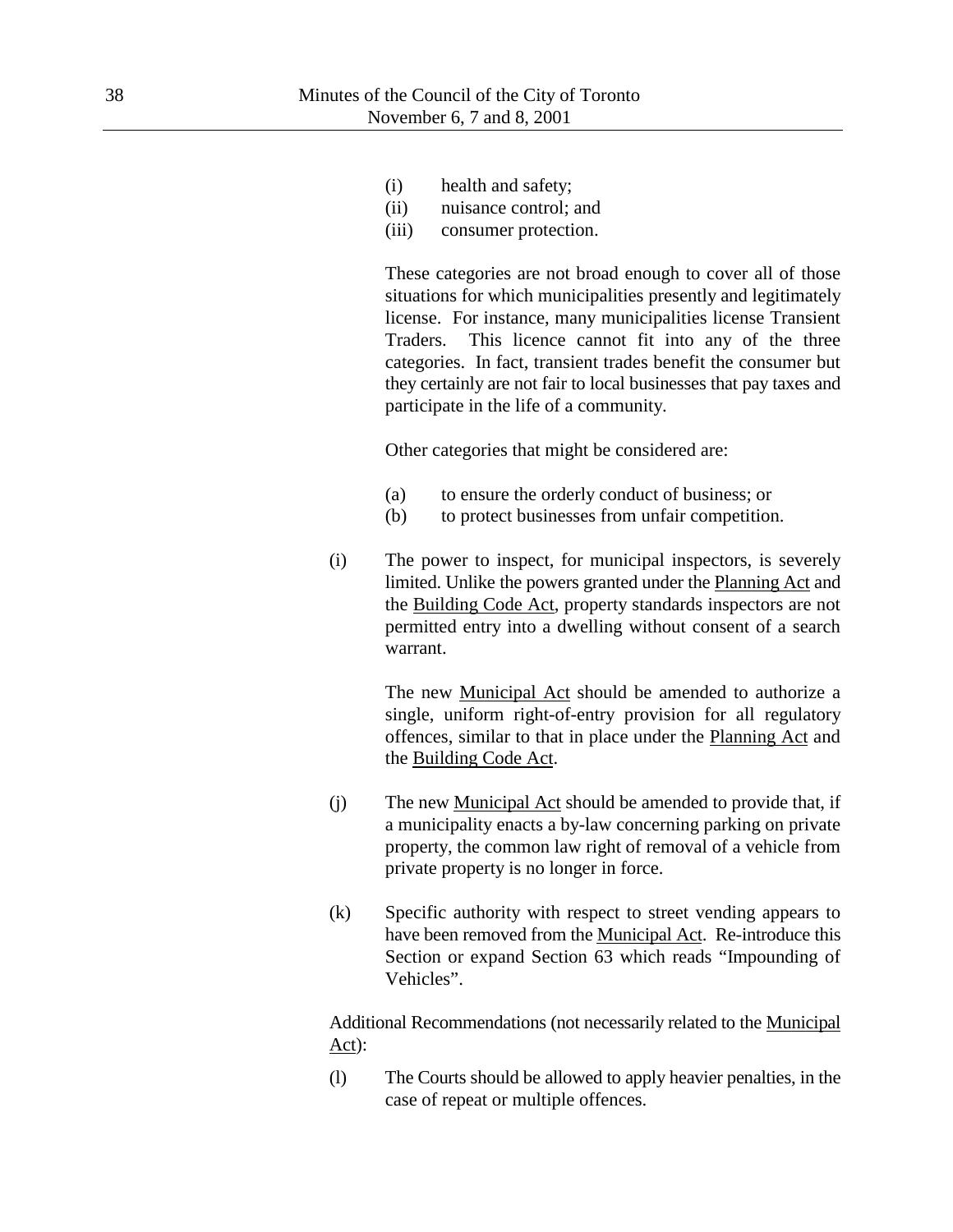- (i) health and safety;
- (ii) nuisance control; and
- (iii) consumer protection.

These categories are not broad enough to cover all of those situations for which municipalities presently and legitimately license. For instance, many municipalities license Transient Traders. This licence cannot fit into any of the three categories. In fact, transient trades benefit the consumer but they certainly are not fair to local businesses that pay taxes and participate in the life of a community.

Other categories that might be considered are:

- (a) to ensure the orderly conduct of business; or
- (b) to protect businesses from unfair competition.
- (i) The power to inspect, for municipal inspectors, is severely limited. Unlike the powers granted under the Planning Act and the Building Code Act, property standards inspectors are not permitted entry into a dwelling without consent of a search warrant.

The new Municipal Act should be amended to authorize a single, uniform right-of-entry provision for all regulatory offences, similar to that in place under the Planning Act and the Building Code Act.

- (j) The new Municipal Act should be amended to provide that, if a municipality enacts a by-law concerning parking on private property, the common law right of removal of a vehicle from private property is no longer in force.
- (k) Specific authority with respect to street vending appears to have been removed from the Municipal Act. Re-introduce this Section or expand Section 63 which reads "Impounding of Vehicles".

Additional Recommendations (not necessarily related to the Municipal Act):

(l) The Courts should be allowed to apply heavier penalties, in the case of repeat or multiple offences.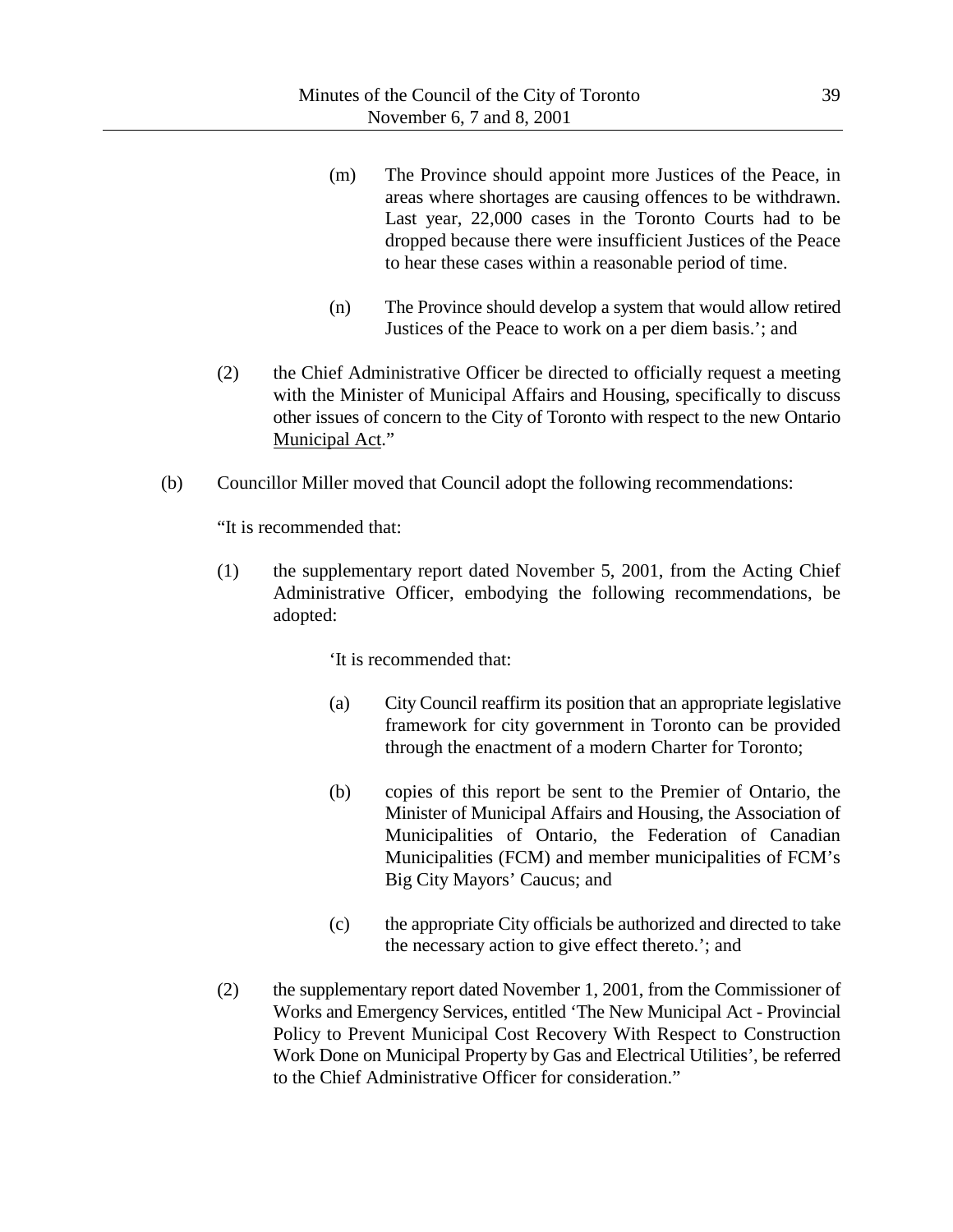- (m) The Province should appoint more Justices of the Peace, in areas where shortages are causing offences to be withdrawn. Last year, 22,000 cases in the Toronto Courts had to be dropped because there were insufficient Justices of the Peace to hear these cases within a reasonable period of time.
- (n) The Province should develop a system that would allow retired Justices of the Peace to work on a per diem basis.'; and
- (2) the Chief Administrative Officer be directed to officially request a meeting with the Minister of Municipal Affairs and Housing, specifically to discuss other issues of concern to the City of Toronto with respect to the new Ontario Municipal Act."
- (b) Councillor Miller moved that Council adopt the following recommendations:

"It is recommended that:

(1) the supplementary report dated November 5, 2001, from the Acting Chief Administrative Officer, embodying the following recommendations, be adopted:

'It is recommended that:

- (a) City Council reaffirm its position that an appropriate legislative framework for city government in Toronto can be provided through the enactment of a modern Charter for Toronto;
- (b) copies of this report be sent to the Premier of Ontario, the Minister of Municipal Affairs and Housing, the Association of Municipalities of Ontario, the Federation of Canadian Municipalities (FCM) and member municipalities of FCM's Big City Mayors' Caucus; and
- (c) the appropriate City officials be authorized and directed to take the necessary action to give effect thereto.'; and
- (2) the supplementary report dated November 1, 2001, from the Commissioner of Works and Emergency Services, entitled 'The New Municipal Act - Provincial Policy to Prevent Municipal Cost Recovery With Respect to Construction Work Done on Municipal Property by Gas and Electrical Utilities', be referred to the Chief Administrative Officer for consideration."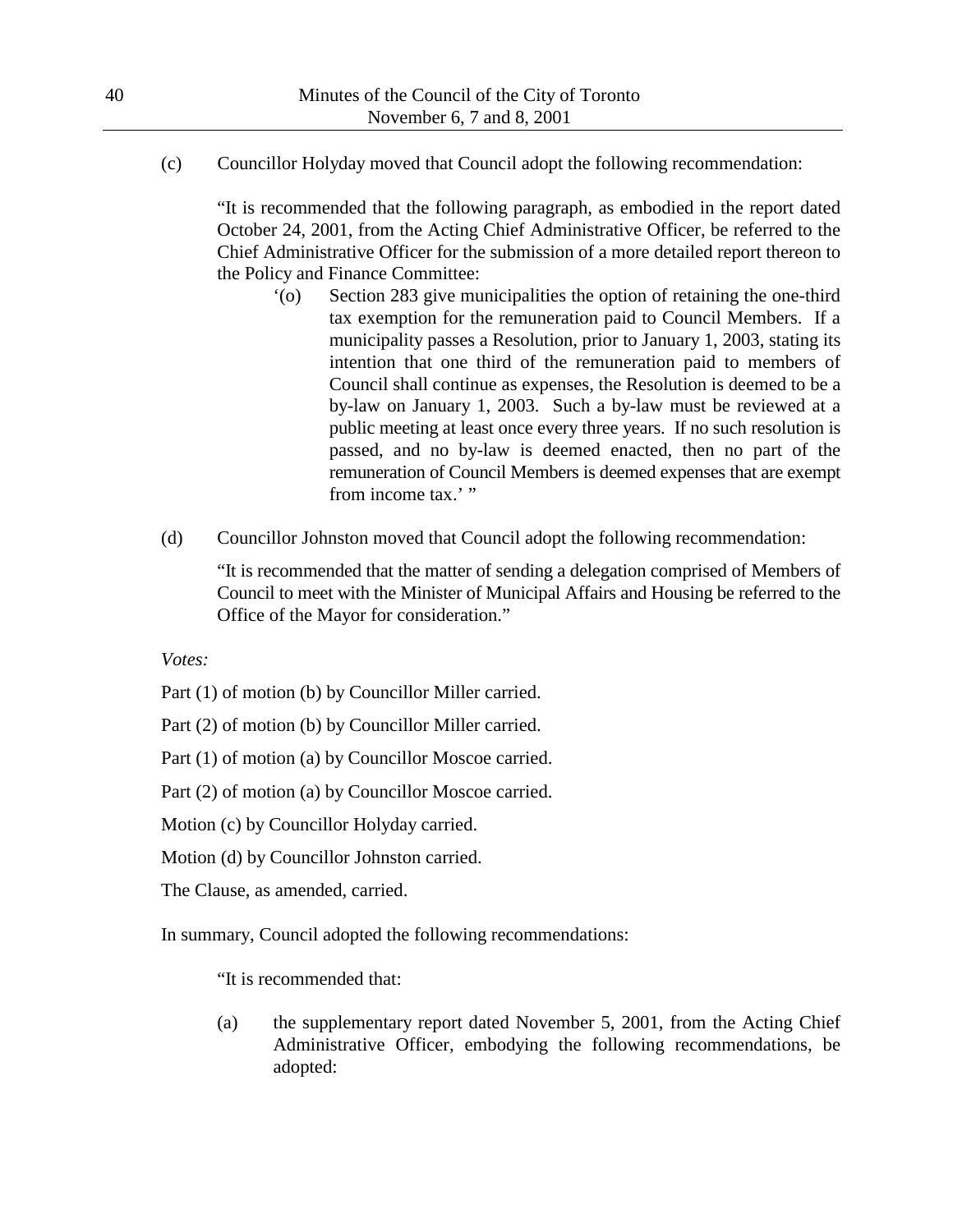(c) Councillor Holyday moved that Council adopt the following recommendation:

"It is recommended that the following paragraph, as embodied in the report dated October 24, 2001, from the Acting Chief Administrative Officer, be referred to the Chief Administrative Officer for the submission of a more detailed report thereon to the Policy and Finance Committee:

- '(o) Section 283 give municipalities the option of retaining the one-third tax exemption for the remuneration paid to Council Members. If a municipality passes a Resolution, prior to January 1, 2003, stating its intention that one third of the remuneration paid to members of Council shall continue as expenses, the Resolution is deemed to be a by-law on January 1, 2003. Such a by-law must be reviewed at a public meeting at least once every three years. If no such resolution is passed, and no by-law is deemed enacted, then no part of the remuneration of Council Members is deemed expenses that are exempt from income tax.' "
- (d) Councillor Johnston moved that Council adopt the following recommendation:

"It is recommended that the matter of sending a delegation comprised of Members of Council to meet with the Minister of Municipal Affairs and Housing be referred to the Office of the Mayor for consideration."

*Votes:*

Part (1) of motion (b) by Councillor Miller carried.

Part (2) of motion (b) by Councillor Miller carried.

Part (1) of motion (a) by Councillor Moscoe carried.

Part (2) of motion (a) by Councillor Moscoe carried.

Motion (c) by Councillor Holyday carried.

Motion (d) by Councillor Johnston carried.

The Clause, as amended, carried.

In summary, Council adopted the following recommendations:

"It is recommended that:

(a) the supplementary report dated November 5, 2001, from the Acting Chief Administrative Officer, embodying the following recommendations, be adopted: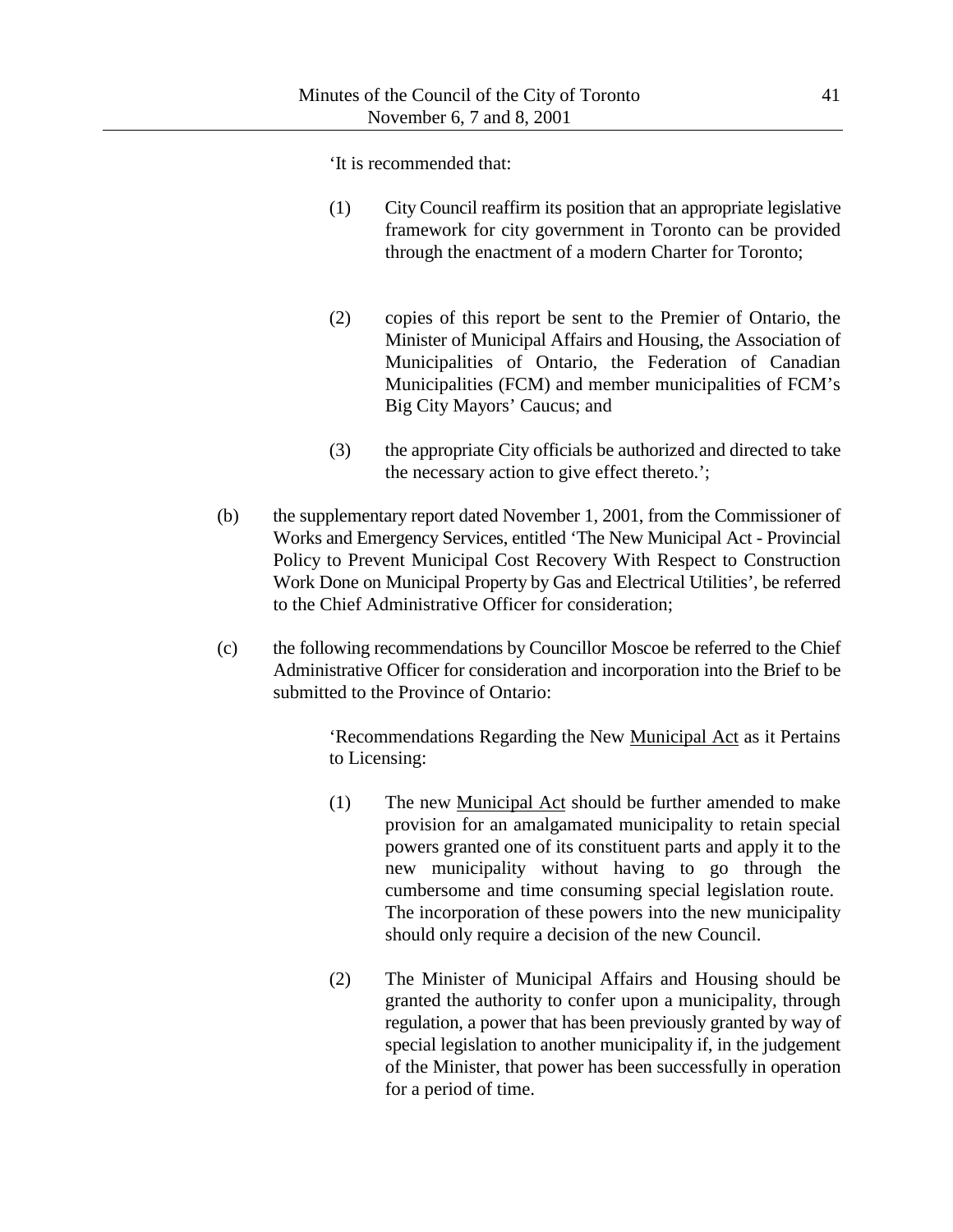'It is recommended that:

- (1) City Council reaffirm its position that an appropriate legislative framework for city government in Toronto can be provided through the enactment of a modern Charter for Toronto;
- (2) copies of this report be sent to the Premier of Ontario, the Minister of Municipal Affairs and Housing, the Association of Municipalities of Ontario, the Federation of Canadian Municipalities (FCM) and member municipalities of FCM's Big City Mayors' Caucus; and
- (3) the appropriate City officials be authorized and directed to take the necessary action to give effect thereto.';
- (b) the supplementary report dated November 1, 2001, from the Commissioner of Works and Emergency Services, entitled 'The New Municipal Act - Provincial Policy to Prevent Municipal Cost Recovery With Respect to Construction Work Done on Municipal Property by Gas and Electrical Utilities', be referred to the Chief Administrative Officer for consideration;
- (c) the following recommendations by Councillor Moscoe be referred to the Chief Administrative Officer for consideration and incorporation into the Brief to be submitted to the Province of Ontario:

'Recommendations Regarding the New Municipal Act as it Pertains to Licensing:

- (1) The new Municipal Act should be further amended to make provision for an amalgamated municipality to retain special powers granted one of its constituent parts and apply it to the new municipality without having to go through the cumbersome and time consuming special legislation route. The incorporation of these powers into the new municipality should only require a decision of the new Council.
- (2) The Minister of Municipal Affairs and Housing should be granted the authority to confer upon a municipality, through regulation, a power that has been previously granted by way of special legislation to another municipality if, in the judgement of the Minister, that power has been successfully in operation for a period of time.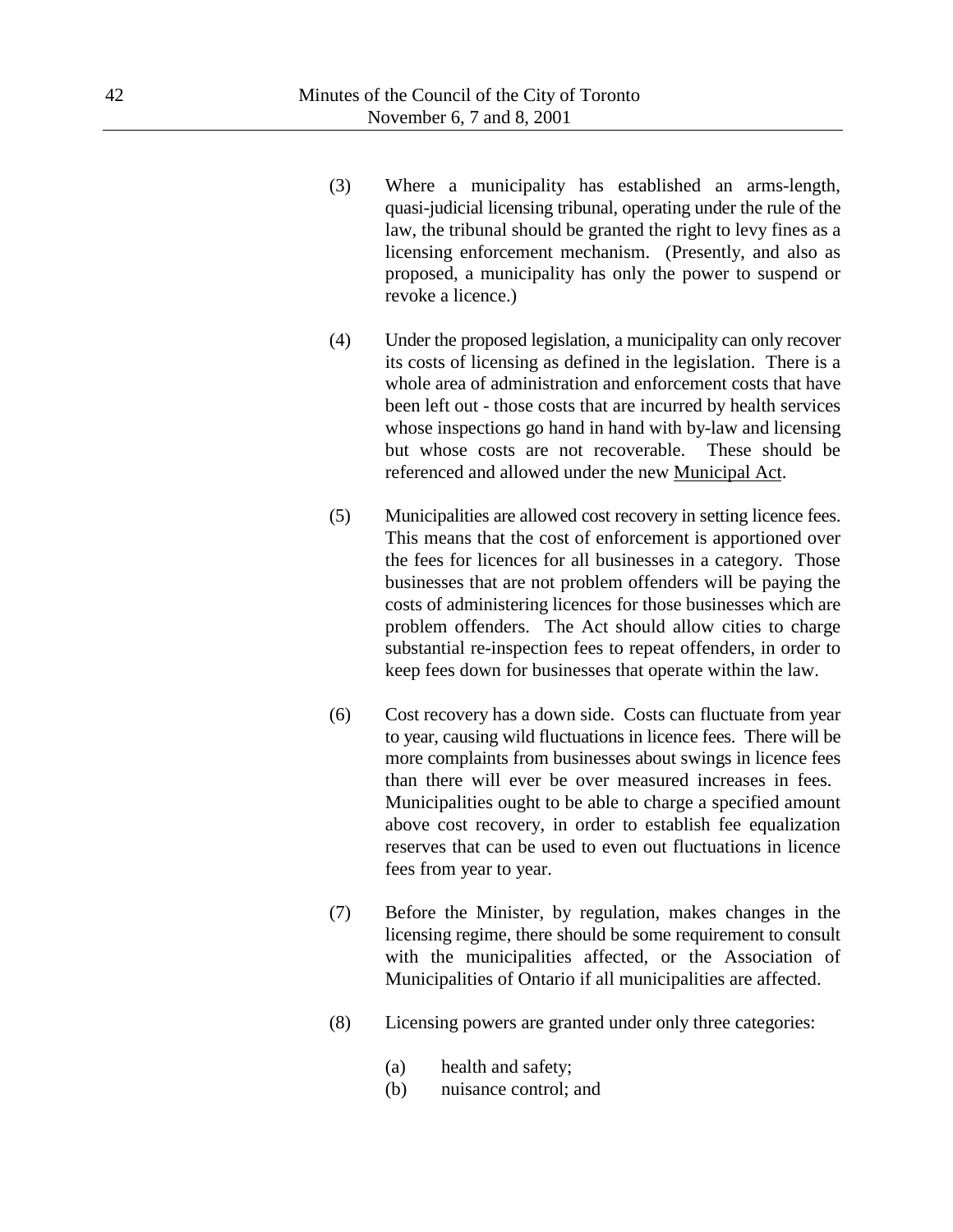- (3) Where a municipality has established an arms-length, quasi-judicial licensing tribunal, operating under the rule of the law, the tribunal should be granted the right to levy fines as a licensing enforcement mechanism. (Presently, and also as proposed, a municipality has only the power to suspend or revoke a licence.)
- (4) Under the proposed legislation, a municipality can only recover its costs of licensing as defined in the legislation. There is a whole area of administration and enforcement costs that have been left out - those costs that are incurred by health services whose inspections go hand in hand with by-law and licensing but whose costs are not recoverable. These should be referenced and allowed under the new Municipal Act.
- (5) Municipalities are allowed cost recovery in setting licence fees. This means that the cost of enforcement is apportioned over the fees for licences for all businesses in a category. Those businesses that are not problem offenders will be paying the costs of administering licences for those businesses which are problem offenders. The Act should allow cities to charge substantial re-inspection fees to repeat offenders, in order to keep fees down for businesses that operate within the law.
- (6) Cost recovery has a down side. Costs can fluctuate from year to year, causing wild fluctuations in licence fees. There will be more complaints from businesses about swings in licence fees than there will ever be over measured increases in fees. Municipalities ought to be able to charge a specified amount above cost recovery, in order to establish fee equalization reserves that can be used to even out fluctuations in licence fees from year to year.
- (7) Before the Minister, by regulation, makes changes in the licensing regime, there should be some requirement to consult with the municipalities affected, or the Association of Municipalities of Ontario if all municipalities are affected.
- (8) Licensing powers are granted under only three categories:
	- (a) health and safety;
	- (b) nuisance control; and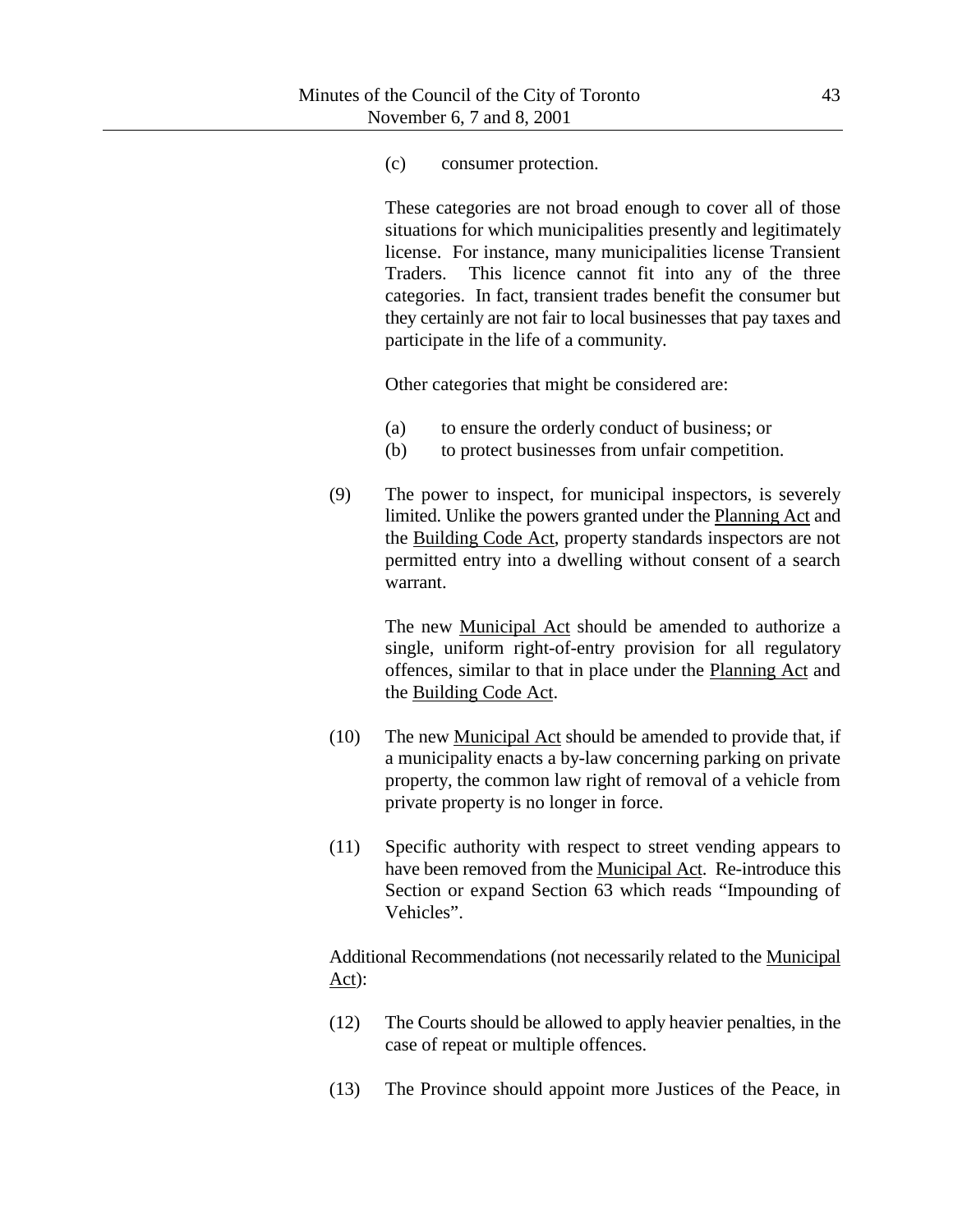(c) consumer protection.

These categories are not broad enough to cover all of those situations for which municipalities presently and legitimately license. For instance, many municipalities license Transient Traders. This licence cannot fit into any of the three categories. In fact, transient trades benefit the consumer but they certainly are not fair to local businesses that pay taxes and participate in the life of a community.

Other categories that might be considered are:

- (a) to ensure the orderly conduct of business; or
- (b) to protect businesses from unfair competition.
- (9) The power to inspect, for municipal inspectors, is severely limited. Unlike the powers granted under the Planning Act and the Building Code Act, property standards inspectors are not permitted entry into a dwelling without consent of a search warrant.

The new Municipal Act should be amended to authorize a single, uniform right-of-entry provision for all regulatory offences, similar to that in place under the Planning Act and the Building Code Act.

- (10) The new Municipal Act should be amended to provide that, if a municipality enacts a by-law concerning parking on private property, the common law right of removal of a vehicle from private property is no longer in force.
- (11) Specific authority with respect to street vending appears to have been removed from the Municipal Act. Re-introduce this Section or expand Section 63 which reads "Impounding of Vehicles".

Additional Recommendations (not necessarily related to the Municipal Act):

- (12) The Courts should be allowed to apply heavier penalties, in the case of repeat or multiple offences.
- (13) The Province should appoint more Justices of the Peace, in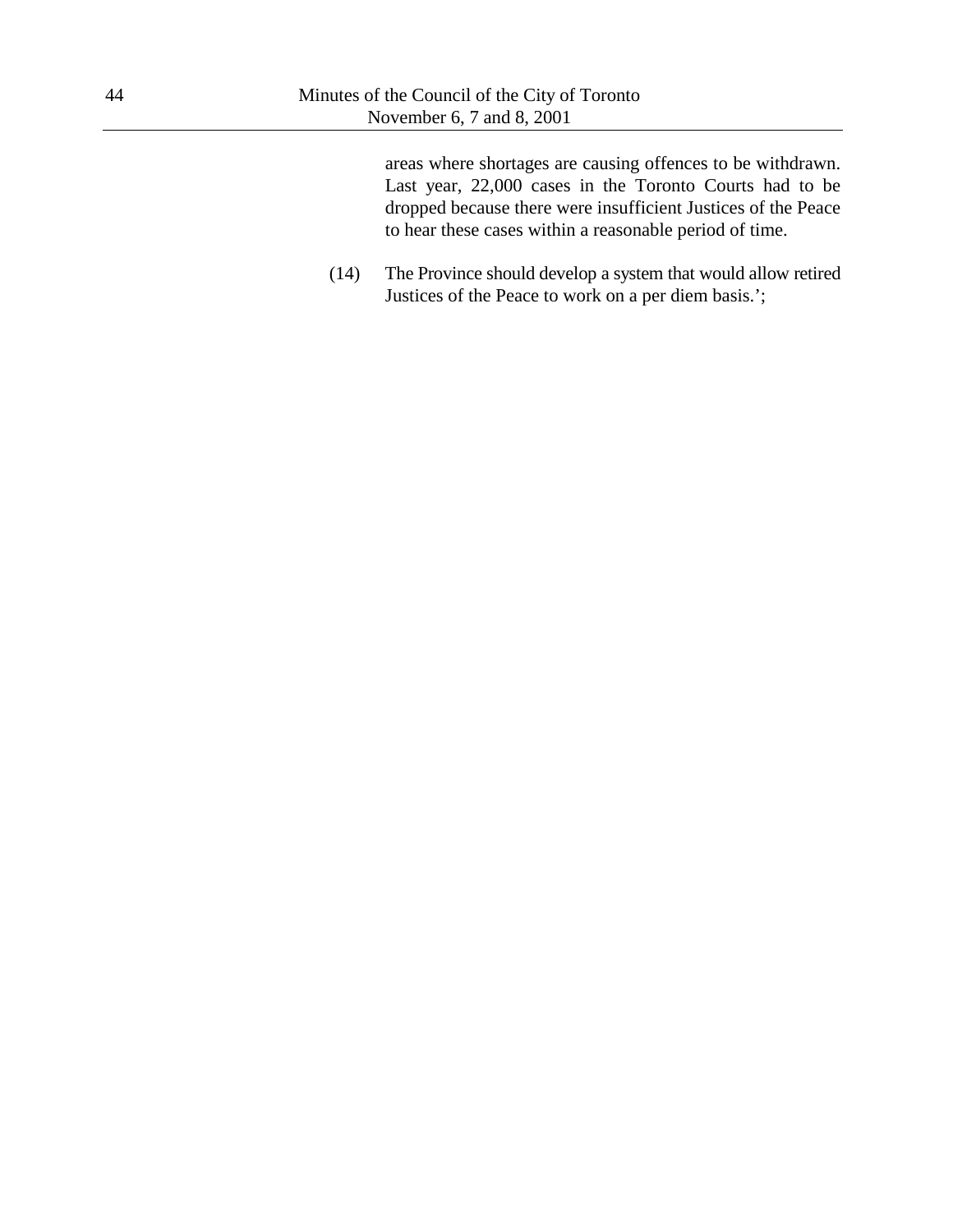areas where shortages are causing offences to be withdrawn. Last year, 22,000 cases in the Toronto Courts had to be dropped because there were insufficient Justices of the Peace to hear these cases within a reasonable period of time.

(14) The Province should develop a system that would allow retired Justices of the Peace to work on a per diem basis.';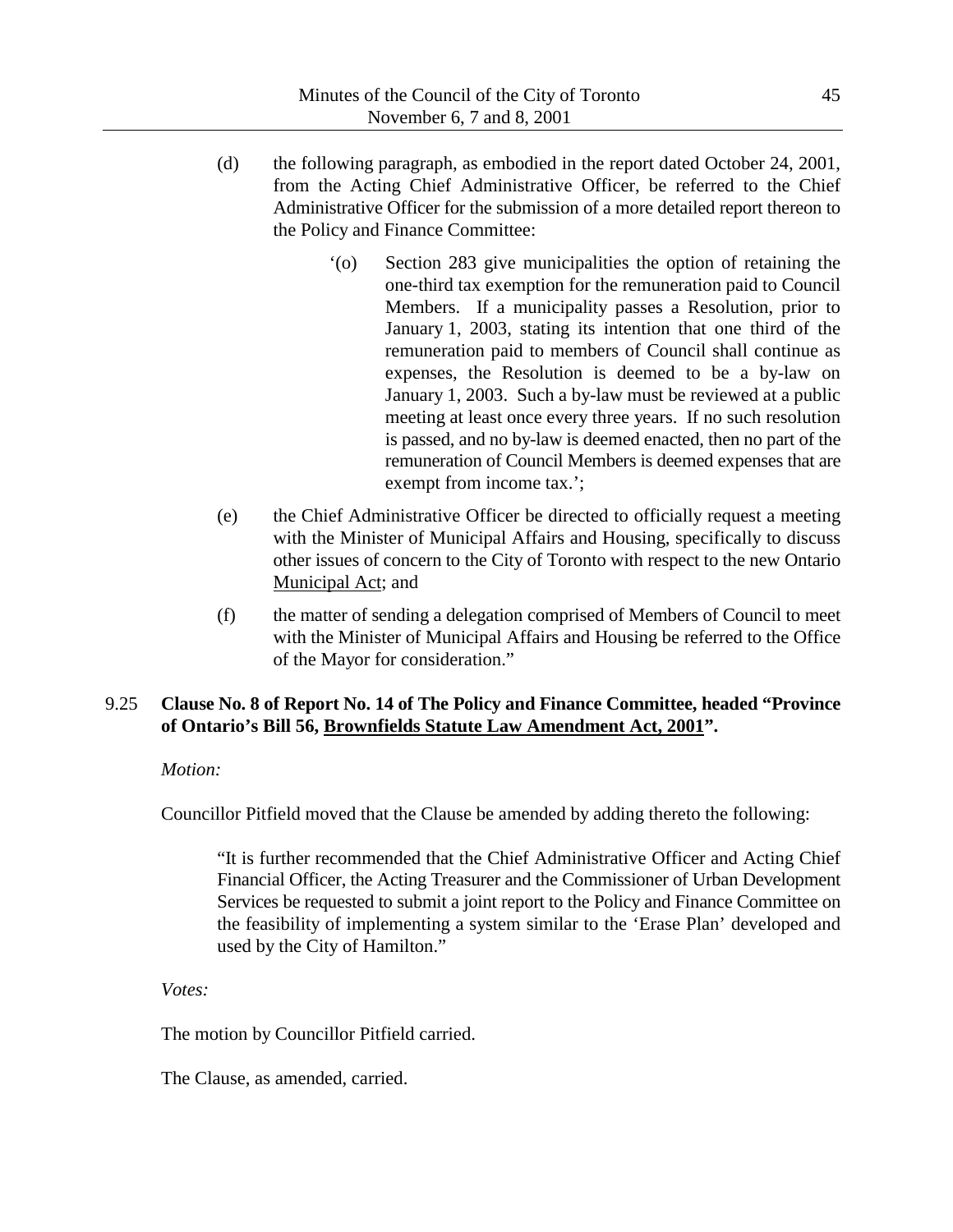- (d) the following paragraph, as embodied in the report dated October 24, 2001, from the Acting Chief Administrative Officer, be referred to the Chief Administrative Officer for the submission of a more detailed report thereon to the Policy and Finance Committee:
	- '(o) Section 283 give municipalities the option of retaining the one-third tax exemption for the remuneration paid to Council Members. If a municipality passes a Resolution, prior to January 1, 2003, stating its intention that one third of the remuneration paid to members of Council shall continue as expenses, the Resolution is deemed to be a by-law on January 1, 2003. Such a by-law must be reviewed at a public meeting at least once every three years. If no such resolution is passed, and no by-law is deemed enacted, then no part of the remuneration of Council Members is deemed expenses that are exempt from income tax.';
- (e) the Chief Administrative Officer be directed to officially request a meeting with the Minister of Municipal Affairs and Housing, specifically to discuss other issues of concern to the City of Toronto with respect to the new Ontario Municipal Act; and
- (f) the matter of sending a delegation comprised of Members of Council to meet with the Minister of Municipal Affairs and Housing be referred to the Office of the Mayor for consideration."

# 9.25 **Clause No. 8 of Report No. 14 of The Policy and Finance Committee, headed "Province of Ontario's Bill 56, Brownfields Statute Law Amendment Act, 2001".**

# *Motion:*

Councillor Pitfield moved that the Clause be amended by adding thereto the following:

"It is further recommended that the Chief Administrative Officer and Acting Chief Financial Officer, the Acting Treasurer and the Commissioner of Urban Development Services be requested to submit a joint report to the Policy and Finance Committee on the feasibility of implementing a system similar to the 'Erase Plan' developed and used by the City of Hamilton."

*Votes:*

The motion by Councillor Pitfield carried.

The Clause, as amended, carried.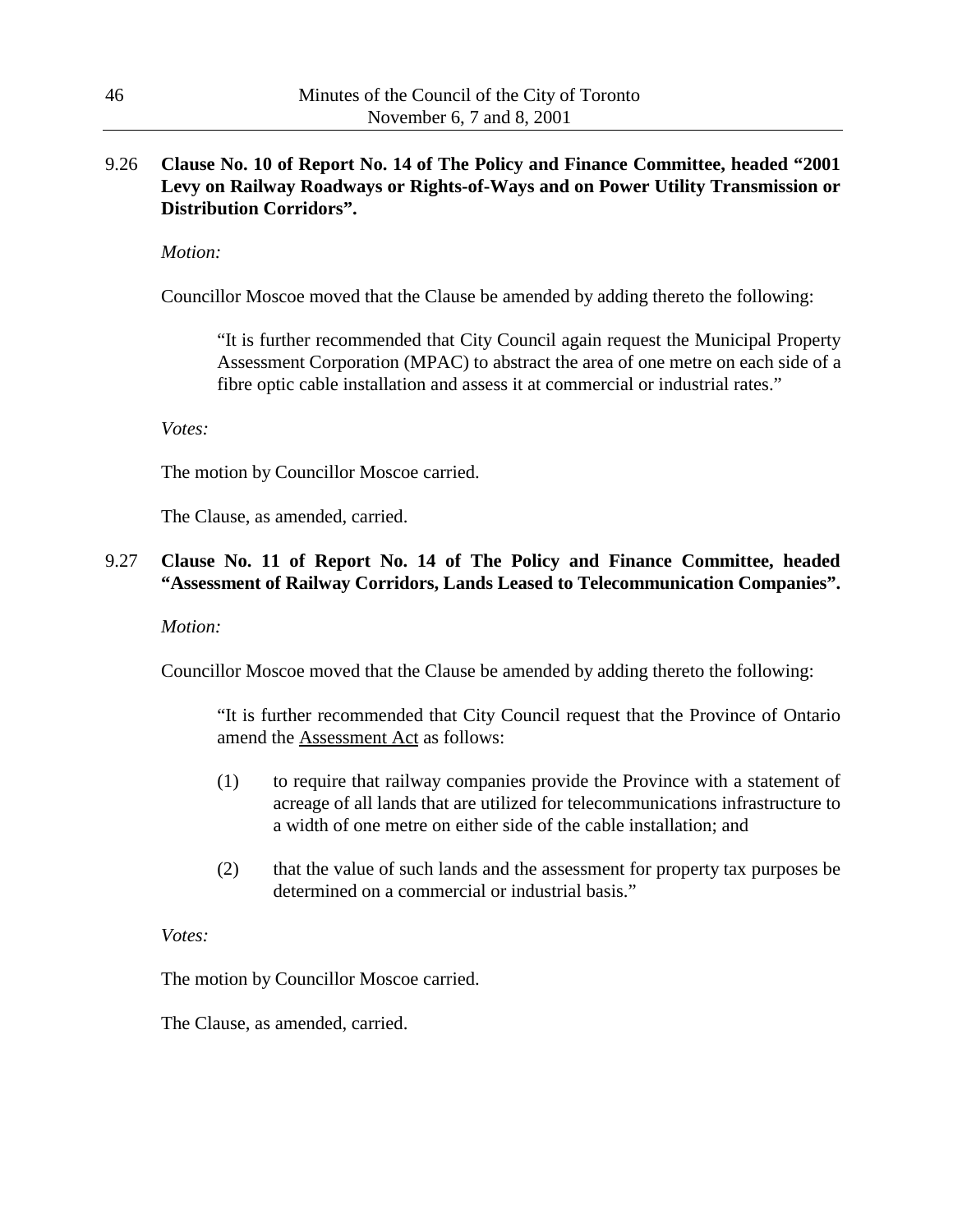# 9.26 **Clause No. 10 of Report No. 14 of The Policy and Finance Committee, headed "2001 Levy on Railway Roadways or Rights-of-Ways and on Power Utility Transmission or Distribution Corridors".**

*Motion:*

Councillor Moscoe moved that the Clause be amended by adding thereto the following:

"It is further recommended that City Council again request the Municipal Property Assessment Corporation (MPAC) to abstract the area of one metre on each side of a fibre optic cable installation and assess it at commercial or industrial rates."

### *Votes:*

The motion by Councillor Moscoe carried.

The Clause, as amended, carried.

### 9.27 **Clause No. 11 of Report No. 14 of The Policy and Finance Committee, headed "Assessment of Railway Corridors, Lands Leased to Telecommunication Companies".**

#### *Motion:*

Councillor Moscoe moved that the Clause be amended by adding thereto the following:

"It is further recommended that City Council request that the Province of Ontario amend the Assessment Act as follows:

- (1) to require that railway companies provide the Province with a statement of acreage of all lands that are utilized for telecommunications infrastructure to a width of one metre on either side of the cable installation; and
- (2) that the value of such lands and the assessment for property tax purposes be determined on a commercial or industrial basis."

#### *Votes:*

The motion by Councillor Moscoe carried.

The Clause, as amended, carried.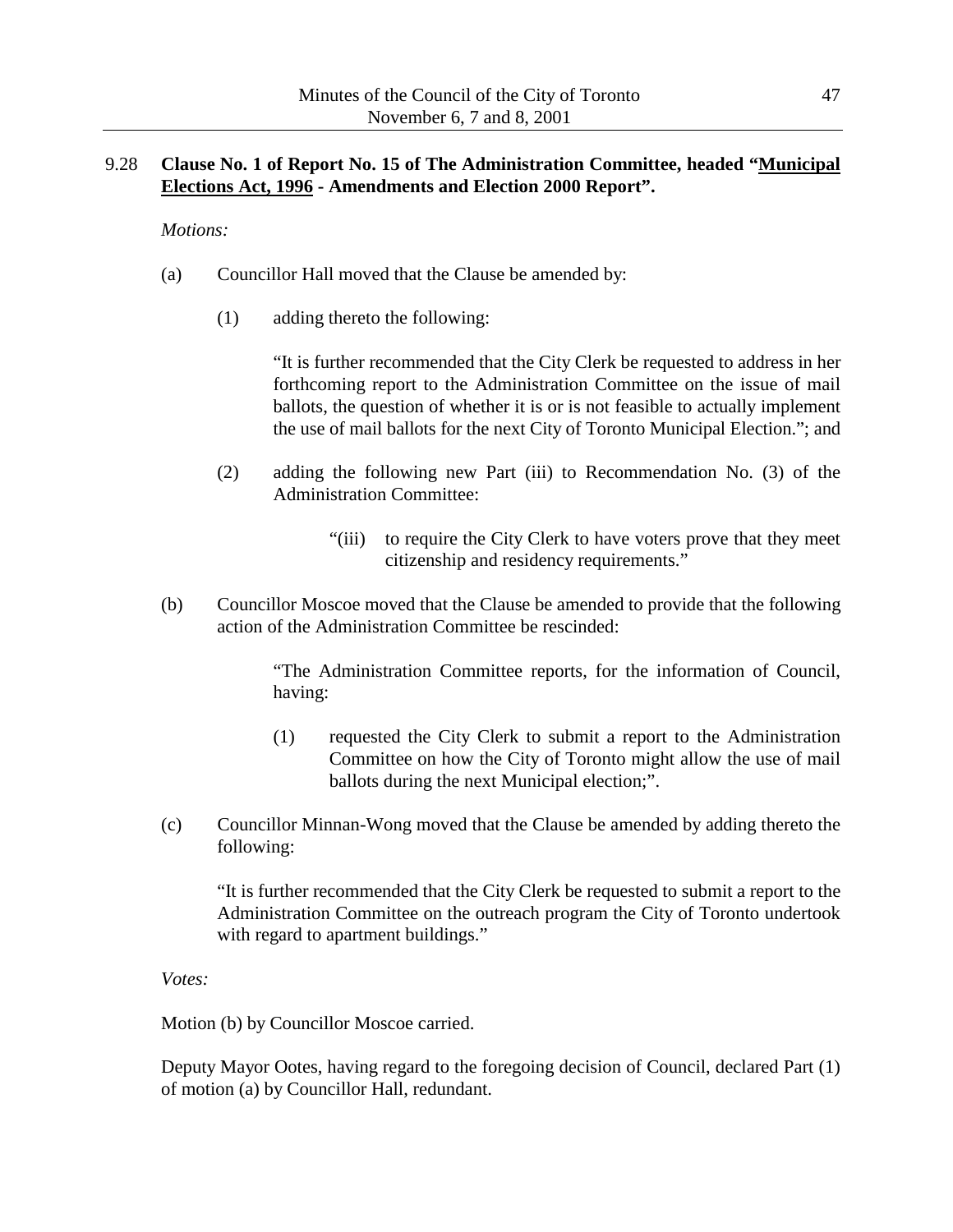## 9.28 **Clause No. 1 of Report No. 15 of The Administration Committee, headed "Municipal Elections Act, 1996 - Amendments and Election 2000 Report".**

*Motions:*

- (a) Councillor Hall moved that the Clause be amended by:
	- (1) adding thereto the following:

"It is further recommended that the City Clerk be requested to address in her forthcoming report to the Administration Committee on the issue of mail ballots, the question of whether it is or is not feasible to actually implement the use of mail ballots for the next City of Toronto Municipal Election."; and

- (2) adding the following new Part (iii) to Recommendation No. (3) of the Administration Committee:
	- "(iii) to require the City Clerk to have voters prove that they meet citizenship and residency requirements."
- (b) Councillor Moscoe moved that the Clause be amended to provide that the following action of the Administration Committee be rescinded:

"The Administration Committee reports, for the information of Council, having:

- (1) requested the City Clerk to submit a report to the Administration Committee on how the City of Toronto might allow the use of mail ballots during the next Municipal election;".
- (c) Councillor Minnan-Wong moved that the Clause be amended by adding thereto the following:

"It is further recommended that the City Clerk be requested to submit a report to the Administration Committee on the outreach program the City of Toronto undertook with regard to apartment buildings."

*Votes:*

Motion (b) by Councillor Moscoe carried.

Deputy Mayor Ootes, having regard to the foregoing decision of Council, declared Part (1) of motion (a) by Councillor Hall, redundant.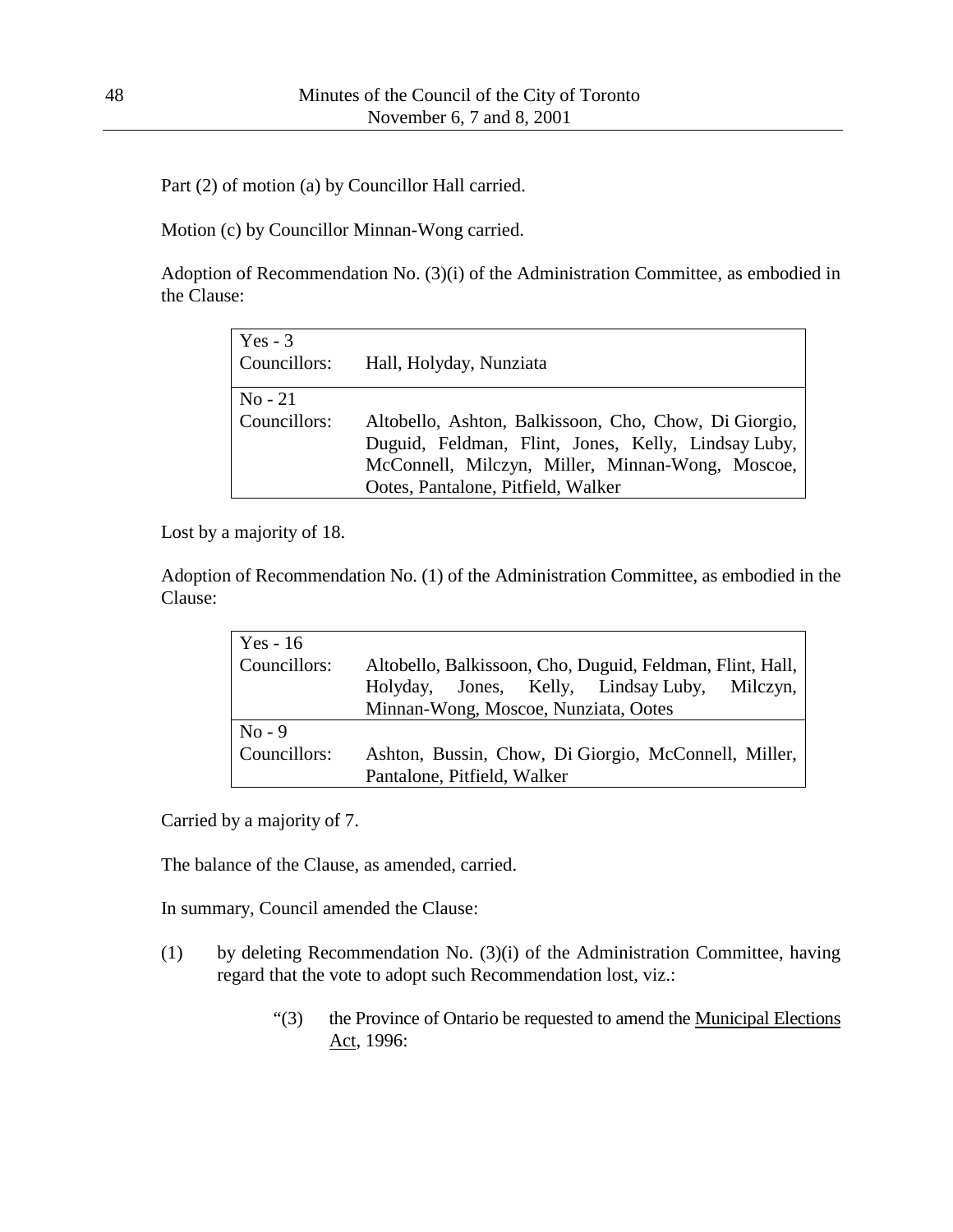Part (2) of motion (a) by Councillor Hall carried.

Motion (c) by Councillor Minnan-Wong carried.

Adoption of Recommendation No. (3)(i) of the Administration Committee, as embodied in the Clause:

| $Yes - 3$<br>Councillors: | Hall, Holyday, Nunziata                                                                                                                                                                                |
|---------------------------|--------------------------------------------------------------------------------------------------------------------------------------------------------------------------------------------------------|
| $No - 21$<br>Councillors: | Altobello, Ashton, Balkissoon, Cho, Chow, Di Giorgio,<br>Duguid, Feldman, Flint, Jones, Kelly, Lindsay Luby,<br>McConnell, Milczyn, Miller, Minnan-Wong, Moscoe,<br>Ootes, Pantalone, Pitfield, Walker |

Lost by a majority of 18.

Adoption of Recommendation No. (1) of the Administration Committee, as embodied in the Clause:

| Yes - $16$   |                                                           |
|--------------|-----------------------------------------------------------|
| Councillors: | Altobello, Balkissoon, Cho, Duguid, Feldman, Flint, Hall, |
|              | Holyday, Jones, Kelly, Lindsay Luby,<br>Milczyn,          |
|              | Minnan-Wong, Moscoe, Nunziata, Ootes                      |
| $No - 9$     |                                                           |
| Councillors: | Ashton, Bussin, Chow, Di Giorgio, McConnell, Miller,      |
|              | Pantalone, Pitfield, Walker                               |

Carried by a majority of 7.

The balance of the Clause, as amended, carried.

In summary, Council amended the Clause:

- (1) by deleting Recommendation No. (3)(i) of the Administration Committee, having regard that the vote to adopt such Recommendation lost, viz.:
	- "(3) the Province of Ontario be requested to amend the Municipal Elections Act, 1996: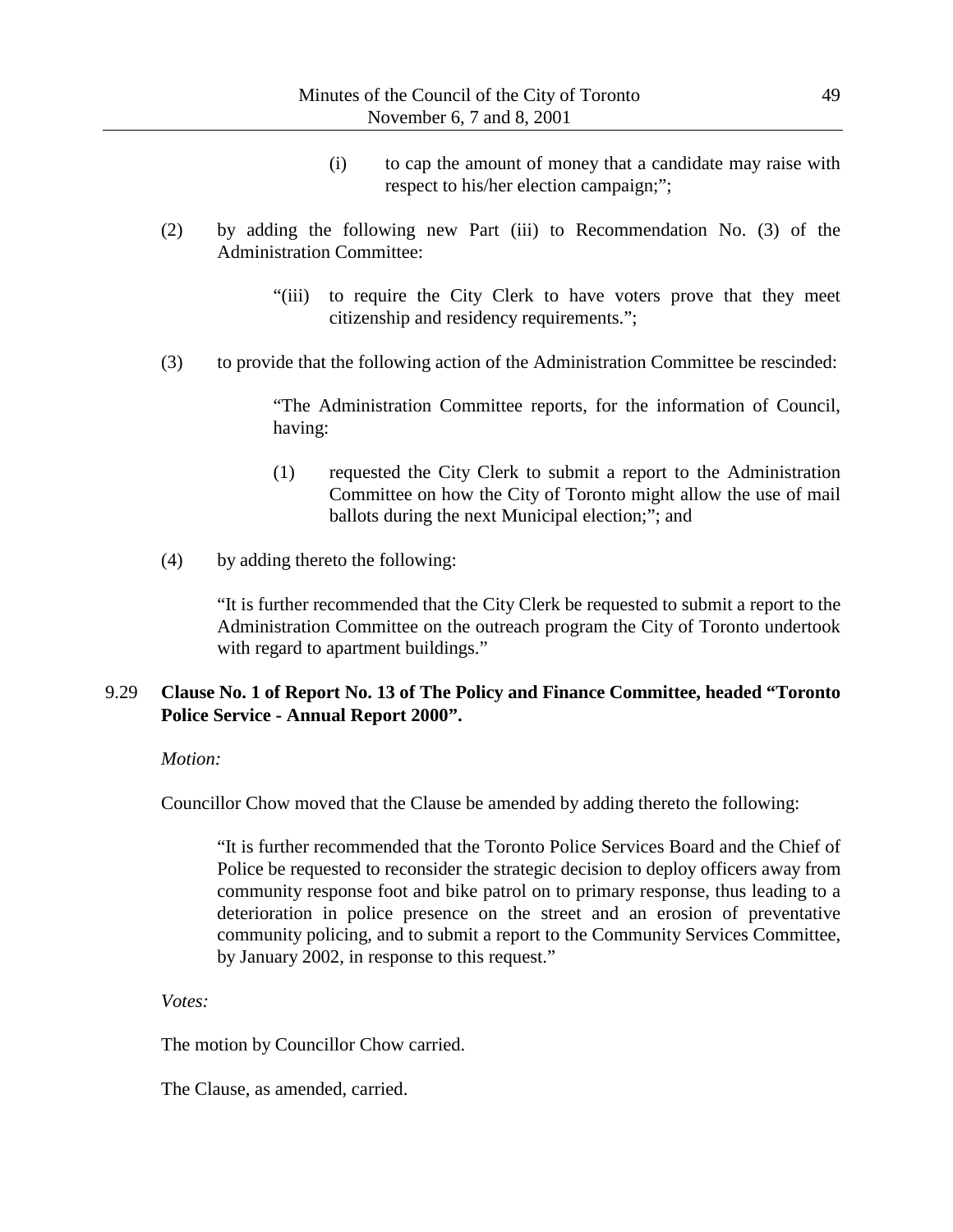- (i) to cap the amount of money that a candidate may raise with respect to his/her election campaign;";
- (2) by adding the following new Part (iii) to Recommendation No. (3) of the Administration Committee:
	- "(iii) to require the City Clerk to have voters prove that they meet citizenship and residency requirements.";
- (3) to provide that the following action of the Administration Committee be rescinded:

"The Administration Committee reports, for the information of Council, having:

- (1) requested the City Clerk to submit a report to the Administration Committee on how the City of Toronto might allow the use of mail ballots during the next Municipal election;"; and
- (4) by adding thereto the following:

"It is further recommended that the City Clerk be requested to submit a report to the Administration Committee on the outreach program the City of Toronto undertook with regard to apartment buildings."

### 9.29 **Clause No. 1 of Report No. 13 of The Policy and Finance Committee, headed "Toronto Police Service - Annual Report 2000".**

*Motion:*

Councillor Chow moved that the Clause be amended by adding thereto the following:

"It is further recommended that the Toronto Police Services Board and the Chief of Police be requested to reconsider the strategic decision to deploy officers away from community response foot and bike patrol on to primary response, thus leading to a deterioration in police presence on the street and an erosion of preventative community policing, and to submit a report to the Community Services Committee, by January 2002, in response to this request."

*Votes:*

The motion by Councillor Chow carried.

The Clause, as amended, carried.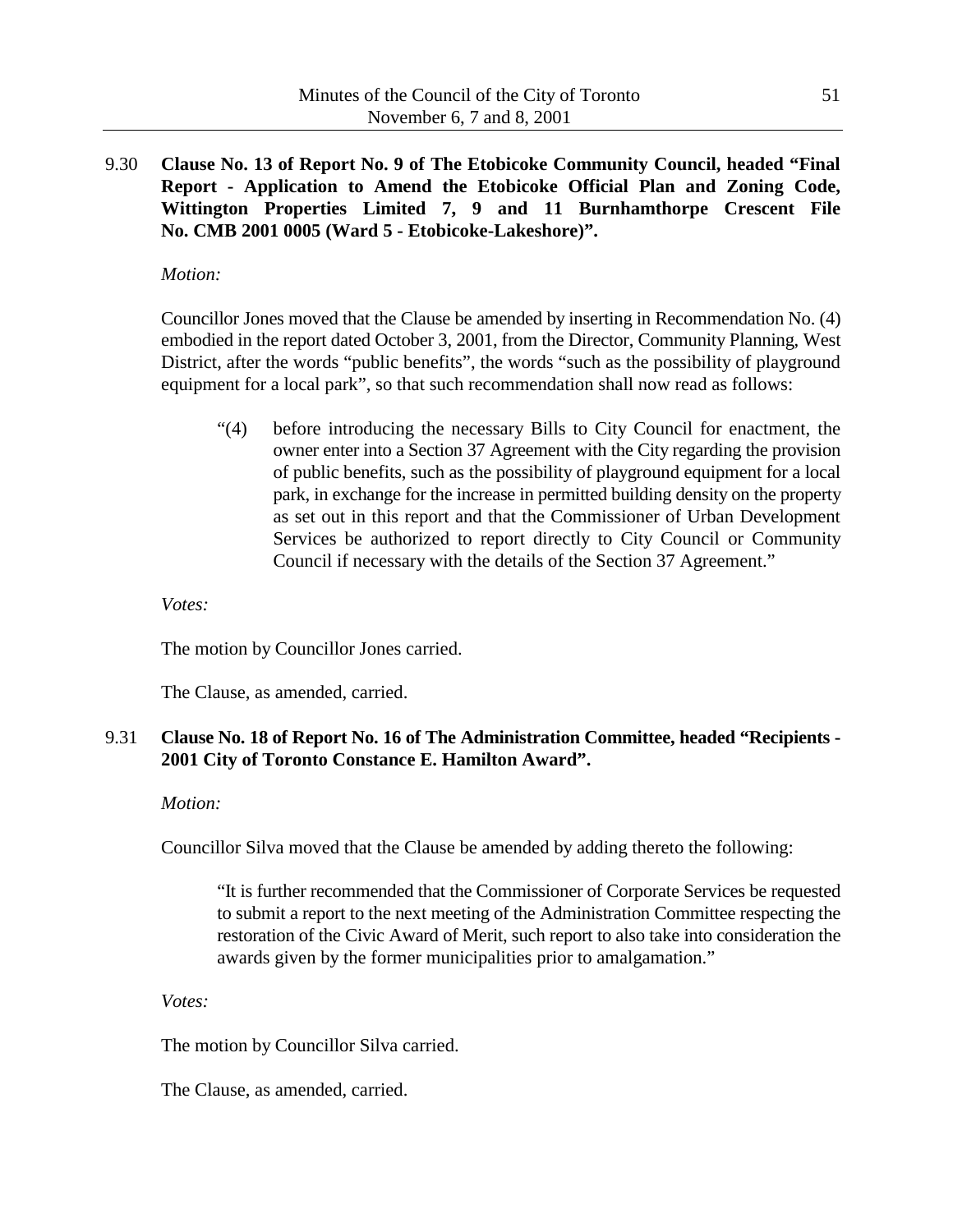9.30 **Clause No. 13 of Report No. 9 of The Etobicoke Community Council, headed "Final Report - Application to Amend the Etobicoke Official Plan and Zoning Code, Wittington Properties Limited 7, 9 and 11 Burnhamthorpe Crescent File No. CMB 2001 0005 (Ward 5 - Etobicoke-Lakeshore)".**

### *Motion:*

Councillor Jones moved that the Clause be amended by inserting in Recommendation No. (4) embodied in the report dated October 3, 2001, from the Director, Community Planning, West District, after the words "public benefits", the words "such as the possibility of playground equipment for a local park", so that such recommendation shall now read as follows:

"(4) before introducing the necessary Bills to City Council for enactment, the owner enter into a Section 37 Agreement with the City regarding the provision of public benefits, such as the possibility of playground equipment for a local park, in exchange for the increase in permitted building density on the property as set out in this report and that the Commissioner of Urban Development Services be authorized to report directly to City Council or Community Council if necessary with the details of the Section 37 Agreement."

*Votes:*

The motion by Councillor Jones carried.

The Clause, as amended, carried.

# 9.31 **Clause No. 18 of Report No. 16 of The Administration Committee, headed "Recipients - 2001 City of Toronto Constance E. Hamilton Award".**

### *Motion:*

Councillor Silva moved that the Clause be amended by adding thereto the following:

"It is further recommended that the Commissioner of Corporate Services be requested to submit a report to the next meeting of the Administration Committee respecting the restoration of the Civic Award of Merit, such report to also take into consideration the awards given by the former municipalities prior to amalgamation."

*Votes:*

The motion by Councillor Silva carried.

The Clause, as amended, carried.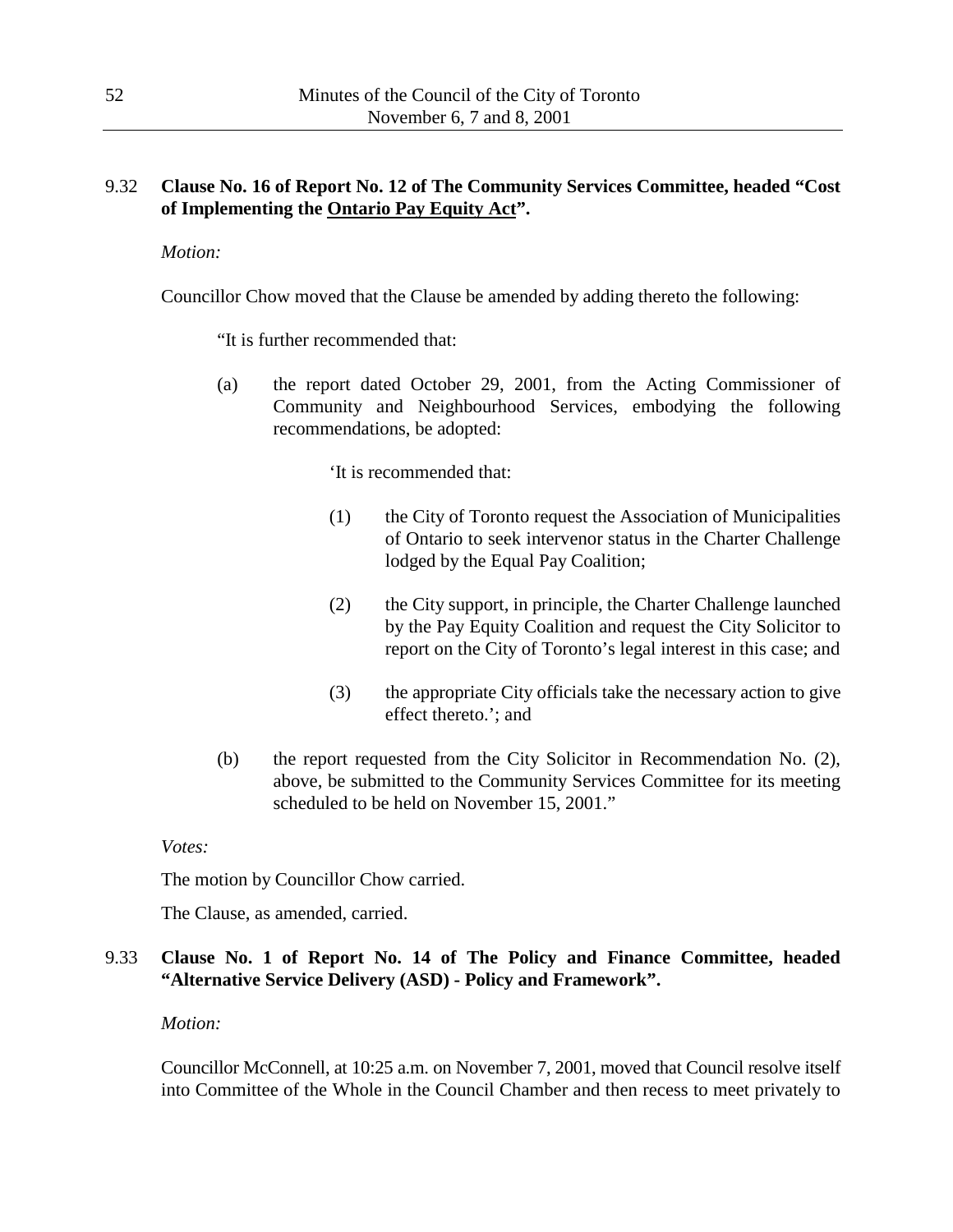# 9.32 **Clause No. 16 of Report No. 12 of The Community Services Committee, headed "Cost of Implementing the Ontario Pay Equity Act".**

*Motion:*

Councillor Chow moved that the Clause be amended by adding thereto the following:

"It is further recommended that:

(a) the report dated October 29, 2001, from the Acting Commissioner of Community and Neighbourhood Services, embodying the following recommendations, be adopted:

'It is recommended that:

- (1) the City of Toronto request the Association of Municipalities of Ontario to seek intervenor status in the Charter Challenge lodged by the Equal Pay Coalition;
- (2) the City support, in principle, the Charter Challenge launched by the Pay Equity Coalition and request the City Solicitor to report on the City of Toronto's legal interest in this case; and
- (3) the appropriate City officials take the necessary action to give effect thereto.'; and
- (b) the report requested from the City Solicitor in Recommendation No. (2), above, be submitted to the Community Services Committee for its meeting scheduled to be held on November 15, 2001."

#### *Votes:*

The motion by Councillor Chow carried.

The Clause, as amended, carried.

# 9.33 **Clause No. 1 of Report No. 14 of The Policy and Finance Committee, headed "Alternative Service Delivery (ASD) - Policy and Framework".**

#### *Motion:*

Councillor McConnell, at 10:25 a.m. on November 7, 2001, moved that Council resolve itself into Committee of the Whole in the Council Chamber and then recess to meet privately to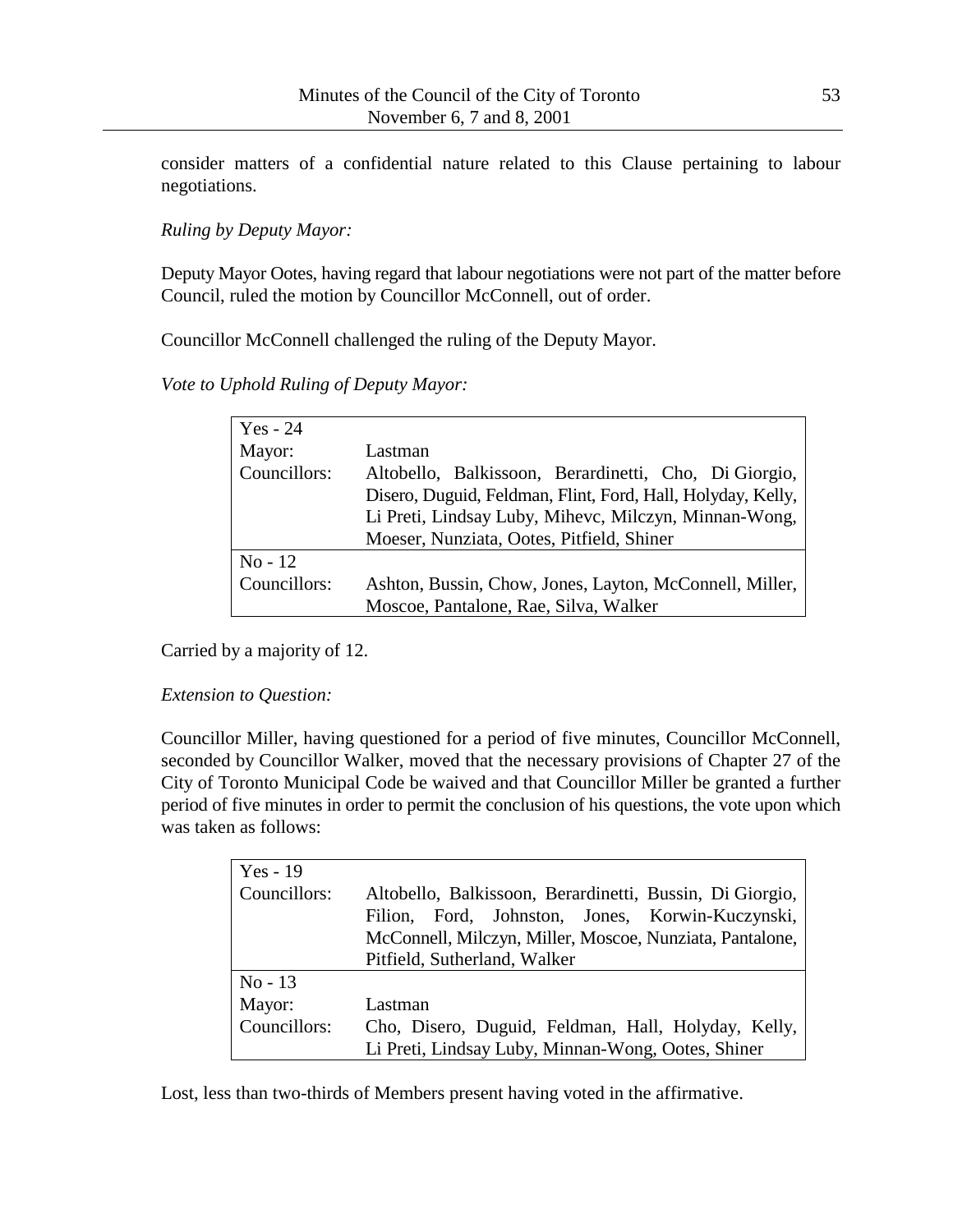consider matters of a confidential nature related to this Clause pertaining to labour negotiations.

*Ruling by Deputy Mayor:*

Deputy Mayor Ootes, having regard that labour negotiations were not part of the matter before Council, ruled the motion by Councillor McConnell, out of order.

Councillor McConnell challenged the ruling of the Deputy Mayor.

*Vote to Uphold Ruling of Deputy Mayor:*

| Yes - 24     |                                                             |
|--------------|-------------------------------------------------------------|
| Mayor:       | Lastman                                                     |
| Councillors: | Altobello, Balkissoon, Berardinetti, Cho, Di Giorgio,       |
|              | Disero, Duguid, Feldman, Flint, Ford, Hall, Holyday, Kelly, |
|              | Li Preti, Lindsay Luby, Mihevc, Milczyn, Minnan-Wong,       |
|              | Moeser, Nunziata, Ootes, Pitfield, Shiner                   |
| $No-12$      |                                                             |
| Councillors: | Ashton, Bussin, Chow, Jones, Layton, McConnell, Miller,     |
|              | Moscoe, Pantalone, Rae, Silva, Walker                       |

Carried by a majority of 12.

*Extension to Question:*

Councillor Miller, having questioned for a period of five minutes, Councillor McConnell, seconded by Councillor Walker, moved that the necessary provisions of Chapter 27 of the City of Toronto Municipal Code be waived and that Councillor Miller be granted a further period of five minutes in order to permit the conclusion of his questions, the vote upon which was taken as follows:

| $Yes - 19$   |                                                          |
|--------------|----------------------------------------------------------|
| Councillors: | Altobello, Balkissoon, Berardinetti, Bussin, Di Giorgio, |
|              | Ford, Johnston, Jones, Korwin-Kuczynski,<br>Filion,      |
|              | McConnell, Milczyn, Miller, Moscoe, Nunziata, Pantalone, |
|              | Pitfield, Sutherland, Walker                             |
| $No-13$      |                                                          |
| Mayor:       | Lastman                                                  |
| Councillors: | Cho, Disero, Duguid, Feldman, Hall, Holyday, Kelly,      |
|              | Li Preti, Lindsay Luby, Minnan-Wong, Ootes, Shiner       |

Lost, less than two-thirds of Members present having voted in the affirmative.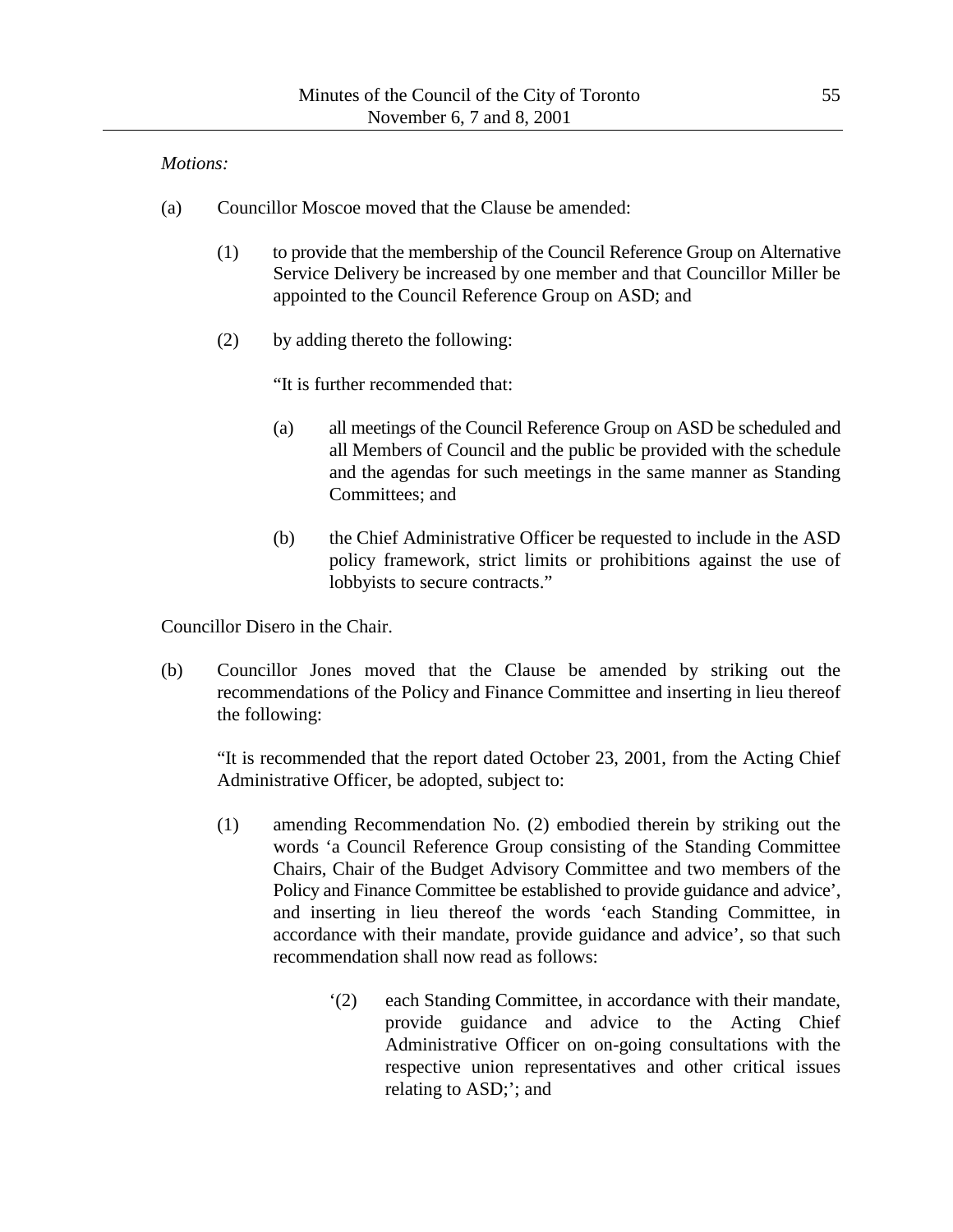### *Motions:*

- (a) Councillor Moscoe moved that the Clause be amended:
	- (1) to provide that the membership of the Council Reference Group on Alternative Service Delivery be increased by one member and that Councillor Miller be appointed to the Council Reference Group on ASD; and
	- (2) by adding thereto the following:

"It is further recommended that:

- (a) all meetings of the Council Reference Group on ASD be scheduled and all Members of Council and the public be provided with the schedule and the agendas for such meetings in the same manner as Standing Committees; and
- (b) the Chief Administrative Officer be requested to include in the ASD policy framework, strict limits or prohibitions against the use of lobbyists to secure contracts."

Councillor Disero in the Chair.

(b) Councillor Jones moved that the Clause be amended by striking out the recommendations of the Policy and Finance Committee and inserting in lieu thereof the following:

"It is recommended that the report dated October 23, 2001, from the Acting Chief Administrative Officer, be adopted, subject to:

- (1) amending Recommendation No. (2) embodied therein by striking out the words 'a Council Reference Group consisting of the Standing Committee Chairs, Chair of the Budget Advisory Committee and two members of the Policy and Finance Committee be established to provide guidance and advice', and inserting in lieu thereof the words 'each Standing Committee, in accordance with their mandate, provide guidance and advice', so that such recommendation shall now read as follows:
	- '(2) each Standing Committee, in accordance with their mandate, provide guidance and advice to the Acting Chief Administrative Officer on on-going consultations with the respective union representatives and other critical issues relating to ASD;'; and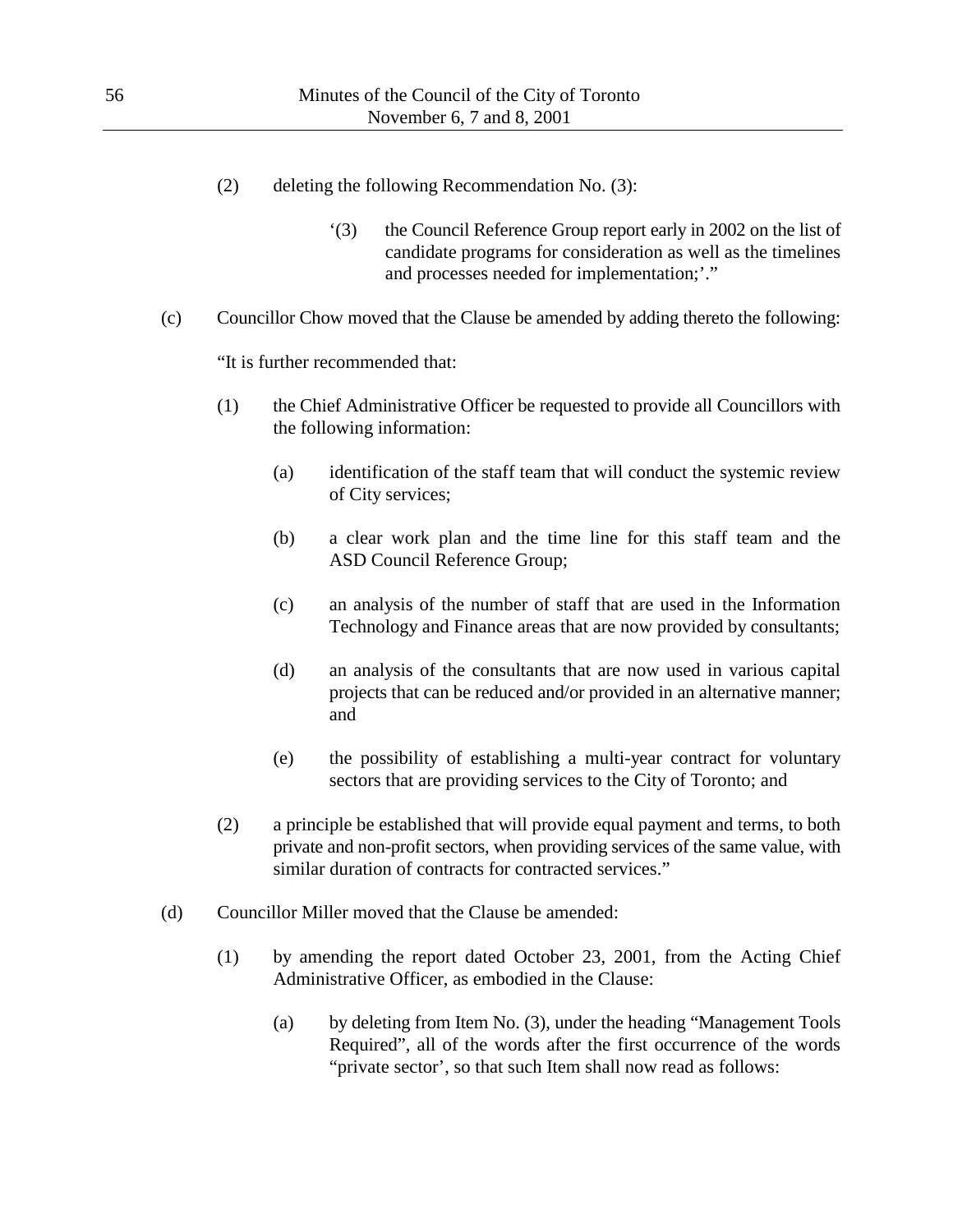- (2) deleting the following Recommendation No. (3):
	- '(3) the Council Reference Group report early in 2002 on the list of candidate programs for consideration as well as the timelines and processes needed for implementation;'."
- (c) Councillor Chow moved that the Clause be amended by adding thereto the following:

"It is further recommended that:

- (1) the Chief Administrative Officer be requested to provide all Councillors with the following information:
	- (a) identification of the staff team that will conduct the systemic review of City services;
	- (b) a clear work plan and the time line for this staff team and the ASD Council Reference Group;
	- (c) an analysis of the number of staff that are used in the Information Technology and Finance areas that are now provided by consultants;
	- (d) an analysis of the consultants that are now used in various capital projects that can be reduced and/or provided in an alternative manner; and
	- (e) the possibility of establishing a multi-year contract for voluntary sectors that are providing services to the City of Toronto; and
- (2) a principle be established that will provide equal payment and terms, to both private and non-profit sectors, when providing services of the same value, with similar duration of contracts for contracted services."
- (d) Councillor Miller moved that the Clause be amended:
	- (1) by amending the report dated October 23, 2001, from the Acting Chief Administrative Officer, as embodied in the Clause:
		- (a) by deleting from Item No. (3), under the heading "Management Tools Required", all of the words after the first occurrence of the words "private sector', so that such Item shall now read as follows: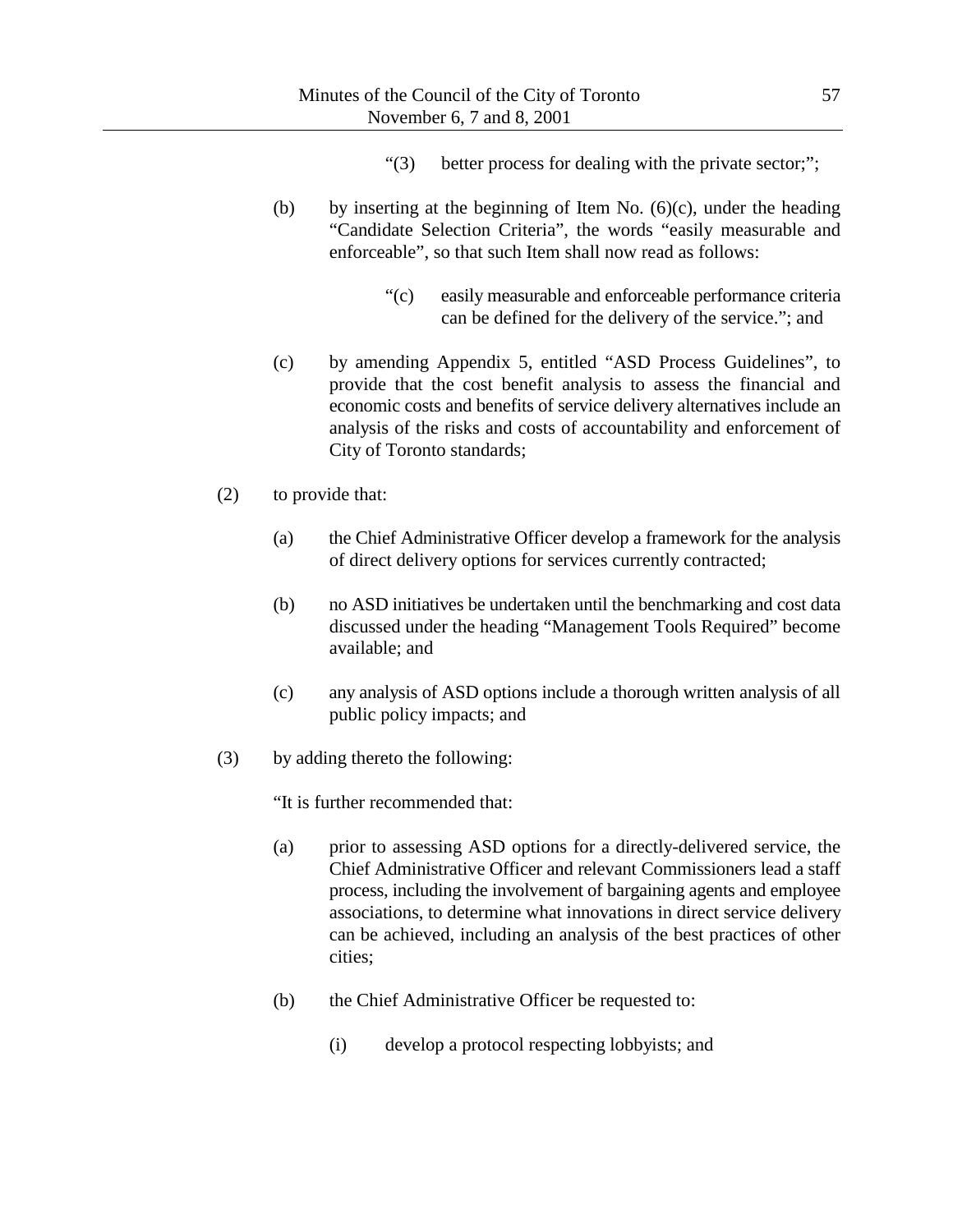- "(3) better process for dealing with the private sector;";
- (b) by inserting at the beginning of Item No.  $(6)(c)$ , under the heading "Candidate Selection Criteria", the words "easily measurable and enforceable", so that such Item shall now read as follows:
	- "(c) easily measurable and enforceable performance criteria can be defined for the delivery of the service."; and
- (c) by amending Appendix 5, entitled "ASD Process Guidelines", to provide that the cost benefit analysis to assess the financial and economic costs and benefits of service delivery alternatives include an analysis of the risks and costs of accountability and enforcement of City of Toronto standards;
- (2) to provide that:
	- (a) the Chief Administrative Officer develop a framework for the analysis of direct delivery options for services currently contracted;
	- (b) no ASD initiatives be undertaken until the benchmarking and cost data discussed under the heading "Management Tools Required" become available; and
	- (c) any analysis of ASD options include a thorough written analysis of all public policy impacts; and
- (3) by adding thereto the following:

"It is further recommended that:

- (a) prior to assessing ASD options for a directly-delivered service, the Chief Administrative Officer and relevant Commissioners lead a staff process, including the involvement of bargaining agents and employee associations, to determine what innovations in direct service delivery can be achieved, including an analysis of the best practices of other cities;
- (b) the Chief Administrative Officer be requested to:
	- (i) develop a protocol respecting lobbyists; and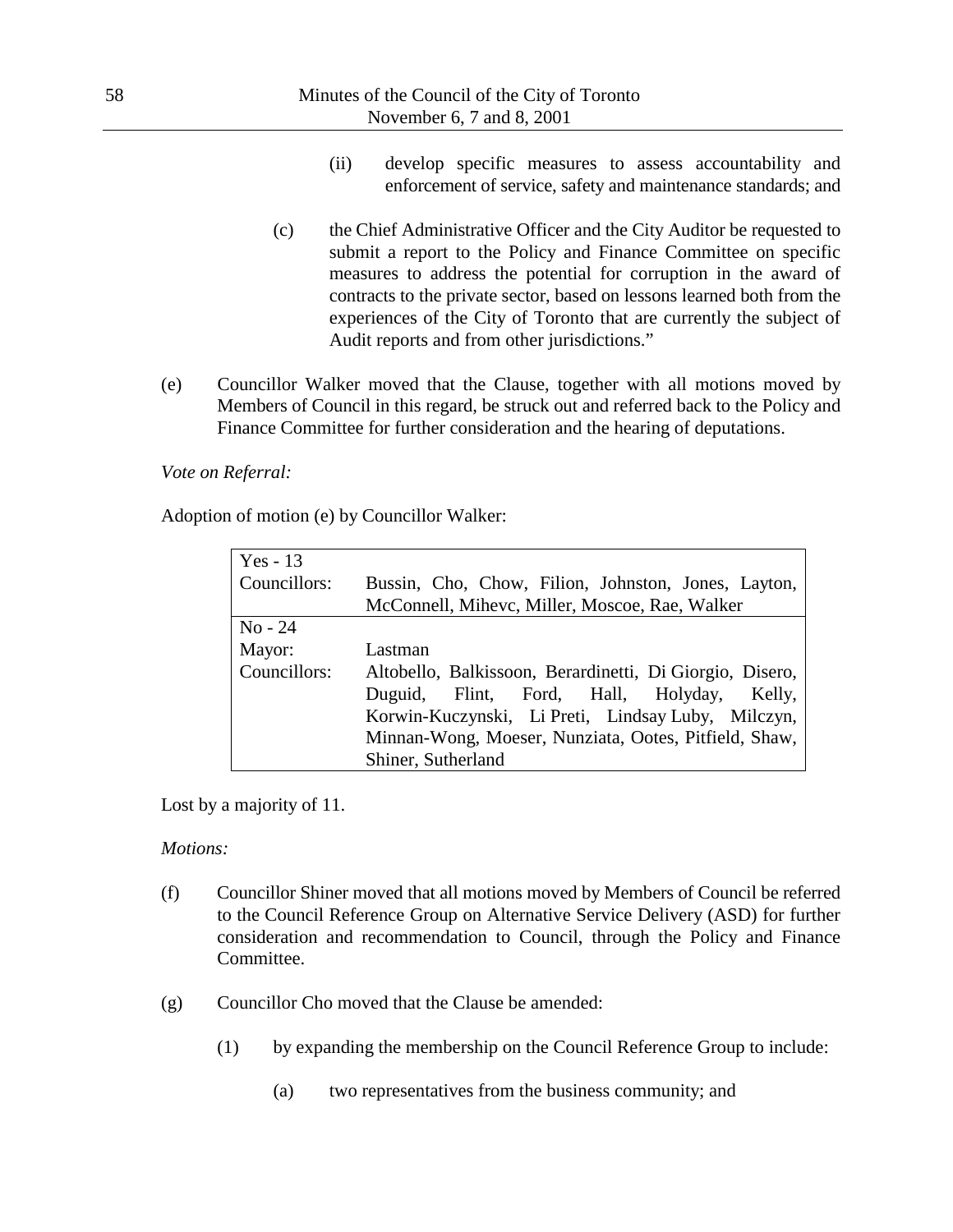- (ii) develop specific measures to assess accountability and enforcement of service, safety and maintenance standards; and
- (c) the Chief Administrative Officer and the City Auditor be requested to submit a report to the Policy and Finance Committee on specific measures to address the potential for corruption in the award of contracts to the private sector, based on lessons learned both from the experiences of the City of Toronto that are currently the subject of Audit reports and from other jurisdictions."
- (e) Councillor Walker moved that the Clause, together with all motions moved by Members of Council in this regard, be struck out and referred back to the Policy and Finance Committee for further consideration and the hearing of deputations.

### *Vote on Referral:*

Adoption of motion (e) by Councillor Walker:

| Yes - $13$   |                                                          |
|--------------|----------------------------------------------------------|
| Councillors: | Bussin, Cho, Chow, Filion, Johnston, Jones, Layton,      |
|              | McConnell, Mihevc, Miller, Moscoe, Rae, Walker           |
| $No - 24$    |                                                          |
| Mayor:       | Lastman                                                  |
| Councillors: | Altobello, Balkissoon, Berardinetti, Di Giorgio, Disero, |
|              | Duguid, Flint, Ford, Hall, Holyday, Kelly,               |
|              | Korwin-Kuczynski, Li Preti, Lindsay Luby, Milczyn,       |
|              | Minnan-Wong, Moeser, Nunziata, Ootes, Pitfield, Shaw,    |
|              | Shiner, Sutherland                                       |

Lost by a majority of 11.

#### *Motions:*

- (f) Councillor Shiner moved that all motions moved by Members of Council be referred to the Council Reference Group on Alternative Service Delivery (ASD) for further consideration and recommendation to Council, through the Policy and Finance Committee.
- (g) Councillor Cho moved that the Clause be amended:
	- (1) by expanding the membership on the Council Reference Group to include:
		- (a) two representatives from the business community; and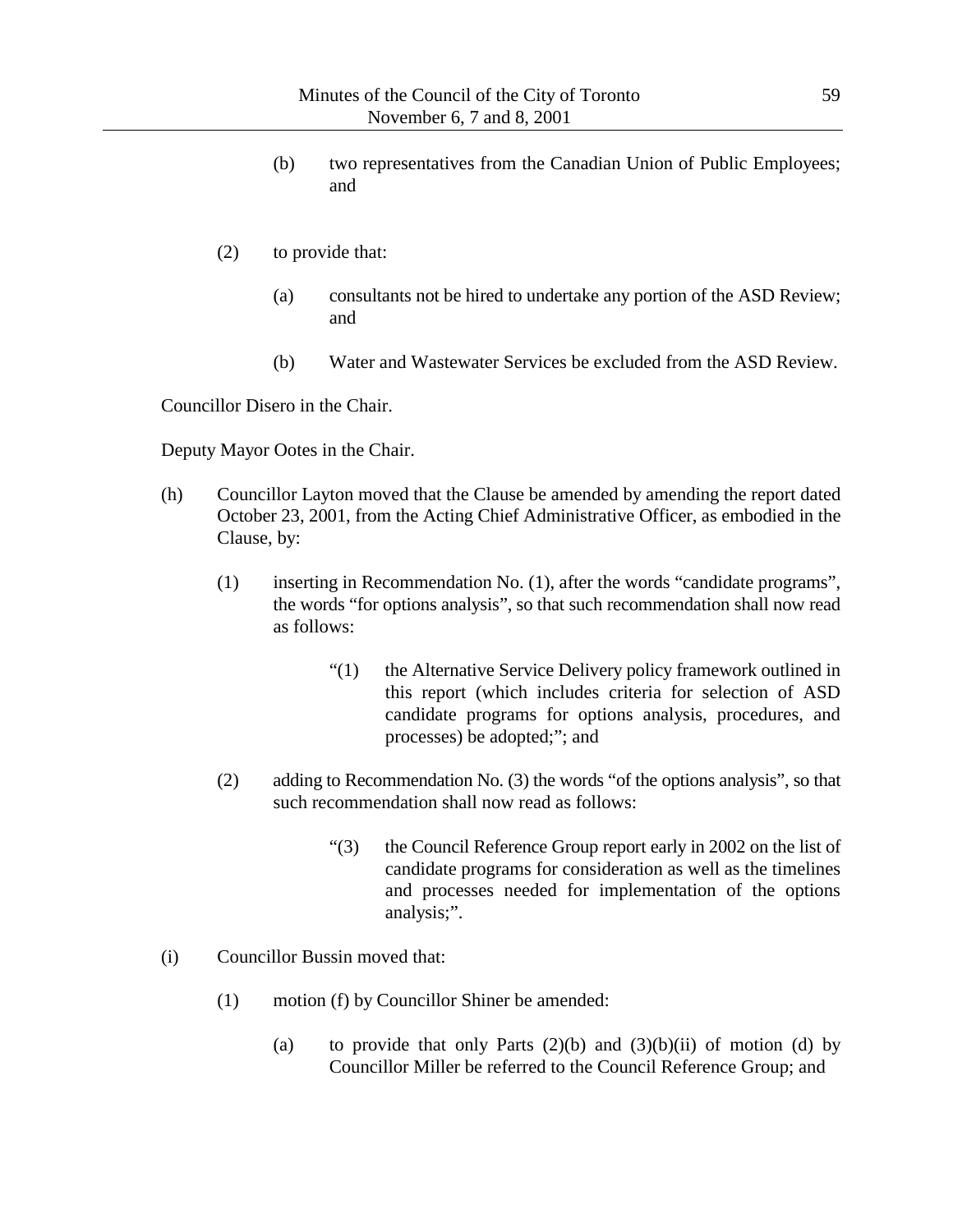- (b) two representatives from the Canadian Union of Public Employees; and
- (2) to provide that:
	- (a) consultants not be hired to undertake any portion of the ASD Review; and
	- (b) Water and Wastewater Services be excluded from the ASD Review.

Councillor Disero in the Chair.

Deputy Mayor Ootes in the Chair.

- (h) Councillor Layton moved that the Clause be amended by amending the report dated October 23, 2001, from the Acting Chief Administrative Officer, as embodied in the Clause, by:
	- (1) inserting in Recommendation No. (1), after the words "candidate programs", the words "for options analysis", so that such recommendation shall now read as follows:
		- "(1) the Alternative Service Delivery policy framework outlined in this report (which includes criteria for selection of ASD candidate programs for options analysis, procedures, and processes) be adopted;"; and
	- (2) adding to Recommendation No. (3) the words "of the options analysis", so that such recommendation shall now read as follows:
		- "(3) the Council Reference Group report early in 2002 on the list of candidate programs for consideration as well as the timelines and processes needed for implementation of the options analysis;".
- (i) Councillor Bussin moved that:
	- (1) motion (f) by Councillor Shiner be amended:
		- (a) to provide that only Parts  $(2)(b)$  and  $(3)(b)(ii)$  of motion (d) by Councillor Miller be referred to the Council Reference Group; and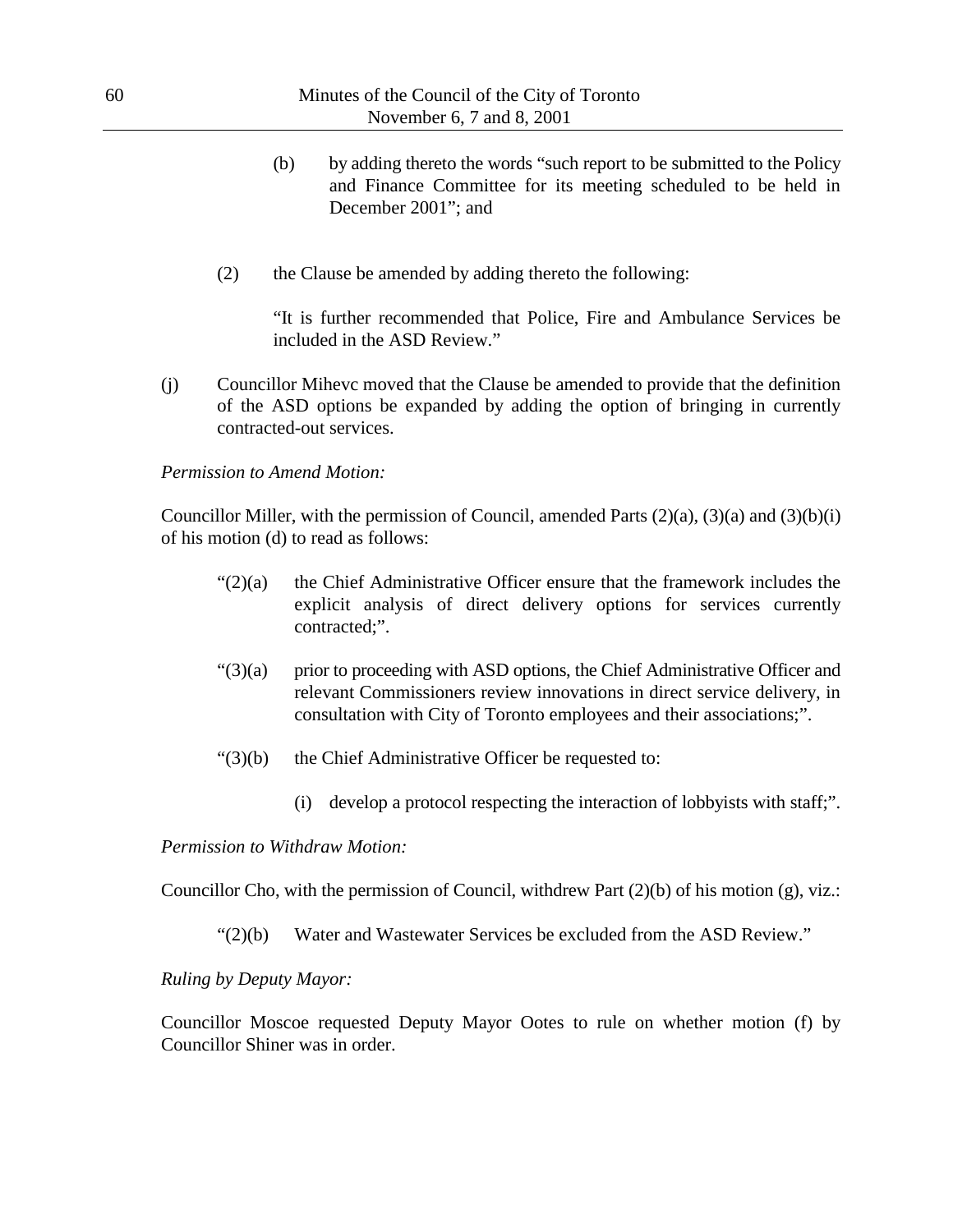| 60 |     |            | Minutes of the Council of the City of Toronto<br>November 6, 7 and 8, 2001                                                                                                                                                      |
|----|-----|------------|---------------------------------------------------------------------------------------------------------------------------------------------------------------------------------------------------------------------------------|
|    |     |            | by adding thereto the words "such report to be submitted to the Policy<br>(b)<br>and Finance Committee for its meeting scheduled to be held in<br>December 2001"; and                                                           |
|    |     | (2)        | the Clause be amended by adding thereto the following:                                                                                                                                                                          |
|    |     |            | "It is further recommended that Police, Fire and Ambulance Services be<br>included in the ASD Review."                                                                                                                          |
|    | (j) |            | Councillor Mihevc moved that the Clause be amended to provide that the definition<br>of the ASD options be expanded by adding the option of bringing in currently<br>contracted-out services.                                   |
|    |     |            | <b>Permission to Amend Motion:</b>                                                                                                                                                                                              |
|    |     |            | Councillor Miller, with the permission of Council, amended Parts $(2)(a)$ , $(3)(a)$ and $(3)(b)(i)$<br>of his motion (d) to read as follows:                                                                                   |
|    |     | " $(2)(a)$ | the Chief Administrative Officer ensure that the framework includes the<br>explicit analysis of direct delivery options for services currently<br>contracted;".                                                                 |
|    |     | " $(3)(a)$ | prior to proceeding with ASD options, the Chief Administrative Officer and<br>relevant Commissioners review innovations in direct service delivery, in<br>consultation with City of Toronto employees and their associations;". |
|    |     | " $(3)(b)$ | the Chief Administrative Officer be requested to:                                                                                                                                                                               |
|    |     |            | develop a protocol respecting the interaction of lobbyists with staff;".<br>(i)                                                                                                                                                 |

#### *Permission to Withdraw Motion:*

Councillor Cho, with the permission of Council, withdrew Part (2)(b) of his motion (g), viz.:

"(2)(b) Water and Wastewater Services be excluded from the ASD Review."

# *Ruling by Deputy Mayor:*

Councillor Moscoe requested Deputy Mayor Ootes to rule on whether motion (f) by Councillor Shiner was in order.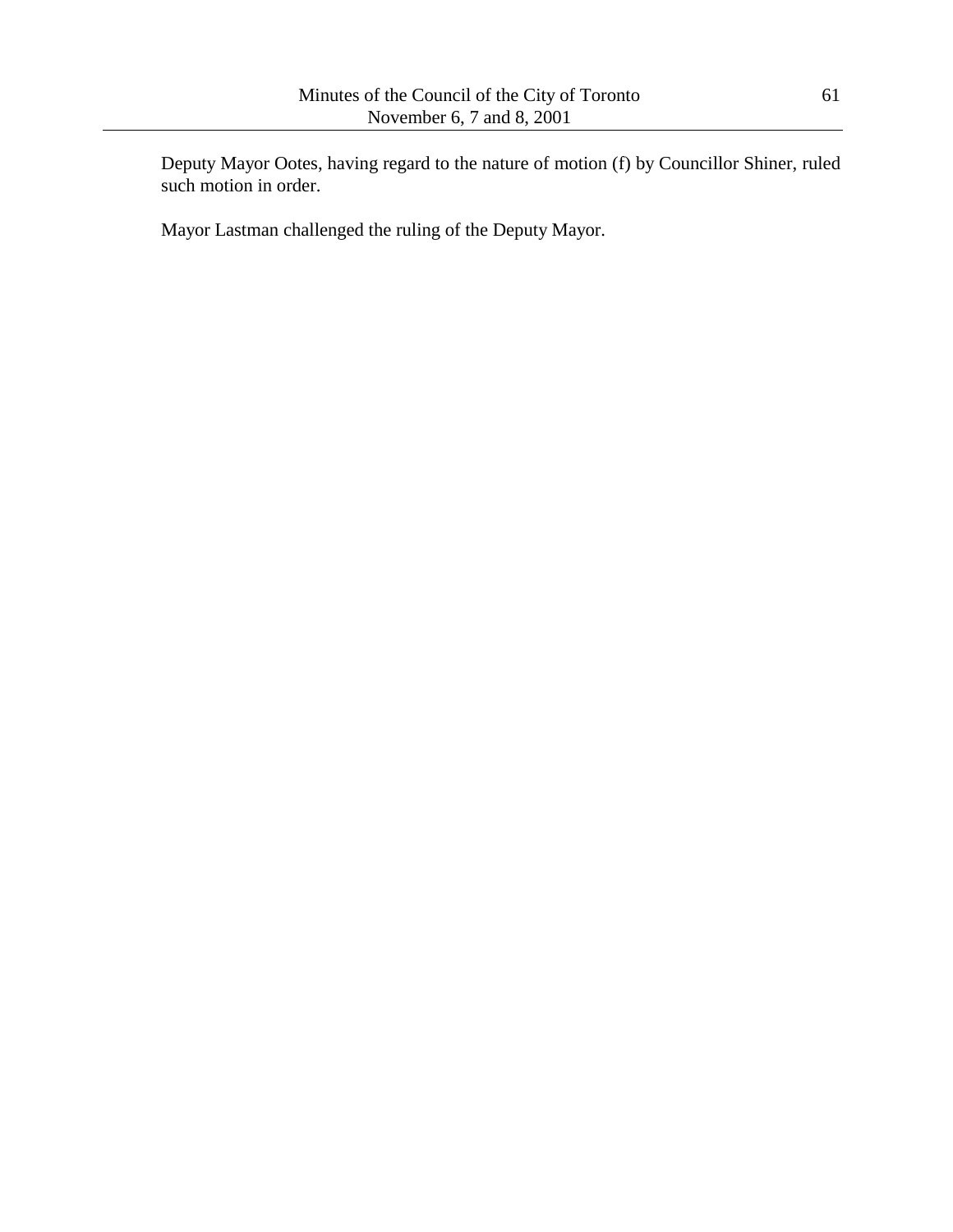Deputy Mayor Ootes, having regard to the nature of motion (f) by Councillor Shiner, ruled such motion in order.

Mayor Lastman challenged the ruling of the Deputy Mayor.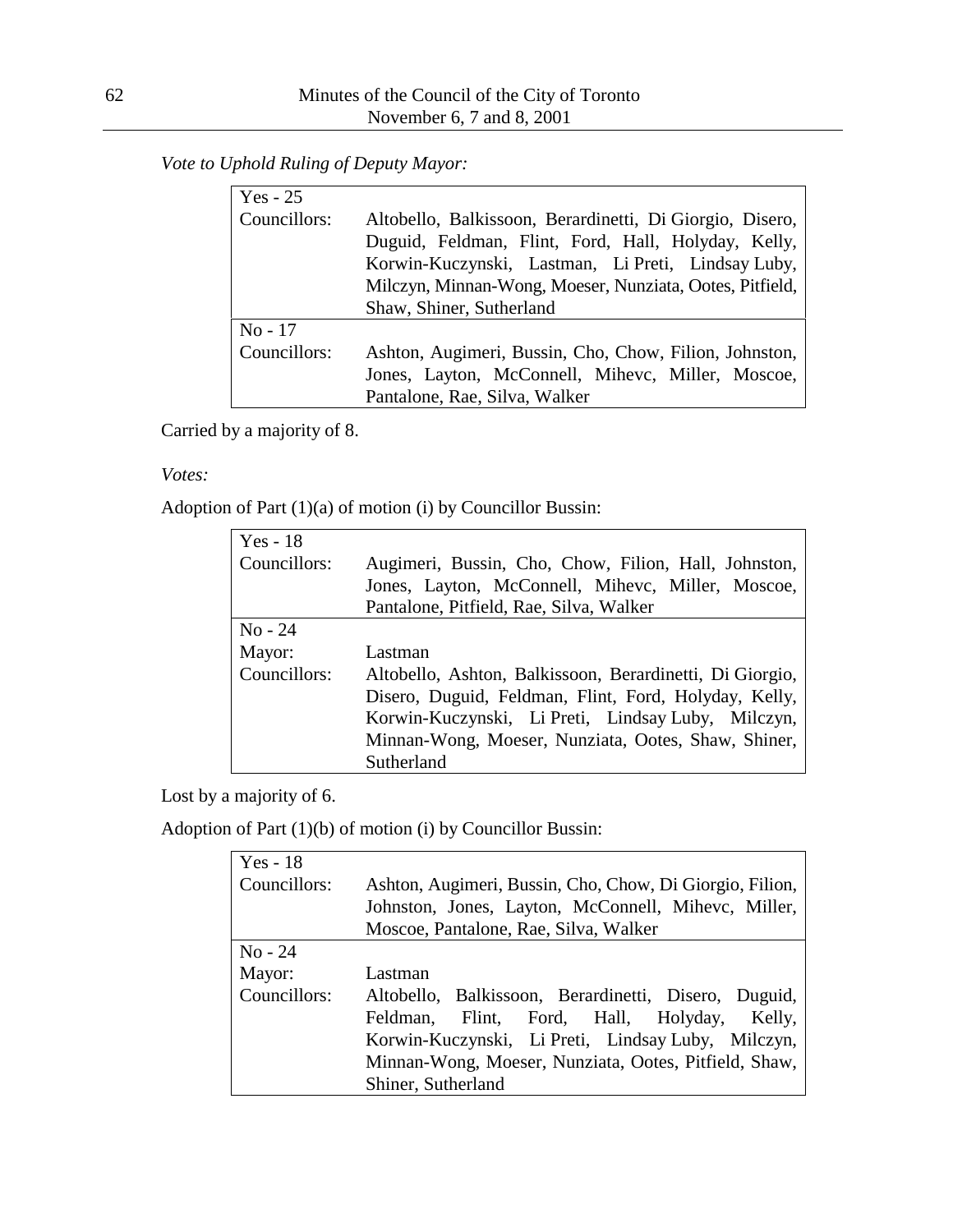*Vote to Uphold Ruling of Deputy Mayor:*

| $Yes - 25$   |                                                                                                                                                                                                                                                               |
|--------------|---------------------------------------------------------------------------------------------------------------------------------------------------------------------------------------------------------------------------------------------------------------|
| Councillors: | Altobello, Balkissoon, Berardinetti, Di Giorgio, Disero,<br>Duguid, Feldman, Flint, Ford, Hall, Holyday, Kelly,<br>Korwin-Kuczynski, Lastman, Li Preti, Lindsay Luby,<br>Milczyn, Minnan-Wong, Moeser, Nunziata, Ootes, Pitfield,<br>Shaw, Shiner, Sutherland |
| $No - 17$    |                                                                                                                                                                                                                                                               |
| Councillors: | Ashton, Augimeri, Bussin, Cho, Chow, Filion, Johnston,<br>Jones, Layton, McConnell, Mihevc, Miller, Moscoe,<br>Pantalone, Rae, Silva, Walker                                                                                                                  |

Carried by a majority of 8.

### *Votes:*

Adoption of Part (1)(a) of motion (i) by Councillor Bussin:

| $Yes - 18$   |                                                          |
|--------------|----------------------------------------------------------|
| Councillors: | Augimeri, Bussin, Cho, Chow, Filion, Hall, Johnston,     |
|              | Jones, Layton, McConnell, Mihevc, Miller, Moscoe,        |
|              | Pantalone, Pitfield, Rae, Silva, Walker                  |
| $No - 24$    |                                                          |
| Mayor:       | Lastman                                                  |
| Councillors: | Altobello, Ashton, Balkissoon, Berardinetti, Di Giorgio, |
|              | Disero, Duguid, Feldman, Flint, Ford, Holyday, Kelly,    |
|              | Korwin-Kuczynski, Li Preti, Lindsay Luby, Milczyn,       |
|              | Minnan-Wong, Moeser, Nunziata, Ootes, Shaw, Shiner,      |
|              | Sutherland                                               |

Lost by a majority of 6.

Adoption of Part (1)(b) of motion (i) by Councillor Bussin:

| $Yes - 18$   |                                                          |
|--------------|----------------------------------------------------------|
| Councillors: | Ashton, Augimeri, Bussin, Cho, Chow, Di Giorgio, Filion, |
|              | Johnston, Jones, Layton, McConnell, Mihevc, Miller,      |
|              | Moscoe, Pantalone, Rae, Silva, Walker                    |
| $No - 24$    |                                                          |
| Mayor:       | Lastman                                                  |
| Councillors: | Altobello, Balkissoon, Berardinetti, Disero, Duguid,     |
|              | Flint, Ford, Hall, Holyday, Kelly,<br>Feldman,           |
|              | Korwin-Kuczynski, Li Preti, Lindsay Luby, Milczyn,       |
|              | Minnan-Wong, Moeser, Nunziata, Ootes, Pitfield, Shaw,    |
|              | Shiner, Sutherland                                       |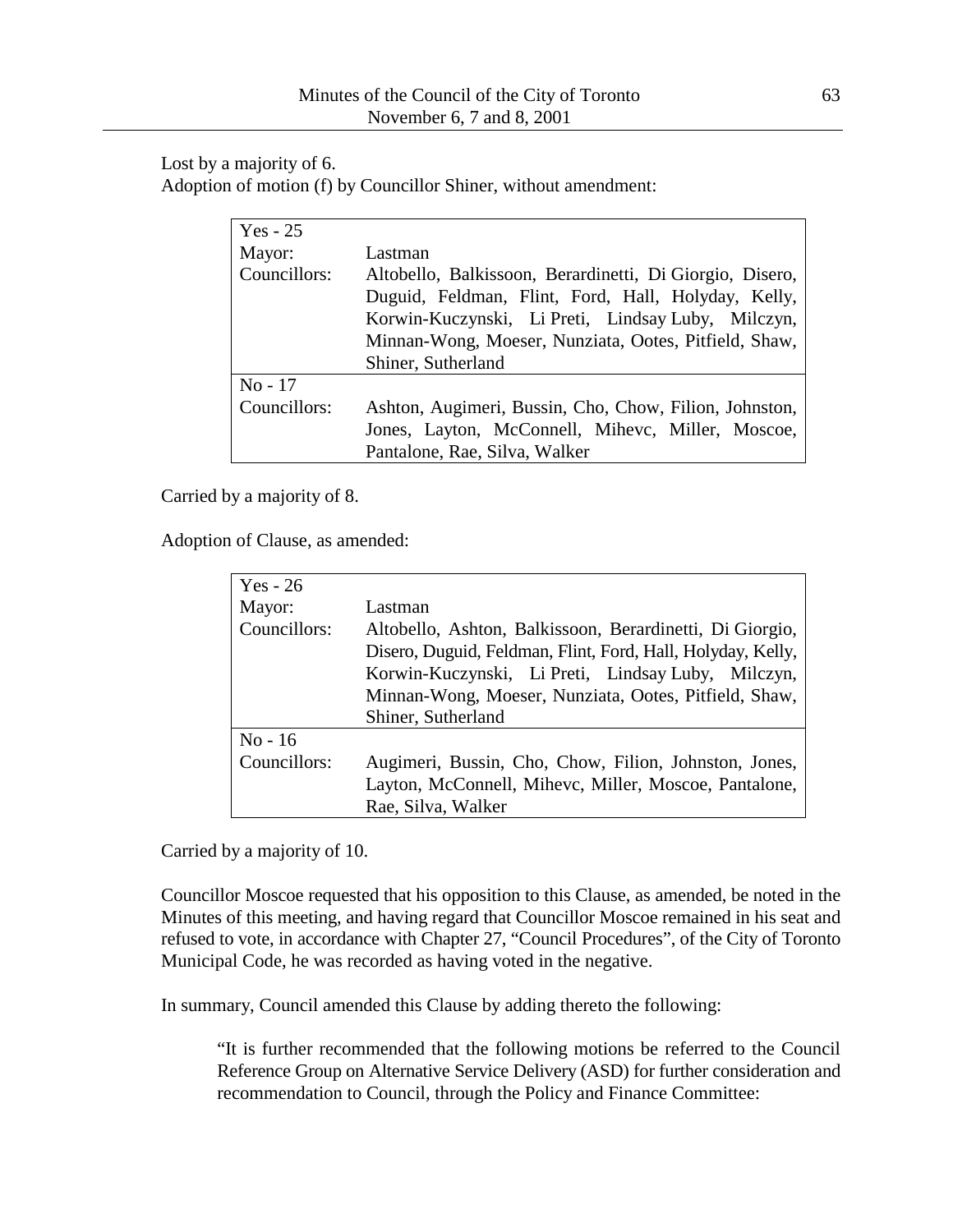Lost by a majority of 6. Adoption of motion (f) by Councillor Shiner, without amendment:

| $Yes - 25$   |                                                          |
|--------------|----------------------------------------------------------|
| Mayor:       | Lastman                                                  |
| Councillors: | Altobello, Balkissoon, Berardinetti, Di Giorgio, Disero, |
|              | Duguid, Feldman, Flint, Ford, Hall, Holyday, Kelly,      |
|              | Korwin-Kuczynski, Li Preti, Lindsay Luby, Milczyn,       |
|              | Minnan-Wong, Moeser, Nunziata, Ootes, Pitfield, Shaw,    |
|              | Shiner, Sutherland                                       |
| $No - 17$    |                                                          |
| Councillors: | Ashton, Augimeri, Bussin, Cho, Chow, Filion, Johnston,   |
|              | Jones, Layton, McConnell, Mihevc, Miller, Moscoe,        |
|              | Pantalone, Rae, Silva, Walker                            |

Carried by a majority of 8.

Adoption of Clause, as amended:

| Yes - $26$   |                                                             |
|--------------|-------------------------------------------------------------|
| Mayor:       | Lastman                                                     |
| Councillors: | Altobello, Ashton, Balkissoon, Berardinetti, Di Giorgio,    |
|              | Disero, Duguid, Feldman, Flint, Ford, Hall, Holyday, Kelly, |
|              | Korwin-Kuczynski, Li Preti, Lindsay Luby, Milczyn,          |
|              | Minnan-Wong, Moeser, Nunziata, Ootes, Pitfield, Shaw,       |
|              | Shiner, Sutherland                                          |
| $No-16$      |                                                             |
| Councillors: | Augimeri, Bussin, Cho, Chow, Filion, Johnston, Jones,       |
|              | Layton, McConnell, Mihevc, Miller, Moscoe, Pantalone,       |
|              | Rae, Silva, Walker                                          |

Carried by a majority of 10.

Councillor Moscoe requested that his opposition to this Clause, as amended, be noted in the Minutes of this meeting, and having regard that Councillor Moscoe remained in his seat and refused to vote, in accordance with Chapter 27, "Council Procedures", of the City of Toronto Municipal Code, he was recorded as having voted in the negative.

In summary, Council amended this Clause by adding thereto the following:

"It is further recommended that the following motions be referred to the Council Reference Group on Alternative Service Delivery (ASD) for further consideration and recommendation to Council, through the Policy and Finance Committee: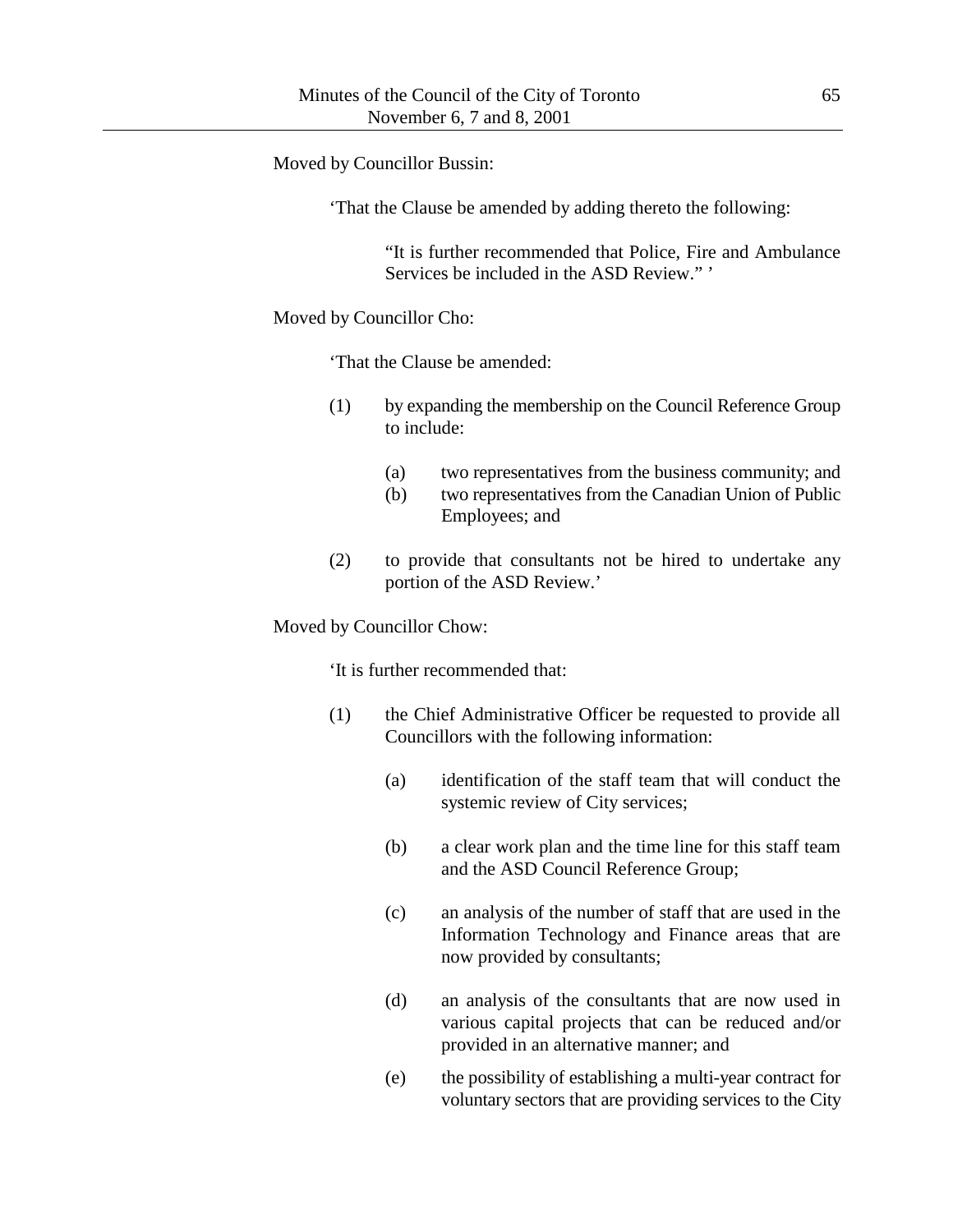Moved by Councillor Bussin:

'That the Clause be amended by adding thereto the following:

"It is further recommended that Police, Fire and Ambulance Services be included in the ASD Review." '

Moved by Councillor Cho:

'That the Clause be amended:

- (1) by expanding the membership on the Council Reference Group to include:
	- (a) two representatives from the business community; and
	- (b) two representatives from the Canadian Union of Public Employees; and
- (2) to provide that consultants not be hired to undertake any portion of the ASD Review.'

Moved by Councillor Chow:

'It is further recommended that:

- (1) the Chief Administrative Officer be requested to provide all Councillors with the following information:
	- (a) identification of the staff team that will conduct the systemic review of City services;
	- (b) a clear work plan and the time line for this staff team and the ASD Council Reference Group;
	- (c) an analysis of the number of staff that are used in the Information Technology and Finance areas that are now provided by consultants;
	- (d) an analysis of the consultants that are now used in various capital projects that can be reduced and/or provided in an alternative manner; and
	- (e) the possibility of establishing a multi-year contract for voluntary sectors that are providing services to the City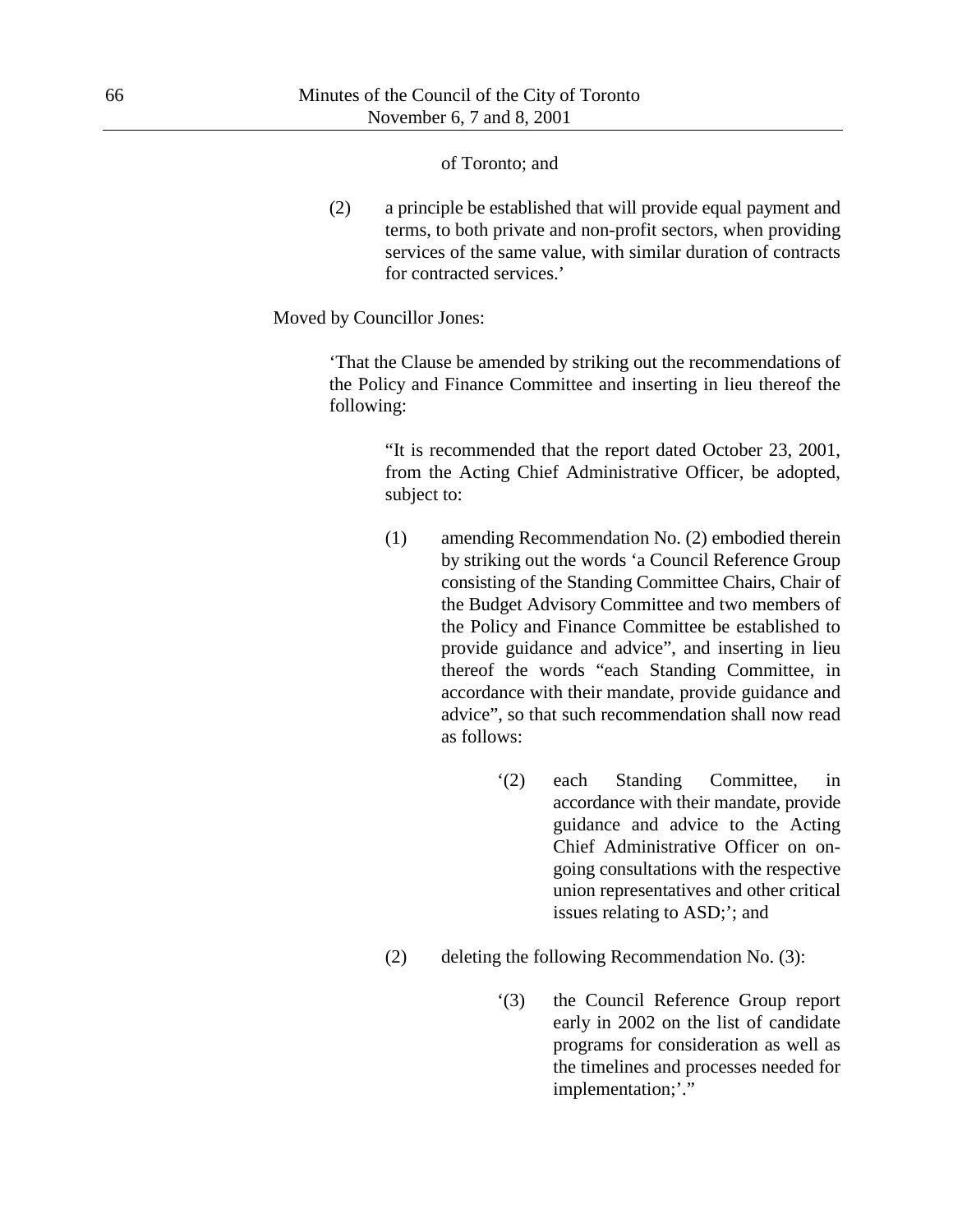#### of Toronto; and

(2) a principle be established that will provide equal payment and terms, to both private and non-profit sectors, when providing services of the same value, with similar duration of contracts for contracted services.'

Moved by Councillor Jones:

'That the Clause be amended by striking out the recommendations of the Policy and Finance Committee and inserting in lieu thereof the following:

> "It is recommended that the report dated October 23, 2001, from the Acting Chief Administrative Officer, be adopted, subject to:

- (1) amending Recommendation No. (2) embodied therein by striking out the words 'a Council Reference Group consisting of the Standing Committee Chairs, Chair of the Budget Advisory Committee and two members of the Policy and Finance Committee be established to provide guidance and advice", and inserting in lieu thereof the words "each Standing Committee, in accordance with their mandate, provide guidance and advice", so that such recommendation shall now read as follows:
	- '(2) each Standing Committee, in accordance with their mandate, provide guidance and advice to the Acting Chief Administrative Officer on ongoing consultations with the respective union representatives and other critical issues relating to ASD;'; and
- (2) deleting the following Recommendation No. (3):
	- '(3) the Council Reference Group report early in 2002 on the list of candidate programs for consideration as well as the timelines and processes needed for implementation;"."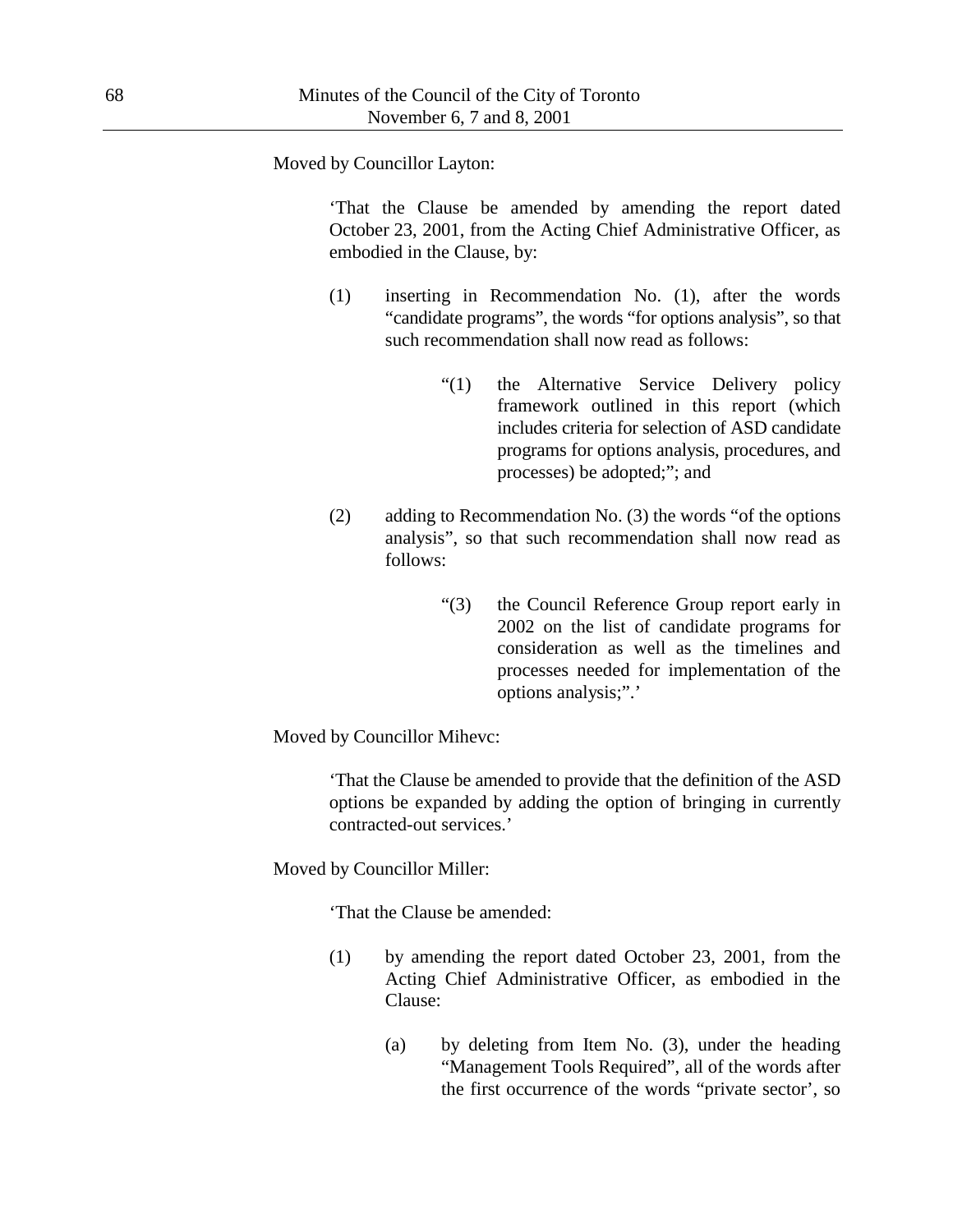Moved by Councillor Layton:

'That the Clause be amended by amending the report dated October 23, 2001, from the Acting Chief Administrative Officer, as embodied in the Clause, by:

- (1) inserting in Recommendation No. (1), after the words "candidate programs", the words "for options analysis", so that such recommendation shall now read as follows:
	- "(1) the Alternative Service Delivery policy framework outlined in this report (which includes criteria for selection of ASD candidate programs for options analysis, procedures, and processes) be adopted;"; and
- (2) adding to Recommendation No. (3) the words "of the options analysis", so that such recommendation shall now read as follows:
	- "(3) the Council Reference Group report early in 2002 on the list of candidate programs for consideration as well as the timelines and processes needed for implementation of the options analysis;".'

Moved by Councillor Mihevc:

'That the Clause be amended to provide that the definition of the ASD options be expanded by adding the option of bringing in currently contracted-out services.'

Moved by Councillor Miller:

'That the Clause be amended:

- (1) by amending the report dated October 23, 2001, from the Acting Chief Administrative Officer, as embodied in the Clause:
	- (a) by deleting from Item No. (3), under the heading "Management Tools Required", all of the words after the first occurrence of the words "private sector', so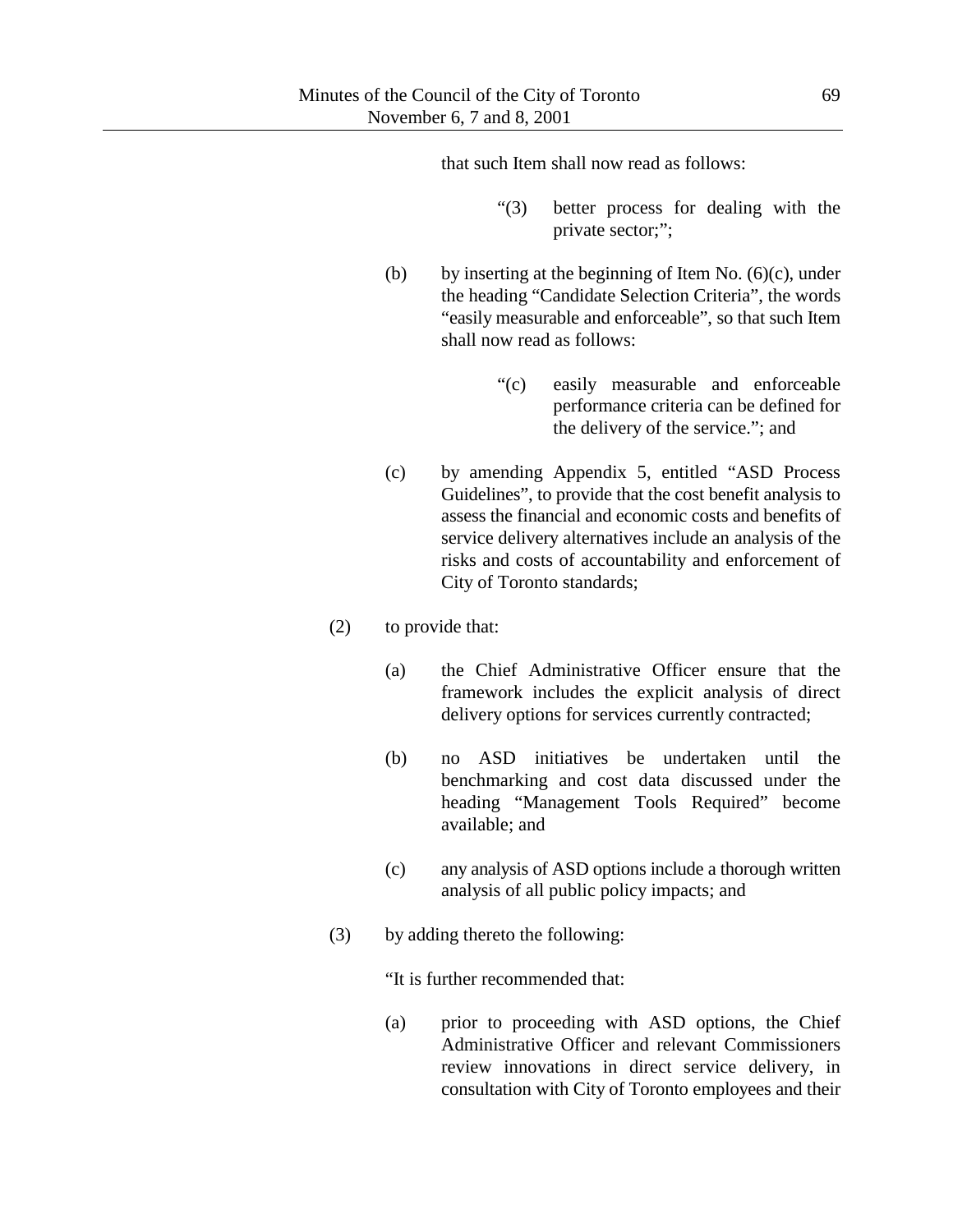that such Item shall now read as follows:

- "(3) better process for dealing with the private sector;";
- (b) by inserting at the beginning of Item No.  $(6)(c)$ , under the heading "Candidate Selection Criteria", the words "easily measurable and enforceable", so that such Item shall now read as follows:
	- "(c) easily measurable and enforceable performance criteria can be defined for the delivery of the service."; and
- (c) by amending Appendix 5, entitled "ASD Process Guidelines", to provide that the cost benefit analysis to assess the financial and economic costs and benefits of service delivery alternatives include an analysis of the risks and costs of accountability and enforcement of City of Toronto standards;
- (2) to provide that:
	- (a) the Chief Administrative Officer ensure that the framework includes the explicit analysis of direct delivery options for services currently contracted;
	- (b) no ASD initiatives be undertaken until the benchmarking and cost data discussed under the heading "Management Tools Required" become available; and
	- (c) any analysis of ASD options include a thorough written analysis of all public policy impacts; and
- (3) by adding thereto the following:

"It is further recommended that:

(a) prior to proceeding with ASD options, the Chief Administrative Officer and relevant Commissioners review innovations in direct service delivery, in consultation with City of Toronto employees and their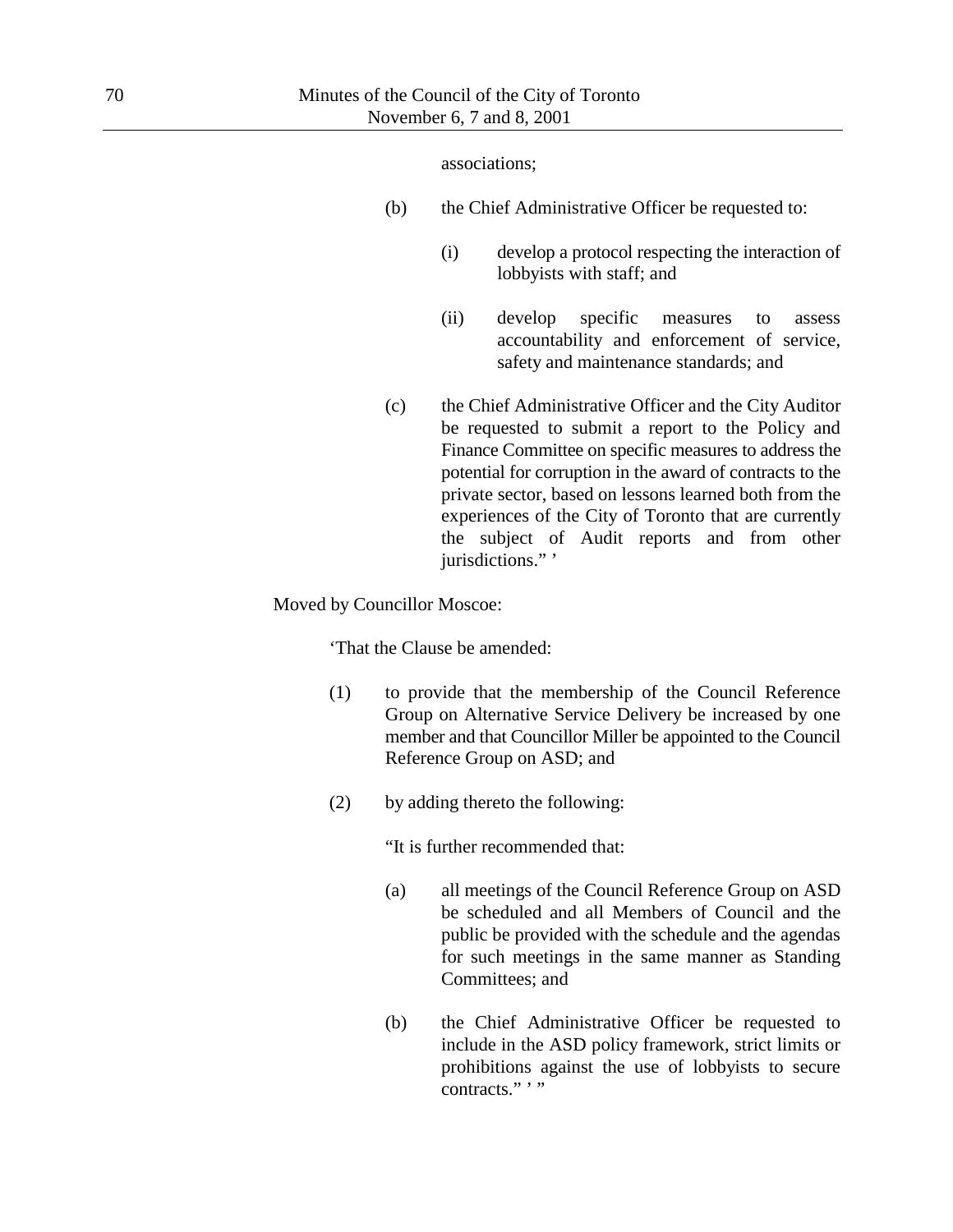#### associations;

- (b) the Chief Administrative Officer be requested to:
	- (i) develop a protocol respecting the interaction of lobbyists with staff; and
	- (ii) develop specific measures to assess accountability and enforcement of service, safety and maintenance standards; and
- (c) the Chief Administrative Officer and the City Auditor be requested to submit a report to the Policy and Finance Committee on specific measures to address the potential for corruption in the award of contracts to the private sector, based on lessons learned both from the experiences of the City of Toronto that are currently the subject of Audit reports and from other jurisdictions." '

### Moved by Councillor Moscoe:

'That the Clause be amended:

- (1) to provide that the membership of the Council Reference Group on Alternative Service Delivery be increased by one member and that Councillor Miller be appointed to the Council Reference Group on ASD; and
- (2) by adding thereto the following:

"It is further recommended that:

- (a) all meetings of the Council Reference Group on ASD be scheduled and all Members of Council and the public be provided with the schedule and the agendas for such meetings in the same manner as Standing Committees; and
- (b) the Chief Administrative Officer be requested to include in the ASD policy framework, strict limits or prohibitions against the use of lobbyists to secure contracts." '"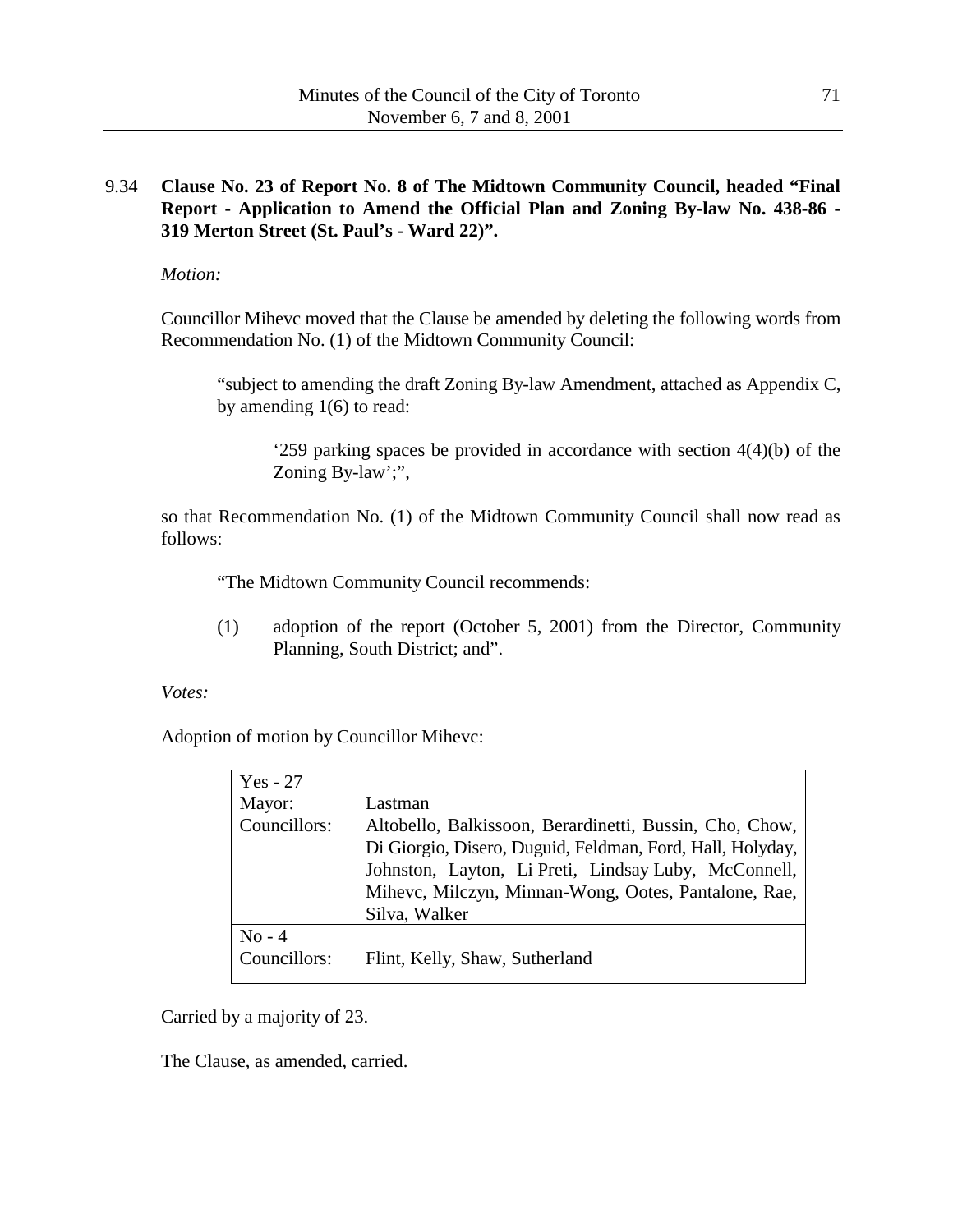# 9.34 **Clause No. 23 of Report No. 8 of The Midtown Community Council, headed "Final Report - Application to Amend the Official Plan and Zoning By-law No. 438-86 - 319 Merton Street (St. Paul's - Ward 22)".**

*Motion:*

Councillor Mihevc moved that the Clause be amended by deleting the following words from Recommendation No. (1) of the Midtown Community Council:

"subject to amending the draft Zoning By-law Amendment, attached as Appendix C, by amending 1(6) to read:

'259 parking spaces be provided in accordance with section 4(4)(b) of the Zoning By-law';",

so that Recommendation No. (1) of the Midtown Community Council shall now read as follows:

"The Midtown Community Council recommends:

(1) adoption of the report (October 5, 2001) from the Director, Community Planning, South District; and".

*Votes:*

Adoption of motion by Councillor Mihevc:

| $Yes - 27$   |                                                           |
|--------------|-----------------------------------------------------------|
| Mayor:       | Lastman                                                   |
| Councillors: | Altobello, Balkissoon, Berardinetti, Bussin, Cho, Chow,   |
|              | Di Giorgio, Disero, Duguid, Feldman, Ford, Hall, Holyday, |
|              | Johnston, Layton, Li Preti, Lindsay Luby, McConnell,      |
|              | Mihevc, Milczyn, Minnan-Wong, Ootes, Pantalone, Rae,      |
|              | Silva, Walker                                             |
| $No - 4$     |                                                           |
| Councillors: | Flint, Kelly, Shaw, Sutherland                            |
|              |                                                           |

Carried by a majority of 23.

The Clause, as amended, carried.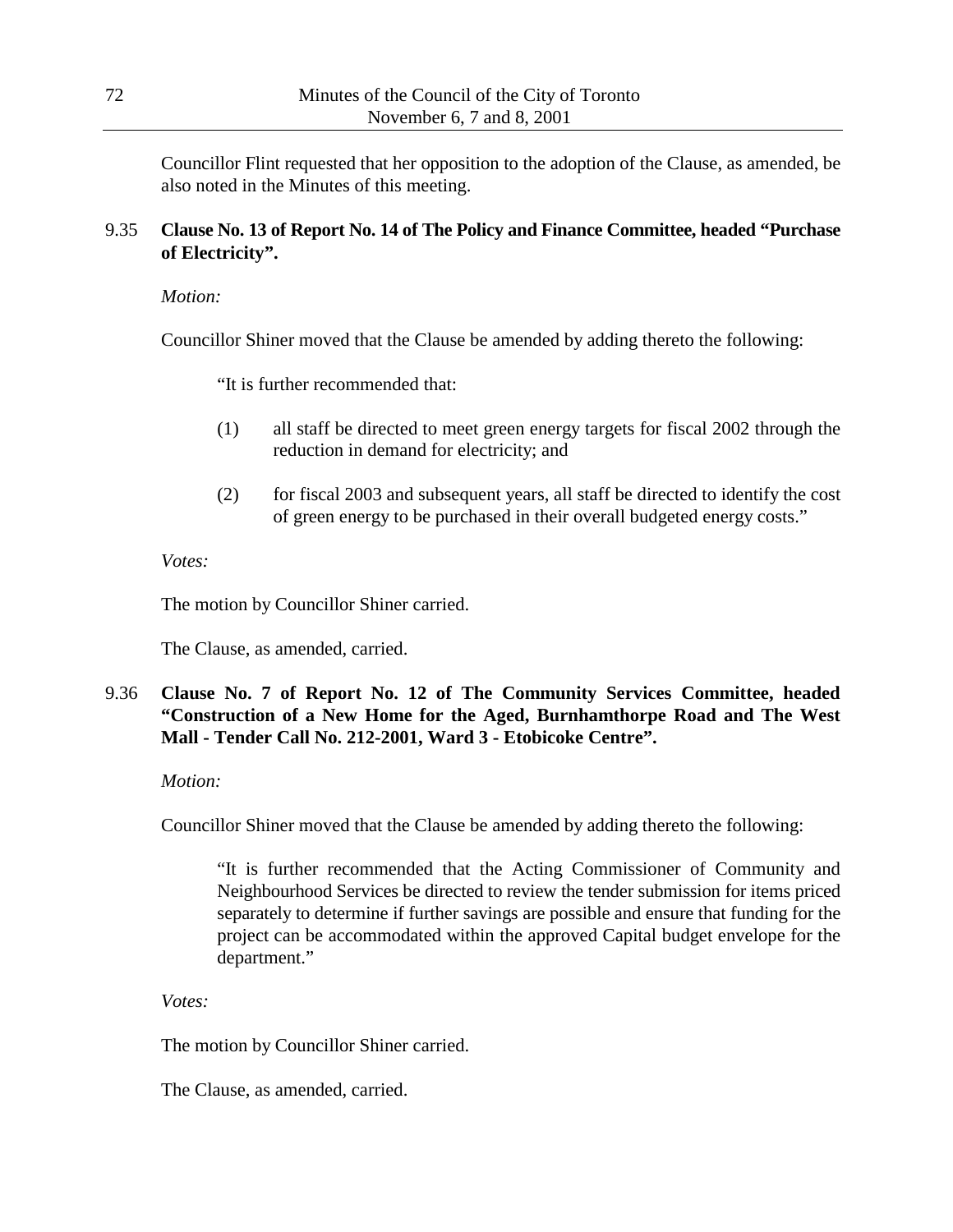Councillor Flint requested that her opposition to the adoption of the Clause, as amended, be also noted in the Minutes of this meeting.

# 9.35 **Clause No. 13 of Report No. 14 of The Policy and Finance Committee, headed "Purchase of Electricity".**

*Motion:*

Councillor Shiner moved that the Clause be amended by adding thereto the following:

"It is further recommended that:

- (1) all staff be directed to meet green energy targets for fiscal 2002 through the reduction in demand for electricity; and
- (2) for fiscal 2003 and subsequent years, all staff be directed to identify the cost of green energy to be purchased in their overall budgeted energy costs."

*Votes:*

The motion by Councillor Shiner carried.

The Clause, as amended, carried.

# 9.36 **Clause No. 7 of Report No. 12 of The Community Services Committee, headed "Construction of a New Home for the Aged, Burnhamthorpe Road and The West Mall - Tender Call No. 212-2001, Ward 3 - Etobicoke Centre".**

### *Motion:*

Councillor Shiner moved that the Clause be amended by adding thereto the following:

"It is further recommended that the Acting Commissioner of Community and Neighbourhood Services be directed to review the tender submission for items priced separately to determine if further savings are possible and ensure that funding for the project can be accommodated within the approved Capital budget envelope for the department."

*Votes:*

The motion by Councillor Shiner carried.

The Clause, as amended, carried.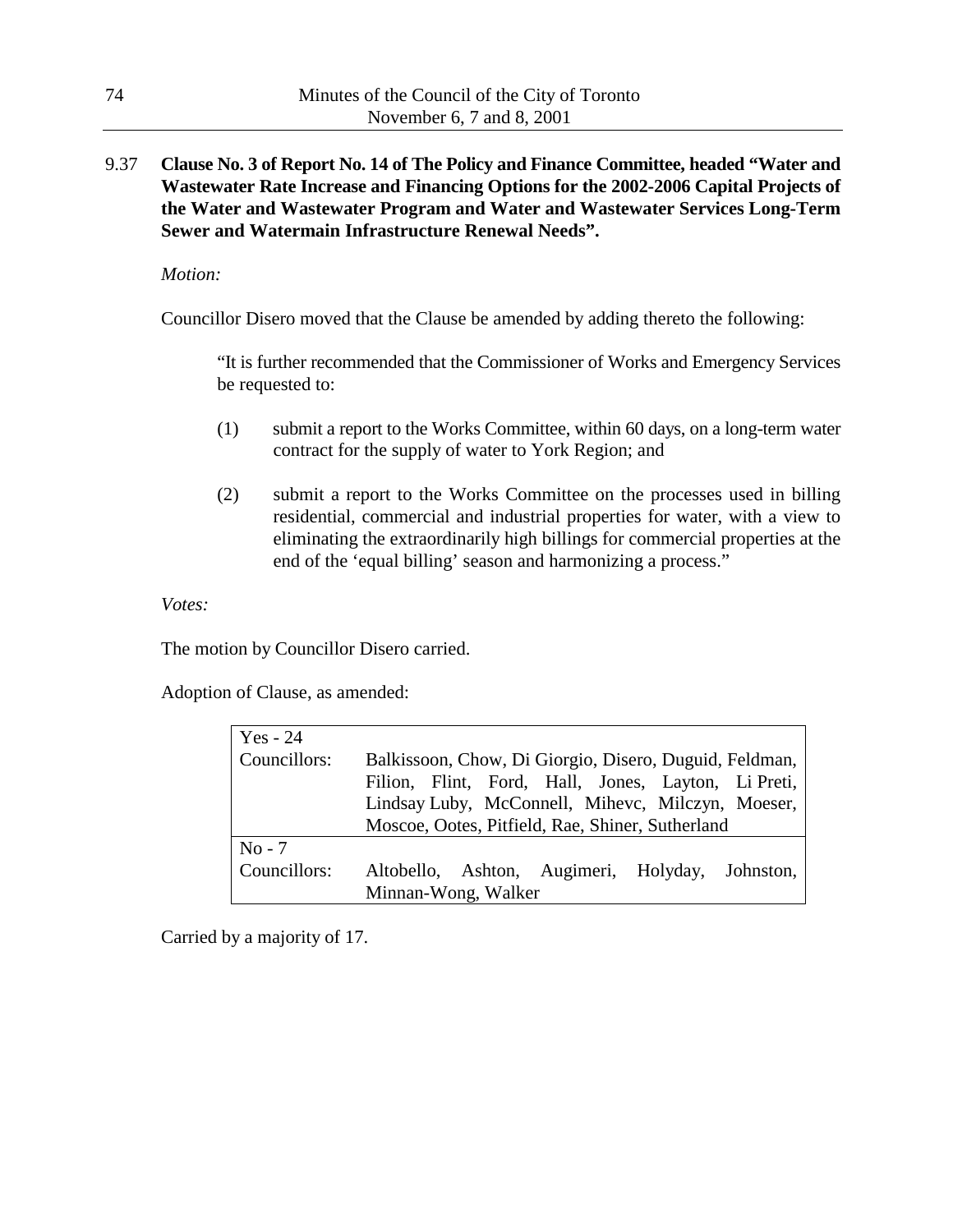## 9.37 **Clause No. 3 of Report No. 14 of The Policy and Finance Committee, headed "Water and Wastewater Rate Increase and Financing Options for the 2002-2006 Capital Projects of the Water and Wastewater Program and Water and Wastewater Services Long-Term Sewer and Watermain Infrastructure Renewal Needs".**

*Motion:*

Councillor Disero moved that the Clause be amended by adding thereto the following:

"It is further recommended that the Commissioner of Works and Emergency Services be requested to:

- (1) submit a report to the Works Committee, within 60 days, on a long-term water contract for the supply of water to York Region; and
- (2) submit a report to the Works Committee on the processes used in billing residential, commercial and industrial properties for water, with a view to eliminating the extraordinarily high billings for commercial properties at the end of the 'equal billing' season and harmonizing a process."

*Votes:*

The motion by Councillor Disero carried.

Adoption of Clause, as amended:

| Yes - 24     |                                                        |  |  |
|--------------|--------------------------------------------------------|--|--|
| Councillors: | Balkissoon, Chow, Di Giorgio, Disero, Duguid, Feldman, |  |  |
|              | Filion, Flint, Ford, Hall, Jones, Layton, Li Preti,    |  |  |
|              | Lindsay Luby, McConnell, Mihevc, Milczyn, Moeser,      |  |  |
|              | Moscoe, Ootes, Pitfield, Rae, Shiner, Sutherland       |  |  |
| $No - 7$     |                                                        |  |  |
| Councillors: | Altobello, Ashton, Augimeri, Holyday, Johnston,        |  |  |
|              | Minnan-Wong, Walker                                    |  |  |

Carried by a majority of 17.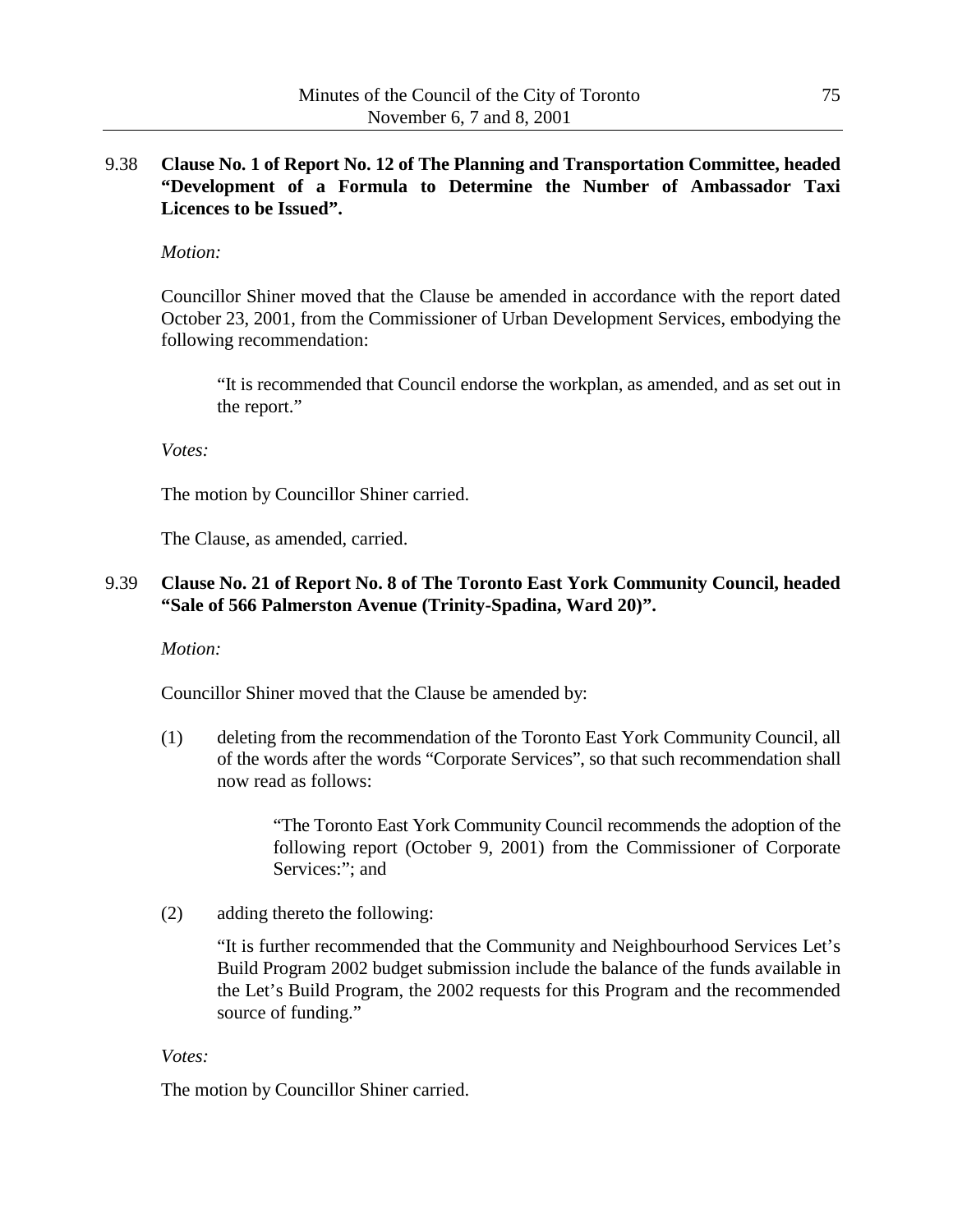### 9.38 **Clause No. 1 of Report No. 12 of The Planning and Transportation Committee, headed "Development of a Formula to Determine the Number of Ambassador Taxi Licences to be Issued".**

### *Motion:*

Councillor Shiner moved that the Clause be amended in accordance with the report dated October 23, 2001, from the Commissioner of Urban Development Services, embodying the following recommendation:

"It is recommended that Council endorse the workplan, as amended, and as set out in the report."

*Votes:*

The motion by Councillor Shiner carried.

The Clause, as amended, carried.

### 9.39 **Clause No. 21 of Report No. 8 of The Toronto East York Community Council, headed "Sale of 566 Palmerston Avenue (Trinity-Spadina, Ward 20)".**

*Motion:*

Councillor Shiner moved that the Clause be amended by:

(1) deleting from the recommendation of the Toronto East York Community Council, all of the words after the words "Corporate Services", so that such recommendation shall now read as follows:

> "The Toronto East York Community Council recommends the adoption of the following report (October 9, 2001) from the Commissioner of Corporate Services:"; and

(2) adding thereto the following:

"It is further recommended that the Community and Neighbourhood Services Let's Build Program 2002 budget submission include the balance of the funds available in the Let's Build Program, the 2002 requests for this Program and the recommended source of funding."

#### *Votes:*

The motion by Councillor Shiner carried.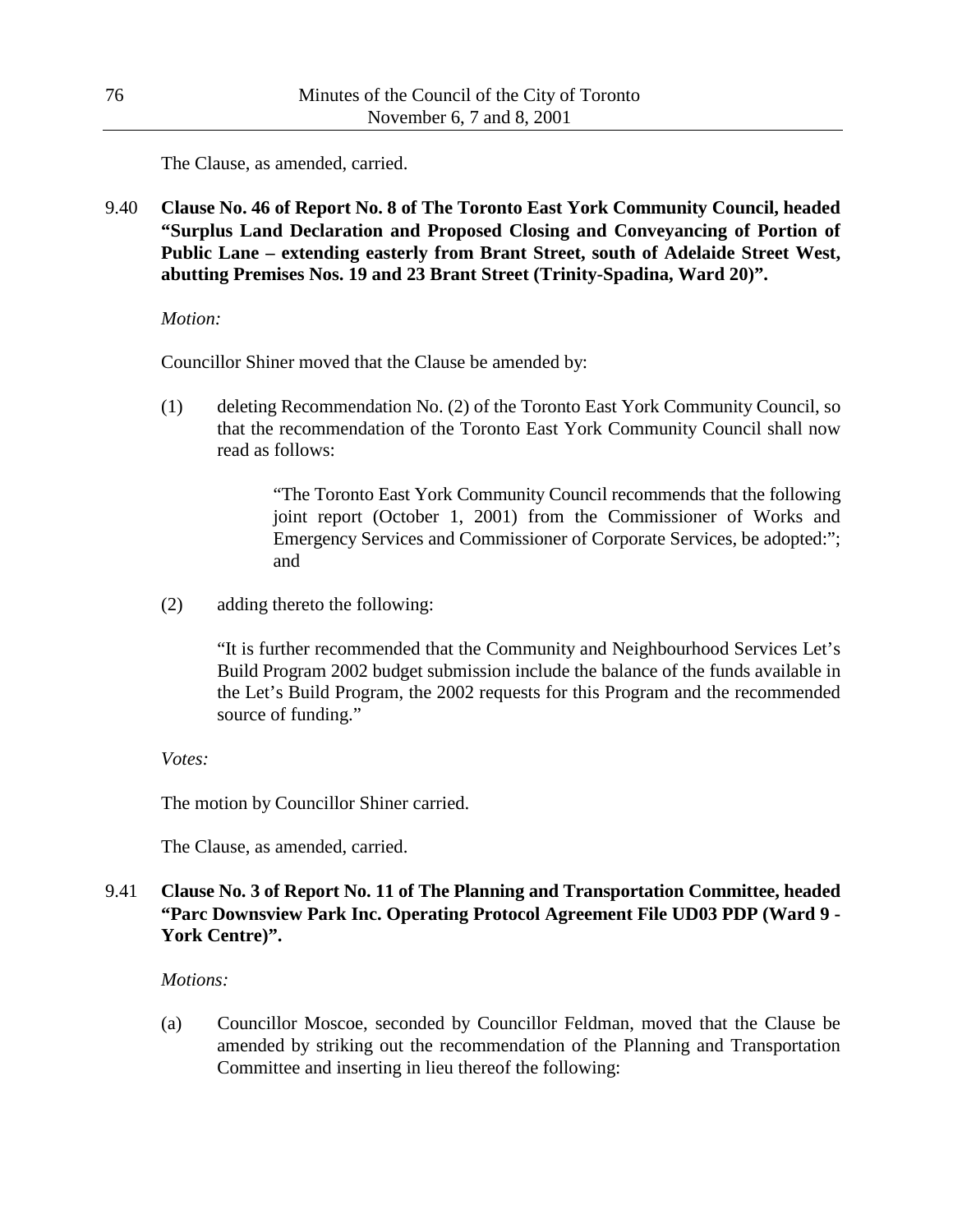The Clause, as amended, carried.

9.40 **Clause No. 46 of Report No. 8 of The Toronto East York Community Council, headed "Surplus Land Declaration and Proposed Closing and Conveyancing of Portion of Public Lane – extending easterly from Brant Street, south of Adelaide Street West, abutting Premises Nos. 19 and 23 Brant Street (Trinity-Spadina, Ward 20)".**

#### *Motion:*

Councillor Shiner moved that the Clause be amended by:

(1) deleting Recommendation No. (2) of the Toronto East York Community Council, so that the recommendation of the Toronto East York Community Council shall now read as follows:

> "The Toronto East York Community Council recommends that the following joint report (October 1, 2001) from the Commissioner of Works and Emergency Services and Commissioner of Corporate Services, be adopted:"; and

(2) adding thereto the following:

"It is further recommended that the Community and Neighbourhood Services Let's Build Program 2002 budget submission include the balance of the funds available in the Let's Build Program, the 2002 requests for this Program and the recommended source of funding."

*Votes:*

The motion by Councillor Shiner carried.

The Clause, as amended, carried.

## 9.41 **Clause No. 3 of Report No. 11 of The Planning and Transportation Committee, headed "Parc Downsview Park Inc. Operating Protocol Agreement File UD03 PDP (Ward 9 - York Centre)".**

### *Motions:*

(a) Councillor Moscoe, seconded by Councillor Feldman, moved that the Clause be amended by striking out the recommendation of the Planning and Transportation Committee and inserting in lieu thereof the following: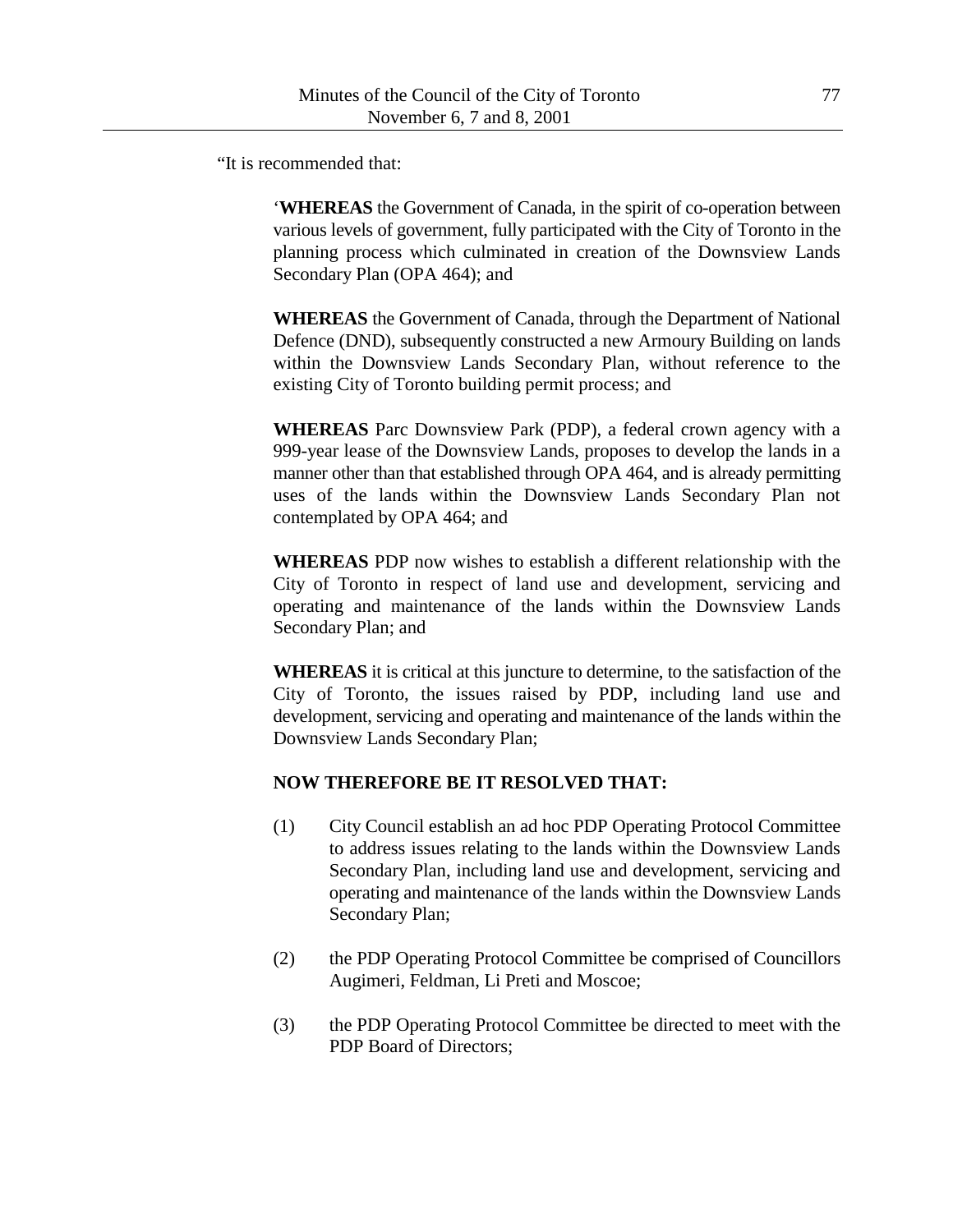"It is recommended that:

'**WHEREAS** the Government of Canada, in the spirit of co-operation between various levels of government, fully participated with the City of Toronto in the planning process which culminated in creation of the Downsview Lands Secondary Plan (OPA 464); and

**WHEREAS** the Government of Canada, through the Department of National Defence (DND), subsequently constructed a new Armoury Building on lands within the Downsview Lands Secondary Plan, without reference to the existing City of Toronto building permit process; and

**WHEREAS** Parc Downsview Park (PDP), a federal crown agency with a 999-year lease of the Downsview Lands, proposes to develop the lands in a manner other than that established through OPA 464, and is already permitting uses of the lands within the Downsview Lands Secondary Plan not contemplated by OPA 464; and

**WHEREAS** PDP now wishes to establish a different relationship with the City of Toronto in respect of land use and development, servicing and operating and maintenance of the lands within the Downsview Lands Secondary Plan; and

**WHEREAS** it is critical at this juncture to determine, to the satisfaction of the City of Toronto, the issues raised by PDP, including land use and development, servicing and operating and maintenance of the lands within the Downsview Lands Secondary Plan;

## **NOW THEREFORE BE IT RESOLVED THAT:**

- (1) City Council establish an ad hoc PDP Operating Protocol Committee to address issues relating to the lands within the Downsview Lands Secondary Plan, including land use and development, servicing and operating and maintenance of the lands within the Downsview Lands Secondary Plan;
- (2) the PDP Operating Protocol Committee be comprised of Councillors Augimeri, Feldman, Li Preti and Moscoe;
- (3) the PDP Operating Protocol Committee be directed to meet with the PDP Board of Directors;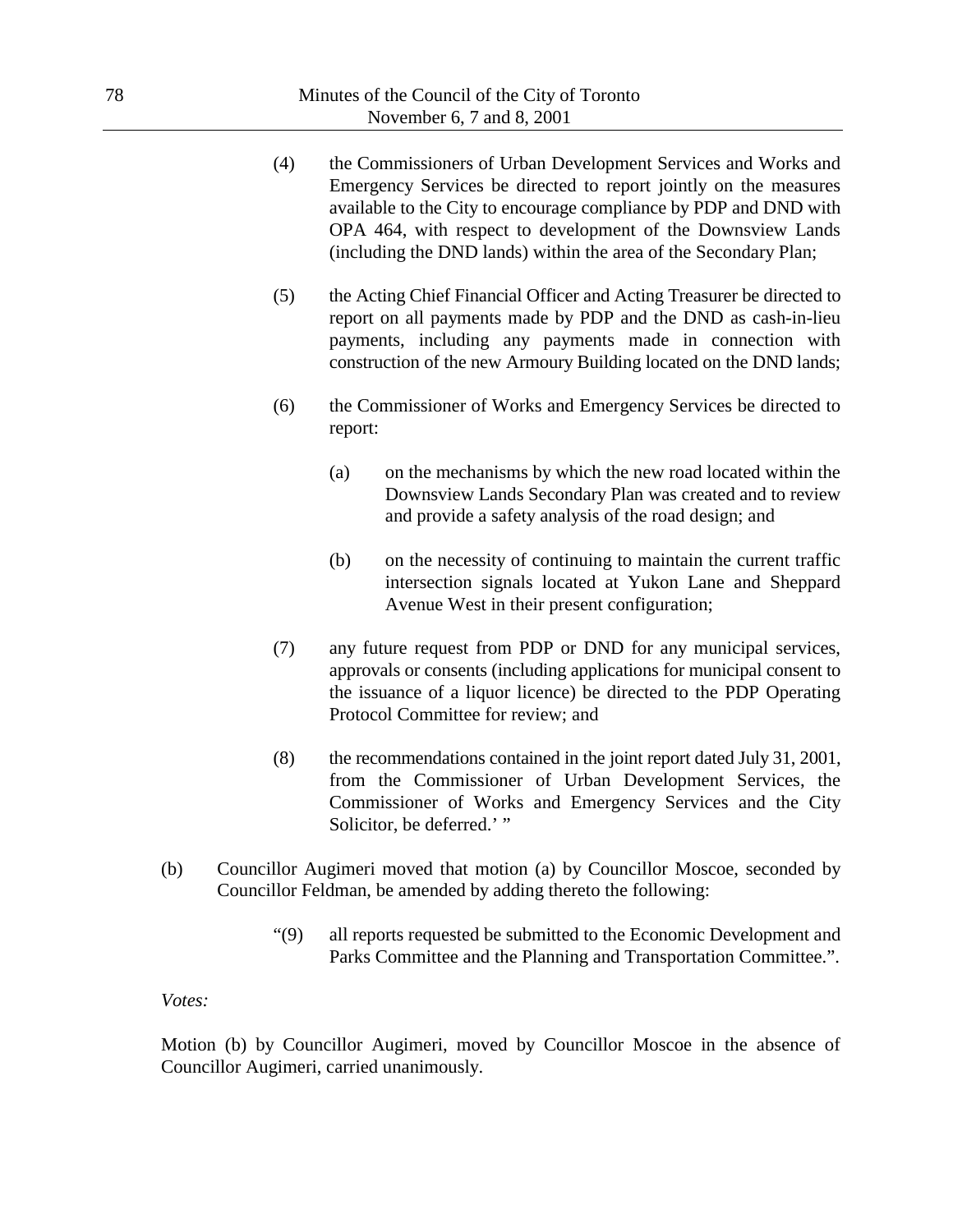- (4) the Commissioners of Urban Development Services and Works and Emergency Services be directed to report jointly on the measures available to the City to encourage compliance by PDP and DND with OPA 464, with respect to development of the Downsview Lands (including the DND lands) within the area of the Secondary Plan;
- (5) the Acting Chief Financial Officer and Acting Treasurer be directed to report on all payments made by PDP and the DND as cash-in-lieu payments, including any payments made in connection with construction of the new Armoury Building located on the DND lands;
- (6) the Commissioner of Works and Emergency Services be directed to report:
	- (a) on the mechanisms by which the new road located within the Downsview Lands Secondary Plan was created and to review and provide a safety analysis of the road design; and
	- (b) on the necessity of continuing to maintain the current traffic intersection signals located at Yukon Lane and Sheppard Avenue West in their present configuration;
- (7) any future request from PDP or DND for any municipal services, approvals or consents (including applications for municipal consent to the issuance of a liquor licence) be directed to the PDP Operating Protocol Committee for review; and
- (8) the recommendations contained in the joint report dated July 31, 2001, from the Commissioner of Urban Development Services, the Commissioner of Works and Emergency Services and the City Solicitor, be deferred.' "
- (b) Councillor Augimeri moved that motion (a) by Councillor Moscoe, seconded by Councillor Feldman, be amended by adding thereto the following:
	- "(9) all reports requested be submitted to the Economic Development and Parks Committee and the Planning and Transportation Committee.".

*Votes:*

Motion (b) by Councillor Augimeri, moved by Councillor Moscoe in the absence of Councillor Augimeri, carried unanimously.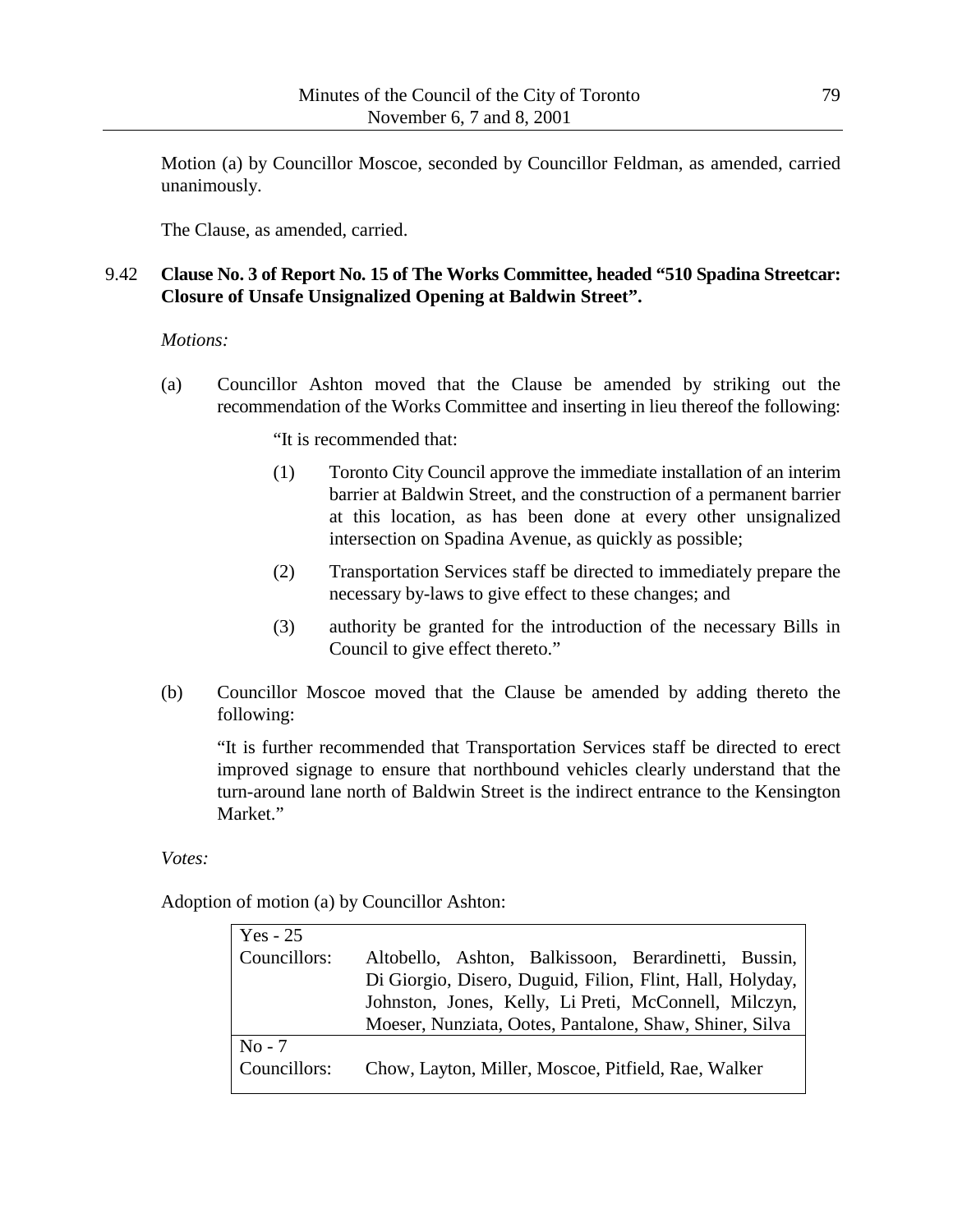Motion (a) by Councillor Moscoe, seconded by Councillor Feldman, as amended, carried unanimously.

The Clause, as amended, carried.

# 9.42 **Clause No. 3 of Report No. 15 of The Works Committee, headed "510 Spadina Streetcar: Closure of Unsafe Unsignalized Opening at Baldwin Street".**

#### *Motions:*

(a) Councillor Ashton moved that the Clause be amended by striking out the recommendation of the Works Committee and inserting in lieu thereof the following:

"It is recommended that:

- (1) Toronto City Council approve the immediate installation of an interim barrier at Baldwin Street, and the construction of a permanent barrier at this location, as has been done at every other unsignalized intersection on Spadina Avenue, as quickly as possible;
- (2) Transportation Services staff be directed to immediately prepare the necessary by-laws to give effect to these changes; and
- (3) authority be granted for the introduction of the necessary Bills in Council to give effect thereto."
- (b) Councillor Moscoe moved that the Clause be amended by adding thereto the following:

"It is further recommended that Transportation Services staff be directed to erect improved signage to ensure that northbound vehicles clearly understand that the turn-around lane north of Baldwin Street is the indirect entrance to the Kensington Market."

*Votes:*

Adoption of motion (a) by Councillor Ashton:

| $Yes - 25$   |                                                           |
|--------------|-----------------------------------------------------------|
| Councillors: | Altobello, Ashton, Balkissoon, Berardinetti, Bussin,      |
|              | Di Giorgio, Disero, Duguid, Filion, Flint, Hall, Holyday, |
|              | Johnston, Jones, Kelly, Li Preti, McConnell, Milczyn,     |
|              | Moeser, Nunziata, Ootes, Pantalone, Shaw, Shiner, Silva   |
| $No - 7$     |                                                           |
| Councillors: | Chow, Layton, Miller, Moscoe, Pitfield, Rae, Walker       |
|              |                                                           |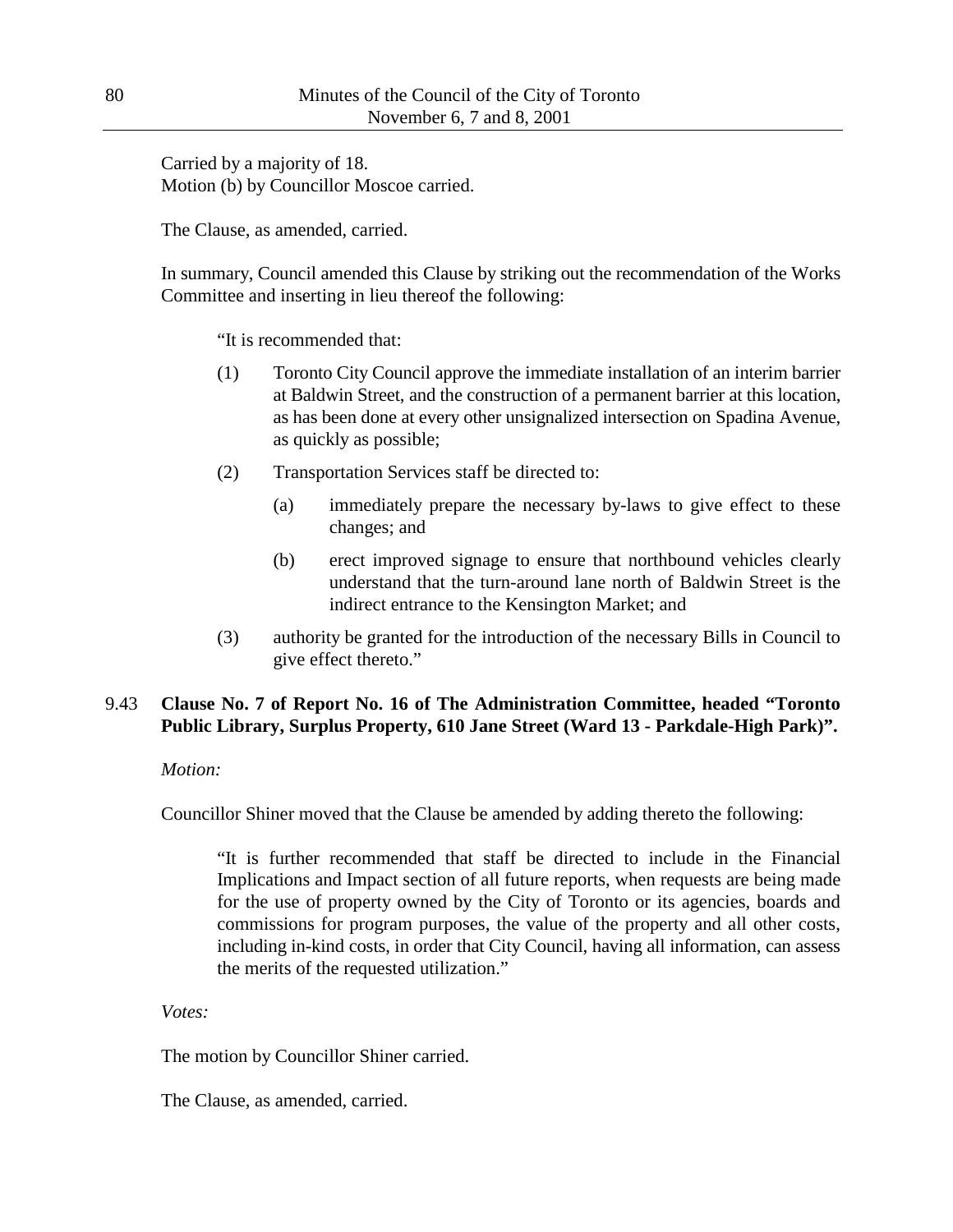Carried by a majority of 18. Motion (b) by Councillor Moscoe carried.

The Clause, as amended, carried.

In summary, Council amended this Clause by striking out the recommendation of the Works Committee and inserting in lieu thereof the following:

"It is recommended that:

- (1) Toronto City Council approve the immediate installation of an interim barrier at Baldwin Street, and the construction of a permanent barrier at this location, as has been done at every other unsignalized intersection on Spadina Avenue, as quickly as possible;
- (2) Transportation Services staff be directed to:
	- (a) immediately prepare the necessary by-laws to give effect to these changes; and
	- (b) erect improved signage to ensure that northbound vehicles clearly understand that the turn-around lane north of Baldwin Street is the indirect entrance to the Kensington Market; and
- (3) authority be granted for the introduction of the necessary Bills in Council to give effect thereto."

# 9.43 **Clause No. 7 of Report No. 16 of The Administration Committee, headed "Toronto Public Library, Surplus Property, 610 Jane Street (Ward 13 - Parkdale-High Park)".**

### *Motion:*

Councillor Shiner moved that the Clause be amended by adding thereto the following:

"It is further recommended that staff be directed to include in the Financial Implications and Impact section of all future reports, when requests are being made for the use of property owned by the City of Toronto or its agencies, boards and commissions for program purposes, the value of the property and all other costs, including in-kind costs, in order that City Council, having all information, can assess the merits of the requested utilization."

*Votes:*

The motion by Councillor Shiner carried.

The Clause, as amended, carried.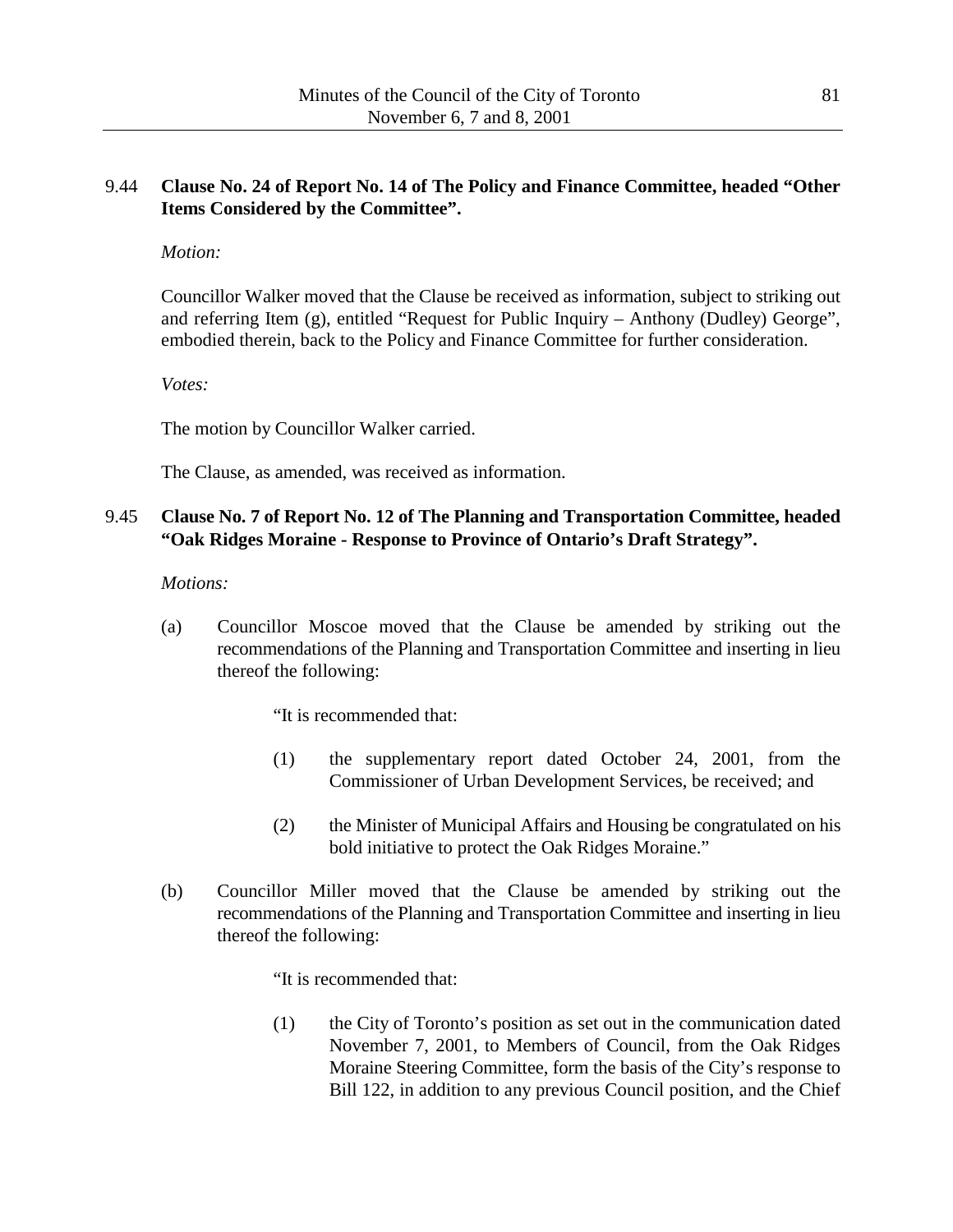## 9.44 **Clause No. 24 of Report No. 14 of The Policy and Finance Committee, headed "Other Items Considered by the Committee".**

### *Motion:*

Councillor Walker moved that the Clause be received as information, subject to striking out and referring Item (g), entitled "Request for Public Inquiry – Anthony (Dudley) George", embodied therein, back to the Policy and Finance Committee for further consideration.

*Votes:*

The motion by Councillor Walker carried.

The Clause, as amended, was received as information.

## 9.45 **Clause No. 7 of Report No. 12 of The Planning and Transportation Committee, headed "Oak Ridges Moraine - Response to Province of Ontario's Draft Strategy".**

*Motions:*

(a) Councillor Moscoe moved that the Clause be amended by striking out the recommendations of the Planning and Transportation Committee and inserting in lieu thereof the following:

"It is recommended that:

- (1) the supplementary report dated October 24, 2001, from the Commissioner of Urban Development Services, be received; and
- (2) the Minister of Municipal Affairs and Housing be congratulated on his bold initiative to protect the Oak Ridges Moraine."
- (b) Councillor Miller moved that the Clause be amended by striking out the recommendations of the Planning and Transportation Committee and inserting in lieu thereof the following:

"It is recommended that:

(1) the City of Toronto's position as set out in the communication dated November 7, 2001, to Members of Council, from the Oak Ridges Moraine Steering Committee, form the basis of the City's response to Bill 122, in addition to any previous Council position, and the Chief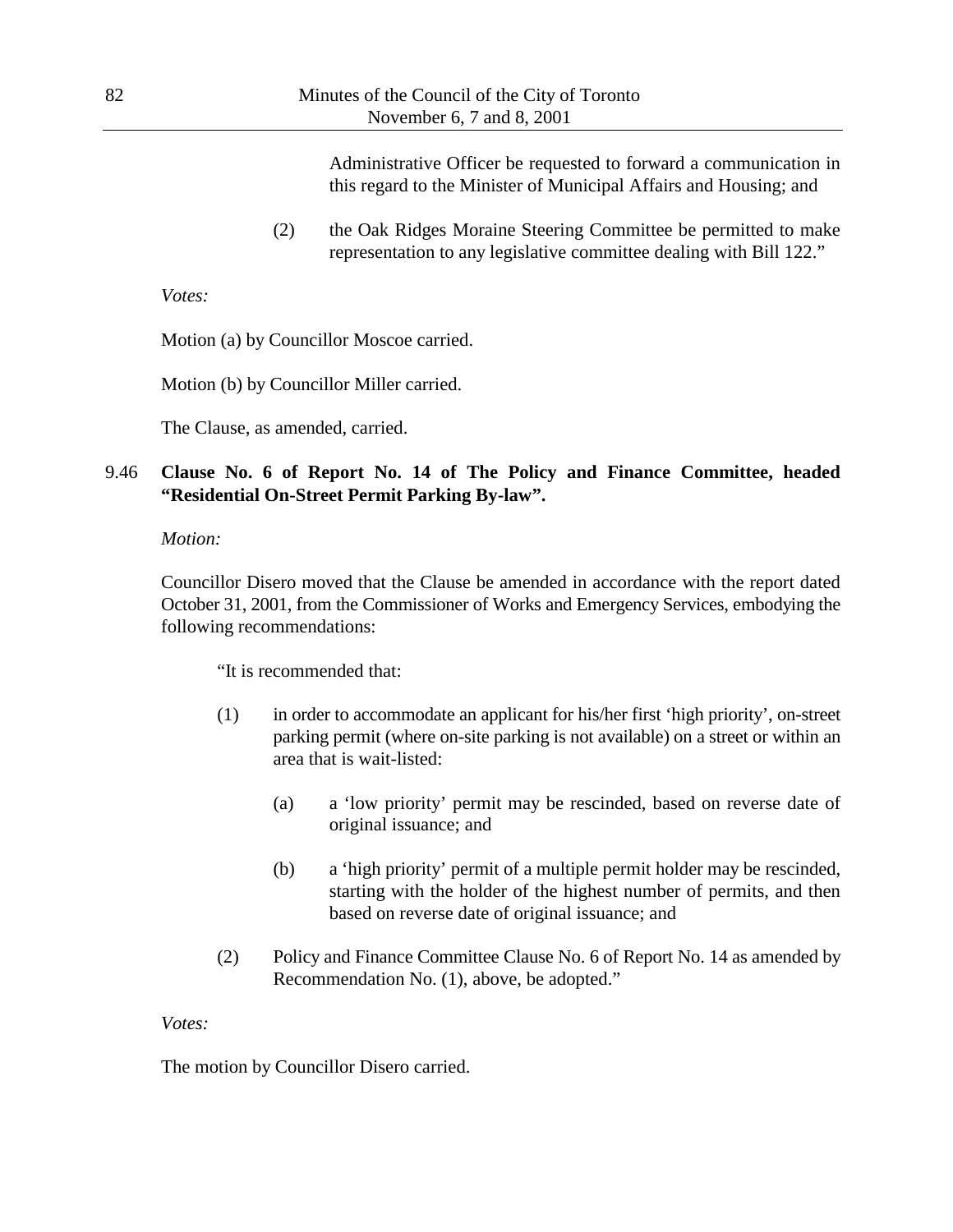Administrative Officer be requested to forward a communication in this regard to the Minister of Municipal Affairs and Housing; and

(2) the Oak Ridges Moraine Steering Committee be permitted to make representation to any legislative committee dealing with Bill 122."

*Votes:*

Motion (a) by Councillor Moscoe carried.

Motion (b) by Councillor Miller carried.

The Clause, as amended, carried.

## 9.46 **Clause No. 6 of Report No. 14 of The Policy and Finance Committee, headed "Residential On-Street Permit Parking By-law".**

*Motion:*

Councillor Disero moved that the Clause be amended in accordance with the report dated October 31, 2001, from the Commissioner of Works and Emergency Services, embodying the following recommendations:

"It is recommended that:

- (1) in order to accommodate an applicant for his/her first 'high priority', on-street parking permit (where on-site parking is not available) on a street or within an area that is wait-listed:
	- (a) a 'low priority' permit may be rescinded, based on reverse date of original issuance; and
	- (b) a 'high priority' permit of a multiple permit holder may be rescinded, starting with the holder of the highest number of permits, and then based on reverse date of original issuance; and
- (2) Policy and Finance Committee Clause No. 6 of Report No. 14 as amended by Recommendation No. (1), above, be adopted."

*Votes:*

The motion by Councillor Disero carried.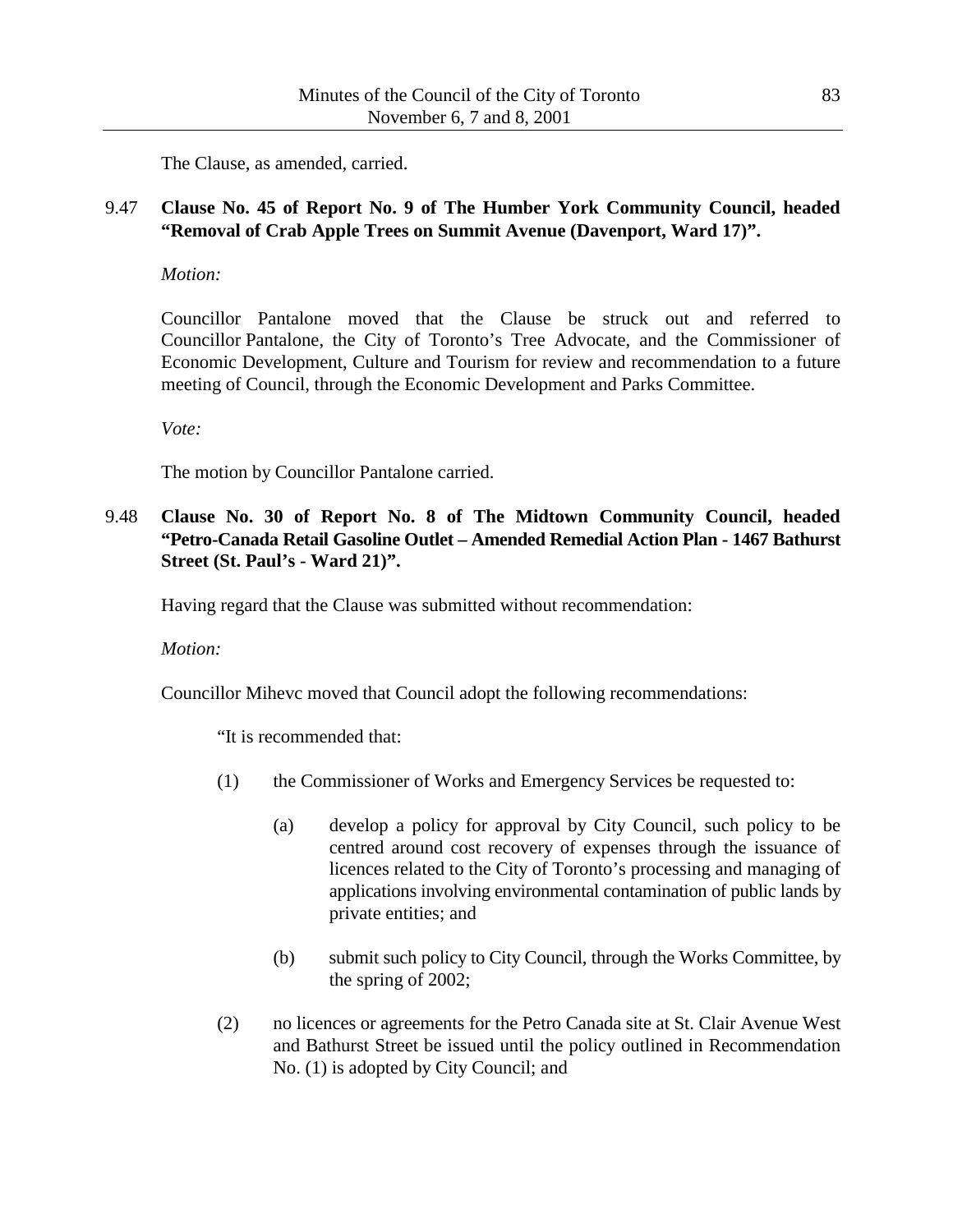The Clause, as amended, carried.

### 9.47 **Clause No. 45 of Report No. 9 of The Humber York Community Council, headed "Removal of Crab Apple Trees on Summit Avenue (Davenport, Ward 17)".**

*Motion:*

Councillor Pantalone moved that the Clause be struck out and referred to Councillor Pantalone, the City of Toronto's Tree Advocate, and the Commissioner of Economic Development, Culture and Tourism for review and recommendation to a future meeting of Council, through the Economic Development and Parks Committee.

*Vote:*

The motion by Councillor Pantalone carried.

9.48 **Clause No. 30 of Report No. 8 of The Midtown Community Council, headed "Petro-Canada Retail Gasoline Outlet – Amended Remedial Action Plan - 1467 Bathurst Street (St. Paul's - Ward 21)".**

Having regard that the Clause was submitted without recommendation:

*Motion:*

Councillor Mihevc moved that Council adopt the following recommendations:

"It is recommended that:

- (1) the Commissioner of Works and Emergency Services be requested to:
	- (a) develop a policy for approval by City Council, such policy to be centred around cost recovery of expenses through the issuance of licences related to the City of Toronto's processing and managing of applications involving environmental contamination of public lands by private entities; and
	- (b) submit such policy to City Council, through the Works Committee, by the spring of 2002;
- (2) no licences or agreements for the Petro Canada site at St. Clair Avenue West and Bathurst Street be issued until the policy outlined in Recommendation No. (1) is adopted by City Council; and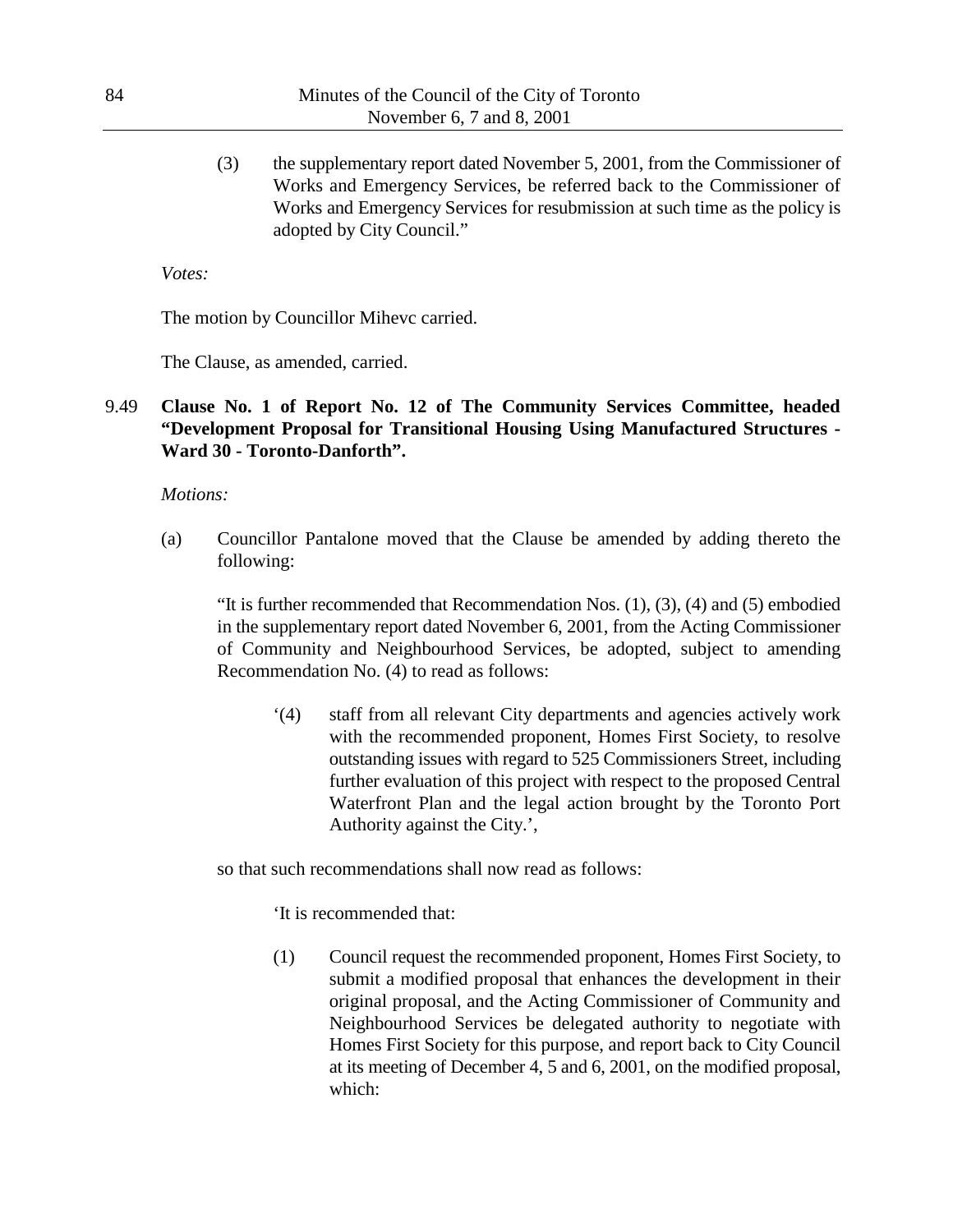(3) the supplementary report dated November 5, 2001, from the Commissioner of Works and Emergency Services, be referred back to the Commissioner of Works and Emergency Services for resubmission at such time as the policy is adopted by City Council."

*Votes:*

The motion by Councillor Mihevc carried.

The Clause, as amended, carried.

9.49 **Clause No. 1 of Report No. 12 of The Community Services Committee, headed "Development Proposal for Transitional Housing Using Manufactured Structures - Ward 30 - Toronto-Danforth".**

#### *Motions:*

(a) Councillor Pantalone moved that the Clause be amended by adding thereto the following:

"It is further recommended that Recommendation Nos.  $(1)$ ,  $(3)$ ,  $(4)$  and  $(5)$  embodied in the supplementary report dated November 6, 2001, from the Acting Commissioner of Community and Neighbourhood Services, be adopted, subject to amending Recommendation No. (4) to read as follows:

'(4) staff from all relevant City departments and agencies actively work with the recommended proponent, Homes First Society, to resolve outstanding issues with regard to 525 Commissioners Street, including further evaluation of this project with respect to the proposed Central Waterfront Plan and the legal action brought by the Toronto Port Authority against the City.',

so that such recommendations shall now read as follows:

'It is recommended that:

(1) Council request the recommended proponent, Homes First Society, to submit a modified proposal that enhances the development in their original proposal, and the Acting Commissioner of Community and Neighbourhood Services be delegated authority to negotiate with Homes First Society for this purpose, and report back to City Council at its meeting of December 4, 5 and 6, 2001, on the modified proposal, which: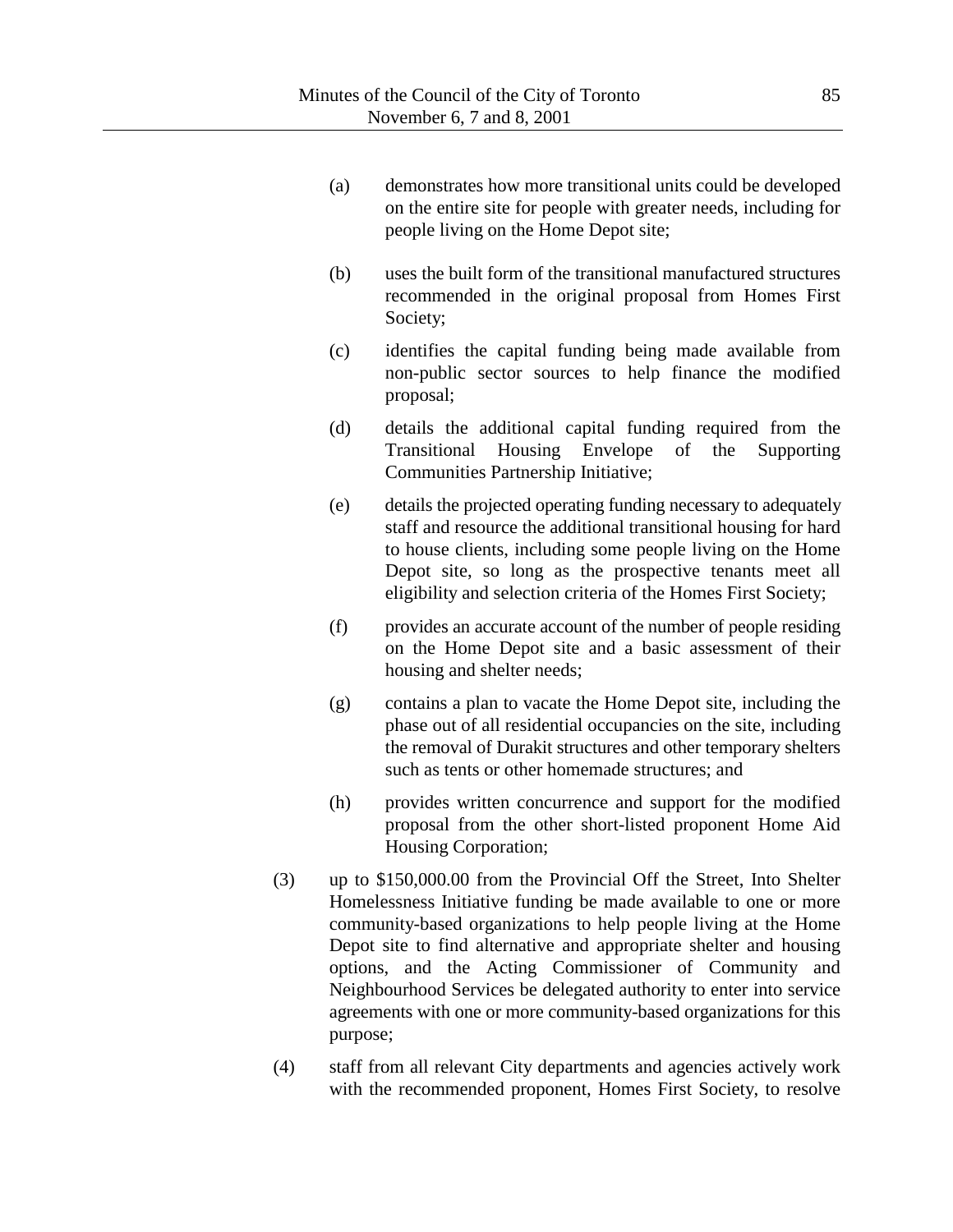- (a) demonstrates how more transitional units could be developed on the entire site for people with greater needs, including for people living on the Home Depot site;
- (b) uses the built form of the transitional manufactured structures recommended in the original proposal from Homes First Society;
- (c) identifies the capital funding being made available from non-public sector sources to help finance the modified proposal;
- (d) details the additional capital funding required from the Transitional Housing Envelope of the Supporting Communities Partnership Initiative;
- (e) details the projected operating funding necessary to adequately staff and resource the additional transitional housing for hard to house clients, including some people living on the Home Depot site, so long as the prospective tenants meet all eligibility and selection criteria of the Homes First Society;
- (f) provides an accurate account of the number of people residing on the Home Depot site and a basic assessment of their housing and shelter needs;
- (g) contains a plan to vacate the Home Depot site, including the phase out of all residential occupancies on the site, including the removal of Durakit structures and other temporary shelters such as tents or other homemade structures; and
- (h) provides written concurrence and support for the modified proposal from the other short-listed proponent Home Aid Housing Corporation;
- (3) up to \$150,000.00 from the Provincial Off the Street, Into Shelter Homelessness Initiative funding be made available to one or more community-based organizations to help people living at the Home Depot site to find alternative and appropriate shelter and housing options, and the Acting Commissioner of Community and Neighbourhood Services be delegated authority to enter into service agreements with one or more community-based organizations for this purpose;
- (4) staff from all relevant City departments and agencies actively work with the recommended proponent, Homes First Society, to resolve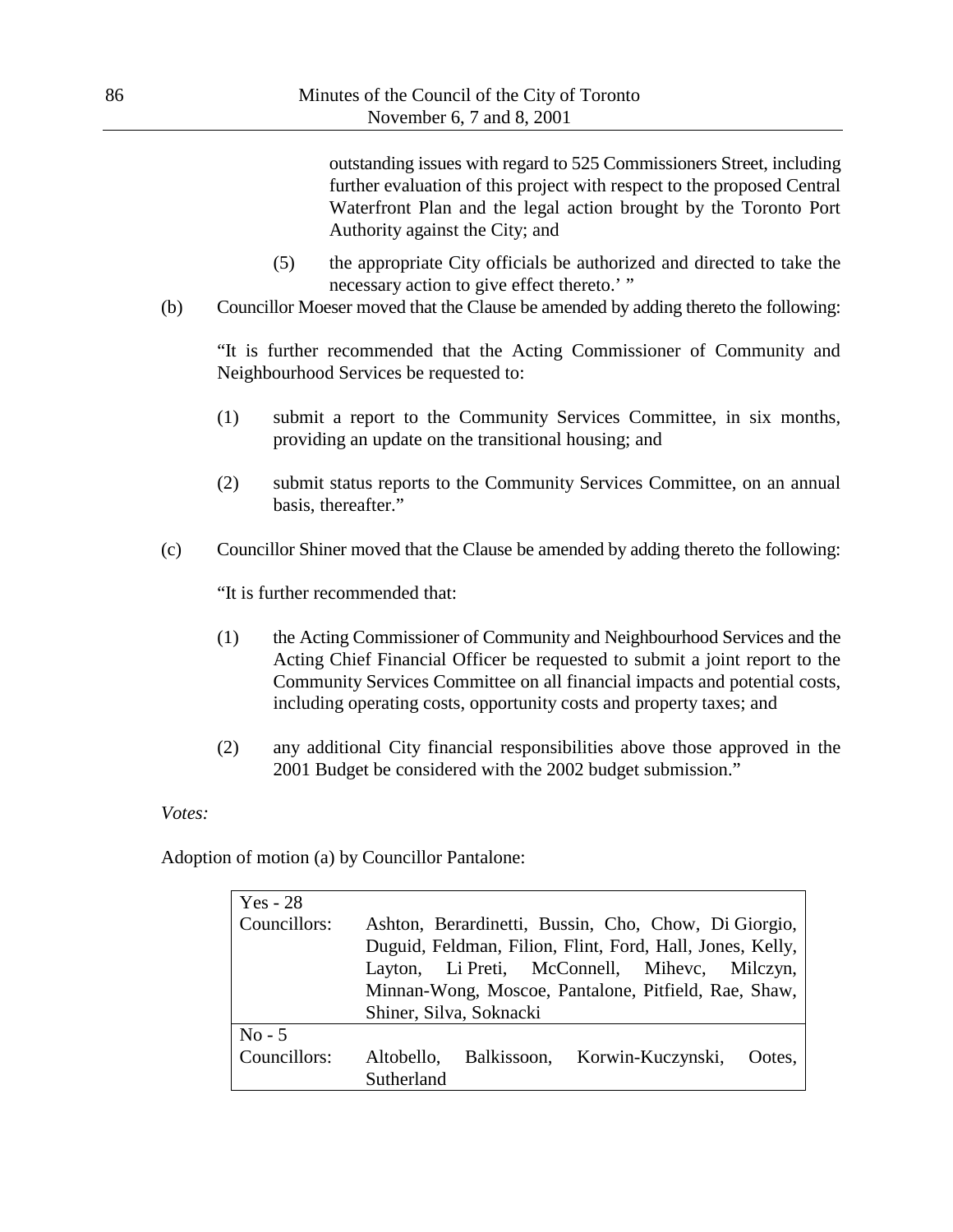outstanding issues with regard to 525 Commissioners Street, including further evaluation of this project with respect to the proposed Central Waterfront Plan and the legal action brought by the Toronto Port Authority against the City; and

- (5) the appropriate City officials be authorized and directed to take the necessary action to give effect thereto.' "
- (b) Councillor Moeser moved that the Clause be amended by adding thereto the following:

"It is further recommended that the Acting Commissioner of Community and Neighbourhood Services be requested to:

- (1) submit a report to the Community Services Committee, in six months, providing an update on the transitional housing; and
- (2) submit status reports to the Community Services Committee, on an annual basis, thereafter."
- (c) Councillor Shiner moved that the Clause be amended by adding thereto the following:

"It is further recommended that:

- (1) the Acting Commissioner of Community and Neighbourhood Services and the Acting Chief Financial Officer be requested to submit a joint report to the Community Services Committee on all financial impacts and potential costs, including operating costs, opportunity costs and property taxes; and
- (2) any additional City financial responsibilities above those approved in the 2001 Budget be considered with the 2002 budget submission."

#### *Votes:*

Adoption of motion (a) by Councillor Pantalone:

| $Yes - 28$   |                                                           |  |  |
|--------------|-----------------------------------------------------------|--|--|
| Councillors: | Ashton, Berardinetti, Bussin, Cho, Chow, Di Giorgio,      |  |  |
|              | Duguid, Feldman, Filion, Flint, Ford, Hall, Jones, Kelly, |  |  |
|              | Layton, Li Preti, McConnell, Miheve, Milczyn,             |  |  |
|              | Minnan-Wong, Moscoe, Pantalone, Pitfield, Rae, Shaw,      |  |  |
|              | Shiner, Silva, Soknacki                                   |  |  |
| $No - 5$     |                                                           |  |  |
| Councillors: | Balkissoon, Korwin-Kuczynski,<br>Altobello,<br>Ootes,     |  |  |
|              | Sutherland                                                |  |  |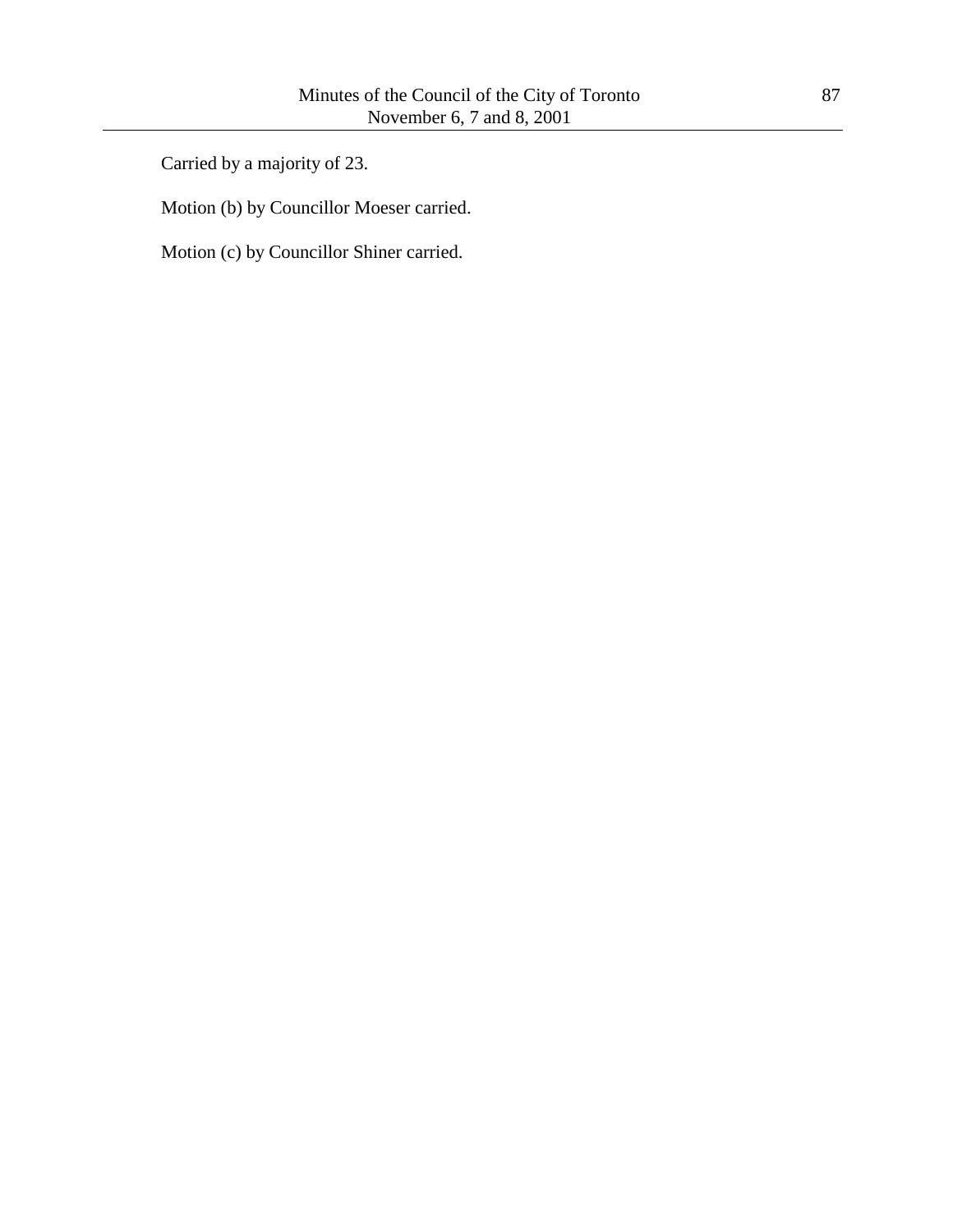Carried by a majority of 23.

Motion (b) by Councillor Moeser carried.

Motion (c) by Councillor Shiner carried.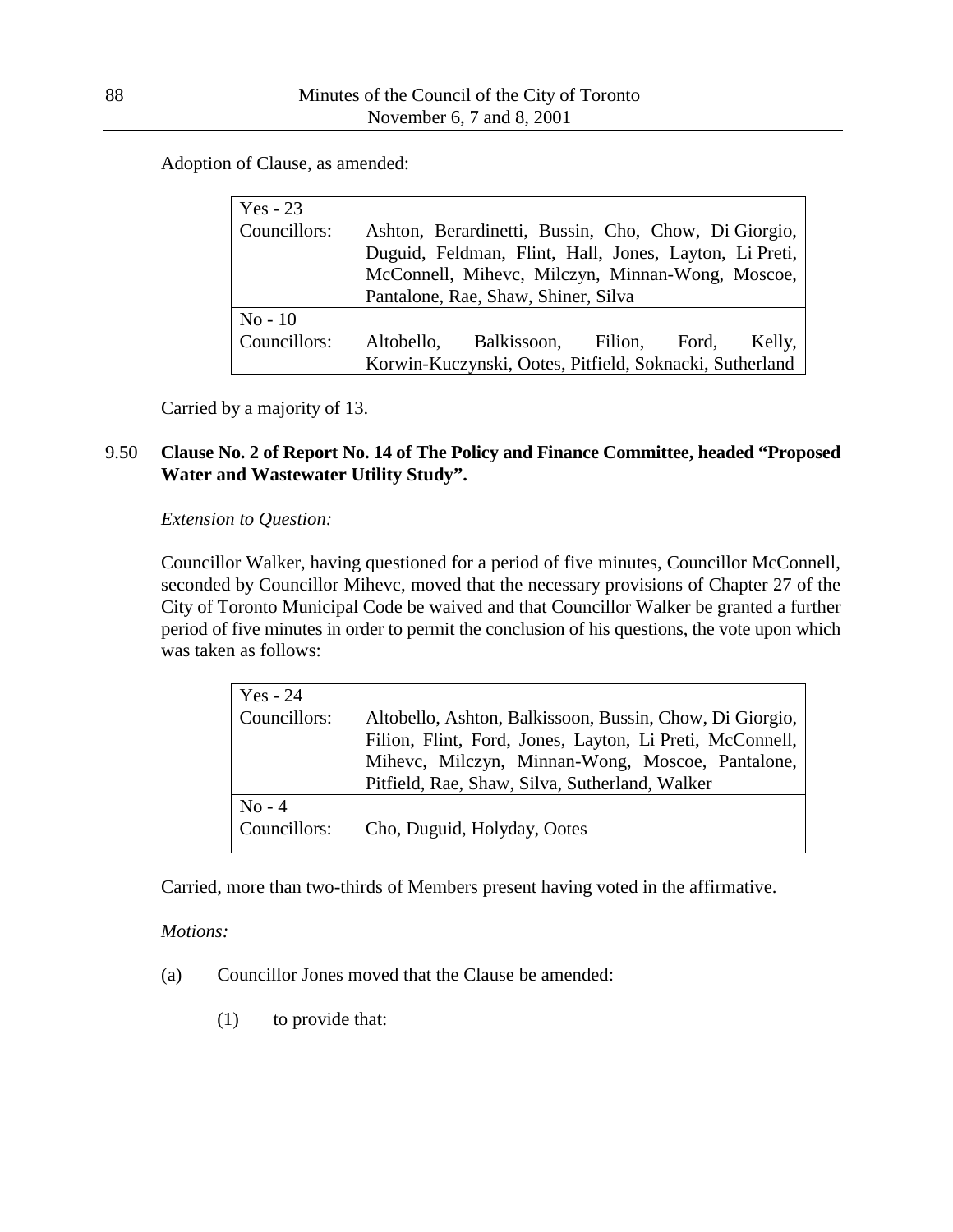Adoption of Clause, as amended:

| $Yes - 23$   |                                                      |                                                         |  |        |
|--------------|------------------------------------------------------|---------------------------------------------------------|--|--------|
| Councillors: | Ashton, Berardinetti, Bussin, Cho, Chow, Di Giorgio, |                                                         |  |        |
|              |                                                      | Duguid, Feldman, Flint, Hall, Jones, Layton, Li Preti,  |  |        |
|              |                                                      | McConnell, Mihevc, Milczyn, Minnan-Wong, Moscoe,        |  |        |
|              |                                                      | Pantalone, Rae, Shaw, Shiner, Silva                     |  |        |
| $No-10$      |                                                      |                                                         |  |        |
| Councillors: |                                                      | Altobello, Balkissoon, Filion, Ford,                    |  | Kelly, |
|              |                                                      | Korwin-Kuczynski, Ootes, Pitfield, Soknacki, Sutherland |  |        |

Carried by a majority of 13.

### 9.50 **Clause No. 2 of Report No. 14 of The Policy and Finance Committee, headed "Proposed Water and Wastewater Utility Study".**

*Extension to Question:*

Councillor Walker, having questioned for a period of five minutes, Councillor McConnell, seconded by Councillor Mihevc, moved that the necessary provisions of Chapter 27 of the City of Toronto Municipal Code be waived and that Councillor Walker be granted a further period of five minutes in order to permit the conclusion of his questions, the vote upon which was taken as follows:

| Yes $-24$    |                                                          |
|--------------|----------------------------------------------------------|
| Councillors: | Altobello, Ashton, Balkissoon, Bussin, Chow, Di Giorgio, |
|              | Filion, Flint, Ford, Jones, Layton, Li Preti, McConnell, |
|              | Mihevc, Milczyn, Minnan-Wong, Moscoe, Pantalone,         |
|              | Pitfield, Rae, Shaw, Silva, Sutherland, Walker           |
| $No - 4$     |                                                          |
| Councillors: | Cho, Duguid, Holyday, Ootes                              |
|              |                                                          |

Carried, more than two-thirds of Members present having voted in the affirmative.

#### *Motions:*

- (a) Councillor Jones moved that the Clause be amended:
	- (1) to provide that: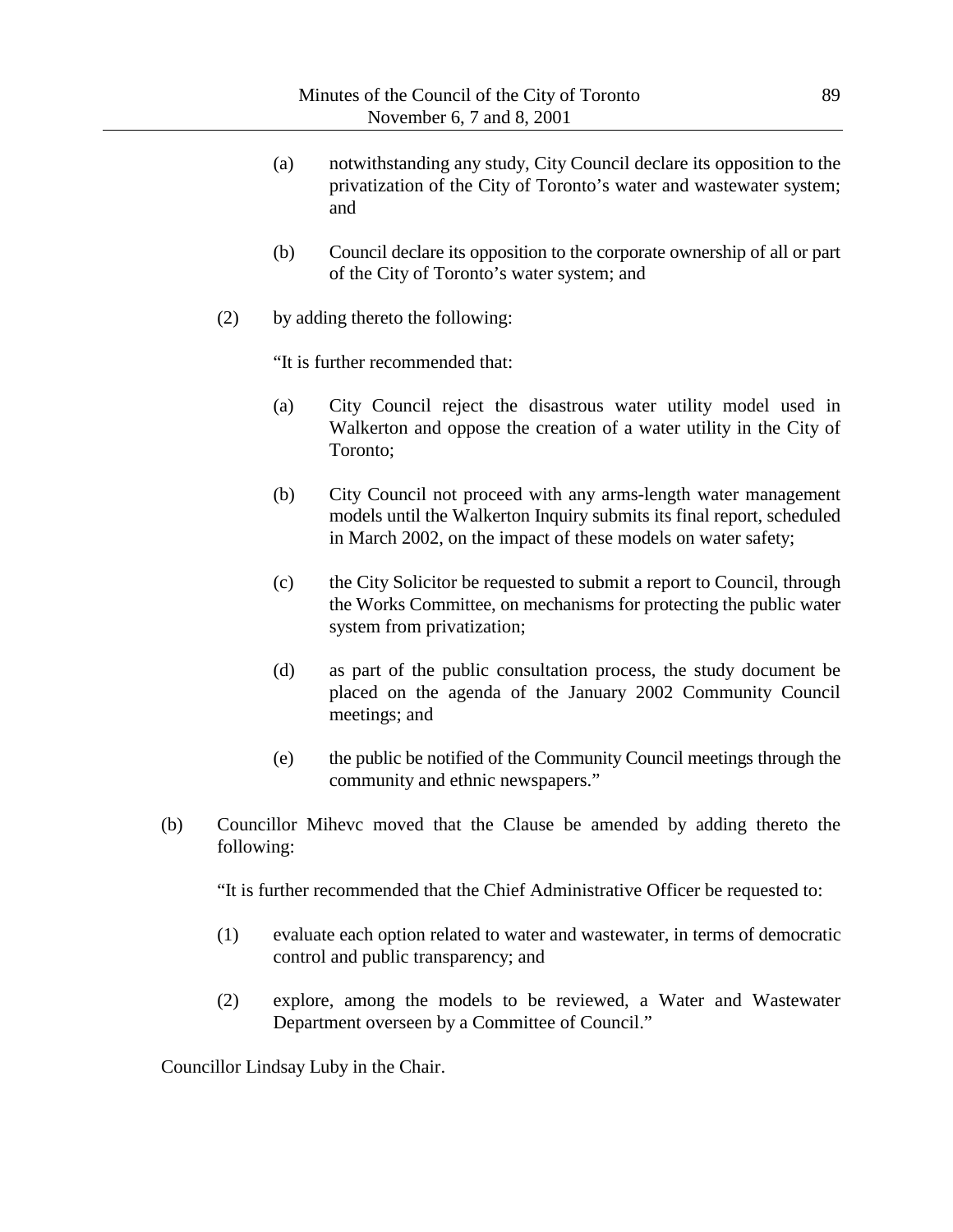- (a) notwithstanding any study, City Council declare its opposition to the privatization of the City of Toronto's water and wastewater system; and
- (b) Council declare its opposition to the corporate ownership of all or part of the City of Toronto's water system; and
- (2) by adding thereto the following:

"It is further recommended that:

- (a) City Council reject the disastrous water utility model used in Walkerton and oppose the creation of a water utility in the City of Toronto;
- (b) City Council not proceed with any arms-length water management models until the Walkerton Inquiry submits its final report, scheduled in March 2002, on the impact of these models on water safety;
- (c) the City Solicitor be requested to submit a report to Council, through the Works Committee, on mechanisms for protecting the public water system from privatization;
- (d) as part of the public consultation process, the study document be placed on the agenda of the January 2002 Community Council meetings; and
- (e) the public be notified of the Community Council meetings through the community and ethnic newspapers."
- (b) Councillor Mihevc moved that the Clause be amended by adding thereto the following:

"It is further recommended that the Chief Administrative Officer be requested to:

- (1) evaluate each option related to water and wastewater, in terms of democratic control and public transparency; and
- (2) explore, among the models to be reviewed, a Water and Wastewater Department overseen by a Committee of Council."

Councillor Lindsay Luby in the Chair.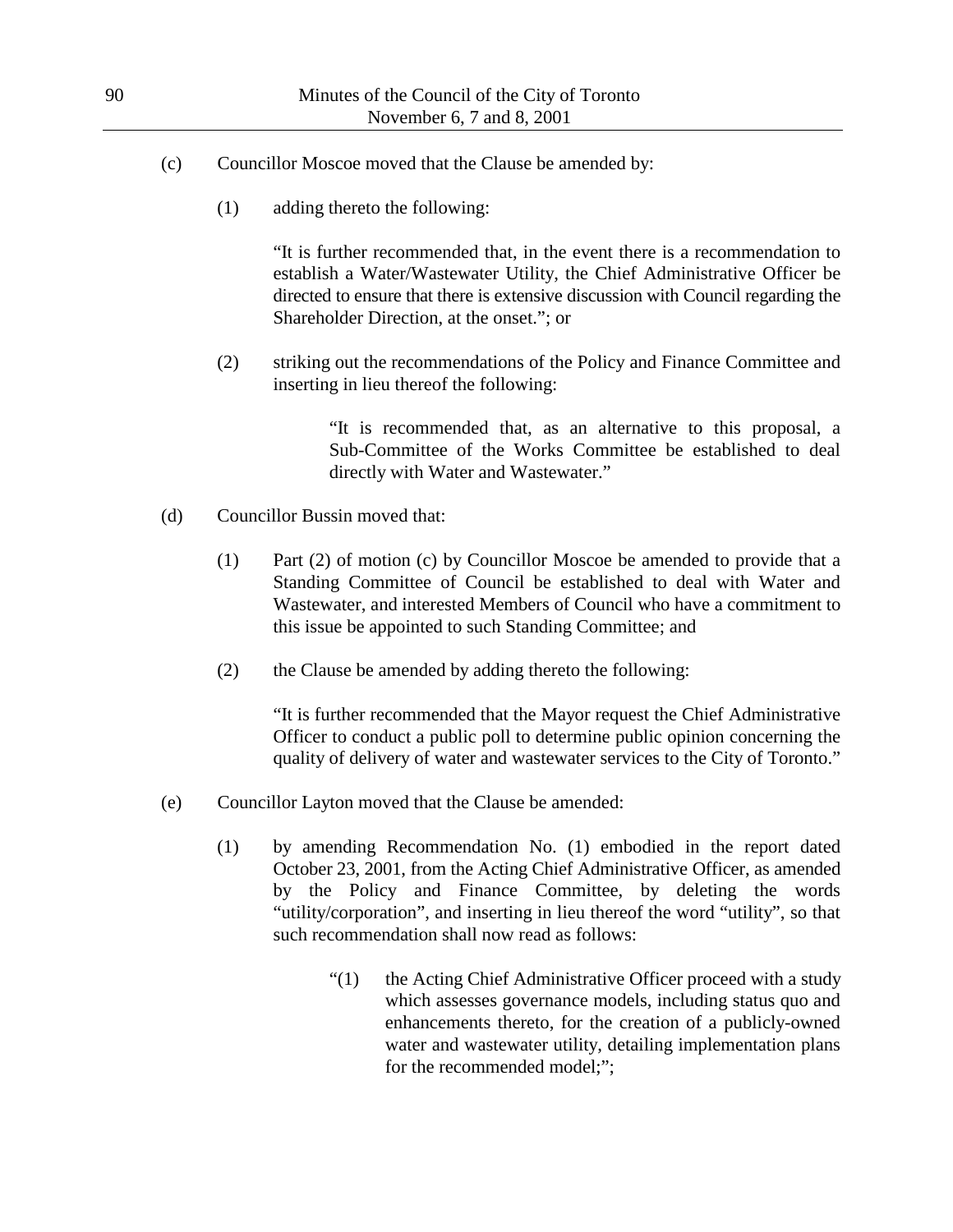- (c) Councillor Moscoe moved that the Clause be amended by:
	- (1) adding thereto the following:

"It is further recommended that, in the event there is a recommendation to establish a Water/Wastewater Utility, the Chief Administrative Officer be directed to ensure that there is extensive discussion with Council regarding the Shareholder Direction, at the onset."; or

(2) striking out the recommendations of the Policy and Finance Committee and inserting in lieu thereof the following:

> "It is recommended that, as an alternative to this proposal, a Sub-Committee of the Works Committee be established to deal directly with Water and Wastewater."

- (d) Councillor Bussin moved that:
	- (1) Part (2) of motion (c) by Councillor Moscoe be amended to provide that a Standing Committee of Council be established to deal with Water and Wastewater, and interested Members of Council who have a commitment to this issue be appointed to such Standing Committee; and
	- (2) the Clause be amended by adding thereto the following:

"It is further recommended that the Mayor request the Chief Administrative Officer to conduct a public poll to determine public opinion concerning the quality of delivery of water and wastewater services to the City of Toronto."

- (e) Councillor Layton moved that the Clause be amended:
	- (1) by amending Recommendation No. (1) embodied in the report dated October 23, 2001, from the Acting Chief Administrative Officer, as amended by the Policy and Finance Committee, by deleting the words "utility/corporation", and inserting in lieu thereof the word "utility", so that such recommendation shall now read as follows:
		- "(1) the Acting Chief Administrative Officer proceed with a study which assesses governance models, including status quo and enhancements thereto, for the creation of a publicly-owned water and wastewater utility, detailing implementation plans for the recommended model;";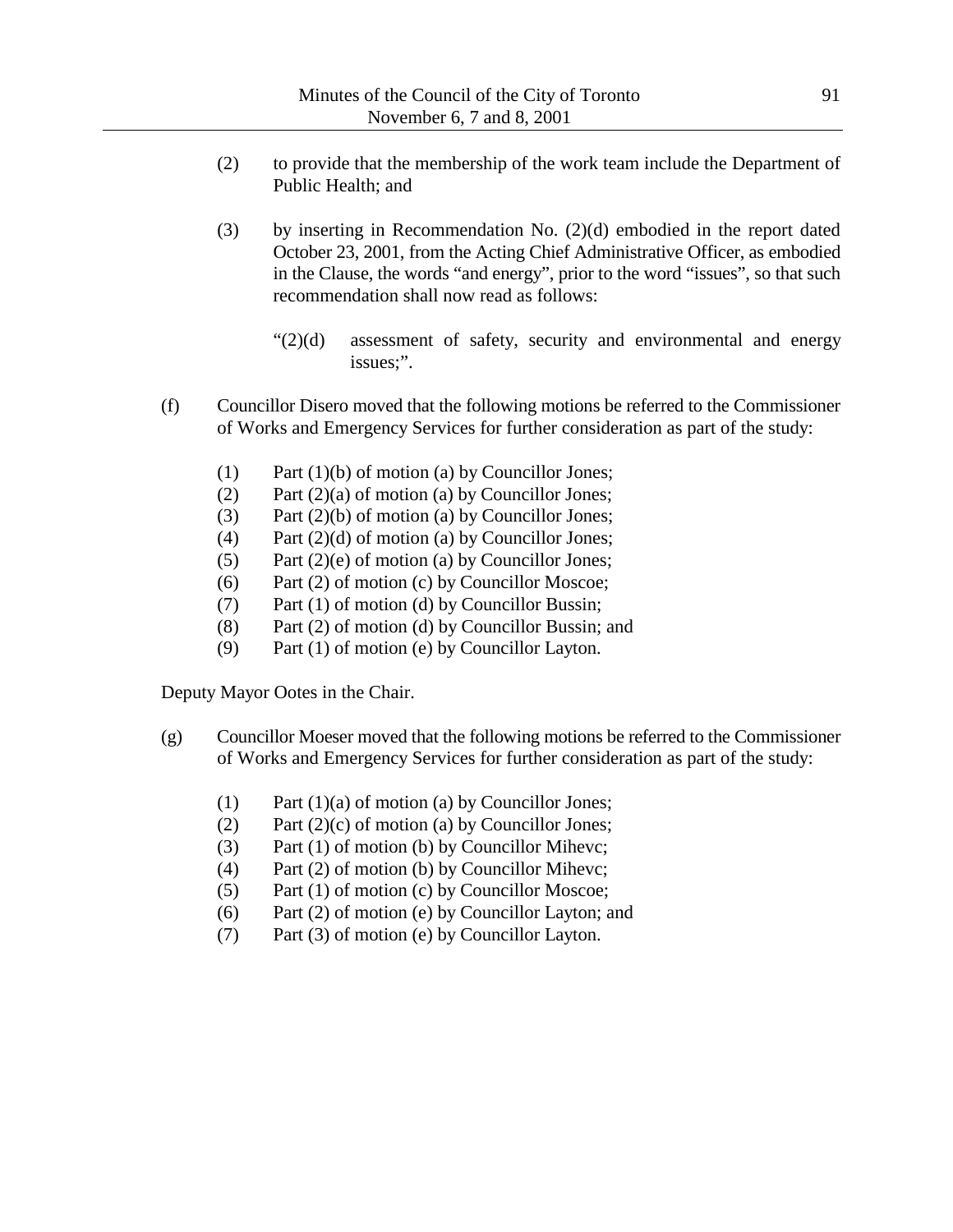- (2) to provide that the membership of the work team include the Department of Public Health; and
- (3) by inserting in Recommendation No. (2)(d) embodied in the report dated October 23, 2001, from the Acting Chief Administrative Officer, as embodied in the Clause, the words "and energy", prior to the word "issues", so that such recommendation shall now read as follows:
	- "(2)(d) assessment of safety, security and environmental and energy issues;".
- (f) Councillor Disero moved that the following motions be referred to the Commissioner of Works and Emergency Services for further consideration as part of the study:
	- (1) Part (1)(b) of motion (a) by Councillor Jones;
	- (2) Part  $(2)(a)$  of motion (a) by Councillor Jones;
	- (3) Part (2)(b) of motion (a) by Councillor Jones;
	- (4) Part (2)(d) of motion (a) by Councillor Jones;
	- (5) Part (2)(e) of motion (a) by Councillor Jones;
	- (6) Part (2) of motion (c) by Councillor Moscoe;
	- (7) Part (1) of motion (d) by Councillor Bussin;
	- (8) Part (2) of motion (d) by Councillor Bussin; and
	- (9) Part (1) of motion (e) by Councillor Layton.

Deputy Mayor Ootes in the Chair.

- (g) Councillor Moeser moved that the following motions be referred to the Commissioner of Works and Emergency Services for further consideration as part of the study:
	- (1) Part (1)(a) of motion (a) by Councillor Jones;
	- (2) Part  $(2)(c)$  of motion (a) by Councillor Jones;
	- (3) Part (1) of motion (b) by Councillor Mihevc;
	- (4) Part (2) of motion (b) by Councillor Mihevc;
	- (5) Part (1) of motion (c) by Councillor Moscoe;
	- (6) Part (2) of motion (e) by Councillor Layton; and
	- (7) Part (3) of motion (e) by Councillor Layton.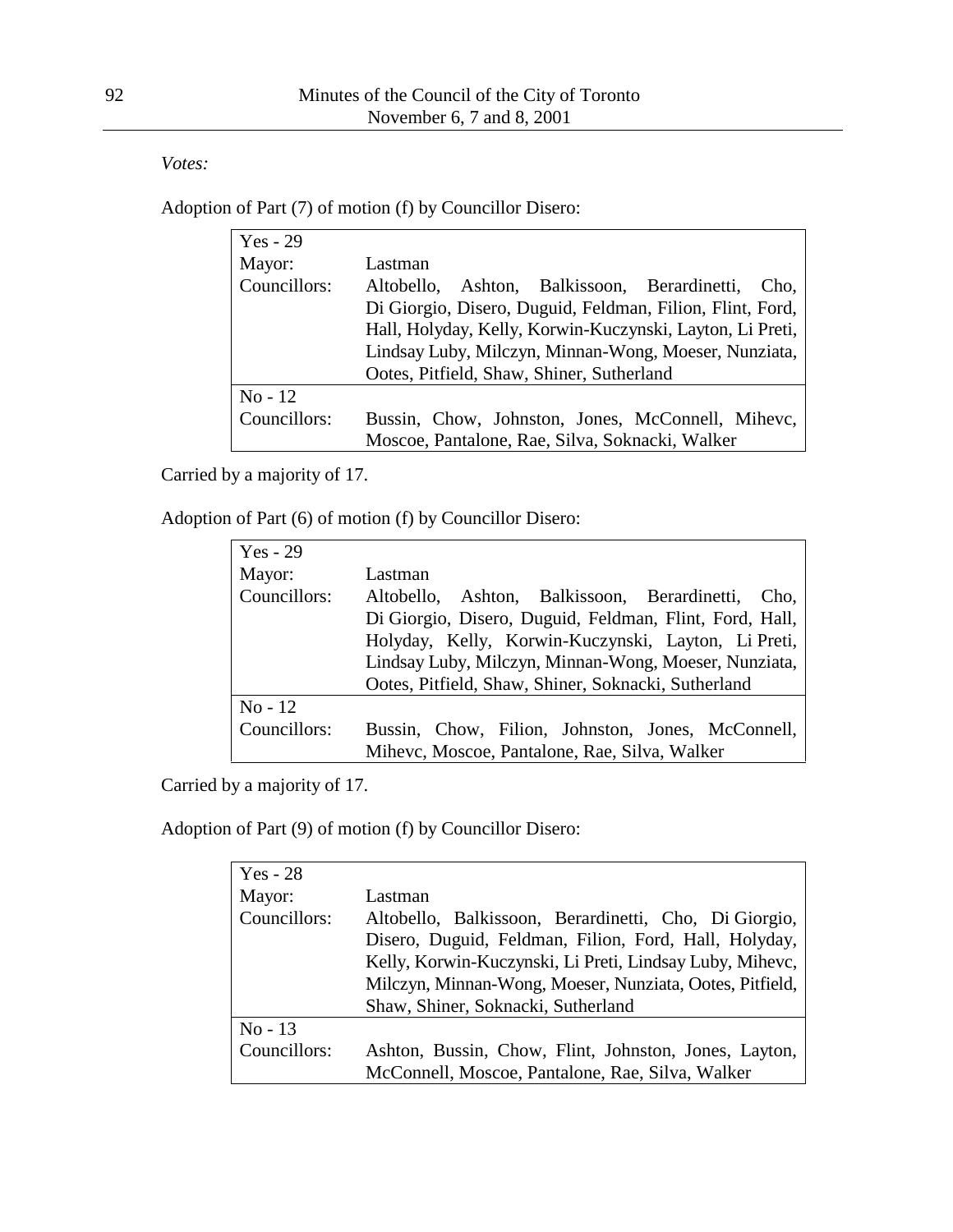*Votes:*

Adoption of Part (7) of motion (f) by Councillor Disero:

| $Yes - 29$   |                                                           |  |  |
|--------------|-----------------------------------------------------------|--|--|
| Mayor:       | Lastman                                                   |  |  |
| Councillors: | Altobello, Ashton, Balkissoon, Berardinetti,<br>Cho.      |  |  |
|              | Di Giorgio, Disero, Duguid, Feldman, Filion, Flint, Ford, |  |  |
|              | Hall, Holyday, Kelly, Korwin-Kuczynski, Layton, Li Preti, |  |  |
|              | Lindsay Luby, Milczyn, Minnan-Wong, Moeser, Nunziata,     |  |  |
|              | Ootes, Pitfield, Shaw, Shiner, Sutherland                 |  |  |
| $No-12$      |                                                           |  |  |
| Councillors: | Bussin, Chow, Johnston, Jones, McConnell, Mihevc,         |  |  |
|              | Moscoe, Pantalone, Rae, Silva, Soknacki, Walker           |  |  |

Carried by a majority of 17.

Adoption of Part (6) of motion (f) by Councillor Disero:

| $Yes - 29$   |                                                         |  |  |
|--------------|---------------------------------------------------------|--|--|
| Mayor:       | Lastman                                                 |  |  |
| Councillors: | Altobello, Ashton, Balkissoon, Berardinetti,<br>Cho.    |  |  |
|              | Di Giorgio, Disero, Duguid, Feldman, Flint, Ford, Hall, |  |  |
|              | Holyday, Kelly, Korwin-Kuczynski, Layton, Li Preti,     |  |  |
|              | Lindsay Luby, Milczyn, Minnan-Wong, Moeser, Nunziata,   |  |  |
|              | Ootes, Pitfield, Shaw, Shiner, Soknacki, Sutherland     |  |  |
| $No-12$      |                                                         |  |  |
| Councillors: | Bussin, Chow, Filion, Johnston, Jones, McConnell,       |  |  |
|              | Mihevc, Moscoe, Pantalone, Rae, Silva, Walker           |  |  |

Carried by a majority of 17.

Adoption of Part (9) of motion (f) by Councillor Disero:

| $Yes - 28$   |                                                          |  |  |
|--------------|----------------------------------------------------------|--|--|
| Mayor:       | Lastman                                                  |  |  |
| Councillors: | Altobello, Balkissoon, Berardinetti, Cho, Di Giorgio,    |  |  |
|              | Disero, Duguid, Feldman, Filion, Ford, Hall, Holyday,    |  |  |
|              | Kelly, Korwin-Kuczynski, Li Preti, Lindsay Luby, Mihevc, |  |  |
|              | Milczyn, Minnan-Wong, Moeser, Nunziata, Ootes, Pitfield, |  |  |
|              | Shaw, Shiner, Soknacki, Sutherland                       |  |  |
| $No-13$      |                                                          |  |  |
| Councillors: | Ashton, Bussin, Chow, Flint, Johnston, Jones, Layton,    |  |  |
|              | McConnell, Moscoe, Pantalone, Rae, Silva, Walker         |  |  |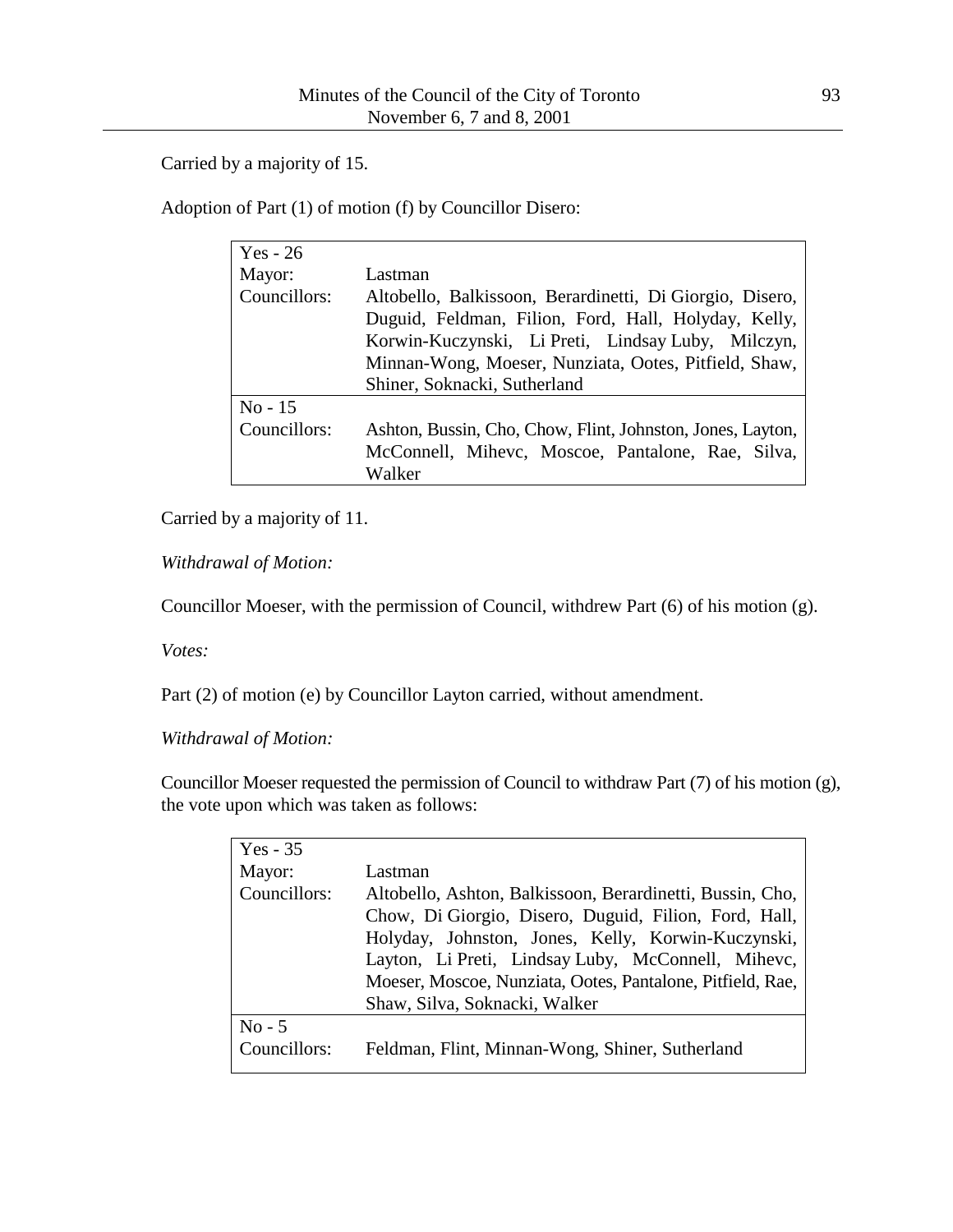Carried by a majority of 15.

Adoption of Part (1) of motion (f) by Councillor Disero:

| Yes - $26$   |                                                            |  |  |
|--------------|------------------------------------------------------------|--|--|
| Mayor:       | Lastman                                                    |  |  |
| Councillors: | Altobello, Balkissoon, Berardinetti, Di Giorgio, Disero,   |  |  |
|              | Duguid, Feldman, Filion, Ford, Hall, Holyday, Kelly,       |  |  |
|              | Korwin-Kuczynski, Li Preti, Lindsay Luby, Milczyn,         |  |  |
|              | Minnan-Wong, Moeser, Nunziata, Ootes, Pitfield, Shaw,      |  |  |
|              | Shiner, Soknacki, Sutherland                               |  |  |
| $No - 15$    |                                                            |  |  |
| Councillors: | Ashton, Bussin, Cho, Chow, Flint, Johnston, Jones, Layton, |  |  |
|              | McConnell, Mihevc, Moscoe, Pantalone, Rae, Silva,          |  |  |
|              | Walker                                                     |  |  |

Carried by a majority of 11.

*Withdrawal of Motion:*

Councillor Moeser, with the permission of Council, withdrew Part (6) of his motion (g).

*Votes:*

Part (2) of motion (e) by Councillor Layton carried, without amendment.

*Withdrawal of Motion:*

Councillor Moeser requested the permission of Council to withdraw Part (7) of his motion (g), the vote upon which was taken as follows:

| Yes - $35$   |                                                            |
|--------------|------------------------------------------------------------|
| Mayor:       | Lastman                                                    |
| Councillors: | Altobello, Ashton, Balkissoon, Berardinetti, Bussin, Cho,  |
|              | Chow, Di Giorgio, Disero, Duguid, Filion, Ford, Hall,      |
|              | Holyday, Johnston, Jones, Kelly, Korwin-Kuczynski,         |
|              | Layton, Li Preti, Lindsay Luby, McConnell, Mihevc,         |
|              | Moeser, Moscoe, Nunziata, Ootes, Pantalone, Pitfield, Rae, |
|              | Shaw, Silva, Soknacki, Walker                              |
| $No - 5$     |                                                            |
| Councillors: | Feldman, Flint, Minnan-Wong, Shiner, Sutherland            |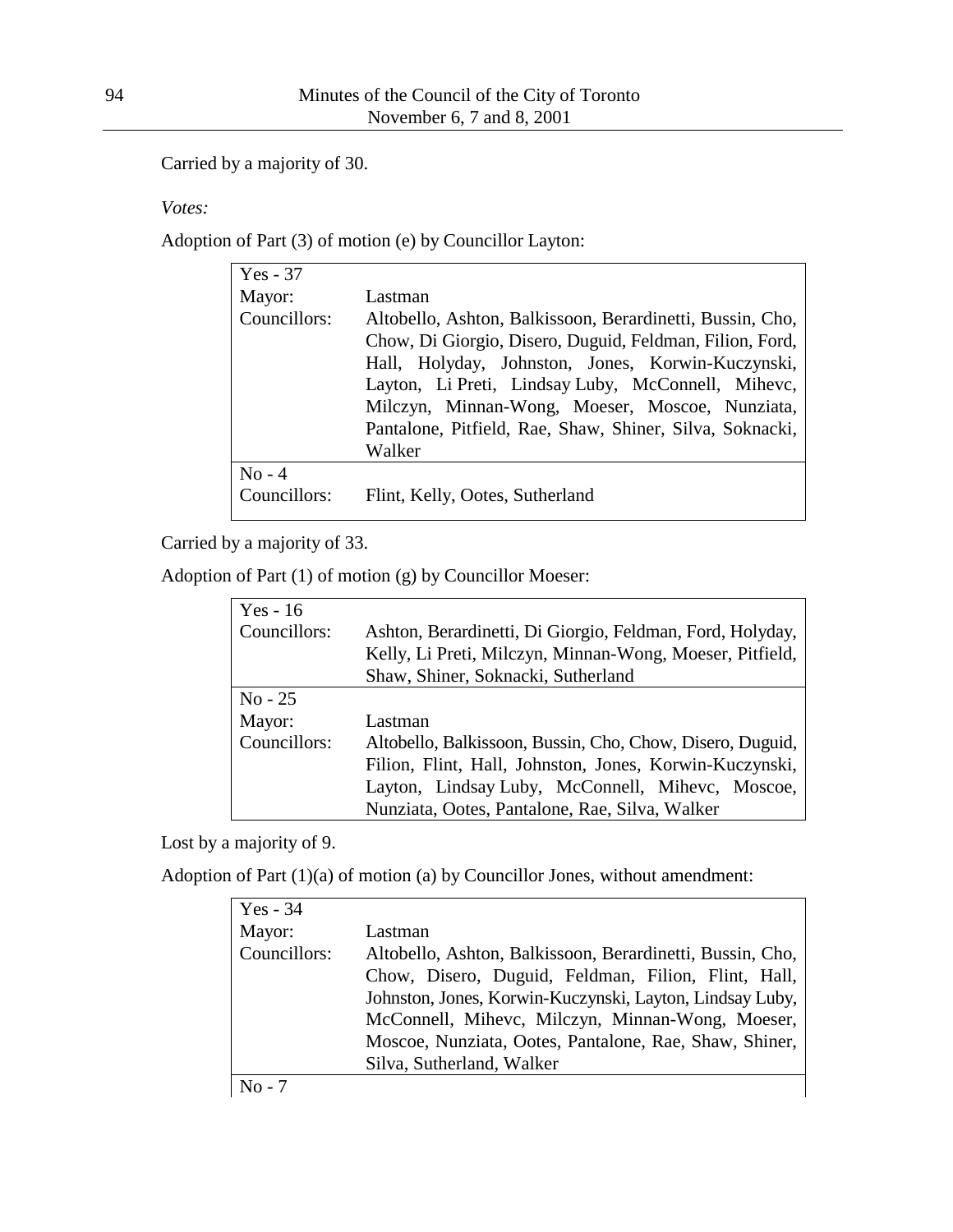Carried by a majority of 30.

*Votes:*

Adoption of Part (3) of motion (e) by Councillor Layton:

| $Yes - 37$   |                                                                                                                                                                                                                                                                                                                                                           |
|--------------|-----------------------------------------------------------------------------------------------------------------------------------------------------------------------------------------------------------------------------------------------------------------------------------------------------------------------------------------------------------|
| Mayor:       | Lastman                                                                                                                                                                                                                                                                                                                                                   |
| Councillors: | Altobello, Ashton, Balkissoon, Berardinetti, Bussin, Cho,<br>Chow, Di Giorgio, Disero, Duguid, Feldman, Filion, Ford,<br>Hall, Holyday, Johnston, Jones, Korwin-Kuczynski,<br>Layton, Li Preti, Lindsay Luby, McConnell, Mihevc,<br>Milczyn, Minnan-Wong, Moeser, Moscoe, Nunziata,<br>Pantalone, Pitfield, Rae, Shaw, Shiner, Silva, Soknacki,<br>Walker |
| $No - 4$     |                                                                                                                                                                                                                                                                                                                                                           |
| Councillors: | Flint, Kelly, Ootes, Sutherland                                                                                                                                                                                                                                                                                                                           |

Carried by a majority of 33.

Adoption of Part (1) of motion (g) by Councillor Moeser:

| Yes - $16$   |                                                           |  |  |
|--------------|-----------------------------------------------------------|--|--|
| Councillors: | Ashton, Berardinetti, Di Giorgio, Feldman, Ford, Holyday, |  |  |
|              | Kelly, Li Preti, Milczyn, Minnan-Wong, Moeser, Pitfield,  |  |  |
|              | Shaw, Shiner, Soknacki, Sutherland                        |  |  |
| $No - 25$    |                                                           |  |  |
| Mayor:       | Lastman                                                   |  |  |
| Councillors: | Altobello, Balkissoon, Bussin, Cho, Chow, Disero, Duguid, |  |  |
|              | Filion, Flint, Hall, Johnston, Jones, Korwin-Kuczynski,   |  |  |
|              | Layton, Lindsay Luby, McConnell, Mihevc, Moscoe,          |  |  |
|              | Nunziata, Ootes, Pantalone, Rae, Silva, Walker            |  |  |

Lost by a majority of 9.

Adoption of Part (1)(a) of motion (a) by Councillor Jones, without amendment:

| $Yes - 34$   |                                                           |
|--------------|-----------------------------------------------------------|
| Mayor:       | Lastman                                                   |
| Councillors: | Altobello, Ashton, Balkissoon, Berardinetti, Bussin, Cho, |
|              | Chow, Disero, Duguid, Feldman, Filion, Flint, Hall,       |
|              | Johnston, Jones, Korwin-Kuczynski, Layton, Lindsay Luby,  |
|              | McConnell, Mihevc, Milczyn, Minnan-Wong, Moeser,          |
|              | Moscoe, Nunziata, Ootes, Pantalone, Rae, Shaw, Shiner,    |
|              | Silva, Sutherland, Walker                                 |
| $No - 7$     |                                                           |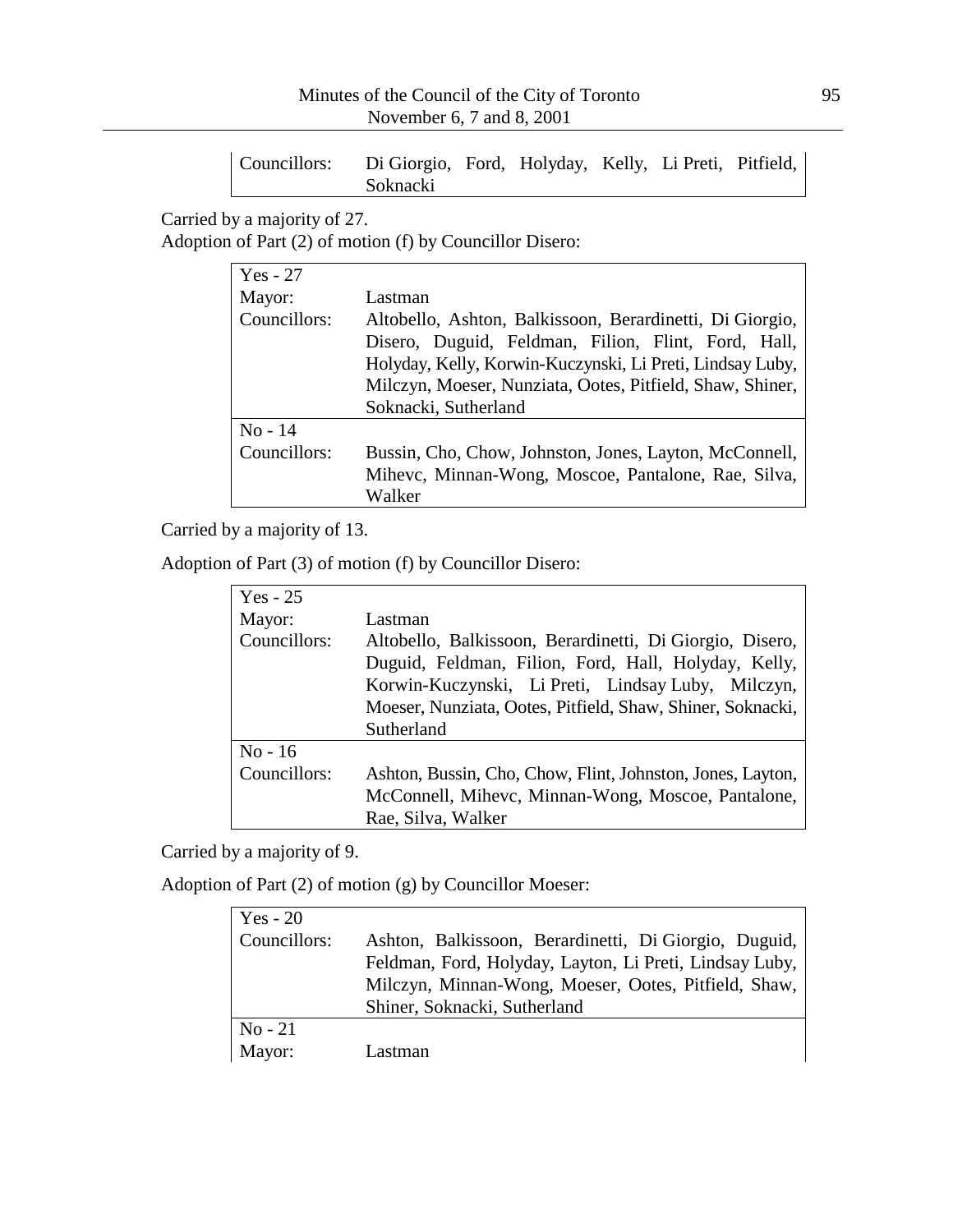| Councillors: Di Giorgio, Ford, Holyday, Kelly, Li Preti, Pitfield, |                 |  |  |  |
|--------------------------------------------------------------------|-----------------|--|--|--|
|                                                                    | <b>Soknacki</b> |  |  |  |

Carried by a majority of 27.

Adoption of Part (2) of motion (f) by Councillor Disero:

| $Yes - 27$   |                                                           |
|--------------|-----------------------------------------------------------|
| Mayor:       | Lastman                                                   |
| Councillors: | Altobello, Ashton, Balkissoon, Berardinetti, Di Giorgio,  |
|              | Disero, Duguid, Feldman, Filion, Flint, Ford, Hall,       |
|              | Holyday, Kelly, Korwin-Kuczynski, Li Preti, Lindsay Luby, |
|              | Milczyn, Moeser, Nunziata, Ootes, Pitfield, Shaw, Shiner, |
|              | Soknacki, Sutherland                                      |
| $No - 14$    |                                                           |
| Councillors: | Bussin, Cho, Chow, Johnston, Jones, Layton, McConnell,    |
|              | Mihevc, Minnan-Wong, Moscoe, Pantalone, Rae, Silva,       |
|              | Walker                                                    |

Carried by a majority of 13.

Adoption of Part (3) of motion (f) by Councillor Disero:

| Yes - $25$   |                                                            |
|--------------|------------------------------------------------------------|
| Mayor:       | Lastman                                                    |
| Councillors: | Altobello, Balkissoon, Berardinetti, Di Giorgio, Disero,   |
|              | Duguid, Feldman, Filion, Ford, Hall, Holyday, Kelly,       |
|              | Korwin-Kuczynski, Li Preti, Lindsay Luby, Milczyn,         |
|              | Moeser, Nunziata, Ootes, Pitfield, Shaw, Shiner, Soknacki, |
|              | Sutherland                                                 |
| $No-16$      |                                                            |
| Councillors: | Ashton, Bussin, Cho, Chow, Flint, Johnston, Jones, Layton, |
|              | McConnell, Mihevc, Minnan-Wong, Moscoe, Pantalone,         |
|              | Rae, Silva, Walker                                         |

Carried by a majority of 9.

Adoption of Part (2) of motion (g) by Councillor Moeser:

| Yes - $20$   |                                                         |
|--------------|---------------------------------------------------------|
| Councillors: | Ashton, Balkissoon, Berardinetti, Di Giorgio, Duguid,   |
|              | Feldman, Ford, Holyday, Layton, Li Preti, Lindsay Luby, |
|              | Milczyn, Minnan-Wong, Moeser, Ootes, Pitfield, Shaw,    |
|              | Shiner, Soknacki, Sutherland                            |
| $No-21$      |                                                         |
| Mayor:       | Lastman                                                 |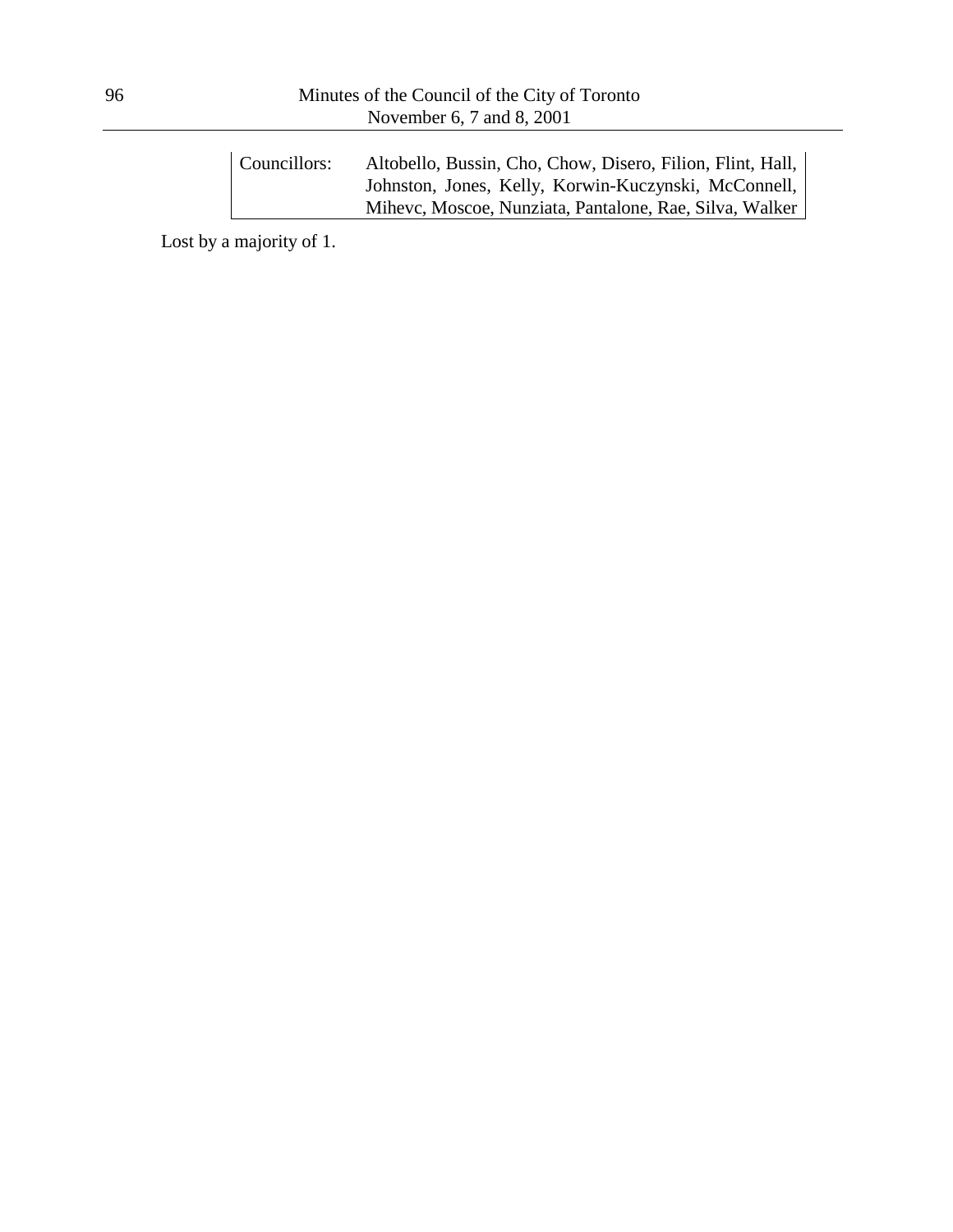| Councillors: | Altobello, Bussin, Cho, Chow, Disero, Filion, Flint, Hall, |
|--------------|------------------------------------------------------------|
|              | Johnston, Jones, Kelly, Korwin-Kuczynski, McConnell,       |
|              | Mihevc, Moscoe, Nunziata, Pantalone, Rae, Silva, Walker    |

Lost by a majority of 1.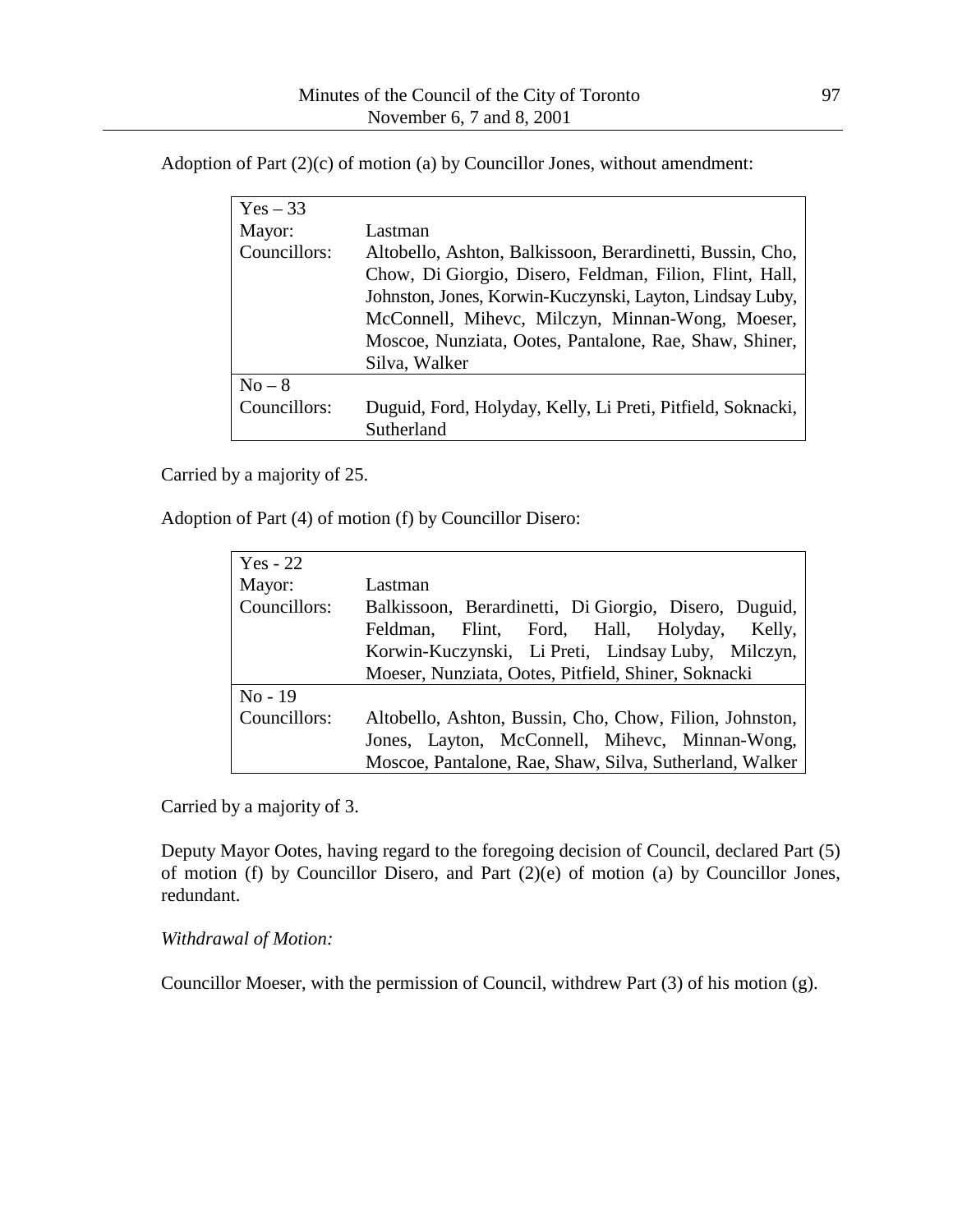Adoption of Part (2)(c) of motion (a) by Councillor Jones, without amendment:

| $Yes - 33$   |                                                                                                                                                                                                                                                                                                                 |
|--------------|-----------------------------------------------------------------------------------------------------------------------------------------------------------------------------------------------------------------------------------------------------------------------------------------------------------------|
| Mayor:       | Lastman                                                                                                                                                                                                                                                                                                         |
| Councillors: | Altobello, Ashton, Balkissoon, Berardinetti, Bussin, Cho,<br>Chow, Di Giorgio, Disero, Feldman, Filion, Flint, Hall,<br>Johnston, Jones, Korwin-Kuczynski, Layton, Lindsay Luby,<br>McConnell, Mihevc, Milczyn, Minnan-Wong, Moeser,<br>Moscoe, Nunziata, Ootes, Pantalone, Rae, Shaw, Shiner,<br>Silva, Walker |
| $No-8$       |                                                                                                                                                                                                                                                                                                                 |
| Councillors: | Duguid, Ford, Holyday, Kelly, Li Preti, Pitfield, Soknacki,<br>Sutherland                                                                                                                                                                                                                                       |

Carried by a majority of 25.

Adoption of Part (4) of motion (f) by Councillor Disero:

| $Yes - 22$   |                                                                                                      |
|--------------|------------------------------------------------------------------------------------------------------|
| Mayor:       | Lastman                                                                                              |
| Councillors: | Balkissoon, Berardinetti, Di Giorgio, Disero, Duguid,<br>Feldman, Flint, Ford, Hall, Holyday, Kelly, |
|              | Korwin-Kuczynski, Li Preti, Lindsay Luby, Milczyn,                                                   |
|              | Moeser, Nunziata, Ootes, Pitfield, Shiner, Soknacki                                                  |
| $No - 19$    |                                                                                                      |
| Councillors: | Altobello, Ashton, Bussin, Cho, Chow, Filion, Johnston,                                              |
|              | Jones, Layton, McConnell, Mihevc, Minnan-Wong,                                                       |
|              | Moscoe, Pantalone, Rae, Shaw, Silva, Sutherland, Walker                                              |

Carried by a majority of 3.

Deputy Mayor Ootes, having regard to the foregoing decision of Council, declared Part (5) of motion (f) by Councillor Disero, and Part (2)(e) of motion (a) by Councillor Jones, redundant.

### *Withdrawal of Motion:*

Councillor Moeser, with the permission of Council, withdrew Part (3) of his motion (g).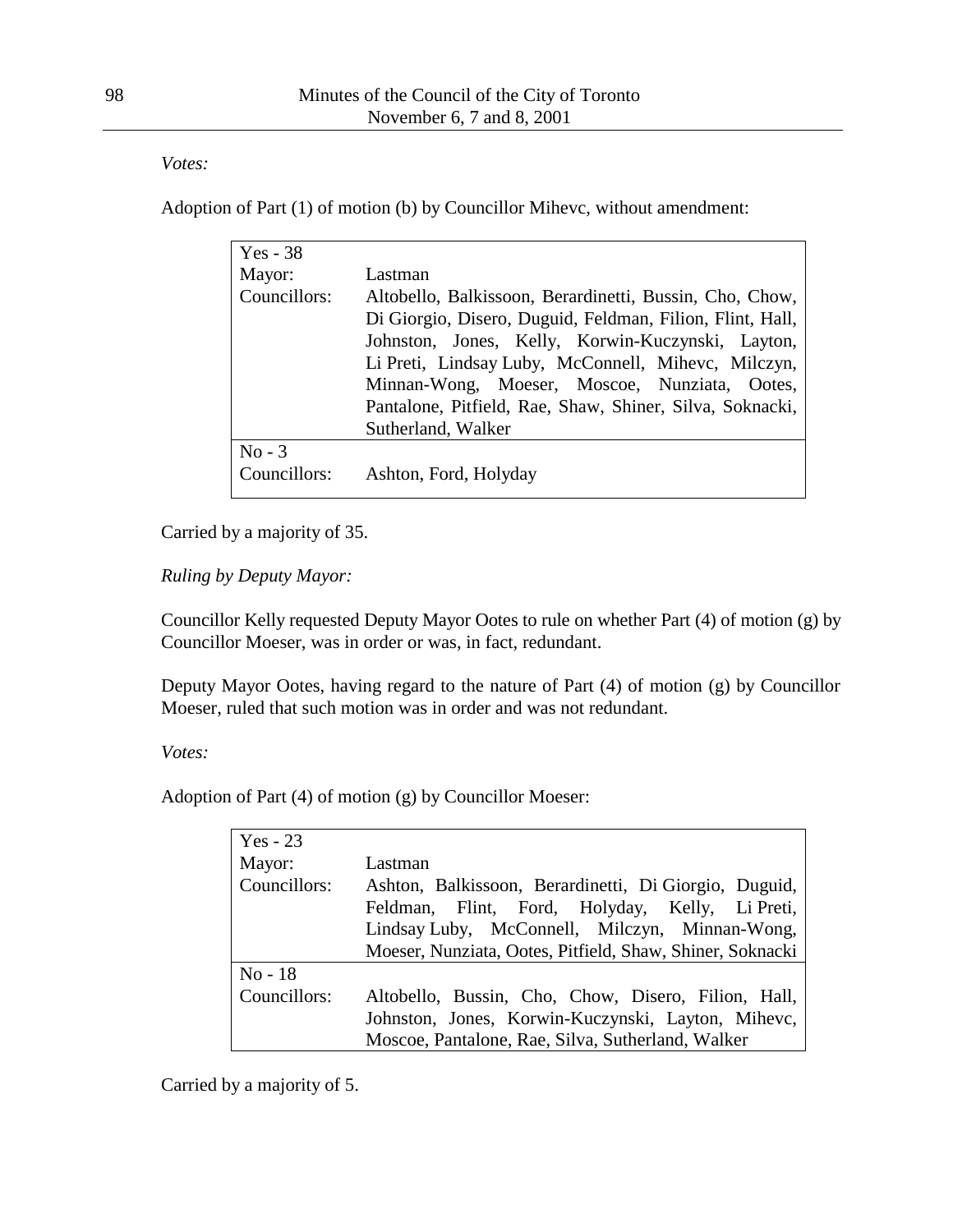*Votes:*

Adoption of Part (1) of motion (b) by Councillor Mihevc, without amendment:

| $Yes - 38$               |                                                                                                                                                                                                                                                                                                                                                                     |
|--------------------------|---------------------------------------------------------------------------------------------------------------------------------------------------------------------------------------------------------------------------------------------------------------------------------------------------------------------------------------------------------------------|
| Mayor:                   | Lastman                                                                                                                                                                                                                                                                                                                                                             |
| Councillors:             | Altobello, Balkissoon, Berardinetti, Bussin, Cho, Chow,<br>Di Giorgio, Disero, Duguid, Feldman, Filion, Flint, Hall,<br>Johnston, Jones, Kelly, Korwin-Kuczynski, Layton,<br>Li Preti, Lindsay Luby, McConnell, Mihevc, Milczyn,<br>Minnan-Wong, Moeser, Moscoe, Nunziata, Ootes,<br>Pantalone, Pitfield, Rae, Shaw, Shiner, Silva, Soknacki,<br>Sutherland, Walker |
|                          |                                                                                                                                                                                                                                                                                                                                                                     |
| $No - 3$<br>Councillors: |                                                                                                                                                                                                                                                                                                                                                                     |
|                          | Ashton, Ford, Holyday                                                                                                                                                                                                                                                                                                                                               |

Carried by a majority of 35.

*Ruling by Deputy Mayor:*

Councillor Kelly requested Deputy Mayor Ootes to rule on whether Part (4) of motion (g) by Councillor Moeser, was in order or was, in fact, redundant.

Deputy Mayor Ootes, having regard to the nature of Part (4) of motion (g) by Councillor Moeser, ruled that such motion was in order and was not redundant.

*Votes:*

Adoption of Part (4) of motion (g) by Councillor Moeser:

| $Yes - 23$   |                                                           |
|--------------|-----------------------------------------------------------|
| Mayor:       | Lastman                                                   |
| Councillors: | Ashton, Balkissoon, Berardinetti, Di Giorgio, Duguid,     |
|              | Feldman, Flint, Ford, Holyday, Kelly, Li Preti,           |
|              | Lindsay Luby, McConnell, Milczyn, Minnan-Wong,            |
|              | Moeser, Nunziata, Ootes, Pitfield, Shaw, Shiner, Soknacki |
| $No-18$      |                                                           |
| Councillors: | Altobello, Bussin, Cho, Chow, Disero, Filion, Hall,       |
|              | Johnston, Jones, Korwin-Kuczynski, Layton, Mihevc,        |
|              | Moscoe, Pantalone, Rae, Silva, Sutherland, Walker         |

Carried by a majority of 5.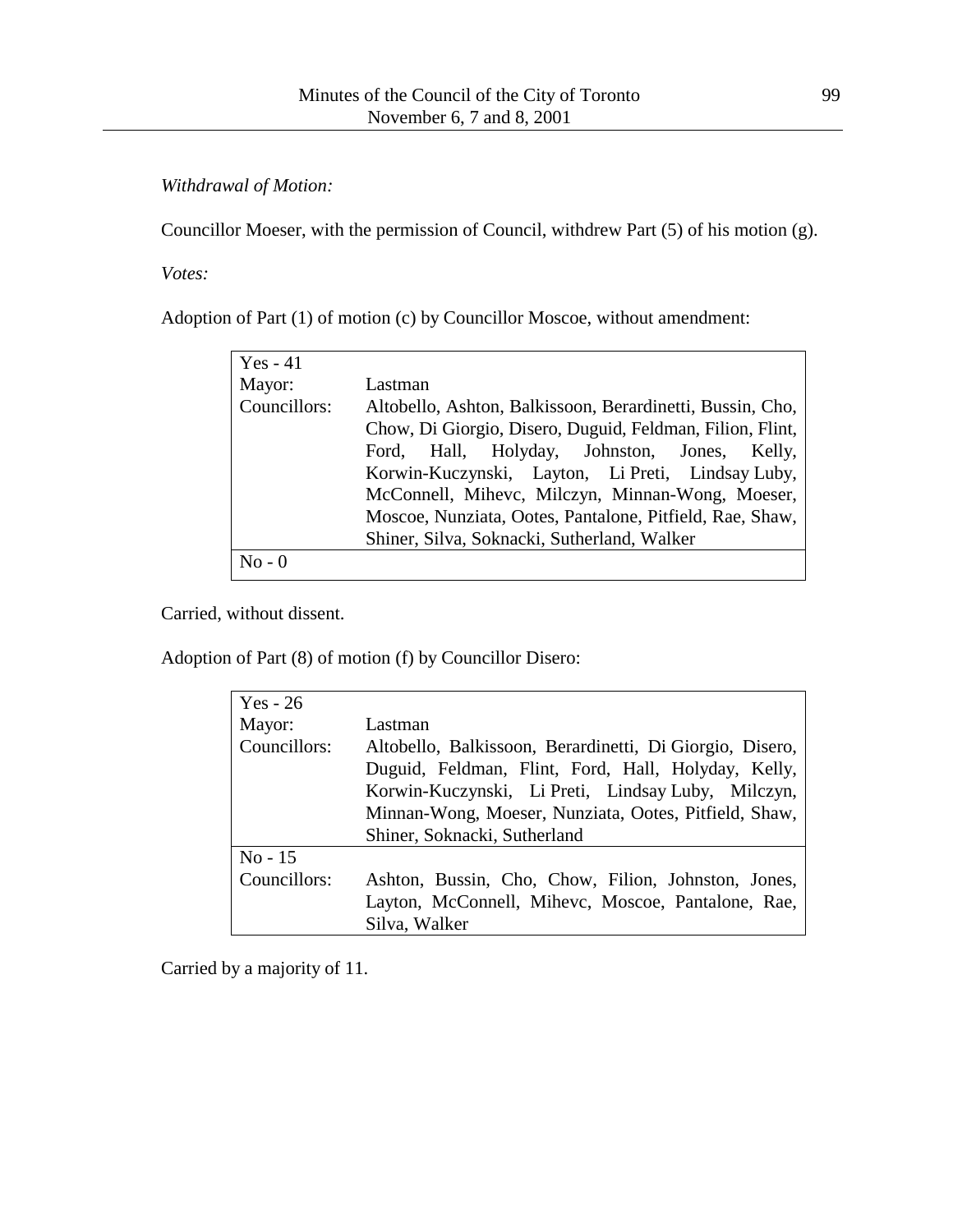*Withdrawal of Motion:*

Councillor Moeser, with the permission of Council, withdrew Part (5) of his motion (g).

*Votes:*

Adoption of Part (1) of motion (c) by Councillor Moscoe, without amendment:

| $Yes - 41$   |                                                           |
|--------------|-----------------------------------------------------------|
| Mayor:       | Lastman                                                   |
| Councillors: | Altobello, Ashton, Balkissoon, Berardinetti, Bussin, Cho, |
|              | Chow, Di Giorgio, Disero, Duguid, Feldman, Filion, Flint, |
|              | Ford, Hall, Holyday, Johnston, Jones, Kelly,              |
|              | Korwin-Kuczynski, Layton, Li Preti, Lindsay Luby,         |
|              | McConnell, Mihevc, Milczyn, Minnan-Wong, Moeser,          |
|              | Moscoe, Nunziata, Ootes, Pantalone, Pitfield, Rae, Shaw,  |
|              | Shiner, Silva, Soknacki, Sutherland, Walker               |
| $No - 0$     |                                                           |

Carried, without dissent.

Adoption of Part (8) of motion (f) by Councillor Disero:

| $Yes - 26$   |                                                                                                                                                                                                                                                                |
|--------------|----------------------------------------------------------------------------------------------------------------------------------------------------------------------------------------------------------------------------------------------------------------|
| Mayor:       | Lastman                                                                                                                                                                                                                                                        |
| Councillors: | Altobello, Balkissoon, Berardinetti, Di Giorgio, Disero,<br>Duguid, Feldman, Flint, Ford, Hall, Holyday, Kelly,<br>Korwin-Kuczynski, Li Preti, Lindsay Luby, Milczyn,<br>Minnan-Wong, Moeser, Nunziata, Ootes, Pitfield, Shaw,<br>Shiner, Soknacki, Sutherland |
| $No - 15$    |                                                                                                                                                                                                                                                                |
| Councillors: | Ashton, Bussin, Cho, Chow, Filion, Johnston, Jones,                                                                                                                                                                                                            |
|              | Layton, McConnell, Mihevc, Moscoe, Pantalone, Rae,                                                                                                                                                                                                             |
|              | Silva, Walker                                                                                                                                                                                                                                                  |

Carried by a majority of 11.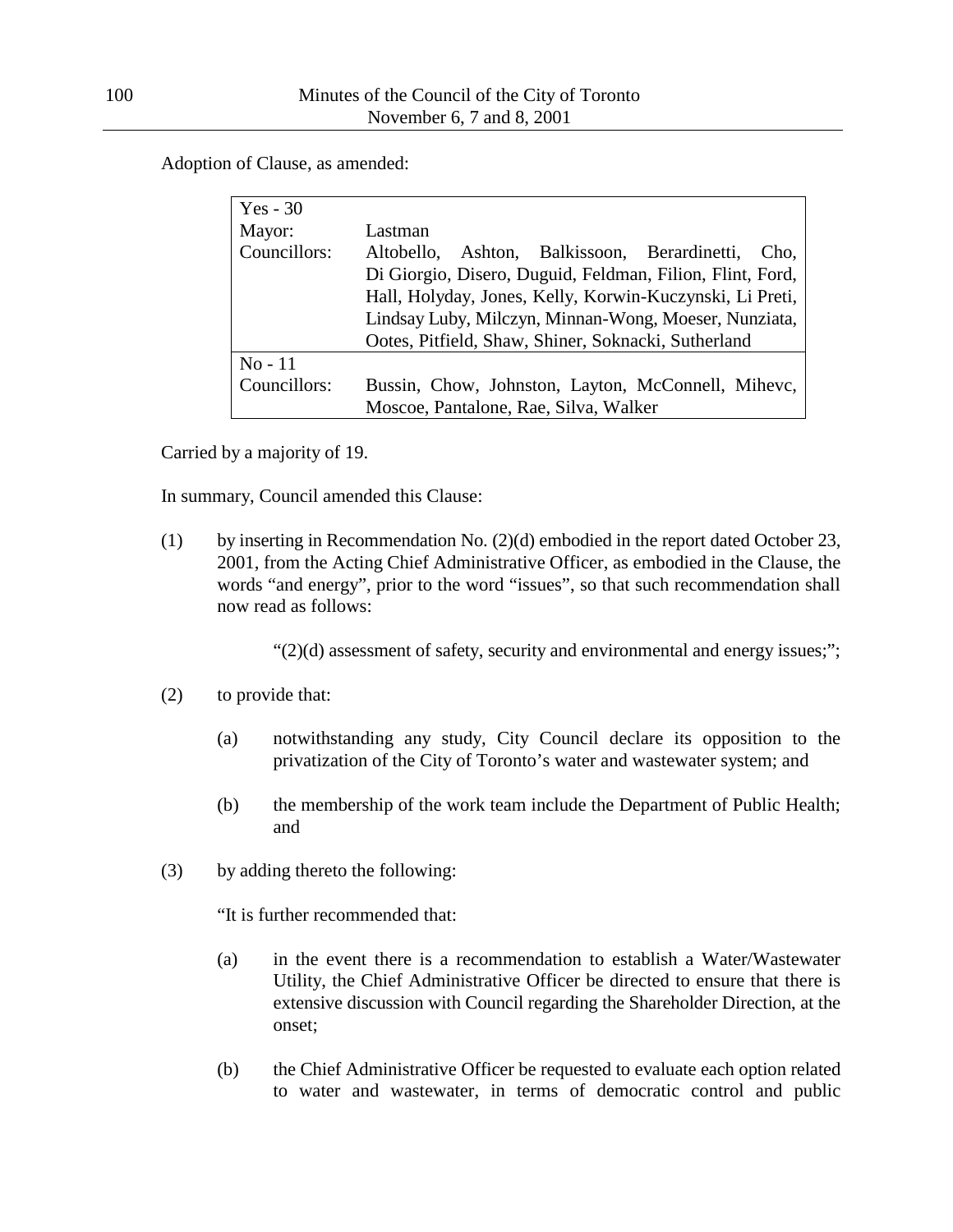Adoption of Clause, as amended:

| $Yes - 30$   |                                                           |  |  |  |  |  |
|--------------|-----------------------------------------------------------|--|--|--|--|--|
| Mayor:       | Lastman                                                   |  |  |  |  |  |
| Councillors: | Altobello, Ashton, Balkissoon, Berardinetti,<br>Cho,      |  |  |  |  |  |
|              | Di Giorgio, Disero, Duguid, Feldman, Filion, Flint, Ford, |  |  |  |  |  |
|              | Hall, Holyday, Jones, Kelly, Korwin-Kuczynski, Li Preti,  |  |  |  |  |  |
|              | Lindsay Luby, Milczyn, Minnan-Wong, Moeser, Nunziata,     |  |  |  |  |  |
|              | Ootes, Pitfield, Shaw, Shiner, Soknacki, Sutherland       |  |  |  |  |  |
| $No-11$      |                                                           |  |  |  |  |  |
| Councillors: | Bussin, Chow, Johnston, Layton, McConnell, Mihevc,        |  |  |  |  |  |
|              | Moscoe, Pantalone, Rae, Silva, Walker                     |  |  |  |  |  |

Carried by a majority of 19.

In summary, Council amended this Clause:

(1) by inserting in Recommendation No. (2)(d) embodied in the report dated October 23, 2001, from the Acting Chief Administrative Officer, as embodied in the Clause, the words "and energy", prior to the word "issues", so that such recommendation shall now read as follows:

 $"(2)(d)$  assessment of safety, security and environmental and energy issues;";

- (2) to provide that:
	- (a) notwithstanding any study, City Council declare its opposition to the privatization of the City of Toronto's water and wastewater system; and
	- (b) the membership of the work team include the Department of Public Health; and
- (3) by adding thereto the following:

"It is further recommended that:

- (a) in the event there is a recommendation to establish a Water/Wastewater Utility, the Chief Administrative Officer be directed to ensure that there is extensive discussion with Council regarding the Shareholder Direction, at the onset;
- (b) the Chief Administrative Officer be requested to evaluate each option related to water and wastewater, in terms of democratic control and public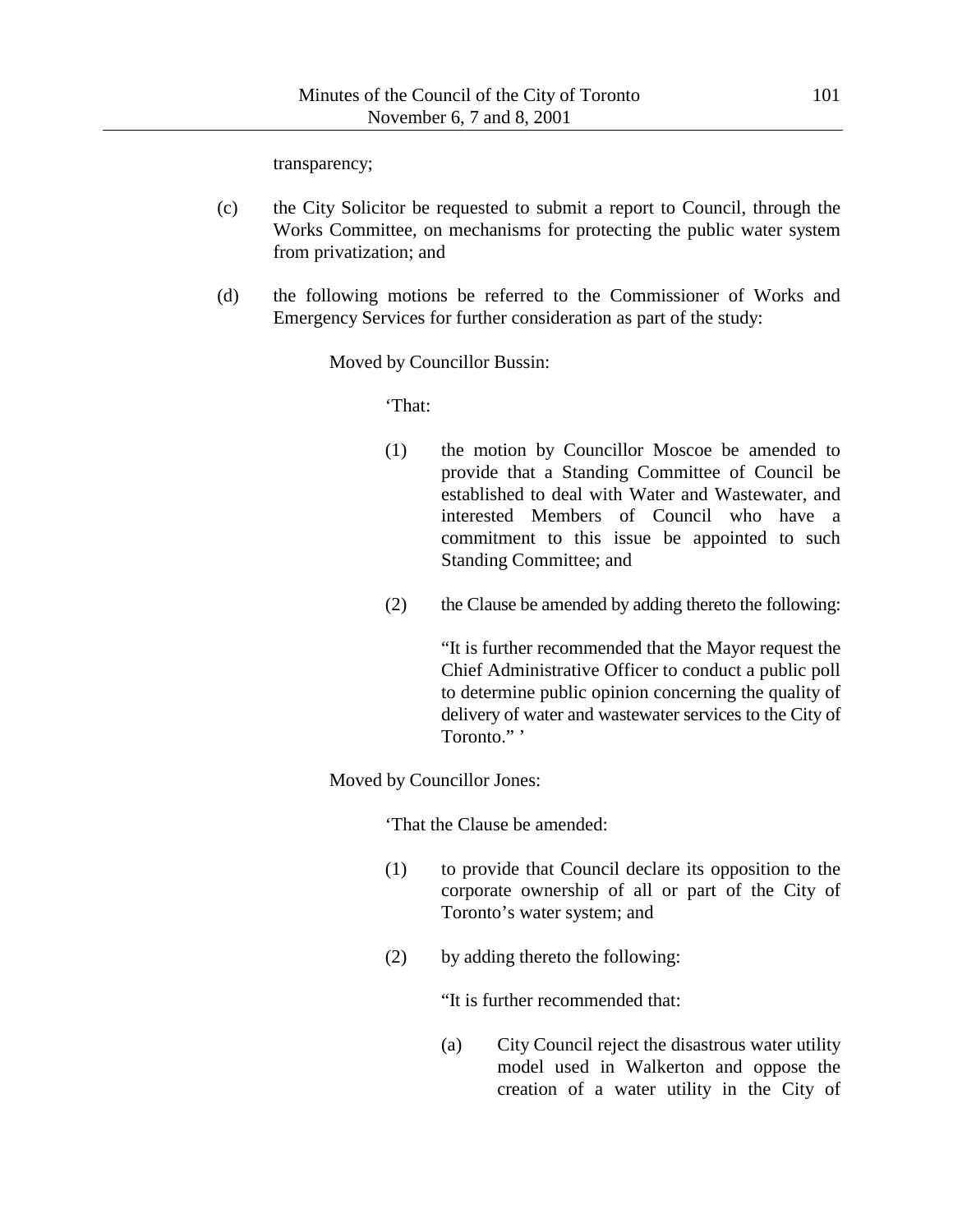transparency;

- (c) the City Solicitor be requested to submit a report to Council, through the Works Committee, on mechanisms for protecting the public water system from privatization; and
- (d) the following motions be referred to the Commissioner of Works and Emergency Services for further consideration as part of the study:

Moved by Councillor Bussin:

'That:

- (1) the motion by Councillor Moscoe be amended to provide that a Standing Committee of Council be established to deal with Water and Wastewater, and interested Members of Council who have a commitment to this issue be appointed to such Standing Committee; and
- (2) the Clause be amended by adding thereto the following:

"It is further recommended that the Mayor request the Chief Administrative Officer to conduct a public poll to determine public opinion concerning the quality of delivery of water and wastewater services to the City of Toronto." '

Moved by Councillor Jones:

'That the Clause be amended:

- (1) to provide that Council declare its opposition to the corporate ownership of all or part of the City of Toronto's water system; and
- (2) by adding thereto the following:

"It is further recommended that:

(a) City Council reject the disastrous water utility model used in Walkerton and oppose the creation of a water utility in the City of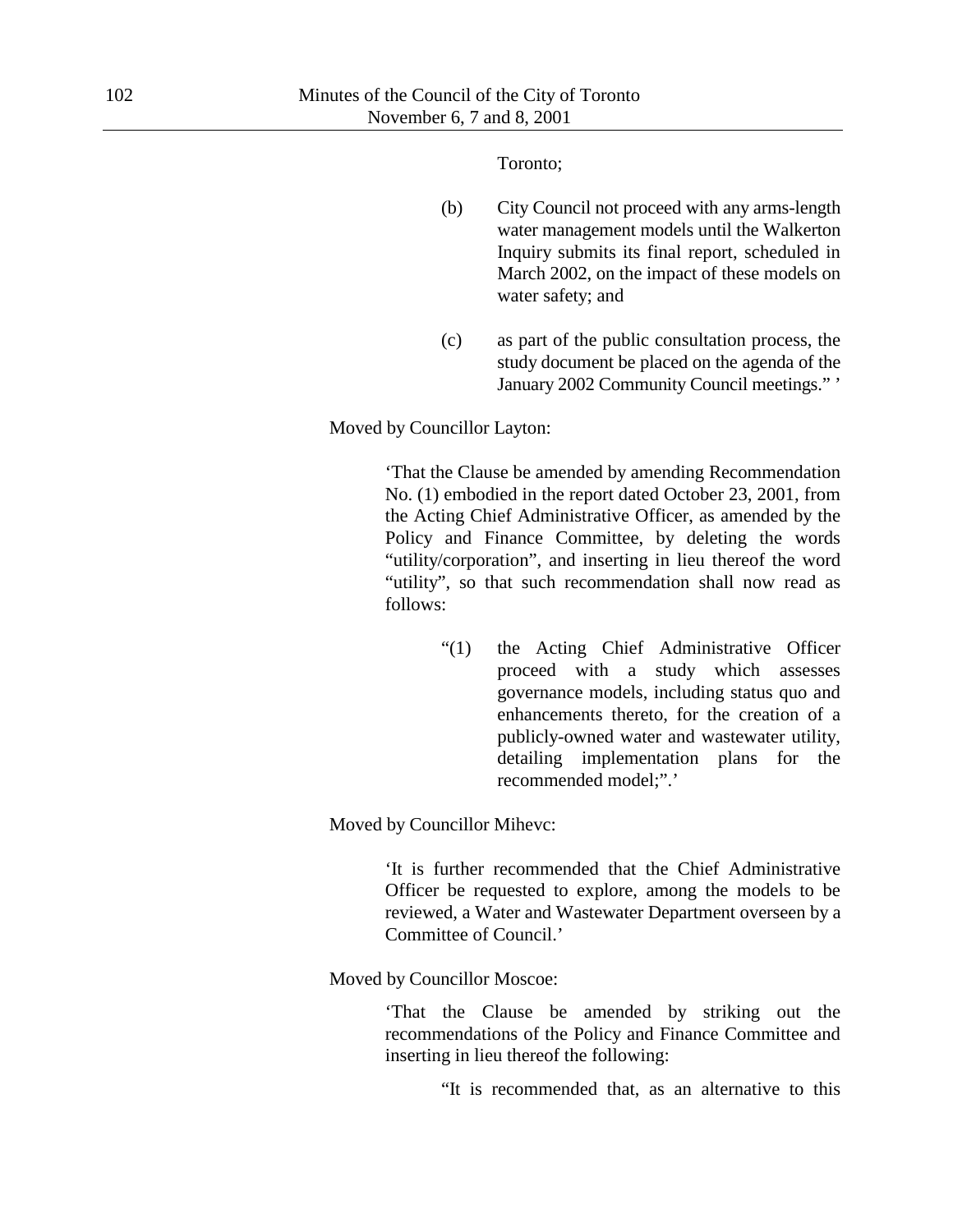Toronto;

- (b) City Council not proceed with any arms-length water management models until the Walkerton Inquiry submits its final report, scheduled in March 2002, on the impact of these models on water safety; and
- (c) as part of the public consultation process, the study document be placed on the agenda of the January 2002 Community Council meetings." '

Moved by Councillor Layton:

'That the Clause be amended by amending Recommendation No. (1) embodied in the report dated October 23, 2001, from the Acting Chief Administrative Officer, as amended by the Policy and Finance Committee, by deleting the words "utility/corporation", and inserting in lieu thereof the word "utility", so that such recommendation shall now read as follows:

> "(1) the Acting Chief Administrative Officer proceed with a study which assesses governance models, including status quo and enhancements thereto, for the creation of a publicly-owned water and wastewater utility, detailing implementation plans for the recommended model;".'

Moved by Councillor Mihevc:

'It is further recommended that the Chief Administrative Officer be requested to explore, among the models to be reviewed, a Water and Wastewater Department overseen by a Committee of Council.'

Moved by Councillor Moscoe:

'That the Clause be amended by striking out the recommendations of the Policy and Finance Committee and inserting in lieu thereof the following:

"It is recommended that, as an alternative to this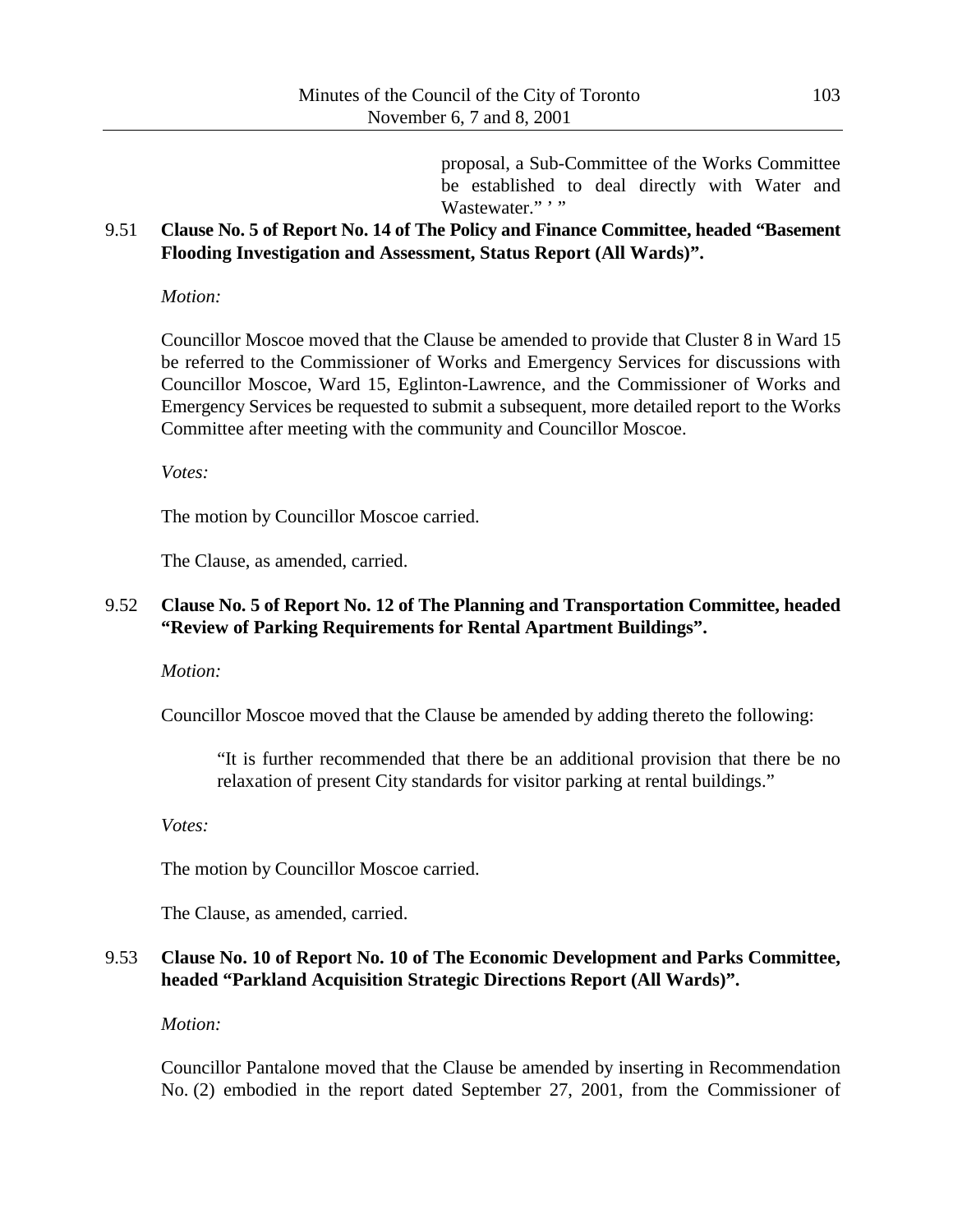proposal, a Sub-Committee of the Works Committee be established to deal directly with Water and Wastewater.""

### 9.51 **Clause No. 5 of Report No. 14 of The Policy and Finance Committee, headed "Basement Flooding Investigation and Assessment, Status Report (All Wards)".**

*Motion:*

Councillor Moscoe moved that the Clause be amended to provide that Cluster 8 in Ward 15 be referred to the Commissioner of Works and Emergency Services for discussions with Councillor Moscoe, Ward 15, Eglinton-Lawrence, and the Commissioner of Works and Emergency Services be requested to submit a subsequent, more detailed report to the Works Committee after meeting with the community and Councillor Moscoe.

*Votes:*

The motion by Councillor Moscoe carried.

The Clause, as amended, carried.

### 9.52 **Clause No. 5 of Report No. 12 of The Planning and Transportation Committee, headed "Review of Parking Requirements for Rental Apartment Buildings".**

*Motion:*

Councillor Moscoe moved that the Clause be amended by adding thereto the following:

"It is further recommended that there be an additional provision that there be no relaxation of present City standards for visitor parking at rental buildings."

*Votes:*

The motion by Councillor Moscoe carried.

The Clause, as amended, carried.

## 9.53 **Clause No. 10 of Report No. 10 of The Economic Development and Parks Committee, headed "Parkland Acquisition Strategic Directions Report (All Wards)".**

*Motion:*

Councillor Pantalone moved that the Clause be amended by inserting in Recommendation No. (2) embodied in the report dated September 27, 2001, from the Commissioner of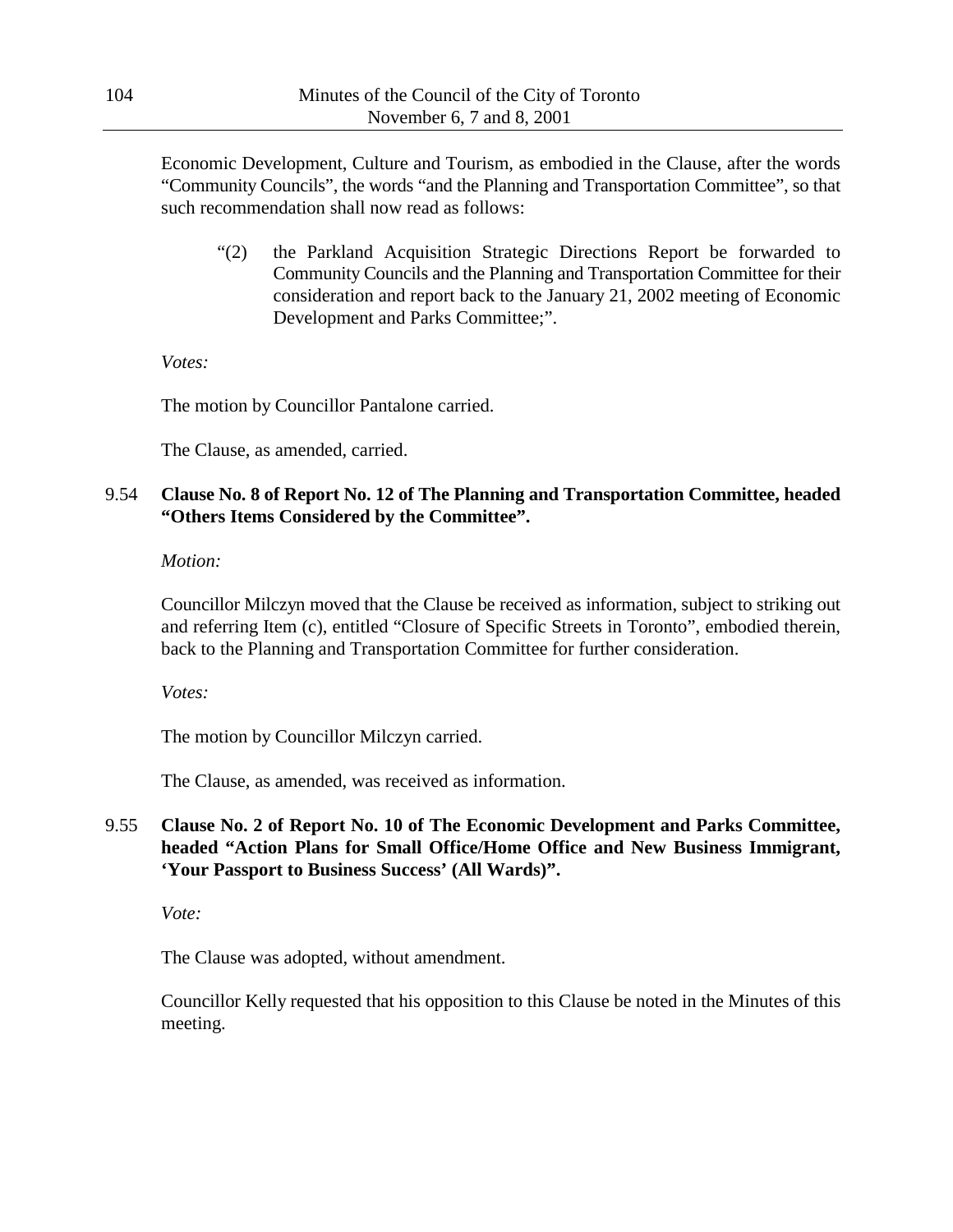Economic Development, Culture and Tourism, as embodied in the Clause, after the words "Community Councils", the words "and the Planning and Transportation Committee", so that such recommendation shall now read as follows:

"(2) the Parkland Acquisition Strategic Directions Report be forwarded to Community Councils and the Planning and Transportation Committee for their consideration and report back to the January 21, 2002 meeting of Economic Development and Parks Committee;".

*Votes:*

The motion by Councillor Pantalone carried.

The Clause, as amended, carried.

### 9.54 **Clause No. 8 of Report No. 12 of The Planning and Transportation Committee, headed "Others Items Considered by the Committee".**

*Motion:*

Councillor Milczyn moved that the Clause be received as information, subject to striking out and referring Item (c), entitled "Closure of Specific Streets in Toronto", embodied therein, back to the Planning and Transportation Committee for further consideration.

*Votes:*

The motion by Councillor Milczyn carried.

The Clause, as amended, was received as information.

## 9.55 **Clause No. 2 of Report No. 10 of The Economic Development and Parks Committee, headed "Action Plans for Small Office/Home Office and New Business Immigrant, 'Your Passport to Business Success' (All Wards)".**

*Vote:*

The Clause was adopted, without amendment.

Councillor Kelly requested that his opposition to this Clause be noted in the Minutes of this meeting.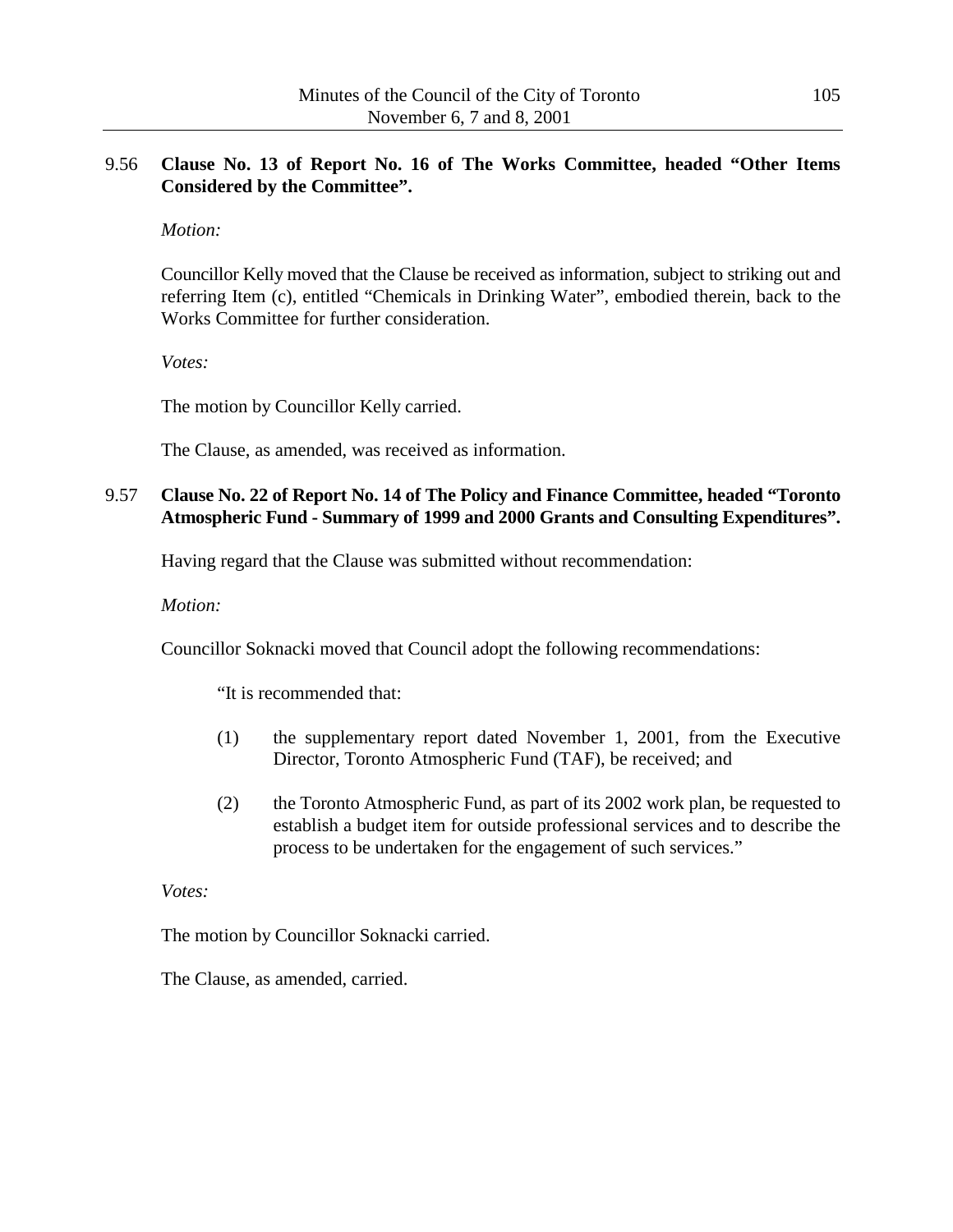### 9.56 **Clause No. 13 of Report No. 16 of The Works Committee, headed "Other Items Considered by the Committee".**

### *Motion:*

Councillor Kelly moved that the Clause be received as information, subject to striking out and referring Item (c), entitled "Chemicals in Drinking Water", embodied therein, back to the Works Committee for further consideration.

*Votes:*

The motion by Councillor Kelly carried.

The Clause, as amended, was received as information.

# 9.57 **Clause No. 22 of Report No. 14 of The Policy and Finance Committee, headed "Toronto Atmospheric Fund - Summary of 1999 and 2000 Grants and Consulting Expenditures".**

Having regard that the Clause was submitted without recommendation:

*Motion:*

Councillor Soknacki moved that Council adopt the following recommendations:

"It is recommended that:

- (1) the supplementary report dated November 1, 2001, from the Executive Director, Toronto Atmospheric Fund (TAF), be received; and
- (2) the Toronto Atmospheric Fund, as part of its 2002 work plan, be requested to establish a budget item for outside professional services and to describe the process to be undertaken for the engagement of such services."

*Votes:*

The motion by Councillor Soknacki carried.

The Clause, as amended, carried.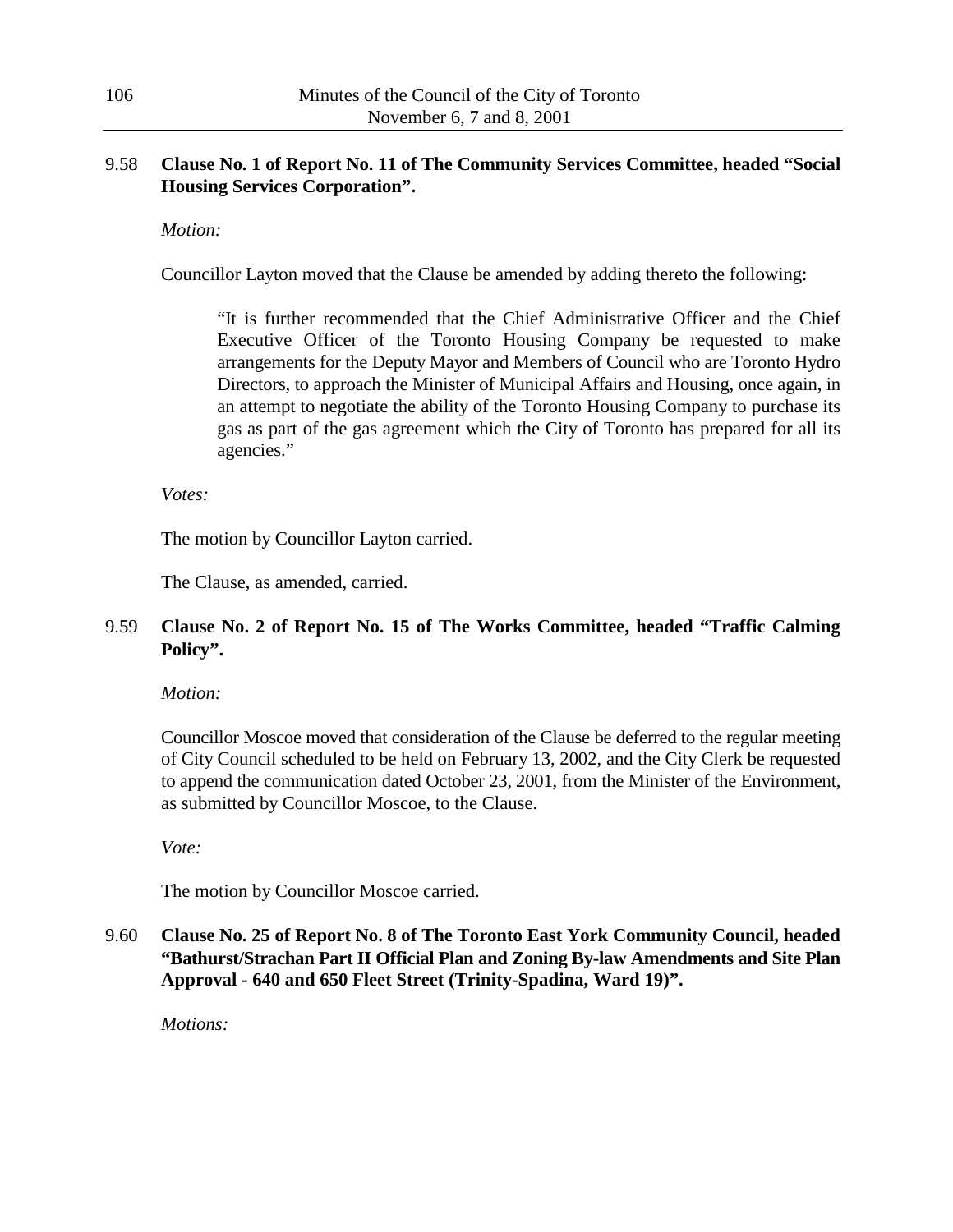### 9.58 **Clause No. 1 of Report No. 11 of The Community Services Committee, headed "Social Housing Services Corporation".**

### *Motion:*

Councillor Layton moved that the Clause be amended by adding thereto the following:

"It is further recommended that the Chief Administrative Officer and the Chief Executive Officer of the Toronto Housing Company be requested to make arrangements for the Deputy Mayor and Members of Council who are Toronto Hydro Directors, to approach the Minister of Municipal Affairs and Housing, once again, in an attempt to negotiate the ability of the Toronto Housing Company to purchase its gas as part of the gas agreement which the City of Toronto has prepared for all its agencies."

*Votes:*

The motion by Councillor Layton carried.

The Clause, as amended, carried.

### 9.59 **Clause No. 2 of Report No. 15 of The Works Committee, headed "Traffic Calming Policy".**

*Motion:*

Councillor Moscoe moved that consideration of the Clause be deferred to the regular meeting of City Council scheduled to be held on February 13, 2002, and the City Clerk be requested to append the communication dated October 23, 2001, from the Minister of the Environment, as submitted by Councillor Moscoe, to the Clause.

*Vote:*

The motion by Councillor Moscoe carried.

9.60 **Clause No. 25 of Report No. 8 of The Toronto East York Community Council, headed "Bathurst/Strachan Part II Official Plan and Zoning By-law Amendments and Site Plan Approval - 640 and 650 Fleet Street (Trinity-Spadina, Ward 19)".**

*Motions:*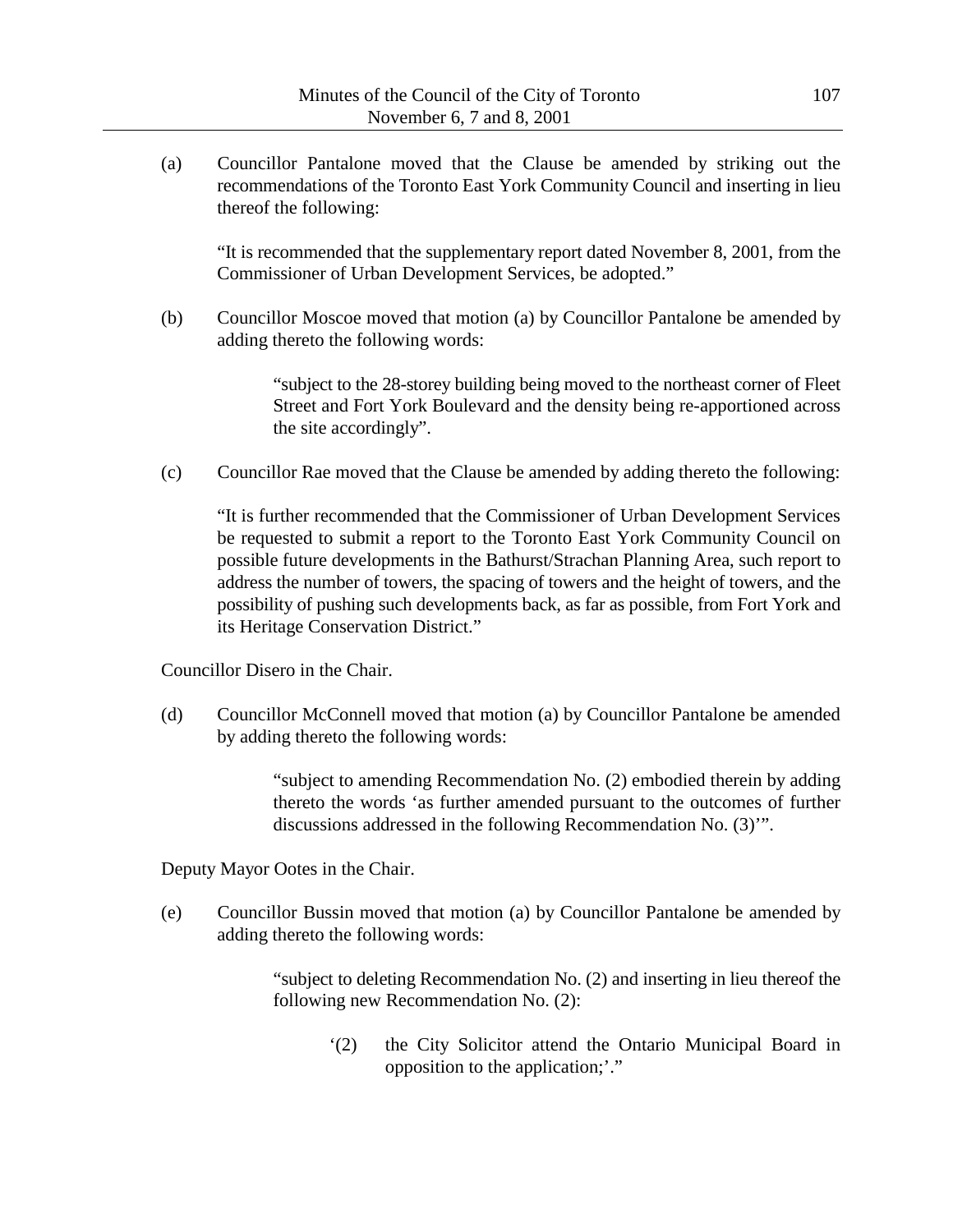(a) Councillor Pantalone moved that the Clause be amended by striking out the recommendations of the Toronto East York Community Council and inserting in lieu thereof the following:

"It is recommended that the supplementary report dated November 8, 2001, from the Commissioner of Urban Development Services, be adopted."

(b) Councillor Moscoe moved that motion (a) by Councillor Pantalone be amended by adding thereto the following words:

> "subject to the 28-storey building being moved to the northeast corner of Fleet Street and Fort York Boulevard and the density being re-apportioned across the site accordingly".

(c) Councillor Rae moved that the Clause be amended by adding thereto the following:

"It is further recommended that the Commissioner of Urban Development Services be requested to submit a report to the Toronto East York Community Council on possible future developments in the Bathurst/Strachan Planning Area, such report to address the number of towers, the spacing of towers and the height of towers, and the possibility of pushing such developments back, as far as possible, from Fort York and its Heritage Conservation District."

Councillor Disero in the Chair.

(d) Councillor McConnell moved that motion (a) by Councillor Pantalone be amended by adding thereto the following words:

> "subject to amending Recommendation No. (2) embodied therein by adding thereto the words 'as further amended pursuant to the outcomes of further discussions addressed in the following Recommendation No. (3)'".

Deputy Mayor Ootes in the Chair.

(e) Councillor Bussin moved that motion (a) by Councillor Pantalone be amended by adding thereto the following words:

> "subject to deleting Recommendation No. (2) and inserting in lieu thereof the following new Recommendation No. (2):

'(2) the City Solicitor attend the Ontario Municipal Board in opposition to the application;'."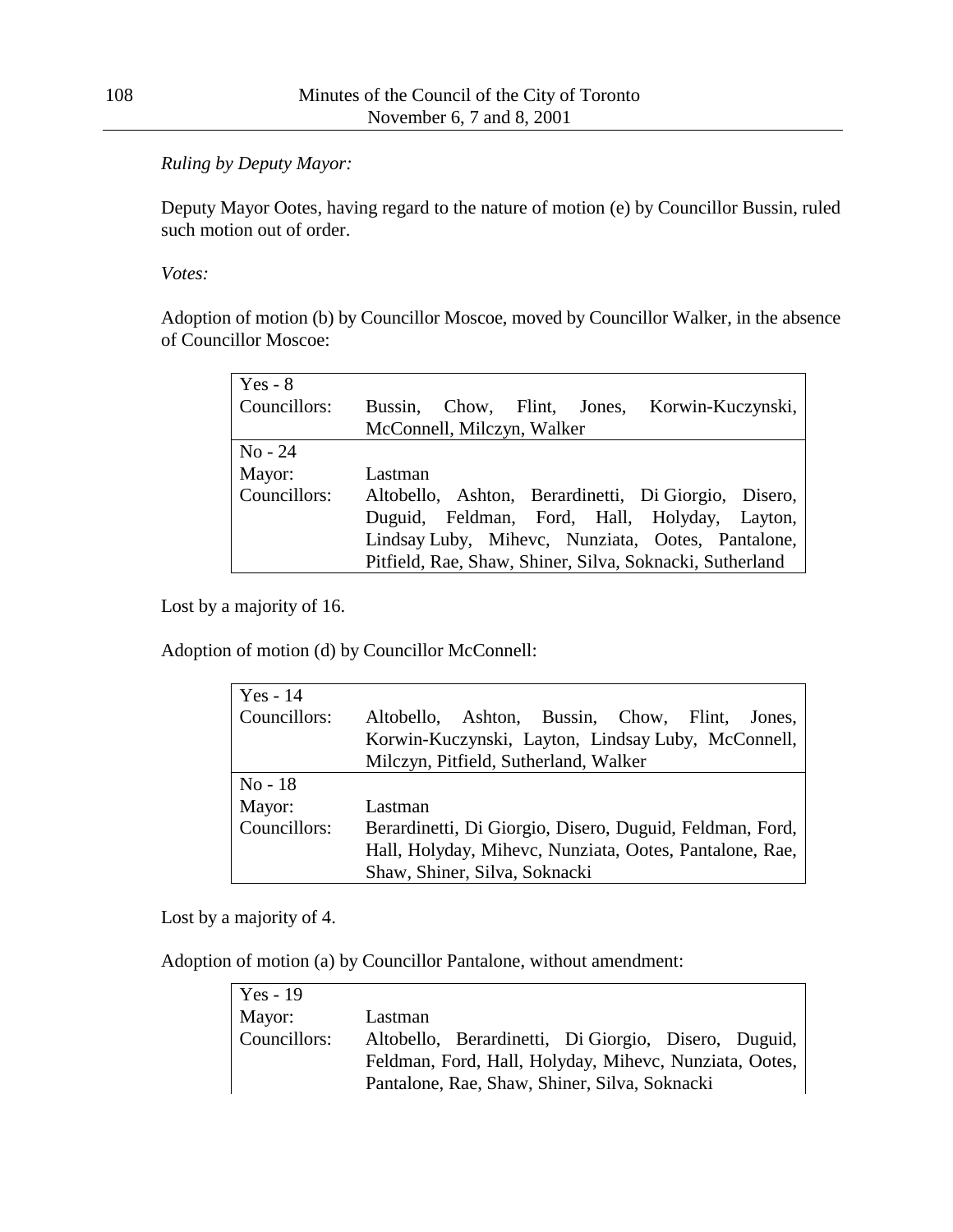### *Ruling by Deputy Mayor:*

Deputy Mayor Ootes, having regard to the nature of motion (e) by Councillor Bussin, ruled such motion out of order.

*Votes:*

Adoption of motion (b) by Councillor Moscoe, moved by Councillor Walker, in the absence of Councillor Moscoe:

| Yes - $8$    |                                                          |  |  |  |  |  |  |
|--------------|----------------------------------------------------------|--|--|--|--|--|--|
| Councillors: | Bussin, Chow, Flint, Jones, Korwin-Kuczynski,            |  |  |  |  |  |  |
|              | McConnell, Milczyn, Walker                               |  |  |  |  |  |  |
| $No - 24$    |                                                          |  |  |  |  |  |  |
| Mayor:       | Lastman                                                  |  |  |  |  |  |  |
| Councillors: | Altobello, Ashton, Berardinetti, Di Giorgio, Disero,     |  |  |  |  |  |  |
|              | Duguid, Feldman, Ford, Hall, Holyday, Layton,            |  |  |  |  |  |  |
|              | Lindsay Luby, Mihevc, Nunziata, Ootes, Pantalone,        |  |  |  |  |  |  |
|              | Pitfield, Rae, Shaw, Shiner, Silva, Soknacki, Sutherland |  |  |  |  |  |  |

Lost by a majority of 16.

Adoption of motion (d) by Councillor McConnell:

| $Yes - 14$   |                                                          |  |  |  |  |  |
|--------------|----------------------------------------------------------|--|--|--|--|--|
| Councillors: | Altobello, Ashton, Bussin, Chow, Flint,<br>Jones.        |  |  |  |  |  |
|              | Korwin-Kuczynski, Layton, Lindsay Luby, McConnell,       |  |  |  |  |  |
|              | Milczyn, Pitfield, Sutherland, Walker                    |  |  |  |  |  |
| $No-18$      |                                                          |  |  |  |  |  |
| Mayor:       | Lastman                                                  |  |  |  |  |  |
| Councillors: | Berardinetti, Di Giorgio, Disero, Duguid, Feldman, Ford, |  |  |  |  |  |
|              | Hall, Holyday, Mihevc, Nunziata, Ootes, Pantalone, Rae,  |  |  |  |  |  |
|              | Shaw, Shiner, Silva, Soknacki                            |  |  |  |  |  |

Lost by a majority of 4.

Adoption of motion (a) by Councillor Pantalone, without amendment:

| Yes - $19$   |                                                        |                                                      |  |  |  |  |  |
|--------------|--------------------------------------------------------|------------------------------------------------------|--|--|--|--|--|
| Mayor:       | Lastman                                                |                                                      |  |  |  |  |  |
| Councillors: |                                                        | Altobello, Berardinetti, Di Giorgio, Disero, Duguid, |  |  |  |  |  |
|              | Feldman, Ford, Hall, Holyday, Mihevc, Nunziata, Ootes, |                                                      |  |  |  |  |  |
|              | Pantalone, Rae, Shaw, Shiner, Silva, Soknacki          |                                                      |  |  |  |  |  |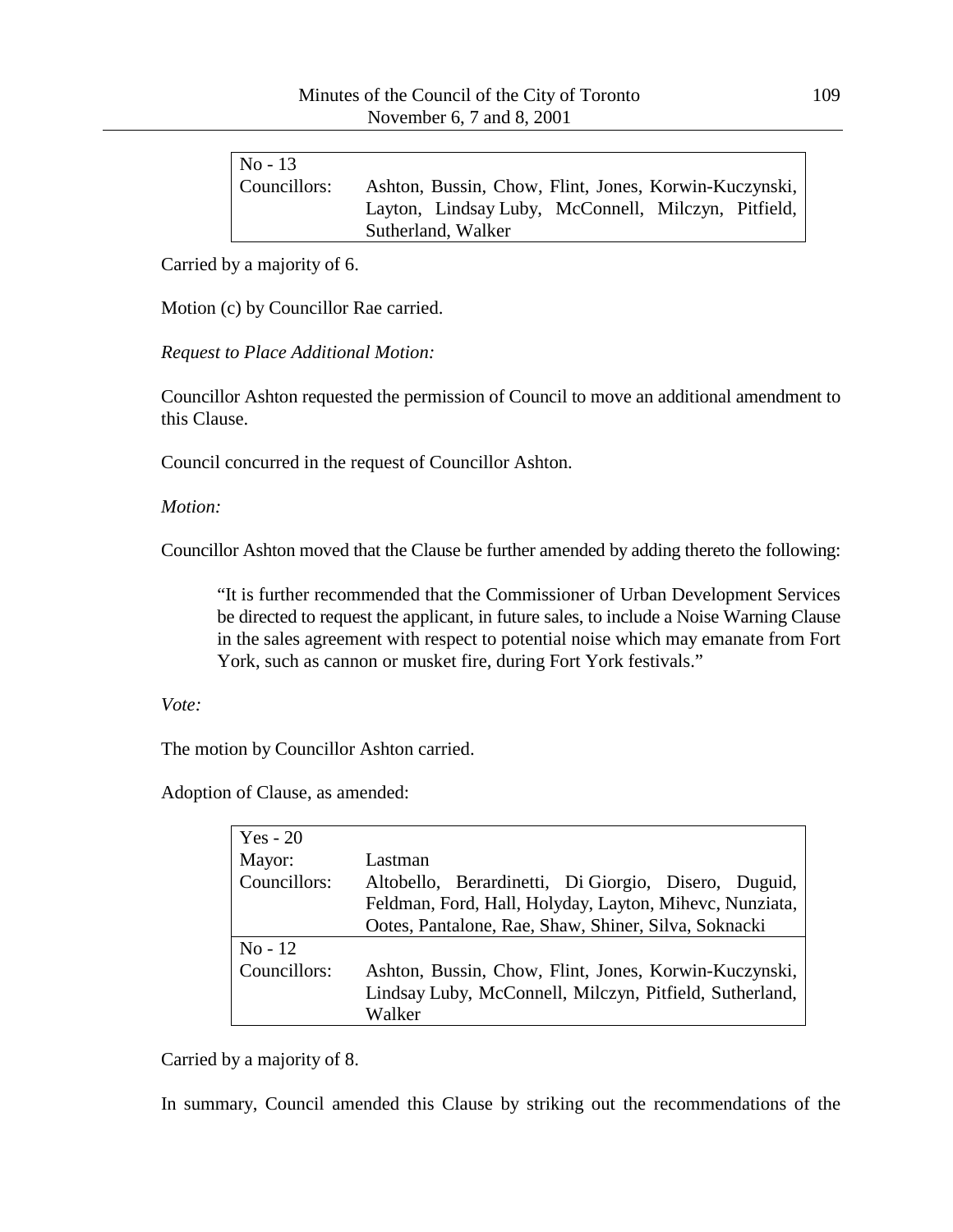| $No - 13$    |                                                       |
|--------------|-------------------------------------------------------|
| Councillors: | Ashton, Bussin, Chow, Flint, Jones, Korwin-Kuczynski, |
|              | Layton, Lindsay Luby, McConnell, Milczyn, Pitfield,   |
|              | Sutherland, Walker                                    |

Carried by a majority of 6.

Motion (c) by Councillor Rae carried.

*Request to Place Additional Motion:*

Councillor Ashton requested the permission of Council to move an additional amendment to this Clause.

Council concurred in the request of Councillor Ashton.

*Motion:*

Councillor Ashton moved that the Clause be further amended by adding thereto the following:

"It is further recommended that the Commissioner of Urban Development Services be directed to request the applicant, in future sales, to include a Noise Warning Clause in the sales agreement with respect to potential noise which may emanate from Fort York, such as cannon or musket fire, during Fort York festivals."

*Vote:*

The motion by Councillor Ashton carried.

Adoption of Clause, as amended:

| $Yes - 20$   |                                                         |  |
|--------------|---------------------------------------------------------|--|
| Mayor:       | Lastman                                                 |  |
| Councillors: | Altobello, Berardinetti, Di Giorgio, Disero, Duguid,    |  |
|              | Feldman, Ford, Hall, Holyday, Layton, Mihevc, Nunziata, |  |
|              | Ootes, Pantalone, Rae, Shaw, Shiner, Silva, Soknacki    |  |
| $No-12$      |                                                         |  |
| Councillors: | Ashton, Bussin, Chow, Flint, Jones, Korwin-Kuczynski,   |  |
|              | Lindsay Luby, McConnell, Milczyn, Pitfield, Sutherland, |  |
|              | Walker                                                  |  |

Carried by a majority of 8.

In summary, Council amended this Clause by striking out the recommendations of the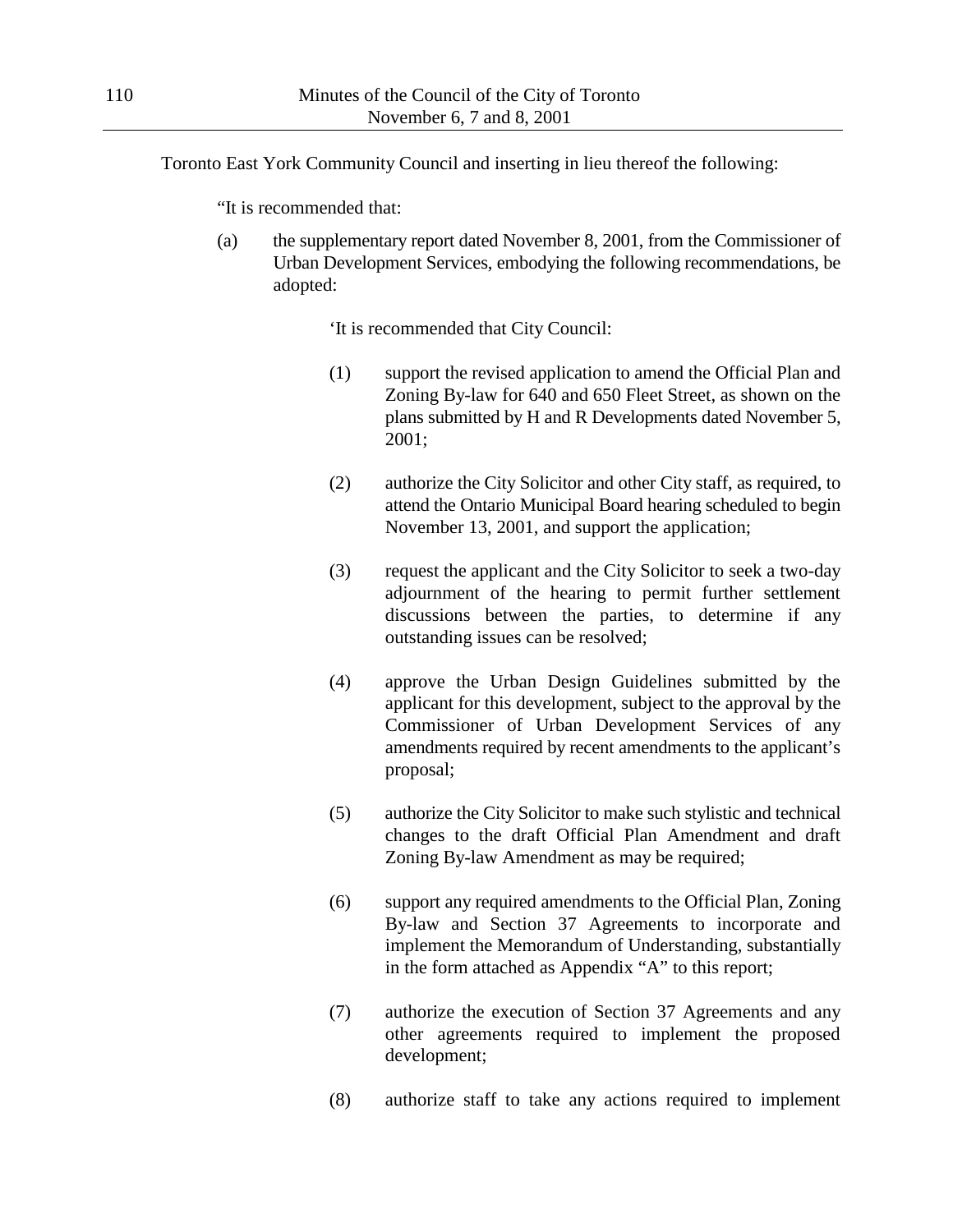Toronto East York Community Council and inserting in lieu thereof the following:

"It is recommended that:

(a) the supplementary report dated November 8, 2001, from the Commissioner of Urban Development Services, embodying the following recommendations, be adopted:

'It is recommended that City Council:

- (1) support the revised application to amend the Official Plan and Zoning By-law for 640 and 650 Fleet Street, as shown on the plans submitted by H and R Developments dated November 5, 2001;
- (2) authorize the City Solicitor and other City staff, as required, to attend the Ontario Municipal Board hearing scheduled to begin November 13, 2001, and support the application;
- (3) request the applicant and the City Solicitor to seek a two-day adjournment of the hearing to permit further settlement discussions between the parties, to determine if any outstanding issues can be resolved;
- (4) approve the Urban Design Guidelines submitted by the applicant for this development, subject to the approval by the Commissioner of Urban Development Services of any amendments required by recent amendments to the applicant's proposal;
- (5) authorize the City Solicitor to make such stylistic and technical changes to the draft Official Plan Amendment and draft Zoning By-law Amendment as may be required;
- (6) support any required amendments to the Official Plan, Zoning By-law and Section 37 Agreements to incorporate and implement the Memorandum of Understanding, substantially in the form attached as Appendix "A" to this report;
- (7) authorize the execution of Section 37 Agreements and any other agreements required to implement the proposed development;
- (8) authorize staff to take any actions required to implement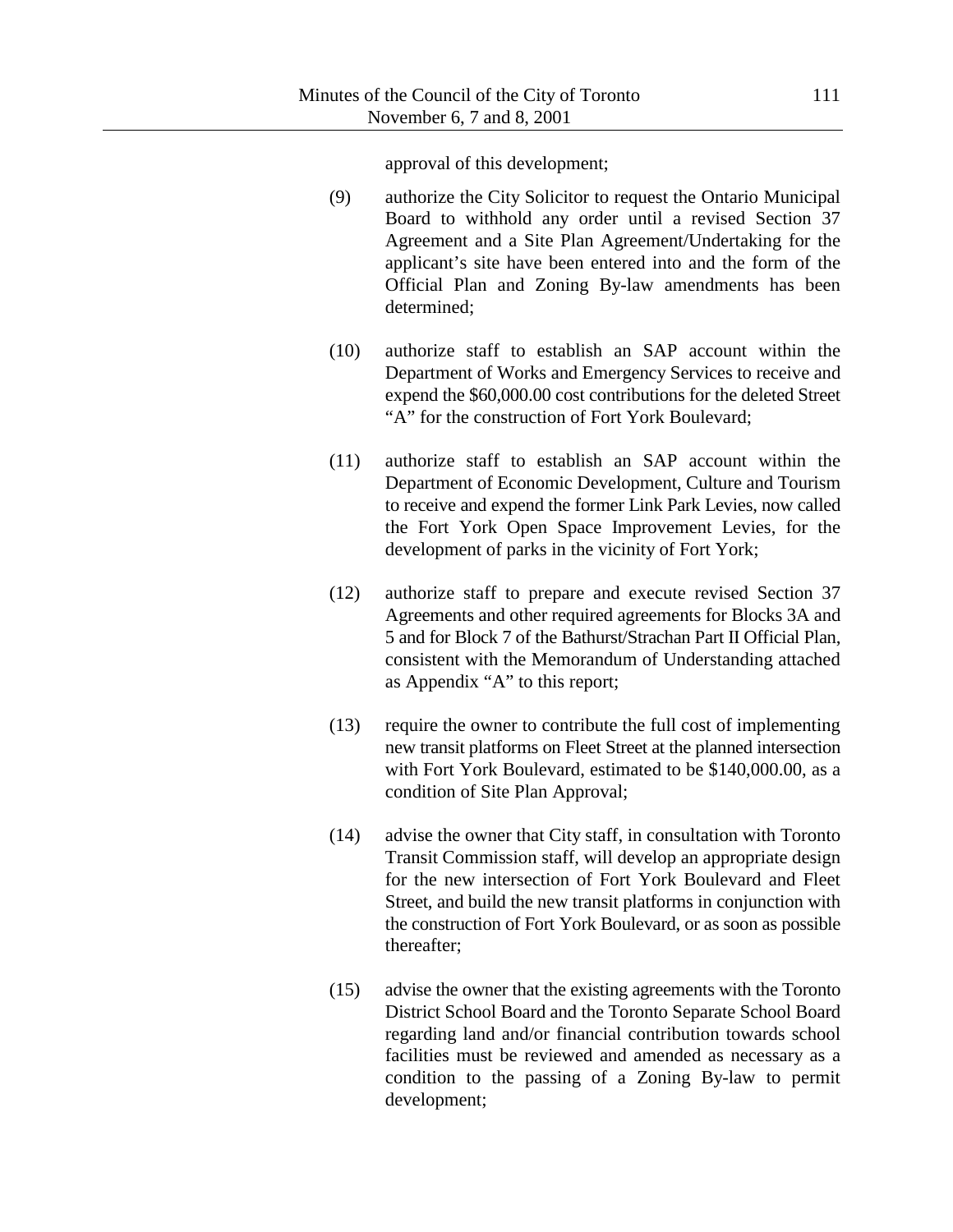approval of this development;

- (9) authorize the City Solicitor to request the Ontario Municipal Board to withhold any order until a revised Section 37 Agreement and a Site Plan Agreement/Undertaking for the applicant's site have been entered into and the form of the Official Plan and Zoning By-law amendments has been determined;
- (10) authorize staff to establish an SAP account within the Department of Works and Emergency Services to receive and expend the \$60,000.00 cost contributions for the deleted Street "A" for the construction of Fort York Boulevard;
- (11) authorize staff to establish an SAP account within the Department of Economic Development, Culture and Tourism to receive and expend the former Link Park Levies, now called the Fort York Open Space Improvement Levies, for the development of parks in the vicinity of Fort York;
- (12) authorize staff to prepare and execute revised Section 37 Agreements and other required agreements for Blocks 3A and 5 and for Block 7 of the Bathurst/Strachan Part II Official Plan, consistent with the Memorandum of Understanding attached as Appendix "A" to this report;
- (13) require the owner to contribute the full cost of implementing new transit platforms on Fleet Street at the planned intersection with Fort York Boulevard, estimated to be \$140,000.00, as a condition of Site Plan Approval;
- (14) advise the owner that City staff, in consultation with Toronto Transit Commission staff, will develop an appropriate design for the new intersection of Fort York Boulevard and Fleet Street, and build the new transit platforms in conjunction with the construction of Fort York Boulevard, or as soon as possible thereafter;
- (15) advise the owner that the existing agreements with the Toronto District School Board and the Toronto Separate School Board regarding land and/or financial contribution towards school facilities must be reviewed and amended as necessary as a condition to the passing of a Zoning By-law to permit development;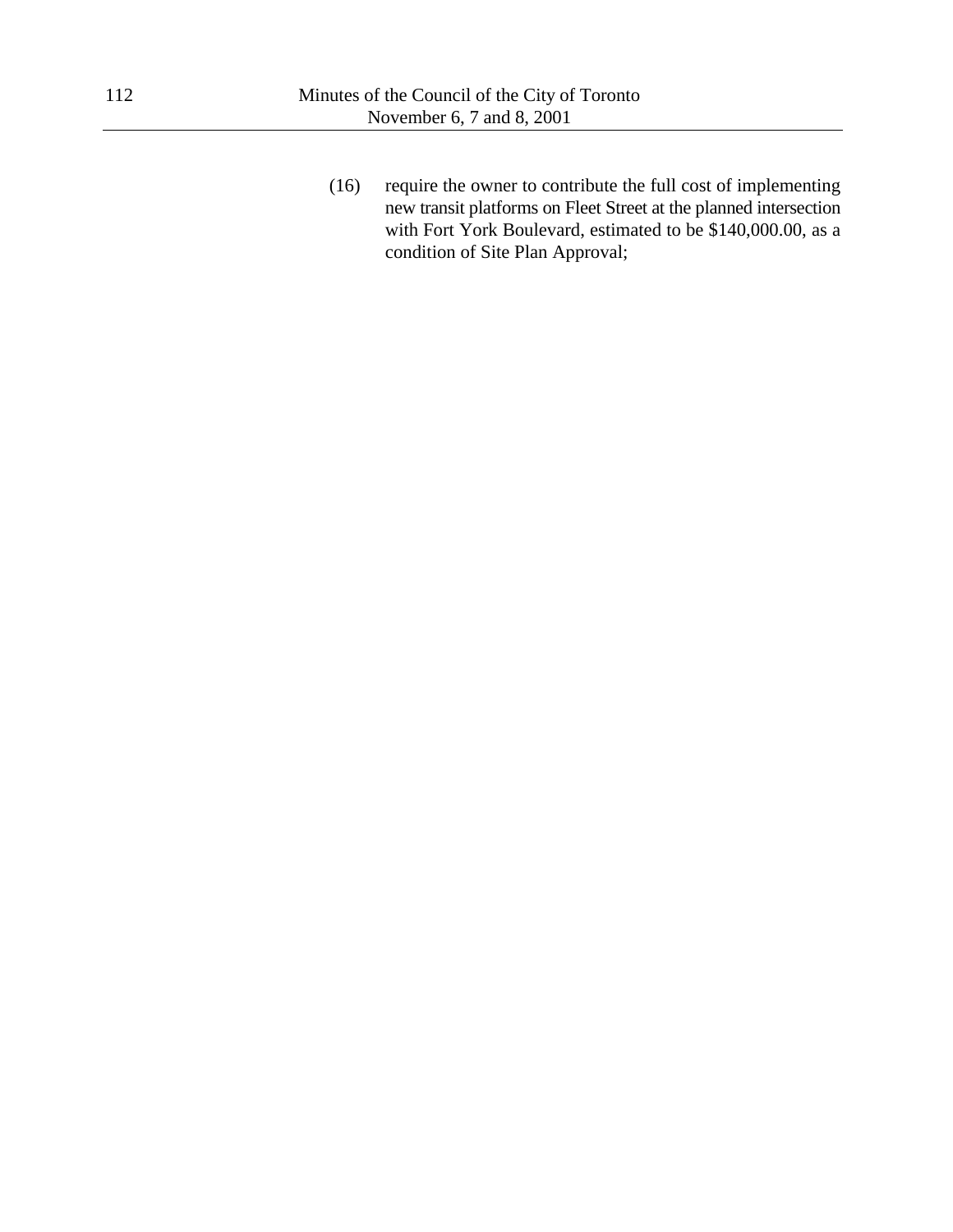(16) require the owner to contribute the full cost of implementing new transit platforms on Fleet Street at the planned intersection with Fort York Boulevard, estimated to be \$140,000.00, as a condition of Site Plan Approval;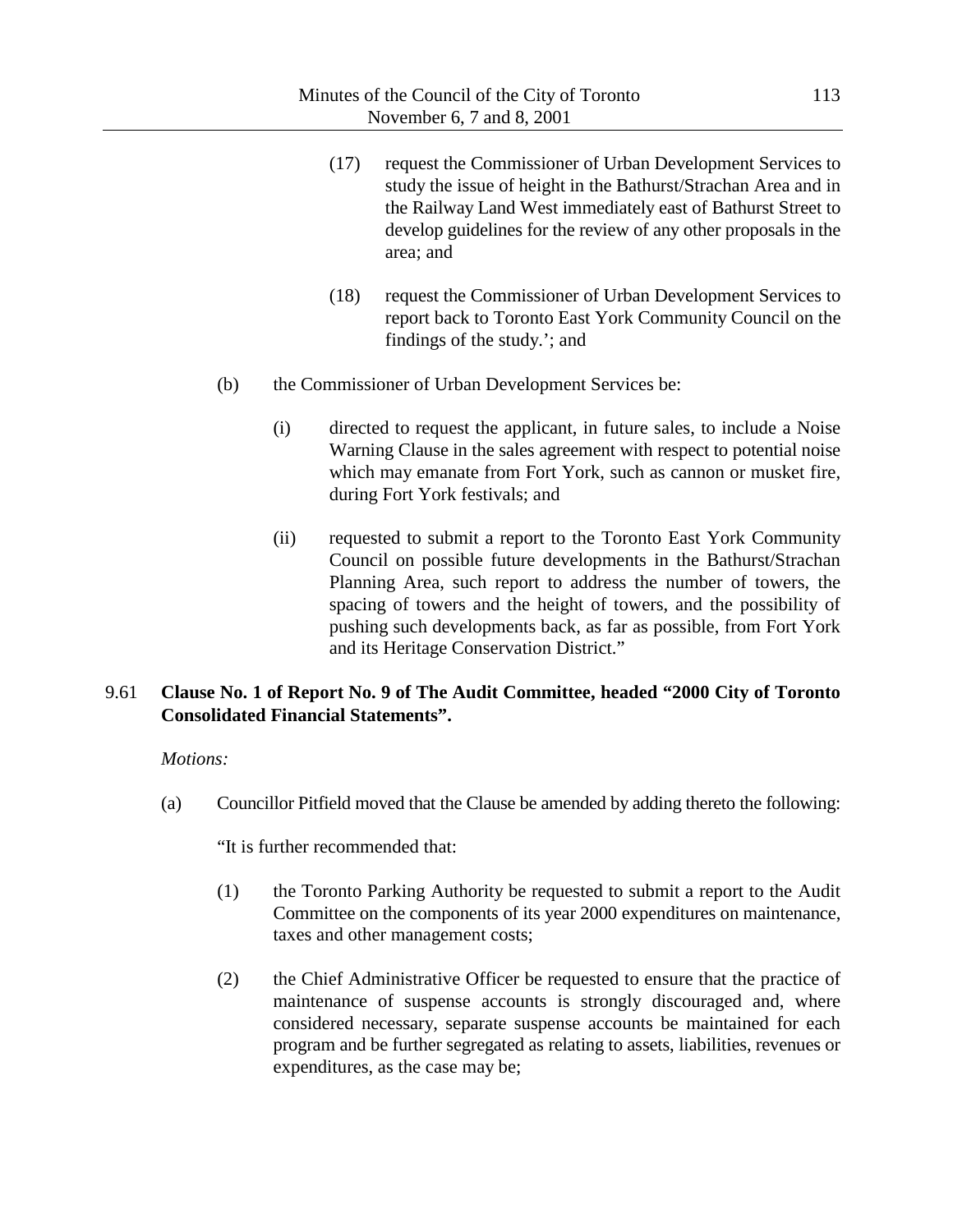- (17) request the Commissioner of Urban Development Services to study the issue of height in the Bathurst/Strachan Area and in the Railway Land West immediately east of Bathurst Street to develop guidelines for the review of any other proposals in the area; and
- (18) request the Commissioner of Urban Development Services to report back to Toronto East York Community Council on the findings of the study.'; and
- (b) the Commissioner of Urban Development Services be:
	- (i) directed to request the applicant, in future sales, to include a Noise Warning Clause in the sales agreement with respect to potential noise which may emanate from Fort York, such as cannon or musket fire, during Fort York festivals; and
	- (ii) requested to submit a report to the Toronto East York Community Council on possible future developments in the Bathurst/Strachan Planning Area, such report to address the number of towers, the spacing of towers and the height of towers, and the possibility of pushing such developments back, as far as possible, from Fort York and its Heritage Conservation District."

## 9.61 **Clause No. 1 of Report No. 9 of The Audit Committee, headed "2000 City of Toronto Consolidated Financial Statements".**

### *Motions:*

(a) Councillor Pitfield moved that the Clause be amended by adding thereto the following:

"It is further recommended that:

- (1) the Toronto Parking Authority be requested to submit a report to the Audit Committee on the components of its year 2000 expenditures on maintenance, taxes and other management costs;
- (2) the Chief Administrative Officer be requested to ensure that the practice of maintenance of suspense accounts is strongly discouraged and, where considered necessary, separate suspense accounts be maintained for each program and be further segregated as relating to assets, liabilities, revenues or expenditures, as the case may be;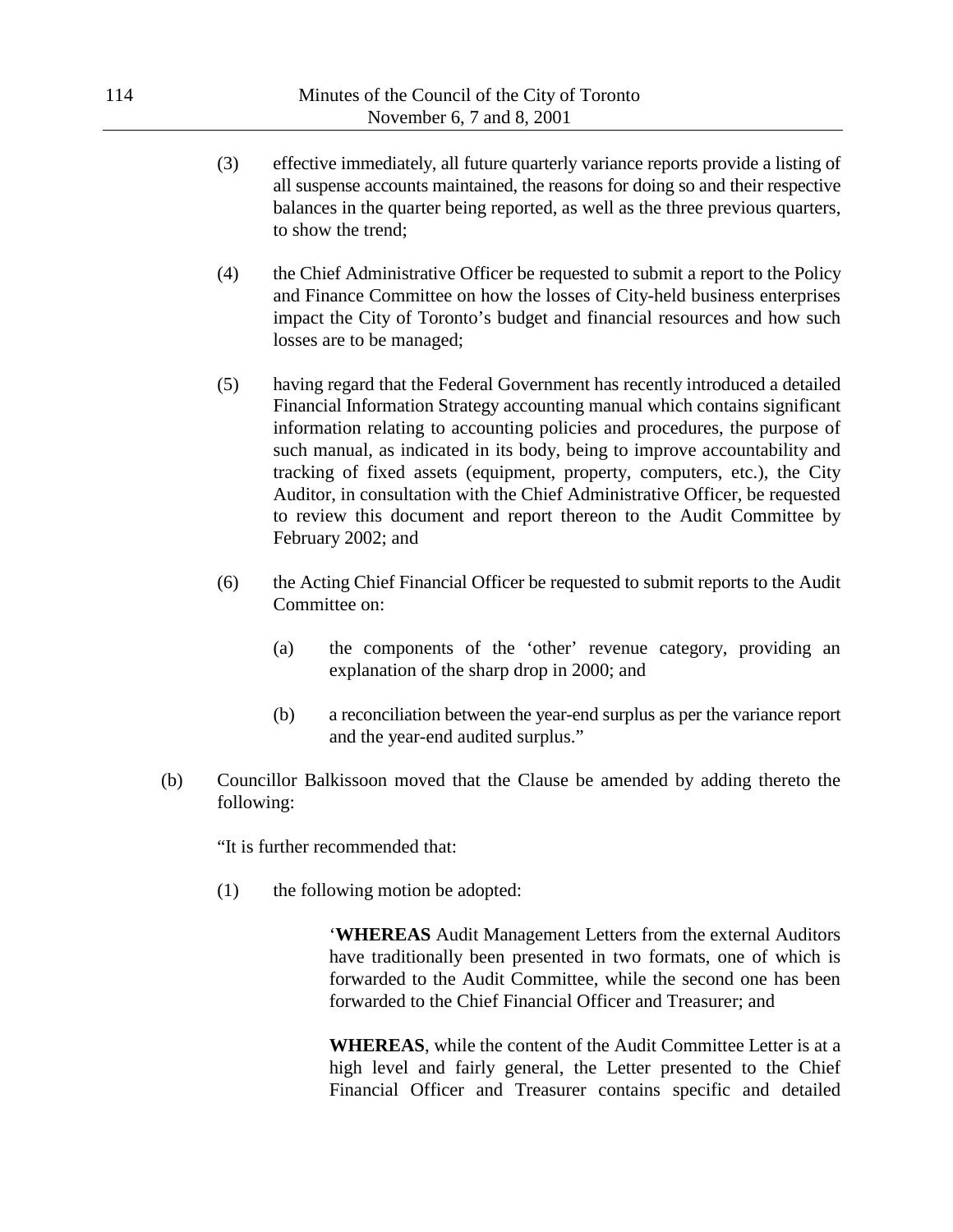- (3) effective immediately, all future quarterly variance reports provide a listing of all suspense accounts maintained, the reasons for doing so and their respective balances in the quarter being reported, as well as the three previous quarters, to show the trend;
- (4) the Chief Administrative Officer be requested to submit a report to the Policy and Finance Committee on how the losses of City-held business enterprises impact the City of Toronto's budget and financial resources and how such losses are to be managed;
- (5) having regard that the Federal Government has recently introduced a detailed Financial Information Strategy accounting manual which contains significant information relating to accounting policies and procedures, the purpose of such manual, as indicated in its body, being to improve accountability and tracking of fixed assets (equipment, property, computers, etc.), the City Auditor, in consultation with the Chief Administrative Officer, be requested to review this document and report thereon to the Audit Committee by February 2002; and
- (6) the Acting Chief Financial Officer be requested to submit reports to the Audit Committee on:
	- (a) the components of the 'other' revenue category, providing an explanation of the sharp drop in 2000; and
	- (b) a reconciliation between the year-end surplus as per the variance report and the year-end audited surplus."
- (b) Councillor Balkissoon moved that the Clause be amended by adding thereto the following:

"It is further recommended that:

(1) the following motion be adopted:

'**WHEREAS** Audit Management Letters from the external Auditors have traditionally been presented in two formats, one of which is forwarded to the Audit Committee, while the second one has been forwarded to the Chief Financial Officer and Treasurer; and

**WHEREAS**, while the content of the Audit Committee Letter is at a high level and fairly general, the Letter presented to the Chief Financial Officer and Treasurer contains specific and detailed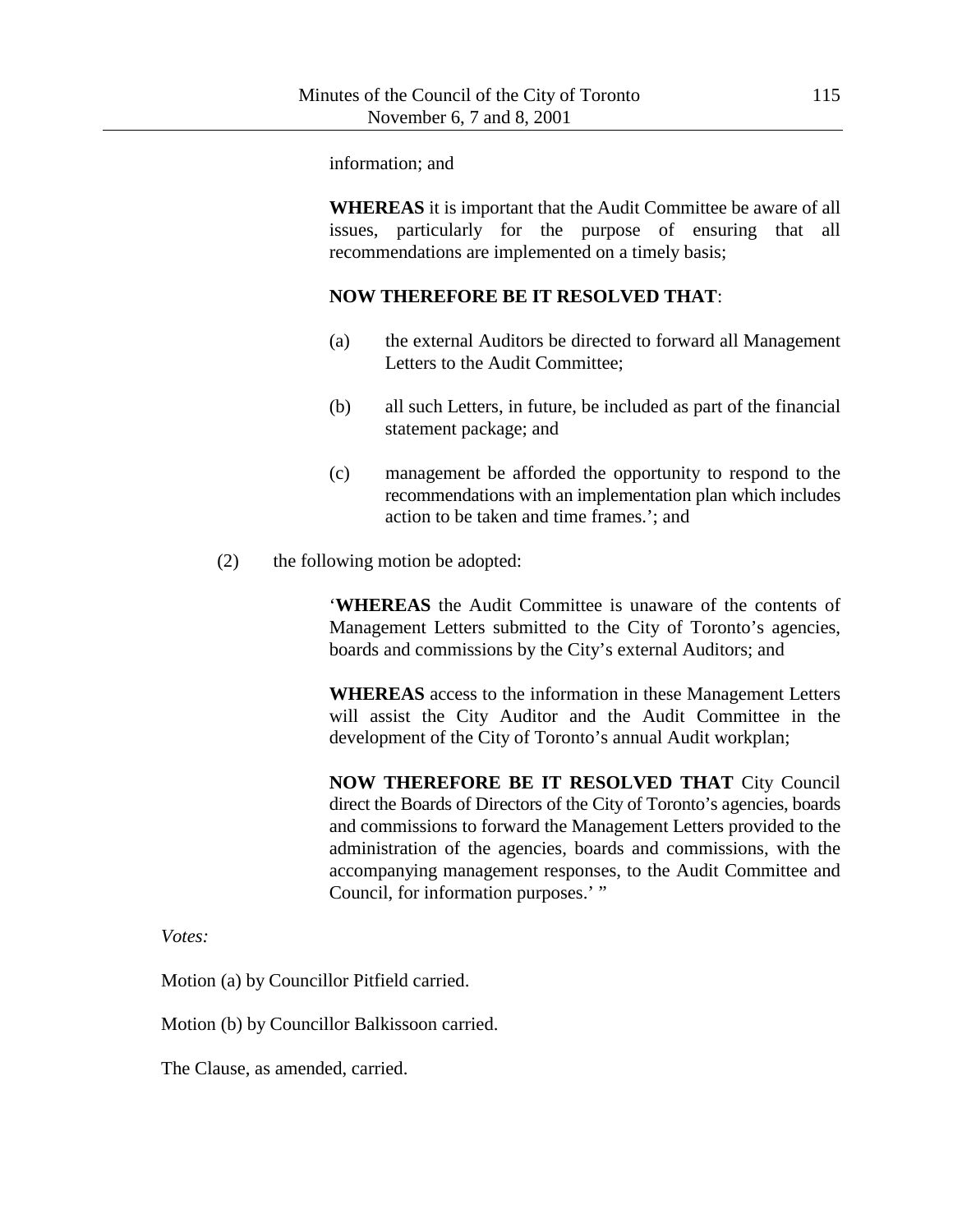information; and

**WHEREAS** it is important that the Audit Committee be aware of all issues, particularly for the purpose of ensuring that all recommendations are implemented on a timely basis;

#### **NOW THEREFORE BE IT RESOLVED THAT**:

- (a) the external Auditors be directed to forward all Management Letters to the Audit Committee;
- (b) all such Letters, in future, be included as part of the financial statement package; and
- (c) management be afforded the opportunity to respond to the recommendations with an implementation plan which includes action to be taken and time frames.'; and
- (2) the following motion be adopted:

'**WHEREAS** the Audit Committee is unaware of the contents of Management Letters submitted to the City of Toronto's agencies, boards and commissions by the City's external Auditors; and

**WHEREAS** access to the information in these Management Letters will assist the City Auditor and the Audit Committee in the development of the City of Toronto's annual Audit workplan;

**NOW THEREFORE BE IT RESOLVED THAT** City Council direct the Boards of Directors of the City of Toronto's agencies, boards and commissions to forward the Management Letters provided to the administration of the agencies, boards and commissions, with the accompanying management responses, to the Audit Committee and Council, for information purposes.' "

*Votes:*

Motion (a) by Councillor Pitfield carried.

Motion (b) by Councillor Balkissoon carried.

The Clause, as amended, carried.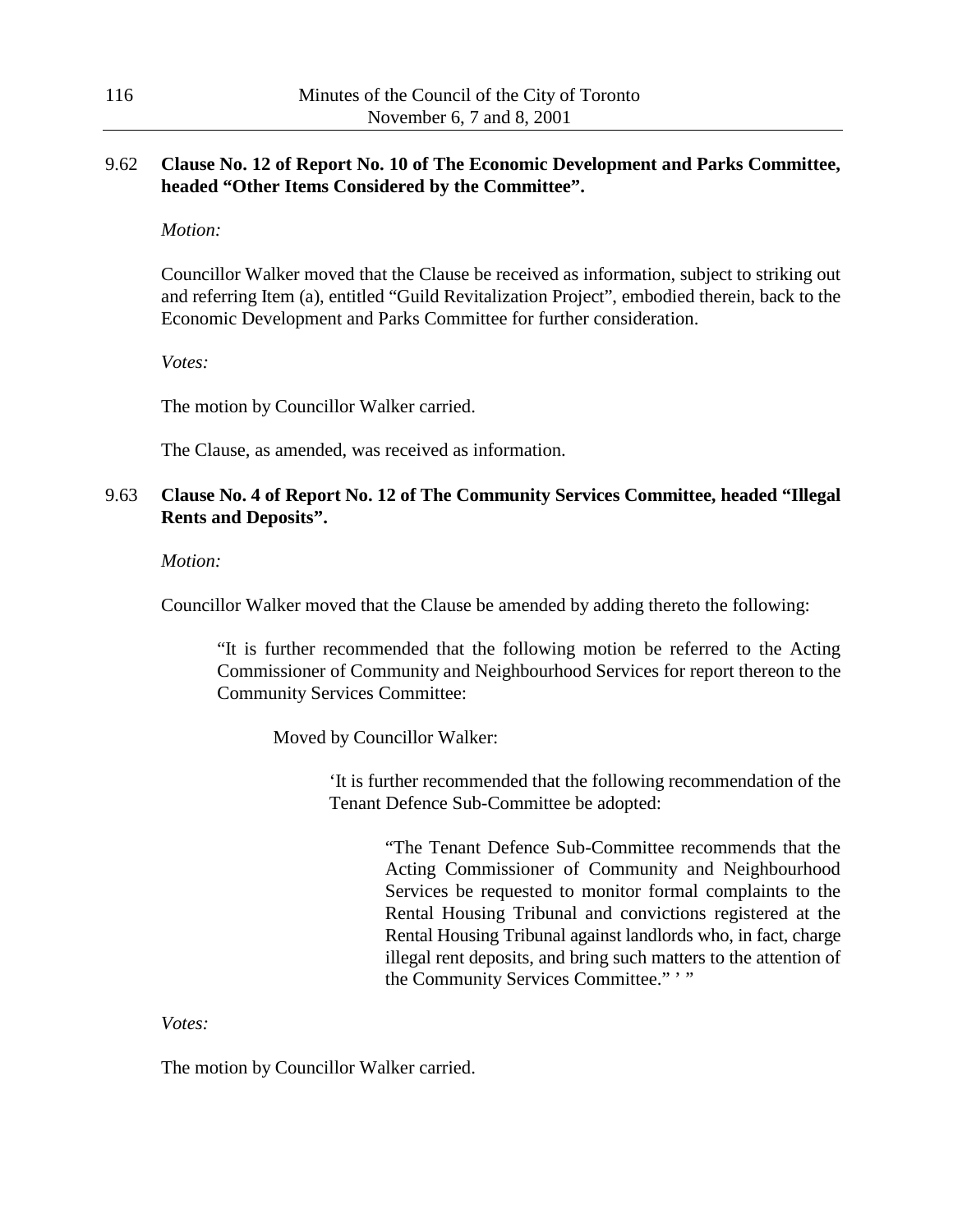## 9.62 **Clause No. 12 of Report No. 10 of The Economic Development and Parks Committee, headed "Other Items Considered by the Committee".**

*Motion:*

Councillor Walker moved that the Clause be received as information, subject to striking out and referring Item (a), entitled "Guild Revitalization Project", embodied therein, back to the Economic Development and Parks Committee for further consideration.

*Votes:*

The motion by Councillor Walker carried.

The Clause, as amended, was received as information.

# 9.63 **Clause No. 4 of Report No. 12 of The Community Services Committee, headed "Illegal Rents and Deposits".**

#### *Motion:*

Councillor Walker moved that the Clause be amended by adding thereto the following:

"It is further recommended that the following motion be referred to the Acting Commissioner of Community and Neighbourhood Services for report thereon to the Community Services Committee:

Moved by Councillor Walker:

'It is further recommended that the following recommendation of the Tenant Defence Sub-Committee be adopted:

> "The Tenant Defence Sub-Committee recommends that the Acting Commissioner of Community and Neighbourhood Services be requested to monitor formal complaints to the Rental Housing Tribunal and convictions registered at the Rental Housing Tribunal against landlords who, in fact, charge illegal rent deposits, and bring such matters to the attention of the Community Services Committee." ' "

*Votes:*

The motion by Councillor Walker carried.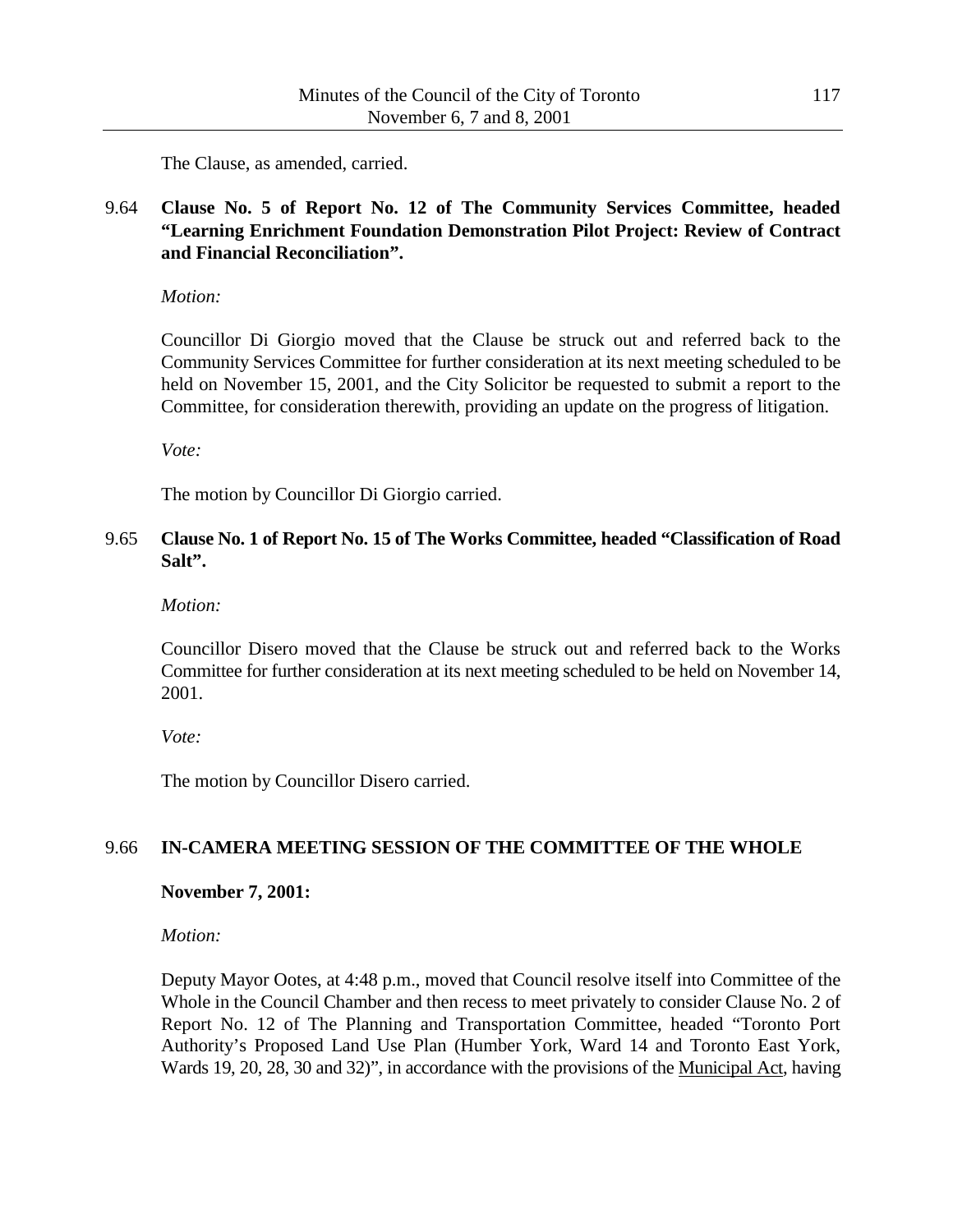The Clause, as amended, carried.

# 9.64 **Clause No. 5 of Report No. 12 of The Community Services Committee, headed "Learning Enrichment Foundation Demonstration Pilot Project: Review of Contract and Financial Reconciliation".**

*Motion:*

Councillor Di Giorgio moved that the Clause be struck out and referred back to the Community Services Committee for further consideration at its next meeting scheduled to be held on November 15, 2001, and the City Solicitor be requested to submit a report to the Committee, for consideration therewith, providing an update on the progress of litigation.

*Vote:*

The motion by Councillor Di Giorgio carried.

## 9.65 **Clause No. 1 of Report No. 15 of The Works Committee, headed "Classification of Road Salt".**

*Motion:*

Councillor Disero moved that the Clause be struck out and referred back to the Works Committee for further consideration at its next meeting scheduled to be held on November 14, 2001.

*Vote:*

The motion by Councillor Disero carried.

### 9.66 **IN-CAMERA MEETING SESSION OF THE COMMITTEE OF THE WHOLE**

### **November 7, 2001:**

*Motion:*

Deputy Mayor Ootes, at 4:48 p.m., moved that Council resolve itself into Committee of the Whole in the Council Chamber and then recess to meet privately to consider Clause No. 2 of Report No. 12 of The Planning and Transportation Committee, headed "Toronto Port Authority's Proposed Land Use Plan (Humber York, Ward 14 and Toronto East York, Wards 19, 20, 28, 30 and 32)", in accordance with the provisions of the Municipal Act, having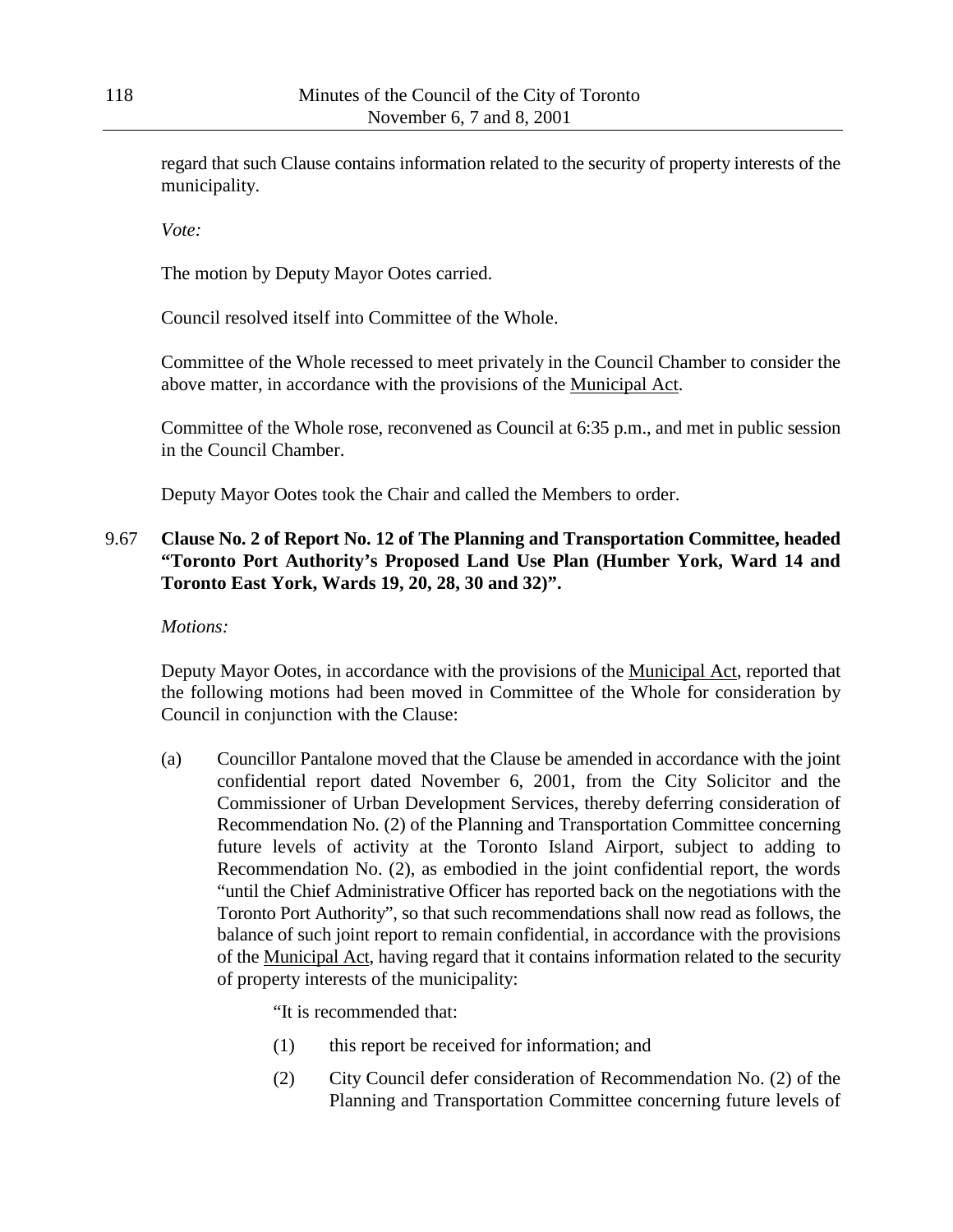regard that such Clause contains information related to the security of property interests of the municipality.

*Vote:*

The motion by Deputy Mayor Ootes carried.

Council resolved itself into Committee of the Whole.

Committee of the Whole recessed to meet privately in the Council Chamber to consider the above matter, in accordance with the provisions of the Municipal Act.

Committee of the Whole rose, reconvened as Council at 6:35 p.m., and met in public session in the Council Chamber.

Deputy Mayor Ootes took the Chair and called the Members to order.

## 9.67 **Clause No. 2 of Report No. 12 of The Planning and Transportation Committee, headed "Toronto Port Authority's Proposed Land Use Plan (Humber York, Ward 14 and Toronto East York, Wards 19, 20, 28, 30 and 32)".**

*Motions:*

Deputy Mayor Ootes, in accordance with the provisions of the Municipal Act, reported that the following motions had been moved in Committee of the Whole for consideration by Council in conjunction with the Clause:

(a) Councillor Pantalone moved that the Clause be amended in accordance with the joint confidential report dated November 6, 2001, from the City Solicitor and the Commissioner of Urban Development Services, thereby deferring consideration of Recommendation No. (2) of the Planning and Transportation Committee concerning future levels of activity at the Toronto Island Airport, subject to adding to Recommendation No. (2), as embodied in the joint confidential report, the words "until the Chief Administrative Officer has reported back on the negotiations with the Toronto Port Authority", so that such recommendations shall now read as follows, the balance of such joint report to remain confidential, in accordance with the provisions of the Municipal Act, having regard that it contains information related to the security of property interests of the municipality:

"It is recommended that:

- (1) this report be received for information; and
- (2) City Council defer consideration of Recommendation No. (2) of the Planning and Transportation Committee concerning future levels of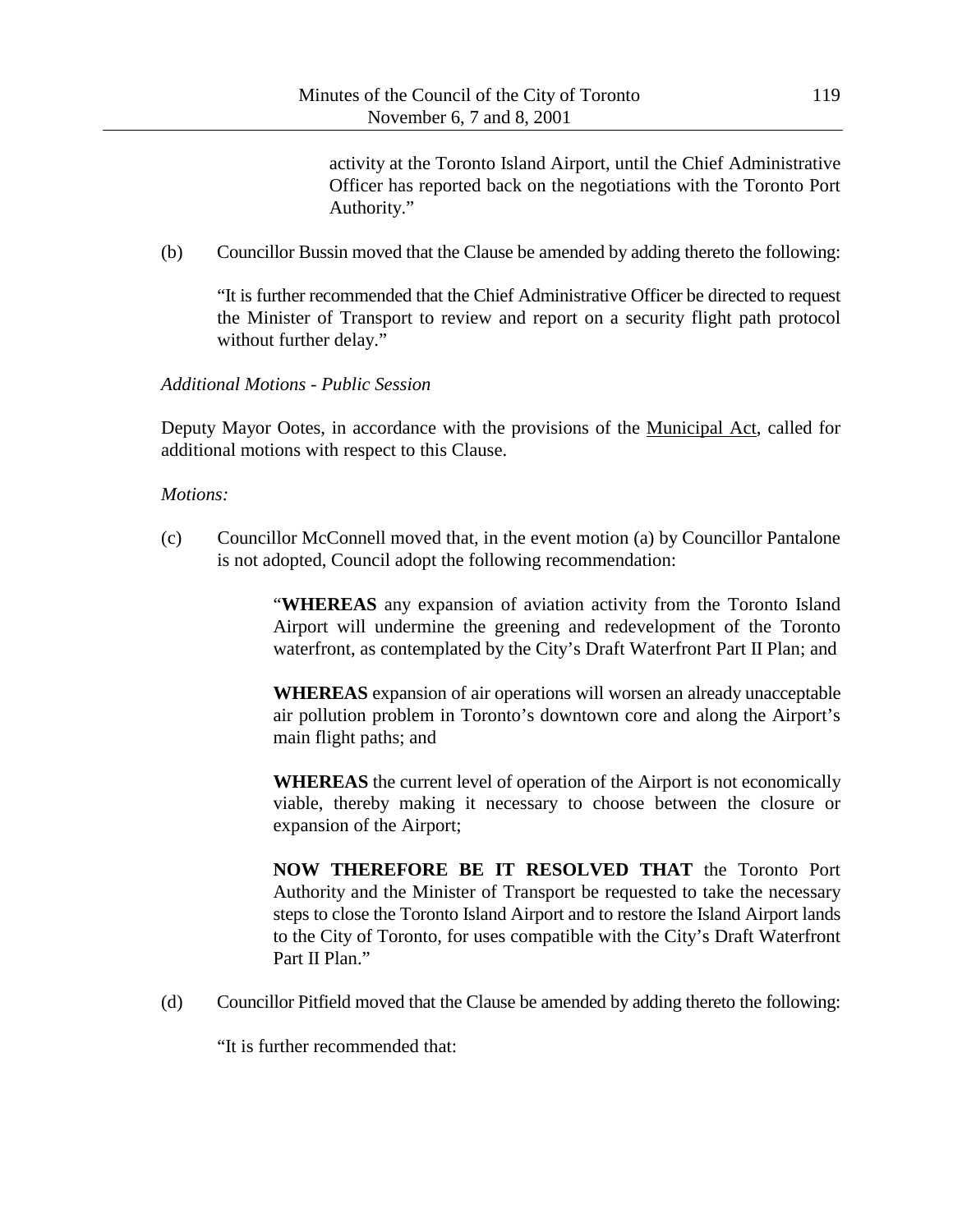activity at the Toronto Island Airport, until the Chief Administrative Officer has reported back on the negotiations with the Toronto Port Authority."

(b) Councillor Bussin moved that the Clause be amended by adding thereto the following:

"It is further recommended that the Chief Administrative Officer be directed to request the Minister of Transport to review and report on a security flight path protocol without further delay."

## *Additional Motions - Public Session*

Deputy Mayor Ootes, in accordance with the provisions of the Municipal Act, called for additional motions with respect to this Clause.

### *Motions:*

(c) Councillor McConnell moved that, in the event motion (a) by Councillor Pantalone is not adopted, Council adopt the following recommendation:

> "**WHEREAS** any expansion of aviation activity from the Toronto Island Airport will undermine the greening and redevelopment of the Toronto waterfront, as contemplated by the City's Draft Waterfront Part II Plan; and

> **WHEREAS** expansion of air operations will worsen an already unacceptable air pollution problem in Toronto's downtown core and along the Airport's main flight paths; and

> **WHEREAS** the current level of operation of the Airport is not economically viable, thereby making it necessary to choose between the closure or expansion of the Airport;

> **NOW THEREFORE BE IT RESOLVED THAT** the Toronto Port Authority and the Minister of Transport be requested to take the necessary steps to close the Toronto Island Airport and to restore the Island Airport lands to the City of Toronto, for uses compatible with the City's Draft Waterfront Part II Plan."

(d) Councillor Pitfield moved that the Clause be amended by adding thereto the following:

"It is further recommended that: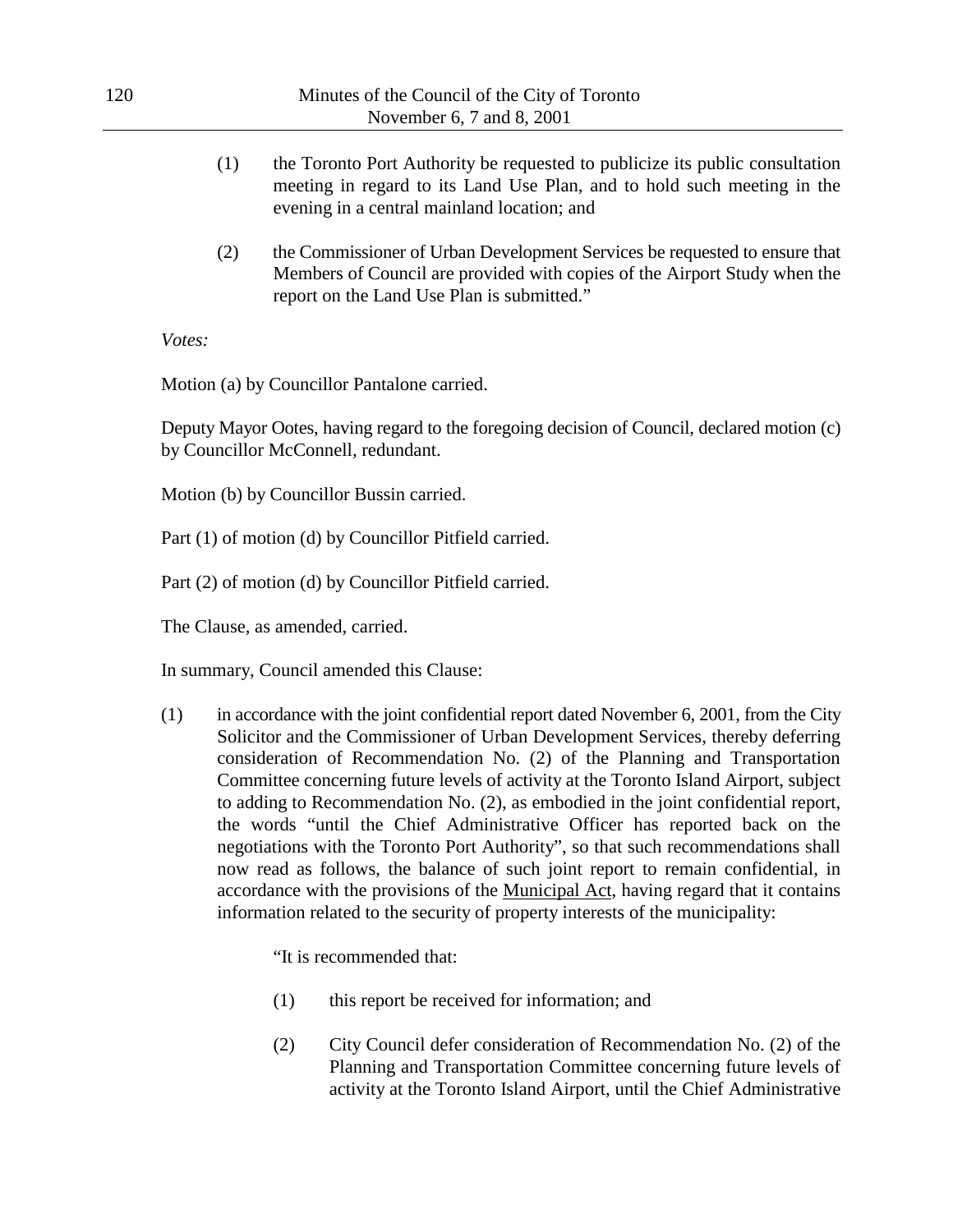| 120                                                                                                | Minutes of the Council of the City of Toronto<br>November 6, 7 and 8, 2001 |                                                                                                                                                                                                                                                                                                                                                                                                                                                                                                                                                                                                                                                                                                                                                                                                                                                                        |                                                        |
|----------------------------------------------------------------------------------------------------|----------------------------------------------------------------------------|------------------------------------------------------------------------------------------------------------------------------------------------------------------------------------------------------------------------------------------------------------------------------------------------------------------------------------------------------------------------------------------------------------------------------------------------------------------------------------------------------------------------------------------------------------------------------------------------------------------------------------------------------------------------------------------------------------------------------------------------------------------------------------------------------------------------------------------------------------------------|--------------------------------------------------------|
|                                                                                                    | (1)                                                                        | the Toronto Port Authority be requested to publicize its public consultation<br>meeting in regard to its Land Use Plan, and to hold such meeting in the<br>evening in a central mainland location; and                                                                                                                                                                                                                                                                                                                                                                                                                                                                                                                                                                                                                                                                 |                                                        |
|                                                                                                    | (2)                                                                        | the Commissioner of Urban Development Services be requested to ensure that<br>Members of Council are provided with copies of the Airport Study when the<br>report on the Land Use Plan is submitted."                                                                                                                                                                                                                                                                                                                                                                                                                                                                                                                                                                                                                                                                  |                                                        |
|                                                                                                    | Votes:                                                                     |                                                                                                                                                                                                                                                                                                                                                                                                                                                                                                                                                                                                                                                                                                                                                                                                                                                                        |                                                        |
|                                                                                                    |                                                                            | Motion (a) by Councillor Pantalone carried.                                                                                                                                                                                                                                                                                                                                                                                                                                                                                                                                                                                                                                                                                                                                                                                                                            |                                                        |
|                                                                                                    |                                                                            | Deputy Mayor Ootes, having regard to the foregoing decision of Council, declared motion (c)<br>by Councillor McConnell, redundant.                                                                                                                                                                                                                                                                                                                                                                                                                                                                                                                                                                                                                                                                                                                                     |                                                        |
| Motion (b) by Councillor Bussin carried.<br>Part (1) of motion (d) by Councillor Pitfield carried. |                                                                            |                                                                                                                                                                                                                                                                                                                                                                                                                                                                                                                                                                                                                                                                                                                                                                                                                                                                        |                                                        |
|                                                                                                    |                                                                            |                                                                                                                                                                                                                                                                                                                                                                                                                                                                                                                                                                                                                                                                                                                                                                                                                                                                        | Part (2) of motion (d) by Councillor Pitfield carried. |
| The Clause, as amended, carried.                                                                   |                                                                            |                                                                                                                                                                                                                                                                                                                                                                                                                                                                                                                                                                                                                                                                                                                                                                                                                                                                        |                                                        |
|                                                                                                    |                                                                            | In summary, Council amended this Clause:                                                                                                                                                                                                                                                                                                                                                                                                                                                                                                                                                                                                                                                                                                                                                                                                                               |                                                        |
|                                                                                                    | (1)                                                                        | in accordance with the joint confidential report dated November 6, 2001, from the City<br>Solicitor and the Commissioner of Urban Development Services, thereby deferring<br>consideration of Recommendation No. (2) of the Planning and Transportation<br>Committee concerning future levels of activity at the Toronto Island Airport, subject<br>to adding to Recommendation No. (2), as embodied in the joint confidential report,<br>the words "until the Chief Administrative Officer has reported back on the<br>negotiations with the Toronto Port Authority", so that such recommendations shall<br>now read as follows, the balance of such joint report to remain confidential, in<br>accordance with the provisions of the Municipal Act, having regard that it contains<br>information related to the security of property interests of the municipality: |                                                        |

"It is recommended that:

- (1) this report be received for information; and
- (2) City Council defer consideration of Recommendation No. (2) of the Planning and Transportation Committee concerning future levels of activity at the Toronto Island Airport, until the Chief Administrative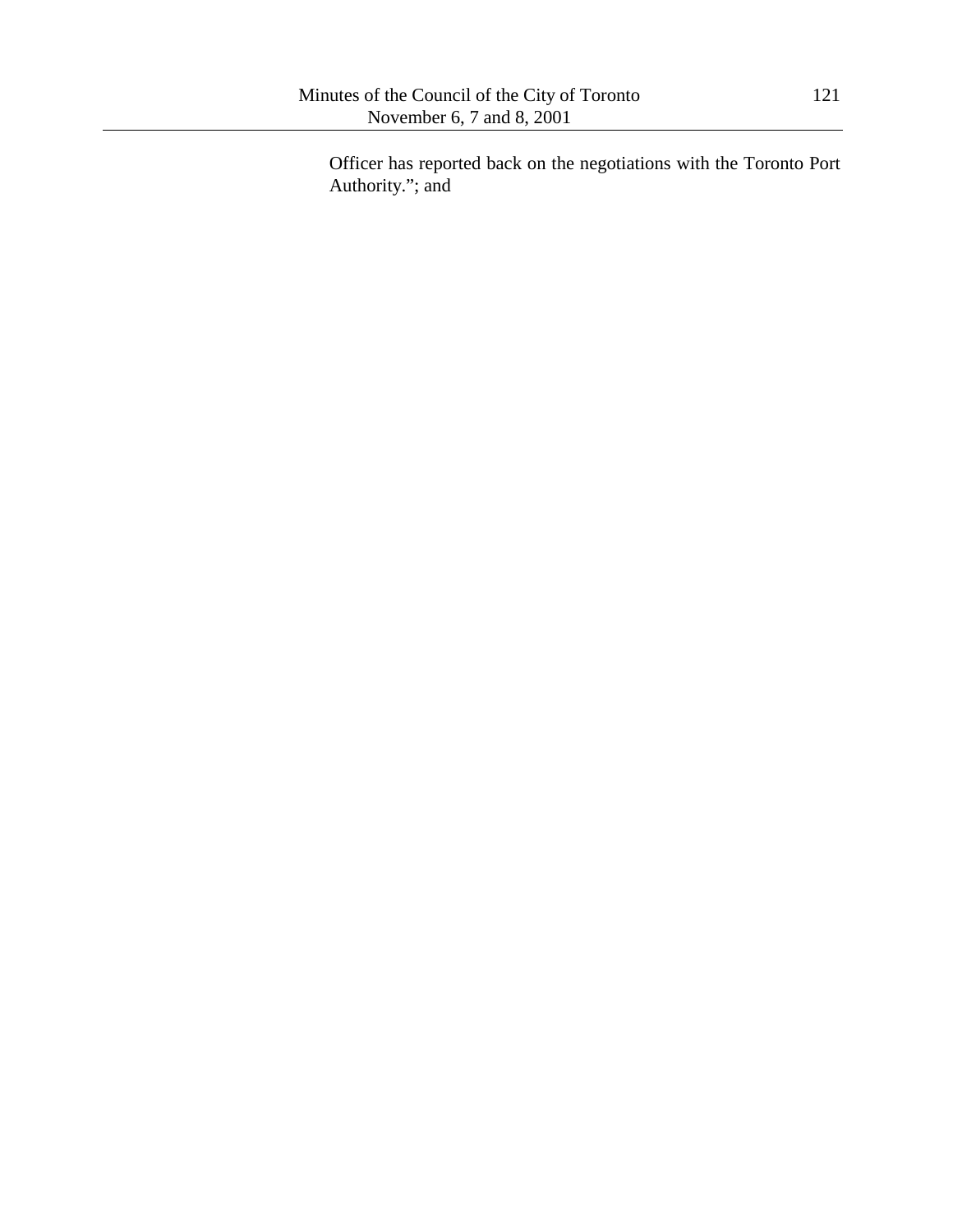Officer has reported back on the negotiations with the Toronto Port Authority."; and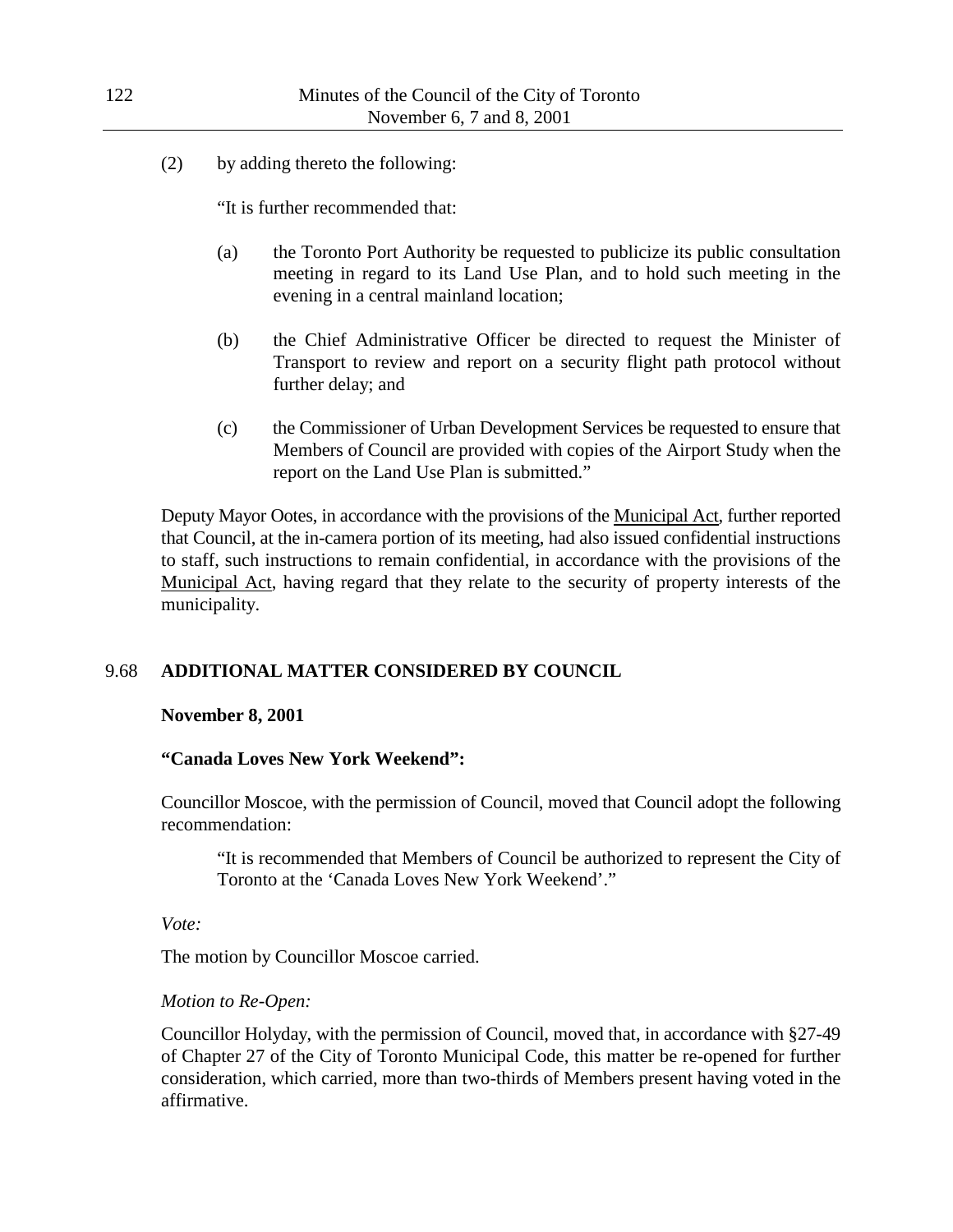(2) by adding thereto the following:

"It is further recommended that:

- (a) the Toronto Port Authority be requested to publicize its public consultation meeting in regard to its Land Use Plan, and to hold such meeting in the evening in a central mainland location;
- (b) the Chief Administrative Officer be directed to request the Minister of Transport to review and report on a security flight path protocol without further delay; and
- (c) the Commissioner of Urban Development Services be requested to ensure that Members of Council are provided with copies of the Airport Study when the report on the Land Use Plan is submitted."

Deputy Mayor Ootes, in accordance with the provisions of the Municipal Act, further reported that Council, at the in-camera portion of its meeting, had also issued confidential instructions to staff, such instructions to remain confidential, in accordance with the provisions of the Municipal Act, having regard that they relate to the security of property interests of the municipality.

# 9.68 **ADDITIONAL MATTER CONSIDERED BY COUNCIL**

### **November 8, 2001**

### **"Canada Loves New York Weekend":**

Councillor Moscoe, with the permission of Council, moved that Council adopt the following recommendation:

"It is recommended that Members of Council be authorized to represent the City of Toronto at the 'Canada Loves New York Weekend'."

*Vote:*

The motion by Councillor Moscoe carried.

### *Motion to Re-Open:*

Councillor Holyday, with the permission of Council, moved that, in accordance with §27-49 of Chapter 27 of the City of Toronto Municipal Code, this matter be re-opened for further consideration, which carried, more than two-thirds of Members present having voted in the affirmative.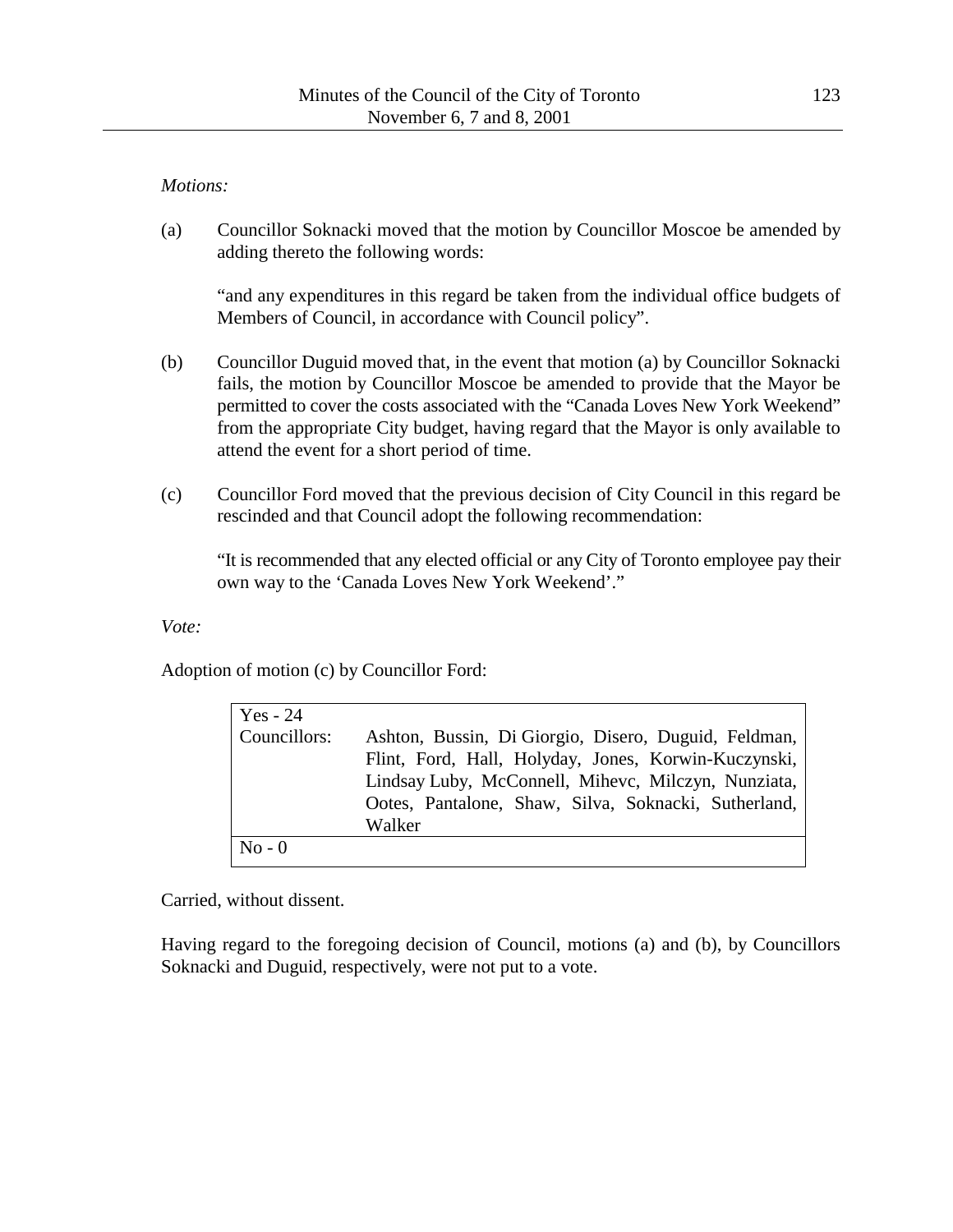## *Motions:*

(a) Councillor Soknacki moved that the motion by Councillor Moscoe be amended by adding thereto the following words:

"and any expenditures in this regard be taken from the individual office budgets of Members of Council, in accordance with Council policy".

- (b) Councillor Duguid moved that, in the event that motion (a) by Councillor Soknacki fails, the motion by Councillor Moscoe be amended to provide that the Mayor be permitted to cover the costs associated with the "Canada Loves New York Weekend" from the appropriate City budget, having regard that the Mayor is only available to attend the event for a short period of time.
- (c) Councillor Ford moved that the previous decision of City Council in this regard be rescinded and that Council adopt the following recommendation:

"It is recommended that any elected official or any City of Toronto employee pay their own way to the 'Canada Loves New York Weekend'."

*Vote:*

Adoption of motion (c) by Councillor Ford:

| Yes - 24     |                                                                                                                                                                                                                                       |
|--------------|---------------------------------------------------------------------------------------------------------------------------------------------------------------------------------------------------------------------------------------|
| Councillors: | Ashton, Bussin, Di Giorgio, Disero, Duguid, Feldman,<br>Flint, Ford, Hall, Holyday, Jones, Korwin-Kuczynski,<br>Lindsay Luby, McConnell, Mihevc, Milczyn, Nunziata,<br>Ootes, Pantalone, Shaw, Silva, Soknacki, Sutherland,<br>Walker |
| $No - 0$     |                                                                                                                                                                                                                                       |

Carried, without dissent.

Having regard to the foregoing decision of Council, motions (a) and (b), by Councillors Soknacki and Duguid, respectively, were not put to a vote.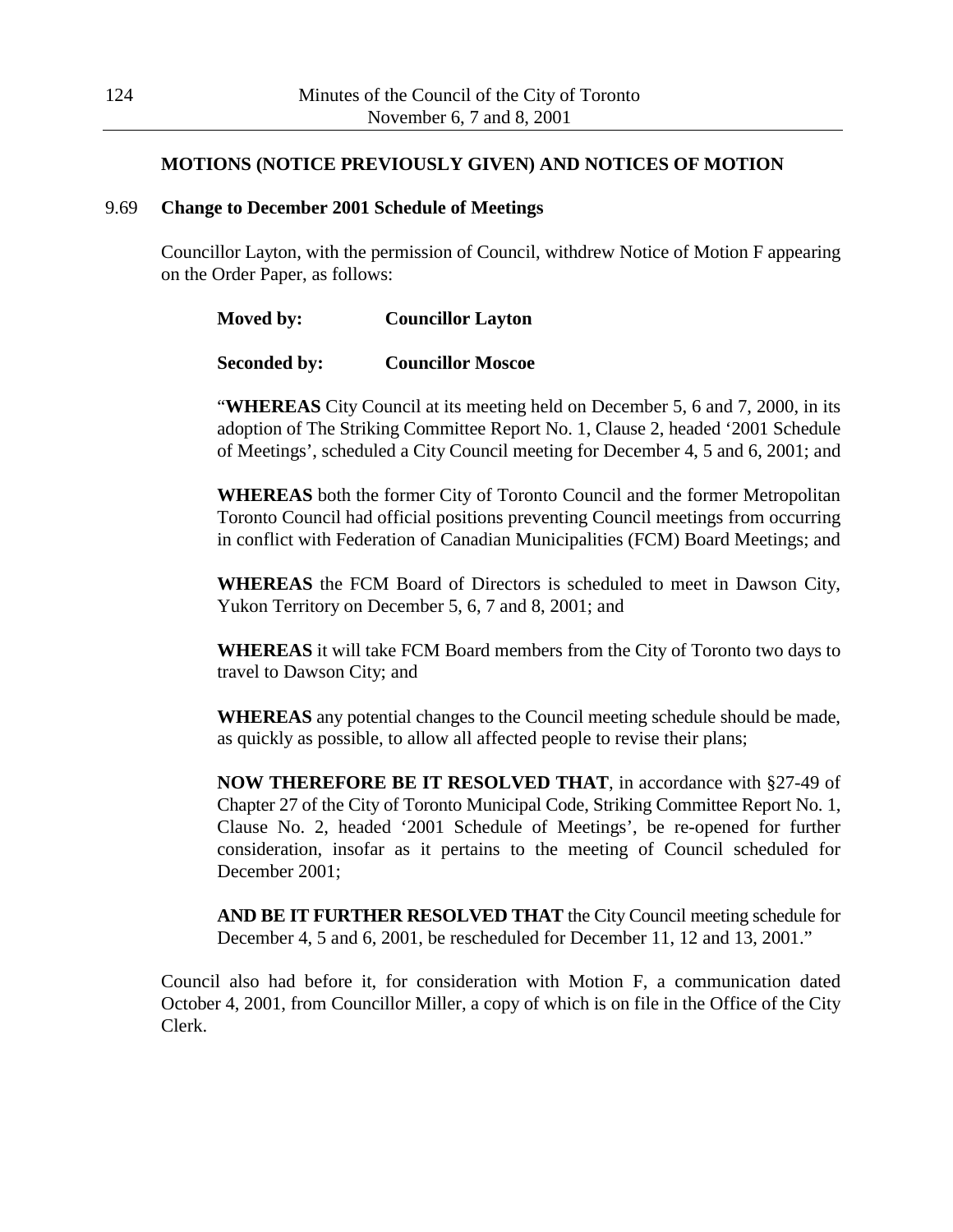## **MOTIONS (NOTICE PREVIOUSLY GIVEN) AND NOTICES OF MOTION**

#### 9.69 **Change to December 2001 Schedule of Meetings**

Councillor Layton, with the permission of Council, withdrew Notice of Motion F appearing on the Order Paper, as follows:

| Moved by: | <b>Councillor Layton</b> |
|-----------|--------------------------|
|           |                          |

```
Seconded by: Councillor Moscoe
```
"**WHEREAS** City Council at its meeting held on December 5, 6 and 7, 2000, in its adoption of The Striking Committee Report No. 1, Clause 2, headed '2001 Schedule of Meetings', scheduled a City Council meeting for December 4, 5 and 6, 2001; and

**WHEREAS** both the former City of Toronto Council and the former Metropolitan Toronto Council had official positions preventing Council meetings from occurring in conflict with Federation of Canadian Municipalities (FCM) Board Meetings; and

**WHEREAS** the FCM Board of Directors is scheduled to meet in Dawson City, Yukon Territory on December 5, 6, 7 and 8, 2001; and

**WHEREAS** it will take FCM Board members from the City of Toronto two days to travel to Dawson City; and

**WHEREAS** any potential changes to the Council meeting schedule should be made, as quickly as possible, to allow all affected people to revise their plans;

**NOW THEREFORE BE IT RESOLVED THAT**, in accordance with §27-49 of Chapter 27 of the City of Toronto Municipal Code, Striking Committee Report No. 1, Clause No. 2, headed '2001 Schedule of Meetings', be re-opened for further consideration, insofar as it pertains to the meeting of Council scheduled for December 2001;

**AND BE IT FURTHER RESOLVED THAT** the City Council meeting schedule for December 4, 5 and 6, 2001, be rescheduled for December 11, 12 and 13, 2001."

Council also had before it, for consideration with Motion F, a communication dated October 4, 2001, from Councillor Miller, a copy of which is on file in the Office of the City Clerk.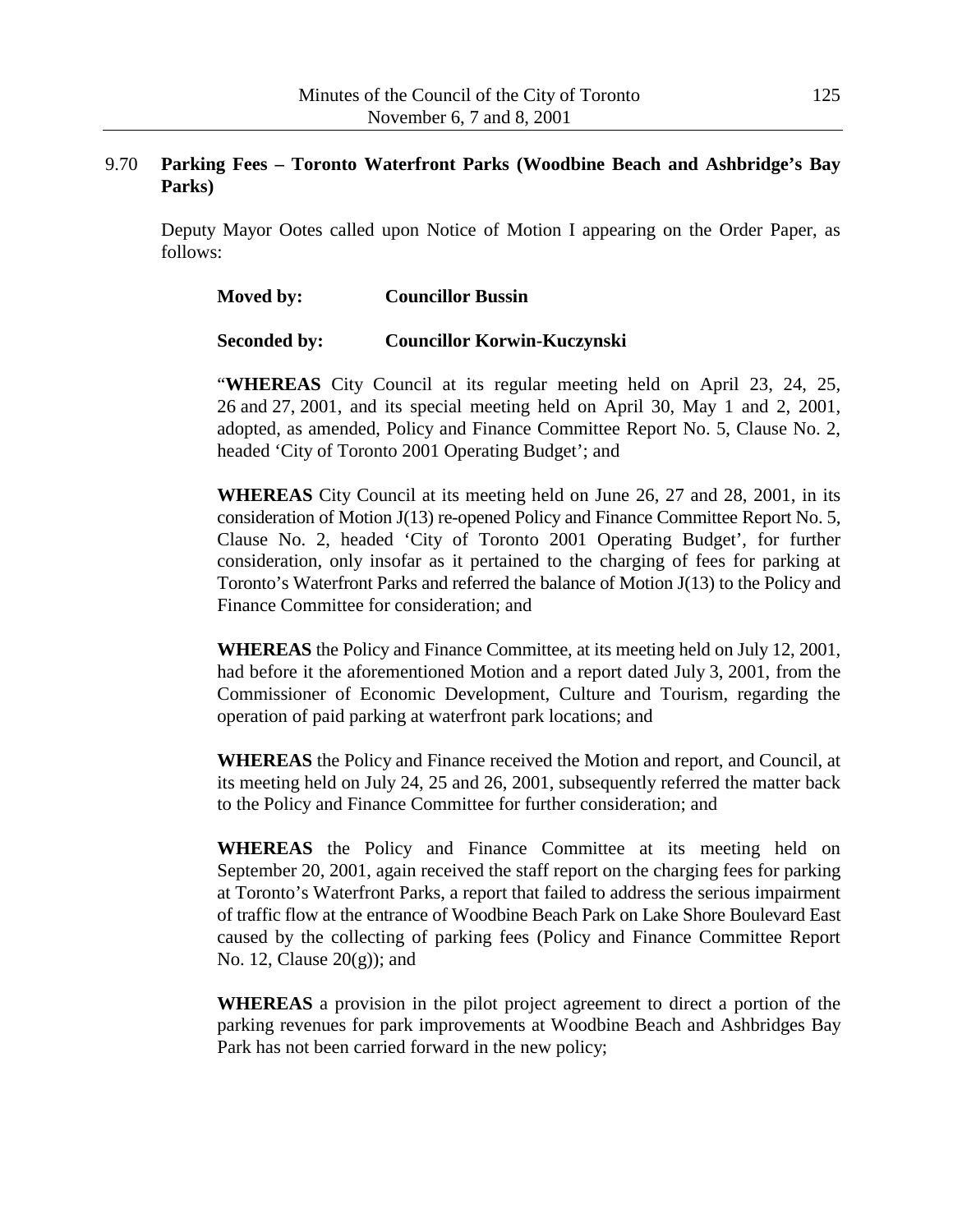### 9.70 **Parking Fees – Toronto Waterfront Parks (Woodbine Beach and Ashbridge's Bay Parks)**

Deputy Mayor Ootes called upon Notice of Motion I appearing on the Order Paper, as follows:

### **Moved by: Councillor Bussin**

#### **Seconded by: Councillor Korwin-Kuczynski**

"**WHEREAS** City Council at its regular meeting held on April 23, 24, 25, 26 and 27, 2001, and its special meeting held on April 30, May 1 and 2, 2001, adopted, as amended, Policy and Finance Committee Report No. 5, Clause No. 2, headed 'City of Toronto 2001 Operating Budget'; and

**WHEREAS** City Council at its meeting held on June 26, 27 and 28, 2001, in its consideration of Motion J(13) re-opened Policy and Finance Committee Report No. 5, Clause No. 2, headed 'City of Toronto 2001 Operating Budget', for further consideration, only insofar as it pertained to the charging of fees for parking at Toronto's Waterfront Parks and referred the balance of Motion J(13) to the Policy and Finance Committee for consideration; and

**WHEREAS** the Policy and Finance Committee, at its meeting held on July 12, 2001, had before it the aforementioned Motion and a report dated July 3, 2001, from the Commissioner of Economic Development, Culture and Tourism, regarding the operation of paid parking at waterfront park locations; and

**WHEREAS** the Policy and Finance received the Motion and report, and Council, at its meeting held on July 24, 25 and 26, 2001, subsequently referred the matter back to the Policy and Finance Committee for further consideration; and

**WHEREAS** the Policy and Finance Committee at its meeting held on September 20, 2001, again received the staff report on the charging fees for parking at Toronto's Waterfront Parks, a report that failed to address the serious impairment of traffic flow at the entrance of Woodbine Beach Park on Lake Shore Boulevard East caused by the collecting of parking fees (Policy and Finance Committee Report No. 12, Clause  $20(g)$ ; and

**WHEREAS** a provision in the pilot project agreement to direct a portion of the parking revenues for park improvements at Woodbine Beach and Ashbridges Bay Park has not been carried forward in the new policy;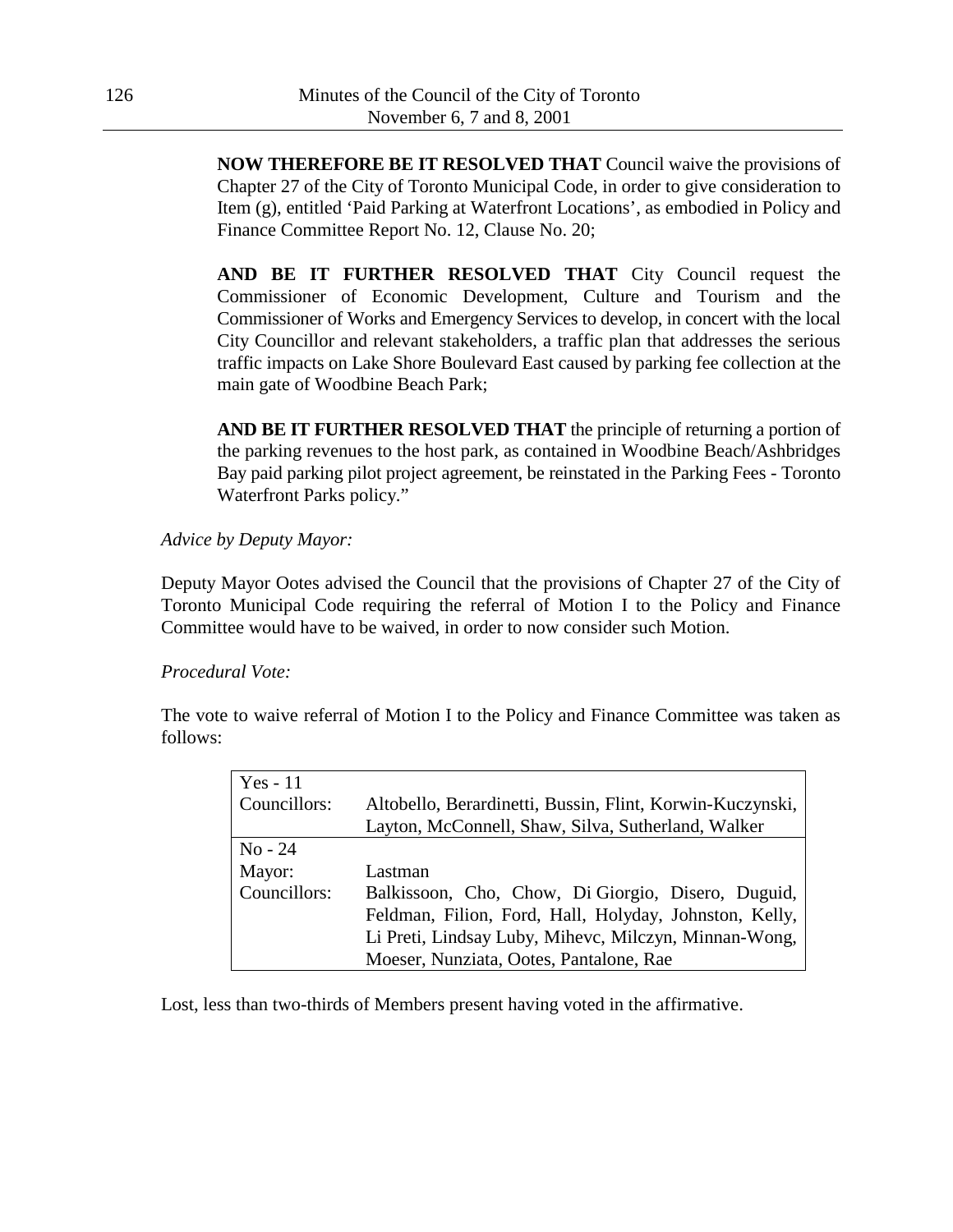**NOW THEREFORE BE IT RESOLVED THAT** Council waive the provisions of Chapter 27 of the City of Toronto Municipal Code, in order to give consideration to Item (g), entitled 'Paid Parking at Waterfront Locations', as embodied in Policy and Finance Committee Report No. 12, Clause No. 20;

**AND BE IT FURTHER RESOLVED THAT** City Council request the Commissioner of Economic Development, Culture and Tourism and the Commissioner of Works and Emergency Services to develop, in concert with the local City Councillor and relevant stakeholders, a traffic plan that addresses the serious traffic impacts on Lake Shore Boulevard East caused by parking fee collection at the main gate of Woodbine Beach Park;

**AND BE IT FURTHER RESOLVED THAT** the principle of returning a portion of the parking revenues to the host park, as contained in Woodbine Beach/Ashbridges Bay paid parking pilot project agreement, be reinstated in the Parking Fees - Toronto Waterfront Parks policy."

### *Advice by Deputy Mayor:*

Deputy Mayor Ootes advised the Council that the provisions of Chapter 27 of the City of Toronto Municipal Code requiring the referral of Motion I to the Policy and Finance Committee would have to be waived, in order to now consider such Motion.

### *Procedural Vote:*

The vote to waive referral of Motion I to the Policy and Finance Committee was taken as follows:

| $Yes - 11$    |                                                           |  |
|---------------|-----------------------------------------------------------|--|
| Councillors:  | Altobello, Berardinetti, Bussin, Flint, Korwin-Kuczynski, |  |
|               | Layton, McConnell, Shaw, Silva, Sutherland, Walker        |  |
| $\rm No - 24$ |                                                           |  |
| Mayor:        | Lastman                                                   |  |
| Councillors:  | Balkissoon, Cho, Chow, Di Giorgio, Disero, Duguid,        |  |
|               | Feldman, Filion, Ford, Hall, Holyday, Johnston, Kelly,    |  |
|               | Li Preti, Lindsay Luby, Mihevc, Milczyn, Minnan-Wong,     |  |
|               | Moeser, Nunziata, Ootes, Pantalone, Rae                   |  |

Lost, less than two-thirds of Members present having voted in the affirmative.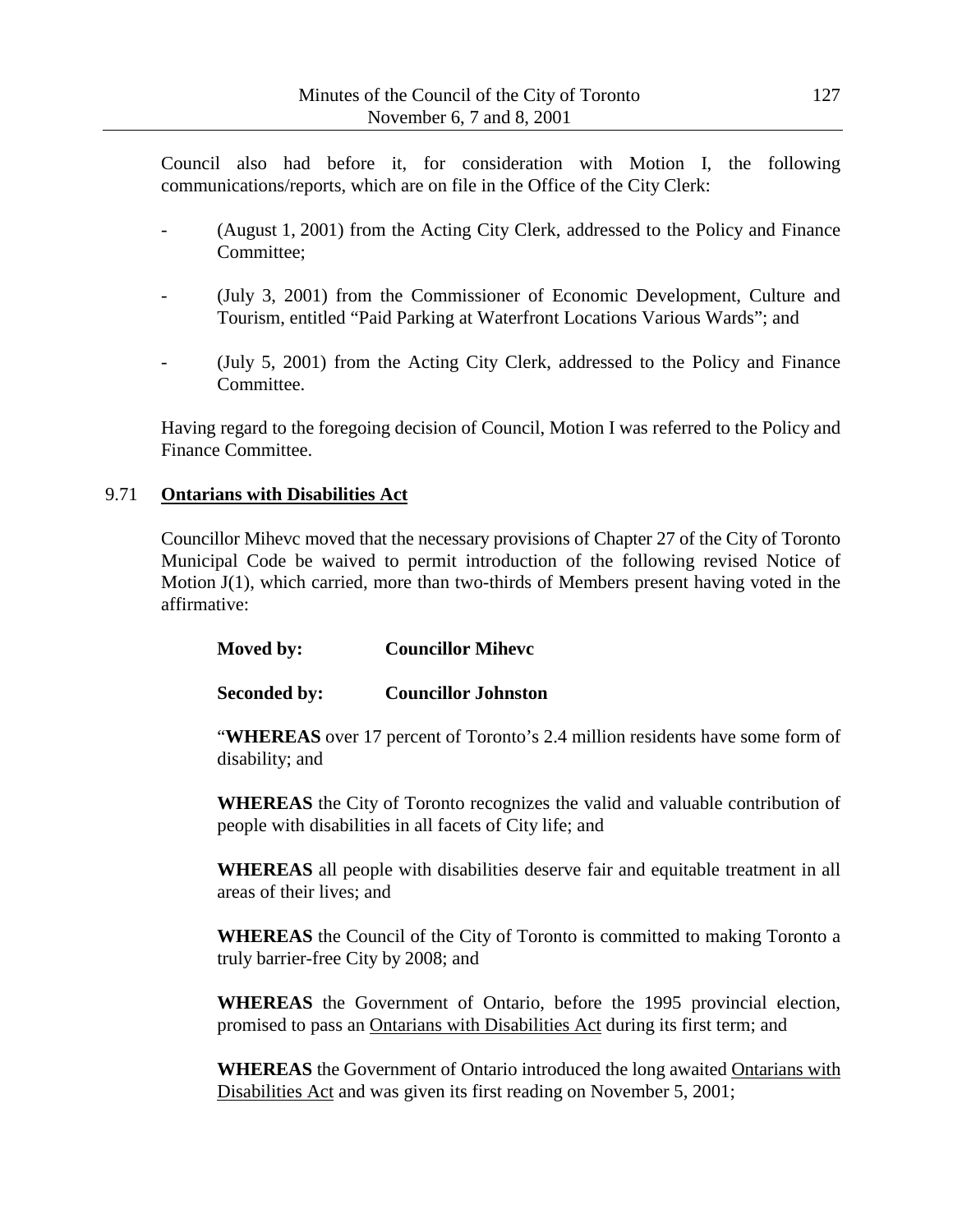Council also had before it, for consideration with Motion I, the following communications/reports, which are on file in the Office of the City Clerk:

- (August 1, 2001) from the Acting City Clerk, addressed to the Policy and Finance Committee;
- (July 3, 2001) from the Commissioner of Economic Development, Culture and Tourism, entitled "Paid Parking at Waterfront Locations Various Wards"; and
- (July 5, 2001) from the Acting City Clerk, addressed to the Policy and Finance Committee.

Having regard to the foregoing decision of Council, Motion I was referred to the Policy and Finance Committee.

## 9.71 **Ontarians with Disabilities Act**

Councillor Mihevc moved that the necessary provisions of Chapter 27 of the City of Toronto Municipal Code be waived to permit introduction of the following revised Notice of Motion J(1), which carried, more than two-thirds of Members present having voted in the affirmative:

| Moved by: | <b>Councillor Miheve</b> |
|-----------|--------------------------|
|-----------|--------------------------|

# **Seconded by: Councillor Johnston**

"**WHEREAS** over 17 percent of Toronto's 2.4 million residents have some form of disability; and

**WHEREAS** the City of Toronto recognizes the valid and valuable contribution of people with disabilities in all facets of City life; and

**WHEREAS** all people with disabilities deserve fair and equitable treatment in all areas of their lives; and

**WHEREAS** the Council of the City of Toronto is committed to making Toronto a truly barrier-free City by 2008; and

**WHEREAS** the Government of Ontario, before the 1995 provincial election, promised to pass an Ontarians with Disabilities Act during its first term; and

**WHEREAS** the Government of Ontario introduced the long awaited Ontarians with Disabilities Act and was given its first reading on November 5, 2001;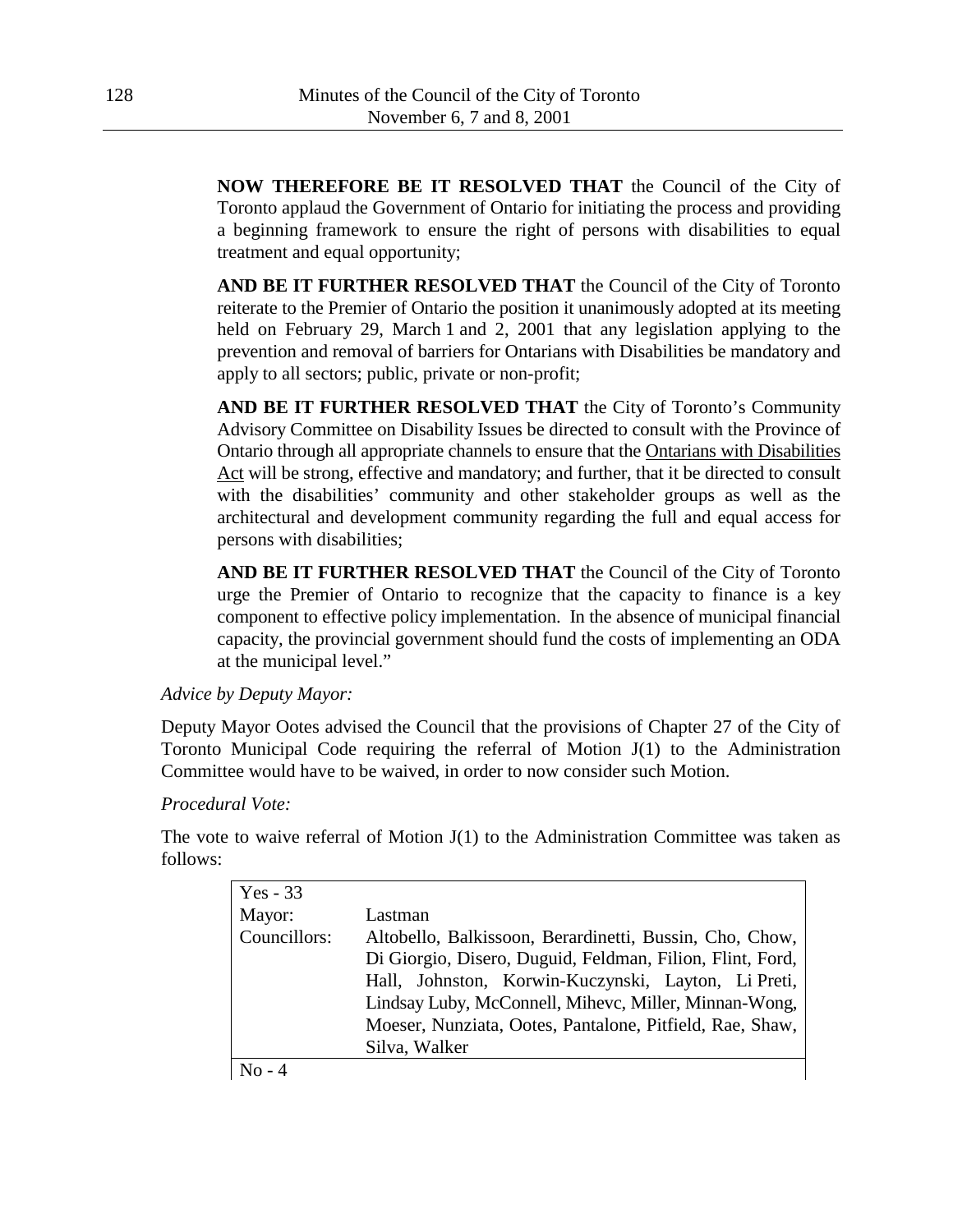**NOW THEREFORE BE IT RESOLVED THAT** the Council of the City of Toronto applaud the Government of Ontario for initiating the process and providing a beginning framework to ensure the right of persons with disabilities to equal treatment and equal opportunity;

**AND BE IT FURTHER RESOLVED THAT** the Council of the City of Toronto reiterate to the Premier of Ontario the position it unanimously adopted at its meeting held on February 29, March 1 and 2, 2001 that any legislation applying to the prevention and removal of barriers for Ontarians with Disabilities be mandatory and apply to all sectors; public, private or non-profit;

**AND BE IT FURTHER RESOLVED THAT** the City of Toronto's Community Advisory Committee on Disability Issues be directed to consult with the Province of Ontario through all appropriate channels to ensure that the Ontarians with Disabilities Act will be strong, effective and mandatory; and further, that it be directed to consult with the disabilities' community and other stakeholder groups as well as the architectural and development community regarding the full and equal access for persons with disabilities;

**AND BE IT FURTHER RESOLVED THAT** the Council of the City of Toronto urge the Premier of Ontario to recognize that the capacity to finance is a key component to effective policy implementation. In the absence of municipal financial capacity, the provincial government should fund the costs of implementing an ODA at the municipal level."

### *Advice by Deputy Mayor:*

Deputy Mayor Ootes advised the Council that the provisions of Chapter 27 of the City of Toronto Municipal Code requiring the referral of Motion J(1) to the Administration Committee would have to be waived, in order to now consider such Motion.

### *Procedural Vote:*

The vote to waive referral of Motion  $J(1)$  to the Administration Committee was taken as follows:

| $Yes - 33$   |                                                           |
|--------------|-----------------------------------------------------------|
| Mayor:       | Lastman                                                   |
| Councillors: | Altobello, Balkissoon, Berardinetti, Bussin, Cho, Chow,   |
|              | Di Giorgio, Disero, Duguid, Feldman, Filion, Flint, Ford, |
|              | Hall, Johnston, Korwin-Kuczynski, Layton, Li Preti,       |
|              | Lindsay Luby, McConnell, Mihevc, Miller, Minnan-Wong,     |
|              | Moeser, Nunziata, Ootes, Pantalone, Pitfield, Rae, Shaw,  |
|              | Silva, Walker                                             |
| $No - 4$     |                                                           |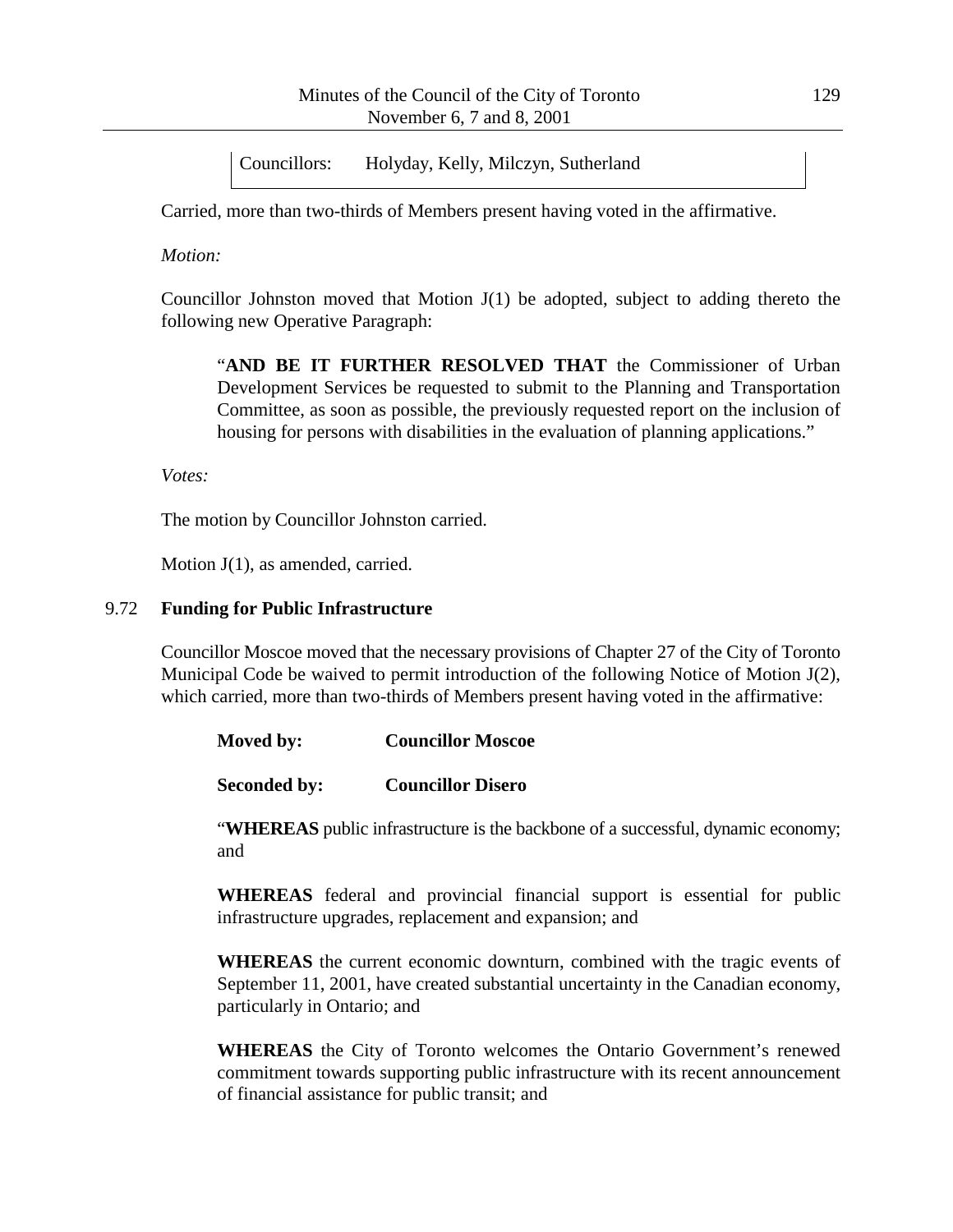Councillors: Holyday, Kelly, Milczyn, Sutherland

Carried, more than two-thirds of Members present having voted in the affirmative.

*Motion:*

Councillor Johnston moved that Motion  $J(1)$  be adopted, subject to adding thereto the following new Operative Paragraph:

"**AND BE IT FURTHER RESOLVED THAT** the Commissioner of Urban Development Services be requested to submit to the Planning and Transportation Committee, as soon as possible, the previously requested report on the inclusion of housing for persons with disabilities in the evaluation of planning applications."

*Votes:*

The motion by Councillor Johnston carried.

Motion J(1), as amended, carried.

#### 9.72 **Funding for Public Infrastructure**

Councillor Moscoe moved that the necessary provisions of Chapter 27 of the City of Toronto Municipal Code be waived to permit introduction of the following Notice of Motion J(2), which carried, more than two-thirds of Members present having voted in the affirmative:

| Moved by:<br><b>Councillor Moscoe</b> |
|---------------------------------------|
|---------------------------------------|

**Seconded by: Councillor Disero**

"**WHEREAS** public infrastructure is the backbone of a successful, dynamic economy; and

**WHEREAS** federal and provincial financial support is essential for public infrastructure upgrades, replacement and expansion; and

**WHEREAS** the current economic downturn, combined with the tragic events of September 11, 2001, have created substantial uncertainty in the Canadian economy, particularly in Ontario; and

**WHEREAS** the City of Toronto welcomes the Ontario Government's renewed commitment towards supporting public infrastructure with its recent announcement of financial assistance for public transit; and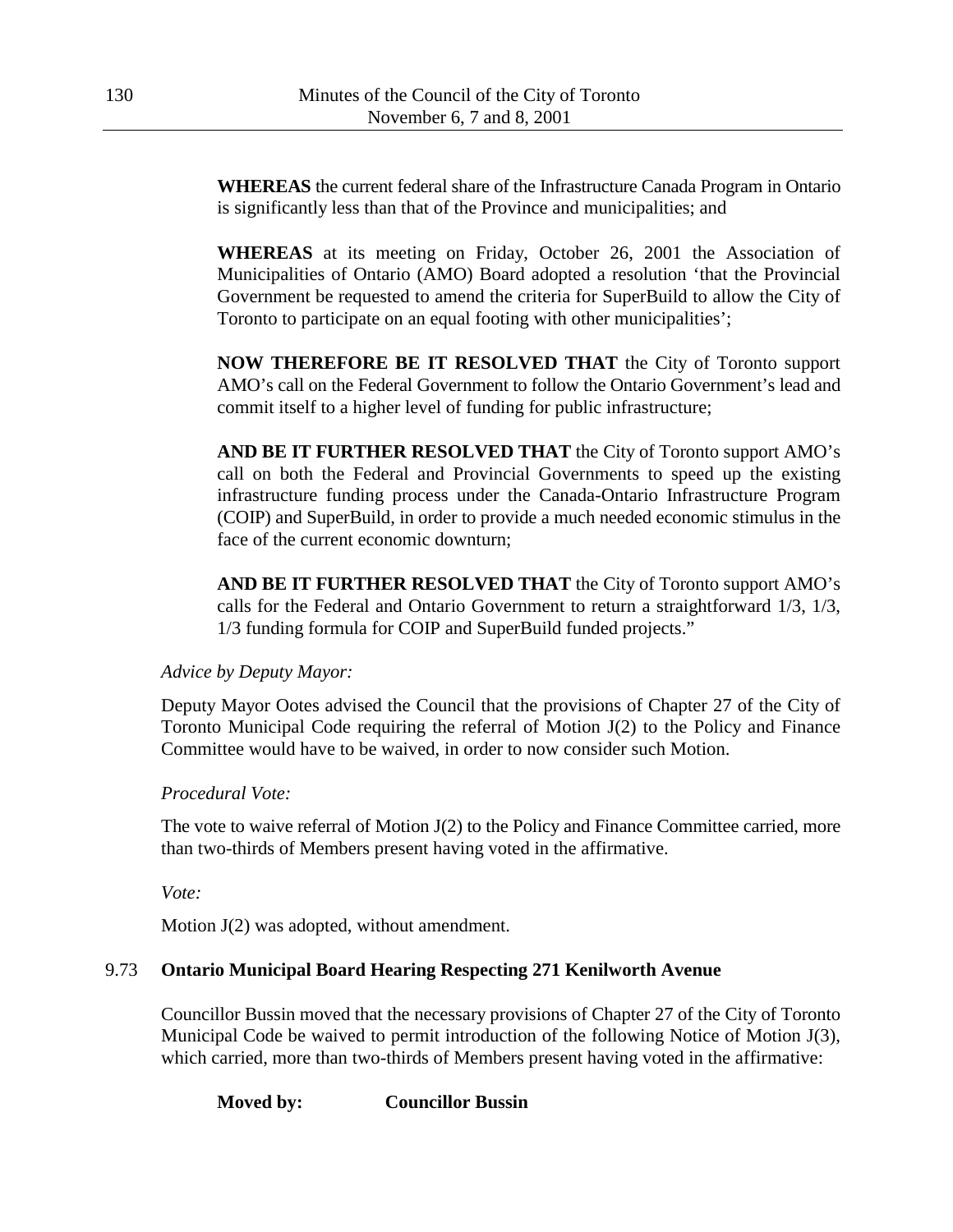**WHEREAS** the current federal share of the Infrastructure Canada Program in Ontario is significantly less than that of the Province and municipalities; and

**WHEREAS** at its meeting on Friday, October 26, 2001 the Association of Municipalities of Ontario (AMO) Board adopted a resolution 'that the Provincial Government be requested to amend the criteria for SuperBuild to allow the City of Toronto to participate on an equal footing with other municipalities';

**NOW THEREFORE BE IT RESOLVED THAT** the City of Toronto support AMO's call on the Federal Government to follow the Ontario Government's lead and commit itself to a higher level of funding for public infrastructure;

**AND BE IT FURTHER RESOLVED THAT** the City of Toronto support AMO's call on both the Federal and Provincial Governments to speed up the existing infrastructure funding process under the Canada-Ontario Infrastructure Program (COIP) and SuperBuild, in order to provide a much needed economic stimulus in the face of the current economic downturn;

**AND BE IT FURTHER RESOLVED THAT** the City of Toronto support AMO's calls for the Federal and Ontario Government to return a straightforward 1/3, 1/3, 1/3 funding formula for COIP and SuperBuild funded projects."

*Advice by Deputy Mayor:*

Deputy Mayor Ootes advised the Council that the provisions of Chapter 27 of the City of Toronto Municipal Code requiring the referral of Motion J(2) to the Policy and Finance Committee would have to be waived, in order to now consider such Motion.

# *Procedural Vote:*

The vote to waive referral of Motion J(2) to the Policy and Finance Committee carried, more than two-thirds of Members present having voted in the affirmative.

*Vote:*

Motion  $J(2)$  was adopted, without amendment.

# 9.73 **Ontario Municipal Board Hearing Respecting 271 Kenilworth Avenue**

Councillor Bussin moved that the necessary provisions of Chapter 27 of the City of Toronto Municipal Code be waived to permit introduction of the following Notice of Motion J(3), which carried, more than two-thirds of Members present having voted in the affirmative:

**Moved by: Councillor Bussin**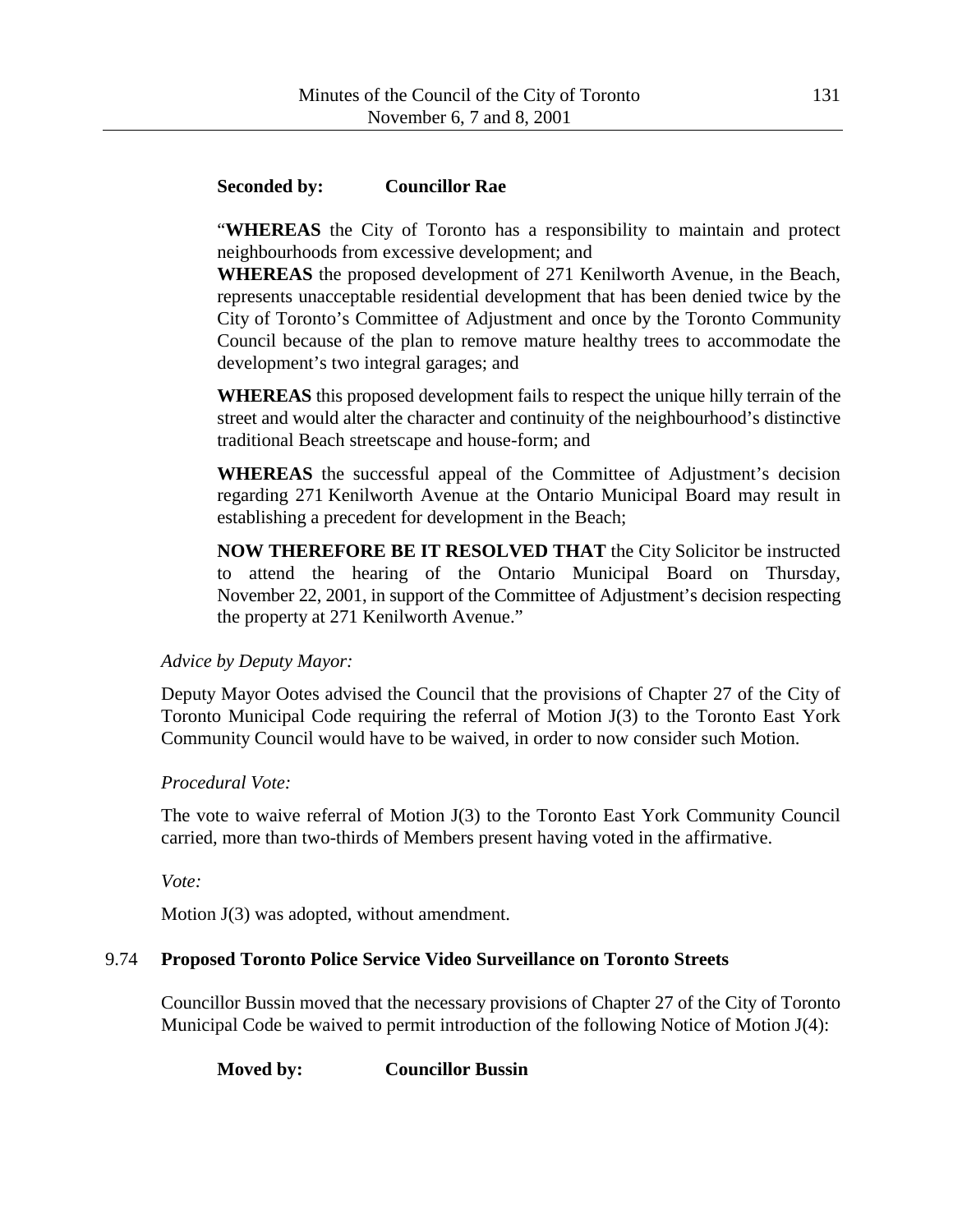## **Seconded by: Councillor Rae**

"**WHEREAS** the City of Toronto has a responsibility to maintain and protect neighbourhoods from excessive development; and

**WHEREAS** the proposed development of 271 Kenilworth Avenue, in the Beach, represents unacceptable residential development that has been denied twice by the City of Toronto's Committee of Adjustment and once by the Toronto Community Council because of the plan to remove mature healthy trees to accommodate the development's two integral garages; and

**WHEREAS** this proposed development fails to respect the unique hilly terrain of the street and would alter the character and continuity of the neighbourhood's distinctive traditional Beach streetscape and house-form; and

**WHEREAS** the successful appeal of the Committee of Adjustment's decision regarding 271 Kenilworth Avenue at the Ontario Municipal Board may result in establishing a precedent for development in the Beach;

**NOW THEREFORE BE IT RESOLVED THAT** the City Solicitor be instructed to attend the hearing of the Ontario Municipal Board on Thursday, November 22, 2001, in support of the Committee of Adjustment's decision respecting the property at 271 Kenilworth Avenue."

### *Advice by Deputy Mayor:*

Deputy Mayor Ootes advised the Council that the provisions of Chapter 27 of the City of Toronto Municipal Code requiring the referral of Motion J(3) to the Toronto East York Community Council would have to be waived, in order to now consider such Motion.

### *Procedural Vote:*

The vote to waive referral of Motion J(3) to the Toronto East York Community Council carried, more than two-thirds of Members present having voted in the affirmative.

*Vote:*

Motion J(3) was adopted, without amendment.

# 9.74 **Proposed Toronto Police Service Video Surveillance on Toronto Streets**

Councillor Bussin moved that the necessary provisions of Chapter 27 of the City of Toronto Municipal Code be waived to permit introduction of the following Notice of Motion J(4):

**Moved by: Councillor Bussin**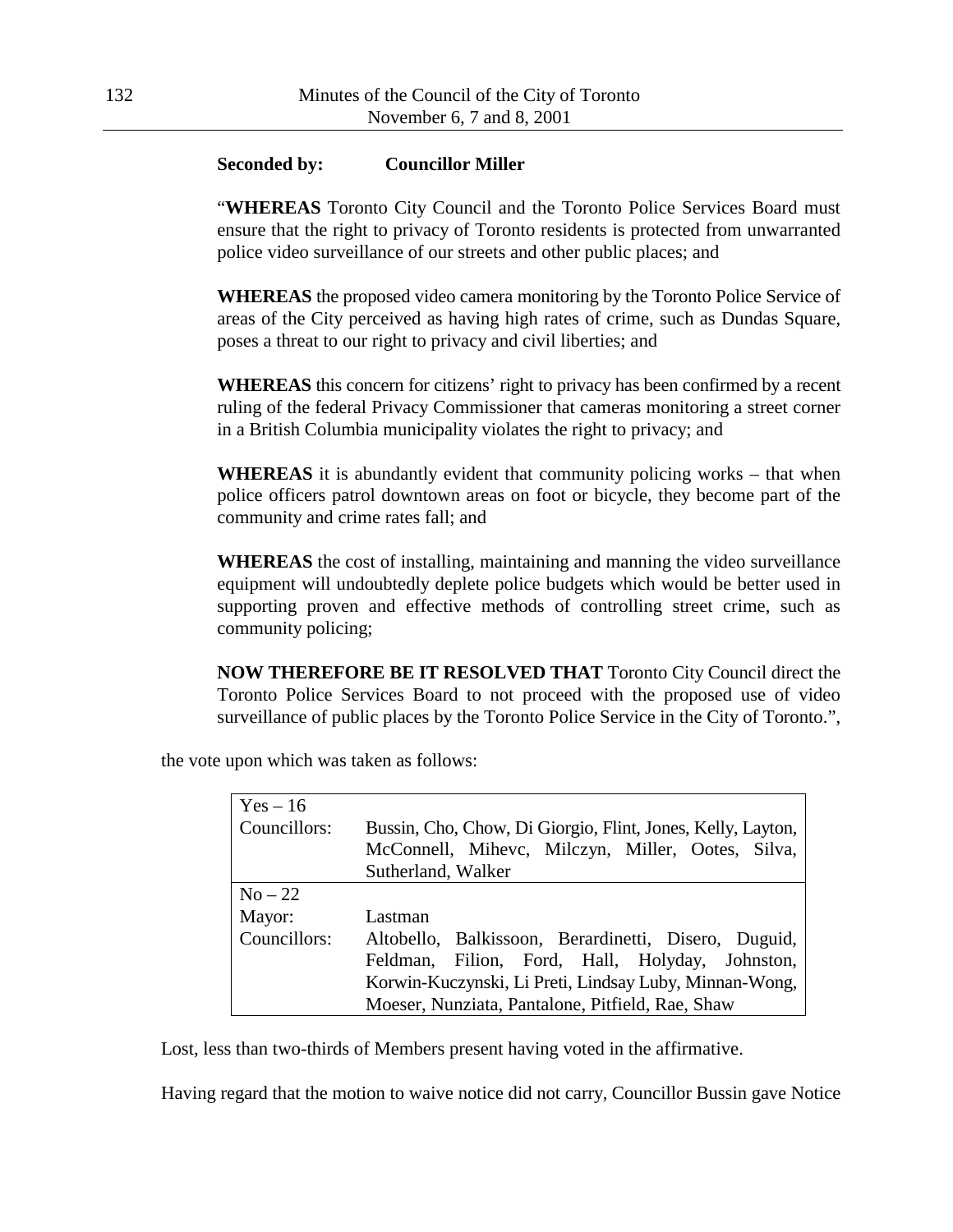#### **Seconded by: Councillor Miller**

"**WHEREAS** Toronto City Council and the Toronto Police Services Board must ensure that the right to privacy of Toronto residents is protected from unwarranted police video surveillance of our streets and other public places; and

**WHEREAS** the proposed video camera monitoring by the Toronto Police Service of areas of the City perceived as having high rates of crime, such as Dundas Square, poses a threat to our right to privacy and civil liberties; and

**WHEREAS** this concern for citizens' right to privacy has been confirmed by a recent ruling of the federal Privacy Commissioner that cameras monitoring a street corner in a British Columbia municipality violates the right to privacy; and

**WHEREAS** it is abundantly evident that community policing works – that when police officers patrol downtown areas on foot or bicycle, they become part of the community and crime rates fall; and

**WHEREAS** the cost of installing, maintaining and manning the video surveillance equipment will undoubtedly deplete police budgets which would be better used in supporting proven and effective methods of controlling street crime, such as community policing;

**NOW THEREFORE BE IT RESOLVED THAT** Toronto City Council direct the Toronto Police Services Board to not proceed with the proposed use of video surveillance of public places by the Toronto Police Service in the City of Toronto.",

| $Yes - 16$   |                                                             |  |
|--------------|-------------------------------------------------------------|--|
| Councillors: | Bussin, Cho, Chow, Di Giorgio, Flint, Jones, Kelly, Layton, |  |
|              | McConnell, Mihevc, Milczyn, Miller, Ootes, Silva,           |  |
|              | Sutherland, Walker                                          |  |
| $No-22$      |                                                             |  |
| Mayor:       | Lastman                                                     |  |
| Councillors: | Altobello, Balkissoon, Berardinetti, Disero, Duguid,        |  |
|              | Feldman, Filion, Ford, Hall, Holyday, Johnston,             |  |
|              | Korwin-Kuczynski, Li Preti, Lindsay Luby, Minnan-Wong,      |  |
|              | Moeser, Nunziata, Pantalone, Pitfield, Rae, Shaw            |  |

the vote upon which was taken as follows:

Lost, less than two-thirds of Members present having voted in the affirmative.

Having regard that the motion to waive notice did not carry, Councillor Bussin gave Notice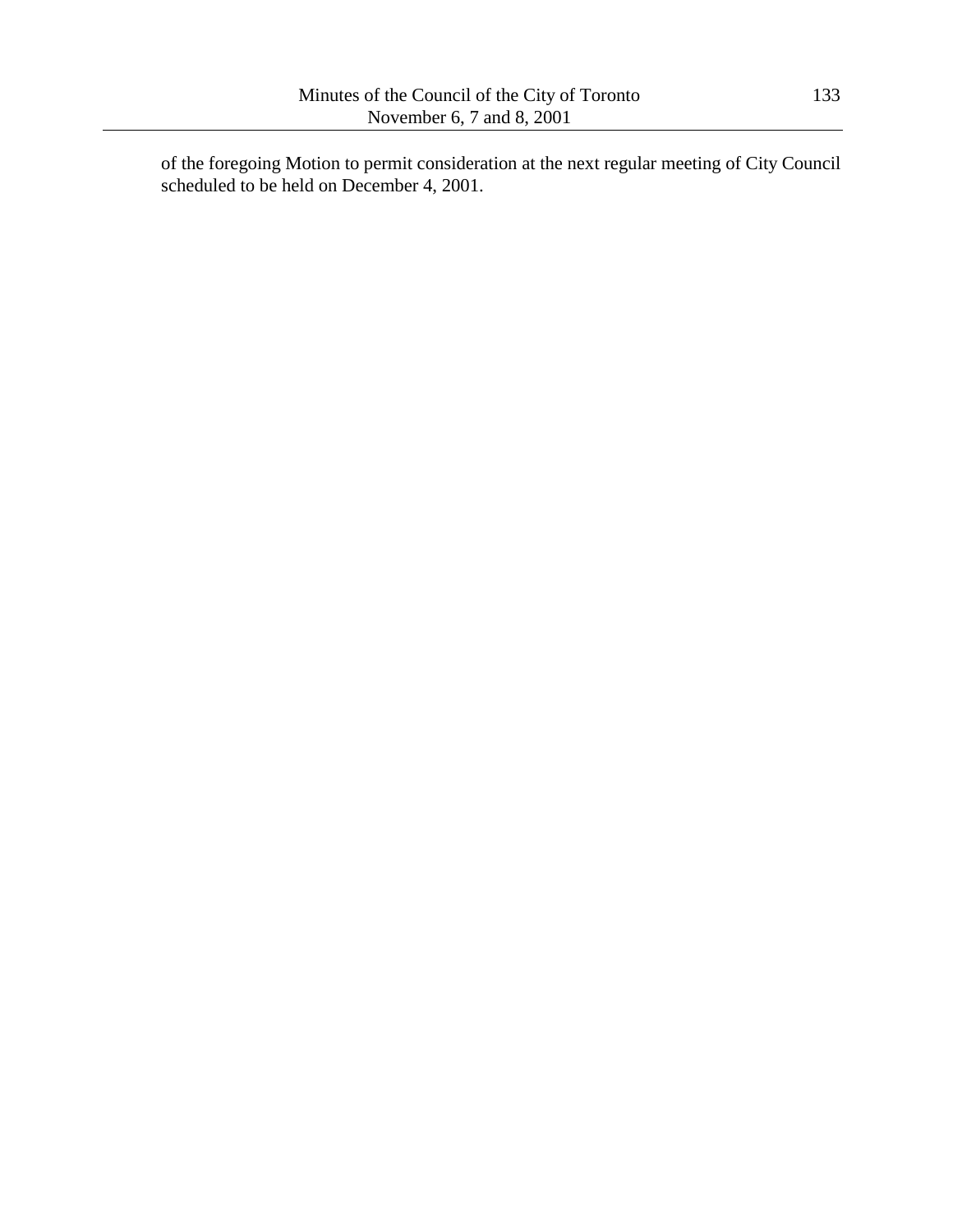of the foregoing Motion to permit consideration at the next regular meeting of City Council scheduled to be held on December 4, 2001.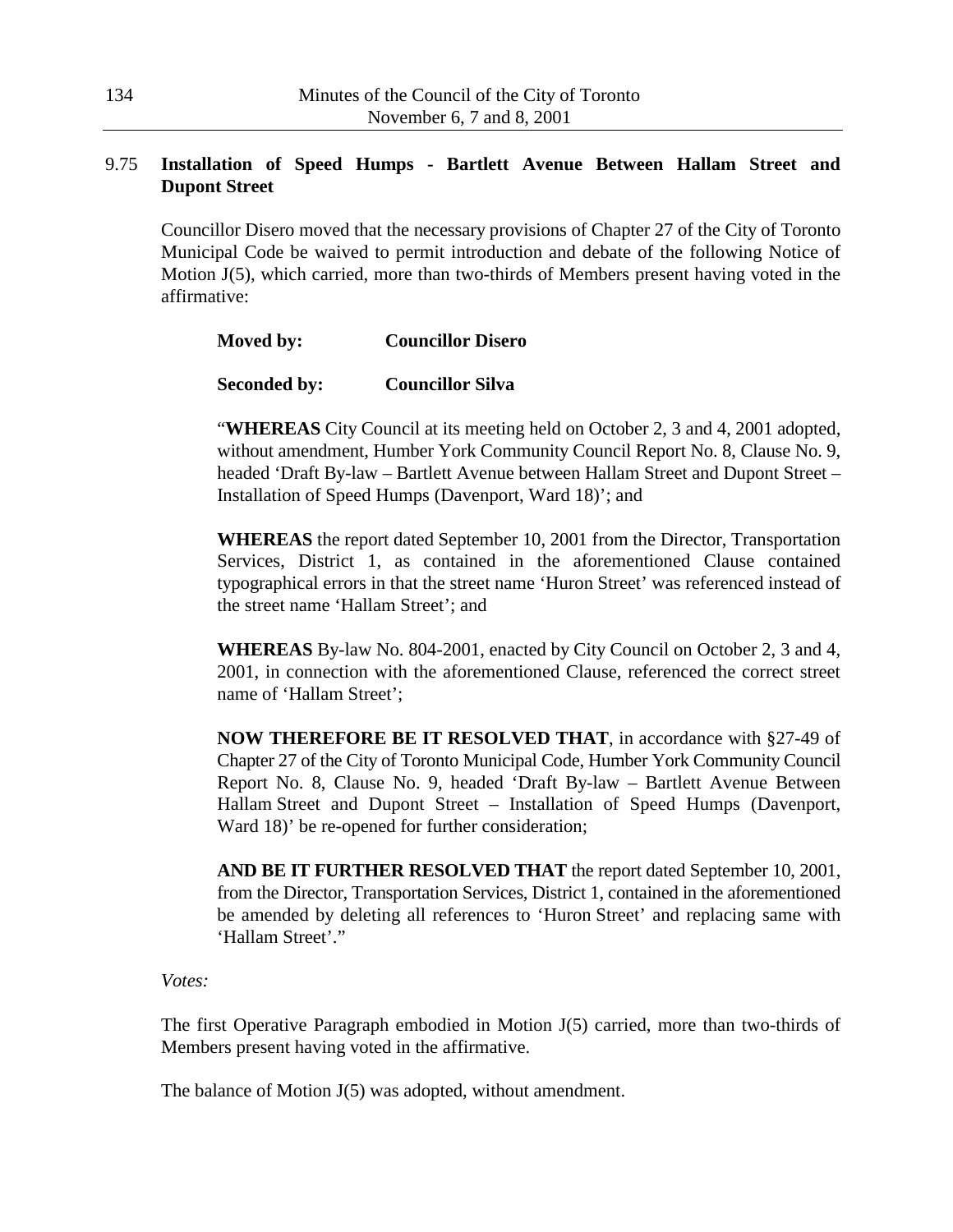## 9.75 **Installation of Speed Humps - Bartlett Avenue Between Hallam Street and Dupont Street**

Councillor Disero moved that the necessary provisions of Chapter 27 of the City of Toronto Municipal Code be waived to permit introduction and debate of the following Notice of Motion J(5), which carried, more than two-thirds of Members present having voted in the affirmative:

| Moved by: | <b>Councillor Disero</b> |
|-----------|--------------------------|
|           |                          |

## **Seconded by: Councillor Silva**

"**WHEREAS** City Council at its meeting held on October 2, 3 and 4, 2001 adopted, without amendment, Humber York Community Council Report No. 8, Clause No. 9, headed 'Draft By-law – Bartlett Avenue between Hallam Street and Dupont Street – Installation of Speed Humps (Davenport, Ward 18)'; and

**WHEREAS** the report dated September 10, 2001 from the Director, Transportation Services, District 1, as contained in the aforementioned Clause contained typographical errors in that the street name 'Huron Street' was referenced instead of the street name 'Hallam Street'; and

**WHEREAS** By-law No. 804-2001, enacted by City Council on October 2, 3 and 4, 2001, in connection with the aforementioned Clause, referenced the correct street name of 'Hallam Street';

**NOW THEREFORE BE IT RESOLVED THAT**, in accordance with §27-49 of Chapter 27 of the City of Toronto Municipal Code, Humber York Community Council Report No. 8, Clause No. 9, headed 'Draft By-law – Bartlett Avenue Between Hallam Street and Dupont Street – Installation of Speed Humps (Davenport, Ward 18)' be re-opened for further consideration;

**AND BE IT FURTHER RESOLVED THAT** the report dated September 10, 2001, from the Director, Transportation Services, District 1, contained in the aforementioned be amended by deleting all references to 'Huron Street' and replacing same with 'Hallam Street'."

*Votes:*

The first Operative Paragraph embodied in Motion J(5) carried, more than two-thirds of Members present having voted in the affirmative.

The balance of Motion J(5) was adopted, without amendment.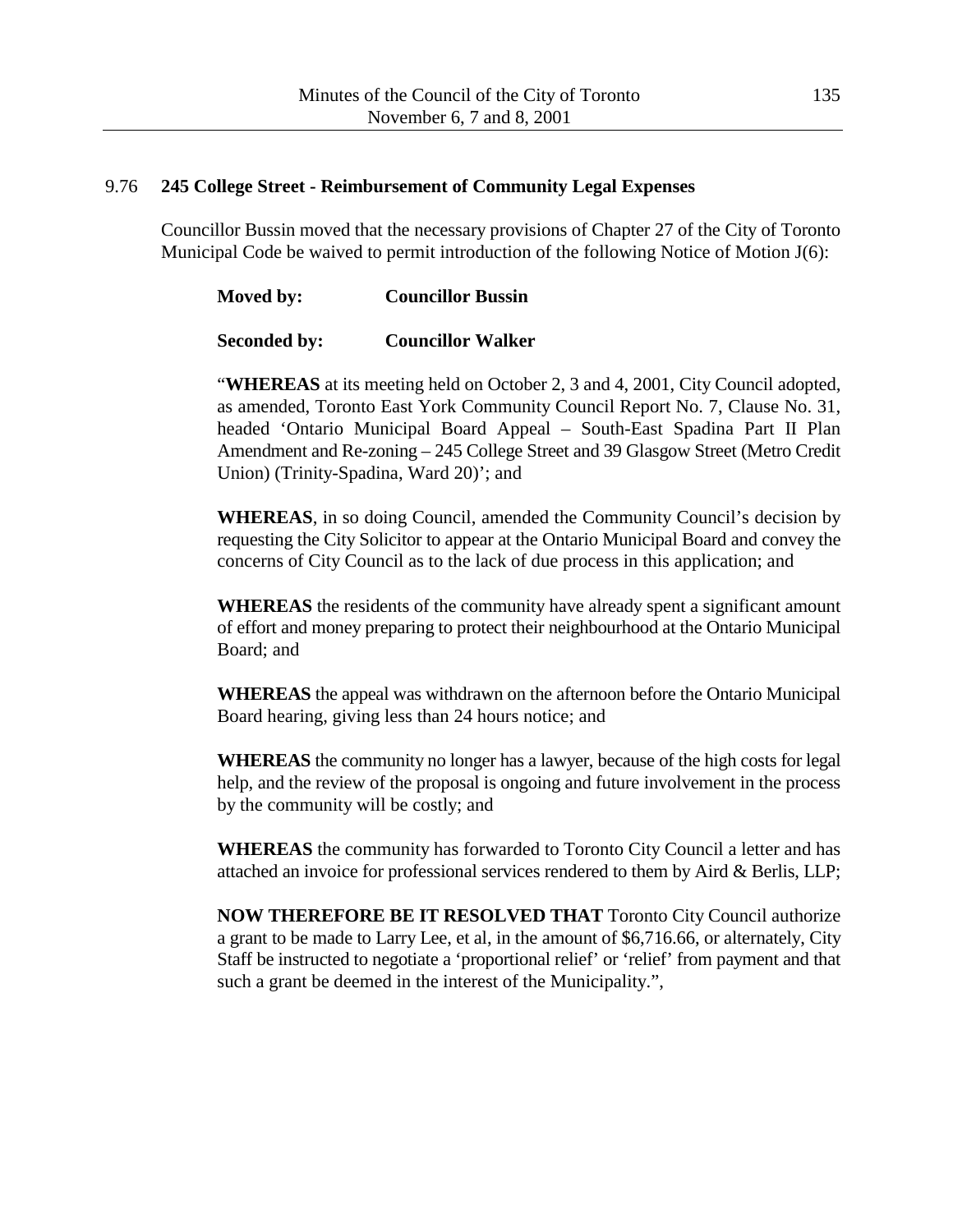#### 9.76 **245 College Street - Reimbursement of Community Legal Expenses**

Councillor Bussin moved that the necessary provisions of Chapter 27 of the City of Toronto Municipal Code be waived to permit introduction of the following Notice of Motion J(6):

**Moved by: Councillor Bussin**

#### **Seconded by: Councillor Walker**

"**WHEREAS** at its meeting held on October 2, 3 and 4, 2001, City Council adopted, as amended, Toronto East York Community Council Report No. 7, Clause No. 31, headed 'Ontario Municipal Board Appeal – South-East Spadina Part II Plan Amendment and Re-zoning – 245 College Street and 39 Glasgow Street (Metro Credit Union) (Trinity-Spadina, Ward 20)'; and

**WHEREAS**, in so doing Council, amended the Community Council's decision by requesting the City Solicitor to appear at the Ontario Municipal Board and convey the concerns of City Council as to the lack of due process in this application; and

**WHEREAS** the residents of the community have already spent a significant amount of effort and money preparing to protect their neighbourhood at the Ontario Municipal Board; and

**WHEREAS** the appeal was withdrawn on the afternoon before the Ontario Municipal Board hearing, giving less than 24 hours notice; and

**WHEREAS** the community no longer has a lawyer, because of the high costs for legal help, and the review of the proposal is ongoing and future involvement in the process by the community will be costly; and

**WHEREAS** the community has forwarded to Toronto City Council a letter and has attached an invoice for professional services rendered to them by Aird & Berlis, LLP;

**NOW THEREFORE BE IT RESOLVED THAT** Toronto City Council authorize a grant to be made to Larry Lee, et al, in the amount of \$6,716.66, or alternately, City Staff be instructed to negotiate a 'proportional relief' or 'relief' from payment and that such a grant be deemed in the interest of the Municipality.",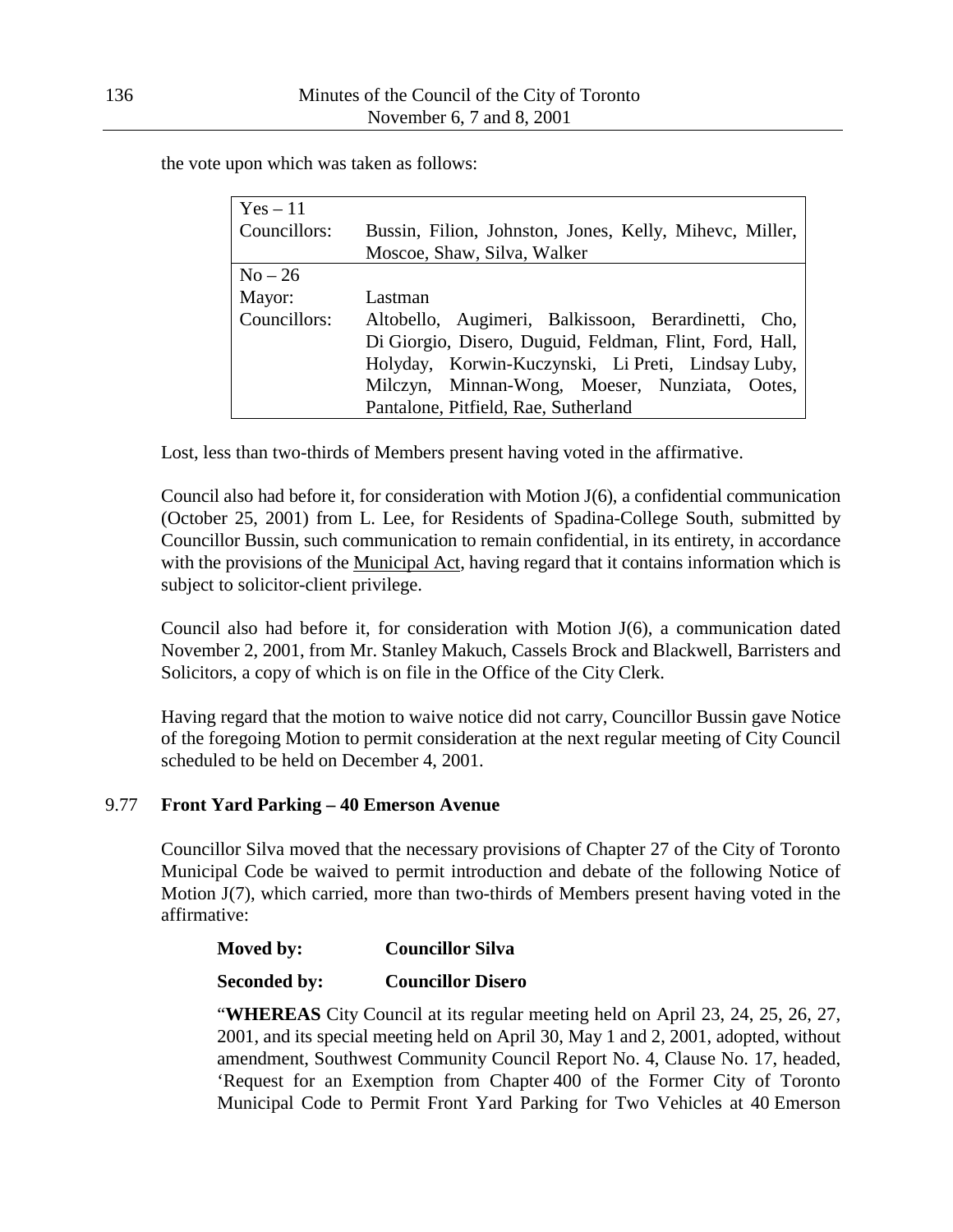the vote upon which was taken as follows:

| $Yes-11$     |                                                         |  |
|--------------|---------------------------------------------------------|--|
| Councillors: | Bussin, Filion, Johnston, Jones, Kelly, Mihevc, Miller, |  |
|              | Moscoe, Shaw, Silva, Walker                             |  |
| $No-26$      |                                                         |  |
| Mayor:       | Lastman                                                 |  |
| Councillors: | Altobello, Augimeri, Balkissoon, Berardinetti, Cho,     |  |
|              | Di Giorgio, Disero, Duguid, Feldman, Flint, Ford, Hall, |  |
|              | Holyday, Korwin-Kuczynski, Li Preti, Lindsay Luby,      |  |
|              | Milczyn, Minnan-Wong, Moeser, Nunziata, Ootes,          |  |
|              | Pantalone, Pitfield, Rae, Sutherland                    |  |

Lost, less than two-thirds of Members present having voted in the affirmative.

Council also had before it, for consideration with Motion J(6), a confidential communication (October 25, 2001) from L. Lee, for Residents of Spadina-College South, submitted by Councillor Bussin, such communication to remain confidential, in its entirety, in accordance with the provisions of the Municipal Act, having regard that it contains information which is subject to solicitor-client privilege.

Council also had before it, for consideration with Motion J(6), a communication dated November 2, 2001, from Mr. Stanley Makuch, Cassels Brock and Blackwell, Barristers and Solicitors, a copy of which is on file in the Office of the City Clerk.

Having regard that the motion to waive notice did not carry, Councillor Bussin gave Notice of the foregoing Motion to permit consideration at the next regular meeting of City Council scheduled to be held on December 4, 2001.

### 9.77 **Front Yard Parking – 40 Emerson Avenue**

Councillor Silva moved that the necessary provisions of Chapter 27 of the City of Toronto Municipal Code be waived to permit introduction and debate of the following Notice of Motion J(7), which carried, more than two-thirds of Members present having voted in the affirmative:

### **Moved by: Councillor Silva**

#### **Seconded by: Councillor Disero**

"**WHEREAS** City Council at its regular meeting held on April 23, 24, 25, 26, 27, 2001, and its special meeting held on April 30, May 1 and 2, 2001, adopted, without amendment, Southwest Community Council Report No. 4, Clause No. 17, headed, 'Request for an Exemption from Chapter 400 of the Former City of Toronto Municipal Code to Permit Front Yard Parking for Two Vehicles at 40 Emerson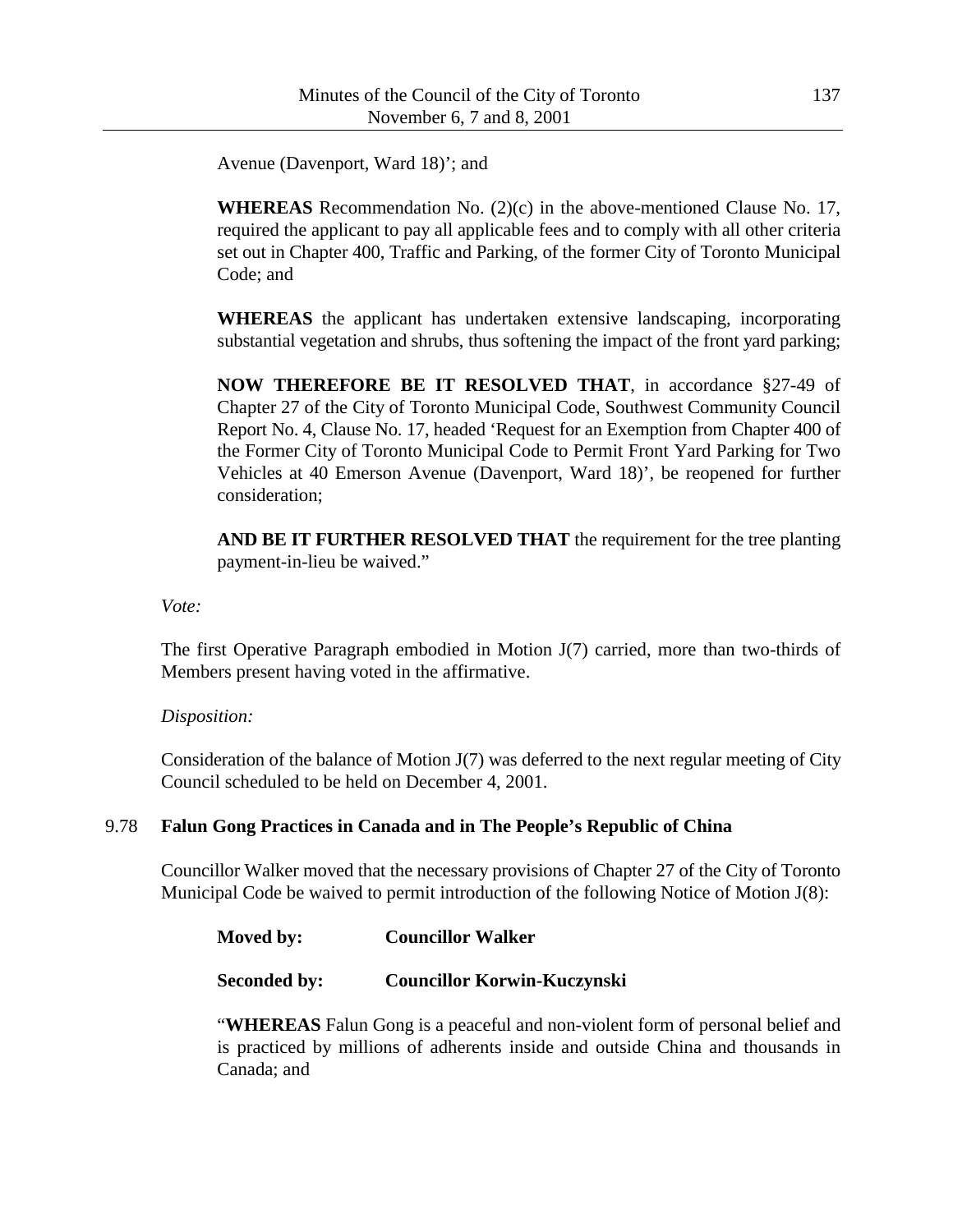Avenue (Davenport, Ward 18)'; and

**WHEREAS** Recommendation No. (2)(c) in the above-mentioned Clause No. 17, required the applicant to pay all applicable fees and to comply with all other criteria set out in Chapter 400, Traffic and Parking, of the former City of Toronto Municipal Code; and

**WHEREAS** the applicant has undertaken extensive landscaping, incorporating substantial vegetation and shrubs, thus softening the impact of the front yard parking;

**NOW THEREFORE BE IT RESOLVED THAT**, in accordance §27-49 of Chapter 27 of the City of Toronto Municipal Code, Southwest Community Council Report No. 4, Clause No. 17, headed 'Request for an Exemption from Chapter 400 of the Former City of Toronto Municipal Code to Permit Front Yard Parking for Two Vehicles at 40 Emerson Avenue (Davenport, Ward 18)', be reopened for further consideration;

**AND BE IT FURTHER RESOLVED THAT** the requirement for the tree planting payment-in-lieu be waived."

*Vote:*

The first Operative Paragraph embodied in Motion J(7) carried, more than two-thirds of Members present having voted in the affirmative.

*Disposition:*

Consideration of the balance of Motion J(7) was deferred to the next regular meeting of City Council scheduled to be held on December 4, 2001.

### 9.78 **Falun Gong Practices in Canada and in The People's Republic of China**

Councillor Walker moved that the necessary provisions of Chapter 27 of the City of Toronto Municipal Code be waived to permit introduction of the following Notice of Motion J(8):

**Moved by: Councillor Walker**

**Seconded by: Councillor Korwin-Kuczynski**

"**WHEREAS** Falun Gong is a peaceful and non-violent form of personal belief and is practiced by millions of adherents inside and outside China and thousands in Canada; and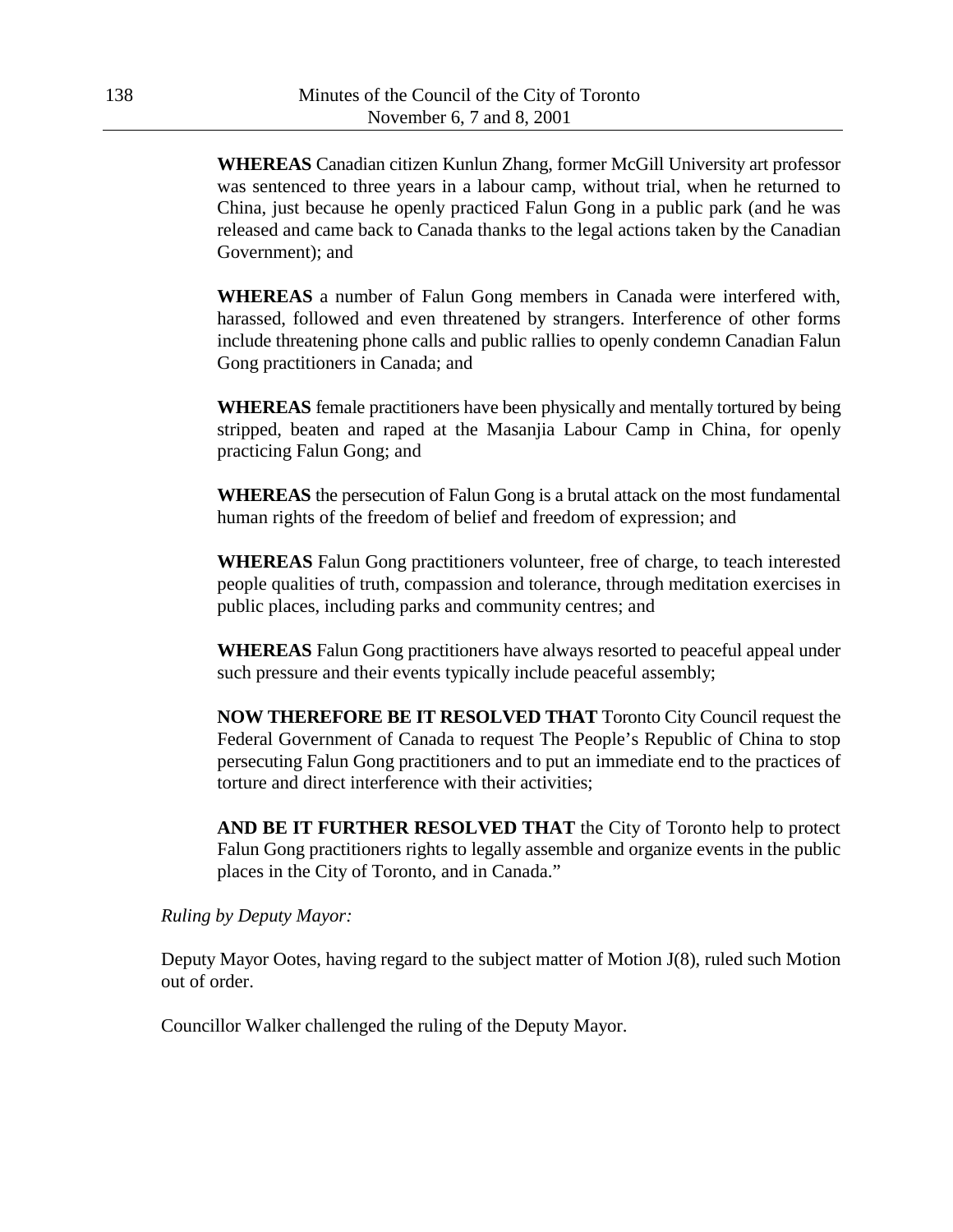**WHEREAS** Canadian citizen Kunlun Zhang, former McGill University art professor was sentenced to three years in a labour camp, without trial, when he returned to China, just because he openly practiced Falun Gong in a public park (and he was released and came back to Canada thanks to the legal actions taken by the Canadian Government); and

**WHEREAS** a number of Falun Gong members in Canada were interfered with, harassed, followed and even threatened by strangers. Interference of other forms include threatening phone calls and public rallies to openly condemn Canadian Falun Gong practitioners in Canada; and

**WHEREAS** female practitioners have been physically and mentally tortured by being stripped, beaten and raped at the Masanjia Labour Camp in China, for openly practicing Falun Gong; and

**WHEREAS** the persecution of Falun Gong is a brutal attack on the most fundamental human rights of the freedom of belief and freedom of expression; and

**WHEREAS** Falun Gong practitioners volunteer, free of charge, to teach interested people qualities of truth, compassion and tolerance, through meditation exercises in public places, including parks and community centres; and

**WHEREAS** Falun Gong practitioners have always resorted to peaceful appeal under such pressure and their events typically include peaceful assembly;

**NOW THEREFORE BE IT RESOLVED THAT** Toronto City Council request the Federal Government of Canada to request The People's Republic of China to stop persecuting Falun Gong practitioners and to put an immediate end to the practices of torture and direct interference with their activities;

**AND BE IT FURTHER RESOLVED THAT** the City of Toronto help to protect Falun Gong practitioners rights to legally assemble and organize events in the public places in the City of Toronto, and in Canada."

*Ruling by Deputy Mayor:*

Deputy Mayor Ootes, having regard to the subject matter of Motion J(8), ruled such Motion out of order.

Councillor Walker challenged the ruling of the Deputy Mayor.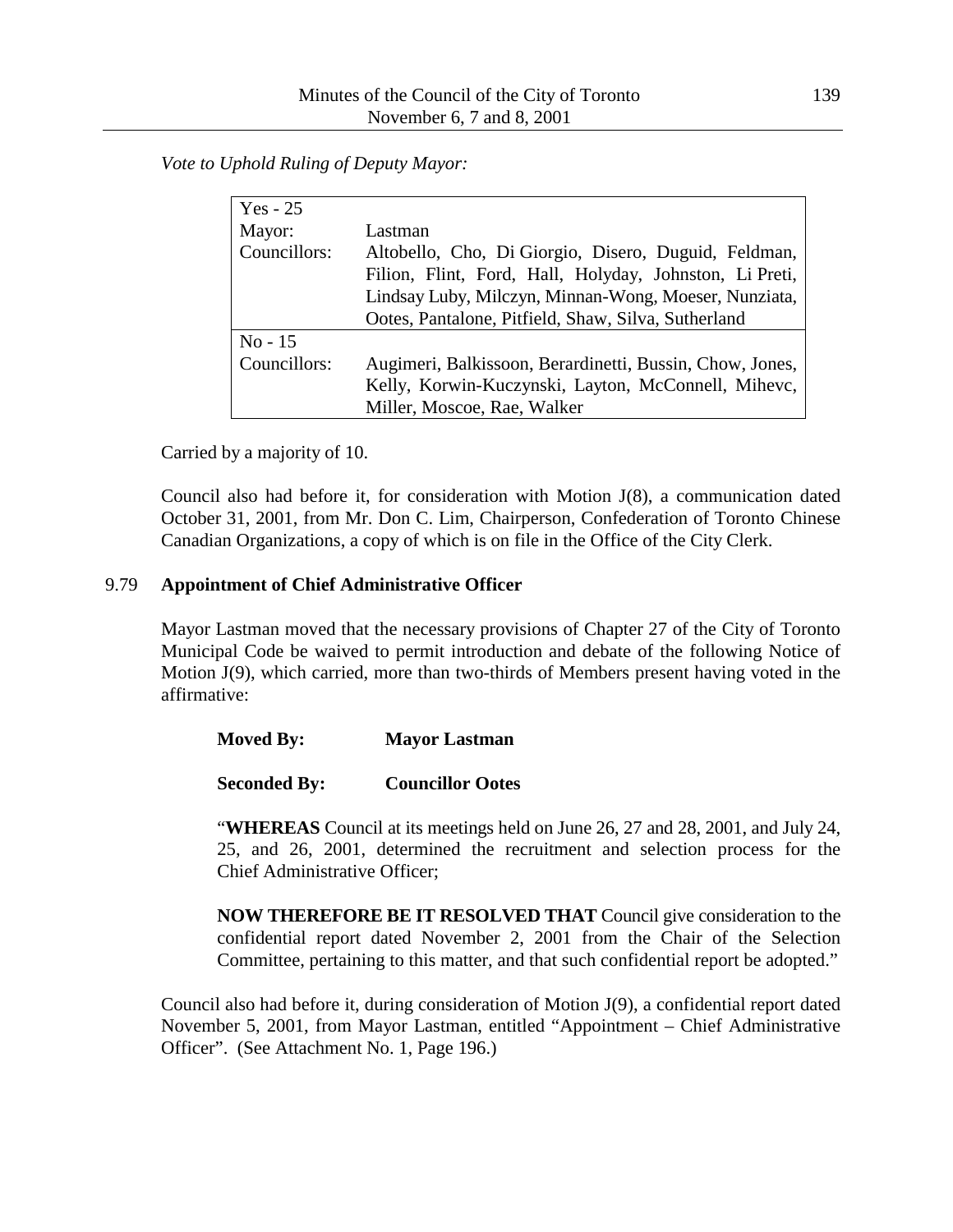*Vote to Uphold Ruling of Deputy Mayor:*

| $Yes - 25$   |                                                          |  |
|--------------|----------------------------------------------------------|--|
| Mayor:       | Lastman                                                  |  |
| Councillors: | Altobello, Cho, Di Giorgio, Disero, Duguid, Feldman,     |  |
|              | Filion, Flint, Ford, Hall, Holyday, Johnston, Li Preti,  |  |
|              | Lindsay Luby, Milczyn, Minnan-Wong, Moeser, Nunziata,    |  |
|              | Ootes, Pantalone, Pitfield, Shaw, Silva, Sutherland      |  |
| $No-15$      |                                                          |  |
| Councillors: | Augimeri, Balkissoon, Berardinetti, Bussin, Chow, Jones, |  |
|              | Kelly, Korwin-Kuczynski, Layton, McConnell, Mihevc,      |  |
|              | Miller, Moscoe, Rae, Walker                              |  |

Carried by a majority of 10.

Council also had before it, for consideration with Motion J(8), a communication dated October 31, 2001, from Mr. Don C. Lim, Chairperson, Confederation of Toronto Chinese Canadian Organizations, a copy of which is on file in the Office of the City Clerk.

#### 9.79 **Appointment of Chief Administrative Officer**

Mayor Lastman moved that the necessary provisions of Chapter 27 of the City of Toronto Municipal Code be waived to permit introduction and debate of the following Notice of Motion J(9), which carried, more than two-thirds of Members present having voted in the affirmative:

| <b>Moved By:</b> | <b>Mayor Lastman</b> |
|------------------|----------------------|
|                  |                      |

**Seconded By: Councillor Ootes**

"**WHEREAS** Council at its meetings held on June 26, 27 and 28, 2001, and July 24, 25, and 26, 2001, determined the recruitment and selection process for the Chief Administrative Officer;

**NOW THEREFORE BE IT RESOLVED THAT** Council give consideration to the confidential report dated November 2, 2001 from the Chair of the Selection Committee, pertaining to this matter, and that such confidential report be adopted."

Council also had before it, during consideration of Motion J(9), a confidential report dated November 5, 2001, from Mayor Lastman, entitled "Appointment – Chief Administrative Officer". (See Attachment No. 1, Page 196.)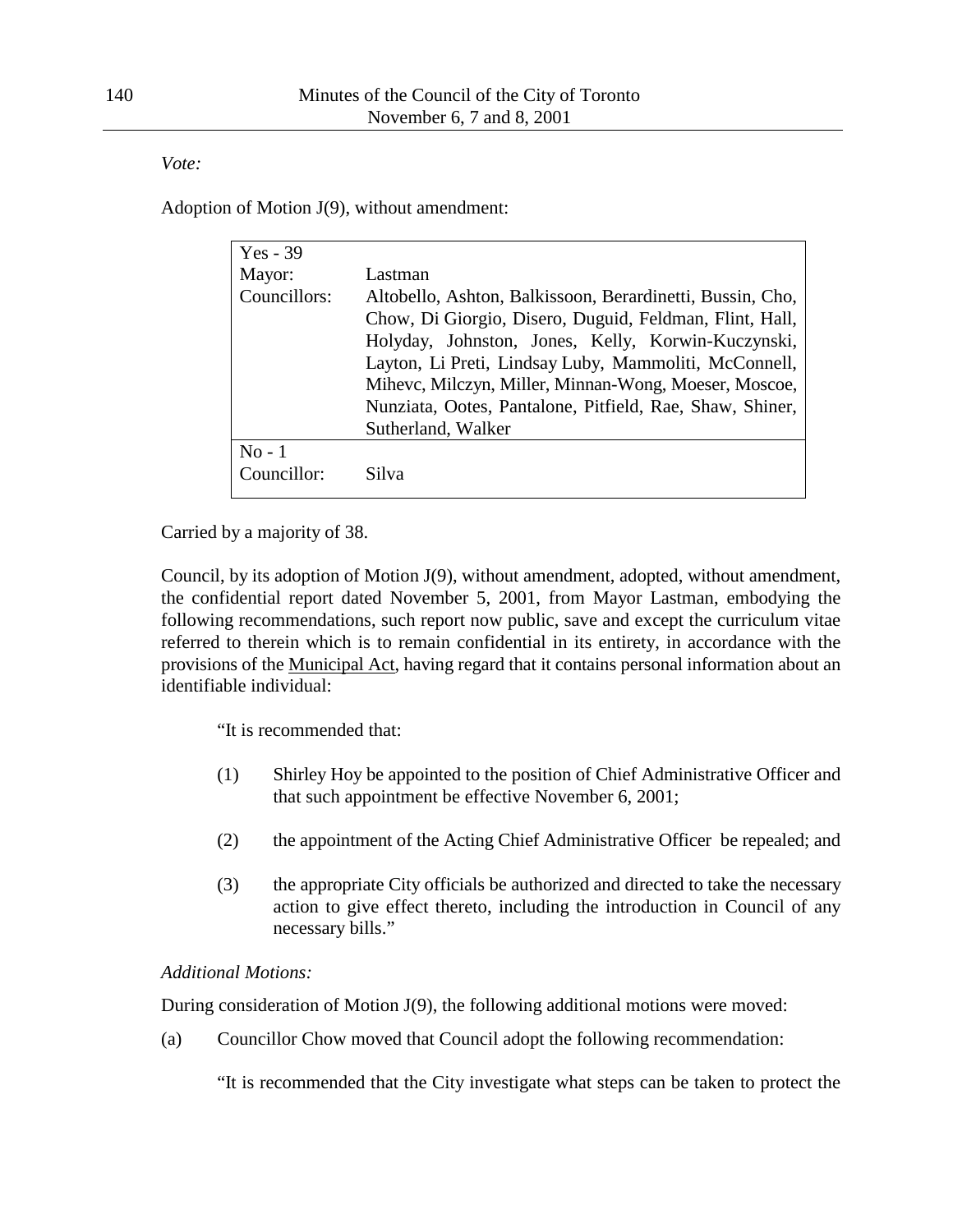*Vote:*

Adoption of Motion J(9), without amendment:

| $Yes - 39$   |                                                                                                                                                                                                                                                                                                                                                                                |
|--------------|--------------------------------------------------------------------------------------------------------------------------------------------------------------------------------------------------------------------------------------------------------------------------------------------------------------------------------------------------------------------------------|
| Mayor:       | Lastman                                                                                                                                                                                                                                                                                                                                                                        |
| Councillors: | Altobello, Ashton, Balkissoon, Berardinetti, Bussin, Cho,<br>Chow, Di Giorgio, Disero, Duguid, Feldman, Flint, Hall,<br>Holyday, Johnston, Jones, Kelly, Korwin-Kuczynski,<br>Layton, Li Preti, Lindsay Luby, Mammoliti, McConnell,<br>Mihevc, Milczyn, Miller, Minnan-Wong, Moeser, Moscoe,<br>Nunziata, Ootes, Pantalone, Pitfield, Rae, Shaw, Shiner,<br>Sutherland, Walker |
| $No-1$       |                                                                                                                                                                                                                                                                                                                                                                                |
| Councillor:  | Silva                                                                                                                                                                                                                                                                                                                                                                          |

Carried by a majority of 38.

Council, by its adoption of Motion J(9), without amendment, adopted, without amendment, the confidential report dated November 5, 2001, from Mayor Lastman, embodying the following recommendations, such report now public, save and except the curriculum vitae referred to therein which is to remain confidential in its entirety, in accordance with the provisions of the Municipal Act, having regard that it contains personal information about an identifiable individual:

"It is recommended that:

- (1) Shirley Hoy be appointed to the position of Chief Administrative Officer and that such appointment be effective November 6, 2001;
- (2) the appointment of the Acting Chief Administrative Officer be repealed; and
- (3) the appropriate City officials be authorized and directed to take the necessary action to give effect thereto, including the introduction in Council of any necessary bills."

# *Additional Motions:*

During consideration of Motion J(9), the following additional motions were moved:

(a) Councillor Chow moved that Council adopt the following recommendation:

"It is recommended that the City investigate what steps can be taken to protect the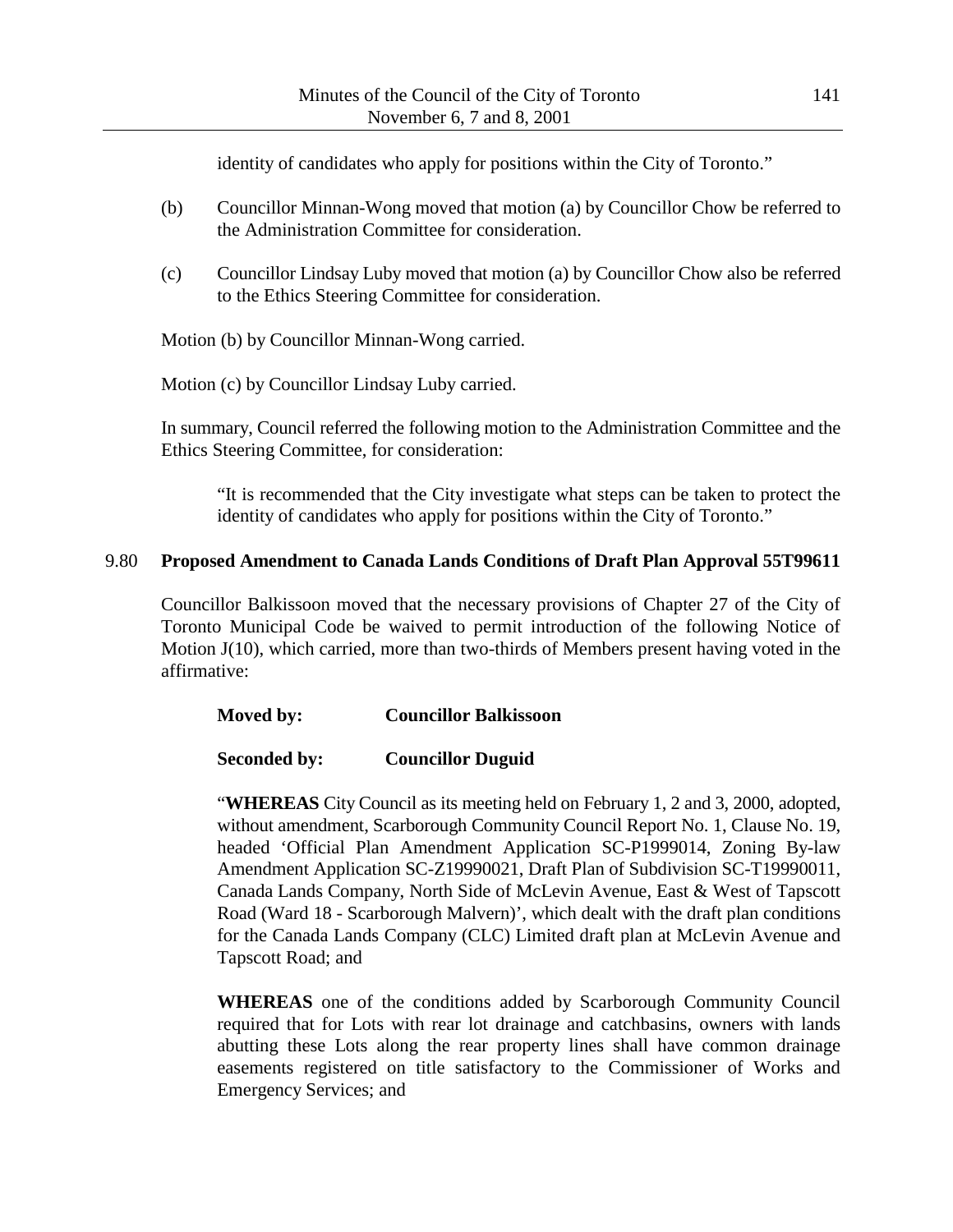identity of candidates who apply for positions within the City of Toronto."

- (b) Councillor Minnan-Wong moved that motion (a) by Councillor Chow be referred to the Administration Committee for consideration.
- (c) Councillor Lindsay Luby moved that motion (a) by Councillor Chow also be referred to the Ethics Steering Committee for consideration.

Motion (b) by Councillor Minnan-Wong carried.

Motion (c) by Councillor Lindsay Luby carried.

In summary, Council referred the following motion to the Administration Committee and the Ethics Steering Committee, for consideration:

"It is recommended that the City investigate what steps can be taken to protect the identity of candidates who apply for positions within the City of Toronto."

## 9.80 **Proposed Amendment to Canada Lands Conditions of Draft Plan Approval 55T99611**

Councillor Balkissoon moved that the necessary provisions of Chapter 27 of the City of Toronto Municipal Code be waived to permit introduction of the following Notice of Motion J(10), which carried, more than two-thirds of Members present having voted in the affirmative:

| Moved by: | <b>Councillor Balkissoon</b> |
|-----------|------------------------------|
|-----------|------------------------------|

### **Seconded by: Councillor Duguid**

"**WHEREAS** City Council as its meeting held on February 1, 2 and 3, 2000, adopted, without amendment, Scarborough Community Council Report No. 1, Clause No. 19, headed 'Official Plan Amendment Application SC-P1999014, Zoning By-law Amendment Application SC-Z19990021, Draft Plan of Subdivision SC-T19990011, Canada Lands Company, North Side of McLevin Avenue, East & West of Tapscott Road (Ward 18 - Scarborough Malvern)', which dealt with the draft plan conditions for the Canada Lands Company (CLC) Limited draft plan at McLevin Avenue and Tapscott Road; and

**WHEREAS** one of the conditions added by Scarborough Community Council required that for Lots with rear lot drainage and catchbasins, owners with lands abutting these Lots along the rear property lines shall have common drainage easements registered on title satisfactory to the Commissioner of Works and Emergency Services; and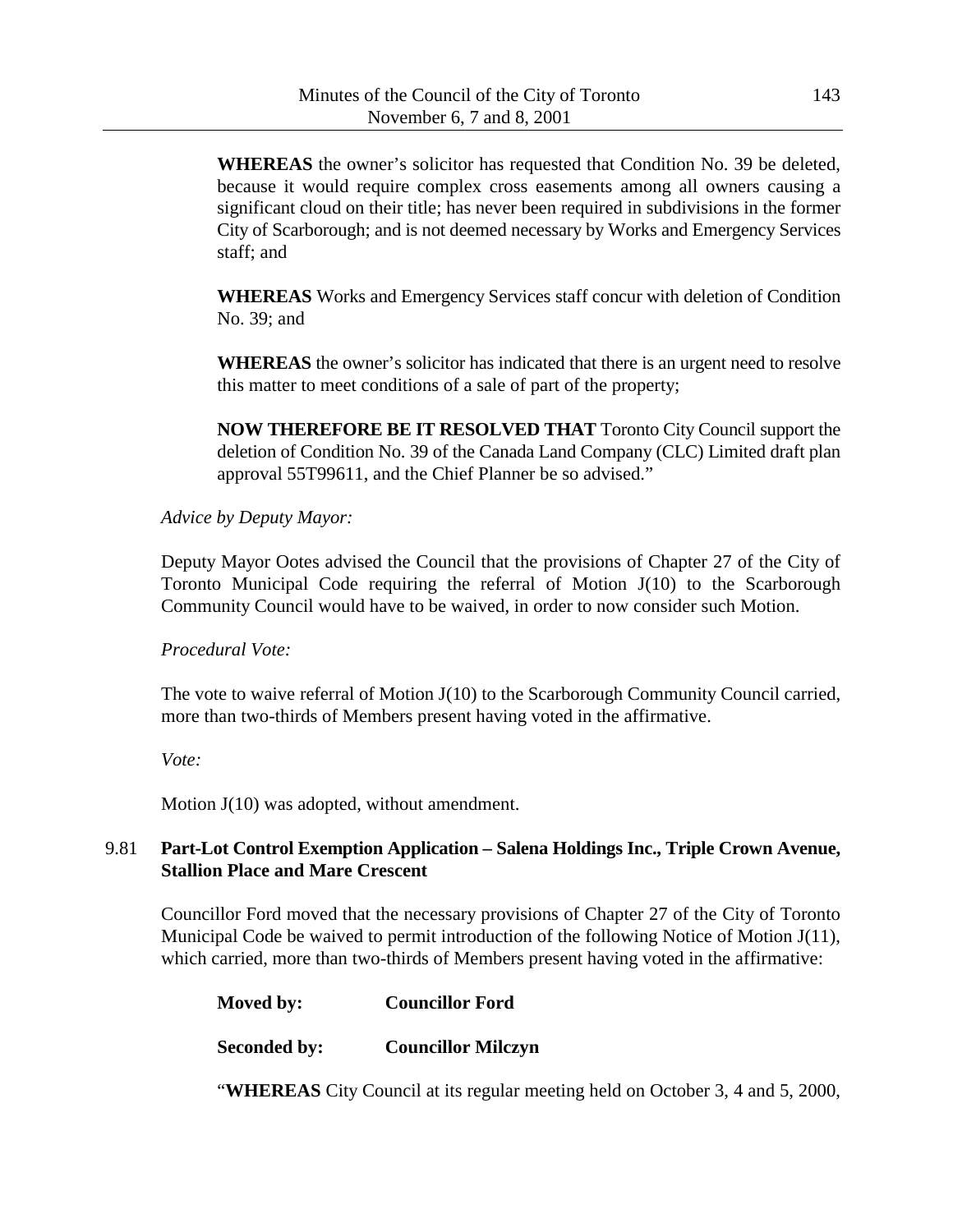**WHEREAS** the owner's solicitor has requested that Condition No. 39 be deleted, because it would require complex cross easements among all owners causing a significant cloud on their title; has never been required in subdivisions in the former City of Scarborough; and is not deemed necessary by Works and Emergency Services staff; and

**WHEREAS** Works and Emergency Services staff concur with deletion of Condition No. 39; and

**WHEREAS** the owner's solicitor has indicated that there is an urgent need to resolve this matter to meet conditions of a sale of part of the property;

**NOW THEREFORE BE IT RESOLVED THAT** Toronto City Council support the deletion of Condition No. 39 of the Canada Land Company (CLC) Limited draft plan approval 55T99611, and the Chief Planner be so advised."

## *Advice by Deputy Mayor:*

Deputy Mayor Ootes advised the Council that the provisions of Chapter 27 of the City of Toronto Municipal Code requiring the referral of Motion J(10) to the Scarborough Community Council would have to be waived, in order to now consider such Motion.

### *Procedural Vote:*

The vote to waive referral of Motion J(10) to the Scarborough Community Council carried, more than two-thirds of Members present having voted in the affirmative.

*Vote:*

Motion J(10) was adopted, without amendment.

# 9.81 **Part-Lot Control Exemption Application – Salena Holdings Inc., Triple Crown Avenue, Stallion Place and Mare Crescent**

Councillor Ford moved that the necessary provisions of Chapter 27 of the City of Toronto Municipal Code be waived to permit introduction of the following Notice of Motion J(11), which carried, more than two-thirds of Members present having voted in the affirmative:

| Moved by:           | <b>Councillor Ford</b>    |
|---------------------|---------------------------|
| <b>Seconded by:</b> | <b>Councillor Milczyn</b> |

"**WHEREAS** City Council at its regular meeting held on October 3, 4 and 5, 2000,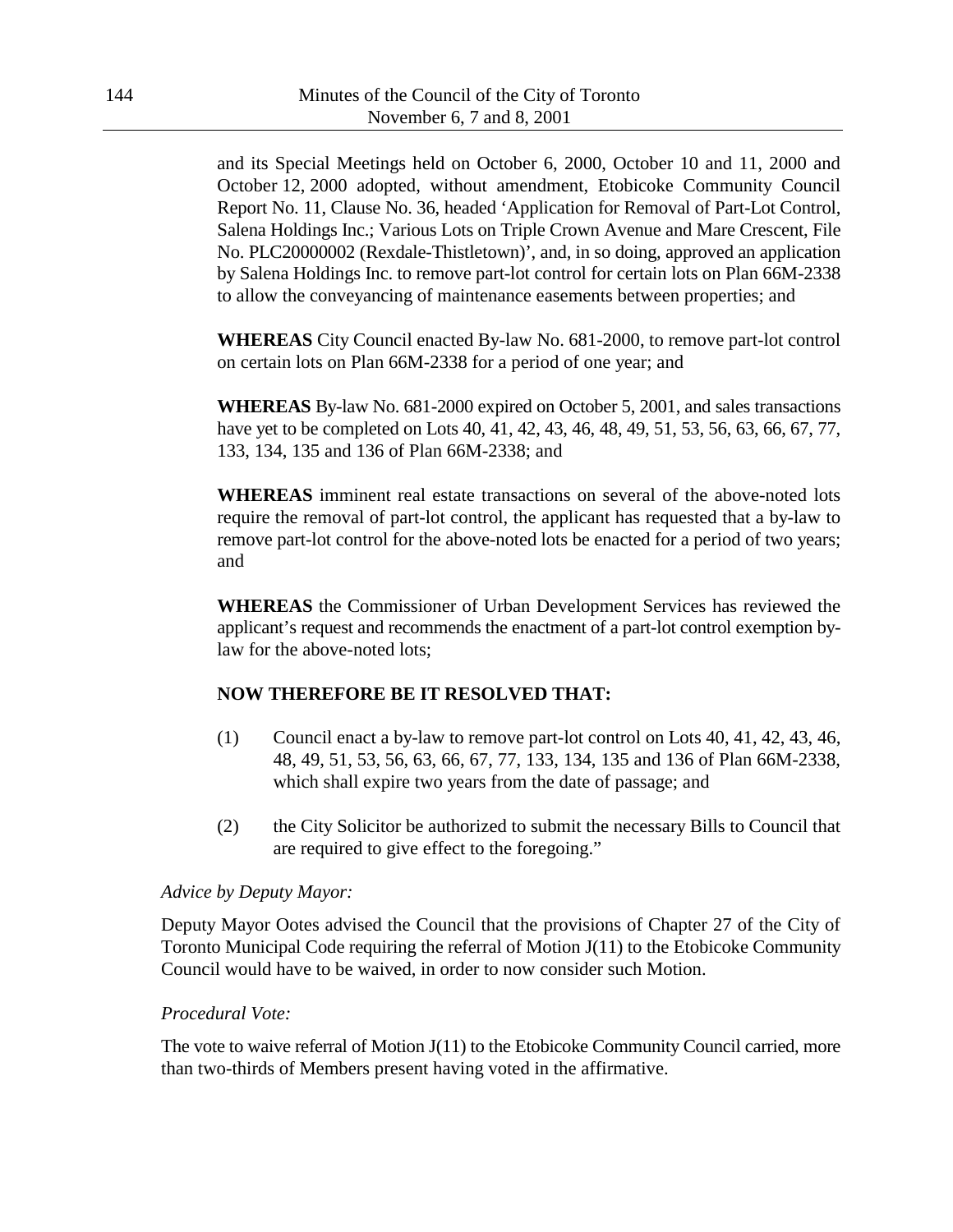and its Special Meetings held on October 6, 2000, October 10 and 11, 2000 and October 12, 2000 adopted, without amendment, Etobicoke Community Council Report No. 11, Clause No. 36, headed 'Application for Removal of Part-Lot Control, Salena Holdings Inc.; Various Lots on Triple Crown Avenue and Mare Crescent, File No. PLC20000002 (Rexdale-Thistletown)', and, in so doing, approved an application by Salena Holdings Inc. to remove part-lot control for certain lots on Plan 66M-2338 to allow the conveyancing of maintenance easements between properties; and

**WHEREAS** City Council enacted By-law No. 681-2000, to remove part-lot control on certain lots on Plan 66M-2338 for a period of one year; and

**WHEREAS** By-law No. 681-2000 expired on October 5, 2001, and sales transactions have yet to be completed on Lots 40, 41, 42, 43, 46, 48, 49, 51, 53, 56, 63, 66, 67, 77, 133, 134, 135 and 136 of Plan 66M-2338; and

**WHEREAS** imminent real estate transactions on several of the above-noted lots require the removal of part-lot control, the applicant has requested that a by-law to remove part-lot control for the above-noted lots be enacted for a period of two years; and

**WHEREAS** the Commissioner of Urban Development Services has reviewed the applicant's request and recommends the enactment of a part-lot control exemption bylaw for the above-noted lots;

# **NOW THEREFORE BE IT RESOLVED THAT:**

- (1) Council enact a by-law to remove part-lot control on Lots 40, 41, 42, 43, 46, 48, 49, 51, 53, 56, 63, 66, 67, 77, 133, 134, 135 and 136 of Plan 66M-2338, which shall expire two years from the date of passage; and
- (2) the City Solicitor be authorized to submit the necessary Bills to Council that are required to give effect to the foregoing."

### *Advice by Deputy Mayor:*

Deputy Mayor Ootes advised the Council that the provisions of Chapter 27 of the City of Toronto Municipal Code requiring the referral of Motion  $J(11)$  to the Etobicoke Community Council would have to be waived, in order to now consider such Motion.

### *Procedural Vote:*

The vote to waive referral of Motion J(11) to the Etobicoke Community Council carried, more than two-thirds of Members present having voted in the affirmative.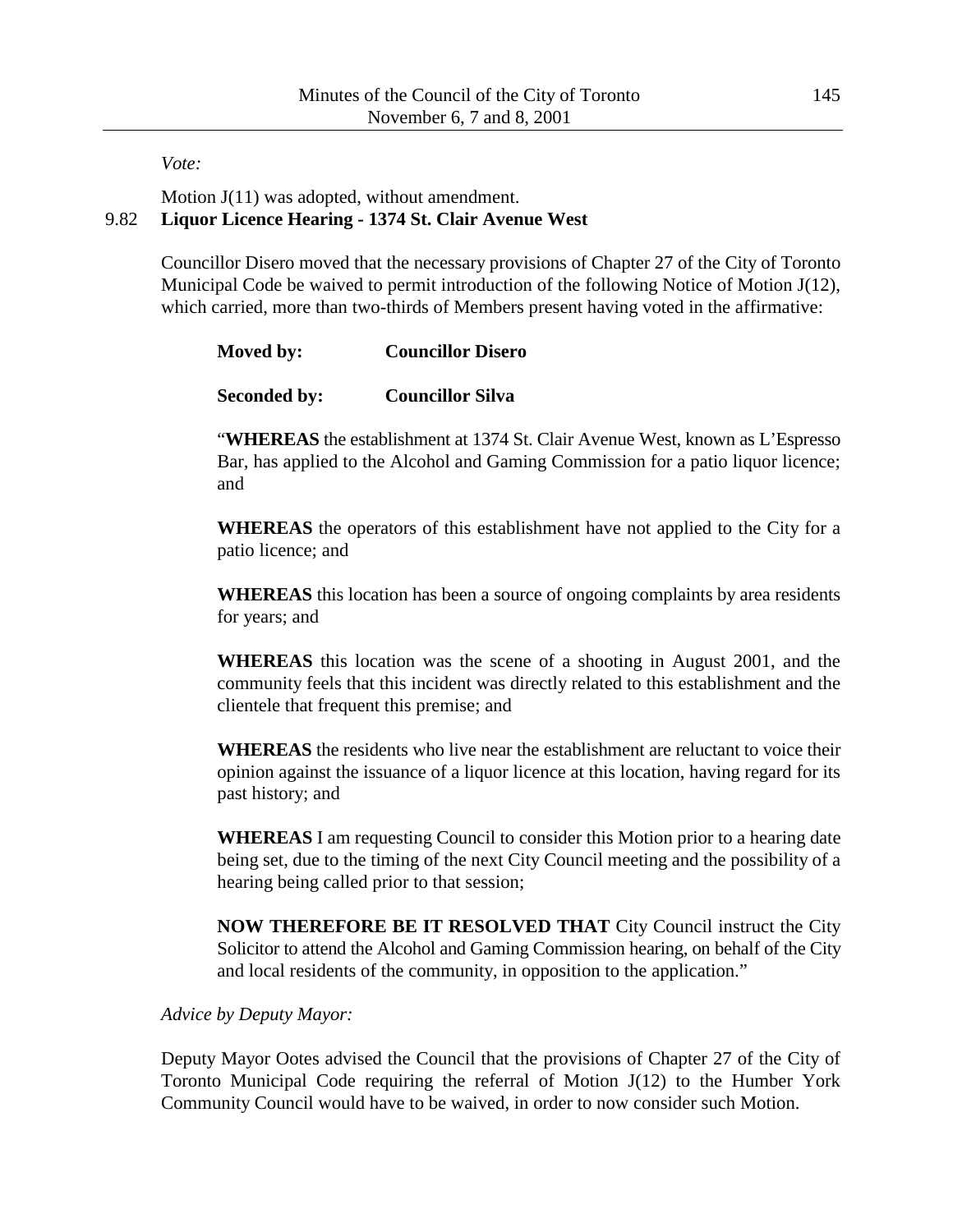*Vote:*

Motion  $J(11)$  was adopted, without amendment. 9.82 **Liquor Licence Hearing - 1374 St. Clair Avenue West**

> Councillor Disero moved that the necessary provisions of Chapter 27 of the City of Toronto Municipal Code be waived to permit introduction of the following Notice of Motion J(12), which carried, more than two-thirds of Members present having voted in the affirmative:

| Moved by: | <b>Councillor Disero</b> |
|-----------|--------------------------|
|-----------|--------------------------|

**Seconded by: Councillor Silva**

"**WHEREAS** the establishment at 1374 St. Clair Avenue West, known as L'Espresso Bar, has applied to the Alcohol and Gaming Commission for a patio liquor licence; and

**WHEREAS** the operators of this establishment have not applied to the City for a patio licence; and

**WHEREAS** this location has been a source of ongoing complaints by area residents for years; and

**WHEREAS** this location was the scene of a shooting in August 2001, and the community feels that this incident was directly related to this establishment and the clientele that frequent this premise; and

**WHEREAS** the residents who live near the establishment are reluctant to voice their opinion against the issuance of a liquor licence at this location, having regard for its past history; and

**WHEREAS** I am requesting Council to consider this Motion prior to a hearing date being set, due to the timing of the next City Council meeting and the possibility of a hearing being called prior to that session;

**NOW THEREFORE BE IT RESOLVED THAT** City Council instruct the City Solicitor to attend the Alcohol and Gaming Commission hearing, on behalf of the City and local residents of the community, in opposition to the application."

### *Advice by Deputy Mayor:*

Deputy Mayor Ootes advised the Council that the provisions of Chapter 27 of the City of Toronto Municipal Code requiring the referral of Motion J(12) to the Humber York Community Council would have to be waived, in order to now consider such Motion.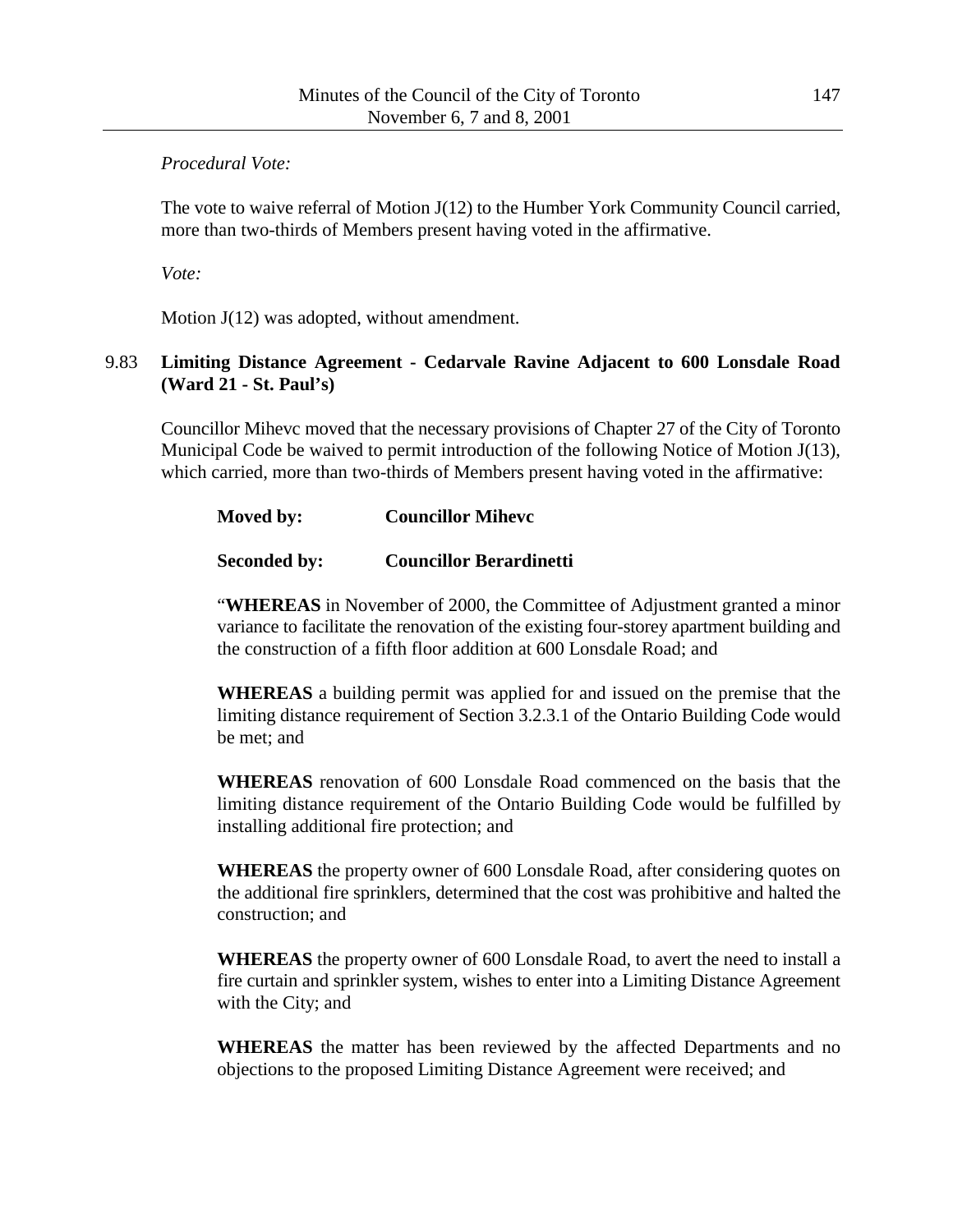# *Procedural Vote:*

The vote to waive referral of Motion J(12) to the Humber York Community Council carried, more than two-thirds of Members present having voted in the affirmative.

*Vote:*

Motion  $J(12)$  was adopted, without amendment.

# 9.83 **Limiting Distance Agreement - Cedarvale Ravine Adjacent to 600 Lonsdale Road (Ward 21 - St. Paul's)**

Councillor Mihevc moved that the necessary provisions of Chapter 27 of the City of Toronto Municipal Code be waived to permit introduction of the following Notice of Motion J(13), which carried, more than two-thirds of Members present having voted in the affirmative:

# **Seconded by: Councillor Berardinetti**

"**WHEREAS** in November of 2000, the Committee of Adjustment granted a minor variance to facilitate the renovation of the existing four-storey apartment building and the construction of a fifth floor addition at 600 Lonsdale Road; and

**WHEREAS** a building permit was applied for and issued on the premise that the limiting distance requirement of Section 3.2.3.1 of the Ontario Building Code would be met; and

**WHEREAS** renovation of 600 Lonsdale Road commenced on the basis that the limiting distance requirement of the Ontario Building Code would be fulfilled by installing additional fire protection; and

**WHEREAS** the property owner of 600 Lonsdale Road, after considering quotes on the additional fire sprinklers, determined that the cost was prohibitive and halted the construction; and

**WHEREAS** the property owner of 600 Lonsdale Road, to avert the need to install a fire curtain and sprinkler system, wishes to enter into a Limiting Distance Agreement with the City; and

**WHEREAS** the matter has been reviewed by the affected Departments and no objections to the proposed Limiting Distance Agreement were received; and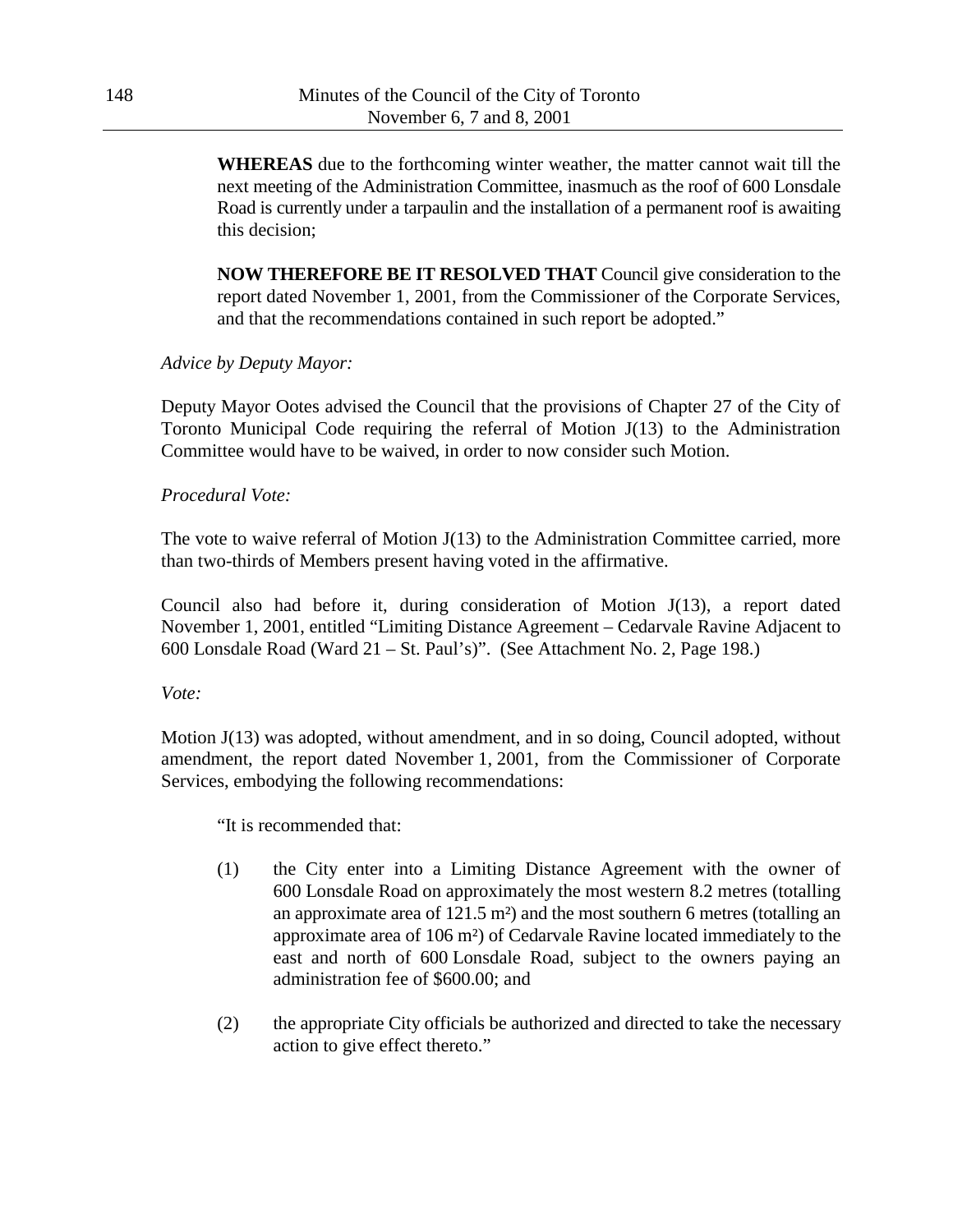**WHEREAS** due to the forthcoming winter weather, the matter cannot wait till the next meeting of the Administration Committee, inasmuch as the roof of 600 Lonsdale Road is currently under a tarpaulin and the installation of a permanent roof is awaiting this decision;

**NOW THEREFORE BE IT RESOLVED THAT** Council give consideration to the report dated November 1, 2001, from the Commissioner of the Corporate Services, and that the recommendations contained in such report be adopted."

#### *Advice by Deputy Mayor:*

Deputy Mayor Ootes advised the Council that the provisions of Chapter 27 of the City of Toronto Municipal Code requiring the referral of Motion J(13) to the Administration Committee would have to be waived, in order to now consider such Motion.

#### *Procedural Vote:*

The vote to waive referral of Motion J(13) to the Administration Committee carried, more than two-thirds of Members present having voted in the affirmative.

Council also had before it, during consideration of Motion J(13), a report dated November 1, 2001, entitled "Limiting Distance Agreement – Cedarvale Ravine Adjacent to 600 Lonsdale Road (Ward 21 – St. Paul's)". (See Attachment No. 2, Page 198.)

*Vote:*

Motion J(13) was adopted, without amendment, and in so doing, Council adopted, without amendment, the report dated November 1, 2001, from the Commissioner of Corporate Services, embodying the following recommendations:

"It is recommended that:

- (1) the City enter into a Limiting Distance Agreement with the owner of 600 Lonsdale Road on approximately the most western 8.2 metres (totalling an approximate area of 121.5 m²) and the most southern 6 metres (totalling an approximate area of 106 m²) of Cedarvale Ravine located immediately to the east and north of 600 Lonsdale Road, subject to the owners paying an administration fee of \$600.00; and
- (2) the appropriate City officials be authorized and directed to take the necessary action to give effect thereto."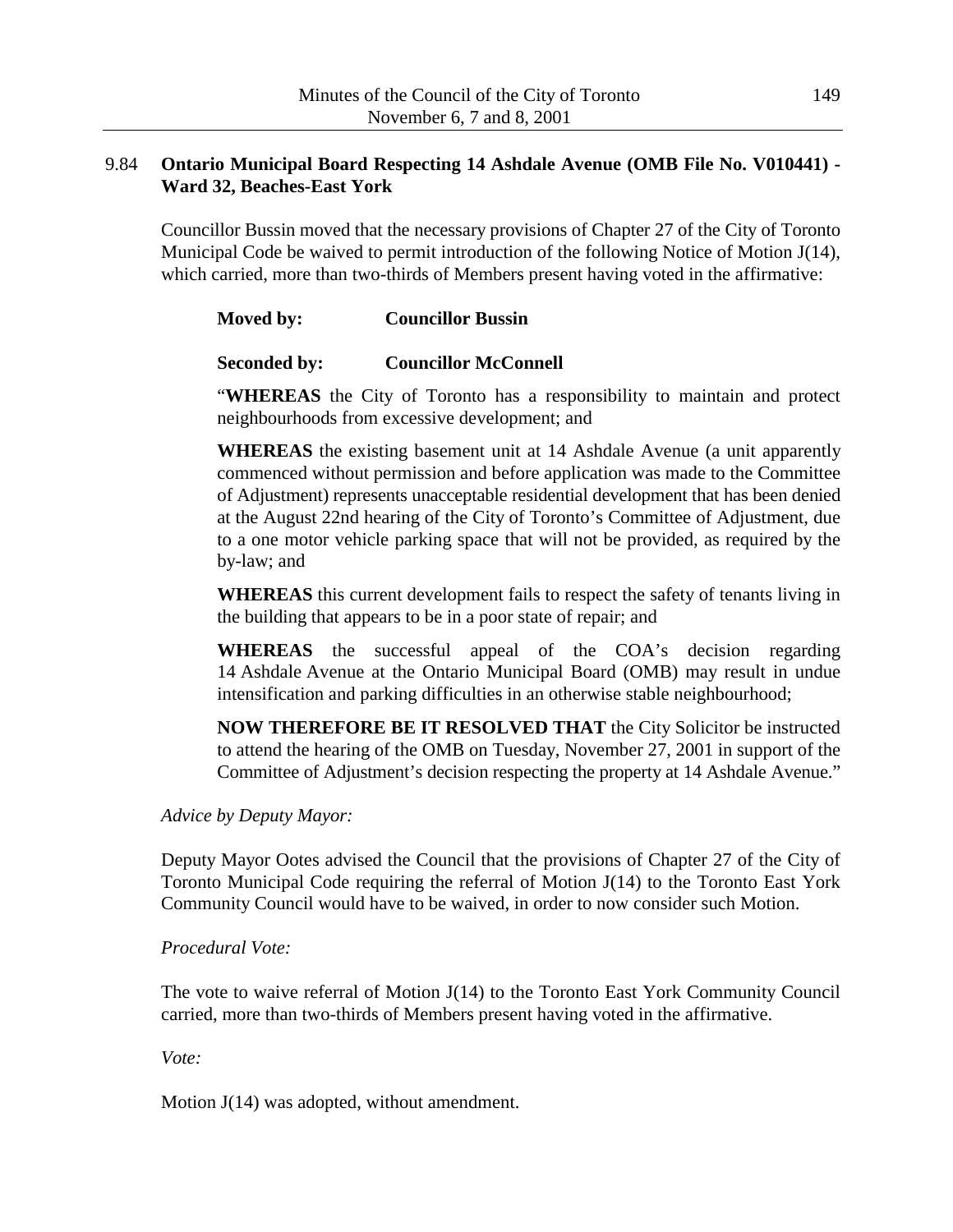# 9.84 **Ontario Municipal Board Respecting 14 Ashdale Avenue (OMB File No. V010441) - Ward 32, Beaches-East York**

Councillor Bussin moved that the necessary provisions of Chapter 27 of the City of Toronto Municipal Code be waived to permit introduction of the following Notice of Motion J(14), which carried, more than two-thirds of Members present having voted in the affirmative:

## **Moved by: Councillor Bussin**

### **Seconded by: Councillor McConnell**

"**WHEREAS** the City of Toronto has a responsibility to maintain and protect neighbourhoods from excessive development; and

**WHEREAS** the existing basement unit at 14 Ashdale Avenue (a unit apparently commenced without permission and before application was made to the Committee of Adjustment) represents unacceptable residential development that has been denied at the August 22nd hearing of the City of Toronto's Committee of Adjustment, due to a one motor vehicle parking space that will not be provided, as required by the by-law; and

**WHEREAS** this current development fails to respect the safety of tenants living in the building that appears to be in a poor state of repair; and

**WHEREAS** the successful appeal of the COA's decision regarding 14 Ashdale Avenue at the Ontario Municipal Board (OMB) may result in undue intensification and parking difficulties in an otherwise stable neighbourhood;

**NOW THEREFORE BE IT RESOLVED THAT** the City Solicitor be instructed to attend the hearing of the OMB on Tuesday, November 27, 2001 in support of the Committee of Adjustment's decision respecting the property at 14 Ashdale Avenue."

### *Advice by Deputy Mayor:*

Deputy Mayor Ootes advised the Council that the provisions of Chapter 27 of the City of Toronto Municipal Code requiring the referral of Motion J(14) to the Toronto East York Community Council would have to be waived, in order to now consider such Motion.

### *Procedural Vote:*

The vote to waive referral of Motion J(14) to the Toronto East York Community Council carried, more than two-thirds of Members present having voted in the affirmative.

*Vote:*

Motion J(14) was adopted, without amendment.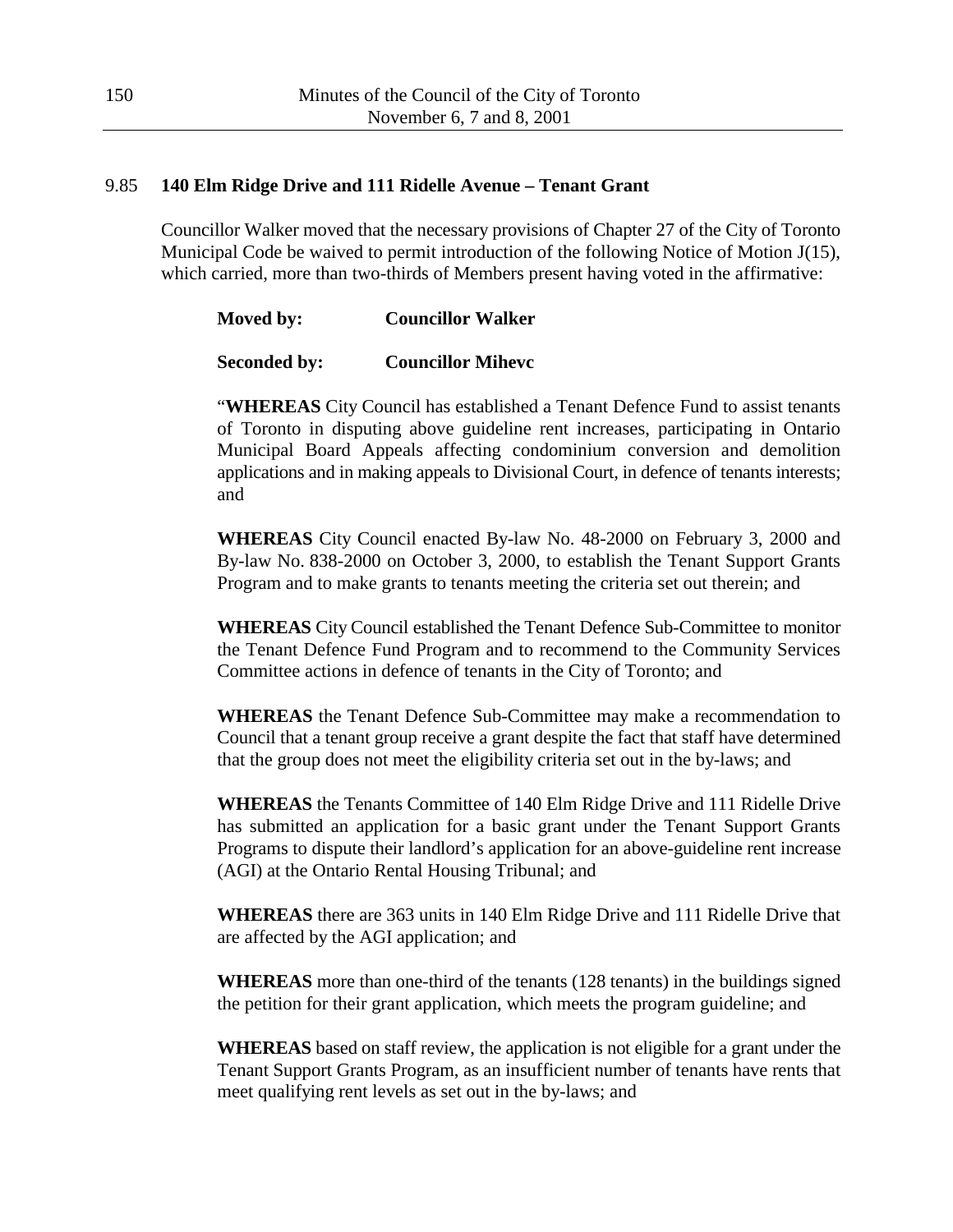## 9.85 **140 Elm Ridge Drive and 111 Ridelle Avenue – Tenant Grant**

Councillor Walker moved that the necessary provisions of Chapter 27 of the City of Toronto Municipal Code be waived to permit introduction of the following Notice of Motion J(15), which carried, more than two-thirds of Members present having voted in the affirmative:

## **Moved by: Councillor Walker**

## **Seconded by: Councillor Mihevc**

"**WHEREAS** City Council has established a Tenant Defence Fund to assist tenants of Toronto in disputing above guideline rent increases, participating in Ontario Municipal Board Appeals affecting condominium conversion and demolition applications and in making appeals to Divisional Court, in defence of tenants interests; and

**WHEREAS** City Council enacted By-law No. 48-2000 on February 3, 2000 and By-law No. 838-2000 on October 3, 2000, to establish the Tenant Support Grants Program and to make grants to tenants meeting the criteria set out therein; and

**WHEREAS** City Council established the Tenant Defence Sub-Committee to monitor the Tenant Defence Fund Program and to recommend to the Community Services Committee actions in defence of tenants in the City of Toronto; and

**WHEREAS** the Tenant Defence Sub-Committee may make a recommendation to Council that a tenant group receive a grant despite the fact that staff have determined that the group does not meet the eligibility criteria set out in the by-laws; and

**WHEREAS** the Tenants Committee of 140 Elm Ridge Drive and 111 Ridelle Drive has submitted an application for a basic grant under the Tenant Support Grants Programs to dispute their landlord's application for an above-guideline rent increase (AGI) at the Ontario Rental Housing Tribunal; and

**WHEREAS** there are 363 units in 140 Elm Ridge Drive and 111 Ridelle Drive that are affected by the AGI application; and

**WHEREAS** more than one-third of the tenants (128 tenants) in the buildings signed the petition for their grant application, which meets the program guideline; and

**WHEREAS** based on staff review, the application is not eligible for a grant under the Tenant Support Grants Program, as an insufficient number of tenants have rents that meet qualifying rent levels as set out in the by-laws; and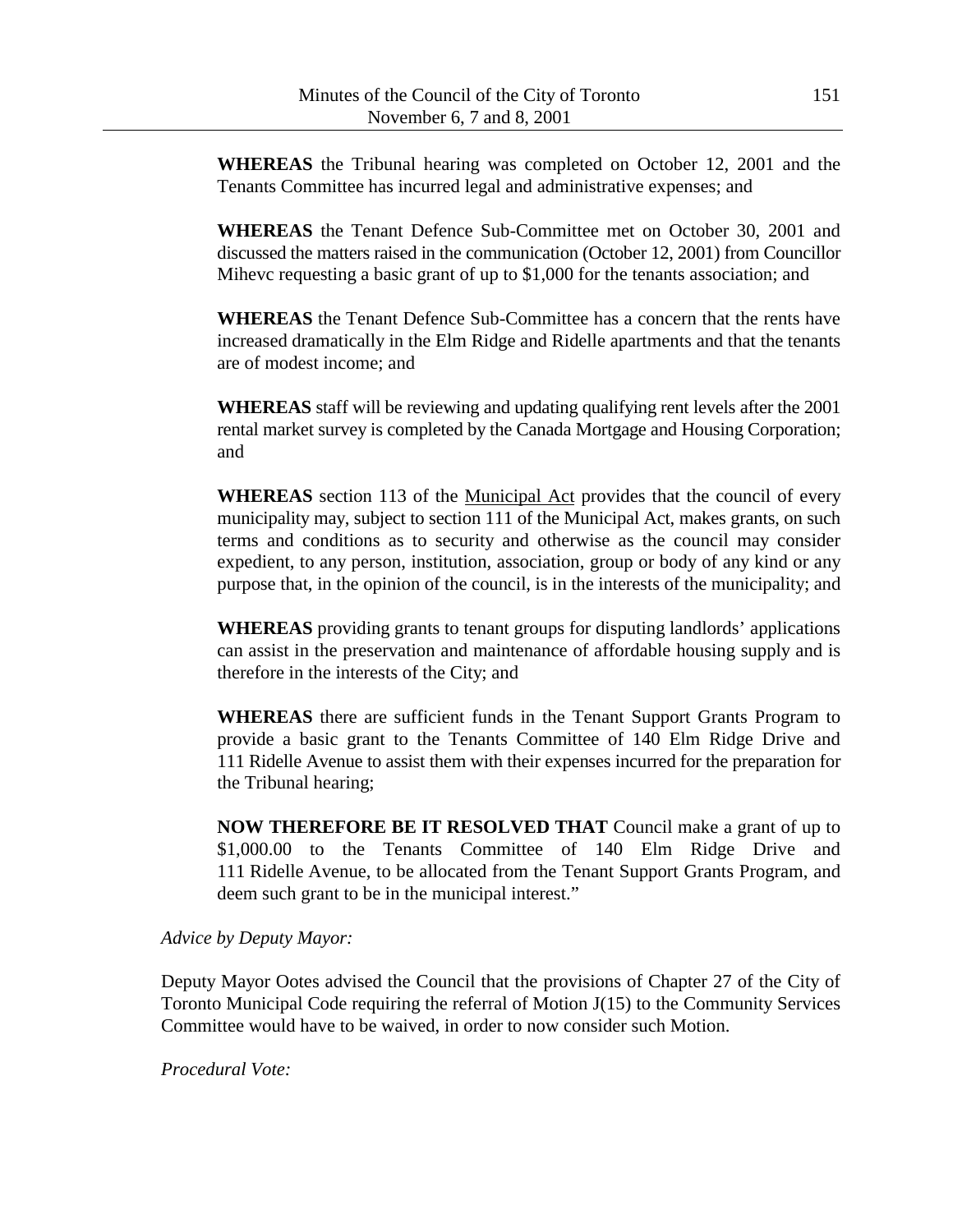**WHEREAS** the Tribunal hearing was completed on October 12, 2001 and the Tenants Committee has incurred legal and administrative expenses; and

**WHEREAS** the Tenant Defence Sub-Committee met on October 30, 2001 and discussed the matters raised in the communication (October 12, 2001) from Councillor Mihevc requesting a basic grant of up to \$1,000 for the tenants association; and

**WHEREAS** the Tenant Defence Sub-Committee has a concern that the rents have increased dramatically in the Elm Ridge and Ridelle apartments and that the tenants are of modest income; and

**WHEREAS** staff will be reviewing and updating qualifying rent levels after the 2001 rental market survey is completed by the Canada Mortgage and Housing Corporation; and

**WHEREAS** section 113 of the Municipal Act provides that the council of every municipality may, subject to section 111 of the Municipal Act, makes grants, on such terms and conditions as to security and otherwise as the council may consider expedient, to any person, institution, association, group or body of any kind or any purpose that, in the opinion of the council, is in the interests of the municipality; and

**WHEREAS** providing grants to tenant groups for disputing landlords' applications can assist in the preservation and maintenance of affordable housing supply and is therefore in the interests of the City; and

**WHEREAS** there are sufficient funds in the Tenant Support Grants Program to provide a basic grant to the Tenants Committee of 140 Elm Ridge Drive and 111 Ridelle Avenue to assist them with their expenses incurred for the preparation for the Tribunal hearing;

**NOW THEREFORE BE IT RESOLVED THAT** Council make a grant of up to \$1,000.00 to the Tenants Committee of 140 Elm Ridge Drive and 111 Ridelle Avenue, to be allocated from the Tenant Support Grants Program, and deem such grant to be in the municipal interest."

#### *Advice by Deputy Mayor:*

Deputy Mayor Ootes advised the Council that the provisions of Chapter 27 of the City of Toronto Municipal Code requiring the referral of Motion J(15) to the Community Services Committee would have to be waived, in order to now consider such Motion.

*Procedural Vote:*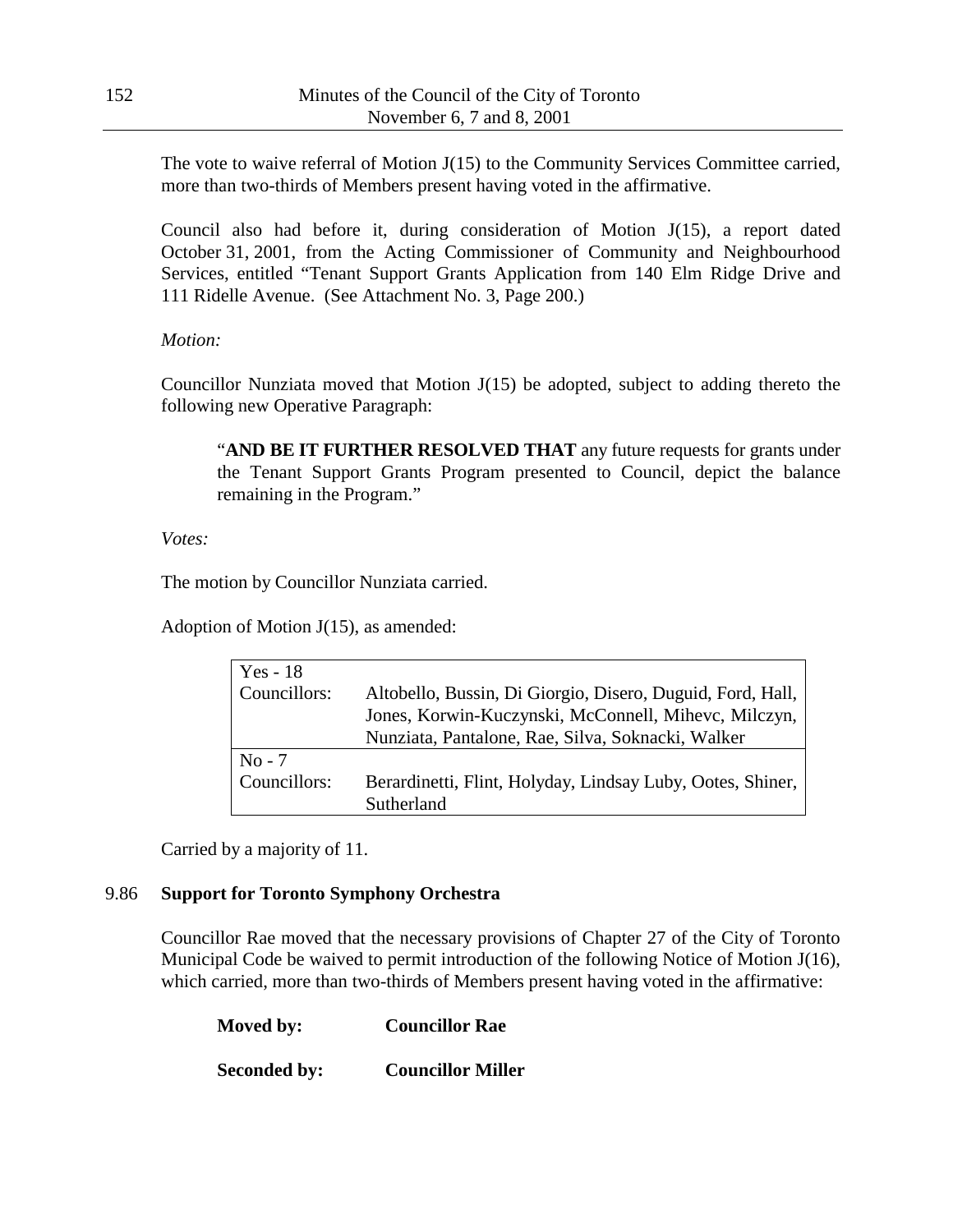The vote to waive referral of Motion J(15) to the Community Services Committee carried, more than two-thirds of Members present having voted in the affirmative.

Council also had before it, during consideration of Motion J(15), a report dated October 31, 2001, from the Acting Commissioner of Community and Neighbourhood Services, entitled "Tenant Support Grants Application from 140 Elm Ridge Drive and 111 Ridelle Avenue. (See Attachment No. 3, Page 200.)

*Motion:*

Councillor Nunziata moved that Motion J(15) be adopted, subject to adding thereto the following new Operative Paragraph:

"**AND BE IT FURTHER RESOLVED THAT** any future requests for grants under the Tenant Support Grants Program presented to Council, depict the balance remaining in the Program."

*Votes:*

The motion by Councillor Nunziata carried.

Adoption of Motion J(15), as amended:

| $Yes - 18$   |                                                            |
|--------------|------------------------------------------------------------|
| Councillors: | Altobello, Bussin, Di Giorgio, Disero, Duguid, Ford, Hall, |
|              | Jones, Korwin-Kuczynski, McConnell, Mihevc, Milczyn,       |
|              | Nunziata, Pantalone, Rae, Silva, Soknacki, Walker          |
| $No - 7$     |                                                            |
| Councillors: | Berardinetti, Flint, Holyday, Lindsay Luby, Ootes, Shiner, |
|              | Sutherland                                                 |

Carried by a majority of 11.

### 9.86 **Support for Toronto Symphony Orchestra**

Councillor Rae moved that the necessary provisions of Chapter 27 of the City of Toronto Municipal Code be waived to permit introduction of the following Notice of Motion J(16), which carried, more than two-thirds of Members present having voted in the affirmative:

| Moved by:           | <b>Councillor Rae</b>    |
|---------------------|--------------------------|
| <b>Seconded by:</b> | <b>Councillor Miller</b> |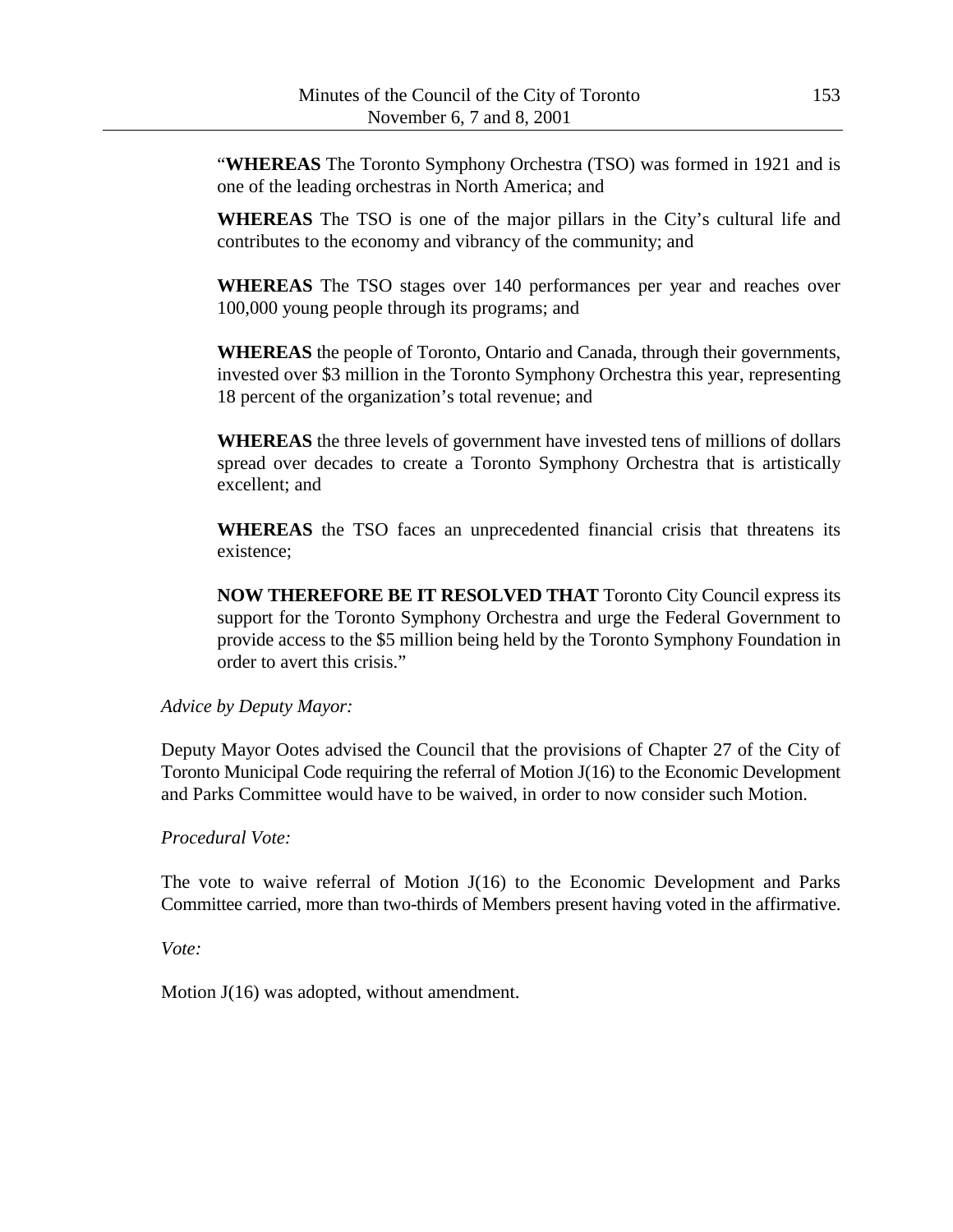"**WHEREAS** The Toronto Symphony Orchestra (TSO) was formed in 1921 and is one of the leading orchestras in North America; and

**WHEREAS** The TSO is one of the major pillars in the City's cultural life and contributes to the economy and vibrancy of the community; and

**WHEREAS** The TSO stages over 140 performances per year and reaches over 100,000 young people through its programs; and

**WHEREAS** the people of Toronto, Ontario and Canada, through their governments, invested over \$3 million in the Toronto Symphony Orchestra this year, representing 18 percent of the organization's total revenue; and

**WHEREAS** the three levels of government have invested tens of millions of dollars spread over decades to create a Toronto Symphony Orchestra that is artistically excellent; and

**WHEREAS** the TSO faces an unprecedented financial crisis that threatens its existence;

**NOW THEREFORE BE IT RESOLVED THAT** Toronto City Council express its support for the Toronto Symphony Orchestra and urge the Federal Government to provide access to the \$5 million being held by the Toronto Symphony Foundation in order to avert this crisis."

*Advice by Deputy Mayor:*

Deputy Mayor Ootes advised the Council that the provisions of Chapter 27 of the City of Toronto Municipal Code requiring the referral of Motion J(16) to the Economic Development and Parks Committee would have to be waived, in order to now consider such Motion.

*Procedural Vote:*

The vote to waive referral of Motion J(16) to the Economic Development and Parks Committee carried, more than two-thirds of Members present having voted in the affirmative.

*Vote:*

Motion J(16) was adopted, without amendment.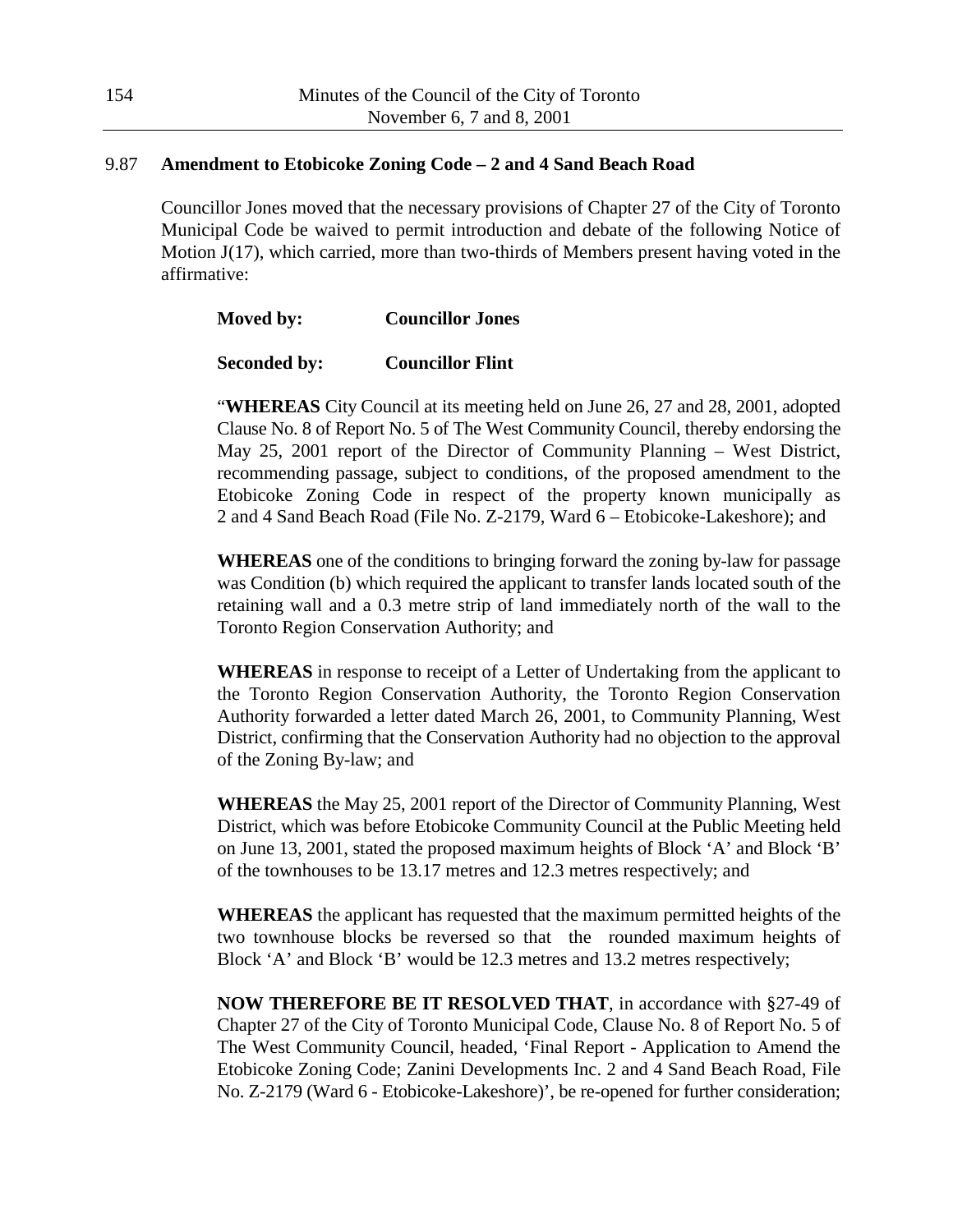### 9.87 **Amendment to Etobicoke Zoning Code – 2 and 4 Sand Beach Road**

Councillor Jones moved that the necessary provisions of Chapter 27 of the City of Toronto Municipal Code be waived to permit introduction and debate of the following Notice of Motion J(17), which carried, more than two-thirds of Members present having voted in the affirmative:

### **Moved by: Councillor Jones**

#### **Seconded by: Councillor Flint**

"**WHEREAS** City Council at its meeting held on June 26, 27 and 28, 2001, adopted Clause No. 8 of Report No. 5 of The West Community Council, thereby endorsing the May 25, 2001 report of the Director of Community Planning – West District, recommending passage, subject to conditions, of the proposed amendment to the Etobicoke Zoning Code in respect of the property known municipally as 2 and 4 Sand Beach Road (File No. Z-2179, Ward 6 – Etobicoke-Lakeshore); and

**WHEREAS** one of the conditions to bringing forward the zoning by-law for passage was Condition (b) which required the applicant to transfer lands located south of the retaining wall and a 0.3 metre strip of land immediately north of the wall to the Toronto Region Conservation Authority; and

**WHEREAS** in response to receipt of a Letter of Undertaking from the applicant to the Toronto Region Conservation Authority, the Toronto Region Conservation Authority forwarded a letter dated March 26, 2001, to Community Planning, West District, confirming that the Conservation Authority had no objection to the approval of the Zoning By-law; and

**WHEREAS** the May 25, 2001 report of the Director of Community Planning, West District, which was before Etobicoke Community Council at the Public Meeting held on June 13, 2001, stated the proposed maximum heights of Block 'A' and Block 'B' of the townhouses to be 13.17 metres and 12.3 metres respectively; and

**WHEREAS** the applicant has requested that the maximum permitted heights of the two townhouse blocks be reversed so that the rounded maximum heights of Block 'A' and Block 'B' would be 12.3 metres and 13.2 metres respectively;

**NOW THEREFORE BE IT RESOLVED THAT**, in accordance with §27-49 of Chapter 27 of the City of Toronto Municipal Code, Clause No. 8 of Report No. 5 of The West Community Council, headed, 'Final Report - Application to Amend the Etobicoke Zoning Code; Zanini Developments Inc. 2 and 4 Sand Beach Road, File No. Z-2179 (Ward 6 - Etobicoke-Lakeshore)', be re-opened for further consideration;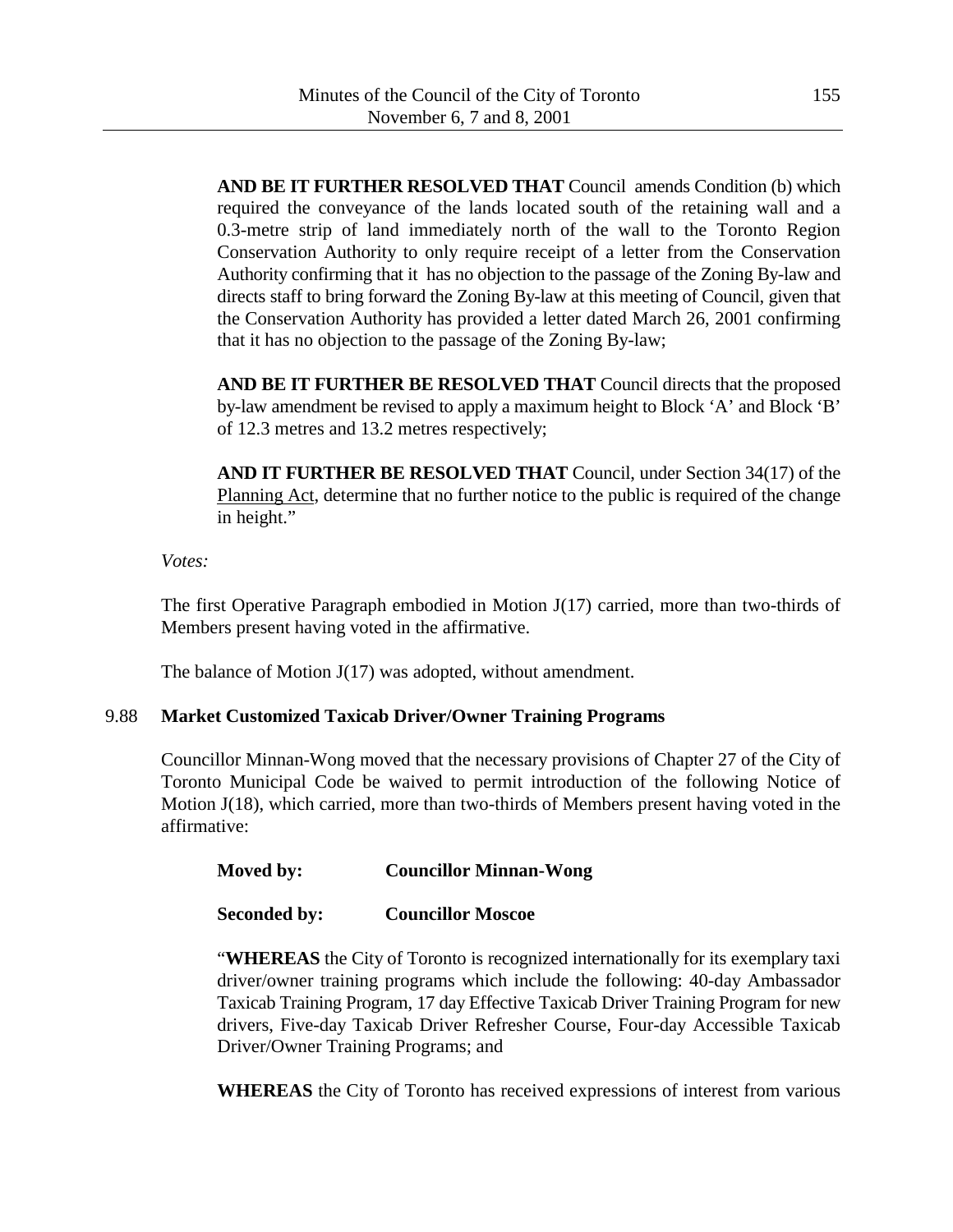**AND BE IT FURTHER RESOLVED THAT** Council amends Condition (b) which required the conveyance of the lands located south of the retaining wall and a 0.3-metre strip of land immediately north of the wall to the Toronto Region Conservation Authority to only require receipt of a letter from the Conservation Authority confirming that it has no objection to the passage of the Zoning By-law and directs staff to bring forward the Zoning By-law at this meeting of Council, given that the Conservation Authority has provided a letter dated March 26, 2001 confirming that it has no objection to the passage of the Zoning By-law;

**AND BE IT FURTHER BE RESOLVED THAT** Council directs that the proposed by-law amendment be revised to apply a maximum height to Block 'A' and Block 'B' of 12.3 metres and 13.2 metres respectively;

**AND IT FURTHER BE RESOLVED THAT** Council, under Section 34(17) of the Planning Act, determine that no further notice to the public is required of the change in height."

### *Votes:*

The first Operative Paragraph embodied in Motion J(17) carried, more than two-thirds of Members present having voted in the affirmative.

The balance of Motion J(17) was adopted, without amendment.

# 9.88 **Market Customized Taxicab Driver/Owner Training Programs**

Councillor Minnan-Wong moved that the necessary provisions of Chapter 27 of the City of Toronto Municipal Code be waived to permit introduction of the following Notice of Motion J(18), which carried, more than two-thirds of Members present having voted in the affirmative:

| Moved by: | <b>Councillor Minnan-Wong</b> |
|-----------|-------------------------------|
|           |                               |

**Seconded by: Councillor Moscoe**

"**WHEREAS** the City of Toronto is recognized internationally for its exemplary taxi driver/owner training programs which include the following: 40-day Ambassador Taxicab Training Program, 17 day Effective Taxicab Driver Training Program for new drivers, Five-day Taxicab Driver Refresher Course, Four-day Accessible Taxicab Driver/Owner Training Programs; and

**WHEREAS** the City of Toronto has received expressions of interest from various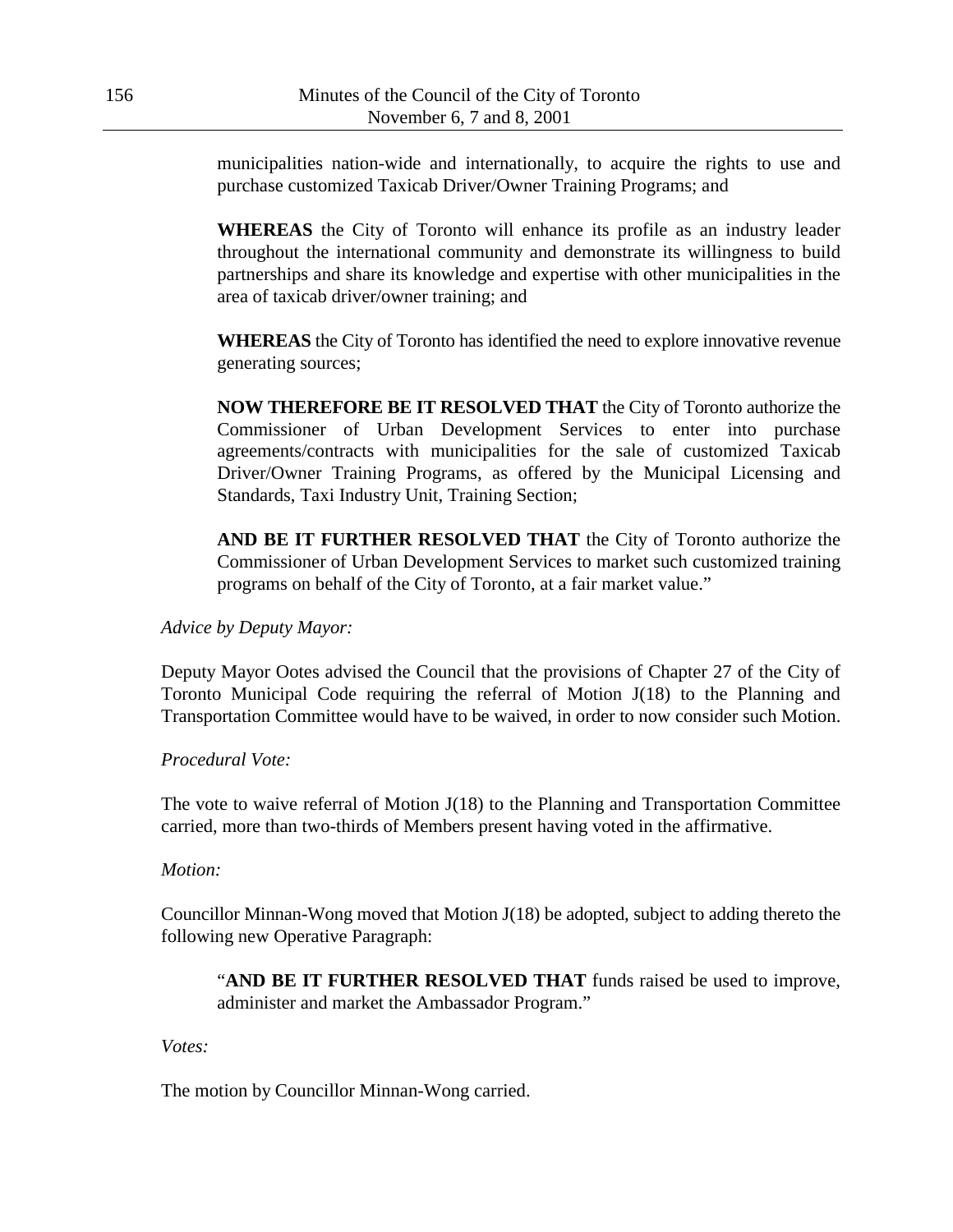municipalities nation-wide and internationally, to acquire the rights to use and purchase customized Taxicab Driver/Owner Training Programs; and

**WHEREAS** the City of Toronto will enhance its profile as an industry leader throughout the international community and demonstrate its willingness to build partnerships and share its knowledge and expertise with other municipalities in the area of taxicab driver/owner training; and

**WHEREAS** the City of Toronto has identified the need to explore innovative revenue generating sources;

**NOW THEREFORE BE IT RESOLVED THAT** the City of Toronto authorize the Commissioner of Urban Development Services to enter into purchase agreements/contracts with municipalities for the sale of customized Taxicab Driver/Owner Training Programs, as offered by the Municipal Licensing and Standards, Taxi Industry Unit, Training Section;

**AND BE IT FURTHER RESOLVED THAT** the City of Toronto authorize the Commissioner of Urban Development Services to market such customized training programs on behalf of the City of Toronto, at a fair market value."

*Advice by Deputy Mayor:*

Deputy Mayor Ootes advised the Council that the provisions of Chapter 27 of the City of Toronto Municipal Code requiring the referral of Motion J(18) to the Planning and Transportation Committee would have to be waived, in order to now consider such Motion.

*Procedural Vote:*

The vote to waive referral of Motion J(18) to the Planning and Transportation Committee carried, more than two-thirds of Members present having voted in the affirmative.

*Motion:*

Councillor Minnan-Wong moved that Motion J(18) be adopted, subject to adding thereto the following new Operative Paragraph:

"**AND BE IT FURTHER RESOLVED THAT** funds raised be used to improve, administer and market the Ambassador Program."

*Votes:*

The motion by Councillor Minnan-Wong carried.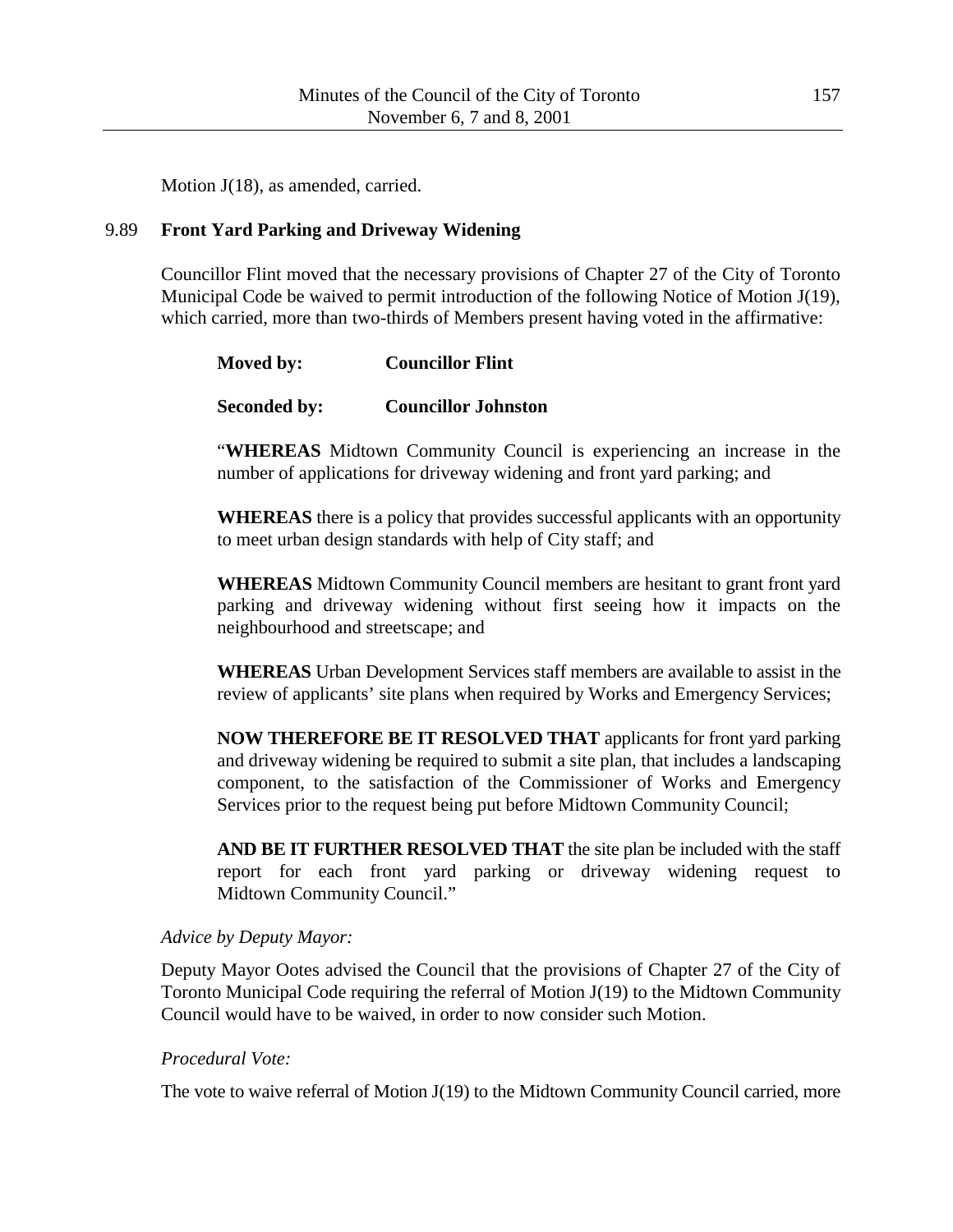Motion J(18), as amended, carried.

# 9.89 **Front Yard Parking and Driveway Widening**

Councillor Flint moved that the necessary provisions of Chapter 27 of the City of Toronto Municipal Code be waived to permit introduction of the following Notice of Motion J(19), which carried, more than two-thirds of Members present having voted in the affirmative:

| Moved by:           | <b>Councillor Flint</b>    |
|---------------------|----------------------------|
| <b>Seconded by:</b> | <b>Councillor Johnston</b> |

"**WHEREAS** Midtown Community Council is experiencing an increase in the number of applications for driveway widening and front yard parking; and

**WHEREAS** there is a policy that provides successful applicants with an opportunity to meet urban design standards with help of City staff; and

**WHEREAS** Midtown Community Council members are hesitant to grant front yard parking and driveway widening without first seeing how it impacts on the neighbourhood and streetscape; and

**WHEREAS** Urban Development Services staff members are available to assist in the review of applicants' site plans when required by Works and Emergency Services;

**NOW THEREFORE BE IT RESOLVED THAT** applicants for front yard parking and driveway widening be required to submit a site plan, that includes a landscaping component, to the satisfaction of the Commissioner of Works and Emergency Services prior to the request being put before Midtown Community Council;

**AND BE IT FURTHER RESOLVED THAT** the site plan be included with the staff report for each front yard parking or driveway widening request to Midtown Community Council."

### *Advice by Deputy Mayor:*

Deputy Mayor Ootes advised the Council that the provisions of Chapter 27 of the City of Toronto Municipal Code requiring the referral of Motion J(19) to the Midtown Community Council would have to be waived, in order to now consider such Motion.

### *Procedural Vote:*

The vote to waive referral of Motion J(19) to the Midtown Community Council carried, more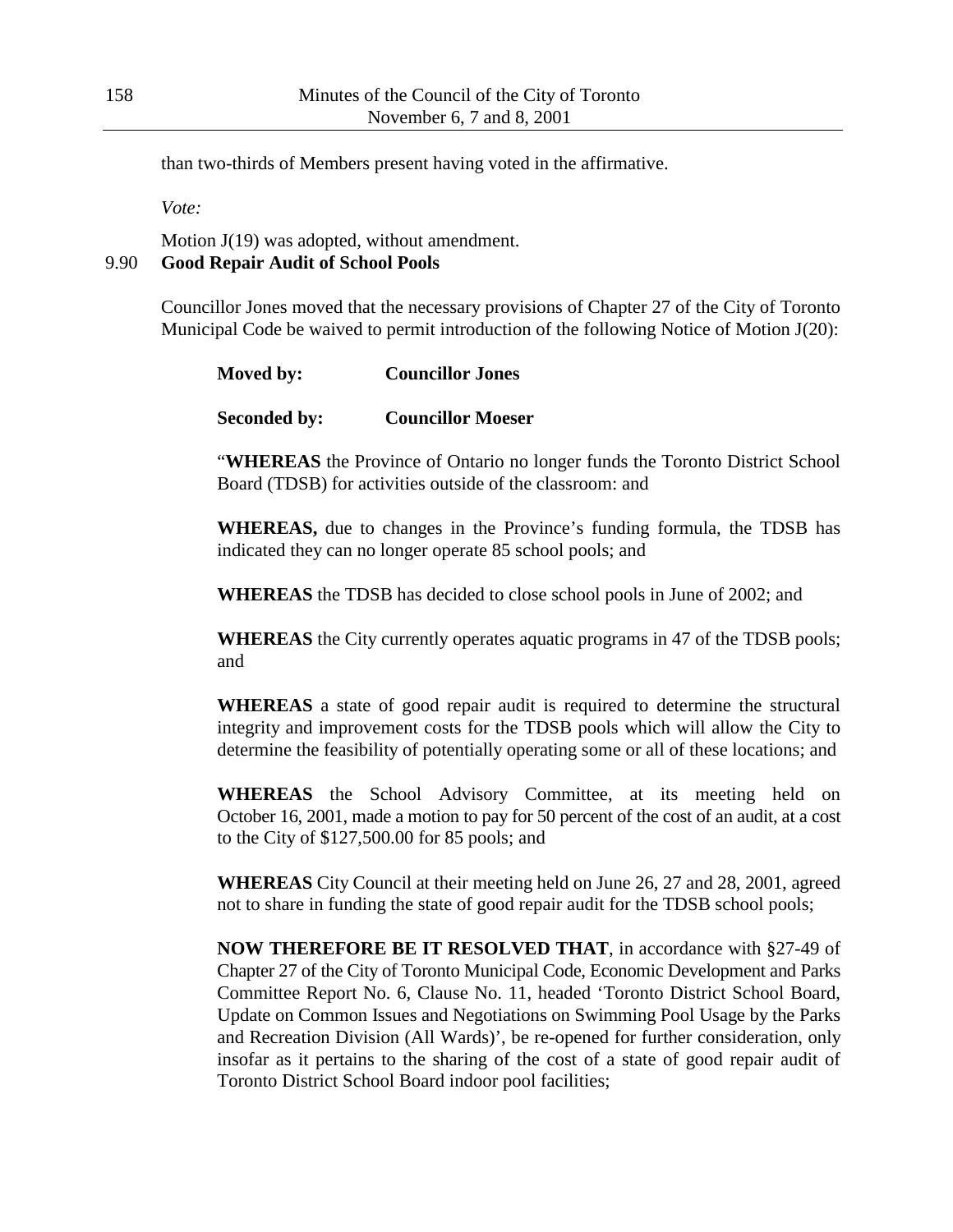than two-thirds of Members present having voted in the affirmative.

*Vote:*

Motion J(19) was adopted, without amendment. 9.90 **Good Repair Audit of School Pools**

> Councillor Jones moved that the necessary provisions of Chapter 27 of the City of Toronto Municipal Code be waived to permit introduction of the following Notice of Motion J(20):

| Moved by:           | <b>Councillor Jones</b>  |
|---------------------|--------------------------|
| <b>Seconded by:</b> | <b>Councillor Moeser</b> |

"**WHEREAS** the Province of Ontario no longer funds the Toronto District School Board (TDSB) for activities outside of the classroom: and

**WHEREAS,** due to changes in the Province's funding formula, the TDSB has indicated they can no longer operate 85 school pools; and

**WHEREAS** the TDSB has decided to close school pools in June of 2002; and

**WHEREAS** the City currently operates aquatic programs in 47 of the TDSB pools; and

**WHEREAS** a state of good repair audit is required to determine the structural integrity and improvement costs for the TDSB pools which will allow the City to determine the feasibility of potentially operating some or all of these locations; and

**WHEREAS** the School Advisory Committee, at its meeting held on October 16, 2001, made a motion to pay for 50 percent of the cost of an audit, at a cost to the City of \$127,500.00 for 85 pools; and

**WHEREAS** City Council at their meeting held on June 26, 27 and 28, 2001, agreed not to share in funding the state of good repair audit for the TDSB school pools;

**NOW THEREFORE BE IT RESOLVED THAT**, in accordance with §27-49 of Chapter 27 of the City of Toronto Municipal Code, Economic Development and Parks Committee Report No. 6, Clause No. 11, headed 'Toronto District School Board, Update on Common Issues and Negotiations on Swimming Pool Usage by the Parks and Recreation Division (All Wards)', be re-opened for further consideration, only insofar as it pertains to the sharing of the cost of a state of good repair audit of Toronto District School Board indoor pool facilities;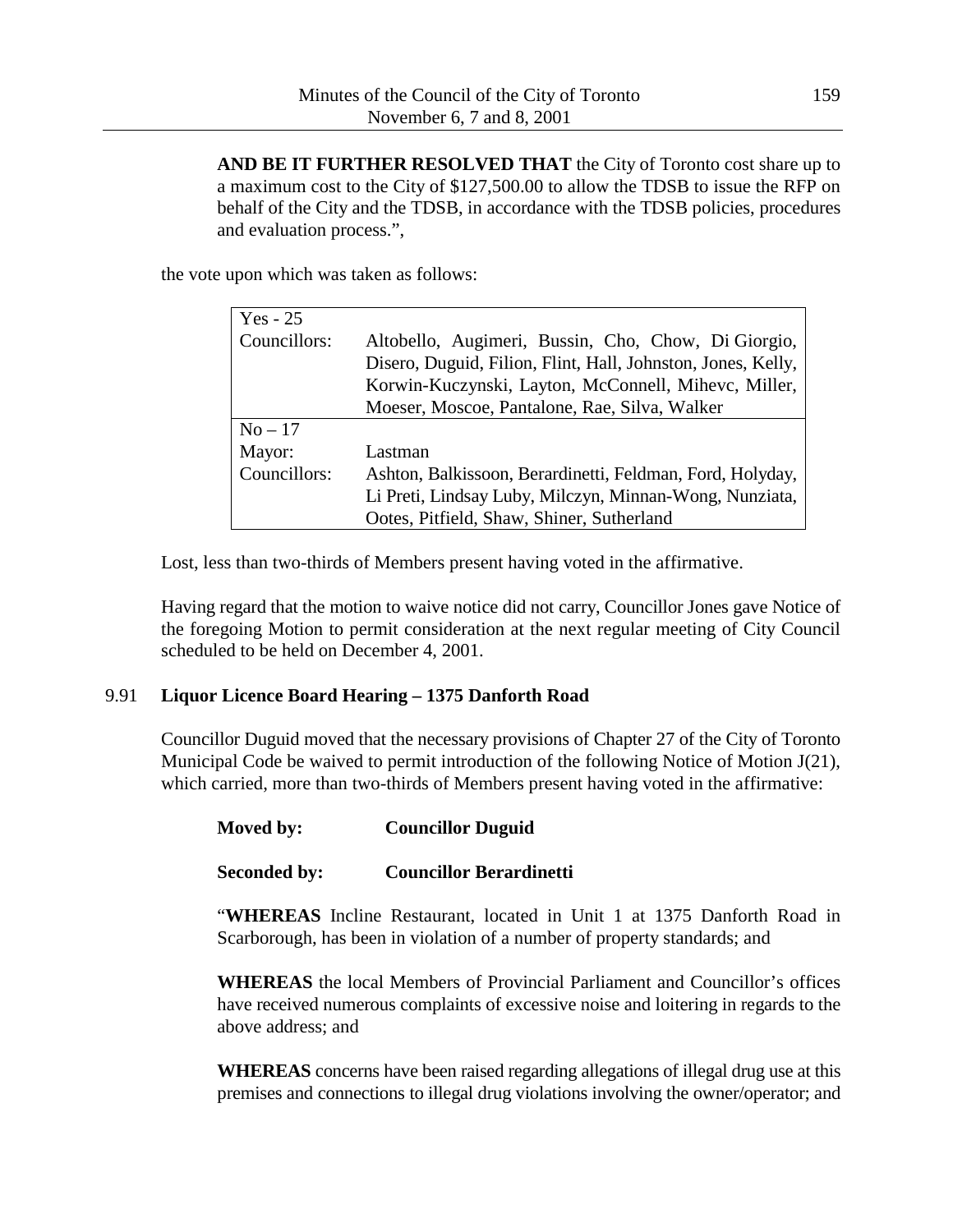**AND BE IT FURTHER RESOLVED THAT** the City of Toronto cost share up to a maximum cost to the City of \$127,500.00 to allow the TDSB to issue the RFP on behalf of the City and the TDSB, in accordance with the TDSB policies, procedures and evaluation process.",

the vote upon which was taken as follows:

| $Yes - 25$   |                                                              |
|--------------|--------------------------------------------------------------|
| Councillors: | Altobello, Augimeri, Bussin, Cho, Chow, Di Giorgio,          |
|              | Disero, Duguid, Filion, Flint, Hall, Johnston, Jones, Kelly, |
|              | Korwin-Kuczynski, Layton, McConnell, Mihevc, Miller,         |
|              | Moeser, Moscoe, Pantalone, Rae, Silva, Walker                |
| $No-17$      |                                                              |
| Mayor:       | Lastman                                                      |
| Councillors: | Ashton, Balkissoon, Berardinetti, Feldman, Ford, Holyday,    |
|              | Li Preti, Lindsay Luby, Milczyn, Minnan-Wong, Nunziata,      |
|              | Ootes, Pitfield, Shaw, Shiner, Sutherland                    |

Lost, less than two-thirds of Members present having voted in the affirmative.

Having regard that the motion to waive notice did not carry, Councillor Jones gave Notice of the foregoing Motion to permit consideration at the next regular meeting of City Council scheduled to be held on December 4, 2001.

### 9.91 **Liquor Licence Board Hearing – 1375 Danforth Road**

Councillor Duguid moved that the necessary provisions of Chapter 27 of the City of Toronto Municipal Code be waived to permit introduction of the following Notice of Motion J(21), which carried, more than two-thirds of Members present having voted in the affirmative:

### **Moved by: Councillor Duguid**

### **Seconded by: Councillor Berardinetti**

"**WHEREAS** Incline Restaurant, located in Unit 1 at 1375 Danforth Road in Scarborough, has been in violation of a number of property standards; and

**WHEREAS** the local Members of Provincial Parliament and Councillor's offices have received numerous complaints of excessive noise and loitering in regards to the above address; and

**WHEREAS** concerns have been raised regarding allegations of illegal drug use at this premises and connections to illegal drug violations involving the owner/operator; and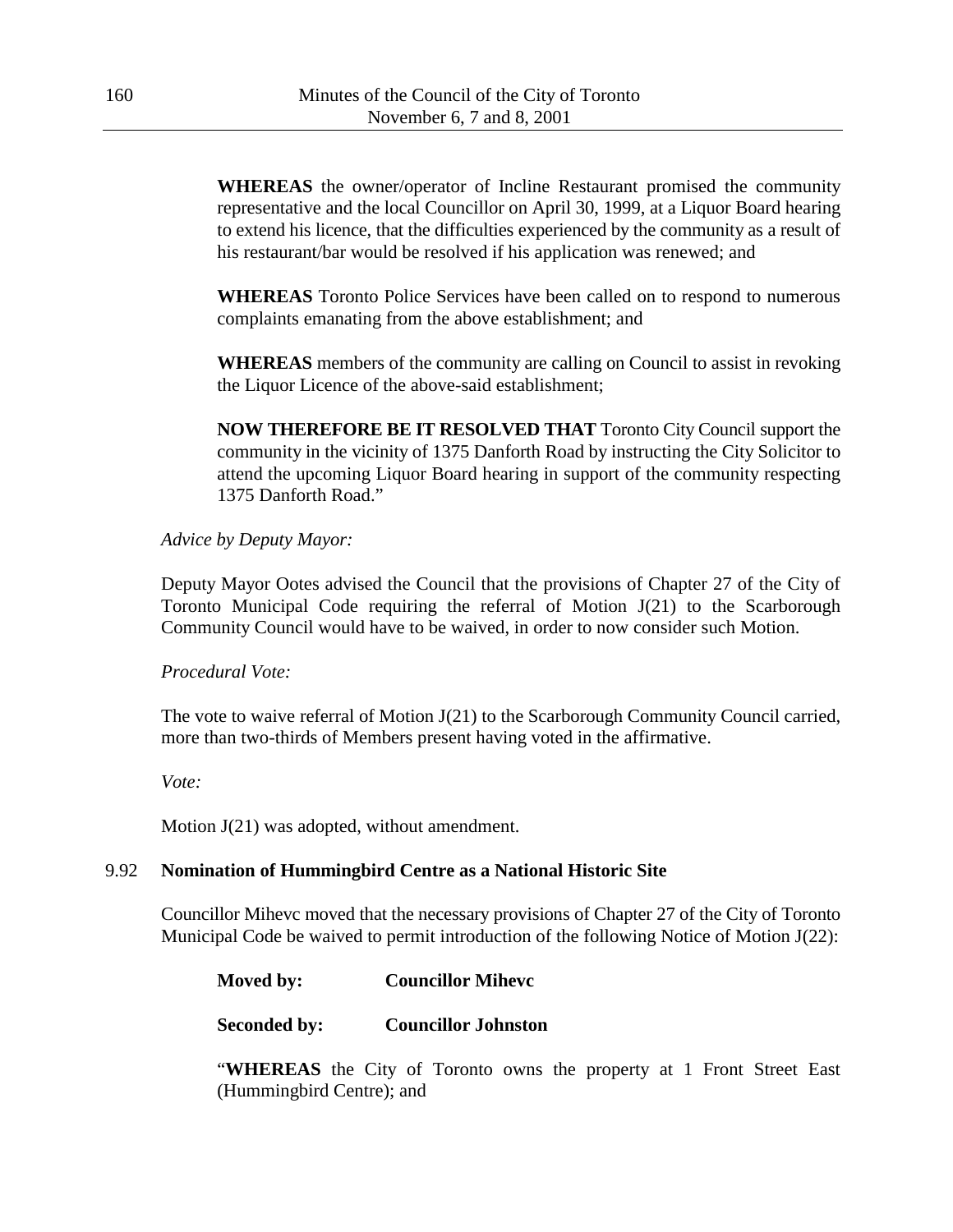**WHEREAS** the owner/operator of Incline Restaurant promised the community representative and the local Councillor on April 30, 1999, at a Liquor Board hearing to extend his licence, that the difficulties experienced by the community as a result of his restaurant/bar would be resolved if his application was renewed; and

**WHEREAS** Toronto Police Services have been called on to respond to numerous complaints emanating from the above establishment; and

**WHEREAS** members of the community are calling on Council to assist in revoking the Liquor Licence of the above-said establishment;

**NOW THEREFORE BE IT RESOLVED THAT** Toronto City Council support the community in the vicinity of 1375 Danforth Road by instructing the City Solicitor to attend the upcoming Liquor Board hearing in support of the community respecting 1375 Danforth Road."

### *Advice by Deputy Mayor:*

Deputy Mayor Ootes advised the Council that the provisions of Chapter 27 of the City of Toronto Municipal Code requiring the referral of Motion J(21) to the Scarborough Community Council would have to be waived, in order to now consider such Motion.

### *Procedural Vote:*

The vote to waive referral of Motion J(21) to the Scarborough Community Council carried, more than two-thirds of Members present having voted in the affirmative.

*Vote:*

Motion J(21) was adopted, without amendment.

### 9.92 **Nomination of Hummingbird Centre as a National Historic Site**

Councillor Mihevc moved that the necessary provisions of Chapter 27 of the City of Toronto Municipal Code be waived to permit introduction of the following Notice of Motion J(22):

| Moved by: | <b>Councillor Miheve</b> |
|-----------|--------------------------|
|-----------|--------------------------|

**Seconded by: Councillor Johnston**

"**WHEREAS** the City of Toronto owns the property at 1 Front Street East (Hummingbird Centre); and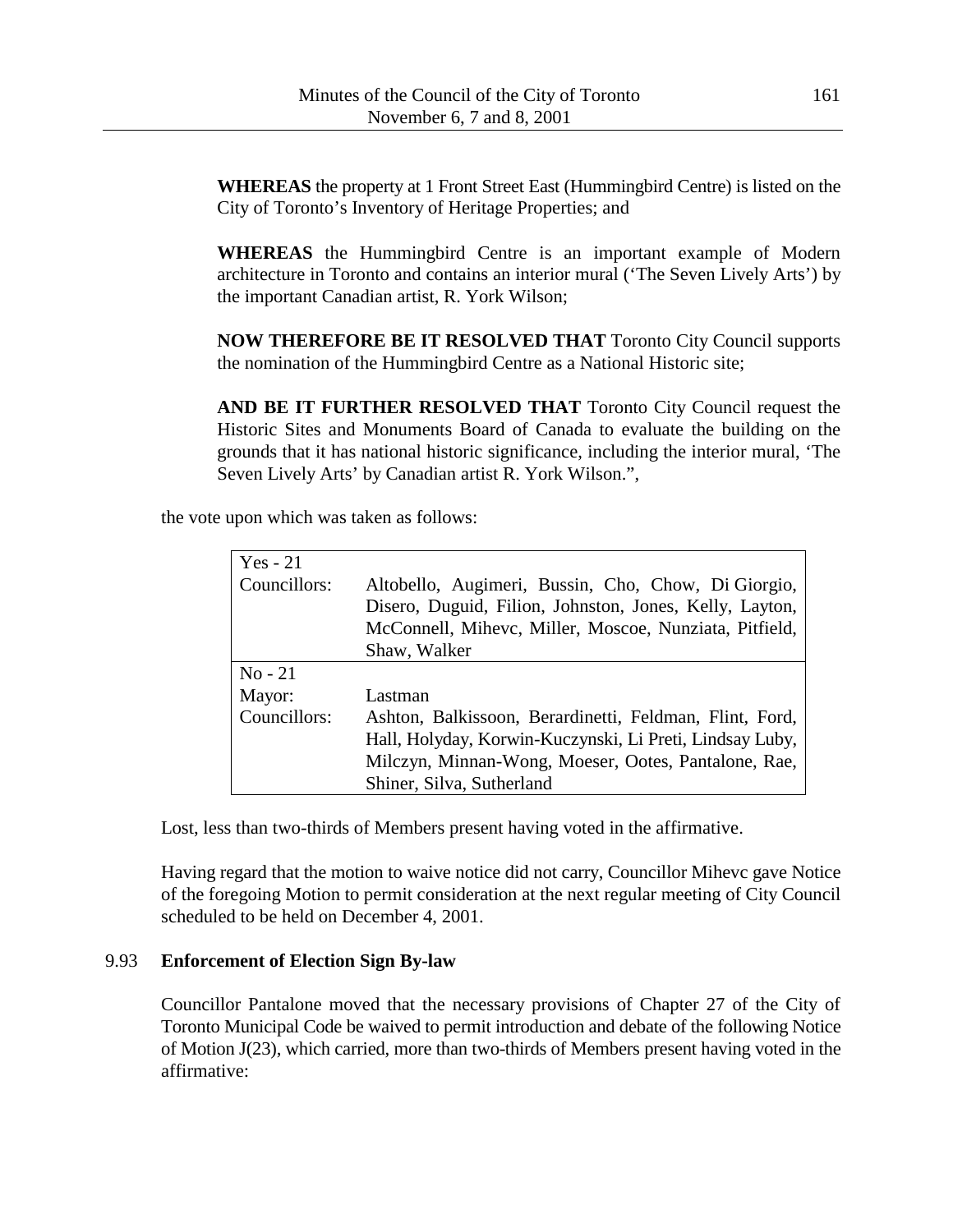**WHEREAS** the property at 1 Front Street East (Hummingbird Centre) is listed on the City of Toronto's Inventory of Heritage Properties; and

**WHEREAS** the Hummingbird Centre is an important example of Modern architecture in Toronto and contains an interior mural ('The Seven Lively Arts') by the important Canadian artist, R. York Wilson;

**NOW THEREFORE BE IT RESOLVED THAT** Toronto City Council supports the nomination of the Hummingbird Centre as a National Historic site;

**AND BE IT FURTHER RESOLVED THAT** Toronto City Council request the Historic Sites and Monuments Board of Canada to evaluate the building on the grounds that it has national historic significance, including the interior mural, 'The Seven Lively Arts' by Canadian artist R. York Wilson.",

the vote upon which was taken as follows:

| Yes $-21$    |                                                          |
|--------------|----------------------------------------------------------|
| Councillors: | Altobello, Augimeri, Bussin, Cho, Chow, Di Giorgio,      |
|              | Disero, Duguid, Filion, Johnston, Jones, Kelly, Layton,  |
|              | McConnell, Mihevc, Miller, Moscoe, Nunziata, Pitfield,   |
|              | Shaw, Walker                                             |
| $No - 21$    |                                                          |
| Mayor:       | Lastman                                                  |
| Councillors: | Ashton, Balkissoon, Berardinetti, Feldman, Flint, Ford,  |
|              | Hall, Holyday, Korwin-Kuczynski, Li Preti, Lindsay Luby, |
|              | Milczyn, Minnan-Wong, Moeser, Ootes, Pantalone, Rae,     |
|              | Shiner, Silva, Sutherland                                |

Lost, less than two-thirds of Members present having voted in the affirmative.

Having regard that the motion to waive notice did not carry, Councillor Mihevc gave Notice of the foregoing Motion to permit consideration at the next regular meeting of City Council scheduled to be held on December 4, 2001.

#### 9.93 **Enforcement of Election Sign By-law**

Councillor Pantalone moved that the necessary provisions of Chapter 27 of the City of Toronto Municipal Code be waived to permit introduction and debate of the following Notice of Motion J(23), which carried, more than two-thirds of Members present having voted in the affirmative: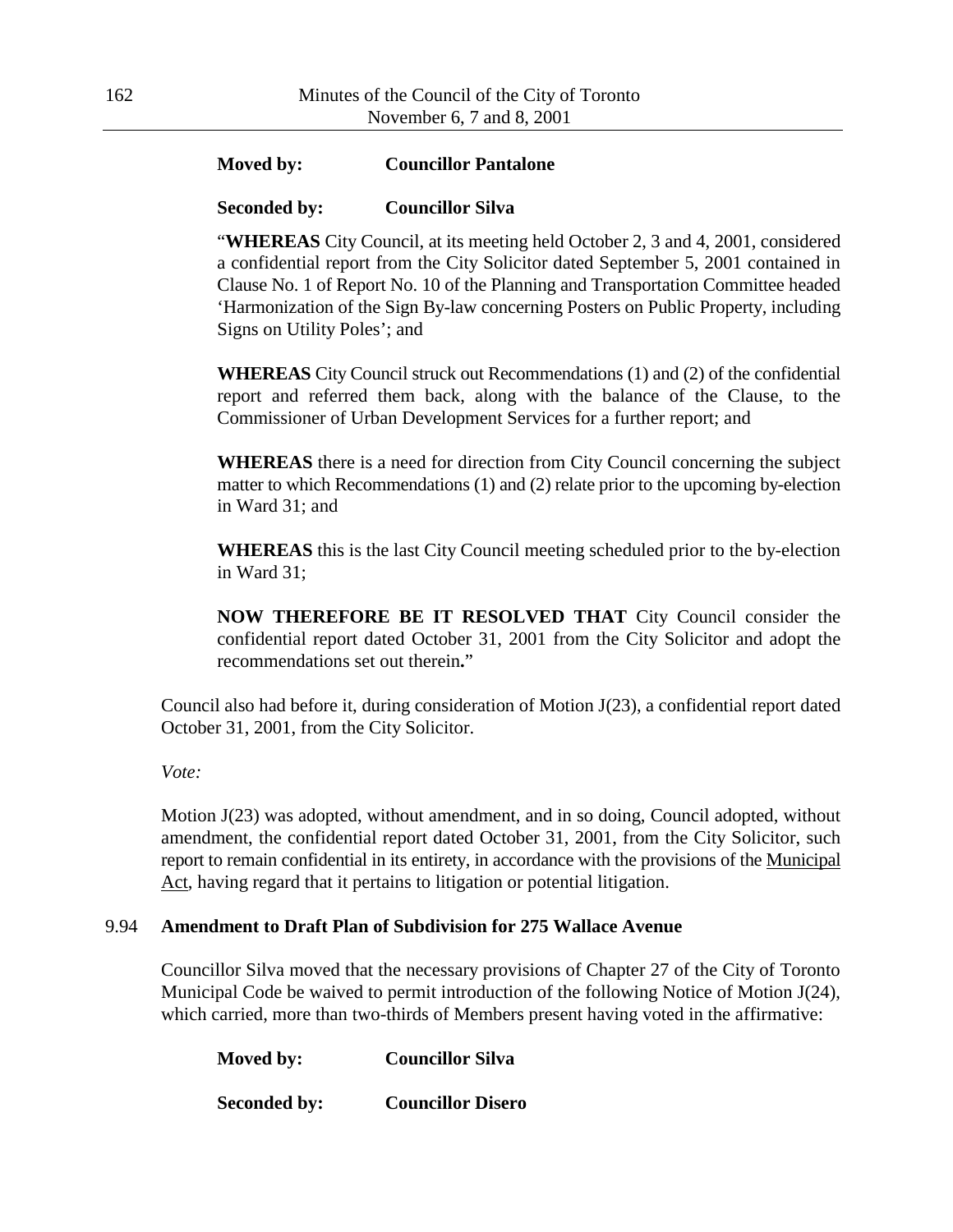# **Moved by: Councillor Pantalone**

### **Seconded by: Councillor Silva**

"**WHEREAS** City Council, at its meeting held October 2, 3 and 4, 2001, considered a confidential report from the City Solicitor dated September 5, 2001 contained in Clause No. 1 of Report No. 10 of the Planning and Transportation Committee headed 'Harmonization of the Sign By-law concerning Posters on Public Property, including Signs on Utility Poles'; and

**WHEREAS** City Council struck out Recommendations (1) and (2) of the confidential report and referred them back, along with the balance of the Clause, to the Commissioner of Urban Development Services for a further report; and

**WHEREAS** there is a need for direction from City Council concerning the subject matter to which Recommendations (1) and (2) relate prior to the upcoming by-election in Ward 31; and

**WHEREAS** this is the last City Council meeting scheduled prior to the by-election in Ward 31;

**NOW THEREFORE BE IT RESOLVED THAT** City Council consider the confidential report dated October 31, 2001 from the City Solicitor and adopt the recommendations set out therein**.**"

Council also had before it, during consideration of Motion J(23), a confidential report dated October 31, 2001, from the City Solicitor.

*Vote:*

Motion J(23) was adopted, without amendment, and in so doing, Council adopted, without amendment, the confidential report dated October 31, 2001, from the City Solicitor, such report to remain confidential in its entirety, in accordance with the provisions of the Municipal Act, having regard that it pertains to litigation or potential litigation.

#### 9.94 **Amendment to Draft Plan of Subdivision for 275 Wallace Avenue**

Councillor Silva moved that the necessary provisions of Chapter 27 of the City of Toronto Municipal Code be waived to permit introduction of the following Notice of Motion J(24), which carried, more than two-thirds of Members present having voted in the affirmative:

| Moved by:           | <b>Councillor Silva</b>  |
|---------------------|--------------------------|
| <b>Seconded by:</b> | <b>Councillor Disero</b> |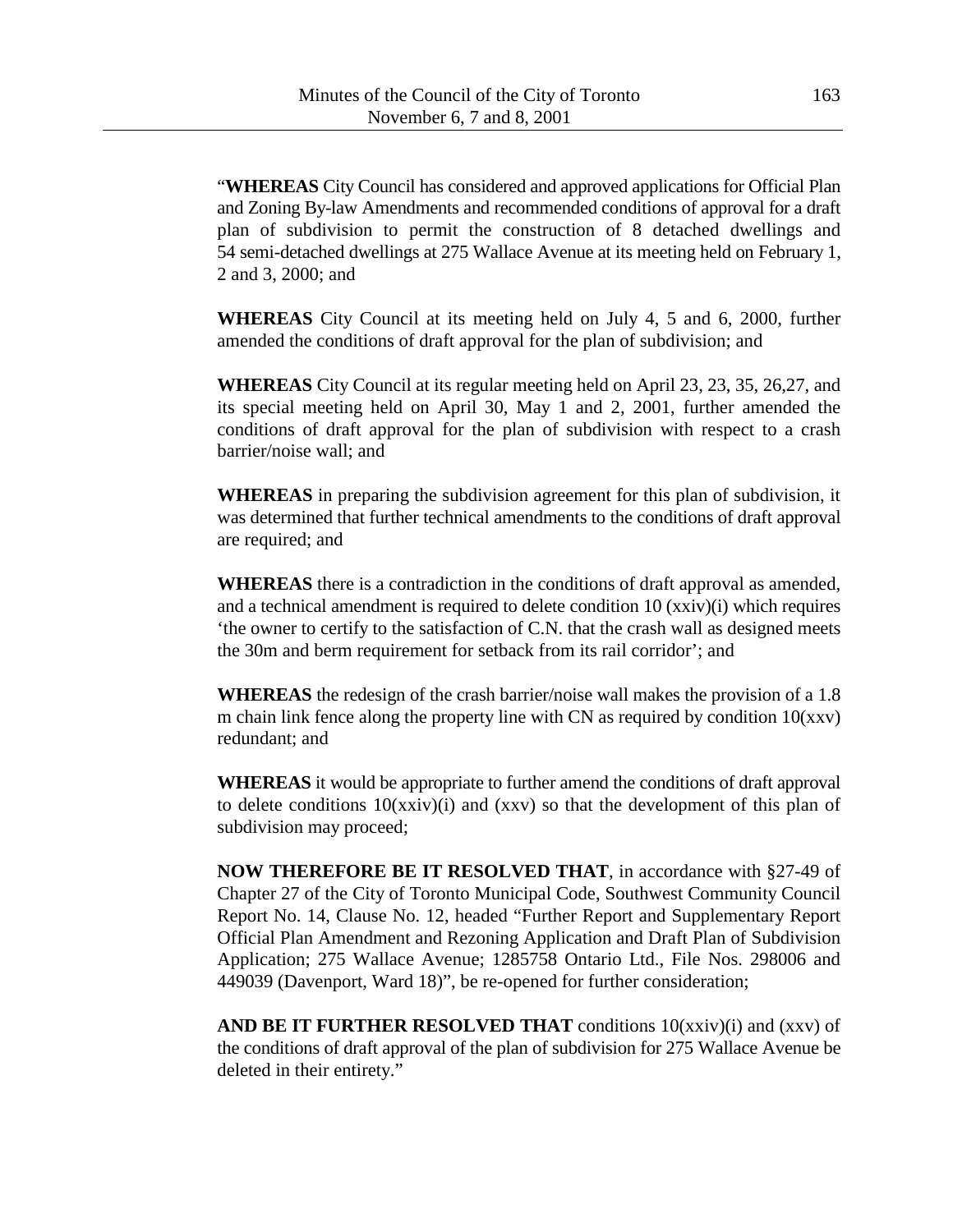"**WHEREAS** City Council has considered and approved applications for Official Plan and Zoning By-law Amendments and recommended conditions of approval for a draft plan of subdivision to permit the construction of 8 detached dwellings and 54 semi-detached dwellings at 275 Wallace Avenue at its meeting held on February 1, 2 and 3, 2000; and

**WHEREAS** City Council at its meeting held on July 4, 5 and 6, 2000, further amended the conditions of draft approval for the plan of subdivision; and

**WHEREAS** City Council at its regular meeting held on April 23, 23, 35, 26,27, and its special meeting held on April 30, May 1 and 2, 2001, further amended the conditions of draft approval for the plan of subdivision with respect to a crash barrier/noise wall; and

**WHEREAS** in preparing the subdivision agreement for this plan of subdivision, it was determined that further technical amendments to the conditions of draft approval are required; and

**WHEREAS** there is a contradiction in the conditions of draft approval as amended, and a technical amendment is required to delete condition 10 (xxiv)(i) which requires 'the owner to certify to the satisfaction of C.N. that the crash wall as designed meets the 30m and berm requirement for setback from its rail corridor'; and

**WHEREAS** the redesign of the crash barrier/noise wall makes the provision of a 1.8 m chain link fence along the property line with CN as required by condition 10(xxv) redundant; and

**WHEREAS** it would be appropriate to further amend the conditions of draft approval to delete conditions  $10(xxiv)(i)$  and  $(xxv)$  so that the development of this plan of subdivision may proceed;

**NOW THEREFORE BE IT RESOLVED THAT**, in accordance with §27-49 of Chapter 27 of the City of Toronto Municipal Code, Southwest Community Council Report No. 14, Clause No. 12, headed "Further Report and Supplementary Report Official Plan Amendment and Rezoning Application and Draft Plan of Subdivision Application; 275 Wallace Avenue; 1285758 Ontario Ltd., File Nos. 298006 and 449039 (Davenport, Ward 18)", be re-opened for further consideration;

**AND BE IT FURTHER RESOLVED THAT** conditions 10(xxiv)(i) and (xxv) of the conditions of draft approval of the plan of subdivision for 275 Wallace Avenue be deleted in their entirety."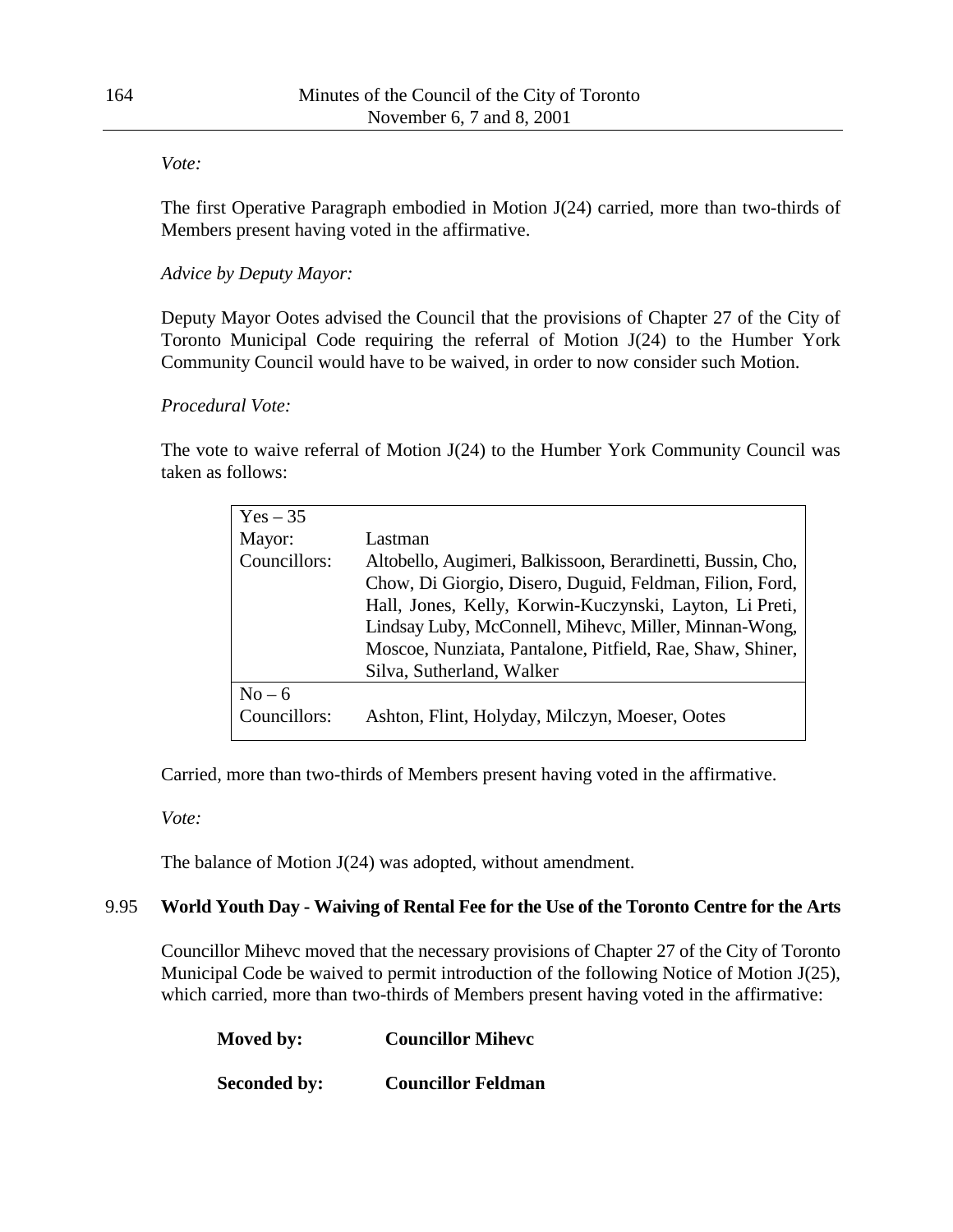### *Vote:*

The first Operative Paragraph embodied in Motion J(24) carried, more than two-thirds of Members present having voted in the affirmative.

# *Advice by Deputy Mayor:*

Deputy Mayor Ootes advised the Council that the provisions of Chapter 27 of the City of Toronto Municipal Code requiring the referral of Motion J(24) to the Humber York Community Council would have to be waived, in order to now consider such Motion.

## *Procedural Vote:*

The vote to waive referral of Motion J(24) to the Humber York Community Council was taken as follows:

| $Yes - 35$   |                                                             |
|--------------|-------------------------------------------------------------|
| Mayor:       | Lastman                                                     |
| Councillors: | Altobello, Augimeri, Balkissoon, Berardinetti, Bussin, Cho, |
|              | Chow, Di Giorgio, Disero, Duguid, Feldman, Filion, Ford,    |
|              | Hall, Jones, Kelly, Korwin-Kuczynski, Layton, Li Preti,     |
|              | Lindsay Luby, McConnell, Mihevc, Miller, Minnan-Wong,       |
|              | Moscoe, Nunziata, Pantalone, Pitfield, Rae, Shaw, Shiner,   |
|              | Silva, Sutherland, Walker                                   |
| $No-6$       |                                                             |
| Councillors: | Ashton, Flint, Holyday, Milczyn, Moeser, Ootes              |
|              |                                                             |

Carried, more than two-thirds of Members present having voted in the affirmative.

*Vote:*

The balance of Motion J(24) was adopted, without amendment.

# 9.95 **World Youth Day - Waiving of Rental Fee for the Use of the Toronto Centre for the Arts**

Councillor Mihevc moved that the necessary provisions of Chapter 27 of the City of Toronto Municipal Code be waived to permit introduction of the following Notice of Motion J(25), which carried, more than two-thirds of Members present having voted in the affirmative:

| Moved by:           | <b>Councillor Miheve</b>  |
|---------------------|---------------------------|
| <b>Seconded by:</b> | <b>Councillor Feldman</b> |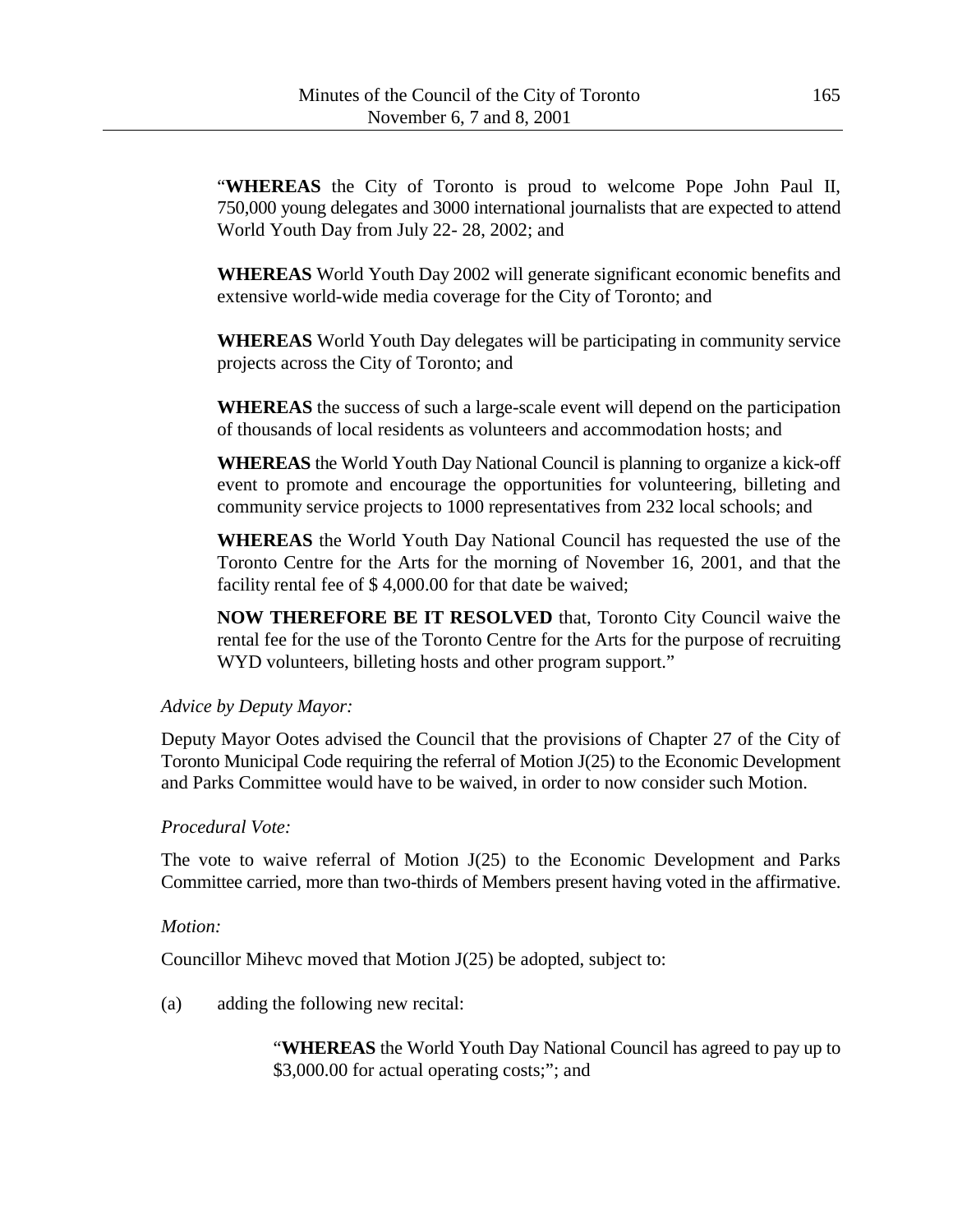"**WHEREAS** the City of Toronto is proud to welcome Pope John Paul II, 750,000 young delegates and 3000 international journalists that are expected to attend World Youth Day from July 22- 28, 2002; and

**WHEREAS** World Youth Day 2002 will generate significant economic benefits and extensive world-wide media coverage for the City of Toronto; and

**WHEREAS** World Youth Day delegates will be participating in community service projects across the City of Toronto; and

**WHEREAS** the success of such a large-scale event will depend on the participation of thousands of local residents as volunteers and accommodation hosts; and

**WHEREAS** the World Youth Day National Council is planning to organize a kick-off event to promote and encourage the opportunities for volunteering, billeting and community service projects to 1000 representatives from 232 local schools; and

**WHEREAS** the World Youth Day National Council has requested the use of the Toronto Centre for the Arts for the morning of November 16, 2001, and that the facility rental fee of \$ 4,000.00 for that date be waived;

**NOW THEREFORE BE IT RESOLVED** that, Toronto City Council waive the rental fee for the use of the Toronto Centre for the Arts for the purpose of recruiting WYD volunteers, billeting hosts and other program support."

### *Advice by Deputy Mayor:*

Deputy Mayor Ootes advised the Council that the provisions of Chapter 27 of the City of Toronto Municipal Code requiring the referral of Motion J(25) to the Economic Development and Parks Committee would have to be waived, in order to now consider such Motion.

#### *Procedural Vote:*

The vote to waive referral of Motion  $J(25)$  to the Economic Development and Parks Committee carried, more than two-thirds of Members present having voted in the affirmative.

### *Motion:*

Councillor Mihevc moved that Motion J(25) be adopted, subject to:

(a) adding the following new recital:

"**WHEREAS** the World Youth Day National Council has agreed to pay up to \$3,000.00 for actual operating costs;"; and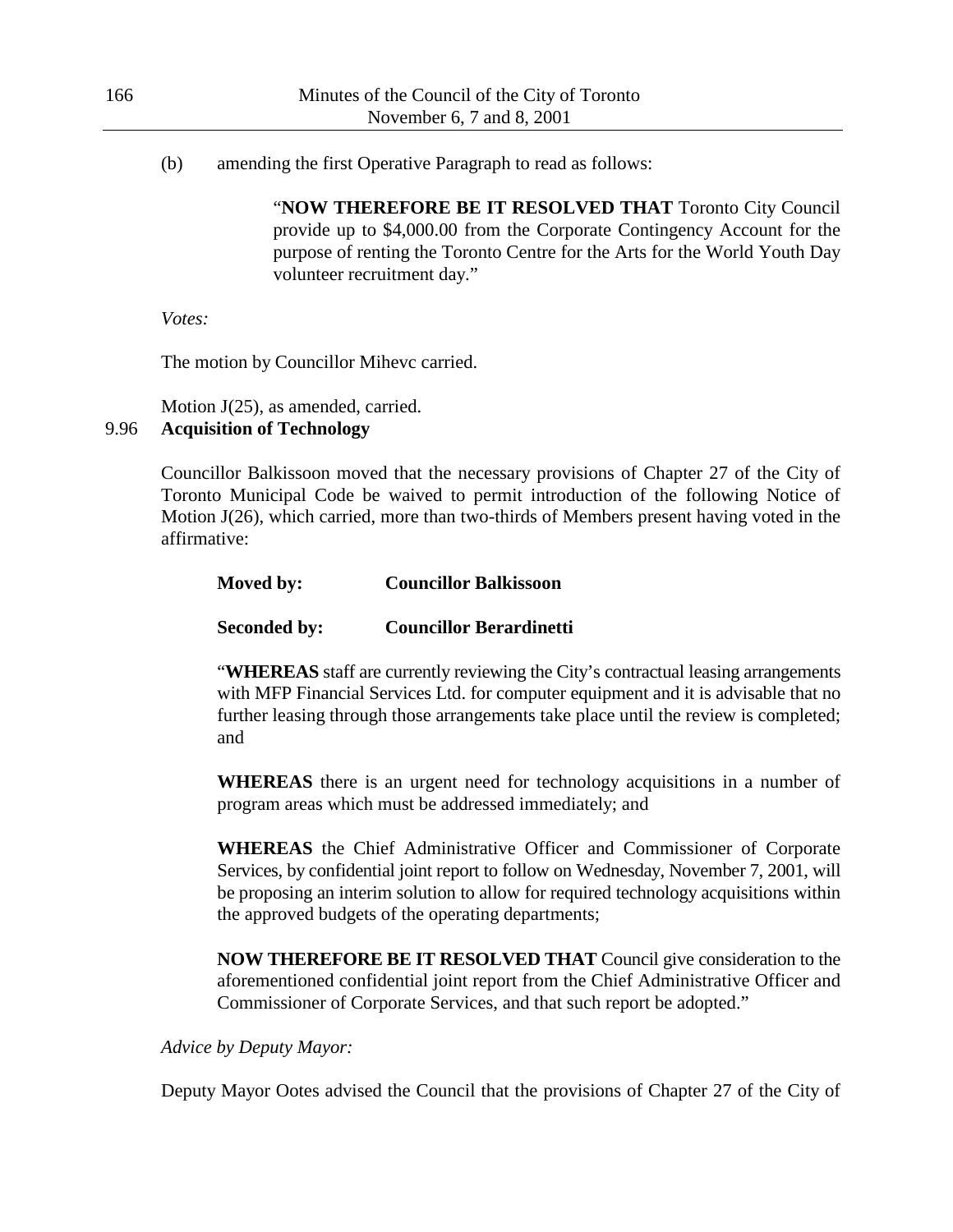(b) amending the first Operative Paragraph to read as follows:

"**NOW THEREFORE BE IT RESOLVED THAT** Toronto City Council provide up to \$4,000.00 from the Corporate Contingency Account for the purpose of renting the Toronto Centre for the Arts for the World Youth Day volunteer recruitment day."

*Votes:*

The motion by Councillor Mihevc carried.

Motion J(25), as amended, carried. 9.96 **Acquisition of Technology**

> Councillor Balkissoon moved that the necessary provisions of Chapter 27 of the City of Toronto Municipal Code be waived to permit introduction of the following Notice of Motion J(26), which carried, more than two-thirds of Members present having voted in the affirmative:

**Moved by: Councillor Balkissoon**

# **Seconded by: Councillor Berardinetti**

"**WHEREAS** staff are currently reviewing the City's contractual leasing arrangements with MFP Financial Services Ltd. for computer equipment and it is advisable that no further leasing through those arrangements take place until the review is completed; and

**WHEREAS** there is an urgent need for technology acquisitions in a number of program areas which must be addressed immediately; and

**WHEREAS** the Chief Administrative Officer and Commissioner of Corporate Services, by confidential joint report to follow on Wednesday, November 7, 2001, will be proposing an interim solution to allow for required technology acquisitions within the approved budgets of the operating departments;

**NOW THEREFORE BE IT RESOLVED THAT** Council give consideration to the aforementioned confidential joint report from the Chief Administrative Officer and Commissioner of Corporate Services, and that such report be adopted."

*Advice by Deputy Mayor:*

Deputy Mayor Ootes advised the Council that the provisions of Chapter 27 of the City of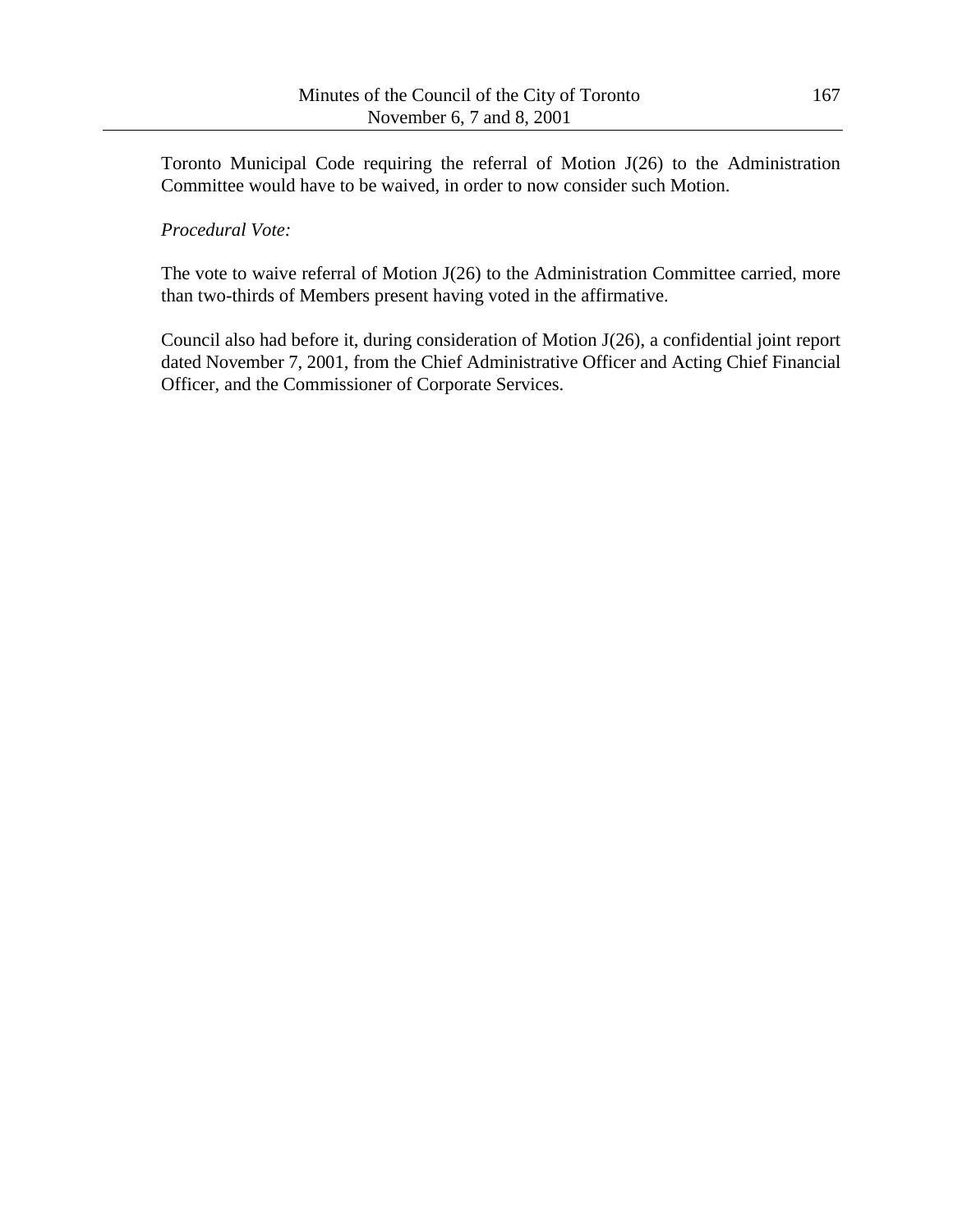Toronto Municipal Code requiring the referral of Motion J(26) to the Administration Committee would have to be waived, in order to now consider such Motion.

### *Procedural Vote:*

The vote to waive referral of Motion J(26) to the Administration Committee carried, more than two-thirds of Members present having voted in the affirmative.

Council also had before it, during consideration of Motion J(26), a confidential joint report dated November 7, 2001, from the Chief Administrative Officer and Acting Chief Financial Officer, and the Commissioner of Corporate Services.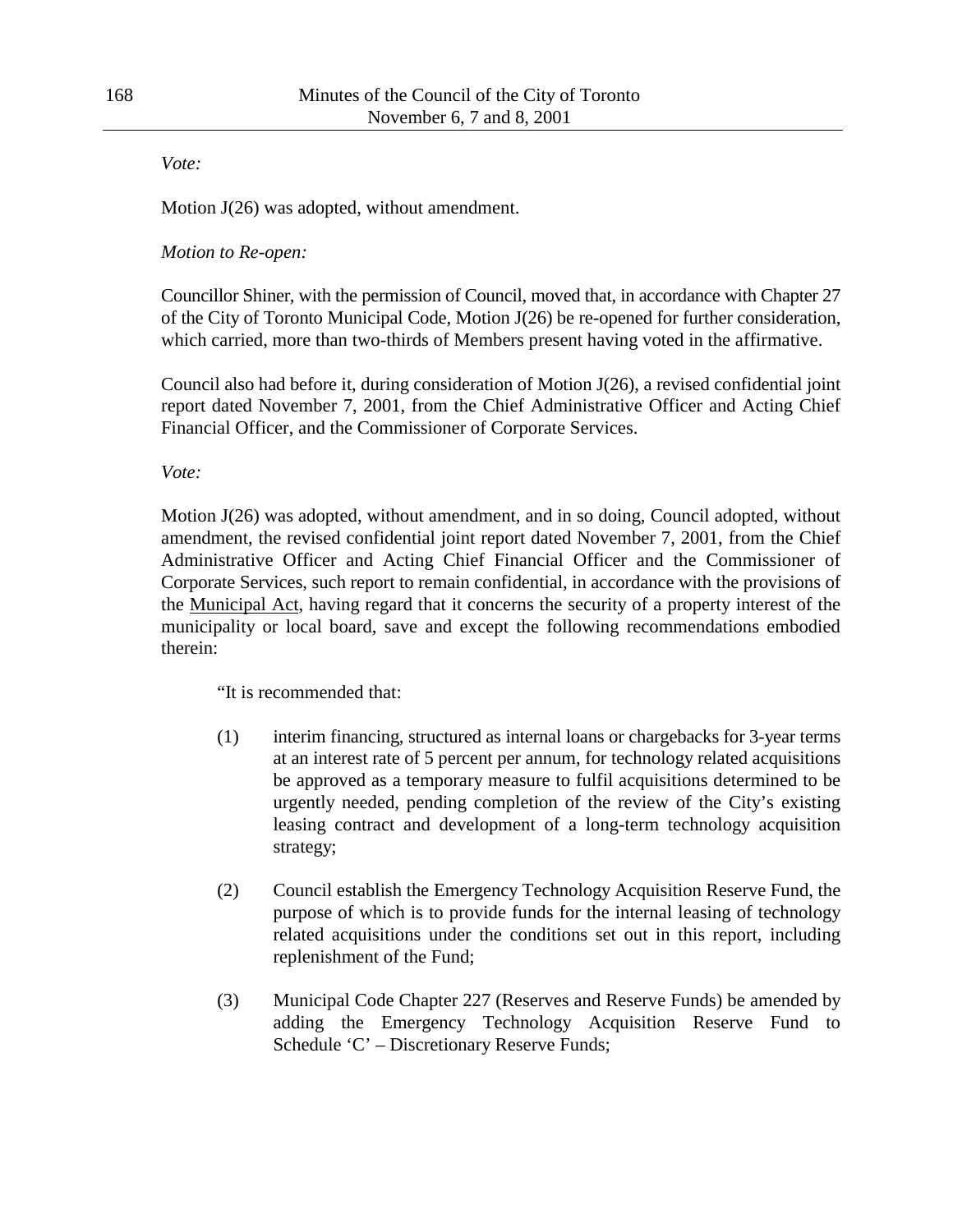*Vote:*

Motion  $J(26)$  was adopted, without amendment.

## *Motion to Re-open:*

Councillor Shiner, with the permission of Council, moved that, in accordance with Chapter 27 of the City of Toronto Municipal Code, Motion J(26) be re-opened for further consideration, which carried, more than two-thirds of Members present having voted in the affirmative.

Council also had before it, during consideration of Motion J(26), a revised confidential joint report dated November 7, 2001, from the Chief Administrative Officer and Acting Chief Financial Officer, and the Commissioner of Corporate Services.

*Vote:*

Motion J(26) was adopted, without amendment, and in so doing, Council adopted, without amendment, the revised confidential joint report dated November 7, 2001, from the Chief Administrative Officer and Acting Chief Financial Officer and the Commissioner of Corporate Services, such report to remain confidential, in accordance with the provisions of the Municipal Act, having regard that it concerns the security of a property interest of the municipality or local board, save and except the following recommendations embodied therein:

"It is recommended that:

- (1) interim financing, structured as internal loans or chargebacks for 3-year terms at an interest rate of 5 percent per annum, for technology related acquisitions be approved as a temporary measure to fulfil acquisitions determined to be urgently needed, pending completion of the review of the City's existing leasing contract and development of a long-term technology acquisition strategy;
- (2) Council establish the Emergency Technology Acquisition Reserve Fund, the purpose of which is to provide funds for the internal leasing of technology related acquisitions under the conditions set out in this report, including replenishment of the Fund;
- (3) Municipal Code Chapter 227 (Reserves and Reserve Funds) be amended by adding the Emergency Technology Acquisition Reserve Fund to Schedule 'C' – Discretionary Reserve Funds;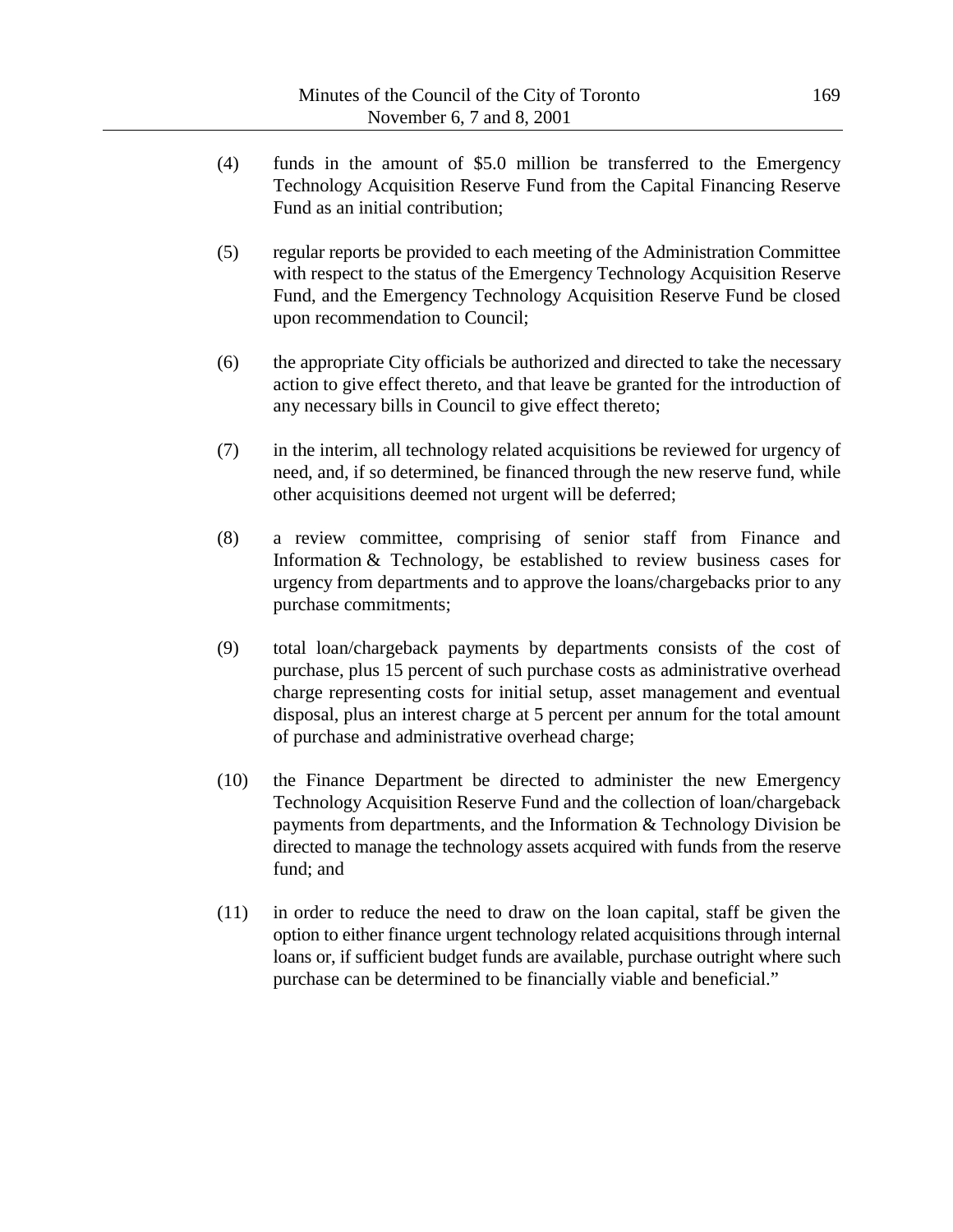- (4) funds in the amount of \$5.0 million be transferred to the Emergency Technology Acquisition Reserve Fund from the Capital Financing Reserve Fund as an initial contribution;
- (5) regular reports be provided to each meeting of the Administration Committee with respect to the status of the Emergency Technology Acquisition Reserve Fund, and the Emergency Technology Acquisition Reserve Fund be closed upon recommendation to Council;
- (6) the appropriate City officials be authorized and directed to take the necessary action to give effect thereto, and that leave be granted for the introduction of any necessary bills in Council to give effect thereto;
- (7) in the interim, all technology related acquisitions be reviewed for urgency of need, and, if so determined, be financed through the new reserve fund, while other acquisitions deemed not urgent will be deferred;
- (8) a review committee, comprising of senior staff from Finance and Information & Technology, be established to review business cases for urgency from departments and to approve the loans/chargebacks prior to any purchase commitments;
- (9) total loan/chargeback payments by departments consists of the cost of purchase, plus 15 percent of such purchase costs as administrative overhead charge representing costs for initial setup, asset management and eventual disposal, plus an interest charge at 5 percent per annum for the total amount of purchase and administrative overhead charge;
- (10) the Finance Department be directed to administer the new Emergency Technology Acquisition Reserve Fund and the collection of loan/chargeback payments from departments, and the Information & Technology Division be directed to manage the technology assets acquired with funds from the reserve fund; and
- (11) in order to reduce the need to draw on the loan capital, staff be given the option to either finance urgent technology related acquisitions through internal loans or, if sufficient budget funds are available, purchase outright where such purchase can be determined to be financially viable and beneficial."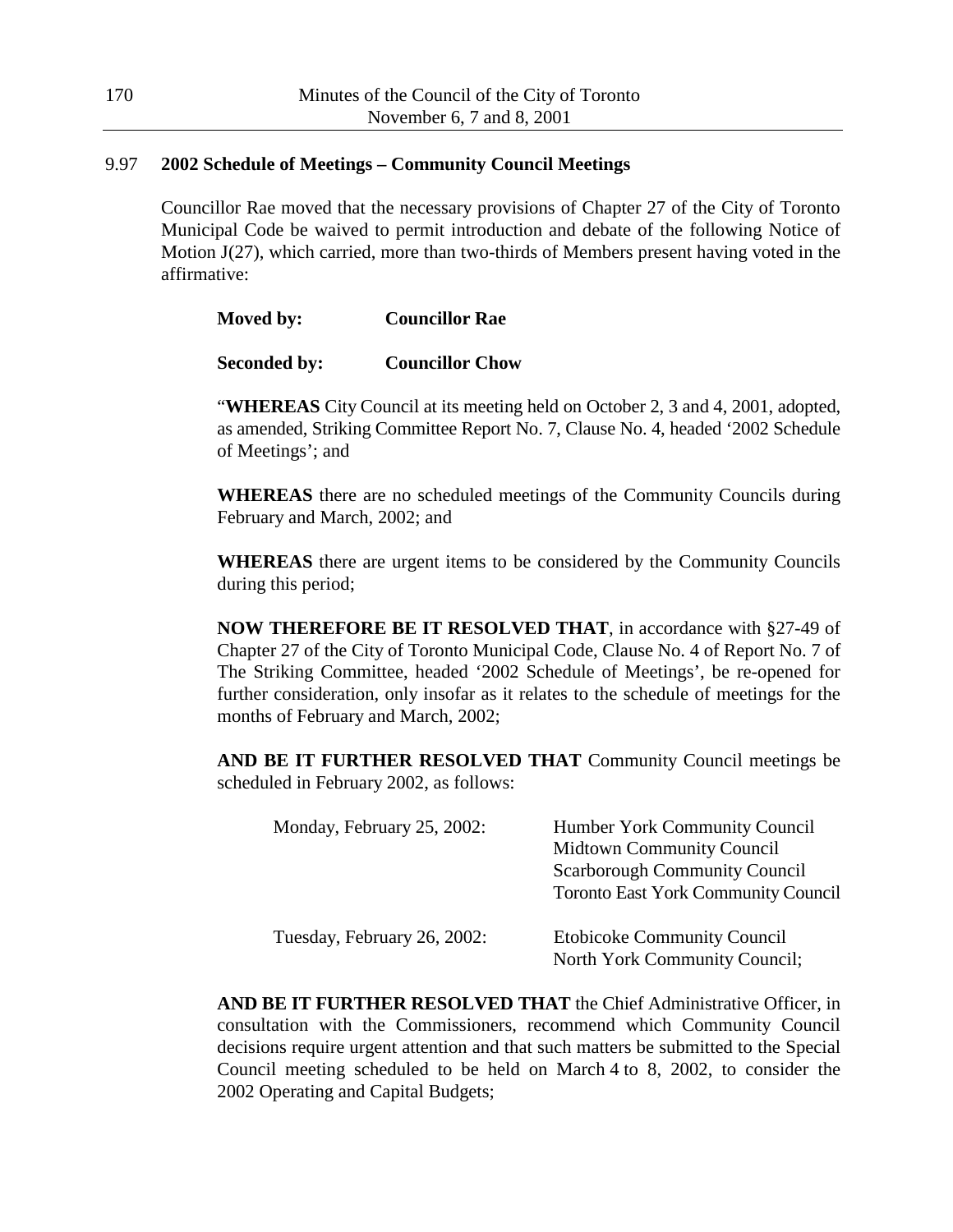### 9.97 **2002 Schedule of Meetings – Community Council Meetings**

Councillor Rae moved that the necessary provisions of Chapter 27 of the City of Toronto Municipal Code be waived to permit introduction and debate of the following Notice of Motion J(27), which carried, more than two-thirds of Members present having voted in the affirmative:

| Moved by: | <b>Councillor Rae</b> |
|-----------|-----------------------|
|           |                       |

| <b>Seconded by:</b> | <b>Councillor Chow</b> |  |
|---------------------|------------------------|--|
|                     |                        |  |

"**WHEREAS** City Council at its meeting held on October 2, 3 and 4, 2001, adopted, as amended, Striking Committee Report No. 7, Clause No. 4, headed '2002 Schedule of Meetings'; and

**WHEREAS** there are no scheduled meetings of the Community Councils during February and March, 2002; and

**WHEREAS** there are urgent items to be considered by the Community Councils during this period;

**NOW THEREFORE BE IT RESOLVED THAT**, in accordance with §27-49 of Chapter 27 of the City of Toronto Municipal Code, Clause No. 4 of Report No. 7 of The Striking Committee, headed '2002 Schedule of Meetings', be re-opened for further consideration, only insofar as it relates to the schedule of meetings for the months of February and March, 2002;

**AND BE IT FURTHER RESOLVED THAT** Community Council meetings be scheduled in February 2002, as follows:

| Monday, February 25, 2002:  | Humber York Community Council<br><b>Midtown Community Council</b><br><b>Scarborough Community Council</b><br><b>Toronto East York Community Council</b> |
|-----------------------------|---------------------------------------------------------------------------------------------------------------------------------------------------------|
| Tuesday, February 26, 2002: | <b>Etobicoke Community Council</b><br>North York Community Council;                                                                                     |

**AND BE IT FURTHER RESOLVED THAT** the Chief Administrative Officer, in consultation with the Commissioners, recommend which Community Council decisions require urgent attention and that such matters be submitted to the Special Council meeting scheduled to be held on March 4 to 8, 2002, to consider the 2002 Operating and Capital Budgets;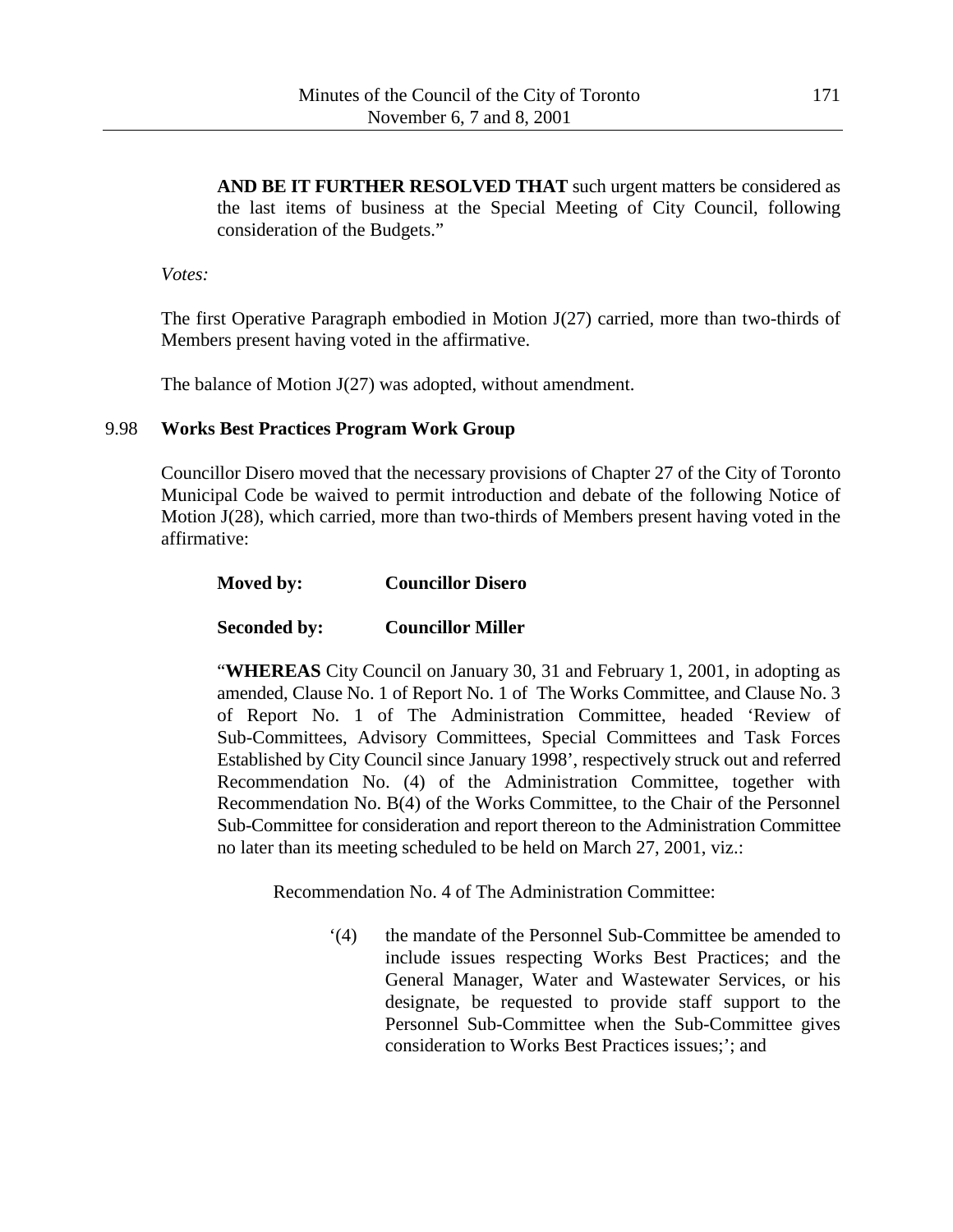**AND BE IT FURTHER RESOLVED THAT** such urgent matters be considered as the last items of business at the Special Meeting of City Council, following consideration of the Budgets."

*Votes:*

The first Operative Paragraph embodied in Motion J(27) carried, more than two-thirds of Members present having voted in the affirmative.

The balance of Motion J(27) was adopted, without amendment.

### 9.98 **Works Best Practices Program Work Group**

Councillor Disero moved that the necessary provisions of Chapter 27 of the City of Toronto Municipal Code be waived to permit introduction and debate of the following Notice of Motion J(28), which carried, more than two-thirds of Members present having voted in the affirmative:

### **Moved by: Councillor Disero**

# **Seconded by: Councillor Miller**

"**WHEREAS** City Council on January 30, 31 and February 1, 2001, in adopting as amended, Clause No. 1 of Report No. 1 of The Works Committee, and Clause No. 3 of Report No. 1 of The Administration Committee, headed 'Review of Sub-Committees, Advisory Committees, Special Committees and Task Forces Established by City Council since January 1998', respectively struck out and referred Recommendation No. (4) of the Administration Committee, together with Recommendation No. B(4) of the Works Committee, to the Chair of the Personnel Sub-Committee for consideration and report thereon to the Administration Committee no later than its meeting scheduled to be held on March 27, 2001, viz.:

Recommendation No. 4 of The Administration Committee:

'(4) the mandate of the Personnel Sub-Committee be amended to include issues respecting Works Best Practices; and the General Manager, Water and Wastewater Services, or his designate, be requested to provide staff support to the Personnel Sub-Committee when the Sub-Committee gives consideration to Works Best Practices issues;'; and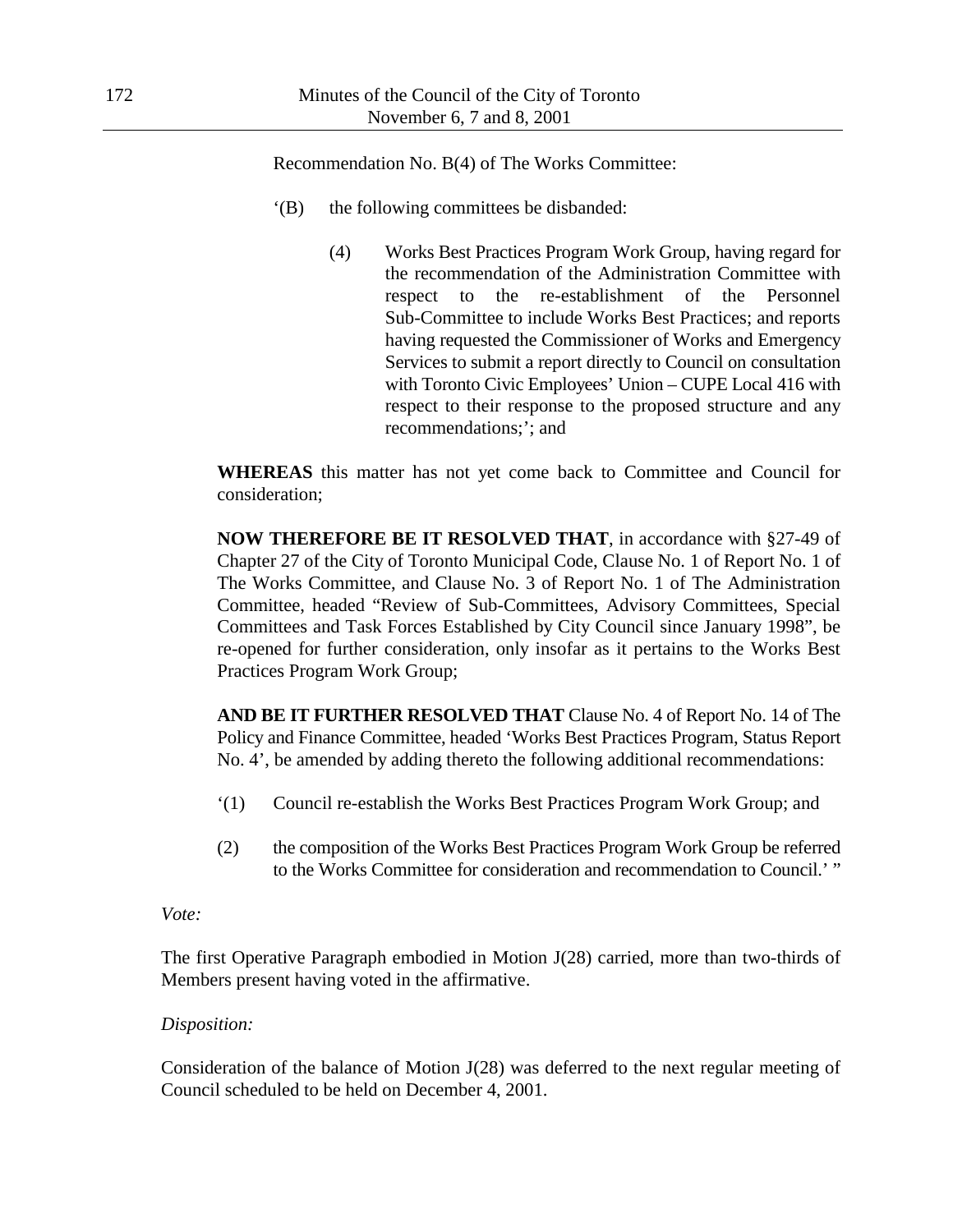Recommendation No. B(4) of The Works Committee:

- '(B) the following committees be disbanded:
	- (4) Works Best Practices Program Work Group, having regard for the recommendation of the Administration Committee with respect to the re-establishment of the Personnel Sub-Committee to include Works Best Practices; and reports having requested the Commissioner of Works and Emergency Services to submit a report directly to Council on consultation with Toronto Civic Employees' Union – CUPE Local 416 with respect to their response to the proposed structure and any recommendations;'; and

**WHEREAS** this matter has not yet come back to Committee and Council for consideration;

**NOW THEREFORE BE IT RESOLVED THAT**, in accordance with §27-49 of Chapter 27 of the City of Toronto Municipal Code, Clause No. 1 of Report No. 1 of The Works Committee, and Clause No. 3 of Report No. 1 of The Administration Committee, headed "Review of Sub-Committees, Advisory Committees, Special Committees and Task Forces Established by City Council since January 1998", be re-opened for further consideration, only insofar as it pertains to the Works Best Practices Program Work Group;

**AND BE IT FURTHER RESOLVED THAT** Clause No. 4 of Report No. 14 of The Policy and Finance Committee, headed 'Works Best Practices Program, Status Report No. 4', be amended by adding thereto the following additional recommendations:

- '(1) Council re-establish the Works Best Practices Program Work Group; and
- (2) the composition of the Works Best Practices Program Work Group be referred to the Works Committee for consideration and recommendation to Council.' "

*Vote:*

The first Operative Paragraph embodied in Motion J(28) carried, more than two-thirds of Members present having voted in the affirmative.

# *Disposition:*

Consideration of the balance of Motion J(28) was deferred to the next regular meeting of Council scheduled to be held on December 4, 2001.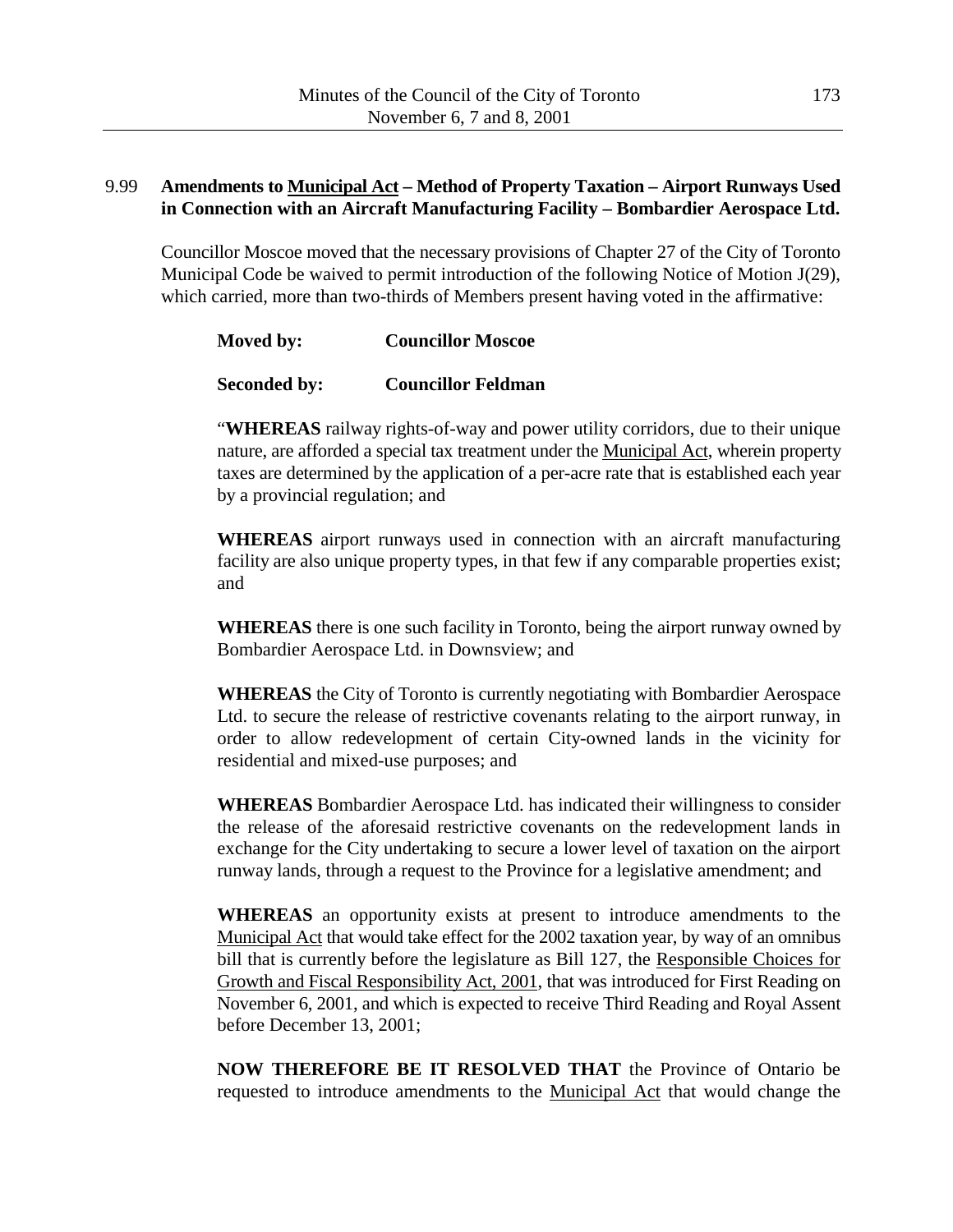# 9.99 **Amendments to Municipal Act – Method of Property Taxation – Airport Runways Used in Connection with an Aircraft Manufacturing Facility – Bombardier Aerospace Ltd.**

Councillor Moscoe moved that the necessary provisions of Chapter 27 of the City of Toronto Municipal Code be waived to permit introduction of the following Notice of Motion J(29), which carried, more than two-thirds of Members present having voted in the affirmative:

| Moved by: | <b>Councillor Moscoe</b> |
|-----------|--------------------------|
|           |                          |

## **Seconded by: Councillor Feldman**

"**WHEREAS** railway rights-of-way and power utility corridors, due to their unique nature, are afforded a special tax treatment under the Municipal Act, wherein property taxes are determined by the application of a per-acre rate that is established each year by a provincial regulation; and

**WHEREAS** airport runways used in connection with an aircraft manufacturing facility are also unique property types, in that few if any comparable properties exist; and

**WHEREAS** there is one such facility in Toronto, being the airport runway owned by Bombardier Aerospace Ltd. in Downsview; and

**WHEREAS** the City of Toronto is currently negotiating with Bombardier Aerospace Ltd. to secure the release of restrictive covenants relating to the airport runway, in order to allow redevelopment of certain City-owned lands in the vicinity for residential and mixed-use purposes; and

**WHEREAS** Bombardier Aerospace Ltd. has indicated their willingness to consider the release of the aforesaid restrictive covenants on the redevelopment lands in exchange for the City undertaking to secure a lower level of taxation on the airport runway lands, through a request to the Province for a legislative amendment; and

**WHEREAS** an opportunity exists at present to introduce amendments to the Municipal Act that would take effect for the 2002 taxation year, by way of an omnibus bill that is currently before the legislature as Bill 127, the Responsible Choices for Growth and Fiscal Responsibility Act, 2001, that was introduced for First Reading on November 6, 2001, and which is expected to receive Third Reading and Royal Assent before December 13, 2001;

**NOW THEREFORE BE IT RESOLVED THAT** the Province of Ontario be requested to introduce amendments to the Municipal Act that would change the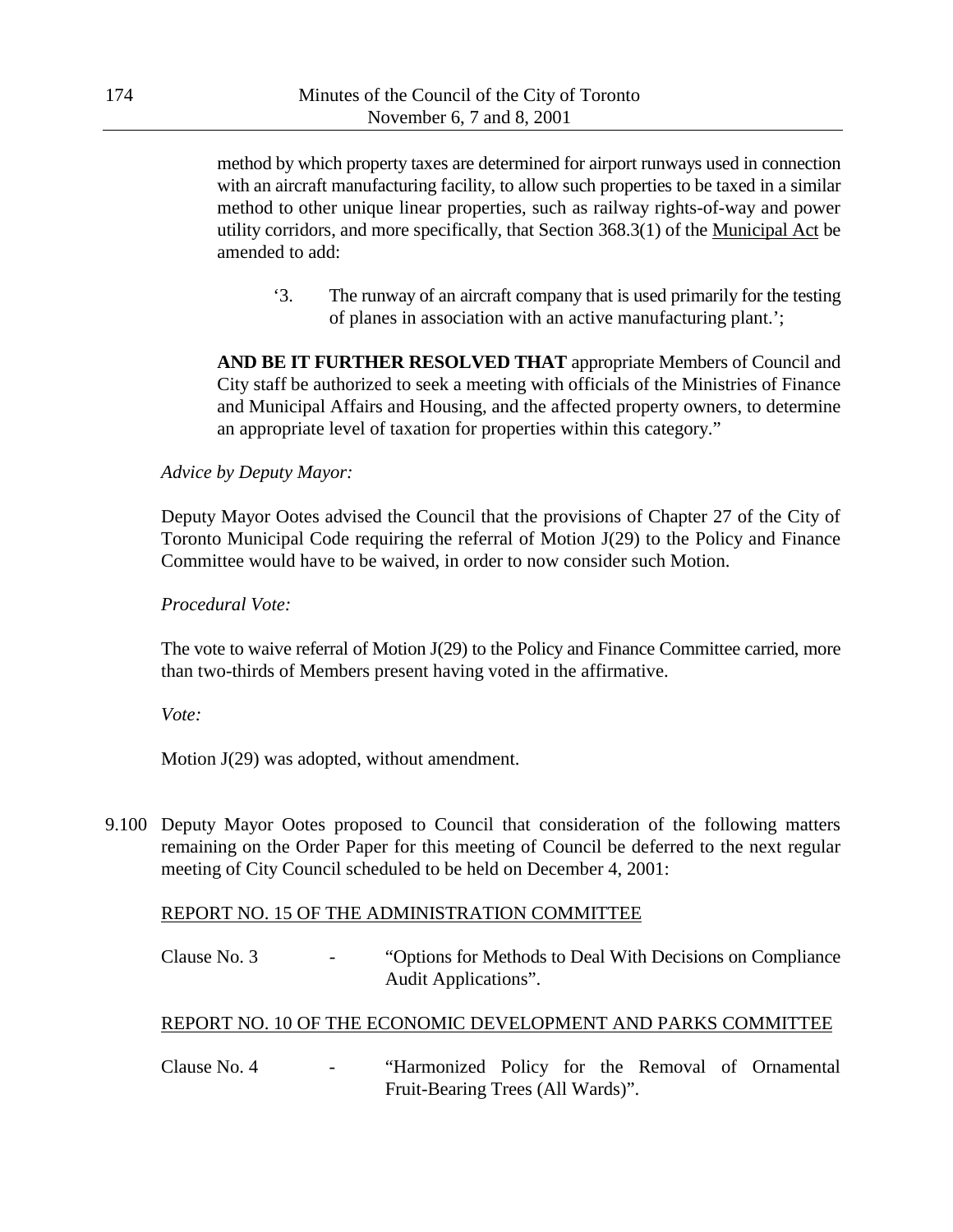method by which property taxes are determined for airport runways used in connection with an aircraft manufacturing facility, to allow such properties to be taxed in a similar method to other unique linear properties, such as railway rights-of-way and power utility corridors, and more specifically, that Section 368.3(1) of the Municipal Act be amended to add:

'3. The runway of an aircraft company that is used primarily for the testing of planes in association with an active manufacturing plant.';

**AND BE IT FURTHER RESOLVED THAT** appropriate Members of Council and City staff be authorized to seek a meeting with officials of the Ministries of Finance and Municipal Affairs and Housing, and the affected property owners, to determine an appropriate level of taxation for properties within this category."

#### *Advice by Deputy Mayor:*

Deputy Mayor Ootes advised the Council that the provisions of Chapter 27 of the City of Toronto Municipal Code requiring the referral of Motion J(29) to the Policy and Finance Committee would have to be waived, in order to now consider such Motion.

#### *Procedural Vote:*

The vote to waive referral of Motion J(29) to the Policy and Finance Committee carried, more than two-thirds of Members present having voted in the affirmative.

#### *Vote:*

Motion J(29) was adopted, without amendment.

9.100 Deputy Mayor Ootes proposed to Council that consideration of the following matters remaining on the Order Paper for this meeting of Council be deferred to the next regular meeting of City Council scheduled to be held on December 4, 2001:

### REPORT NO. 15 OF THE ADMINISTRATION COMMITTEE

Clause No. 3 - "Options for Methods to Deal With Decisions on Compliance Audit Applications".

### REPORT NO. 10 OF THE ECONOMIC DEVELOPMENT AND PARKS COMMITTEE

Clause No. 4 - "Harmonized Policy for the Removal of Ornamental Fruit-Bearing Trees (All Wards)".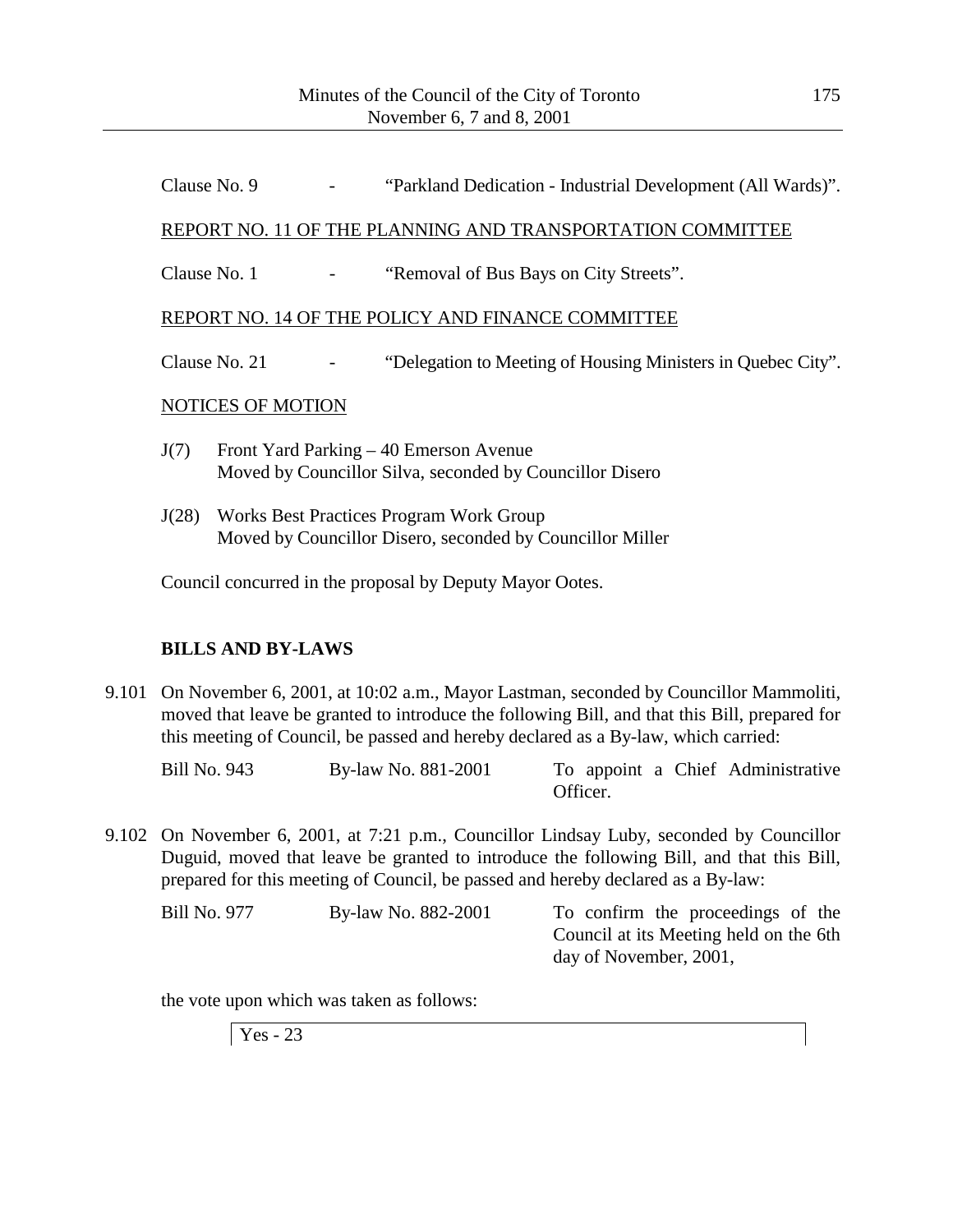Clause No. 9 - "Parkland Dedication - Industrial Development (All Wards)".

## REPORT NO. 11 OF THE PLANNING AND TRANSPORTATION COMMITTEE

Clause No. 1 - "Removal of Bus Bays on City Streets".

### REPORT NO. 14 OF THE POLICY AND FINANCE COMMITTEE

Clause No. 21 - "Delegation to Meeting of Housing Ministers in Quebec City".

### NOTICES OF MOTION

- J(7) Front Yard Parking 40 Emerson Avenue Moved by Councillor Silva, seconded by Councillor Disero
- J(28) Works Best Practices Program Work Group Moved by Councillor Disero, seconded by Councillor Miller

Council concurred in the proposal by Deputy Mayor Ootes.

# **BILLS AND BY-LAWS**

9.101 On November 6, 2001, at 10:02 a.m., Mayor Lastman, seconded by Councillor Mammoliti, moved that leave be granted to introduce the following Bill, and that this Bill, prepared for this meeting of Council, be passed and hereby declared as a By-law, which carried:

Bill No. 943 By-law No. 881-2001 To appoint a Chief Administrative Officer.

9.102 On November 6, 2001, at 7:21 p.m., Councillor Lindsay Luby, seconded by Councillor Duguid, moved that leave be granted to introduce the following Bill, and that this Bill, prepared for this meeting of Council, be passed and hereby declared as a By-law:

Bill No. 977 By-law No. 882-2001 To confirm the proceedings of the Council at its Meeting held on the 6th day of November, 2001,

the vote upon which was taken as follows:

Yes - 23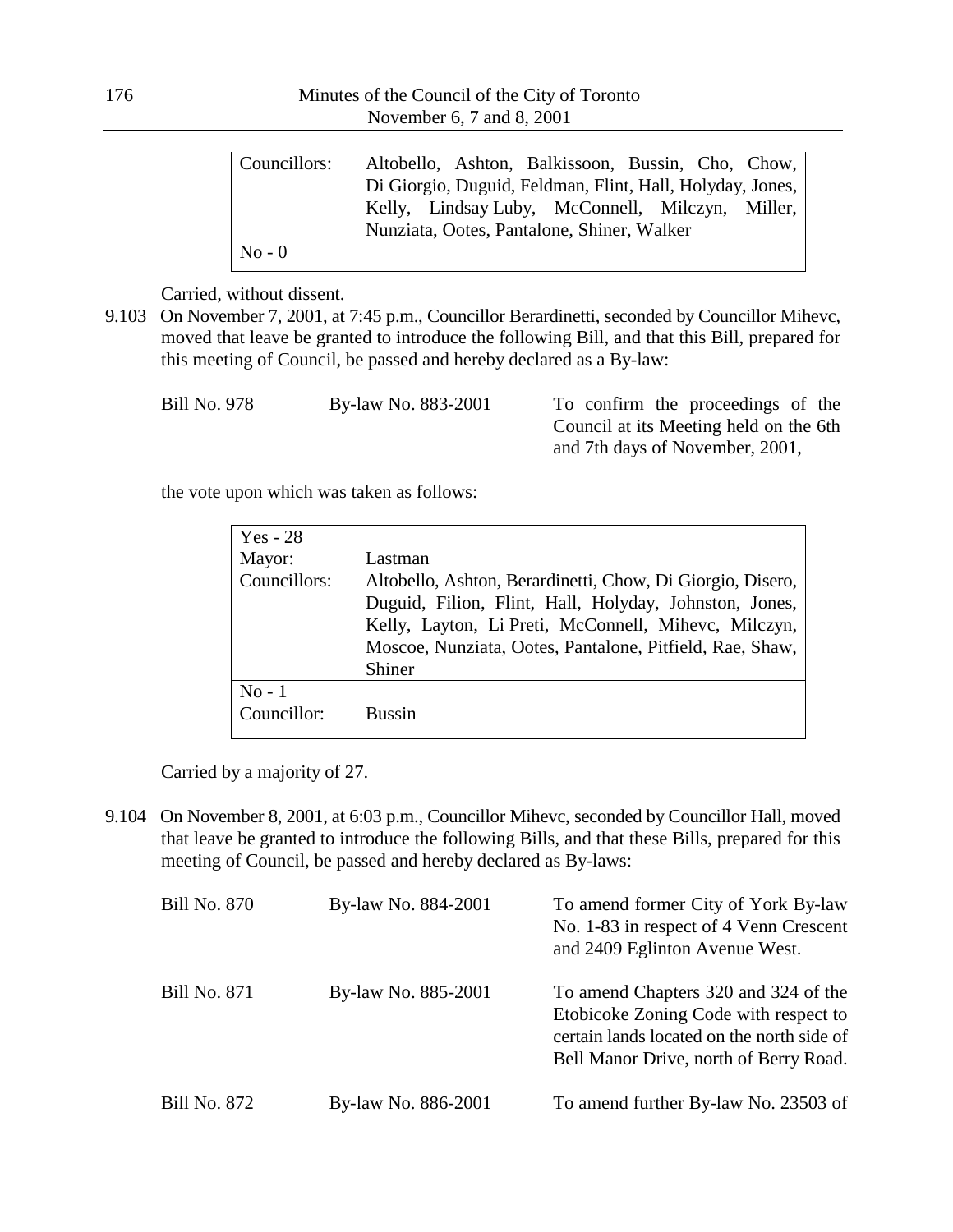| Councillors: | Altobello, Ashton, Balkissoon, Bussin, Cho, Chow,         |
|--------------|-----------------------------------------------------------|
|              | Di Giorgio, Duguid, Feldman, Flint, Hall, Holyday, Jones, |
|              | Kelly, Lindsay Luby, McConnell, Milczyn, Miller,          |
|              | Nunziata, Ootes, Pantalone, Shiner, Walker                |
| $No - 0$     |                                                           |

Carried, without dissent.

9.103 On November 7, 2001, at 7:45 p.m., Councillor Berardinetti, seconded by Councillor Mihevc, moved that leave be granted to introduce the following Bill, and that this Bill, prepared for this meeting of Council, be passed and hereby declared as a By-law:

| Bill No. 978<br>By-law No. 883-2001 | To confirm the proceedings of the      |
|-------------------------------------|----------------------------------------|
|                                     | Council at its Meeting held on the 6th |
|                                     | and 7th days of November, 2001,        |

the vote upon which was taken as follows:

| $Yes - 28$   |                                                            |
|--------------|------------------------------------------------------------|
| Mayor:       | Lastman                                                    |
| Councillors: | Altobello, Ashton, Berardinetti, Chow, Di Giorgio, Disero, |
|              | Duguid, Filion, Flint, Hall, Holyday, Johnston, Jones,     |
|              | Kelly, Layton, Li Preti, McConnell, Mihevc, Milczyn,       |
|              | Moscoe, Nunziata, Ootes, Pantalone, Pitfield, Rae, Shaw,   |
|              | Shiner                                                     |
| $No - 1$     |                                                            |
| Councillor:  | <b>Bussin</b>                                              |
|              |                                                            |

Carried by a majority of 27.

9.104 On November 8, 2001, at 6:03 p.m., Councillor Mihevc, seconded by Councillor Hall, moved that leave be granted to introduce the following Bills, and that these Bills, prepared for this meeting of Council, be passed and hereby declared as By-laws:

| <b>Bill No. 870</b> | By-law No. 884-2001 | To amend former City of York By-law<br>No. 1-83 in respect of 4 Venn Crescent<br>and 2409 Eglinton Avenue West.                                                       |
|---------------------|---------------------|-----------------------------------------------------------------------------------------------------------------------------------------------------------------------|
| <b>Bill No. 871</b> | By-law No. 885-2001 | To amend Chapters 320 and 324 of the<br>Etobicoke Zoning Code with respect to<br>certain lands located on the north side of<br>Bell Manor Drive, north of Berry Road. |
| <b>Bill No. 872</b> | By-law No. 886-2001 | To amend further By-law No. 23503 of                                                                                                                                  |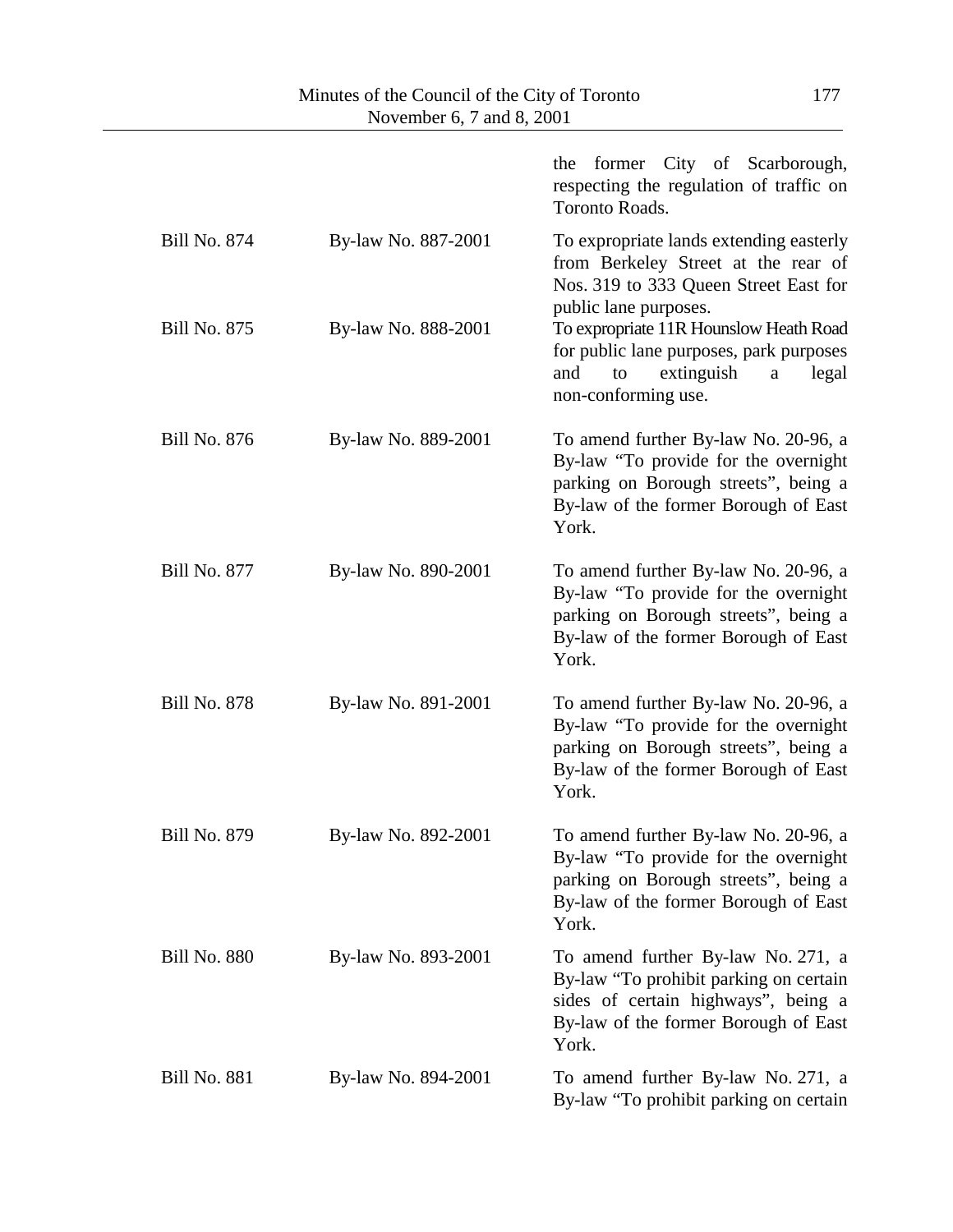|                     |                     | the former City of Scarborough,<br>respecting the regulation of traffic on<br>Toronto Roads.                                                                          |
|---------------------|---------------------|-----------------------------------------------------------------------------------------------------------------------------------------------------------------------|
| <b>Bill No. 874</b> | By-law No. 887-2001 | To expropriate lands extending easterly<br>from Berkeley Street at the rear of<br>Nos. 319 to 333 Queen Street East for<br>public lane purposes.                      |
| <b>Bill No. 875</b> | By-law No. 888-2001 | To expropriate 11R Hounslow Heath Road<br>for public lane purposes, park purposes<br>extinguish<br>and<br>legal<br>to<br>$\mathbf{a}$<br>non-conforming use.          |
| <b>Bill No. 876</b> | By-law No. 889-2001 | To amend further By-law No. 20-96, a<br>By-law "To provide for the overnight<br>parking on Borough streets", being a<br>By-law of the former Borough of East<br>York. |
| <b>Bill No. 877</b> | By-law No. 890-2001 | To amend further By-law No. 20-96, a<br>By-law "To provide for the overnight<br>parking on Borough streets", being a<br>By-law of the former Borough of East<br>York. |
| <b>Bill No. 878</b> | By-law No. 891-2001 | To amend further By-law No. 20-96, a<br>By-law "To provide for the overnight<br>parking on Borough streets", being a<br>By-law of the former Borough of East<br>York. |
| <b>Bill No. 879</b> | By-law No. 892-2001 | To amend further By-law No. 20-96, a<br>By-law "To provide for the overnight<br>parking on Borough streets", being a<br>By-law of the former Borough of East<br>York. |
| <b>Bill No. 880</b> | By-law No. 893-2001 | To amend further By-law No. 271, a<br>By-law "To prohibit parking on certain<br>sides of certain highways", being a<br>By-law of the former Borough of East<br>York.  |
| <b>Bill No. 881</b> | By-law No. 894-2001 | To amend further By-law No. 271, a<br>By-law "To prohibit parking on certain                                                                                          |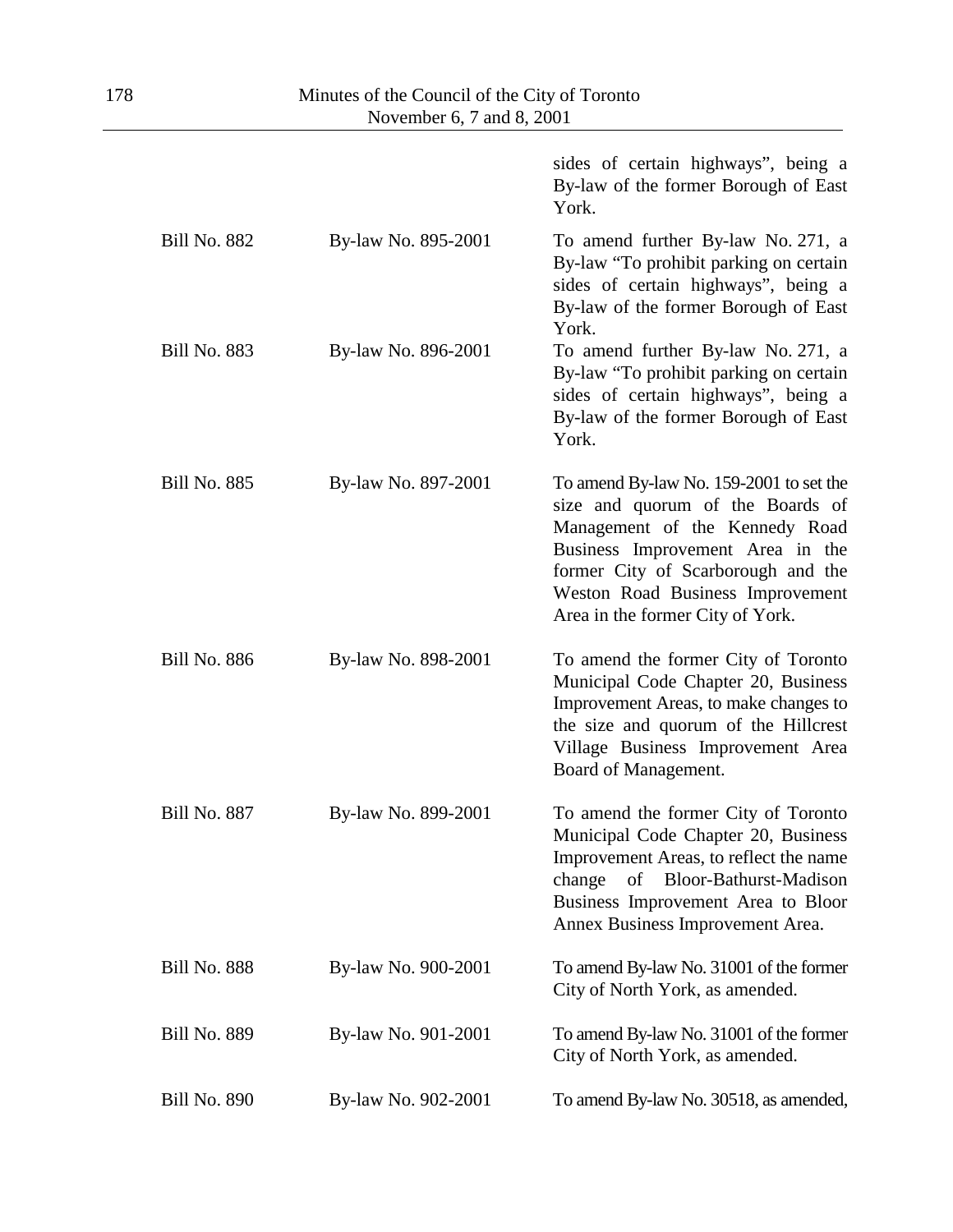|                     |                     | sides of certain highways", being a<br>By-law of the former Borough of East<br>York.                                                                                                                                                                            |
|---------------------|---------------------|-----------------------------------------------------------------------------------------------------------------------------------------------------------------------------------------------------------------------------------------------------------------|
| <b>Bill No. 882</b> | By-law No. 895-2001 | To amend further By-law No. 271, a<br>By-law "To prohibit parking on certain<br>sides of certain highways", being a<br>By-law of the former Borough of East<br>York.                                                                                            |
| <b>Bill No. 883</b> | By-law No. 896-2001 | To amend further By-law No. 271, a<br>By-law "To prohibit parking on certain<br>sides of certain highways", being a<br>By-law of the former Borough of East<br>York.                                                                                            |
| <b>Bill No. 885</b> | By-law No. 897-2001 | To amend By-law No. 159-2001 to set the<br>size and quorum of the Boards of<br>Management of the Kennedy Road<br>Business Improvement Area in the<br>former City of Scarborough and the<br>Weston Road Business Improvement<br>Area in the former City of York. |
| <b>Bill No. 886</b> | By-law No. 898-2001 | To amend the former City of Toronto<br>Municipal Code Chapter 20, Business<br>Improvement Areas, to make changes to<br>the size and quorum of the Hillcrest<br>Village Business Improvement Area<br>Board of Management.                                        |
| <b>Bill No. 887</b> | By-law No. 899-2001 | To amend the former City of Toronto<br>Municipal Code Chapter 20, Business<br>Improvement Areas, to reflect the name<br>Bloor-Bathurst-Madison<br>change<br>of<br>Business Improvement Area to Bloor<br>Annex Business Improvement Area.                        |
| <b>Bill No. 888</b> | By-law No. 900-2001 | To amend By-law No. 31001 of the former<br>City of North York, as amended.                                                                                                                                                                                      |
| <b>Bill No. 889</b> | By-law No. 901-2001 | To amend By-law No. 31001 of the former<br>City of North York, as amended.                                                                                                                                                                                      |
| <b>Bill No. 890</b> | By-law No. 902-2001 | To amend By-law No. 30518, as amended,                                                                                                                                                                                                                          |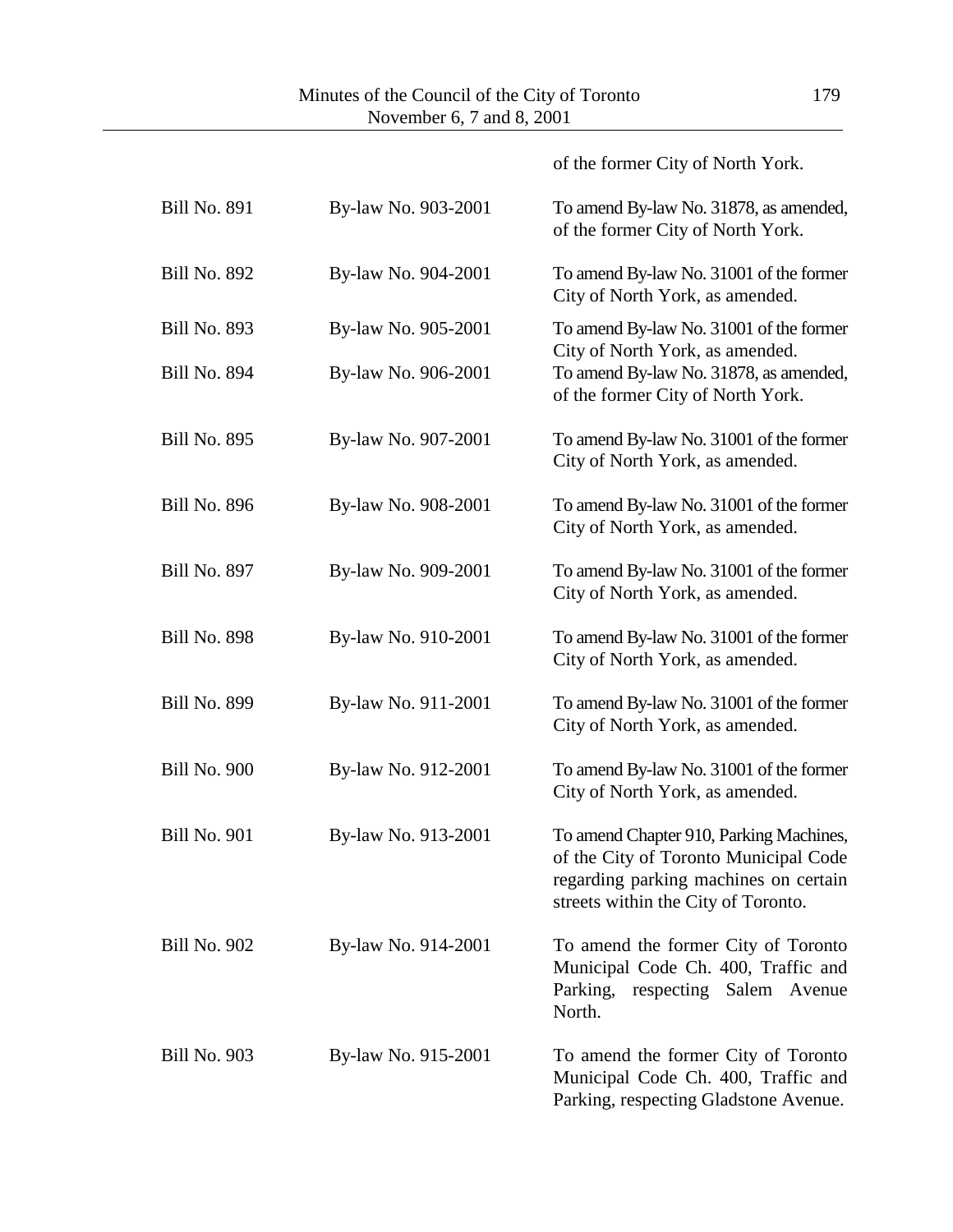|                     |                     | of the former City of North York.                                                                                                                                |
|---------------------|---------------------|------------------------------------------------------------------------------------------------------------------------------------------------------------------|
| <b>Bill No. 891</b> | By-law No. 903-2001 | To amend By-law No. 31878, as amended,<br>of the former City of North York.                                                                                      |
| <b>Bill No. 892</b> | By-law No. 904-2001 | To amend By-law No. 31001 of the former<br>City of North York, as amended.                                                                                       |
| <b>Bill No. 893</b> | By-law No. 905-2001 | To amend By-law No. 31001 of the former<br>City of North York, as amended.                                                                                       |
| <b>Bill No. 894</b> | By-law No. 906-2001 | To amend By-law No. 31878, as amended,<br>of the former City of North York.                                                                                      |
| <b>Bill No. 895</b> | By-law No. 907-2001 | To amend By-law No. 31001 of the former<br>City of North York, as amended.                                                                                       |
| <b>Bill No. 896</b> | By-law No. 908-2001 | To amend By-law No. 31001 of the former<br>City of North York, as amended.                                                                                       |
| <b>Bill No. 897</b> | By-law No. 909-2001 | To amend By-law No. 31001 of the former<br>City of North York, as amended.                                                                                       |
| <b>Bill No. 898</b> | By-law No. 910-2001 | To amend By-law No. 31001 of the former<br>City of North York, as amended.                                                                                       |
| <b>Bill No. 899</b> | By-law No. 911-2001 | To amend By-law No. 31001 of the former<br>City of North York, as amended.                                                                                       |
| <b>Bill No. 900</b> | By-law No. 912-2001 | To amend By-law No. 31001 of the former<br>City of North York, as amended.                                                                                       |
| <b>Bill No. 901</b> | By-law No. 913-2001 | To amend Chapter 910, Parking Machines,<br>of the City of Toronto Municipal Code<br>regarding parking machines on certain<br>streets within the City of Toronto. |
| <b>Bill No. 902</b> | By-law No. 914-2001 | To amend the former City of Toronto<br>Municipal Code Ch. 400, Traffic and<br>Parking,<br>respecting Salem Avenue<br>North.                                      |
| <b>Bill No. 903</b> | By-law No. 915-2001 | To amend the former City of Toronto<br>Municipal Code Ch. 400, Traffic and<br>Parking, respecting Gladstone Avenue.                                              |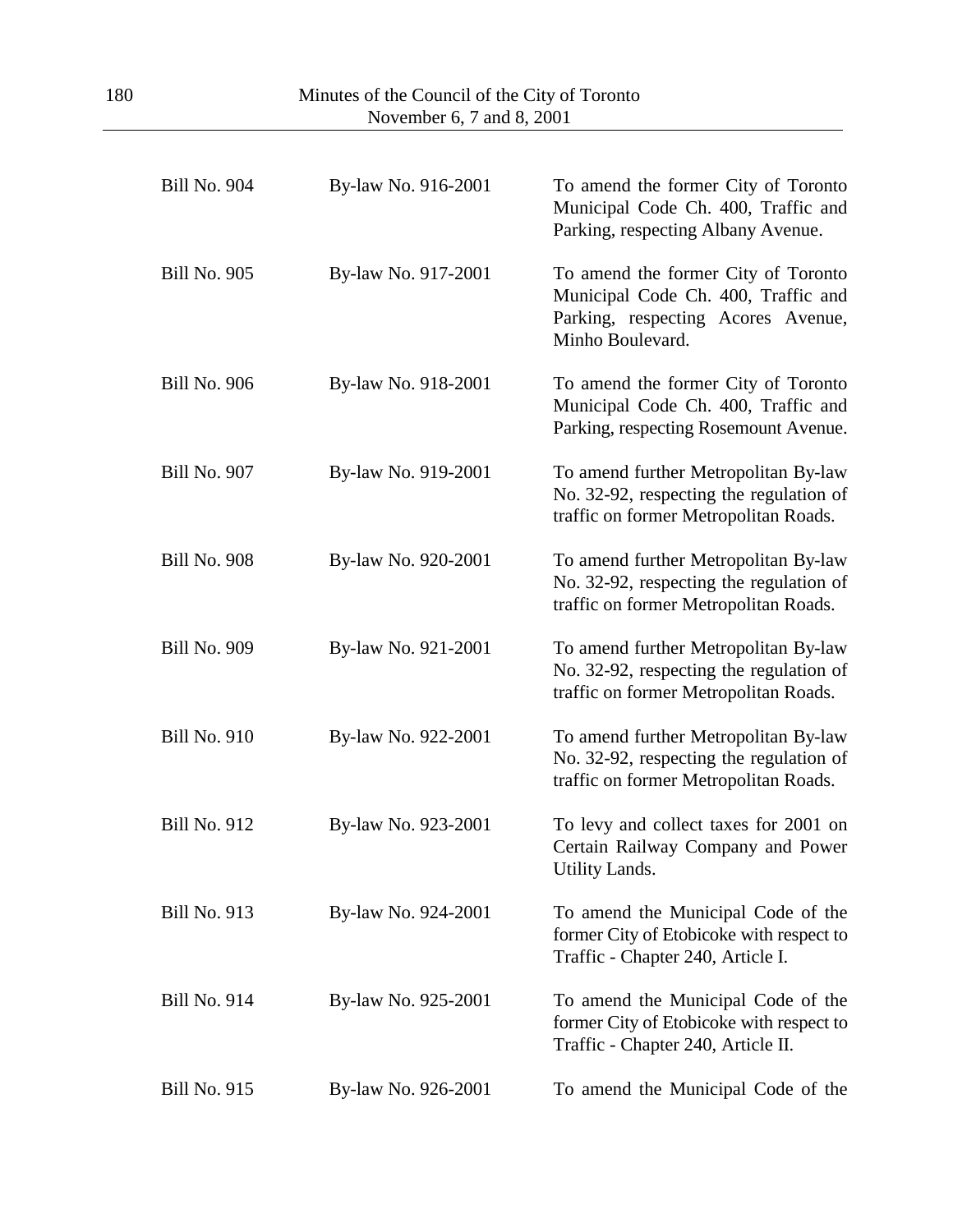| <b>Bill No. 904</b> | By-law No. 916-2001 | To amend the former City of Toronto<br>Municipal Code Ch. 400, Traffic and<br>Parking, respecting Albany Avenue.                     |
|---------------------|---------------------|--------------------------------------------------------------------------------------------------------------------------------------|
| <b>Bill No. 905</b> | By-law No. 917-2001 | To amend the former City of Toronto<br>Municipal Code Ch. 400, Traffic and<br>Parking, respecting Acores Avenue,<br>Minho Boulevard. |
| <b>Bill No. 906</b> | By-law No. 918-2001 | To amend the former City of Toronto<br>Municipal Code Ch. 400, Traffic and<br>Parking, respecting Rosemount Avenue.                  |
| <b>Bill No. 907</b> | By-law No. 919-2001 | To amend further Metropolitan By-law<br>No. 32-92, respecting the regulation of<br>traffic on former Metropolitan Roads.             |
| <b>Bill No. 908</b> | By-law No. 920-2001 | To amend further Metropolitan By-law<br>No. 32-92, respecting the regulation of<br>traffic on former Metropolitan Roads.             |
| <b>Bill No. 909</b> | By-law No. 921-2001 | To amend further Metropolitan By-law<br>No. 32-92, respecting the regulation of<br>traffic on former Metropolitan Roads.             |
| <b>Bill No. 910</b> | By-law No. 922-2001 | To amend further Metropolitan By-law<br>No. 32-92, respecting the regulation of<br>traffic on former Metropolitan Roads.             |
| <b>Bill No. 912</b> | By-law No. 923-2001 | To levy and collect taxes for 2001 on<br>Certain Railway Company and Power<br>Utility Lands.                                         |
| <b>Bill No. 913</b> | By-law No. 924-2001 | To amend the Municipal Code of the<br>former City of Etobicoke with respect to<br>Traffic - Chapter 240, Article I.                  |
| <b>Bill No. 914</b> | By-law No. 925-2001 | To amend the Municipal Code of the<br>former City of Etobicoke with respect to<br>Traffic - Chapter 240, Article II.                 |
| <b>Bill No. 915</b> | By-law No. 926-2001 | To amend the Municipal Code of the                                                                                                   |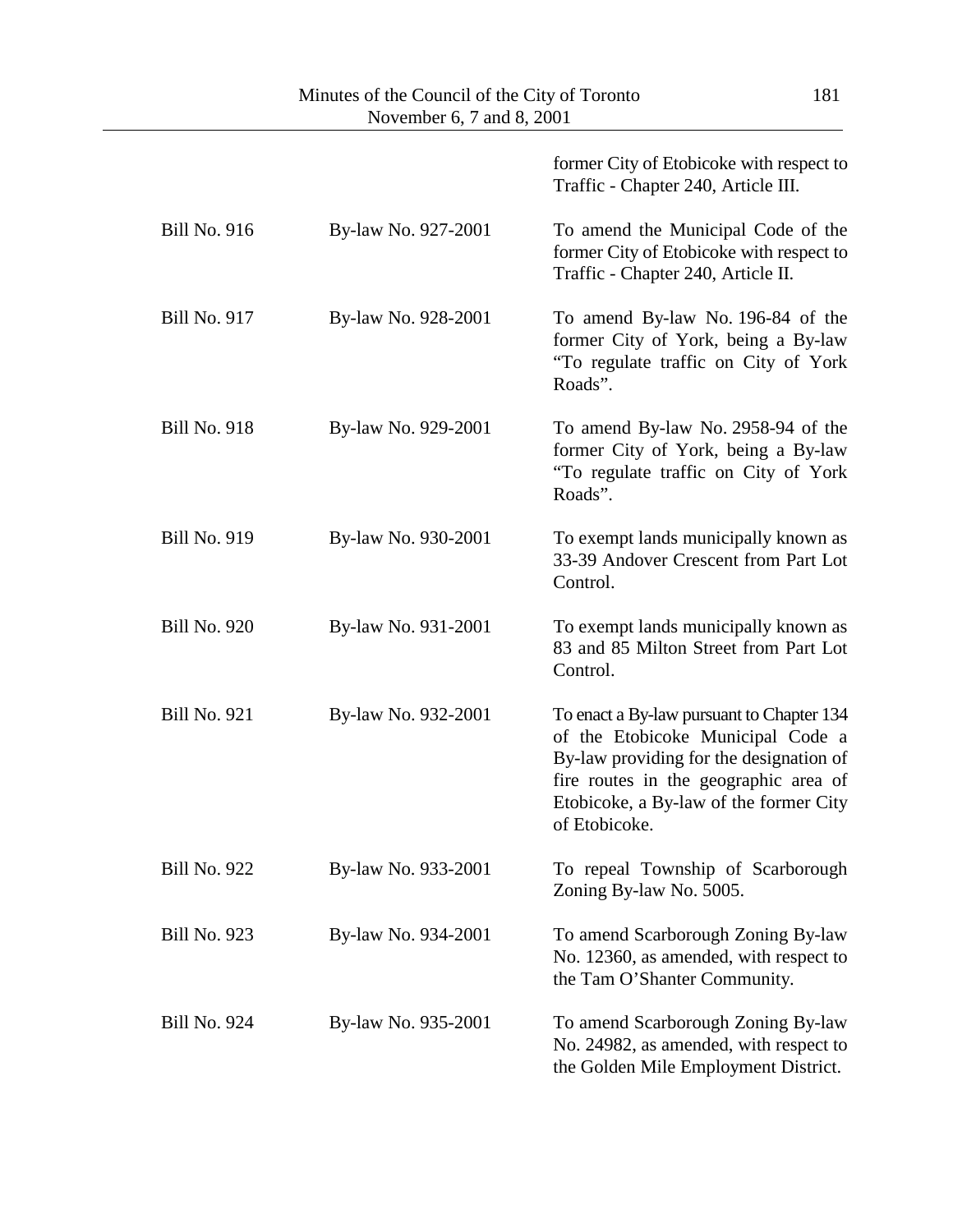|                     |                     | former City of Etobicoke with respect to<br>Traffic - Chapter 240, Article III.                                                                                                                                               |
|---------------------|---------------------|-------------------------------------------------------------------------------------------------------------------------------------------------------------------------------------------------------------------------------|
| <b>Bill No. 916</b> | By-law No. 927-2001 | To amend the Municipal Code of the<br>former City of Etobicoke with respect to<br>Traffic - Chapter 240, Article II.                                                                                                          |
| <b>Bill No. 917</b> | By-law No. 928-2001 | To amend By-law No. 196-84 of the<br>former City of York, being a By-law<br>"To regulate traffic on City of York<br>Roads".                                                                                                   |
| <b>Bill No. 918</b> | By-law No. 929-2001 | To amend By-law No. 2958-94 of the<br>former City of York, being a By-law<br>"To regulate traffic on City of York"<br>Roads".                                                                                                 |
| <b>Bill No. 919</b> | By-law No. 930-2001 | To exempt lands municipally known as<br>33-39 Andover Crescent from Part Lot<br>Control.                                                                                                                                      |
| <b>Bill No. 920</b> | By-law No. 931-2001 | To exempt lands municipally known as<br>83 and 85 Milton Street from Part Lot<br>Control.                                                                                                                                     |
| <b>Bill No. 921</b> | By-law No. 932-2001 | To enact a By-law pursuant to Chapter 134<br>of the Etobicoke Municipal Code a<br>By-law providing for the designation of<br>fire routes in the geographic area of<br>Etobicoke, a By-law of the former City<br>of Etobicoke. |
| <b>Bill No. 922</b> | By-law No. 933-2001 | To repeal Township of Scarborough<br>Zoning By-law No. 5005.                                                                                                                                                                  |
| <b>Bill No. 923</b> | By-law No. 934-2001 | To amend Scarborough Zoning By-law<br>No. 12360, as amended, with respect to<br>the Tam O'Shanter Community.                                                                                                                  |
| <b>Bill No. 924</b> | By-law No. 935-2001 | To amend Scarborough Zoning By-law<br>No. 24982, as amended, with respect to<br>the Golden Mile Employment District.                                                                                                          |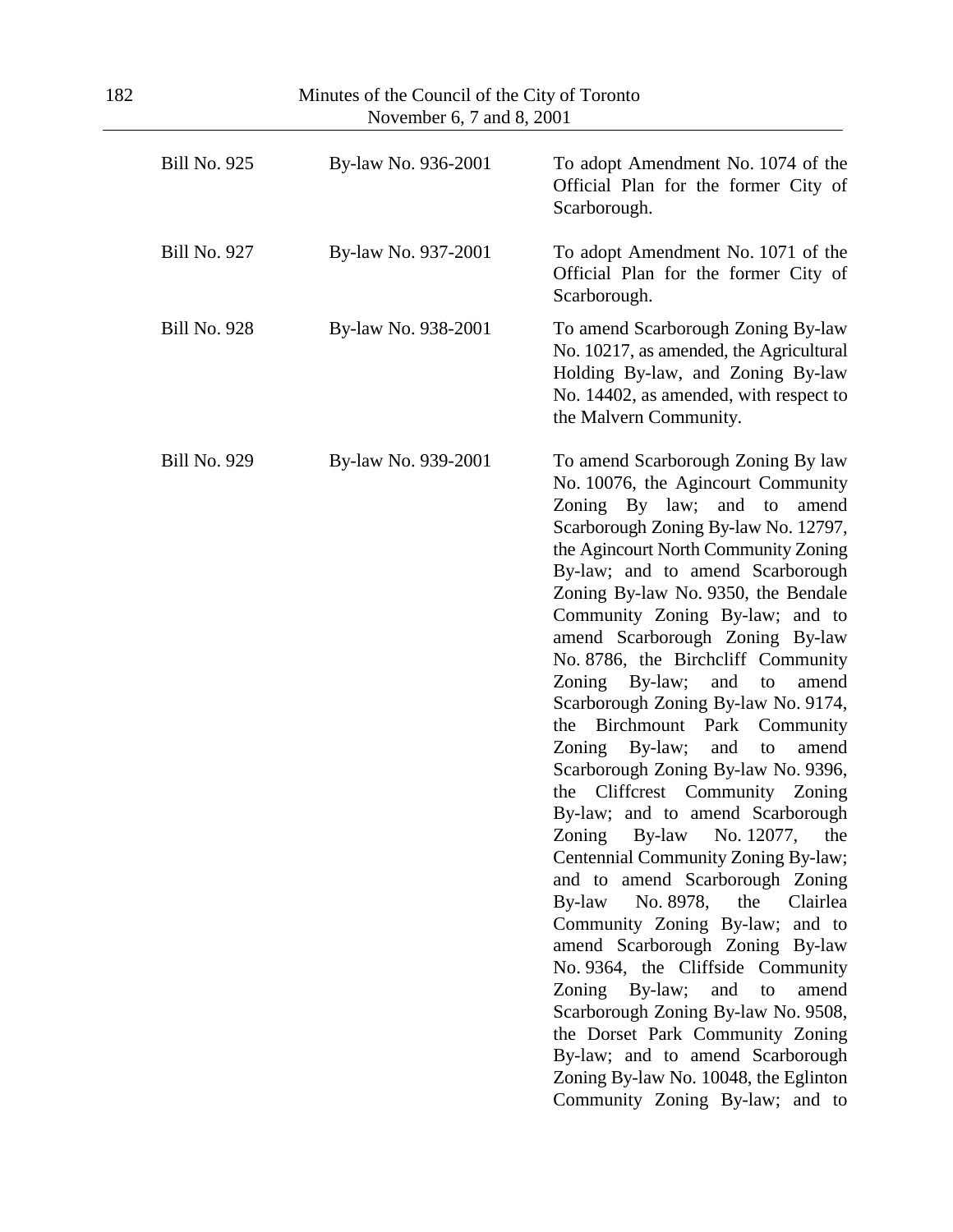| Minutes of the Council of the City of Toronto<br>November 6, 7 and 8, 2001 |                     |                                                                                                                                                                                                                                                                                                                                                                                                                                                                                                                                                                                                                                                                                                                                                                                                                                                                                                                                                                                                                                                                                                                                                                          |
|----------------------------------------------------------------------------|---------------------|--------------------------------------------------------------------------------------------------------------------------------------------------------------------------------------------------------------------------------------------------------------------------------------------------------------------------------------------------------------------------------------------------------------------------------------------------------------------------------------------------------------------------------------------------------------------------------------------------------------------------------------------------------------------------------------------------------------------------------------------------------------------------------------------------------------------------------------------------------------------------------------------------------------------------------------------------------------------------------------------------------------------------------------------------------------------------------------------------------------------------------------------------------------------------|
| <b>Bill No. 925</b>                                                        | By-law No. 936-2001 | To adopt Amendment No. 1074 of the<br>Official Plan for the former City of<br>Scarborough.                                                                                                                                                                                                                                                                                                                                                                                                                                                                                                                                                                                                                                                                                                                                                                                                                                                                                                                                                                                                                                                                               |
| <b>Bill No. 927</b>                                                        | By-law No. 937-2001 | To adopt Amendment No. 1071 of the<br>Official Plan for the former City of<br>Scarborough.                                                                                                                                                                                                                                                                                                                                                                                                                                                                                                                                                                                                                                                                                                                                                                                                                                                                                                                                                                                                                                                                               |
| <b>Bill No. 928</b>                                                        | By-law No. 938-2001 | To amend Scarborough Zoning By-law<br>No. 10217, as amended, the Agricultural<br>Holding By-law, and Zoning By-law<br>No. 14402, as amended, with respect to<br>the Malvern Community.                                                                                                                                                                                                                                                                                                                                                                                                                                                                                                                                                                                                                                                                                                                                                                                                                                                                                                                                                                                   |
| <b>Bill No. 929</b>                                                        | By-law No. 939-2001 | To amend Scarborough Zoning By law<br>No. 10076, the Agincourt Community<br>Zoning By law; and to<br>amend<br>Scarborough Zoning By-law No. 12797,<br>the Agincourt North Community Zoning<br>By-law; and to amend Scarborough<br>Zoning By-law No. 9350, the Bendale<br>Community Zoning By-law; and to<br>amend Scarborough Zoning By-law<br>No. 8786, the Birchcliff Community<br>Zoning<br>By-law;<br>and<br>to<br>amend<br>Scarborough Zoning By-law No. 9174,<br>Birchmount<br>Park<br>the<br>Community<br>and<br>Zoning<br>By-law;<br>to<br>amend<br>Scarborough Zoning By-law No. 9396,<br>the Cliffcrest Community Zoning<br>By-law; and to amend Scarborough<br>Zoning By-law<br>No. 12077,<br>the<br>Centennial Community Zoning By-law;<br>and to amend Scarborough Zoning<br>the<br>By-law<br>No. 8978,<br>Clairlea<br>Community Zoning By-law; and to<br>amend Scarborough Zoning By-law<br>No. 9364, the Cliffside Community<br>Zoning By-law; and to<br>amend<br>Scarborough Zoning By-law No. 9508,<br>the Dorset Park Community Zoning<br>By-law; and to amend Scarborough<br>Zoning By-law No. 10048, the Eglinton<br>Community Zoning By-law; and to |

 $\sim$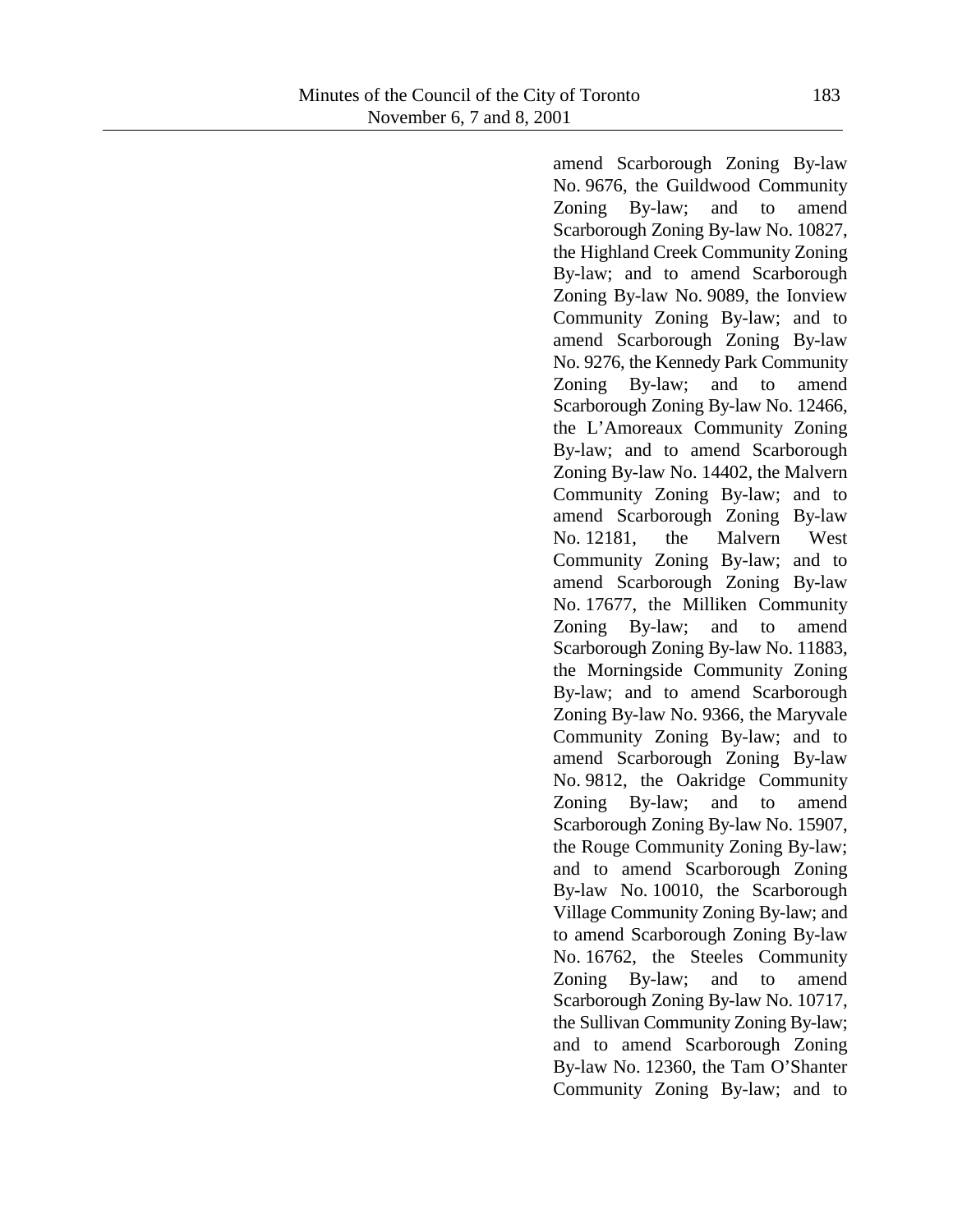amend Scarborough Zoning By-law No. 9676, the Guildwood Community Zoning By-law; and to amend Scarborough Zoning By-law No. 10827, the Highland Creek Community Zoning By-law; and to amend Scarborough Zoning By-law No. 9089, the Ionview Community Zoning By-law; and to amend Scarborough Zoning By-law No. 9276, the Kennedy Park Community Zoning By-law; and to amend Scarborough Zoning By-law No. 12466, the L'Amoreaux Community Zoning By-law; and to amend Scarborough Zoning By-law No. 14402, the Malvern Community Zoning By-law; and to amend Scarborough Zoning By-law No. 12181, the Malvern West Community Zoning By-law; and to amend Scarborough Zoning By-law No. 17677, the Milliken Community Zoning By-law; and to amend Scarborough Zoning By-law No. 11883, the Morningside Community Zoning By-law; and to amend Scarborough Zoning By-law No. 9366, the Maryvale Community Zoning By-law; and to amend Scarborough Zoning By-law No. 9812, the Oakridge Community Zoning By-law; and to amend Scarborough Zoning By-law No. 15907, the Rouge Community Zoning By-law; and to amend Scarborough Zoning By-law No. 10010, the Scarborough Village Community Zoning By-law; and to amend Scarborough Zoning By-law No. 16762, the Steeles Community Zoning By-law; and to amend Scarborough Zoning By-law No. 10717, the Sullivan Community Zoning By-law; and to amend Scarborough Zoning By-law No. 12360, the Tam O'Shanter Community Zoning By-law; and to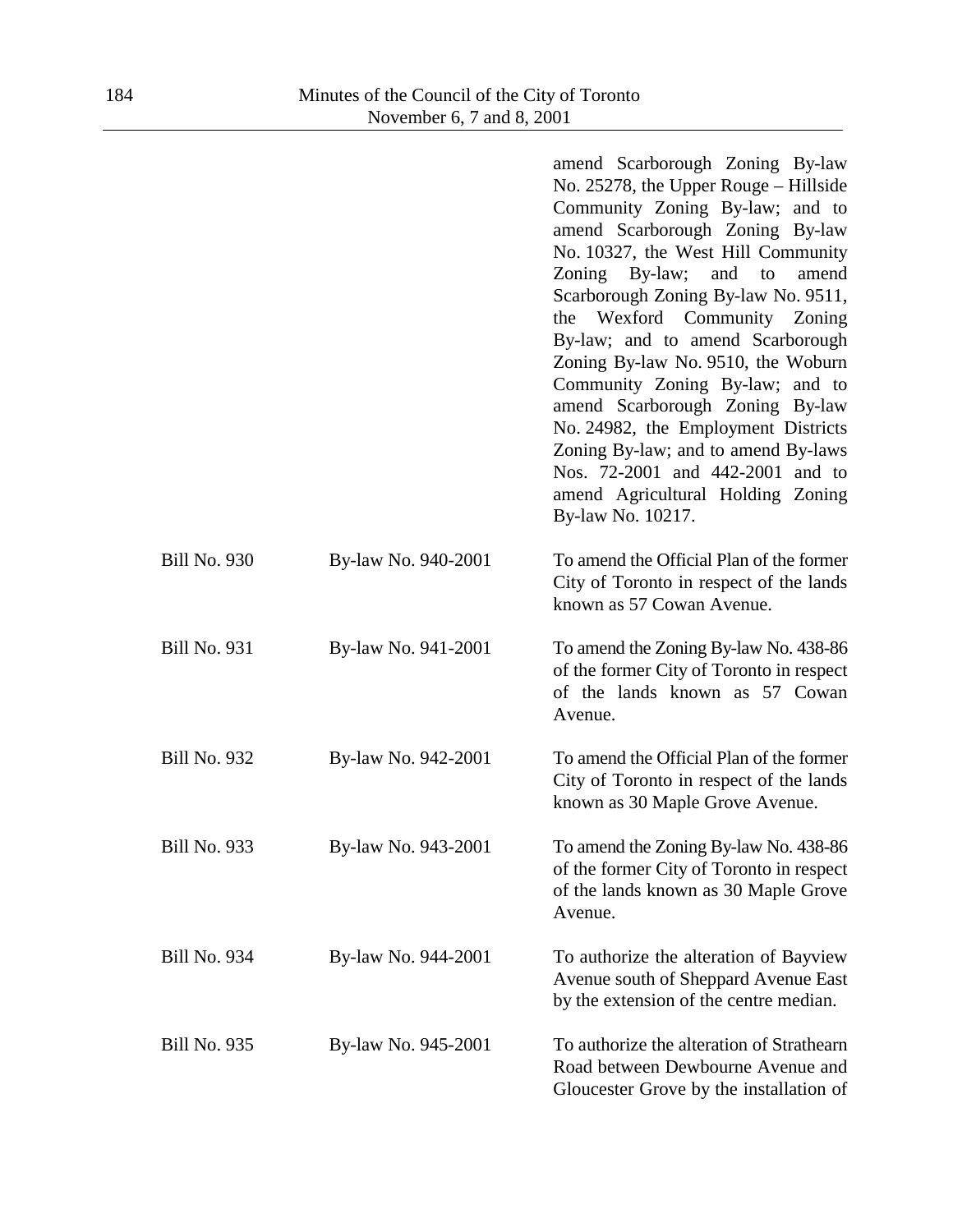|                     |                     | amend Scarborough Zoning By-law<br>No. $25278$ , the Upper Rouge – Hillside<br>Community Zoning By-law; and to<br>amend Scarborough Zoning By-law<br>No. 10327, the West Hill Community<br>Zoning By-law;<br>and<br>to<br>amend<br>Scarborough Zoning By-law No. 9511,<br>Wexford Community Zoning<br>the<br>By-law; and to amend Scarborough<br>Zoning By-law No. 9510, the Woburn<br>Community Zoning By-law; and to<br>amend Scarborough Zoning By-law<br>No. 24982, the Employment Districts<br>Zoning By-law; and to amend By-laws<br>Nos. 72-2001 and 442-2001 and to<br>amend Agricultural Holding Zoning<br>By-law No. 10217. |
|---------------------|---------------------|---------------------------------------------------------------------------------------------------------------------------------------------------------------------------------------------------------------------------------------------------------------------------------------------------------------------------------------------------------------------------------------------------------------------------------------------------------------------------------------------------------------------------------------------------------------------------------------------------------------------------------------|
| <b>Bill No. 930</b> | By-law No. 940-2001 | To amend the Official Plan of the former<br>City of Toronto in respect of the lands<br>known as 57 Cowan Avenue.                                                                                                                                                                                                                                                                                                                                                                                                                                                                                                                      |
| <b>Bill No. 931</b> | By-law No. 941-2001 | To amend the Zoning By-law No. 438-86<br>of the former City of Toronto in respect<br>of the lands known as 57 Cowan<br>Avenue.                                                                                                                                                                                                                                                                                                                                                                                                                                                                                                        |
| <b>Bill No. 932</b> | By-law No. 942-2001 | To amend the Official Plan of the former<br>City of Toronto in respect of the lands<br>known as 30 Maple Grove Avenue.                                                                                                                                                                                                                                                                                                                                                                                                                                                                                                                |
| <b>Bill No. 933</b> | By-law No. 943-2001 | To amend the Zoning By-law No. 438-86<br>of the former City of Toronto in respect<br>of the lands known as 30 Maple Grove<br>Avenue.                                                                                                                                                                                                                                                                                                                                                                                                                                                                                                  |
| <b>Bill No. 934</b> | By-law No. 944-2001 | To authorize the alteration of Bayview<br>Avenue south of Sheppard Avenue East<br>by the extension of the centre median.                                                                                                                                                                                                                                                                                                                                                                                                                                                                                                              |
| <b>Bill No. 935</b> | By-law No. 945-2001 | To authorize the alteration of Strathearn<br>Road between Dewbourne Avenue and<br>Gloucester Grove by the installation of                                                                                                                                                                                                                                                                                                                                                                                                                                                                                                             |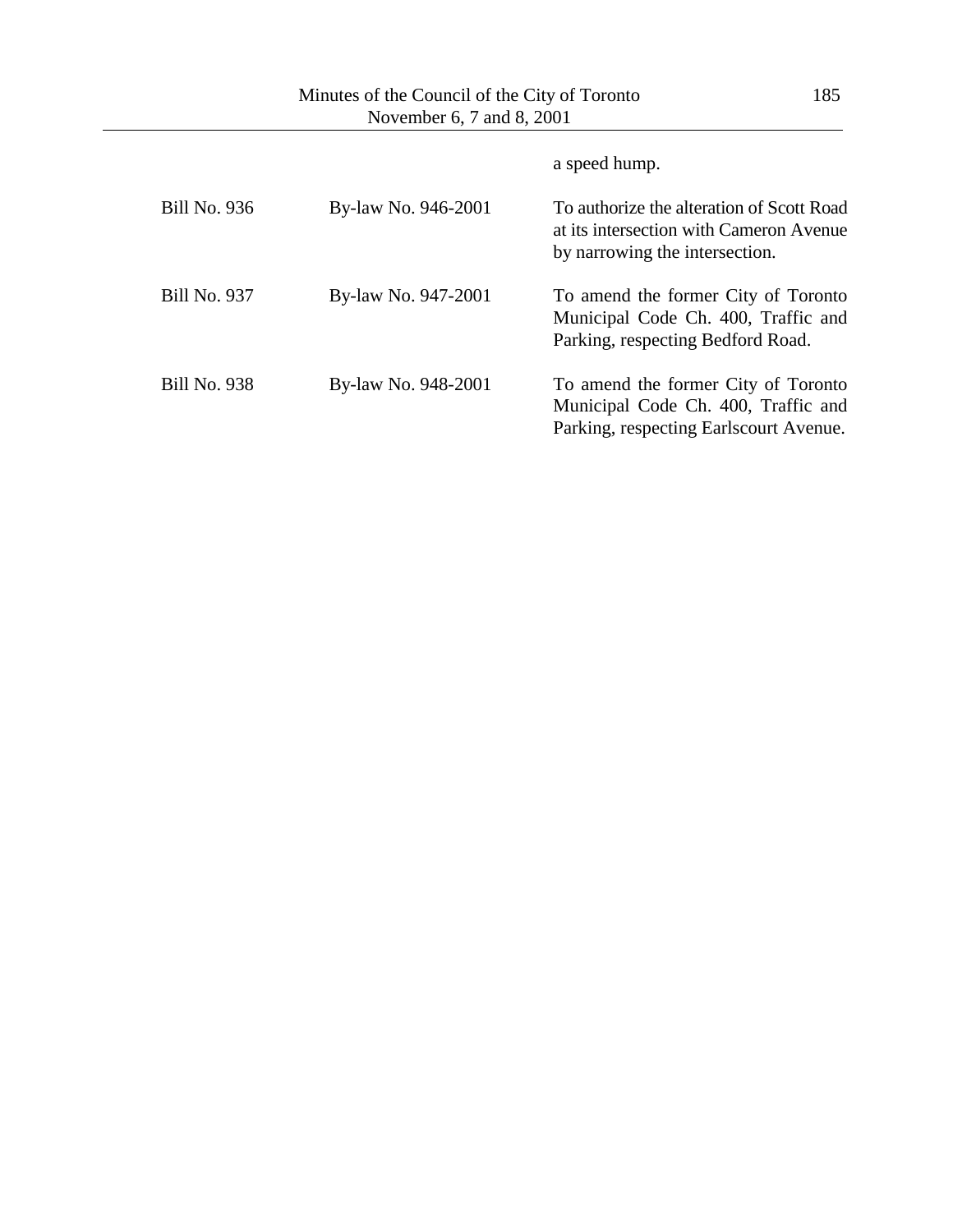|                     |                     | a speed hump.                                                                                                          |
|---------------------|---------------------|------------------------------------------------------------------------------------------------------------------------|
| <b>Bill No. 936</b> | By-law No. 946-2001 | To authorize the alteration of Scott Road<br>at its intersection with Cameron Avenue<br>by narrowing the intersection. |
| <b>Bill No. 937</b> | By-law No. 947-2001 | To amend the former City of Toronto<br>Municipal Code Ch. 400, Traffic and<br>Parking, respecting Bedford Road.        |
| <b>Bill No. 938</b> | By-law No. 948-2001 | To amend the former City of Toronto<br>Municipal Code Ch. 400, Traffic and<br>Parking, respecting Earlscourt Avenue.   |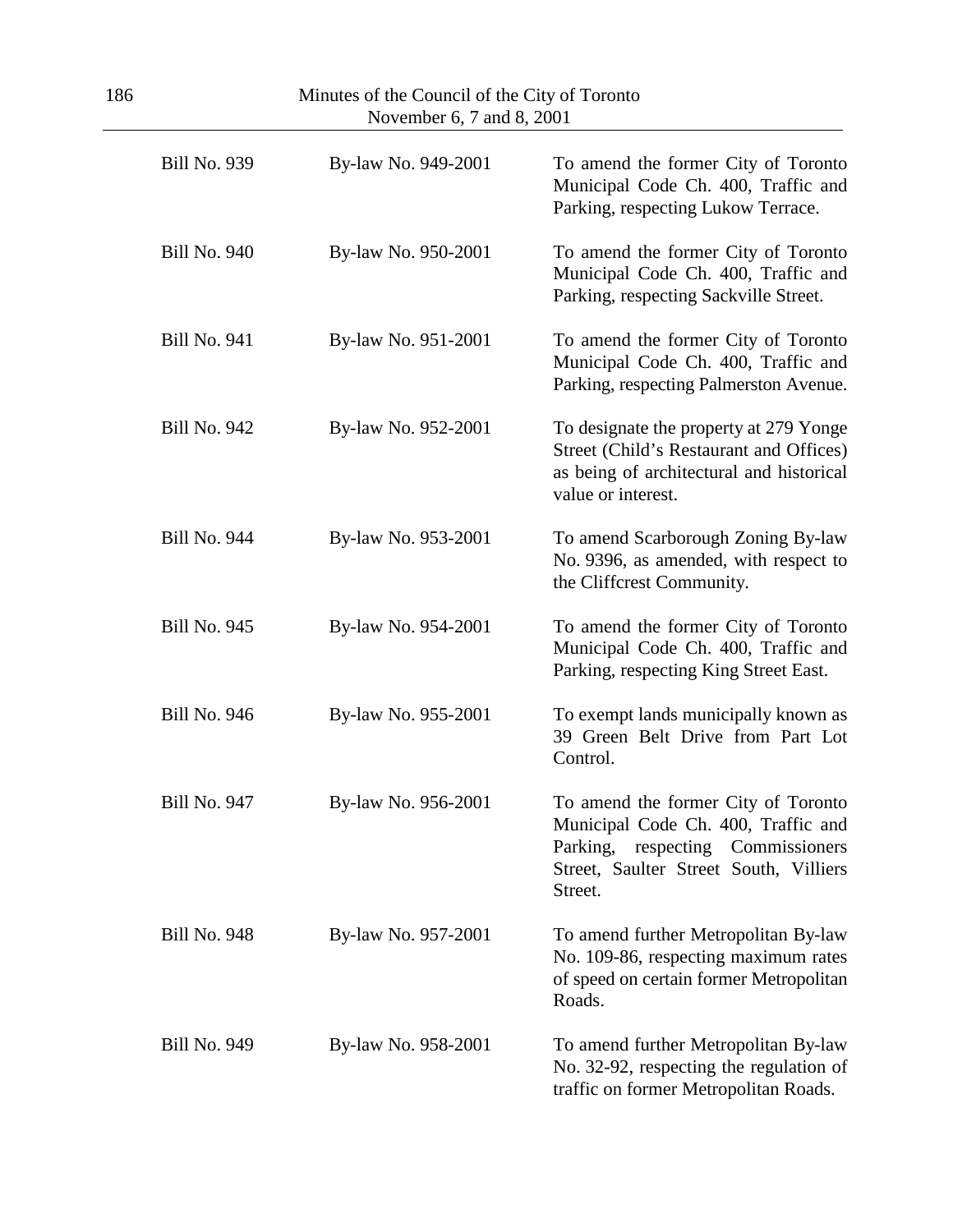| Minutes of the Council of the City of Toronto<br>186<br>November 6, 7 and 8, 2001 |                     |                     |                                                                                                                                                                         |
|-----------------------------------------------------------------------------------|---------------------|---------------------|-------------------------------------------------------------------------------------------------------------------------------------------------------------------------|
|                                                                                   | <b>Bill No. 939</b> | By-law No. 949-2001 | To amend the former City of Toronto<br>Municipal Code Ch. 400, Traffic and<br>Parking, respecting Lukow Terrace.                                                        |
|                                                                                   | <b>Bill No. 940</b> | By-law No. 950-2001 | To amend the former City of Toronto<br>Municipal Code Ch. 400, Traffic and<br>Parking, respecting Sackville Street.                                                     |
|                                                                                   | <b>Bill No. 941</b> | By-law No. 951-2001 | To amend the former City of Toronto<br>Municipal Code Ch. 400, Traffic and<br>Parking, respecting Palmerston Avenue.                                                    |
|                                                                                   | <b>Bill No. 942</b> | By-law No. 952-2001 | To designate the property at 279 Yonge<br>Street (Child's Restaurant and Offices)<br>as being of architectural and historical<br>value or interest.                     |
|                                                                                   | <b>Bill No. 944</b> | By-law No. 953-2001 | To amend Scarborough Zoning By-law<br>No. 9396, as amended, with respect to<br>the Cliffcrest Community.                                                                |
|                                                                                   | <b>Bill No. 945</b> | By-law No. 954-2001 | To amend the former City of Toronto<br>Municipal Code Ch. 400, Traffic and<br>Parking, respecting King Street East.                                                     |
|                                                                                   | <b>Bill No. 946</b> | By-law No. 955-2001 | To exempt lands municipally known as<br>39 Green Belt Drive from Part Lot<br>Control.                                                                                   |
|                                                                                   | <b>Bill No. 947</b> | By-law No. 956-2001 | To amend the former City of Toronto<br>Municipal Code Ch. 400, Traffic and<br>Parking,<br>respecting Commissioners<br>Street, Saulter Street South, Villiers<br>Street. |
|                                                                                   | <b>Bill No. 948</b> | By-law No. 957-2001 | To amend further Metropolitan By-law<br>No. 109-86, respecting maximum rates<br>of speed on certain former Metropolitan<br>Roads.                                       |
|                                                                                   | <b>Bill No. 949</b> | By-law No. 958-2001 | To amend further Metropolitan By-law<br>No. 32-92, respecting the regulation of<br>traffic on former Metropolitan Roads.                                                |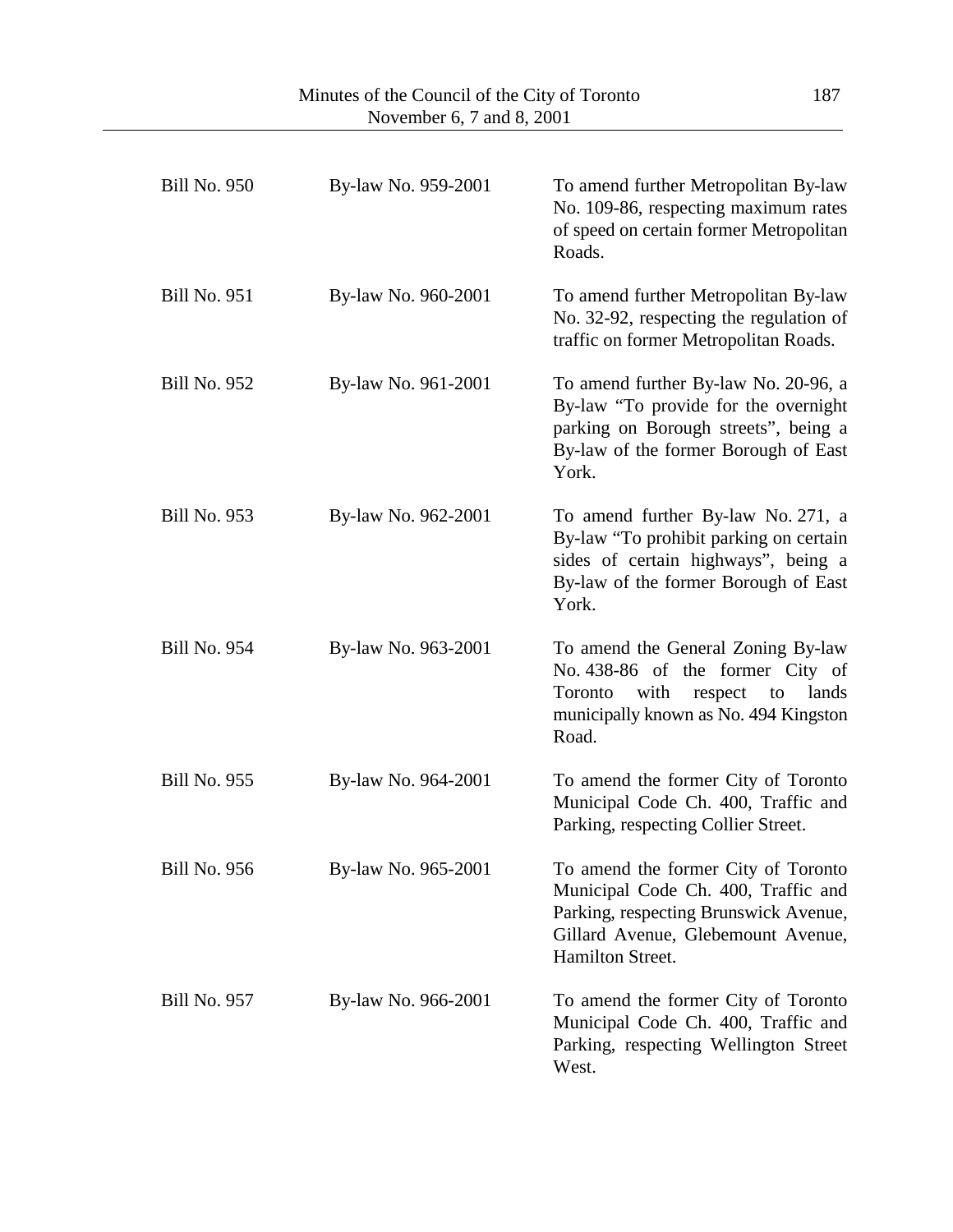| <b>Bill No. 950</b> | By-law No. 959-2001 | To amend further Metropolitan By-law<br>No. 109-86, respecting maximum rates<br>of speed on certain former Metropolitan<br>Roads.                                             |
|---------------------|---------------------|-------------------------------------------------------------------------------------------------------------------------------------------------------------------------------|
| <b>Bill No. 951</b> | By-law No. 960-2001 | To amend further Metropolitan By-law<br>No. 32-92, respecting the regulation of<br>traffic on former Metropolitan Roads.                                                      |
| <b>Bill No. 952</b> | By-law No. 961-2001 | To amend further By-law No. 20-96, a<br>By-law "To provide for the overnight<br>parking on Borough streets", being a<br>By-law of the former Borough of East<br>York.         |
| <b>Bill No. 953</b> | By-law No. 962-2001 | To amend further By-law No. 271, a<br>By-law "To prohibit parking on certain<br>sides of certain highways", being a<br>By-law of the former Borough of East<br>York.          |
| <b>Bill No. 954</b> | By-law No. 963-2001 | To amend the General Zoning By-law<br>No. 438-86 of the former City of<br>with<br>Toronto<br>respect<br>lands<br>to<br>municipally known as No. 494 Kingston<br>Road.         |
| <b>Bill No. 955</b> | By-law No. 964-2001 | To amend the former City of Toronto<br>Municipal Code Ch. 400, Traffic and<br>Parking, respecting Collier Street.                                                             |
| <b>Bill No. 956</b> | By-law No. 965-2001 | To amend the former City of Toronto<br>Municipal Code Ch. 400, Traffic and<br>Parking, respecting Brunswick Avenue,<br>Gillard Avenue, Glebemount Avenue,<br>Hamilton Street. |
| <b>Bill No. 957</b> | By-law No. 966-2001 | To amend the former City of Toronto<br>Municipal Code Ch. 400, Traffic and<br>Parking, respecting Wellington Street<br>West.                                                  |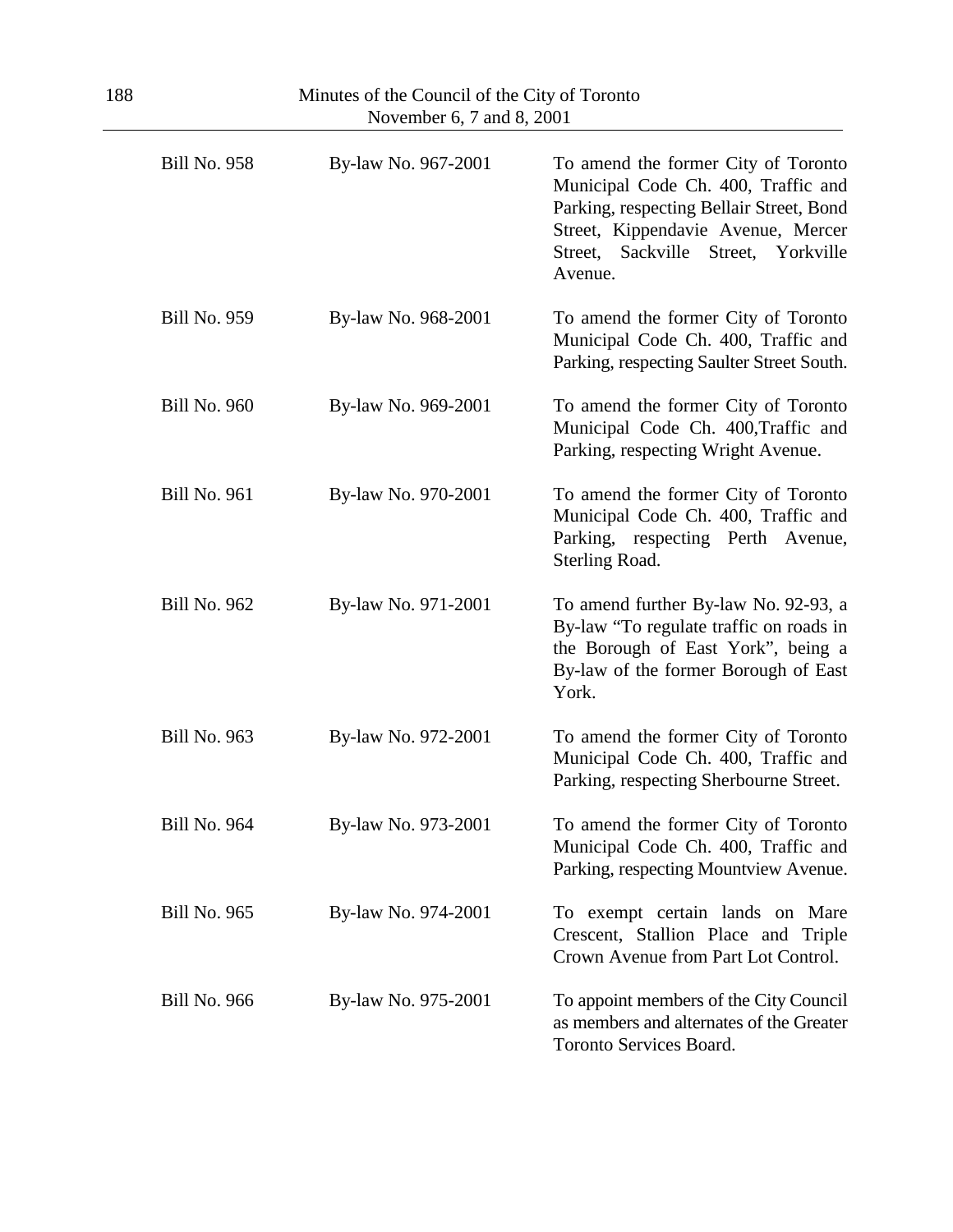| November 6, 7 and 8, 2001 |                     |                                                                                                                                                                                                                      |
|---------------------------|---------------------|----------------------------------------------------------------------------------------------------------------------------------------------------------------------------------------------------------------------|
| <b>Bill No. 958</b>       | By-law No. 967-2001 | To amend the former City of Toronto<br>Municipal Code Ch. 400, Traffic and<br>Parking, respecting Bellair Street, Bond<br>Street, Kippendavie Avenue, Mercer<br>Street, Yorkville<br>Sackville<br>Street,<br>Avenue. |
| <b>Bill No. 959</b>       | By-law No. 968-2001 | To amend the former City of Toronto<br>Municipal Code Ch. 400, Traffic and<br>Parking, respecting Saulter Street South.                                                                                              |
| <b>Bill No. 960</b>       | By-law No. 969-2001 | To amend the former City of Toronto<br>Municipal Code Ch. 400, Traffic and<br>Parking, respecting Wright Avenue.                                                                                                     |
| <b>Bill No. 961</b>       | By-law No. 970-2001 | To amend the former City of Toronto<br>Municipal Code Ch. 400, Traffic and<br>Parking, respecting Perth Avenue,<br>Sterling Road.                                                                                    |
| <b>Bill No. 962</b>       | By-law No. 971-2001 | To amend further By-law No. 92-93, a<br>By-law "To regulate traffic on roads in<br>the Borough of East York", being a<br>By-law of the former Borough of East<br>York.                                               |
| <b>Bill No. 963</b>       | By-law No. 972-2001 | To amend the former City of Toronto<br>Municipal Code Ch. 400, Traffic and<br>Parking, respecting Sherbourne Street.                                                                                                 |
| <b>Bill No. 964</b>       | By-law No. 973-2001 | To amend the former City of Toronto<br>Municipal Code Ch. 400, Traffic and<br>Parking, respecting Mountview Avenue.                                                                                                  |
| <b>Bill No. 965</b>       | By-law No. 974-2001 | To exempt certain lands on Mare<br>Crescent, Stallion Place and Triple<br>Crown Avenue from Part Lot Control.                                                                                                        |
| <b>Bill No. 966</b>       | By-law No. 975-2001 | To appoint members of the City Council<br>as members and alternates of the Greater<br>Toronto Services Board.                                                                                                        |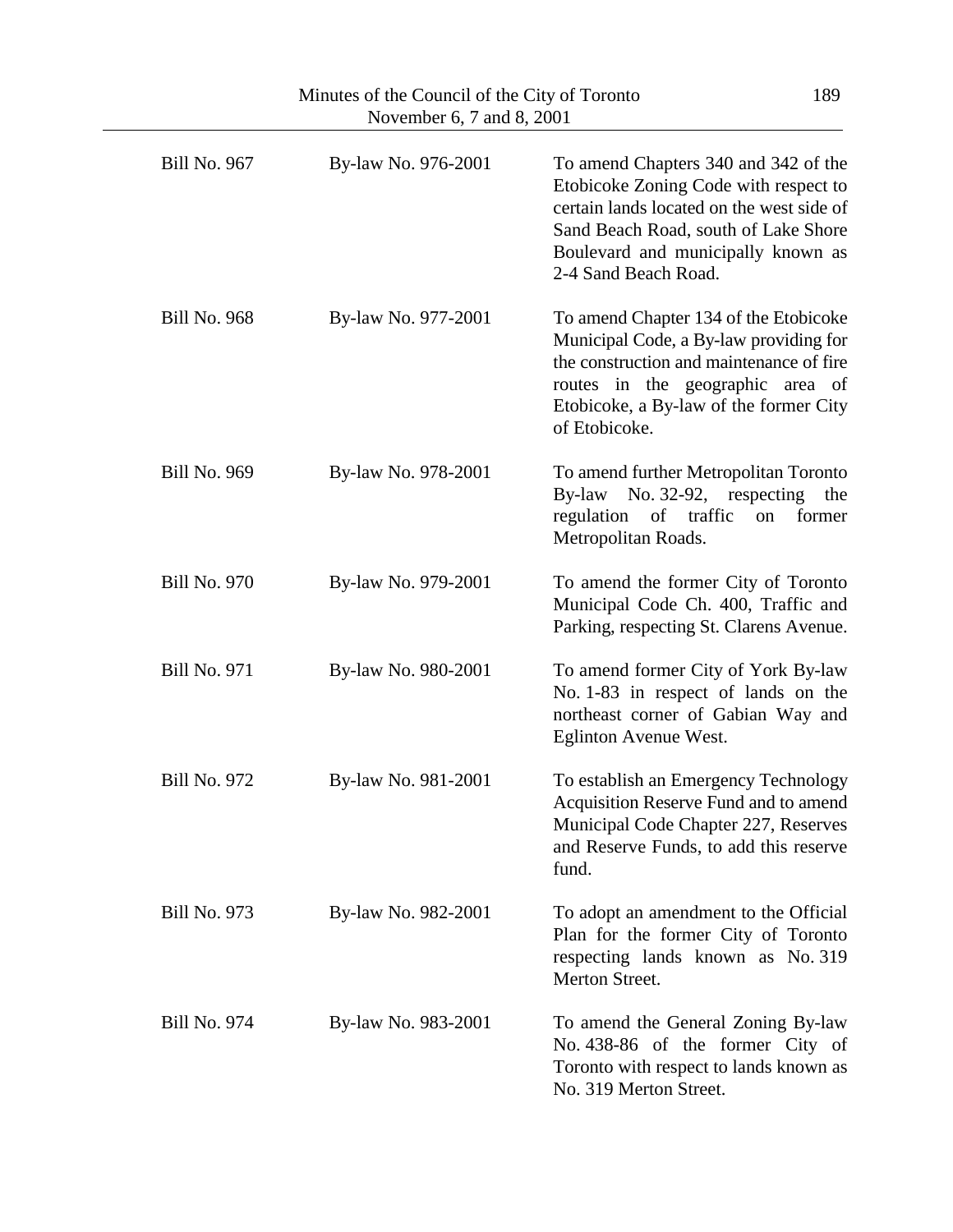| November 6, 7 and 8, 2001 |                     |                                                                                                                                                                                                                                  |
|---------------------------|---------------------|----------------------------------------------------------------------------------------------------------------------------------------------------------------------------------------------------------------------------------|
| <b>Bill No. 967</b>       | By-law No. 976-2001 | To amend Chapters 340 and 342 of the<br>Etobicoke Zoning Code with respect to<br>certain lands located on the west side of<br>Sand Beach Road, south of Lake Shore<br>Boulevard and municipally known as<br>2-4 Sand Beach Road. |
| <b>Bill No. 968</b>       | By-law No. 977-2001 | To amend Chapter 134 of the Etobicoke<br>Municipal Code, a By-law providing for<br>the construction and maintenance of fire<br>routes in the geographic area of<br>Etobicoke, a By-law of the former City<br>of Etobicoke.       |
| <b>Bill No. 969</b>       | By-law No. 978-2001 | To amend further Metropolitan Toronto<br>By-law No. 32-92, respecting<br>the<br>regulation<br>of traffic<br>former<br>on<br>Metropolitan Roads.                                                                                  |
| <b>Bill No. 970</b>       | By-law No. 979-2001 | To amend the former City of Toronto<br>Municipal Code Ch. 400, Traffic and<br>Parking, respecting St. Clarens Avenue.                                                                                                            |
| <b>Bill No. 971</b>       | By-law No. 980-2001 | To amend former City of York By-law<br>No. 1-83 in respect of lands on the<br>northeast corner of Gabian Way and<br><b>Eglinton Avenue West.</b>                                                                                 |
| <b>Bill No. 972</b>       | By-law No. 981-2001 | To establish an Emergency Technology<br>Acquisition Reserve Fund and to amend<br>Municipal Code Chapter 227, Reserves<br>and Reserve Funds, to add this reserve<br>fund.                                                         |
| <b>Bill No. 973</b>       | By-law No. 982-2001 | To adopt an amendment to the Official<br>Plan for the former City of Toronto<br>respecting lands known as No. 319<br>Merton Street.                                                                                              |
| <b>Bill No. 974</b>       | By-law No. 983-2001 | To amend the General Zoning By-law<br>No. 438-86 of the former City of<br>Toronto with respect to lands known as<br>No. 319 Merton Street.                                                                                       |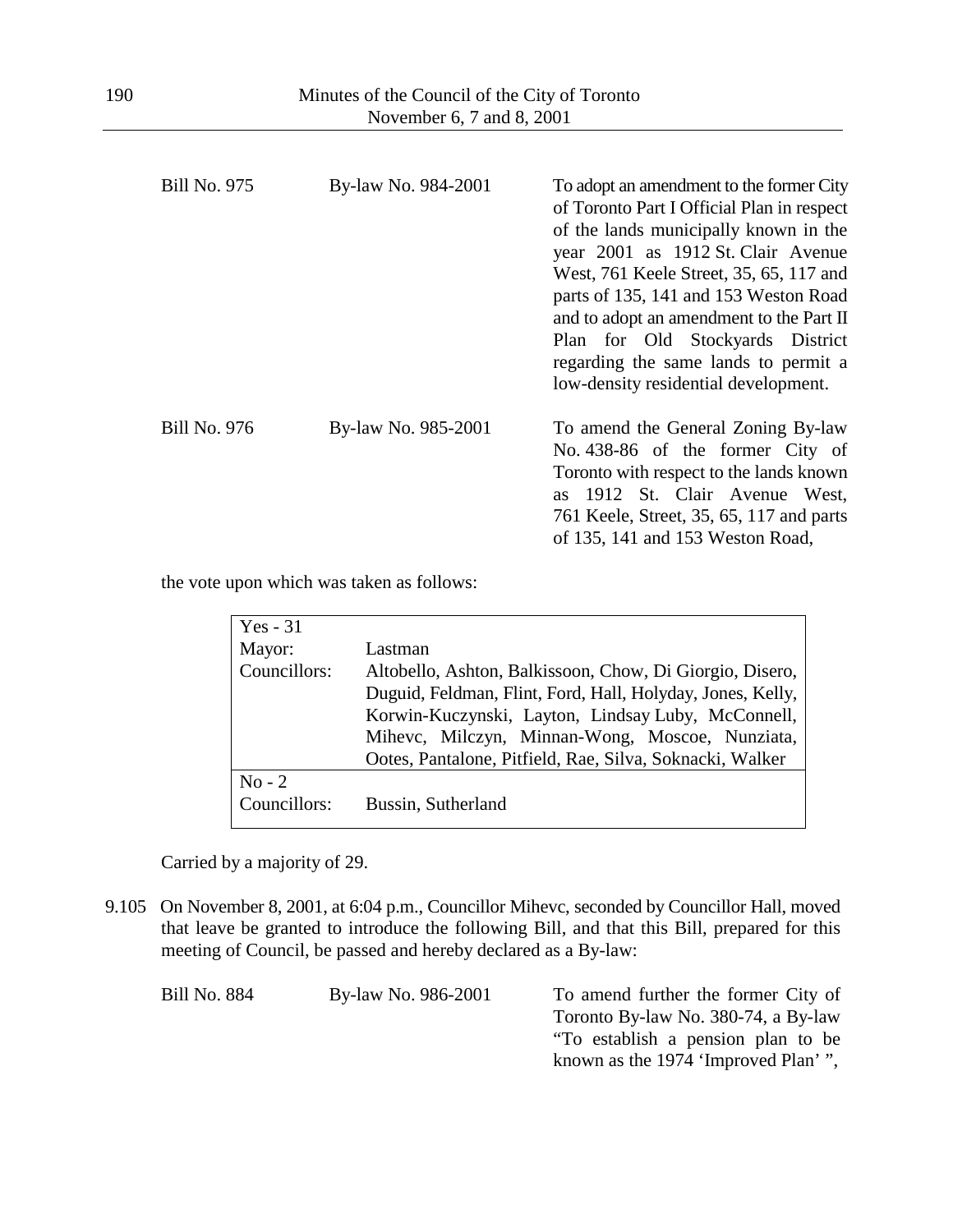| <b>Bill No. 975</b> | By-law No. 984-2001 | To adopt an amendment to the former City<br>of Toronto Part I Official Plan in respect<br>of the lands municipally known in the<br>year 2001 as 1912 St. Clair Avenue<br>West, 761 Keele Street, 35, 65, 117 and<br>parts of 135, 141 and 153 Weston Road<br>and to adopt an amendment to the Part II<br>Plan for Old Stockyards District<br>regarding the same lands to permit a<br>low-density residential development. |
|---------------------|---------------------|---------------------------------------------------------------------------------------------------------------------------------------------------------------------------------------------------------------------------------------------------------------------------------------------------------------------------------------------------------------------------------------------------------------------------|
| <b>Bill No. 976</b> | By-law No. 985-2001 | To amend the General Zoning By-law<br>No. 438-86 of the former City of<br>Toronto with respect to the lands known<br>as 1912 St. Clair Avenue West,<br>761 Keele, Street, 35, 65, 117 and parts<br>of 135, 141 and 153 Weston Road,                                                                                                                                                                                       |

the vote upon which was taken as follows:

| $Yes - 31$   |                                                            |
|--------------|------------------------------------------------------------|
| Mayor:       | Lastman                                                    |
| Councillors: | Altobello, Ashton, Balkissoon, Chow, Di Giorgio, Disero,   |
|              | Duguid, Feldman, Flint, Ford, Hall, Holyday, Jones, Kelly, |
|              | Korwin-Kuczynski, Layton, Lindsay Luby, McConnell,         |
|              | Mihevc, Milczyn, Minnan-Wong, Moscoe, Nunziata,            |
|              | Ootes, Pantalone, Pitfield, Rae, Silva, Soknacki, Walker   |
| $No-2$       |                                                            |
| Councillors: | Bussin, Sutherland                                         |

Carried by a majority of 29.

9.105 On November 8, 2001, at 6:04 p.m., Councillor Mihevc, seconded by Councillor Hall, moved that leave be granted to introduce the following Bill, and that this Bill, prepared for this meeting of Council, be passed and hereby declared as a By-law:

| Bill No. 884 | By-law No. 986-2001 | To amend further the former City of  |
|--------------|---------------------|--------------------------------------|
|              |                     | Toronto By-law No. 380-74, a By-law  |
|              |                     | "To establish a pension plan to be   |
|              |                     | known as the 1974 'Improved Plan' ", |
|              |                     |                                      |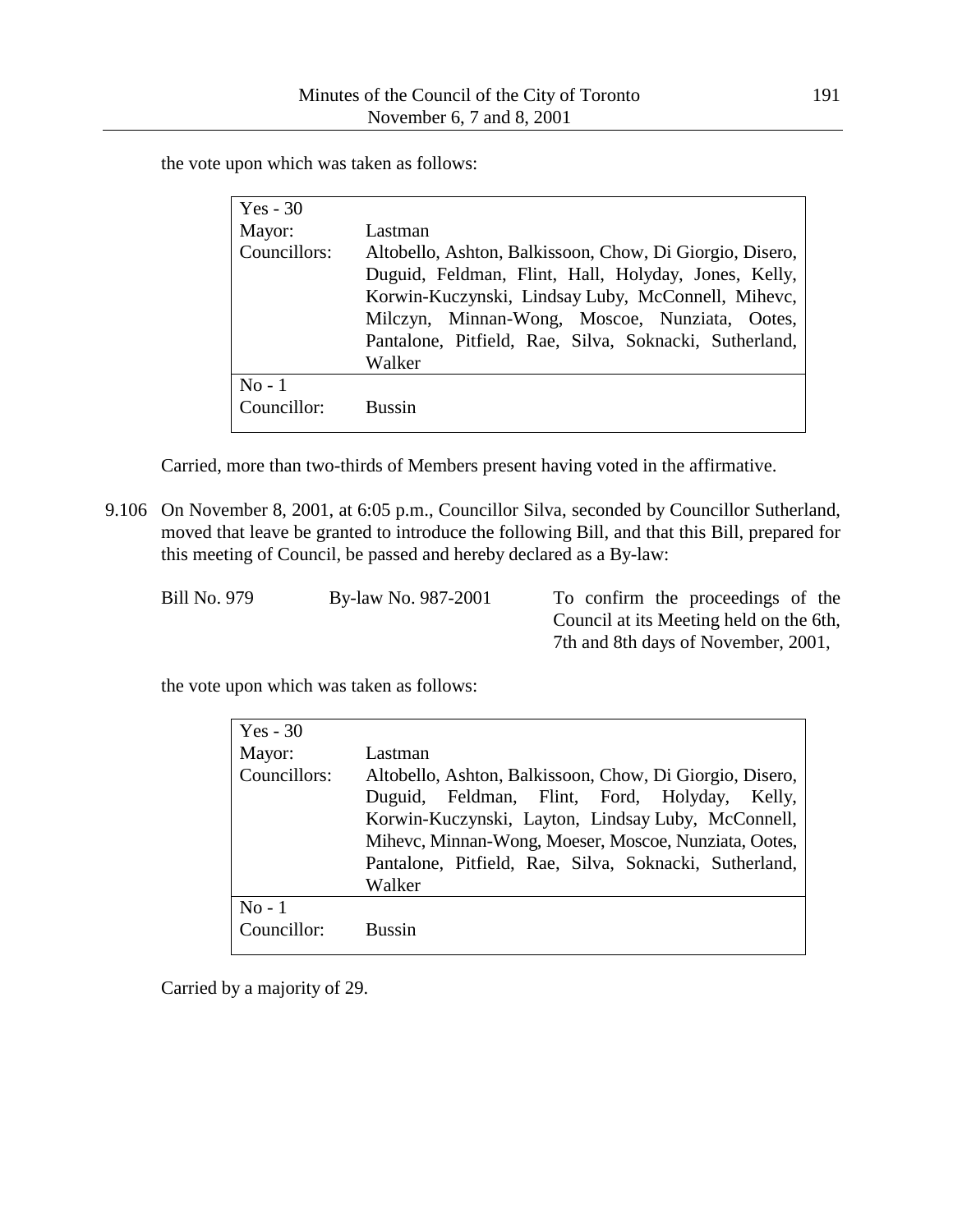the vote upon which was taken as follows:

| $Yes - 30$            |                                                                                                                                                                                                                                                                                              |
|-----------------------|----------------------------------------------------------------------------------------------------------------------------------------------------------------------------------------------------------------------------------------------------------------------------------------------|
| Mayor:                | Lastman                                                                                                                                                                                                                                                                                      |
| Councillors:          | Altobello, Ashton, Balkissoon, Chow, Di Giorgio, Disero,<br>Duguid, Feldman, Flint, Hall, Holyday, Jones, Kelly,<br>Korwin-Kuczynski, Lindsay Luby, McConnell, Mihevc,<br>Milczyn, Minnan-Wong, Moscoe, Nunziata, Ootes,<br>Pantalone, Pitfield, Rae, Silva, Soknacki, Sutherland,<br>Walker |
| $No-1$<br>Councillor: | <b>Bussin</b>                                                                                                                                                                                                                                                                                |
|                       |                                                                                                                                                                                                                                                                                              |

Carried, more than two-thirds of Members present having voted in the affirmative.

9.106 On November 8, 2001, at 6:05 p.m., Councillor Silva, seconded by Councillor Sutherland, moved that leave be granted to introduce the following Bill, and that this Bill, prepared for this meeting of Council, be passed and hereby declared as a By-law:

| Bill No. 979 | By-law No. 987-2001 | To confirm the proceedings of the       |
|--------------|---------------------|-----------------------------------------|
|              |                     | Council at its Meeting held on the 6th, |
|              |                     | 7th and 8th days of November, 2001,     |

the vote upon which was taken as follows:

| $Yes - 30$            |                                                                                                                                                                                                                                                                                              |
|-----------------------|----------------------------------------------------------------------------------------------------------------------------------------------------------------------------------------------------------------------------------------------------------------------------------------------|
| Mayor:                | Lastman                                                                                                                                                                                                                                                                                      |
| Councillors:          | Altobello, Ashton, Balkissoon, Chow, Di Giorgio, Disero,<br>Duguid, Feldman, Flint, Ford, Holyday, Kelly,<br>Korwin-Kuczynski, Layton, Lindsay Luby, McConnell,<br>Mihevc, Minnan-Wong, Moeser, Moscoe, Nunziata, Ootes,<br>Pantalone, Pitfield, Rae, Silva, Soknacki, Sutherland,<br>Walker |
| $No-1$<br>Councillor: | <b>Bussin</b>                                                                                                                                                                                                                                                                                |
|                       |                                                                                                                                                                                                                                                                                              |

Carried by a majority of 29.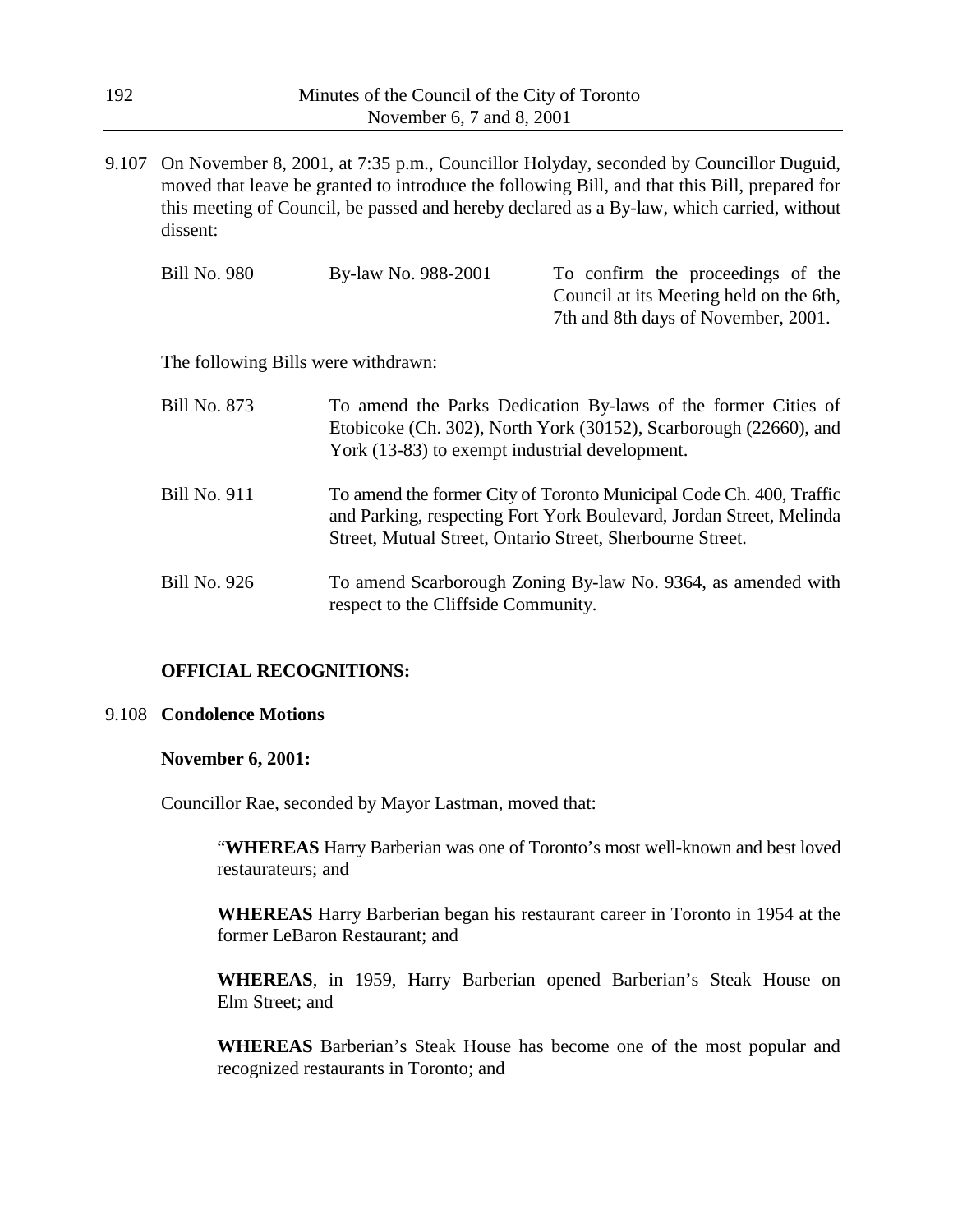9.107 On November 8, 2001, at 7:35 p.m., Councillor Holyday, seconded by Councillor Duguid, moved that leave be granted to introduce the following Bill, and that this Bill, prepared for this meeting of Council, be passed and hereby declared as a By-law, which carried, without dissent:

| Bill No. 980 | By-law No. 988-2001 | To confirm the proceedings of the       |
|--------------|---------------------|-----------------------------------------|
|              |                     | Council at its Meeting held on the 6th, |
|              |                     | 7th and 8th days of November, 2001.     |
|              |                     |                                         |

The following Bills were withdrawn:

| Bill No. 873 | To amend the Parks Dedication By-laws of the former Cities of<br>Etobicoke (Ch. 302), North York (30152), Scarborough (22660), and<br>York (13-83) to exempt industrial development.                    |
|--------------|---------------------------------------------------------------------------------------------------------------------------------------------------------------------------------------------------------|
| Bill No. 911 | To amend the former City of Toronto Municipal Code Ch. 400, Traffic<br>and Parking, respecting Fort York Boulevard, Jordan Street, Melinda<br>Street, Mutual Street, Ontario Street, Sherbourne Street. |
| Bill No. 926 | To amend Scarborough Zoning By-law No. 9364, as amended with<br>respect to the Cliffside Community.                                                                                                     |

### **OFFICIAL RECOGNITIONS:**

#### 9.108 **Condolence Motions**

#### **November 6, 2001:**

Councillor Rae, seconded by Mayor Lastman, moved that:

"**WHEREAS** Harry Barberian was one of Toronto's most well-known and best loved restaurateurs; and

**WHEREAS** Harry Barberian began his restaurant career in Toronto in 1954 at the former LeBaron Restaurant; and

**WHEREAS**, in 1959, Harry Barberian opened Barberian's Steak House on Elm Street; and

**WHEREAS** Barberian's Steak House has become one of the most popular and recognized restaurants in Toronto; and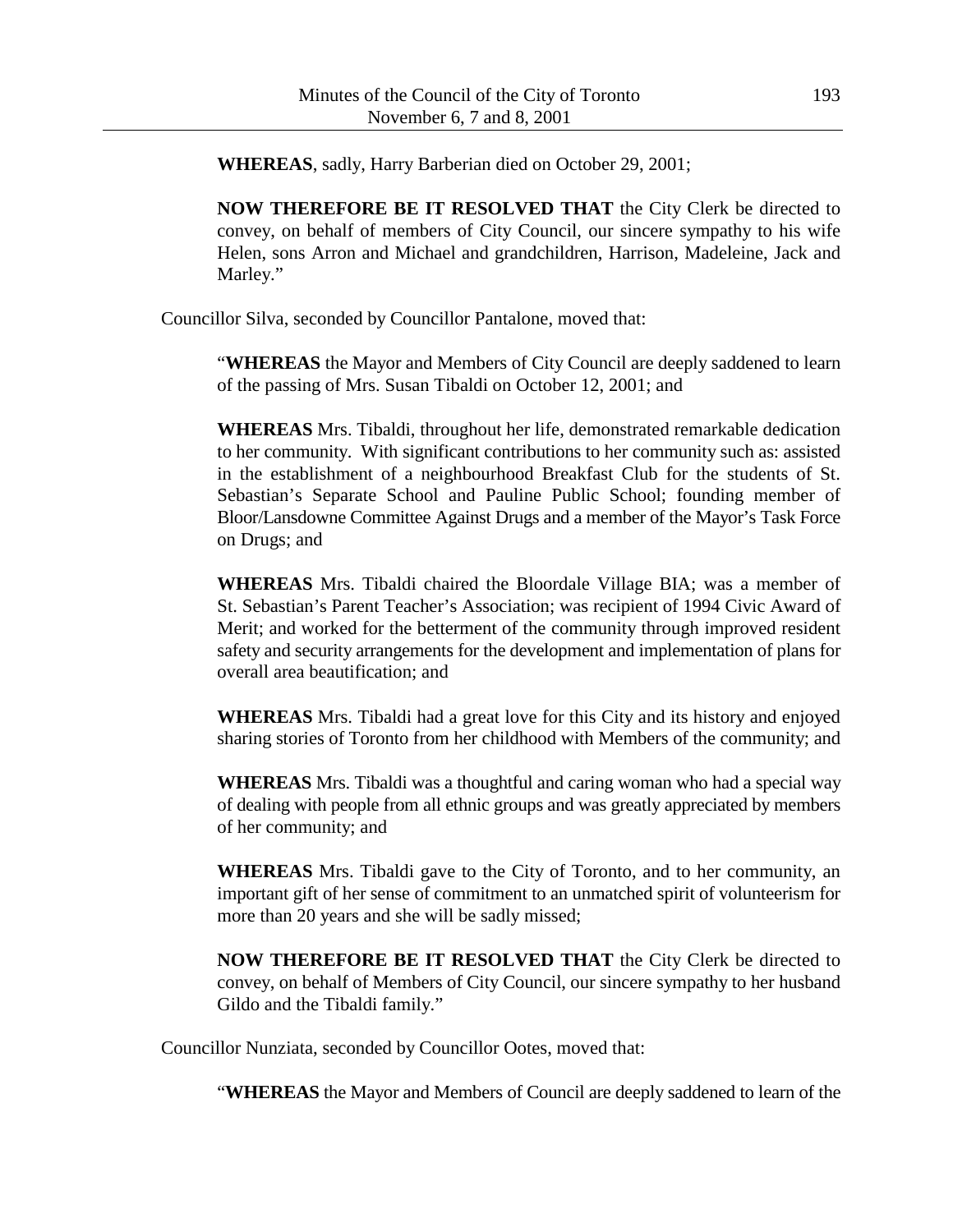**WHEREAS**, sadly, Harry Barberian died on October 29, 2001;

**NOW THEREFORE BE IT RESOLVED THAT** the City Clerk be directed to convey, on behalf of members of City Council, our sincere sympathy to his wife Helen, sons Arron and Michael and grandchildren, Harrison, Madeleine, Jack and Marley."

Councillor Silva, seconded by Councillor Pantalone, moved that:

"**WHEREAS** the Mayor and Members of City Council are deeply saddened to learn of the passing of Mrs. Susan Tibaldi on October 12, 2001; and

**WHEREAS** Mrs. Tibaldi, throughout her life, demonstrated remarkable dedication to her community. With significant contributions to her community such as: assisted in the establishment of a neighbourhood Breakfast Club for the students of St. Sebastian's Separate School and Pauline Public School; founding member of Bloor/Lansdowne Committee Against Drugs and a member of the Mayor's Task Force on Drugs; and

**WHEREAS** Mrs. Tibaldi chaired the Bloordale Village BIA; was a member of St. Sebastian's Parent Teacher's Association; was recipient of 1994 Civic Award of Merit; and worked for the betterment of the community through improved resident safety and security arrangements for the development and implementation of plans for overall area beautification; and

**WHEREAS** Mrs. Tibaldi had a great love for this City and its history and enjoyed sharing stories of Toronto from her childhood with Members of the community; and

**WHEREAS** Mrs. Tibaldi was a thoughtful and caring woman who had a special way of dealing with people from all ethnic groups and was greatly appreciated by members of her community; and

**WHEREAS** Mrs. Tibaldi gave to the City of Toronto, and to her community, an important gift of her sense of commitment to an unmatched spirit of volunteerism for more than 20 years and she will be sadly missed;

**NOW THEREFORE BE IT RESOLVED THAT** the City Clerk be directed to convey, on behalf of Members of City Council, our sincere sympathy to her husband Gildo and the Tibaldi family."

Councillor Nunziata, seconded by Councillor Ootes, moved that:

"**WHEREAS** the Mayor and Members of Council are deeply saddened to learn of the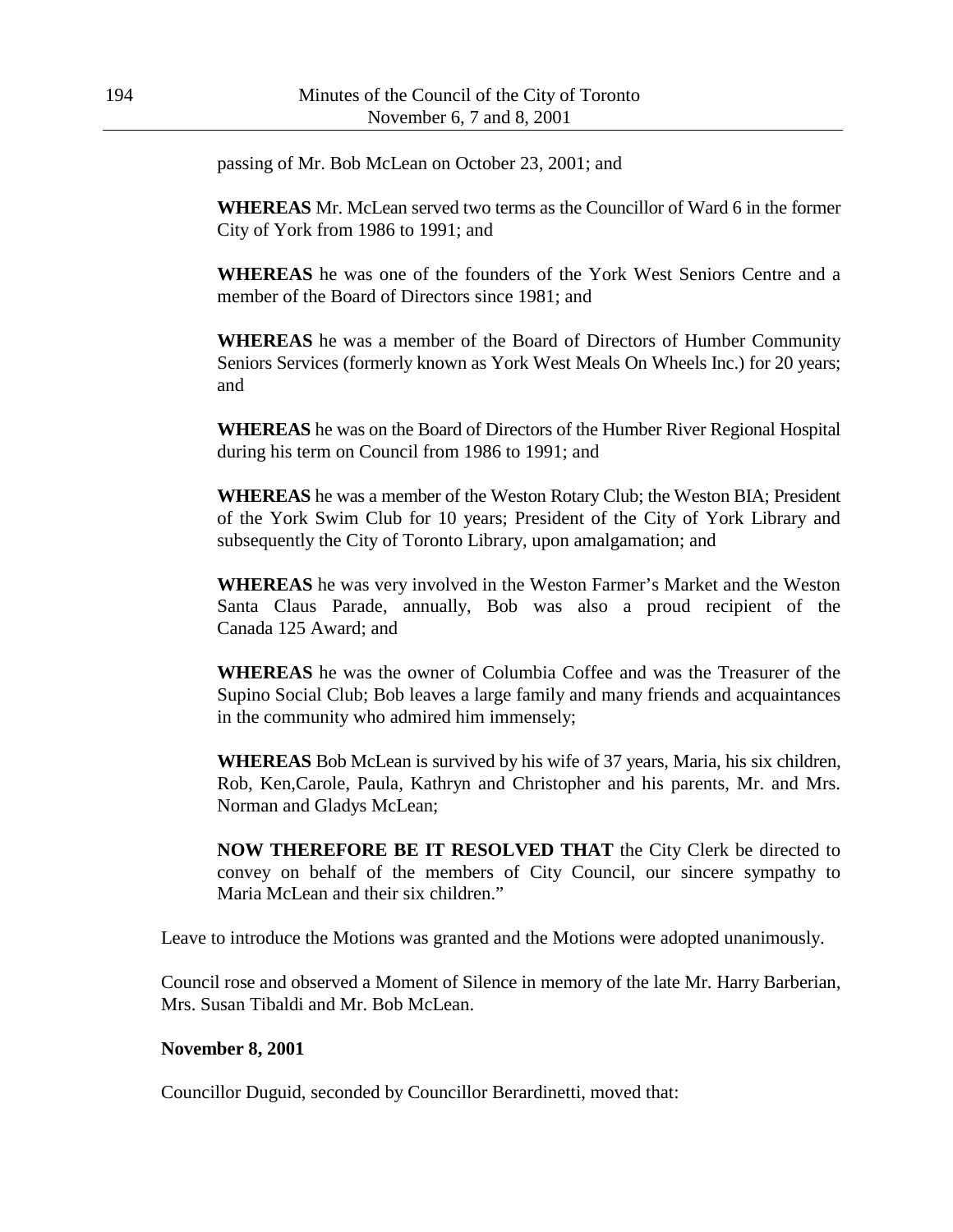passing of Mr. Bob McLean on October 23, 2001; and

**WHEREAS** Mr. McLean served two terms as the Councillor of Ward 6 in the former City of York from 1986 to 1991; and

**WHEREAS** he was one of the founders of the York West Seniors Centre and a member of the Board of Directors since 1981; and

**WHEREAS** he was a member of the Board of Directors of Humber Community Seniors Services (formerly known as York West Meals On Wheels Inc.) for 20 years; and

**WHEREAS** he was on the Board of Directors of the Humber River Regional Hospital during his term on Council from 1986 to 1991; and

**WHEREAS** he was a member of the Weston Rotary Club; the Weston BIA; President of the York Swim Club for 10 years; President of the City of York Library and subsequently the City of Toronto Library, upon amalgamation; and

**WHEREAS** he was very involved in the Weston Farmer's Market and the Weston Santa Claus Parade, annually, Bob was also a proud recipient of the Canada 125 Award; and

**WHEREAS** he was the owner of Columbia Coffee and was the Treasurer of the Supino Social Club; Bob leaves a large family and many friends and acquaintances in the community who admired him immensely;

**WHEREAS** Bob McLean is survived by his wife of 37 years, Maria, his six children, Rob, Ken,Carole, Paula, Kathryn and Christopher and his parents, Mr. and Mrs. Norman and Gladys McLean;

**NOW THEREFORE BE IT RESOLVED THAT** the City Clerk be directed to convey on behalf of the members of City Council, our sincere sympathy to Maria McLean and their six children."

Leave to introduce the Motions was granted and the Motions were adopted unanimously.

Council rose and observed a Moment of Silence in memory of the late Mr. Harry Barberian, Mrs. Susan Tibaldi and Mr. Bob McLean.

#### **November 8, 2001**

Councillor Duguid, seconded by Councillor Berardinetti, moved that: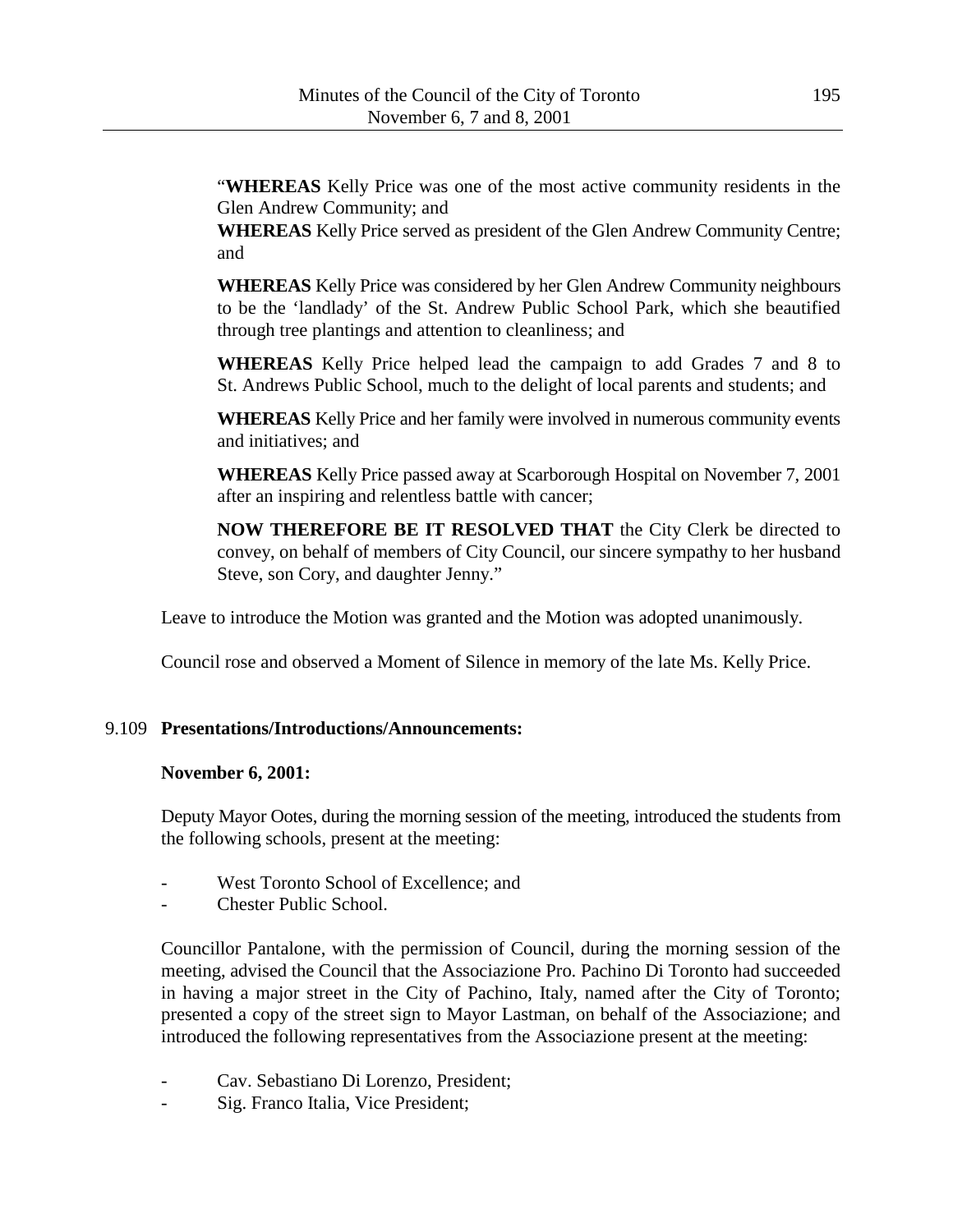"**WHEREAS** Kelly Price was one of the most active community residents in the Glen Andrew Community; and

**WHEREAS** Kelly Price served as president of the Glen Andrew Community Centre; and

**WHEREAS** Kelly Price was considered by her Glen Andrew Community neighbours to be the 'landlady' of the St. Andrew Public School Park, which she beautified through tree plantings and attention to cleanliness; and

**WHEREAS** Kelly Price helped lead the campaign to add Grades 7 and 8 to St. Andrews Public School, much to the delight of local parents and students; and

**WHEREAS** Kelly Price and her family were involved in numerous community events and initiatives; and

**WHEREAS** Kelly Price passed away at Scarborough Hospital on November 7, 2001 after an inspiring and relentless battle with cancer;

**NOW THEREFORE BE IT RESOLVED THAT** the City Clerk be directed to convey, on behalf of members of City Council, our sincere sympathy to her husband Steve, son Cory, and daughter Jenny."

Leave to introduce the Motion was granted and the Motion was adopted unanimously.

Council rose and observed a Moment of Silence in memory of the late Ms. Kelly Price.

# 9.109 **Presentations/Introductions/Announcements:**

## **November 6, 2001:**

Deputy Mayor Ootes, during the morning session of the meeting, introduced the students from the following schools, present at the meeting:

- West Toronto School of Excellence; and
- Chester Public School.

Councillor Pantalone, with the permission of Council, during the morning session of the meeting, advised the Council that the Associazione Pro. Pachino Di Toronto had succeeded in having a major street in the City of Pachino, Italy, named after the City of Toronto; presented a copy of the street sign to Mayor Lastman, on behalf of the Associazione; and introduced the following representatives from the Associazione present at the meeting:

- Cav. Sebastiano Di Lorenzo, President;
- Sig. Franco Italia, Vice President;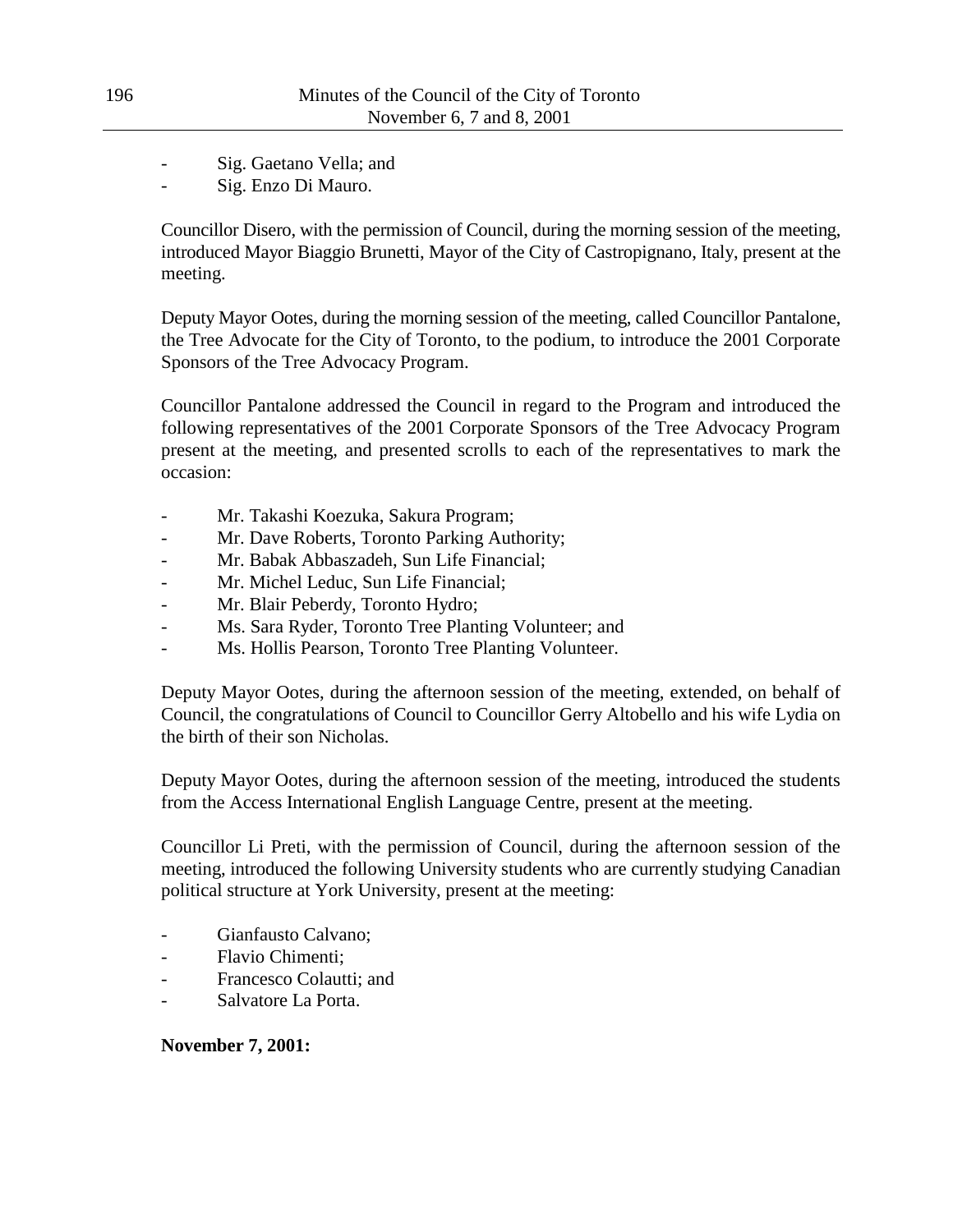Sig. Gaetano Vella; and

Sig. Enzo Di Mauro.

Councillor Disero, with the permission of Council, during the morning session of the meeting, introduced Mayor Biaggio Brunetti, Mayor of the City of Castropignano, Italy, present at the meeting.

Deputy Mayor Ootes, during the morning session of the meeting, called Councillor Pantalone, the Tree Advocate for the City of Toronto, to the podium, to introduce the 2001 Corporate Sponsors of the Tree Advocacy Program.

Councillor Pantalone addressed the Council in regard to the Program and introduced the following representatives of the 2001 Corporate Sponsors of the Tree Advocacy Program present at the meeting, and presented scrolls to each of the representatives to mark the occasion:

- Mr. Takashi Koezuka, Sakura Program;
- Mr. Dave Roberts, Toronto Parking Authority;
- Mr. Babak Abbaszadeh, Sun Life Financial;
- Mr. Michel Leduc, Sun Life Financial;
- Mr. Blair Peberdy, Toronto Hydro;
- Ms. Sara Ryder, Toronto Tree Planting Volunteer; and
- Ms. Hollis Pearson, Toronto Tree Planting Volunteer.

Deputy Mayor Ootes, during the afternoon session of the meeting, extended, on behalf of Council, the congratulations of Council to Councillor Gerry Altobello and his wife Lydia on the birth of their son Nicholas.

Deputy Mayor Ootes, during the afternoon session of the meeting, introduced the students from the Access International English Language Centre, present at the meeting.

Councillor Li Preti, with the permission of Council, during the afternoon session of the meeting, introduced the following University students who are currently studying Canadian political structure at York University, present at the meeting:

- Gianfausto Calvano;
- Flavio Chimenti;
- Francesco Colautti; and
- Salvatore La Porta.

# **November 7, 2001:**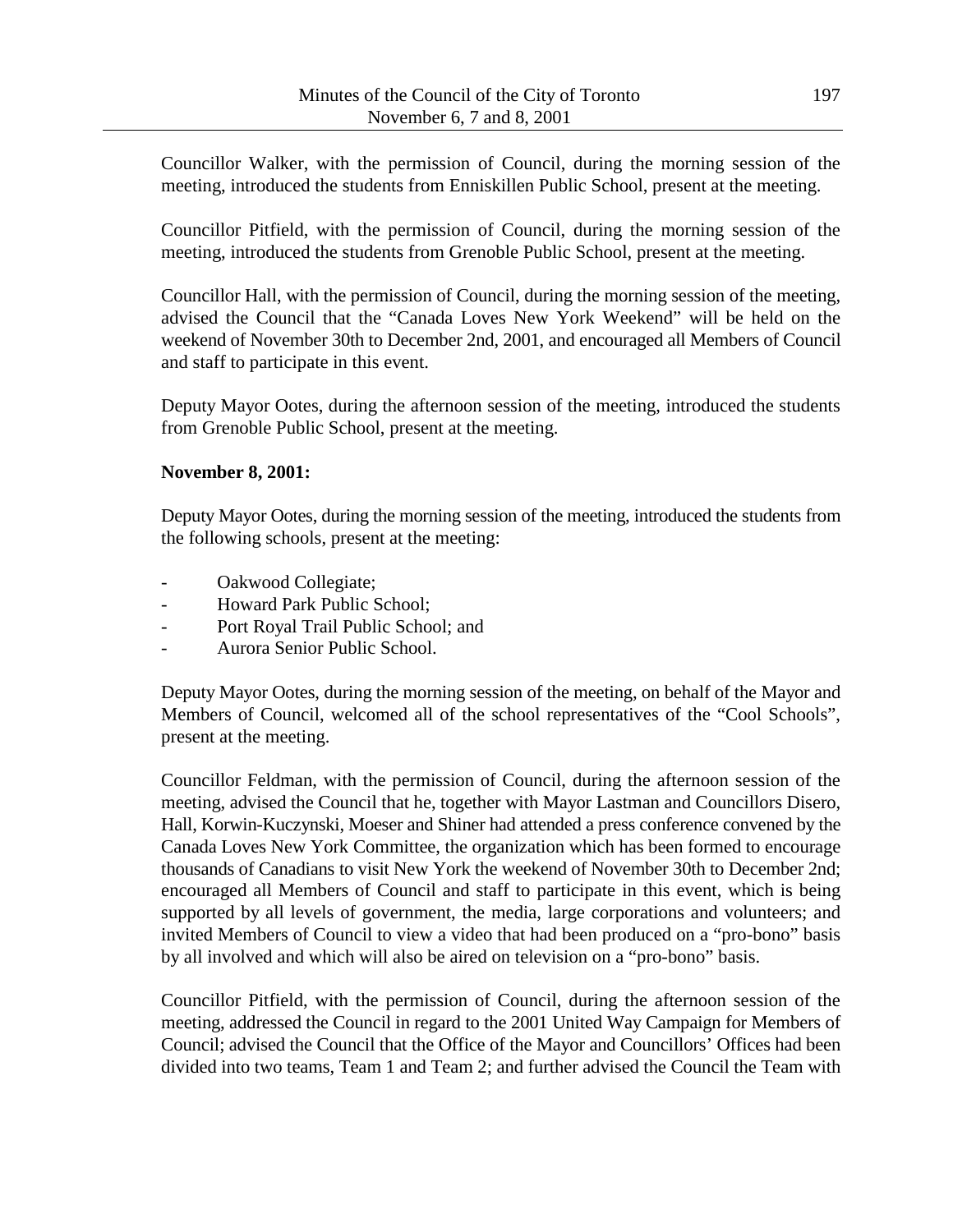Councillor Walker, with the permission of Council, during the morning session of the meeting, introduced the students from Enniskillen Public School, present at the meeting.

Councillor Pitfield, with the permission of Council, during the morning session of the meeting, introduced the students from Grenoble Public School, present at the meeting.

Councillor Hall, with the permission of Council, during the morning session of the meeting, advised the Council that the "Canada Loves New York Weekend" will be held on the weekend of November 30th to December 2nd, 2001, and encouraged all Members of Council and staff to participate in this event.

Deputy Mayor Ootes, during the afternoon session of the meeting, introduced the students from Grenoble Public School, present at the meeting.

## **November 8, 2001:**

Deputy Mayor Ootes, during the morning session of the meeting, introduced the students from the following schools, present at the meeting:

- Oakwood Collegiate;
- Howard Park Public School;
- Port Royal Trail Public School; and
- Aurora Senior Public School.

Deputy Mayor Ootes, during the morning session of the meeting, on behalf of the Mayor and Members of Council, welcomed all of the school representatives of the "Cool Schools", present at the meeting.

Councillor Feldman, with the permission of Council, during the afternoon session of the meeting, advised the Council that he, together with Mayor Lastman and Councillors Disero, Hall, Korwin-Kuczynski, Moeser and Shiner had attended a press conference convened by the Canada Loves New York Committee, the organization which has been formed to encourage thousands of Canadians to visit New York the weekend of November 30th to December 2nd; encouraged all Members of Council and staff to participate in this event, which is being supported by all levels of government, the media, large corporations and volunteers; and invited Members of Council to view a video that had been produced on a "pro-bono" basis by all involved and which will also be aired on television on a "pro-bono" basis.

Councillor Pitfield, with the permission of Council, during the afternoon session of the meeting, addressed the Council in regard to the 2001 United Way Campaign for Members of Council; advised the Council that the Office of the Mayor and Councillors' Offices had been divided into two teams, Team 1 and Team 2; and further advised the Council the Team with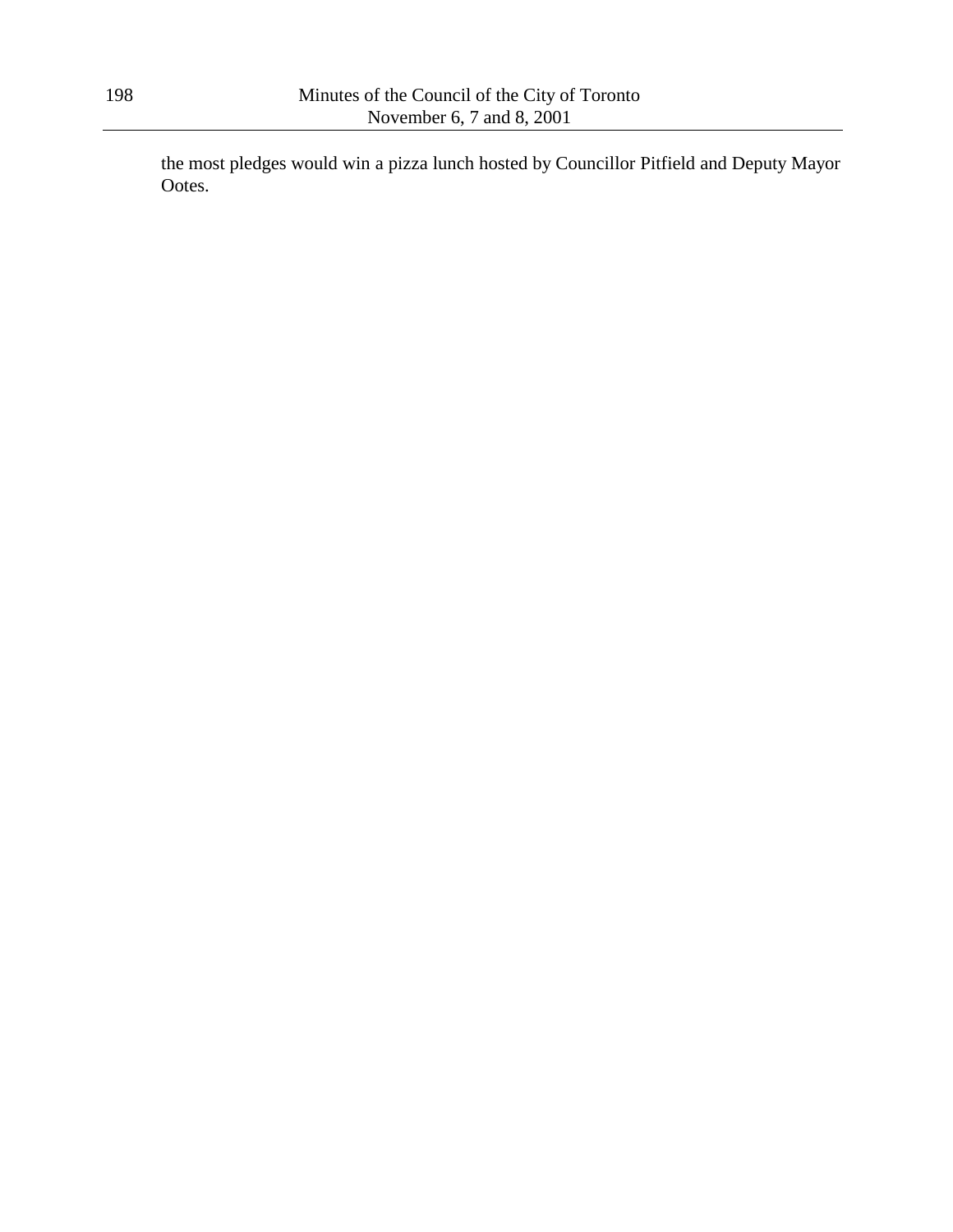the most pledges would win a pizza lunch hosted by Councillor Pitfield and Deputy Mayor Ootes.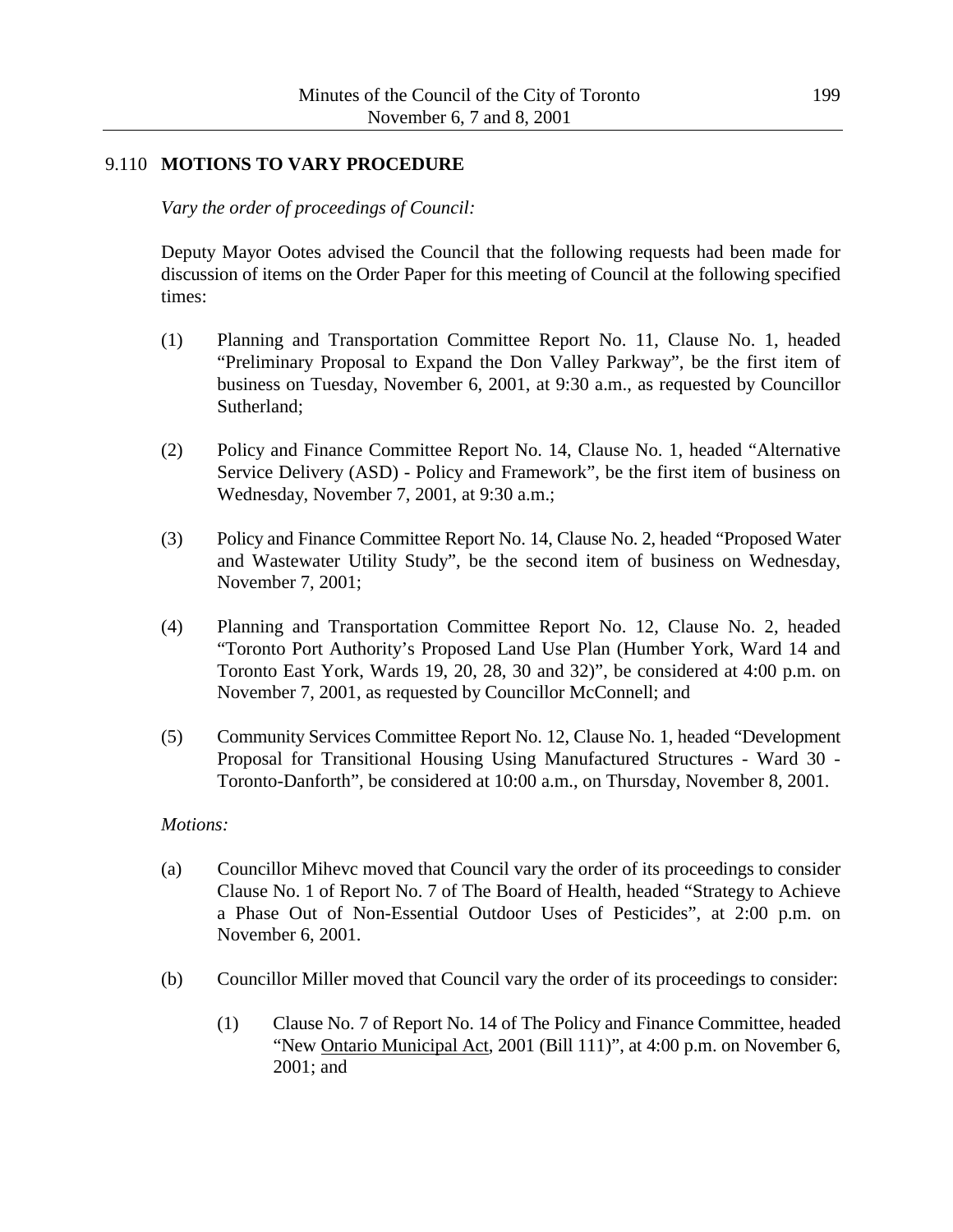## 9.110 **MOTIONS TO VARY PROCEDURE**

*Vary the order of proceedings of Council:*

Deputy Mayor Ootes advised the Council that the following requests had been made for discussion of items on the Order Paper for this meeting of Council at the following specified times:

- (1) Planning and Transportation Committee Report No. 11, Clause No. 1, headed "Preliminary Proposal to Expand the Don Valley Parkway", be the first item of business on Tuesday, November 6, 2001, at 9:30 a.m., as requested by Councillor Sutherland;
- (2) Policy and Finance Committee Report No. 14, Clause No. 1, headed "Alternative Service Delivery (ASD) - Policy and Framework", be the first item of business on Wednesday, November 7, 2001, at 9:30 a.m.;
- (3) Policy and Finance Committee Report No. 14, Clause No. 2, headed "Proposed Water and Wastewater Utility Study", be the second item of business on Wednesday, November 7, 2001;
- (4) Planning and Transportation Committee Report No. 12, Clause No. 2, headed "Toronto Port Authority's Proposed Land Use Plan (Humber York, Ward 14 and Toronto East York, Wards 19, 20, 28, 30 and 32)", be considered at 4:00 p.m. on November 7, 2001, as requested by Councillor McConnell; and
- (5) Community Services Committee Report No. 12, Clause No. 1, headed "Development Proposal for Transitional Housing Using Manufactured Structures - Ward 30 - Toronto-Danforth", be considered at 10:00 a.m., on Thursday, November 8, 2001.

### *Motions:*

- (a) Councillor Mihevc moved that Council vary the order of its proceedings to consider Clause No. 1 of Report No. 7 of The Board of Health, headed "Strategy to Achieve a Phase Out of Non-Essential Outdoor Uses of Pesticides", at 2:00 p.m. on November 6, 2001.
- (b) Councillor Miller moved that Council vary the order of its proceedings to consider:
	- (1) Clause No. 7 of Report No. 14 of The Policy and Finance Committee, headed "New Ontario Municipal Act, 2001 (Bill 111)", at 4:00 p.m. on November 6, 2001; and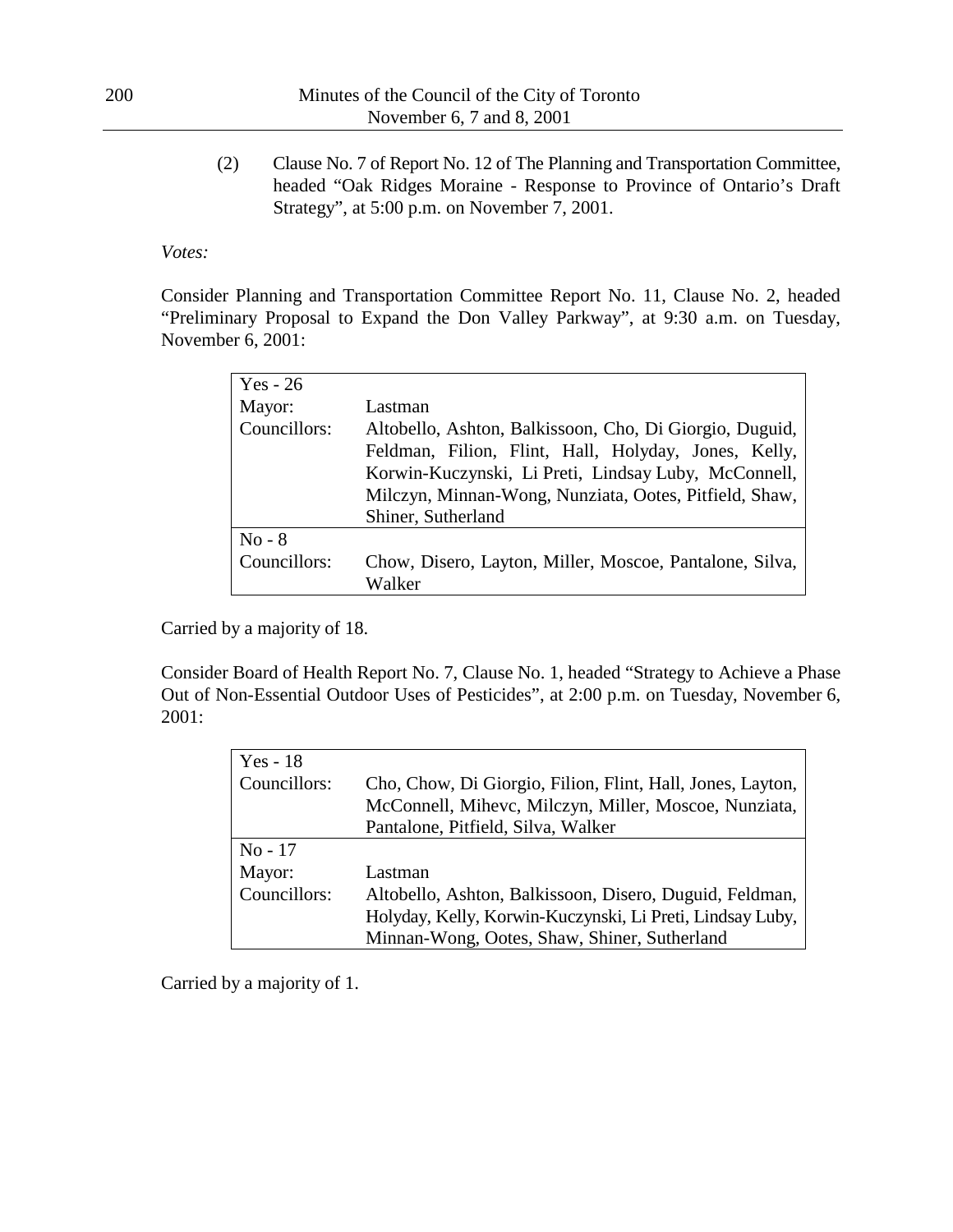(2) Clause No. 7 of Report No. 12 of The Planning and Transportation Committee, headed "Oak Ridges Moraine - Response to Province of Ontario's Draft Strategy", at 5:00 p.m. on November 7, 2001.

## *Votes:*

Consider Planning and Transportation Committee Report No. 11, Clause No. 2, headed "Preliminary Proposal to Expand the Don Valley Parkway", at 9:30 a.m. on Tuesday, November 6, 2001:

| $Yes - 26$   |                                                         |
|--------------|---------------------------------------------------------|
| Mayor:       | Lastman                                                 |
| Councillors: | Altobello, Ashton, Balkissoon, Cho, Di Giorgio, Duguid, |
|              | Feldman, Filion, Flint, Hall, Holyday, Jones, Kelly,    |
|              | Korwin-Kuczynski, Li Preti, Lindsay Luby, McConnell,    |
|              | Milczyn, Minnan-Wong, Nunziata, Ootes, Pitfield, Shaw,  |
|              | Shiner, Sutherland                                      |
| $No - 8$     |                                                         |
| Councillors: | Chow, Disero, Layton, Miller, Moscoe, Pantalone, Silva, |
|              | Walker                                                  |

Carried by a majority of 18.

Consider Board of Health Report No. 7, Clause No. 1, headed "Strategy to Achieve a Phase Out of Non-Essential Outdoor Uses of Pesticides", at 2:00 p.m. on Tuesday, November 6, 2001:

| $Yes - 18$   |                                                            |
|--------------|------------------------------------------------------------|
| Councillors: | Cho, Chow, Di Giorgio, Filion, Flint, Hall, Jones, Layton, |
|              | McConnell, Mihevc, Milczyn, Miller, Moscoe, Nunziata,      |
|              | Pantalone, Pitfield, Silva, Walker                         |
| No - 17      |                                                            |
| Mayor:       | Lastman                                                    |
| Councillors: | Altobello, Ashton, Balkissoon, Disero, Duguid, Feldman,    |
|              | Holyday, Kelly, Korwin-Kuczynski, Li Preti, Lindsay Luby,  |
|              | Minnan-Wong, Ootes, Shaw, Shiner, Sutherland               |

Carried by a majority of 1.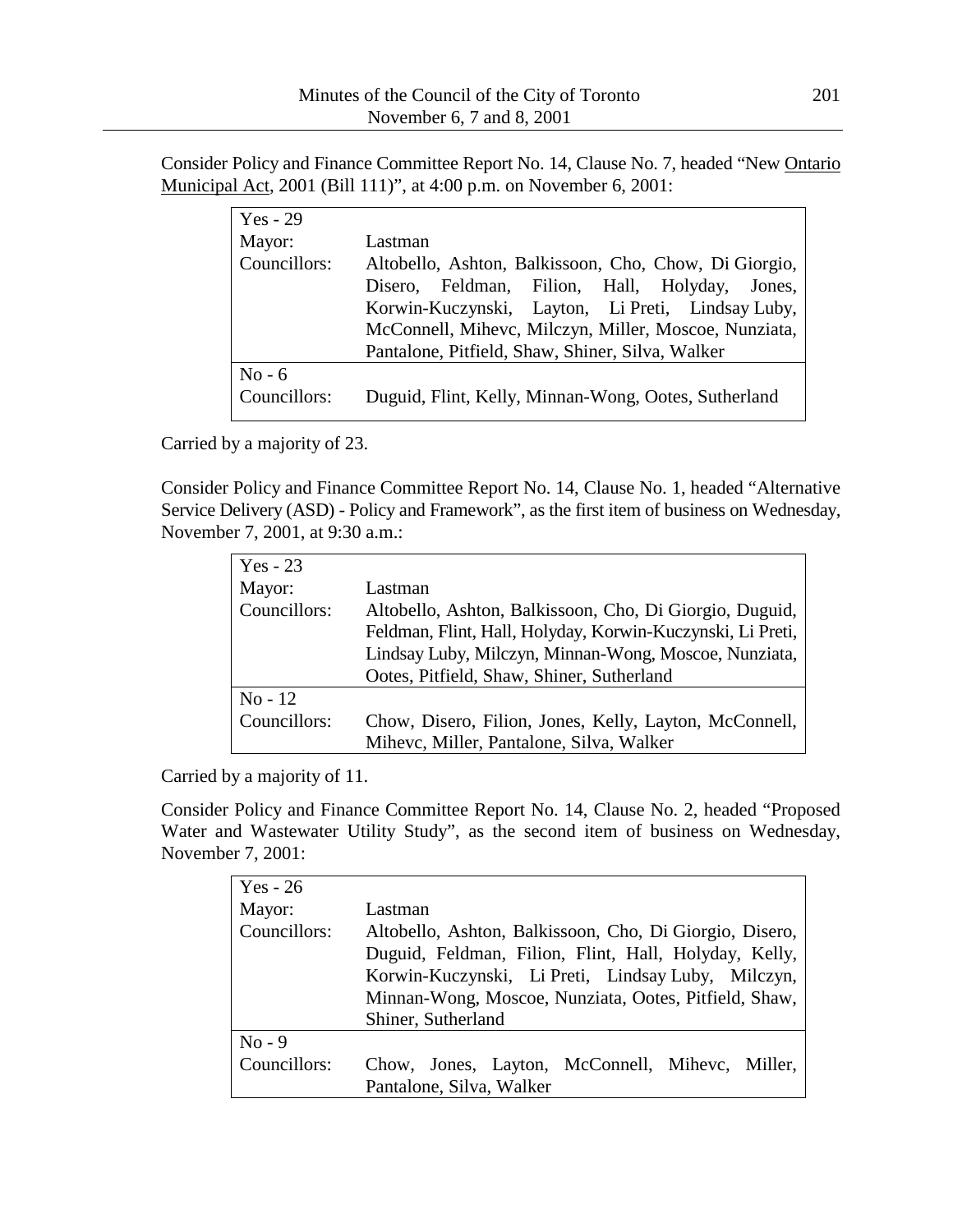Consider Policy and Finance Committee Report No. 14, Clause No. 7, headed "New Ontario Municipal Act, 2001 (Bill 111)", at 4:00 p.m. on November 6, 2001:

| $Yes - 29$   |                                                       |
|--------------|-------------------------------------------------------|
| Mayor:       | Lastman                                               |
| Councillors: | Altobello, Ashton, Balkissoon, Cho, Chow, Di Giorgio, |
|              | Feldman, Filion, Hall, Holyday, Jones,<br>Disero.     |
|              | Korwin-Kuczynski, Layton, Li Preti, Lindsay Luby,     |
|              | McConnell, Mihevc, Milczyn, Miller, Moscoe, Nunziata, |
|              | Pantalone, Pitfield, Shaw, Shiner, Silva, Walker      |
| $No - 6$     |                                                       |
| Councillors: | Duguid, Flint, Kelly, Minnan-Wong, Ootes, Sutherland  |

Carried by a majority of 23.

Consider Policy and Finance Committee Report No. 14, Clause No. 1, headed "Alternative Service Delivery (ASD) - Policy and Framework", as the first item of business on Wednesday, November 7, 2001, at 9:30 a.m.:

| $Yes - 23$   |                                                            |
|--------------|------------------------------------------------------------|
| Mayor:       | Lastman                                                    |
| Councillors: | Altobello, Ashton, Balkissoon, Cho, Di Giorgio, Duguid,    |
|              | Feldman, Flint, Hall, Holyday, Korwin-Kuczynski, Li Preti, |
|              | Lindsay Luby, Milczyn, Minnan-Wong, Moscoe, Nunziata,      |
|              | Ootes, Pitfield, Shaw, Shiner, Sutherland                  |
| $No-12$      |                                                            |
| Councillors: | Chow, Disero, Filion, Jones, Kelly, Layton, McConnell,     |
|              | Mihevc, Miller, Pantalone, Silva, Walker                   |

Carried by a majority of 11.

Consider Policy and Finance Committee Report No. 14, Clause No. 2, headed "Proposed Water and Wastewater Utility Study", as the second item of business on Wednesday, November 7, 2001:

| Yes - $26$   |                                                         |
|--------------|---------------------------------------------------------|
| Mayor:       | Lastman                                                 |
| Councillors: | Altobello, Ashton, Balkissoon, Cho, Di Giorgio, Disero, |
|              | Duguid, Feldman, Filion, Flint, Hall, Holyday, Kelly,   |
|              | Korwin-Kuczynski, Li Preti, Lindsay Luby, Milczyn,      |
|              | Minnan-Wong, Moscoe, Nunziata, Ootes, Pitfield, Shaw,   |
|              | Shiner, Sutherland                                      |
| $No - 9$     |                                                         |
| Councillors: | Chow, Jones, Layton, McConnell, Mihevc, Miller,         |
|              | Pantalone, Silva, Walker                                |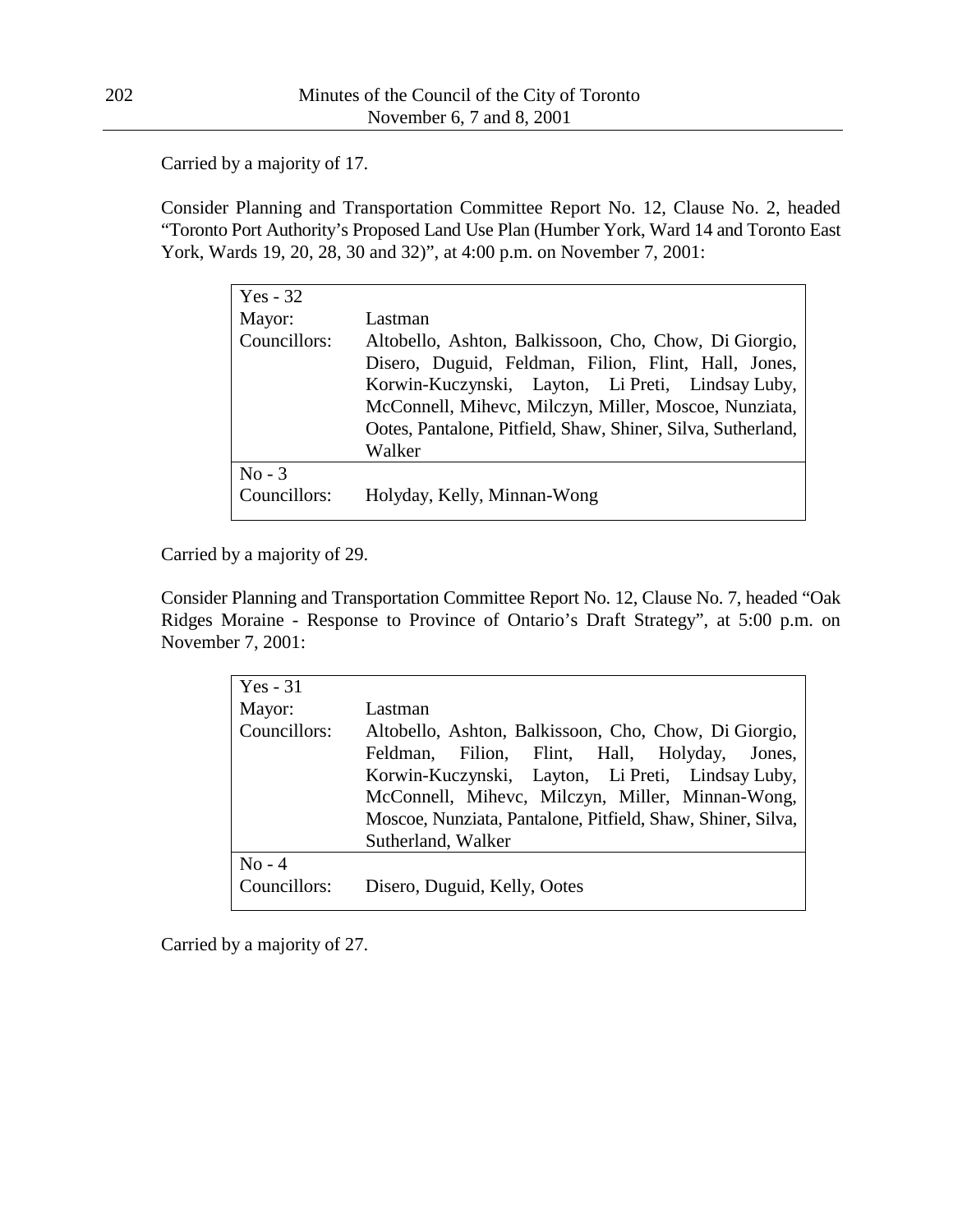Carried by a majority of 17.

Consider Planning and Transportation Committee Report No. 12, Clause No. 2, headed "Toronto Port Authority's Proposed Land Use Plan (Humber York, Ward 14 and Toronto East York, Wards 19, 20, 28, 30 and 32)", at 4:00 p.m. on November 7, 2001:

| $Yes - 32$   |                                                              |
|--------------|--------------------------------------------------------------|
| Mayor:       | Lastman                                                      |
| Councillors: | Altobello, Ashton, Balkissoon, Cho, Chow, Di Giorgio,        |
|              | Disero, Duguid, Feldman, Filion, Flint, Hall, Jones,         |
|              | Korwin-Kuczynski, Layton, Li Preti, Lindsay Luby,            |
|              | McConnell, Mihevc, Milczyn, Miller, Moscoe, Nunziata,        |
|              | Ootes, Pantalone, Pitfield, Shaw, Shiner, Silva, Sutherland, |
|              | Walker                                                       |
| $No - 3$     |                                                              |
| Councillors: | Holyday, Kelly, Minnan-Wong                                  |

Carried by a majority of 29.

Consider Planning and Transportation Committee Report No. 12, Clause No. 7, headed "Oak Ridges Moraine - Response to Province of Ontario's Draft Strategy", at 5:00 p.m. on November 7, 2001:

| Yes $-31$    |                                                                                                                                                                                                                                                                                                         |
|--------------|---------------------------------------------------------------------------------------------------------------------------------------------------------------------------------------------------------------------------------------------------------------------------------------------------------|
| Mayor:       | Lastman                                                                                                                                                                                                                                                                                                 |
| Councillors: | Altobello, Ashton, Balkissoon, Cho, Chow, Di Giorgio,<br>Filion, Flint, Hall, Holyday, Jones,<br>Feldman,<br>Korwin-Kuczynski, Layton, Li Preti, Lindsay Luby,<br>McConnell, Mihevc, Milczyn, Miller, Minnan-Wong,<br>Moscoe, Nunziata, Pantalone, Pitfield, Shaw, Shiner, Silva,<br>Sutherland, Walker |
| $No - 4$     |                                                                                                                                                                                                                                                                                                         |
| Councillors: | Disero, Duguid, Kelly, Ootes                                                                                                                                                                                                                                                                            |

Carried by a majority of 27.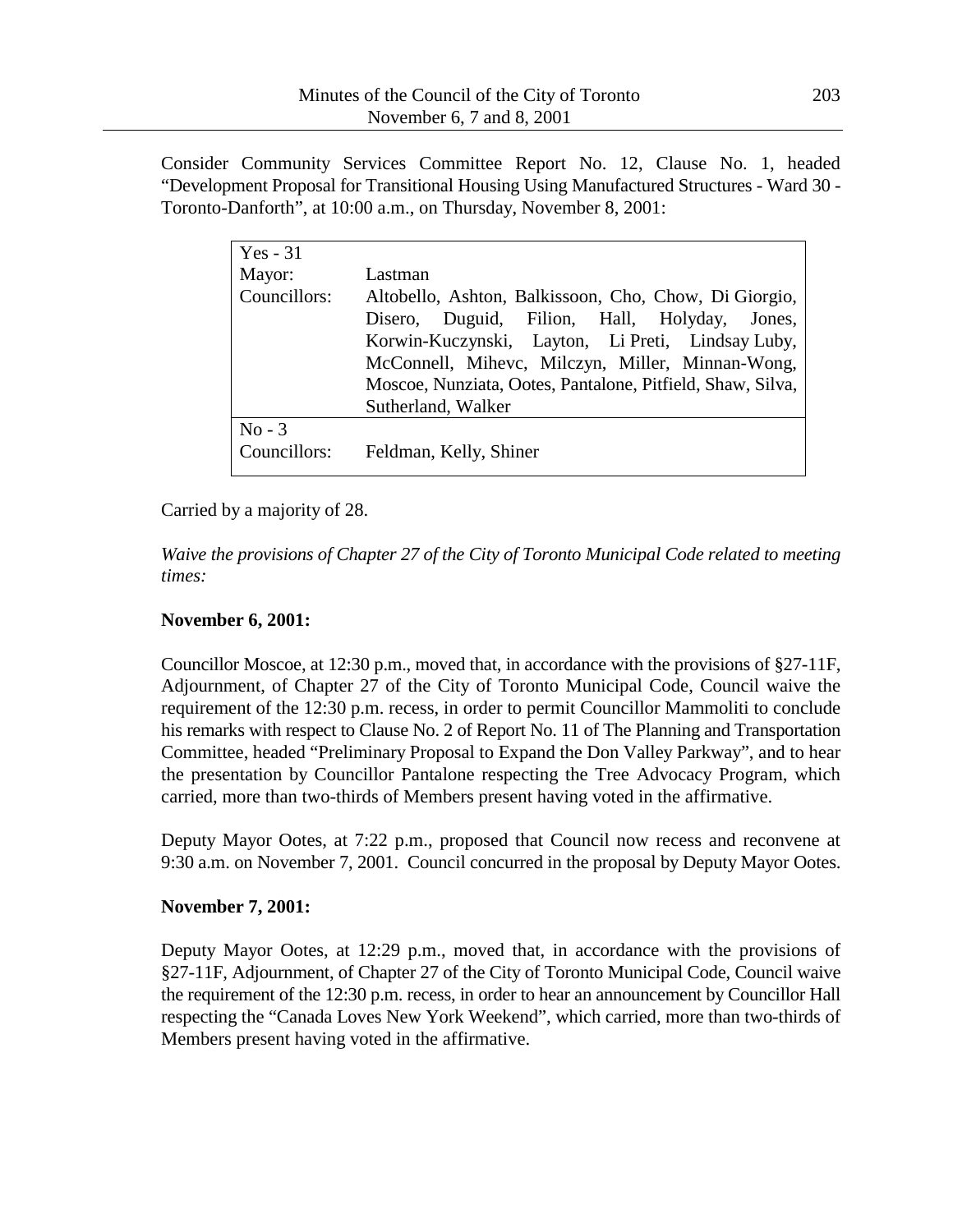Consider Community Services Committee Report No. 12, Clause No. 1, headed "Development Proposal for Transitional Housing Using Manufactured Structures - Ward 30 - Toronto-Danforth", at 10:00 a.m., on Thursday, November 8, 2001:

| $Yes - 31$               |                                                                                                                                                                                                                                                                                                        |
|--------------------------|--------------------------------------------------------------------------------------------------------------------------------------------------------------------------------------------------------------------------------------------------------------------------------------------------------|
| Mayor:                   | Lastman                                                                                                                                                                                                                                                                                                |
| Councillors:             | Altobello, Ashton, Balkissoon, Cho, Chow, Di Giorgio,<br>Duguid, Filion, Hall, Holyday, Jones,<br>Disero,<br>Korwin-Kuczynski, Layton, Li Preti, Lindsay Luby,<br>McConnell, Mihevc, Milczyn, Miller, Minnan-Wong,<br>Moscoe, Nunziata, Ootes, Pantalone, Pitfield, Shaw, Silva,<br>Sutherland, Walker |
| $No - 3$<br>Councillors: | Feldman, Kelly, Shiner                                                                                                                                                                                                                                                                                 |

## Carried by a majority of 28.

*Waive the provisions of Chapter 27 of the City of Toronto Municipal Code related to meeting times:*

### **November 6, 2001:**

Councillor Moscoe, at 12:30 p.m., moved that, in accordance with the provisions of §27-11F, Adjournment, of Chapter 27 of the City of Toronto Municipal Code, Council waive the requirement of the 12:30 p.m. recess, in order to permit Councillor Mammoliti to conclude his remarks with respect to Clause No. 2 of Report No. 11 of The Planning and Transportation Committee, headed "Preliminary Proposal to Expand the Don Valley Parkway", and to hear the presentation by Councillor Pantalone respecting the Tree Advocacy Program, which carried, more than two-thirds of Members present having voted in the affirmative.

Deputy Mayor Ootes, at 7:22 p.m., proposed that Council now recess and reconvene at 9:30 a.m. on November 7, 2001. Council concurred in the proposal by Deputy Mayor Ootes.

## **November 7, 2001:**

Deputy Mayor Ootes, at 12:29 p.m., moved that, in accordance with the provisions of §27-11F, Adjournment, of Chapter 27 of the City of Toronto Municipal Code, Council waive the requirement of the 12:30 p.m. recess, in order to hear an announcement by Councillor Hall respecting the "Canada Loves New York Weekend", which carried, more than two-thirds of Members present having voted in the affirmative.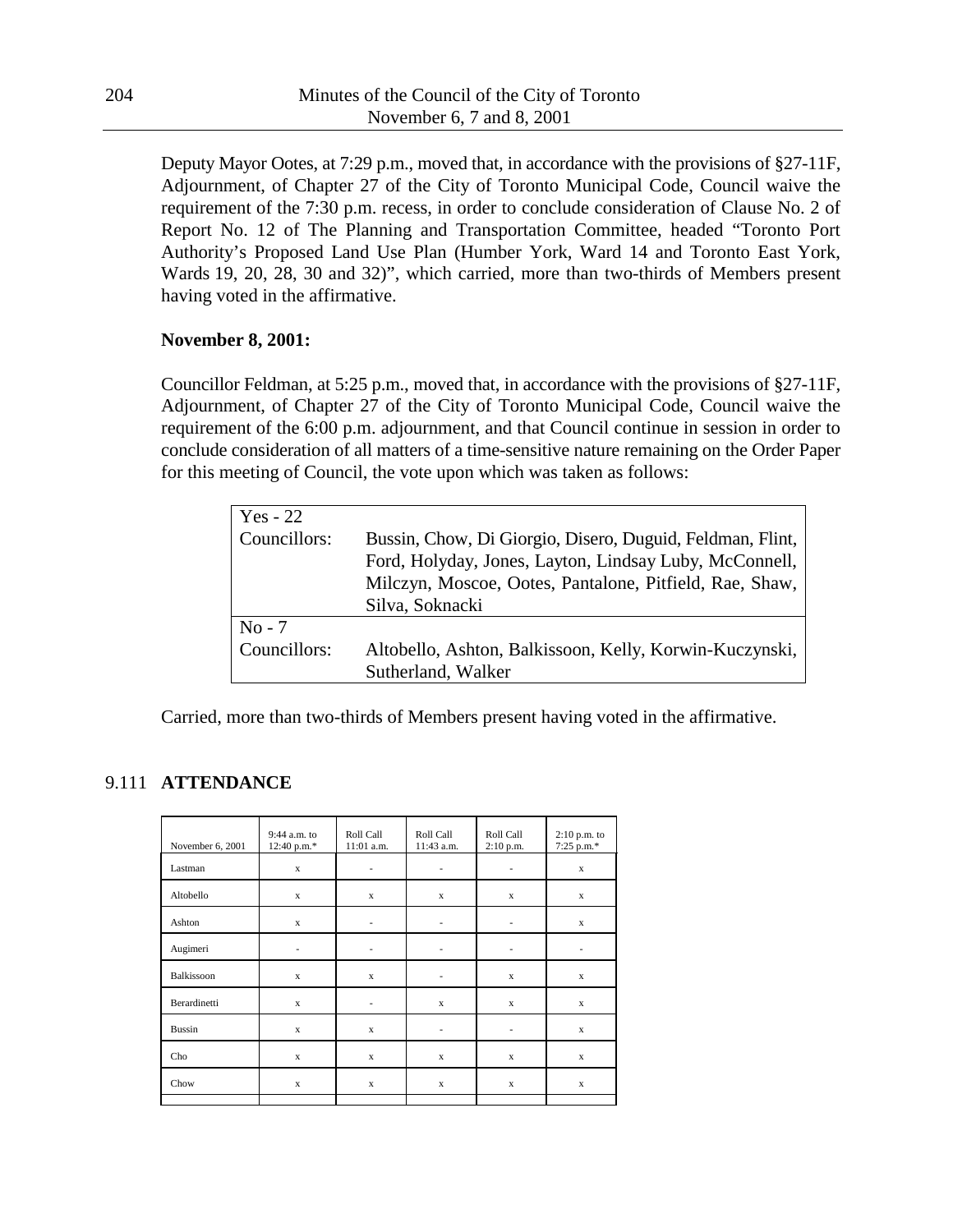Deputy Mayor Ootes, at 7:29 p.m., moved that, in accordance with the provisions of §27-11F, Adjournment, of Chapter 27 of the City of Toronto Municipal Code, Council waive the requirement of the 7:30 p.m. recess, in order to conclude consideration of Clause No. 2 of Report No. 12 of The Planning and Transportation Committee, headed "Toronto Port Authority's Proposed Land Use Plan (Humber York, Ward 14 and Toronto East York, Wards 19, 20, 28, 30 and 32)", which carried, more than two-thirds of Members present having voted in the affirmative.

## **November 8, 2001:**

Councillor Feldman, at 5:25 p.m., moved that, in accordance with the provisions of §27-11F, Adjournment, of Chapter 27 of the City of Toronto Municipal Code, Council waive the requirement of the 6:00 p.m. adjournment, and that Council continue in session in order to conclude consideration of all matters of a time-sensitive nature remaining on the Order Paper for this meeting of Council, the vote upon which was taken as follows:

| Yes - 22     |                                                                                                                                                                                                   |
|--------------|---------------------------------------------------------------------------------------------------------------------------------------------------------------------------------------------------|
| Councillors: | Bussin, Chow, Di Giorgio, Disero, Duguid, Feldman, Flint,<br>Ford, Holyday, Jones, Layton, Lindsay Luby, McConnell,<br>Milczyn, Moscoe, Ootes, Pantalone, Pitfield, Rae, Shaw,<br>Silva, Soknacki |
| $No - 7$     |                                                                                                                                                                                                   |
| Councillors: | Altobello, Ashton, Balkissoon, Kelly, Korwin-Kuczynski,                                                                                                                                           |
|              | Sutherland, Walker                                                                                                                                                                                |

Carried, more than two-thirds of Members present having voted in the affirmative.

# 9.111 **ATTENDANCE**

| November 6, 2001 | $9:44$ a.m. to<br>12:40 p.m.* | Roll Call<br>11:01 a.m.  | Roll Call<br>11:43 a.m.  | Roll Call<br>$2:10$ p.m. | 2:10 p.m. to<br>7:25 p.m.* |
|------------------|-------------------------------|--------------------------|--------------------------|--------------------------|----------------------------|
| Lastman          | $\mathbf x$                   | ٠                        | ٠                        | ٠                        | $\mathbf x$                |
| Altobello        | $\mathbf x$                   | $\mathbf x$              | $\mathbf x$              | $\mathbf x$              | $\mathbf x$                |
| Ashton           | $\mathbf x$                   | $\frac{1}{2}$            | $\overline{\phantom{a}}$ | $\overline{\phantom{a}}$ | $\mathbf x$                |
| Augimeri         | ٠                             | $\overline{\phantom{m}}$ |                          |                          | $\overline{\phantom{m}}$   |
| Balkissoon       | $\mathbf x$                   | $\mathbf x$              | ٠                        | $\mathbf x$              | $\mathbf x$                |
| Berardinetti     | $\mathbf x$                   | $\overline{\phantom{m}}$ | $\mathbf x$              | $\mathbf x$              | $\mathbf x$                |
| <b>Bussin</b>    | $\mathbf x$                   | $\mathbf x$              | $\overline{\phantom{a}}$ | ٠                        | $\mathbf x$                |
| Cho              | $\mathbf x$                   | $\mathbf x$              | $\mathbf x$              | $\mathbf x$              | $\mathbf x$                |
| Chow             | $\mathbf x$                   | $\mathbf x$              | $\mathbf x$              | $\mathbf x$              | $\mathbf x$                |
|                  |                               |                          |                          |                          |                            |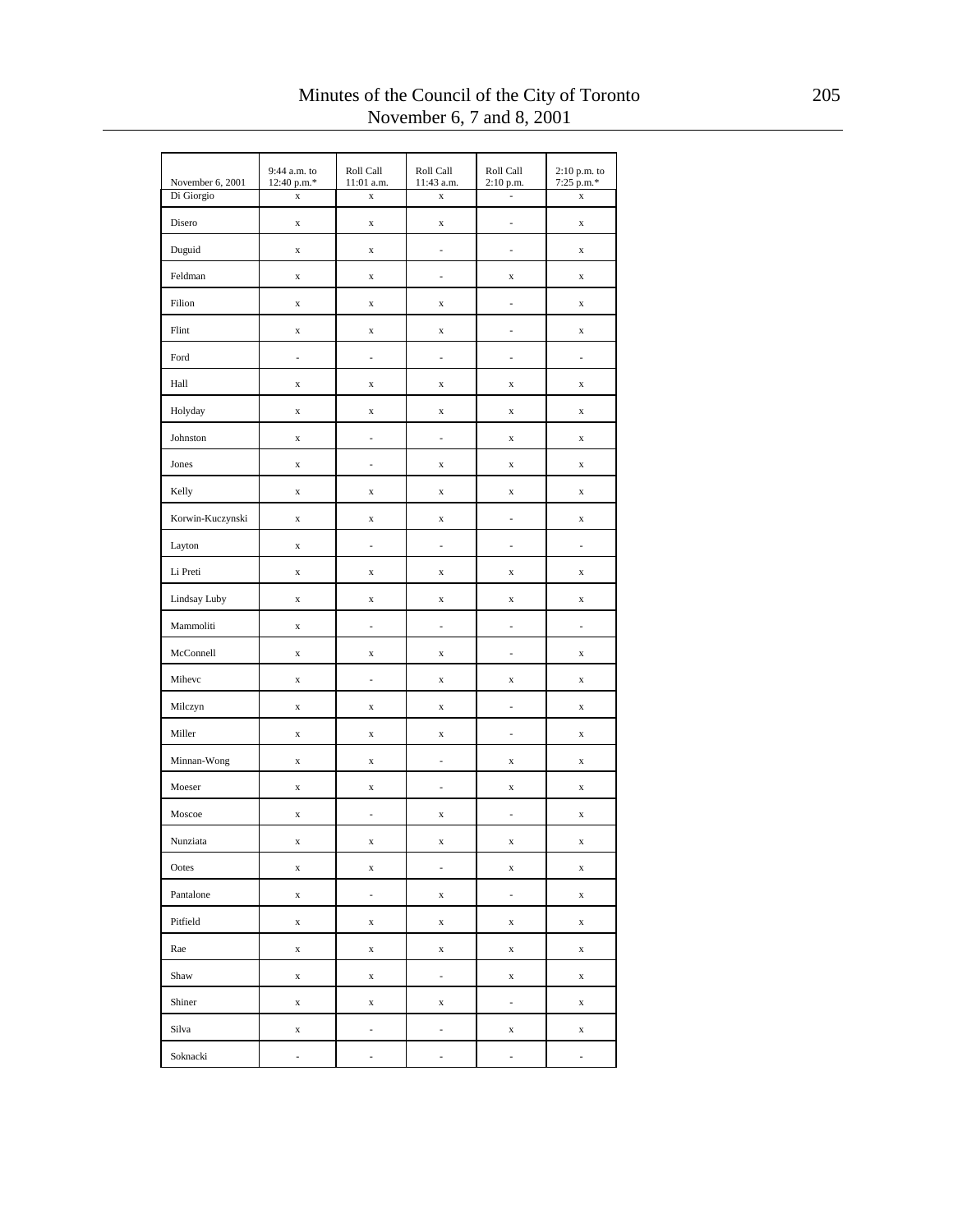| November 6, 2001 | 9:44 a.m. to<br>12:40 p.m.* | Roll Call<br>11:01 a.m.  | Roll Call<br>11:43 a.m. | Roll Call<br>2:10 p.m.   | 2:10 p.m. to<br>$7:25$ p.m.* |
|------------------|-----------------------------|--------------------------|-------------------------|--------------------------|------------------------------|
| Di Giorgio       | $\mathbf x$                 | $\mathbf x$              | $\mathbf x$             | ä,                       | $\mathbf x$                  |
| Disero           | $\mathbf x$                 | $\mathbf x$              | $\mathbf x$             | -                        | $\mathbf x$                  |
| Duguid           | $\mathbf x$                 | $\mathbf x$              | $\frac{1}{2}$           | L,                       | $\mathbf x$                  |
| Feldman          | $\mathbf x$                 | $\mathbf x$              | ÷,                      | $\mathbf x$              | $\mathbf x$                  |
| Filion           | $\mathbf x$                 | $\mathbf x$              | $\mathbf X$             | i.                       | $\mathbf x$                  |
| Flint            | $\mathbf X$                 | $\mathbf x$              | $\mathbf x$             | ÷,                       | $\mathbf x$                  |
| Ford             | i,                          | $\frac{1}{2}$            | i,                      | i.                       | i.                           |
| Hall             | $\mathbf x$                 | $\mathbf x$              | $\mathbf x$             | $\mathbf x$              | X                            |
| Holyday          | $\mathbf x$                 | $\mathbf x$              | $\mathbf x$             | $\mathbf x$              | $\mathbf x$                  |
| Johnston         | X                           | $\frac{1}{2}$            | ÷,                      | $\mathbf x$              | $\mathbf x$                  |
| Jones            | X                           | ÷,                       | $\mathbf X$             | $\mathbf x$              | X                            |
| Kelly            | $\mathbf x$                 | $\mathbf x$              | $\mathbf x$             | $\mathbf x$              | $\mathbf x$                  |
| Korwin-Kuczynski | $\mathbf x$                 | $\mathbf x$              | $\mathbf x$             | ÷,                       | $\mathbf x$                  |
| Layton           | $\mathbf x$                 | $\overline{a}$           | i,                      | i.                       | L,                           |
| Li Preti         | X                           | X                        | X                       | X                        | X                            |
| Lindsay Luby     | $\mathbf x$                 | $\mathbf x$              | $\mathbf X$             | $\mathbf x$              | $\mathbf x$                  |
| Mammoliti        | $\mathbf x$                 | $\overline{\phantom{a}}$ | $\frac{1}{2}$           | ÷,                       | $\overline{\phantom{a}}$     |
| McConnell        | $\mathbf x$                 | $\mathbf x$              | $\mathbf x$             | i.                       | $\mathbf x$                  |
| Mihevc           | X                           | $\frac{1}{2}$            | $\mathbf X$             | $\mathbf x$              | $\mathbf x$                  |
| Milczyn          | $\mathbf x$                 | $\mathbf x$              | $\mathbf x$             | i.                       | $\mathbf x$                  |
| Miller           | $\mathbf x$                 | $\mathbf x$              | $\mathbf X$             | ÷,                       | $\mathbf x$                  |
| Minnan-Wong      | $\bf{X}$                    | $\mathbf x$              | i,                      | $\mathbf x$              | $\mathbf x$                  |
| Moeser           | $\mathbf x$                 | $\mathbf x$              | ÷,                      | $\mathbf x$              | $\mathbf x$                  |
| Moscoe           | $\mathbf x$                 | $\frac{1}{2}$            | $\mathbf X$             | L,                       | $\mathbf x$                  |
| Nunziata         | $\mathbf x$                 | $\mathbf x$              | $\mathbf X$             | $\mathbf x$              | $\mathbf x$                  |
| Ootes            | $\mathbf x$                 | $\mathbf x$              | ۰                       | $\mathbf x$              | X                            |
| Pantalone        | $\mathbf x$                 | $\overline{\phantom{a}}$ | $\mathbf x$             | $\overline{\phantom{a}}$ | x                            |
| Pitfield         | $\mathbf x$                 | $\mathbf x$              | $\mathbf x$             | $\mathbf x$              | X                            |
| Rae              | $\mathbf x$                 | $\mathbf x$              | $\mathbf x$             | $\mathbf x$              | $\mathbf x$                  |
| Shaw             | $\mathbf x$                 | $\mathbf x$              | ÷,                      | $\mathbf x$              | $\mathbf x$                  |
| Shiner           | $\mathbf x$                 | $\mathbf x$              | $\mathbf x$             | $\frac{1}{2}$            | $\mathbf x$                  |
| Silva            | X                           | -                        | -                       | $\mathbf x$              | X                            |
| Soknacki         | ÷,                          | ÷,                       | L,                      | L,                       | $\frac{1}{2}$                |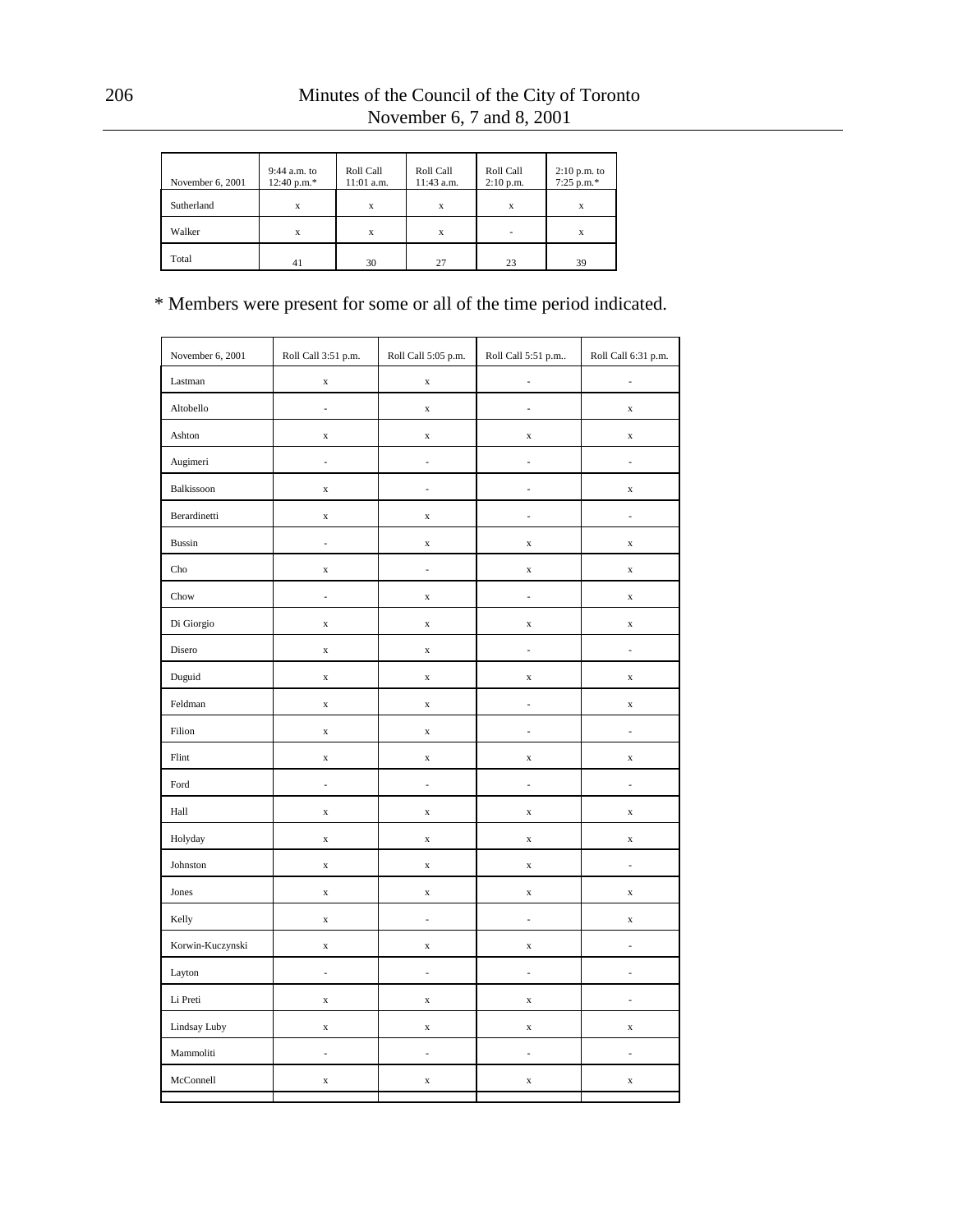| November 6, 2001 | $9:44$ a.m. to<br>$12:40 p.m.*$ | Roll Call<br>$11:01$ a.m. | Roll Call<br>11:43 a.m. | Roll Call<br>$2:10$ p.m. | $2:10$ p.m. to<br>$7:25$ p.m.* |
|------------------|---------------------------------|---------------------------|-------------------------|--------------------------|--------------------------------|
| Sutherland       | X                               | X                         | X                       | X                        | X                              |
| Walker           | X                               | X                         | x                       |                          | х                              |
| Total            | 41                              | 30                        | 27                      | 23                       | 39                             |

| November 6, 2001 | Roll Call 3:51 p.m.      | Roll Call 5:05 p.m.<br>Roll Call 5:51 p.m |                          | Roll Call 6:31 p.m.      |
|------------------|--------------------------|-------------------------------------------|--------------------------|--------------------------|
| Lastman          | $\mathbf x$              | $\mathbf x$                               | i,                       | L,                       |
| Altobello        | ÷                        | $\mathbf x$                               | ÷,                       | $\mathbf x$              |
| Ashton           | $\mathbf x$              | $\mathbf x$                               | $\mathbf x$              | $\mathbf x$              |
| Augimeri         | $\overline{\phantom{a}}$ | ÷,                                        | $\overline{a}$           | $\overline{a}$           |
| Balkissoon       | $\mathbf x$              | ÷,                                        | i,                       | $\mathbf x$              |
| Berardinetti     | $\mathbf x$              | $\mathbf x$                               | $\overline{\phantom{a}}$ | ÷,                       |
| <b>Bussin</b>    | l,                       | $\mathbf x$                               | $\mathbf x$              | $\mathbf x$              |
| Cho              | $\mathbf x$              | $\overline{\phantom{a}}$                  | $\mathbf x$              | $\mathbf x$              |
| Chow             | ÷,                       | $\mathbf x$                               | ÷,                       | $\mathbf x$              |
| Di Giorgio       | $\mathbf x$              | $\mathbf x$                               | $\mathbf x$              | $\mathbf X$              |
| Disero           | $\mathbf x$              | $\mathbf x$                               | i,                       | L,                       |
| Duguid           | $\mathbf x$              | $\mathbf x$                               | $\mathbf x$              | $\mathbf X$              |
| Feldman          | $\mathbf x$              | $\mathbf x$                               | ÷,                       | $\mathbf x$              |
| Filion           | $\mathbf x$              | $\mathbf x$                               | $\frac{1}{2}$            | ÷,                       |
| Flint            | $\mathbf x$              | $\mathbf x$                               | $\mathbf x$              | $\mathbf X$              |
| Ford             | $\frac{1}{2}$            | $\overline{\phantom{a}}$                  | ÷,                       | $\overline{\phantom{a}}$ |
| Hall             | $\mathbf x$              | $\mathbf x$                               | $\mathbf x$              | $\mathbf x$              |
| Holyday          | $\mathbf x$              | $\mathbf x$                               | $\mathbf x$              | $\mathbf x$              |
| Johnston         | $\mathbf x$              | $\mathbf x$                               | $\mathbf x$              | $\overline{a}$           |
| Jones            | $\mathbf x$              | $\mathbf x$                               | $\mathbf x$              | $\mathbf X$              |
| Kelly            | $\mathbf x$              | $\overline{a}$                            | $\frac{1}{2}$            | $\mathbf x$              |
| Korwin-Kuczynski | $\mathbf x$              | $\mathbf x$                               | $\mathbf x$              | i,                       |
| Layton           | ÷                        | ÷,                                        | $\overline{\phantom{a}}$ | ÷,                       |
| Li Preti         | $\mathbf x$              | $\mathbf x$                               | $\mathbf x$              | $\overline{a}$           |
| Lindsay Luby     | $\mathbf x$              | $\mathbf x$                               | $\mathbf x$              | $\mathbf x$              |
| Mammoliti        | $\frac{1}{2}$            | $\overline{\phantom{a}}$                  | ÷,                       | $\overline{\phantom{a}}$ |
| McConnell        | $\mathbf x$              | $\mathbf x$                               | $\mathbf x$              | $\mathbf x$              |
|                  |                          |                                           |                          |                          |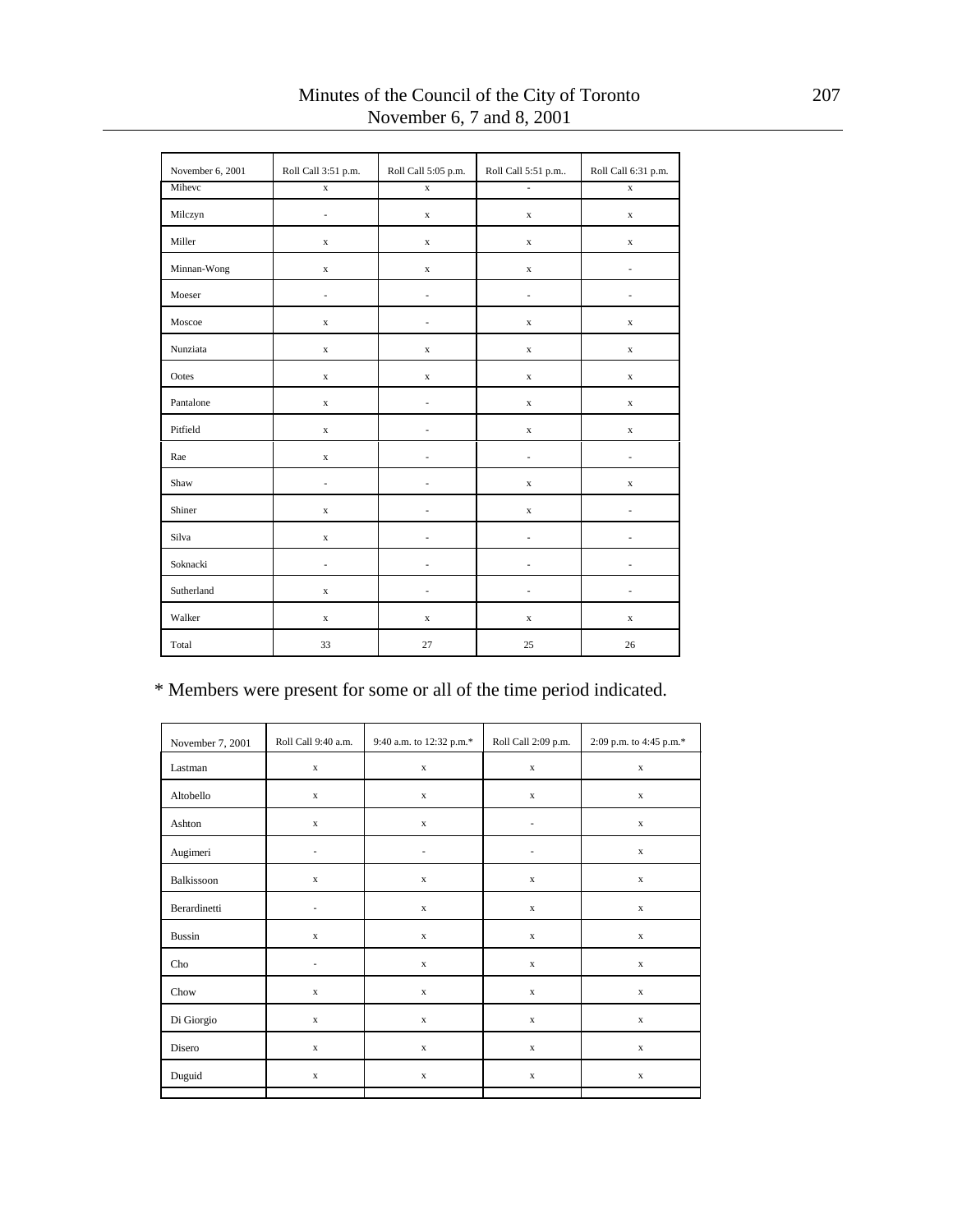| November 6, 2001 | Roll Call 3:51 p.m.      | Roll Call 5:05 p.m. | Roll Call 5:51 p.m | Roll Call 6:31 p.m. |
|------------------|--------------------------|---------------------|--------------------|---------------------|
| Mihevc           | $\mathbf x$              | $\mathbf x$         | ÷,                 | $\mathbf x$         |
| Milczyn          |                          | $\mathbf x$         | $\mathbf x$        | $\mathbf x$         |
| Miller           | $\mathbf x$              | $\mathbf x$         | $\mathbf x$        | $\mathbf x$         |
| Minnan-Wong      | $\mathbf x$              | $\mathbf x$         | $\mathbf x$        | ä,                  |
| Moeser           | ٠                        | ä,                  | ä,                 | ä,                  |
| Moscoe           | $\mathbf x$              | ٠                   | $\mathbf x$        | $\mathbf x$         |
| Nunziata         | $\mathbf x$              | $\mathbf x$         | $\mathbf x$        | $\mathbf x$         |
| Ootes            | $\mathbf x$              | $\mathbf x$         | $\mathbf x$        | $\mathbf x$         |
| Pantalone        | $\mathbf x$              | $\overline{a}$      | $\mathbf x$        | $\mathbf x$         |
| Pitfield         | $\mathbf x$              |                     | $\mathbf x$        | $\mathbf x$         |
| Rae              | $\mathbf x$              |                     | ä,                 | ä,                  |
| Shaw             | L.                       |                     | $\mathbf x$        | $\mathbf x$         |
| Shiner           | $\mathbf x$              |                     | $\mathbf x$        |                     |
| Silva            | $\mathbf x$              |                     | ä,                 |                     |
| Soknacki         | $\overline{\phantom{0}}$ | ä,                  | ä,                 |                     |
| Sutherland       | $\mathbf x$              | ÷                   | ÷                  | ٠                   |
| Walker           | $\mathbf x$              | $\mathbf x$         | $\mathbf x$        | $\mathbf x$         |
| Total            | 33                       | 27                  | 25                 | 26                  |

## Minutes of the Council of the City of Toronto 207 November 6, 7 and 8, 2001

| November 7, 2001 | Roll Call 9:40 a.m.      | Roll Call 2:09 p.m.<br>9:40 a.m. to 12:32 p.m.* |                          | 2:09 p.m. to 4:45 p.m.* |
|------------------|--------------------------|-------------------------------------------------|--------------------------|-------------------------|
| Lastman          | $\mathbf x$              | $\mathbf x$                                     | $\mathbf X$              | $\mathbf X$             |
| Altobello        | $\mathbf x$              | $\mathbf x$                                     | $\mathbf x$              | $\mathbf x$             |
| Ashton           | $\mathbf x$              | $\mathbf x$                                     | $\overline{\phantom{a}}$ | $\mathbf x$             |
| Augimeri         | $\frac{1}{2}$            | $\overline{\phantom{a}}$                        | ٠                        | $\mathbf x$             |
| Balkissoon       | $\mathbf x$              | $\mathbf x$                                     | $\mathbf x$              | $\mathbf x$             |
| Berardinetti     | $\overline{a}$           | $\mathbf x$                                     | $\mathbf x$              | $\mathbf x$             |
| <b>Bussin</b>    | $\mathbf x$              | $\mathbf x$                                     | $\mathbf x$              | $\mathbf x$             |
| Cho              | $\overline{\phantom{a}}$ | $\mathbf x$                                     | $\mathbf x$              | $\mathbf x$             |
| Chow             | $\mathbf x$              | $\mathbf x$                                     | $\mathbf x$              | $\mathbf x$             |
| Di Giorgio       | $\mathbf x$              | $\mathbf x$                                     | $\mathbf x$              | $\mathbf x$             |
| Disero           | $\mathbf x$              | $\mathbf x$                                     | $\mathbf x$              | $\mathbf x$             |
| Duguid           | $\mathbf x$              | $\mathbf x$                                     | $\mathbf x$              | $\mathbf x$             |
|                  |                          |                                                 |                          |                         |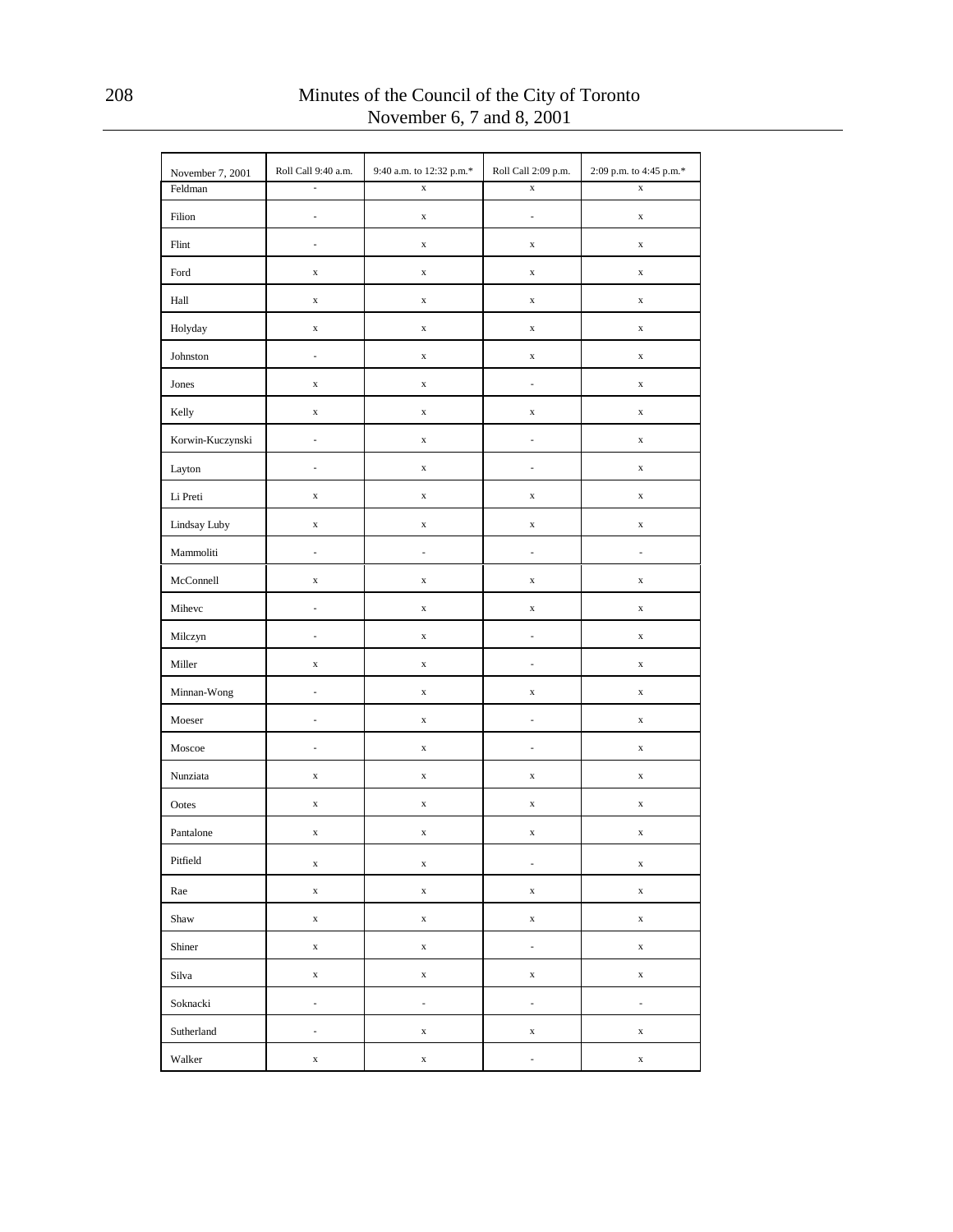| November 7, 2001 | Roll Call 9:40 a.m.      | 9:40 a.m. to 12:32 p.m.* | Roll Call 2:09 p.m.      | 2:09 p.m. to 4:45 p.m.* |
|------------------|--------------------------|--------------------------|--------------------------|-------------------------|
| Feldman          | l,                       | $\mathbf x$              | $\mathbf x$              | $\mathbf x$             |
| Filion           | ÷,                       | $\mathbf x$              | $\overline{\phantom{a}}$ | $\mathbf x$             |
| Flint            | $\overline{\phantom{a}}$ | $\mathbf x$              | $\mathbf X$              | $\mathbf X$             |
| Ford             | $\mathbf x$              | $\mathbf x$              | $\mathbf X$              | $\mathbf x$             |
| Hall             | $\mathbf x$              | $\mathbf x$              | $\mathbf X$              | $\mathbf X$             |
| Holyday          | $\mathbf x$              | $\mathbf x$              | $\mathbf X$              | $\mathbf x$             |
| Johnston         | ÷                        | $\mathbf x$              | $\mathbf X$              | $\mathbf X$             |
| Jones            | $\mathbf x$              | $\mathbf x$              | $\overline{\phantom{a}}$ | $\mathbf x$             |
| Kelly            | $\mathbf x$              | $\mathbf x$              | $\mathbf X$              | $\mathbf X$             |
| Korwin-Kuczynski | $\overline{\phantom{a}}$ | $\mathbf x$              | $\overline{\phantom{a}}$ | $\mathbf x$             |
| Layton           | $\overline{\phantom{a}}$ | $\mathbf x$              | $\overline{\phantom{a}}$ | $\mathbf X$             |
| Li Preti         | $\mathbf x$              | $\mathbf x$              | $\mathbf X$              | $\mathbf x$             |
| Lindsay Luby     | $\mathbf x$              | $\mathbf x$              | $\mathbf X$              | $\mathbf X$             |
| Mammoliti        | $\overline{\phantom{a}}$ | $\frac{1}{2}$            | $\overline{\phantom{a}}$ | ÷                       |
| McConnell        | $\mathbf x$              | $\mathbf x$              | $\mathbf X$              | $\mathbf X$             |
| Mihevc           | $\overline{\phantom{a}}$ | $\mathbf x$              | $\mathbf X$              | $\mathbf x$             |
| Milczyn          | ÷,                       | $\mathbf x$              | $\frac{1}{2}$            | $\mathbf X$             |
| Miller           | $\mathbf x$              | $\mathbf x$              | $\overline{\phantom{a}}$ | $\mathbf x$             |
| Minnan-Wong      | $\overline{\phantom{a}}$ | $\mathbf x$              | $\mathbf X$              | $\mathbf X$             |
| Moeser           | $\overline{\phantom{a}}$ | $\mathbf x$              | $\overline{\phantom{a}}$ | $\mathbf x$             |
| Moscoe           | $\overline{\phantom{a}}$ | $\mathbf x$              | $\overline{\phantom{a}}$ | $\mathbf X$             |
| Nunziata         | $\mathbf x$              | $\mathbf x$              | $\mathbf X$              | $\mathbf x$             |
| Ootes            | $\mathbf x$              | $\mathbf x$              | $\mathbf X$              | $\mathbf X$             |
| Pantalone        | $\mathbf x$              | $\mathbf x$              | $\mathbf X$              | $\mathbf X$             |
| Pitfield         | $\mathbf x$              | $\mathbf x$              | $\overline{\phantom{a}}$ | $\mathbf x$             |
| Rae              | $\mathbf x$              | $\mathbf x$              | $\mathbf x$              | $\mathbf X$             |
| Shaw             | $\mathbf x$              | $\mathbf x$              | $\mathbf x$              | $\mathbf X$             |
| Shiner           | $\mathbf x$              | $\mathbf x$              | $\overline{\phantom{a}}$ | $\mathbf X$             |
| Silva            | $\mathbf x$              | $\mathbf x$              | $\mathbf x$              | $\mathbf X$             |
| Soknacki         | $\overline{\phantom{a}}$ | ÷                        | $\overline{\phantom{a}}$ | ÷                       |
| Sutherland       | $\overline{\phantom{a}}$ | $\mathbf x$              | $\mathbf x$              | $\mathbf x$             |
| Walker           | $\mathbf x$              | $\mathbf x$              | $\overline{\phantom{a}}$ | $\mathbf x$             |

208 Minutes of the Council of the City of Toronto November 6, 7 and 8, 2001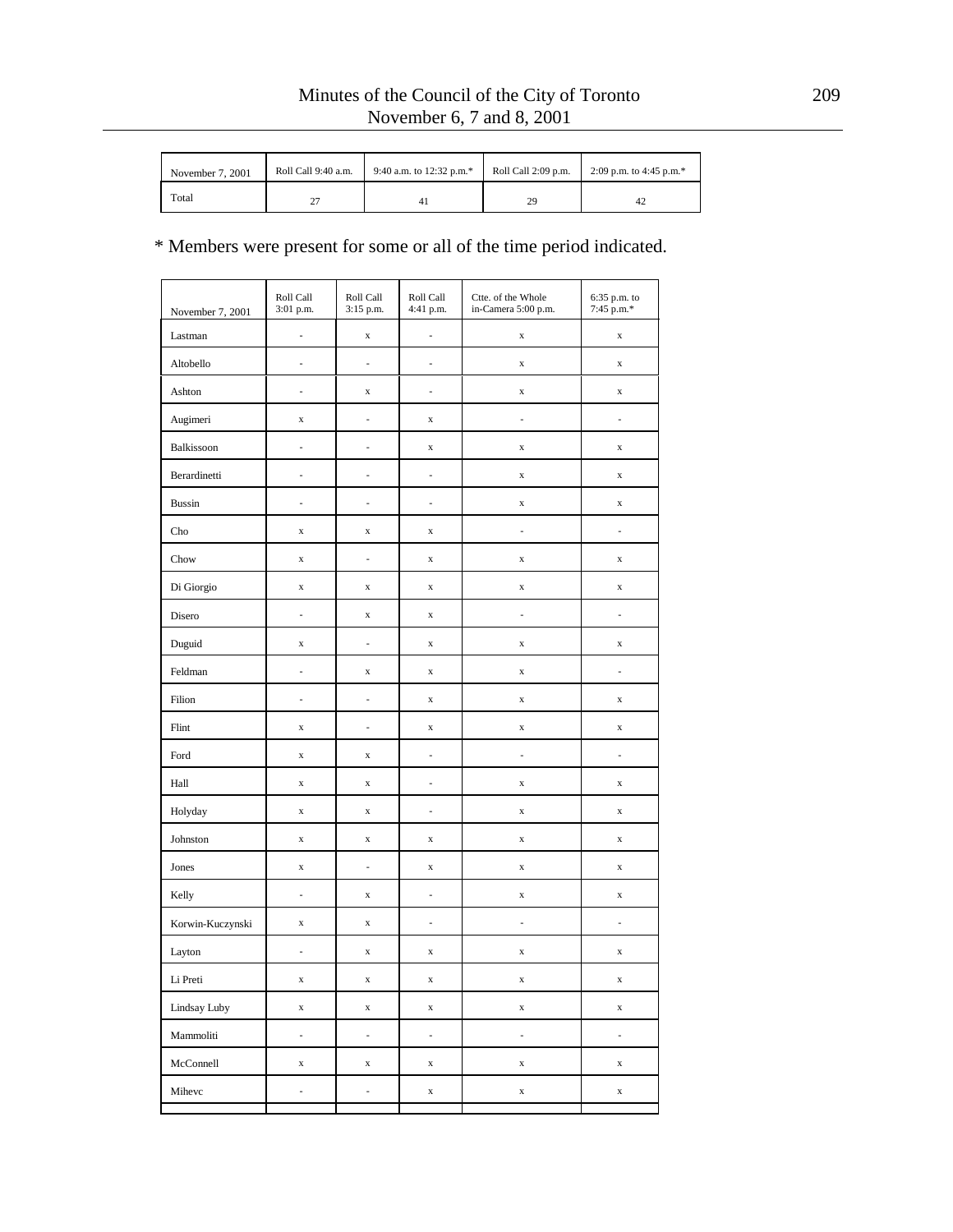| November 7, 2001 | Roll Call 9:40 a.m. | 9:40 a.m. to 12:32 p.m.* | Roll Call 2:09 p.m. | 2:09 p.m. to 4:45 p.m.* |
|------------------|---------------------|--------------------------|---------------------|-------------------------|
| Total            | ، سه                |                          | 29                  | 42                      |

| November 7, 2001 | Roll Call<br>3:01 p.m.   | Roll Call<br>3:15 p.m.   | Roll Call<br>4:41 p.m. | Ctte. of the Whole<br>in-Camera 5:00 p.m. | 6:35 p.m. to<br>7:45 p.m.* |
|------------------|--------------------------|--------------------------|------------------------|-------------------------------------------|----------------------------|
| Lastman          | $\overline{\phantom{a}}$ | $\mathbf x$              | ÷,                     | $\mathbf x$                               | $\mathbf x$                |
| Altobello        | $\overline{\phantom{a}}$ | $\frac{1}{2}$            | $\frac{1}{2}$          | $\mathbf x$                               | $\mathbf x$                |
| Ashton           | $\overline{\phantom{a}}$ | $\mathbf x$              | $\frac{1}{2}$          | $\mathbf x$                               | $\mathbf x$                |
| Augimeri         | $\mathbf x$              | L,                       | $\mathbf x$            | $\overline{\phantom{a}}$                  | $\overline{\phantom{a}}$   |
| Balkissoon       | L,                       | L,                       | $\mathbf x$            | $\mathbf x$                               | $\mathbf x$                |
| Berardinetti     | $\overline{\phantom{a}}$ | L,                       | $\frac{1}{2}$          | $\mathbf x$                               | $\mathbf x$                |
| <b>Bussin</b>    | $\overline{\phantom{a}}$ | L,                       | $\frac{1}{2}$          | $\mathbf x$                               | $\mathbf x$                |
| Cho              | $\mathbf x$              | $\mathbf x$              | $\mathbf x$            | $\overline{\phantom{a}}$                  | $\overline{\phantom{a}}$   |
| Chow             | $\mathbf x$              | $\overline{a}$           | $\mathbf x$            | $\mathbf x$                               | $\mathbf x$                |
| Di Giorgio       | $\mathbf x$              | $\mathbf x$              | $\mathbf x$            | $\mathbf x$                               | $\mathbf x$                |
| Disero           | $\overline{\phantom{a}}$ | $\mathbf x$              | $\mathbf x$            | $\overline{\phantom{a}}$                  | ÷,                         |
| Duguid           | $\mathbf x$              | $\frac{1}{2}$            | $\mathbf x$            | $\mathbf x$                               | $\mathbf x$                |
| Feldman          | $\overline{a}$           | $\mathbf x$              | $\mathbf x$            | $\mathbf x$                               | ÷,                         |
| Filion           | ÷,                       | L,                       | $\mathbf x$            | $\mathbf x$                               | $\mathbf x$                |
| Flint            | $\mathbf x$              | $\overline{a}$           | $\mathbf x$            | $\mathbf x$                               | $\mathbf x$                |
| Ford             | $\mathbf x$              | $\mathbf x$              | $\frac{1}{2}$          | $\overline{\phantom{a}}$                  | $\overline{\phantom{a}}$   |
| Hall             | $\mathbf x$              | $\mathbf x$              | i,                     | $\mathbf x$                               | $\mathbf x$                |
| Holyday          | $\mathbf x$              | $\mathbf x$              | $\frac{1}{2}$          | $\mathbf x$                               | $\mathbf x$                |
| Johnston         | $\mathbf x$              | $\mathbf x$              | $\mathbf x$            | $\mathbf x$                               | $\mathbf x$                |
| Jones            | $\mathbf x$              | $\frac{1}{2}$            | $\mathbf x$            | $\mathbf x$                               | $\mathbf x$                |
| Kelly            | $\overline{\phantom{a}}$ | $\mathbf x$              | $\frac{1}{2}$          | $\mathbf x$                               | $\mathbf x$                |
| Korwin-Kuczynski | $\mathbf x$              | $\mathbf x$              | $\frac{1}{2}$          | ÷,                                        | $\overline{\phantom{a}}$   |
| Layton           | $\overline{\phantom{a}}$ | $\mathbf x$              | $\mathbf x$            | $\mathbf x$                               | $\mathbf x$                |
| Li Preti         | $\mathbf x$              | $\mathbf x$              | $\mathbf X$            | $\mathbf x$                               | $\mathbf X$                |
| Lindsay Luby     | $\mathbf x$              | $\mathbf x$              | $\mathbf x$            | $\mathbf x$                               | $\mathbf x$                |
| Mammoliti        | $\overline{\phantom{a}}$ | ÷.                       | $\mathbb{R}^2$         | $\mathbb{Z}^2$                            | ÷.                         |
| McConnell        | $\mathbf x$              | $\mathbf x$              | $\mathbf x$            | $\mathbf x$                               | $\mathbf x$                |
| Mihevc           | ÷                        | $\overline{\phantom{a}}$ | $\mathbf x$            | $\mathbf x$                               | $\mathbf x$                |
|                  |                          |                          |                        |                                           |                            |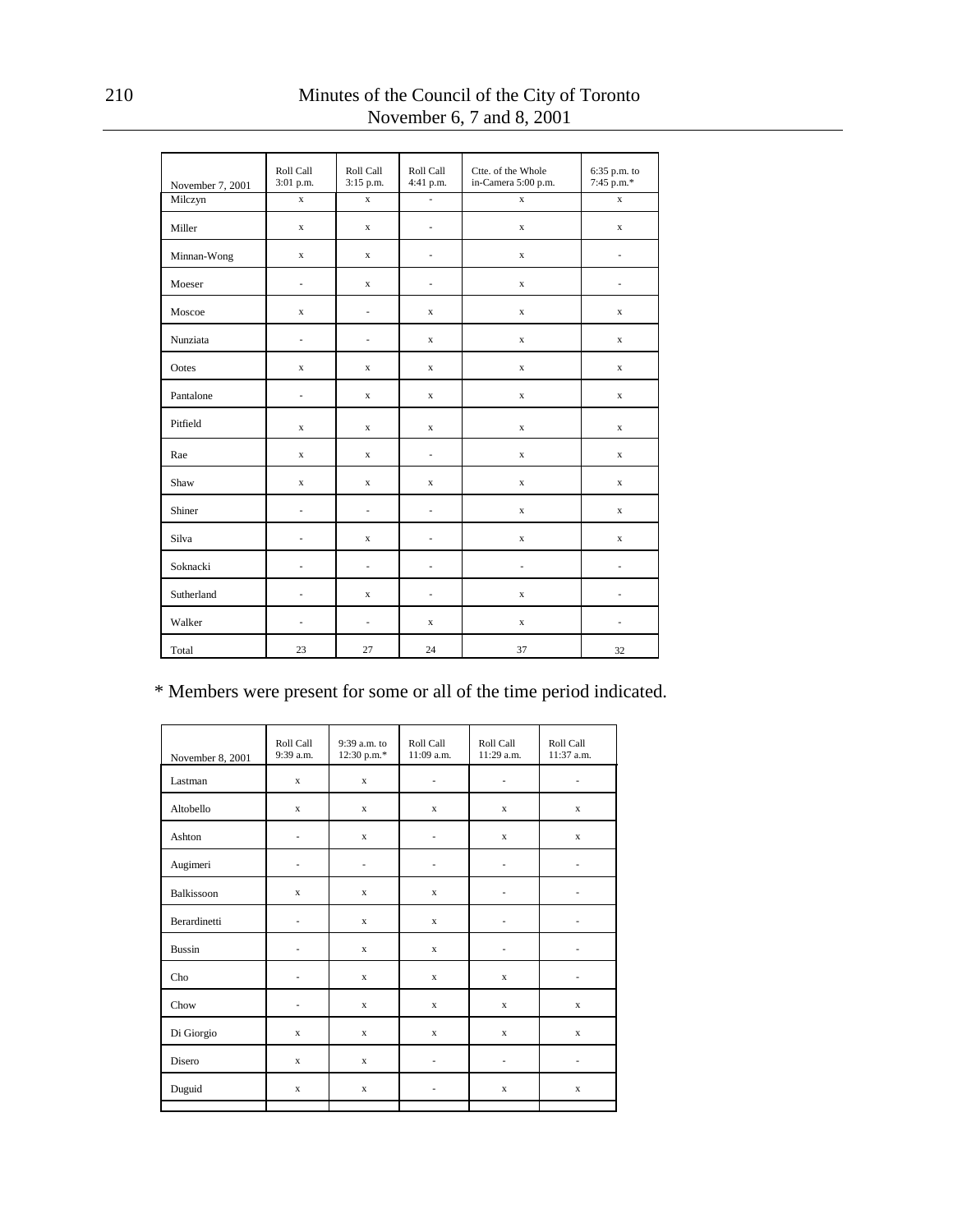| November 7, 2001 | Roll Call<br>3:01 p.m.   | Roll Call<br>3:15 p.m.   | Roll Call<br>4:41 p.m. | Ctte. of the Whole<br>in-Camera 5:00 p.m. | 6:35 p.m. to<br>7:45 p.m.* |
|------------------|--------------------------|--------------------------|------------------------|-------------------------------------------|----------------------------|
| Milczyn          | $\mathbf x$              | $\mathbf{x}$             | L,                     | $\mathbf{x}$                              | $\mathbf x$                |
| Miller           | $\mathbf x$              | $\mathbf{x}$             | L,                     | $\mathbf x$                               | x                          |
| Minnan-Wong      | $\mathbf x$              | x                        |                        | x                                         | $\overline{\phantom{m}}$   |
| Moeser           | ä,                       | x                        | L,                     | $\mathbf x$                               | ä,                         |
| Moscoe           | $\mathbf x$              | $\frac{1}{2}$            | $\mathbf x$            | $\mathbf x$                               | $\mathbf x$                |
| Nunziata         | $\frac{1}{2}$            | ä,                       | $\mathbf x$            | x                                         | x                          |
| Ootes            | $\mathbf x$              | x                        | $\mathbf x$            | $\mathbf x$                               | $\mathbf x$                |
| Pantalone        | L,                       | x                        | X                      | x                                         | x                          |
| Pitfield         | $\mathbf x$              | x                        | $\mathbf x$            | x                                         | x                          |
| Rae              | $\mathbf x$              | x                        | $\frac{1}{2}$          | $\mathbf x$                               | x                          |
| Shaw             | $\mathbf x$              | $\mathbf x$              | $\mathbf x$            | $\mathbf x$                               | $\mathbf x$                |
| Shiner           | L,                       | ÷,                       |                        | x                                         | x                          |
| Silva            | L,                       | $\mathbf x$              | L,                     | $\mathbf x$                               | x                          |
| Soknacki         | ä,                       | ä,                       | ÷,                     | ä,                                        | ä,                         |
| Sutherland       | ä,                       | x                        | $\frac{1}{2}$          | x                                         | $\overline{a}$             |
| Walker           | $\overline{\phantom{m}}$ | $\overline{\phantom{a}}$ | $\mathbf x$            | $\mathbf x$                               | ä,                         |
| Total            | 23                       | 27                       | 24                     | 37                                        | 32                         |

# 210 Minutes of the Council of the City of Toronto November 6, 7 and 8, 2001

| November 8, 2001 | Roll Call<br>9:39 a.m. | 9:39 a.m. to<br>12:30 p.m.* | Roll Call<br>11:09 a.m.      | Roll Call<br>11:29 a.m. | Roll Call<br>11:37 a.m. |
|------------------|------------------------|-----------------------------|------------------------------|-------------------------|-------------------------|
| Lastman          | $\mathbf x$            | $\mathbf x$                 | $\overline{a}$               | $\frac{1}{2}$           | $\overline{a}$          |
| Altobello        | $\mathbf x$            | $\mathbf x$                 | $\mathbf x$                  | $\mathbf x$             | $\mathbf x$             |
| Ashton           | $\frac{1}{2}$          | $\mathbf x$                 | $\qquad \qquad \blacksquare$ | $\mathbf x$             | $\mathbf x$             |
| Augimeri         | ä,                     | $\overline{a}$              | ٠                            | $\overline{a}$          | ٠                       |
| Balkissoon       | $\mathbf x$            | $\mathbf x$                 | $\mathbf x$                  | ٠                       |                         |
| Berardinetti     | $\frac{1}{2}$          | $\mathbf x$                 | $\mathbf x$                  | $\overline{a}$          | $\overline{a}$          |
| <b>Bussin</b>    | ä,                     | $\mathbf x$                 | $\mathbf x$                  | $\overline{a}$          | ä,                      |
| Cho              | ٠                      | $\mathbf{x}$                | $\mathbf x$                  | $\mathbf x$             |                         |
| Chow             | ä,                     | $\mathbf x$                 | $\mathbf x$                  | $\mathbf x$             | $\mathbf x$             |
| Di Giorgio       | $\mathbf x$            | $\mathbf x$                 | $\mathbf x$                  | $\mathbf x$             | $\mathbf x$             |
| Disero           | $\mathbf x$            | $\mathbf x$                 | $\overline{a}$               | $\overline{a}$          | $\overline{a}$          |
| Duguid           | $\mathbf x$            | $\mathbf x$                 | $\overline{a}$               | $\mathbf x$             | $\mathbf x$             |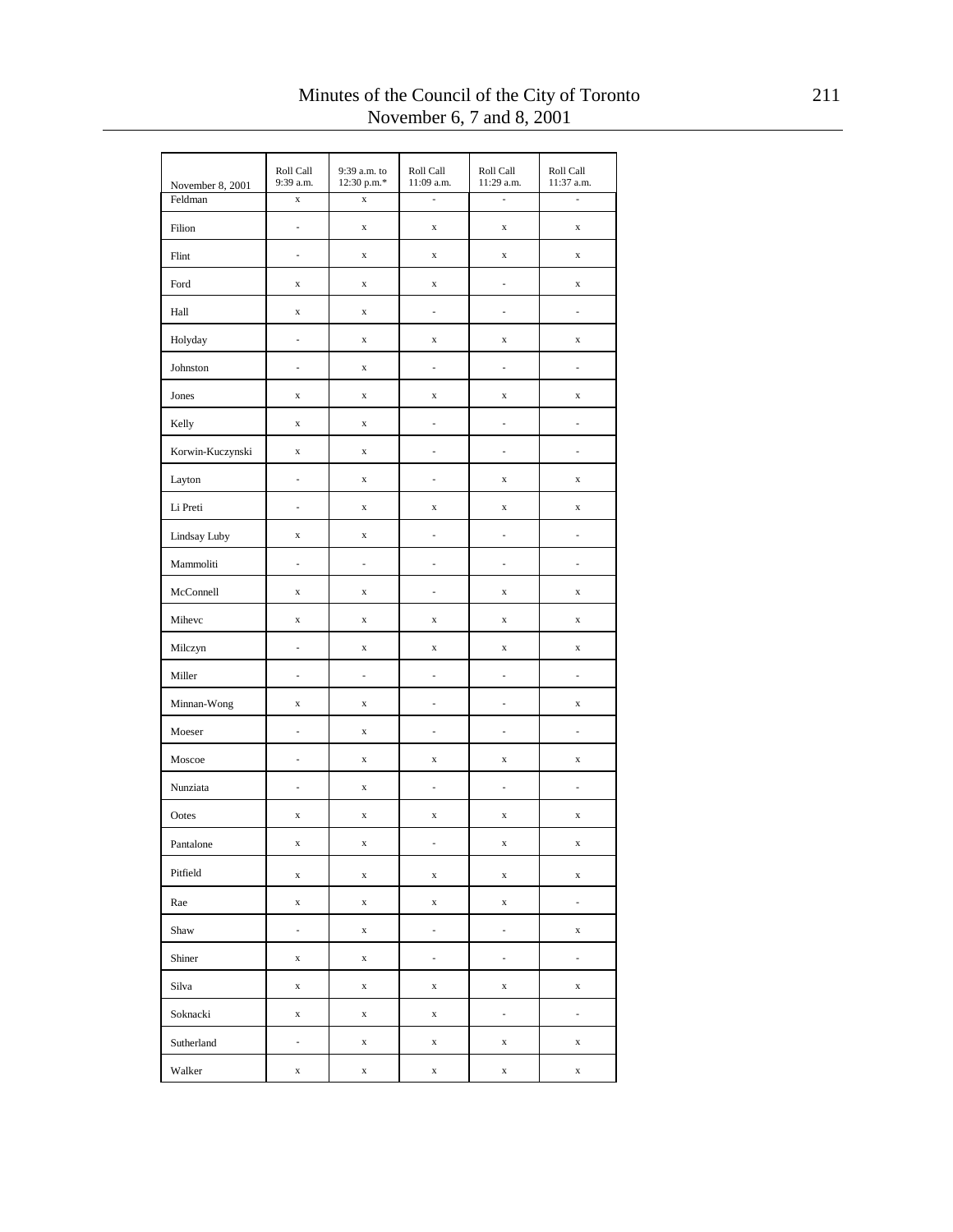| November 8, 2001 | Roll Call<br>9:39 a.m. | 9:39 a.m. to<br>12:30 p.m.* | Roll Call<br>11:09 a.m. | Roll Call<br>11:29 a.m.  | Roll Call<br>11:37 a.m. |
|------------------|------------------------|-----------------------------|-------------------------|--------------------------|-------------------------|
| Feldman          | $\mathbf x$            | $\bar{x}$                   | $\overline{a}$          | L                        | l,                      |
| Filion           | $\frac{1}{2}$          | $\mathbf x$                 | $\mathbf x$             | $\mathbf X$              | $\mathbf x$             |
| Flint            | $\frac{1}{2}$          | $\mathbf x$                 | $\mathbf x$             | $\mathbf X$              | $\mathbf x$             |
| Ford             | $\mathbf x$            | $\mathbf x$                 | $\mathbf x$             | $\frac{1}{2}$            | $\mathbf x$             |
| Hall             | $\mathbf x$            | $\mathbf x$                 | $\frac{1}{2}$           | $\frac{1}{2}$            | i,                      |
| Holyday          | $\overline{a}$         | $\mathbf x$                 | $\mathbf x$             | $\mathbf x$              | $\mathbf x$             |
| Johnston         | $\frac{1}{2}$          | $\mathbf x$                 | $\frac{1}{2}$           | $\frac{1}{2}$            | i,                      |
| Jones            | $\mathbf x$            | $\mathbf x$                 | $\mathbf x$             | $\mathbf x$              | $\mathbf x$             |
| Kelly            | $\mathbf x$            | $\mathbf x$                 | $\frac{1}{2}$           | $\frac{1}{2}$            | i,                      |
| Korwin-Kuczynski | $\mathbf x$            | $\mathbf x$                 | $\overline{a}$          | $\frac{1}{2}$            | i,                      |
| Layton           | $\frac{1}{2}$          | $\mathbf x$                 | $\frac{1}{2}$           | $\mathbf x$              | $\mathbf x$             |
| Li Preti         | $\overline{a}$         | $\mathbf x$                 | $\mathbf x$             | $\mathbf X$              | $\mathbf x$             |
| Lindsay Luby     | $\mathbf x$            | $\mathbf x$                 | $\frac{1}{2}$           | $\frac{1}{2}$            | i,                      |
| Mammoliti        | L,                     | $\overline{a}$              | $\overline{a}$          | $\frac{1}{2}$            | i,                      |
| McConnell        | $\mathbf x$            | $\mathbf x$                 | $\frac{1}{2}$           | $\mathbf x$              | $\mathbf x$             |
| Mihevc           | $\mathbf x$            | $\mathbf x$                 | $\mathbf x$             | $\mathbf X$              | $\mathbf x$             |
| Milczyn          | $\frac{1}{2}$          | $\mathbf x$                 | $\mathbf x$             | $\mathbf x$              | $\mathbf x$             |
| Miller           | $\overline{a}$         | $\overline{a}$              | $\overline{a}$          | $\frac{1}{2}$            | i,                      |
| Minnan-Wong      | $\mathbf x$            | $\mathbf x$                 | $\frac{1}{2}$           | ÷,                       | $\mathbf x$             |
| Moeser           | L,                     | $\mathbf x$                 | i,                      | $\frac{1}{2}$            | i,                      |
| Moscoe           | $\frac{1}{2}$          | $\mathbf x$                 | $\mathbf x$             | $\mathbf x$              | $\mathbf x$             |
| Nunziata         | $\overline{a}$         | $\mathbf x$                 | $\overline{a}$          | $\frac{1}{2}$            | i,                      |
| Ootes            | $\mathbf x$            | $\mathbf x$                 | $\mathbf X$             | $\mathbf x$              | $\mathbf x$             |
| Pantalone        | $\mathbf x$            | $\mathbf X$                 | $\overline{a}$          | $\mathbf X$              | $\mathbf x$             |
| Pitfield         | X                      | X                           | X                       | $\mathbf X$              | $\mathbf x$             |
| Rae              | $\mathbf x$            | $\mathbf X$                 | $\mathbf x$             | $\mathbf X$              | $\frac{1}{2}$           |
| Shaw             | ä,                     | $\mathbf x$                 | ä,                      | $\overline{\phantom{a}}$ | $\mathbf x$             |
| Shiner           | $\mathbf x$            | X                           | ä,                      | ÷,                       | $\frac{1}{2}$           |
| Silva            | $\mathbf x$            | $\mathbf x$                 | $\mathbf X$             | $\mathbf X$              | $\mathbf x$             |
| Soknacki         | $\mathbf x$            | X                           | $\mathbf X$             | $\overline{\phantom{a}}$ | $\frac{1}{2}$           |
| Sutherland       | ÷,                     | $\mathbf x$                 | $\mathbf X$             | $\mathbf X$              | $\mathbf x$             |
| Walker           | $\mathbf x$            | X                           | $\mathbf x$             | $\mathbf x$              | $\mathbf x$             |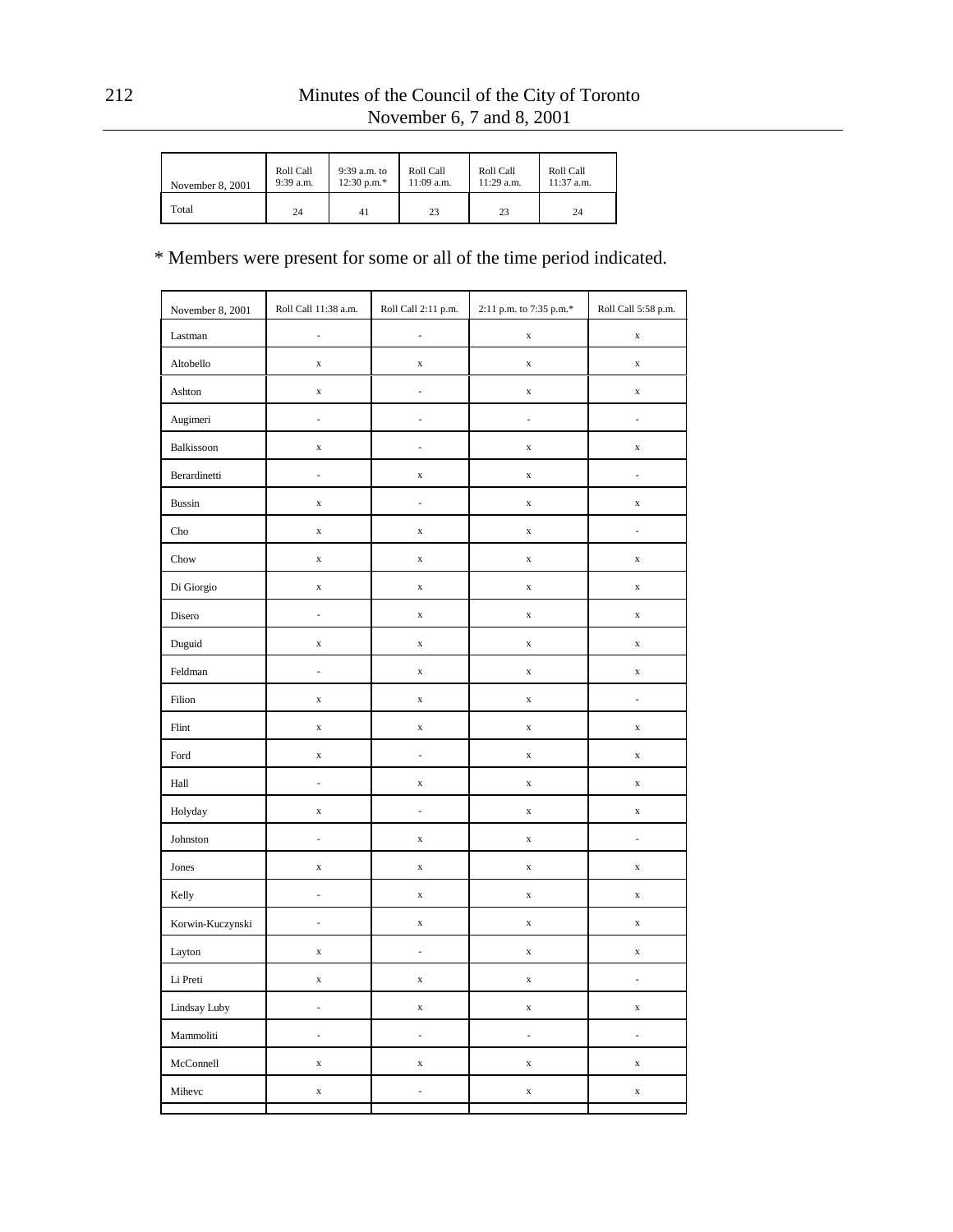| November 8, 2001 | Roll Call | 9:39 a.m. to  | Roll Call    | Roll Call    | Roll Call  |
|------------------|-----------|---------------|--------------|--------------|------------|
|                  | 9:39 a.m. | $12:30$ p.m.* | $11:09$ a.m. | $11:29$ a.m. | 11:37 a.m. |
| Total            | 24        | 41            | 23           | 23           | 24         |

| November 8, 2001            | Roll Call 11:38 a.m. | Roll Call 2:11 p.m. | 2:11 p.m. to 7:35 p.m.* | Roll Call 5:58 p.m.      |
|-----------------------------|----------------------|---------------------|-------------------------|--------------------------|
| Lastman                     | i,                   | L,                  | $\mathbf X$             | $\mathbf x$              |
| Altobello                   | $\mathbf x$          | $\mathbf x$         | $\mathbf x$             | $\mathbf x$              |
| Ashton                      | $\mathbf x$          | i,                  | $\mathbf x$             | $\mathbf x$              |
| Augimeri                    | i,                   | i,                  | L,                      | i,                       |
| Balkissoon                  | $\mathbf x$          | i,                  | $\mathbf x$             | $\mathbf x$              |
| Berardinetti                | i,                   | $\mathbf x$         | $\mathbf x$             | i,                       |
| <b>Bussin</b>               | $\mathbf x$          | i,                  | $\mathbf x$             | $\mathbf x$              |
| $\mathop{\rm Cho}\nolimits$ | $\mathbf x$          | $\mathbf x$         | $\mathbf x$             | i,                       |
| Chow                        | $\mathbf x$          | $\mathbf X$         | $\mathbf x$             | $\mathbf x$              |
| Di Giorgio                  | $\mathbf x$          | $\mathbf x$         | $\mathbf x$             | $\mathbf x$              |
| Disero                      | i,                   | $\mathbf X$         | $\mathbf x$             | $\mathbf x$              |
| Duguid                      | $\mathbf x$          | $\mathbf x$         | $\mathbf x$             | $\mathbf x$              |
| Feldman                     | i,                   | $\mathbf X$         | $\mathbf x$             | $\mathbf x$              |
| Filion                      | $\mathbf x$          | $\mathbf x$         | $\mathbf x$             | i,                       |
| Flint                       | $\mathbf x$          | $\mathbf X$         | $\mathbf x$             | $\mathbf x$              |
| Ford                        | $\mathbf x$          | i,                  | $\mathbf x$             | $\mathbf x$              |
| Hall                        | i,                   | $\mathbf X$         | $\mathbf x$             | $\mathbf x$              |
| Holyday                     | $\mathbf x$          | i,                  | $\mathbf x$             | $\mathbf x$              |
| Johnston                    | i,                   | $\mathbf X$         | $\mathbf x$             | $\frac{1}{2}$            |
| Jones                       | $\mathbf x$          | $\mathbf X$         | $\mathbf x$             | $\mathbf x$              |
| Kelly                       | i,                   | $\mathbf X$         | $\mathbf x$             | $\mathbf x$              |
| Korwin-Kuczynski            | ÷,                   | $\mathbf x$         | $\mathbf x$             | $\mathbf x$              |
| Layton                      | $\mathbf x$          | $\frac{1}{2}$       | $\mathbf x$             | $\mathbf x$              |
| Li Preti                    | $\mathbf x$          | $\mathbf X$         | $\mathbf x$             | $\overline{\phantom{a}}$ |
| Lindsay Luby                | $\frac{1}{2}$        | $\mathbf X$         | $\mathbf X$             | $\mathbf x$              |
| Mammoliti                   | $\frac{1}{2}$        | i,                  | L,                      | $\frac{1}{2}$            |
| McConnell                   | $\mathbf x$          | $\mathbf X$         | $\mathbf X$             | $\mathbf x$              |
| Mihevc                      | $\mathbf x$          | ÷,                  | $\mathbf X$             | $\mathbf x$              |
|                             |                      |                     |                         |                          |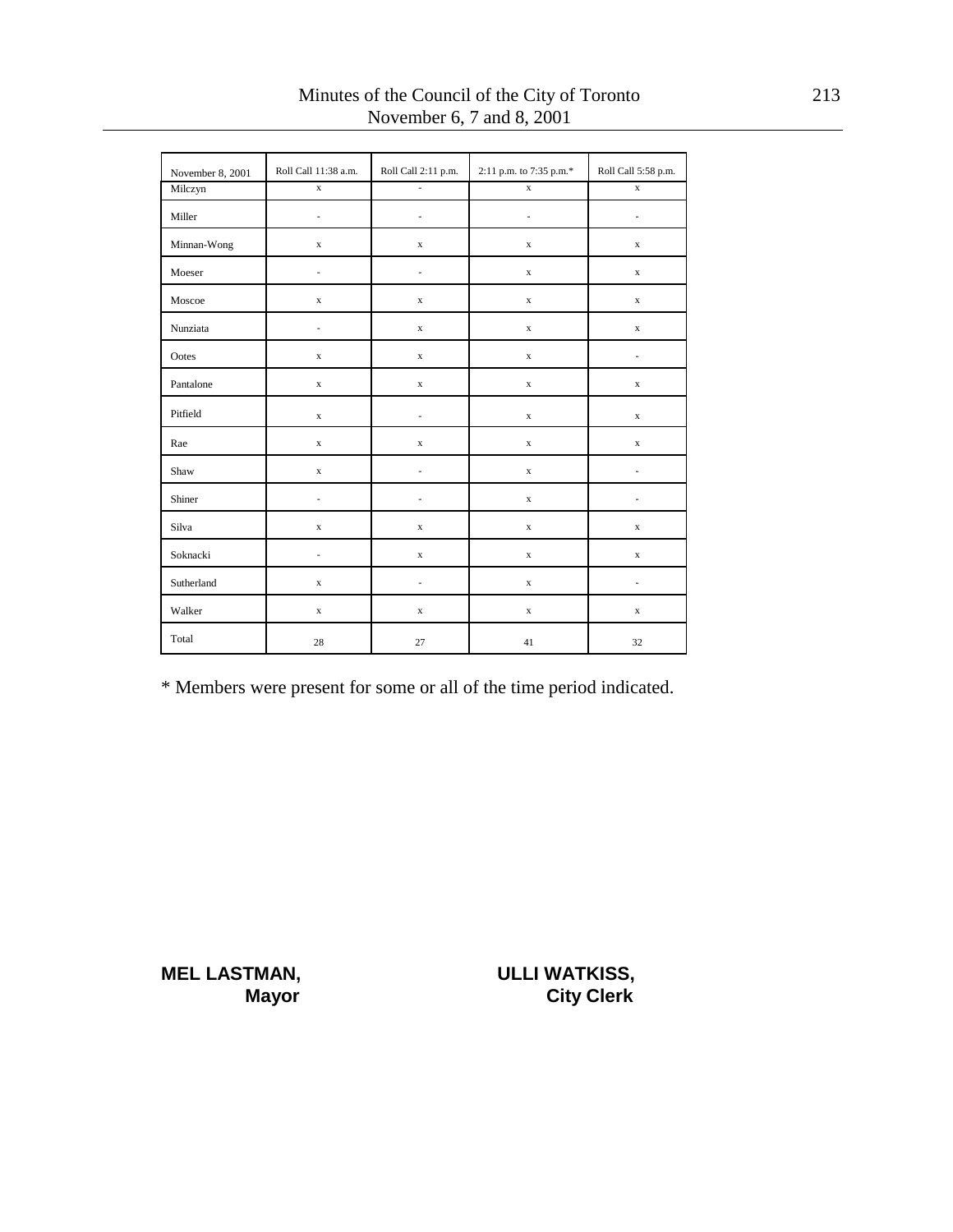| November 8, 2001 | Roll Call 11:38 a.m.     | Roll Call 2:11 p.m.      | 2:11 p.m. to 7:35 p.m.* | Roll Call 5:58 p.m. |
|------------------|--------------------------|--------------------------|-------------------------|---------------------|
| Milczyn          | $\mathbf x$              | $\overline{\phantom{a}}$ | $\mathbf x$             | $\mathbf x$         |
| Miller           | $\frac{1}{2}$            | $\overline{\phantom{0}}$ | ä,                      | ٠                   |
| Minnan-Wong      | $\mathbf x$              | $\mathbf x$              | $\mathbf X$             | $\mathbf x$         |
| Moeser           | $\overline{a}$           | $\frac{1}{2}$            | $\mathbf x$             | $\mathbf x$         |
| Moscoe           | $\mathbf x$              | $\mathbf x$              | $\mathbf x$             | $\mathbf x$         |
| Nunziata         | $\overline{\phantom{a}}$ | $\mathbf x$              | $\mathbf x$             | $\mathbf x$         |
| Ootes            | $\mathbf x$              | $\mathbf x$              | $\mathbf x$             | $\frac{1}{2}$       |
| Pantalone        | $\mathbf x$              | $\mathbf x$              | $\mathbf X$             | $\mathbf x$         |
| Pitfield         | $\mathbf x$              | $\overline{\phantom{a}}$ | $\mathbf X$             | $\mathbf x$         |
| Rae              | $\mathbf x$              | $\mathbf x$              | $\mathbf x$             | $\mathbf x$         |
| Shaw             | $\mathbf x$              | $\overline{\phantom{a}}$ | $\mathbf x$             | ٠                   |
| Shiner           | $\frac{1}{2}$            | ٠                        | $\mathbf x$             |                     |
| Silva            | $\mathbf x$              | $\mathbf x$              | $\mathbf x$             | $\mathbf x$         |
| Soknacki         | $\overline{\phantom{a}}$ | $\mathbf X$              | $\mathbf x$             | $\mathbf x$         |
| Sutherland       | $\mathbf x$              | $\overline{\phantom{a}}$ | $\mathbf x$             | ä,                  |
| Walker           | $\mathbf x$              | $\mathbf x$              | $\mathbf x$             | $\mathbf x$         |
| Total            | $28\,$                   | 27                       | 41                      | 32                  |

\* Members were present for some or all of the time period indicated.

**MEL LASTMAN, ULLI WATKISS,** 

**Mayor** City Clerk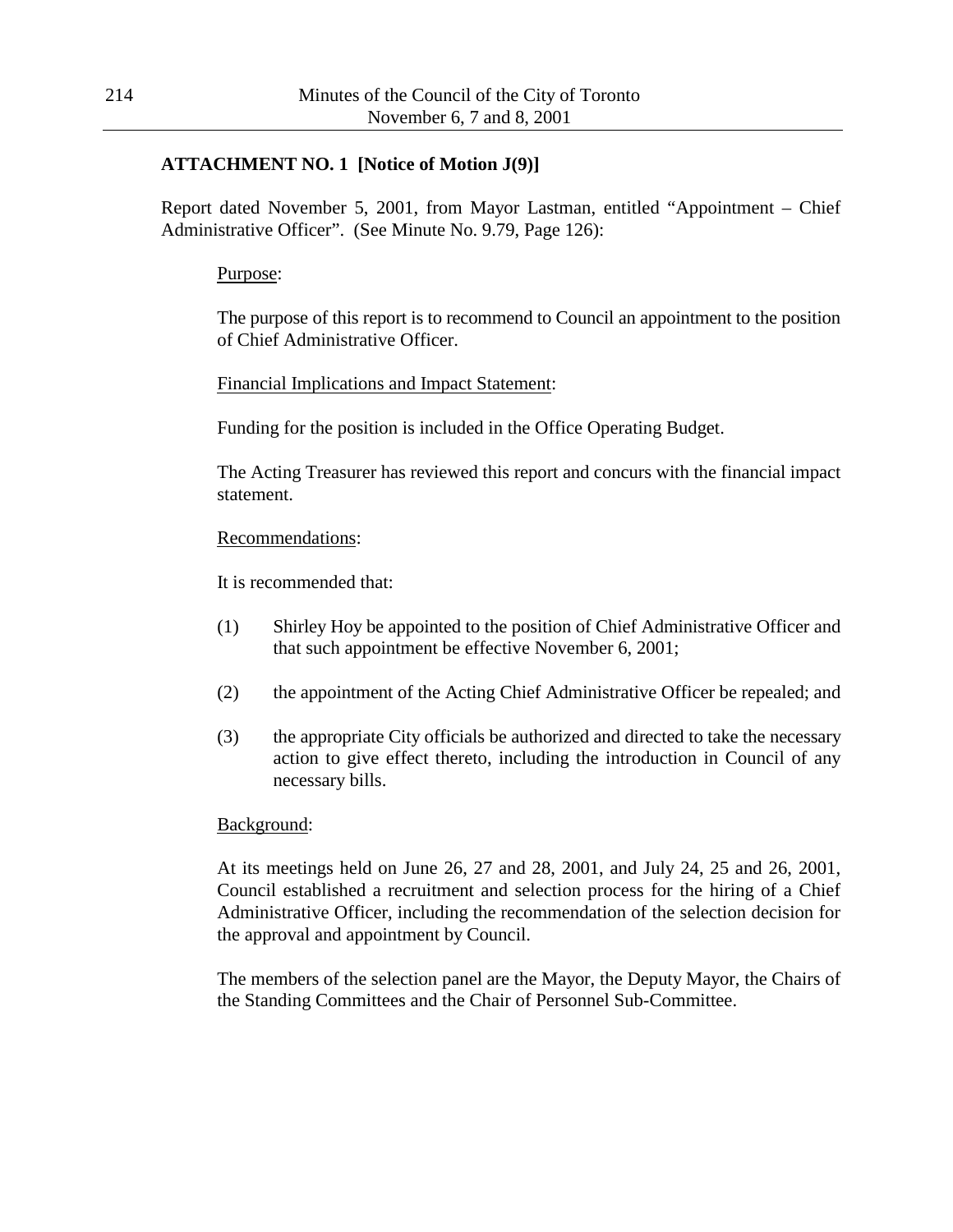## **ATTACHMENT NO. 1 [Notice of Motion J(9)]**

Report dated November 5, 2001, from Mayor Lastman, entitled "Appointment – Chief Administrative Officer". (See Minute No. 9.79, Page 126):

## Purpose:

The purpose of this report is to recommend to Council an appointment to the position of Chief Administrative Officer.

Financial Implications and Impact Statement:

Funding for the position is included in the Office Operating Budget.

The Acting Treasurer has reviewed this report and concurs with the financial impact statement.

### Recommendations:

It is recommended that:

- (1) Shirley Hoy be appointed to the position of Chief Administrative Officer and that such appointment be effective November 6, 2001;
- (2) the appointment of the Acting Chief Administrative Officer be repealed; and
- (3) the appropriate City officials be authorized and directed to take the necessary action to give effect thereto, including the introduction in Council of any necessary bills.

### Background:

At its meetings held on June 26, 27 and 28, 2001, and July 24, 25 and 26, 2001, Council established a recruitment and selection process for the hiring of a Chief Administrative Officer, including the recommendation of the selection decision for the approval and appointment by Council.

The members of the selection panel are the Mayor, the Deputy Mayor, the Chairs of the Standing Committees and the Chair of Personnel Sub-Committee.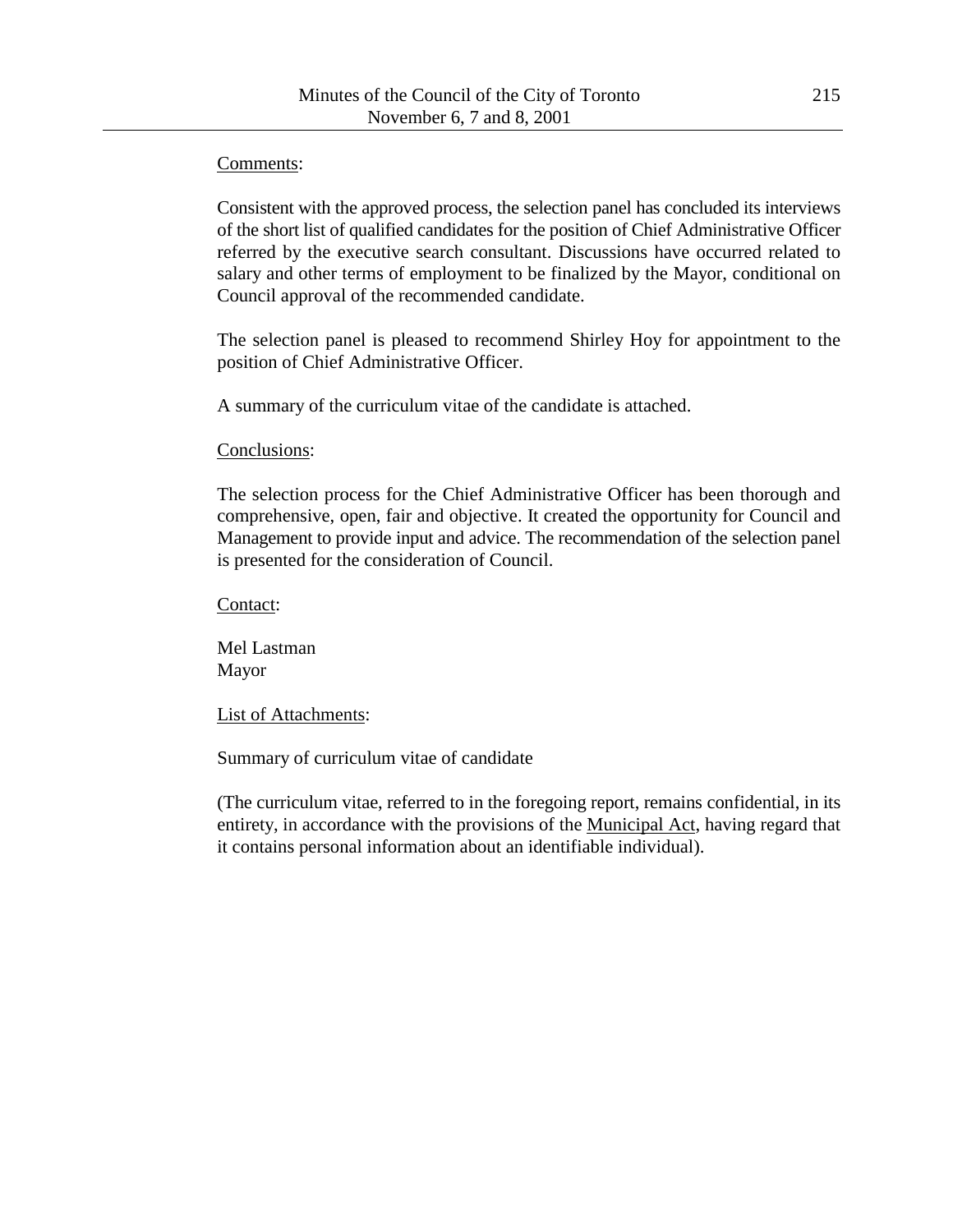## Comments:

Consistent with the approved process, the selection panel has concluded its interviews of the short list of qualified candidates for the position of Chief Administrative Officer referred by the executive search consultant. Discussions have occurred related to salary and other terms of employment to be finalized by the Mayor, conditional on Council approval of the recommended candidate.

The selection panel is pleased to recommend Shirley Hoy for appointment to the position of Chief Administrative Officer.

A summary of the curriculum vitae of the candidate is attached.

## Conclusions:

The selection process for the Chief Administrative Officer has been thorough and comprehensive, open, fair and objective. It created the opportunity for Council and Management to provide input and advice. The recommendation of the selection panel is presented for the consideration of Council.

Contact:

Mel Lastman Mayor

List of Attachments:

Summary of curriculum vitae of candidate

(The curriculum vitae, referred to in the foregoing report, remains confidential, in its entirety, in accordance with the provisions of the Municipal Act, having regard that it contains personal information about an identifiable individual).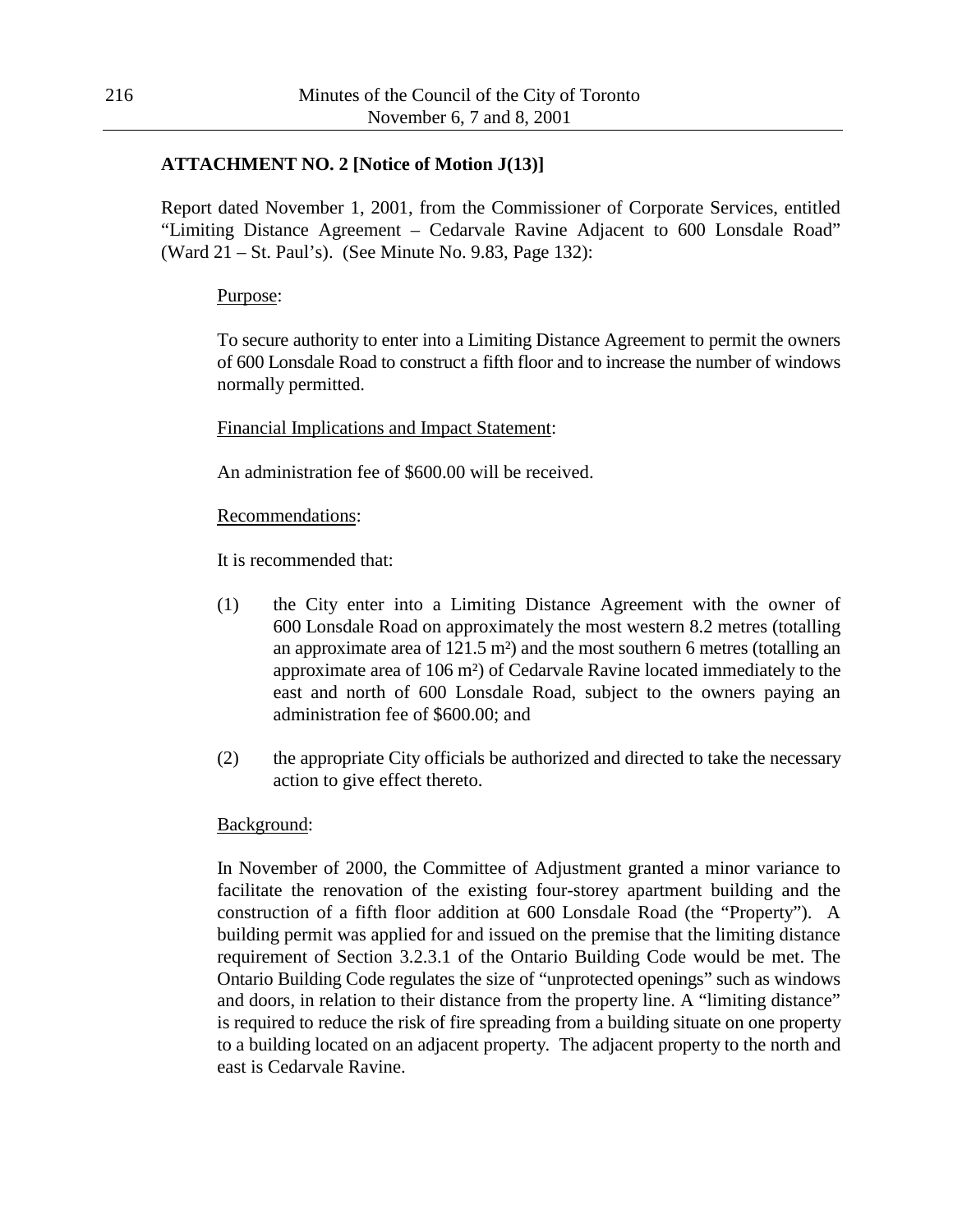## **ATTACHMENT NO. 2 [Notice of Motion J(13)]**

Report dated November 1, 2001, from the Commissioner of Corporate Services, entitled "Limiting Distance Agreement – Cedarvale Ravine Adjacent to 600 Lonsdale Road" (Ward 21 – St. Paul's). (See Minute No. 9.83, Page 132):

### Purpose:

To secure authority to enter into a Limiting Distance Agreement to permit the owners of 600 Lonsdale Road to construct a fifth floor and to increase the number of windows normally permitted.

## Financial Implications and Impact Statement:

An administration fee of \$600.00 will be received.

### Recommendations:

It is recommended that:

- (1) the City enter into a Limiting Distance Agreement with the owner of 600 Lonsdale Road on approximately the most western 8.2 metres (totalling an approximate area of 121.5 m²) and the most southern 6 metres (totalling an approximate area of 106 m²) of Cedarvale Ravine located immediately to the east and north of 600 Lonsdale Road, subject to the owners paying an administration fee of \$600.00; and
- (2) the appropriate City officials be authorized and directed to take the necessary action to give effect thereto.

### Background:

In November of 2000, the Committee of Adjustment granted a minor variance to facilitate the renovation of the existing four-storey apartment building and the construction of a fifth floor addition at 600 Lonsdale Road (the "Property"). A building permit was applied for and issued on the premise that the limiting distance requirement of Section 3.2.3.1 of the Ontario Building Code would be met. The Ontario Building Code regulates the size of "unprotected openings" such as windows and doors, in relation to their distance from the property line. A "limiting distance" is required to reduce the risk of fire spreading from a building situate on one property to a building located on an adjacent property. The adjacent property to the north and east is Cedarvale Ravine.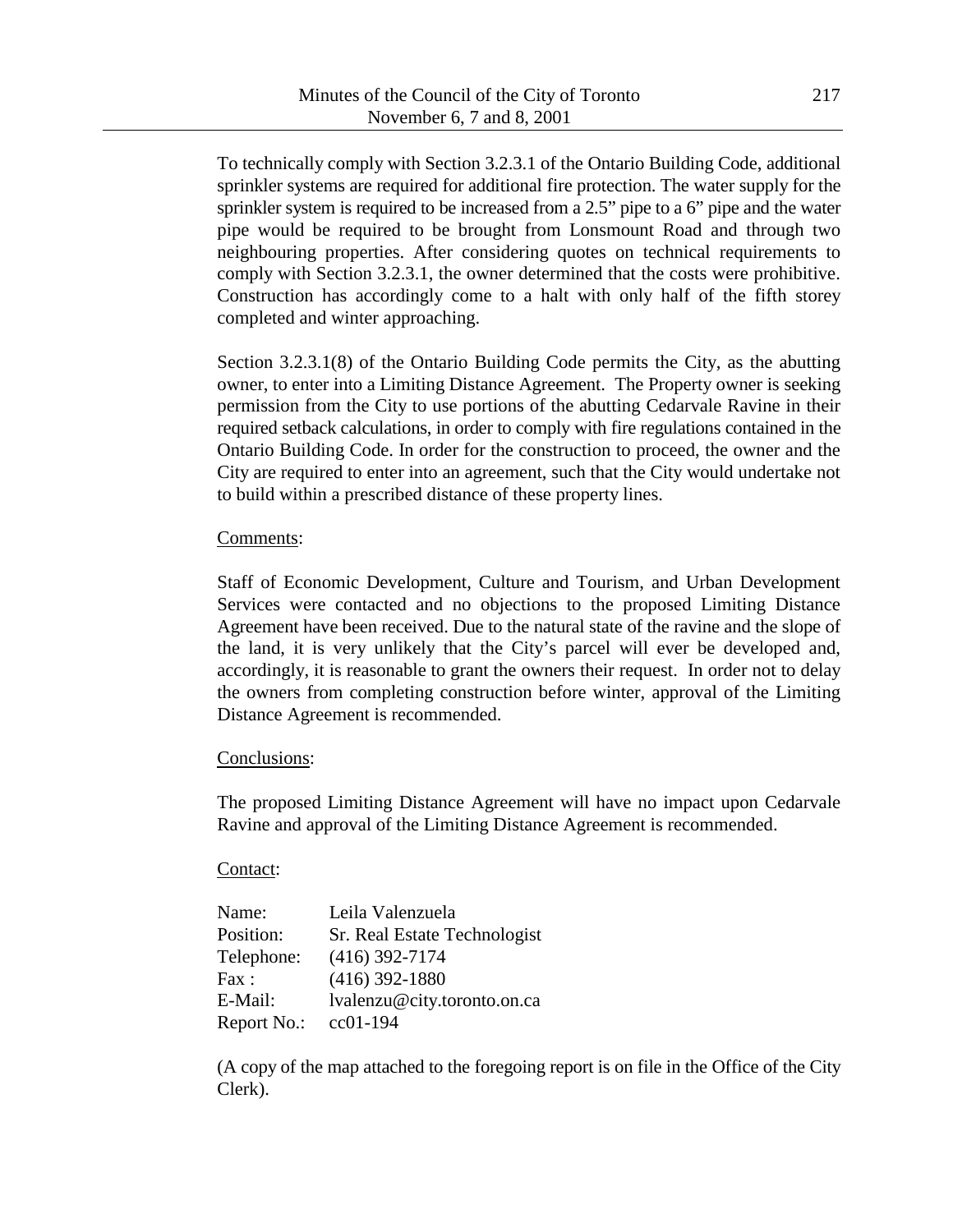To technically comply with Section 3.2.3.1 of the Ontario Building Code, additional sprinkler systems are required for additional fire protection. The water supply for the sprinkler system is required to be increased from a 2.5" pipe to a 6" pipe and the water pipe would be required to be brought from Lonsmount Road and through two neighbouring properties. After considering quotes on technical requirements to comply with Section 3.2.3.1, the owner determined that the costs were prohibitive. Construction has accordingly come to a halt with only half of the fifth storey completed and winter approaching.

Section 3.2.3.1(8) of the Ontario Building Code permits the City, as the abutting owner, to enter into a Limiting Distance Agreement. The Property owner is seeking permission from the City to use portions of the abutting Cedarvale Ravine in their required setback calculations, in order to comply with fire regulations contained in the Ontario Building Code. In order for the construction to proceed, the owner and the City are required to enter into an agreement, such that the City would undertake not to build within a prescribed distance of these property lines.

## Comments:

Staff of Economic Development, Culture and Tourism, and Urban Development Services were contacted and no objections to the proposed Limiting Distance Agreement have been received. Due to the natural state of the ravine and the slope of the land, it is very unlikely that the City's parcel will ever be developed and, accordingly, it is reasonable to grant the owners their request. In order not to delay the owners from completing construction before winter, approval of the Limiting Distance Agreement is recommended.

## Conclusions:

The proposed Limiting Distance Agreement will have no impact upon Cedarvale Ravine and approval of the Limiting Distance Agreement is recommended.

## Contact:

| Name:       | Leila Valenzuela             |
|-------------|------------------------------|
| Position:   | Sr. Real Estate Technologist |
| Telephone:  | $(416)$ 392-7174             |
| Fax:        | $(416)$ 392-1880             |
| E-Mail:     | lvalenzu@city.toronto.on.ca  |
| Report No.: | $cc01-194$                   |

(A copy of the map attached to the foregoing report is on file in the Office of the City Clerk).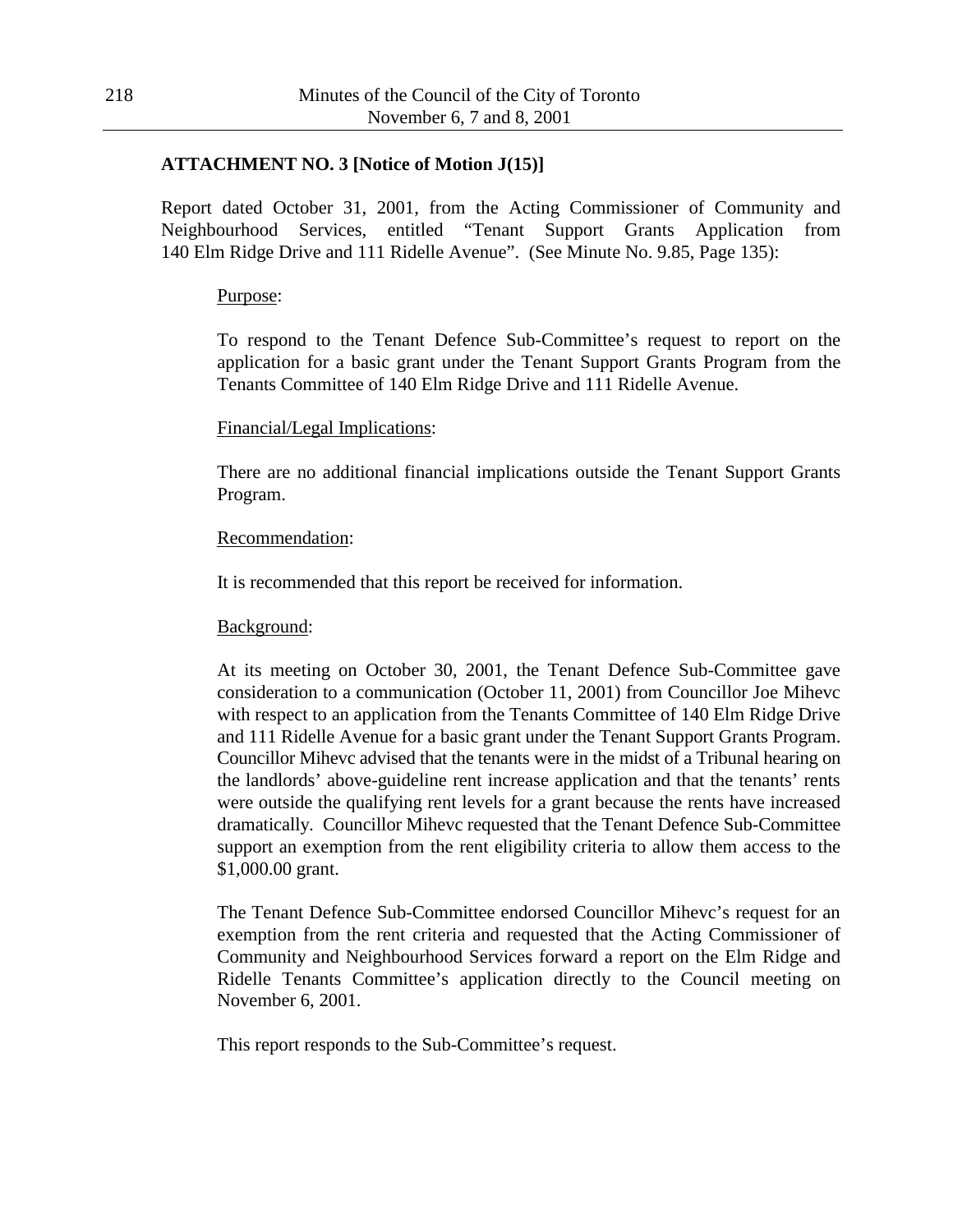## **ATTACHMENT NO. 3 [Notice of Motion J(15)]**

Report dated October 31, 2001, from the Acting Commissioner of Community and Neighbourhood Services, entitled "Tenant Support Grants Application from 140 Elm Ridge Drive and 111 Ridelle Avenue". (See Minute No. 9.85, Page 135):

#### Purpose:

To respond to the Tenant Defence Sub-Committee's request to report on the application for a basic grant under the Tenant Support Grants Program from the Tenants Committee of 140 Elm Ridge Drive and 111 Ridelle Avenue.

## Financial/Legal Implications:

There are no additional financial implications outside the Tenant Support Grants Program.

#### Recommendation:

It is recommended that this report be received for information.

#### Background:

At its meeting on October 30, 2001, the Tenant Defence Sub-Committee gave consideration to a communication (October 11, 2001) from Councillor Joe Mihevc with respect to an application from the Tenants Committee of 140 Elm Ridge Drive and 111 Ridelle Avenue for a basic grant under the Tenant Support Grants Program. Councillor Mihevc advised that the tenants were in the midst of a Tribunal hearing on the landlords' above-guideline rent increase application and that the tenants' rents were outside the qualifying rent levels for a grant because the rents have increased dramatically. Councillor Mihevc requested that the Tenant Defence Sub-Committee support an exemption from the rent eligibility criteria to allow them access to the \$1,000.00 grant.

The Tenant Defence Sub-Committee endorsed Councillor Mihevc's request for an exemption from the rent criteria and requested that the Acting Commissioner of Community and Neighbourhood Services forward a report on the Elm Ridge and Ridelle Tenants Committee's application directly to the Council meeting on November 6, 2001.

This report responds to the Sub-Committee's request.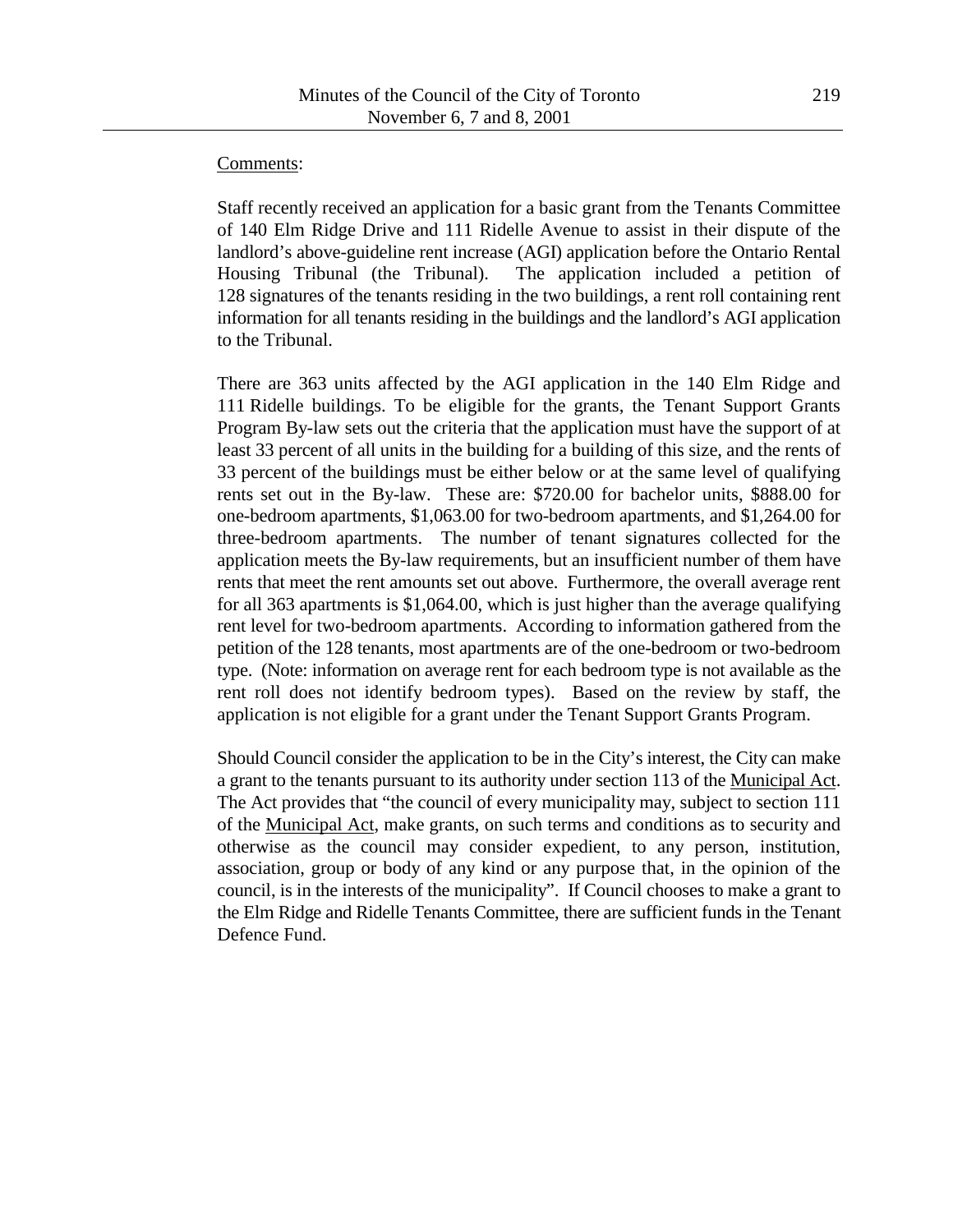#### Comments:

Staff recently received an application for a basic grant from the Tenants Committee of 140 Elm Ridge Drive and 111 Ridelle Avenue to assist in their dispute of the landlord's above-guideline rent increase (AGI) application before the Ontario Rental Housing Tribunal (the Tribunal). The application included a petition of 128 signatures of the tenants residing in the two buildings, a rent roll containing rent information for all tenants residing in the buildings and the landlord's AGI application to the Tribunal.

There are 363 units affected by the AGI application in the 140 Elm Ridge and 111 Ridelle buildings. To be eligible for the grants, the Tenant Support Grants Program By-law sets out the criteria that the application must have the support of at least 33 percent of all units in the building for a building of this size, and the rents of 33 percent of the buildings must be either below or at the same level of qualifying rents set out in the By-law. These are: \$720.00 for bachelor units, \$888.00 for one-bedroom apartments, \$1,063.00 for two-bedroom apartments, and \$1,264.00 for three-bedroom apartments. The number of tenant signatures collected for the application meets the By-law requirements, but an insufficient number of them have rents that meet the rent amounts set out above. Furthermore, the overall average rent for all 363 apartments is \$1,064.00, which is just higher than the average qualifying rent level for two-bedroom apartments. According to information gathered from the petition of the 128 tenants, most apartments are of the one-bedroom or two-bedroom type. (Note: information on average rent for each bedroom type is not available as the rent roll does not identify bedroom types). Based on the review by staff, the application is not eligible for a grant under the Tenant Support Grants Program.

Should Council consider the application to be in the City's interest, the City can make a grant to the tenants pursuant to its authority under section 113 of the Municipal Act. The Act provides that "the council of every municipality may, subject to section 111 of the Municipal Act, make grants, on such terms and conditions as to security and otherwise as the council may consider expedient, to any person, institution, association, group or body of any kind or any purpose that, in the opinion of the council, is in the interests of the municipality". If Council chooses to make a grant to the Elm Ridge and Ridelle Tenants Committee, there are sufficient funds in the Tenant Defence Fund.